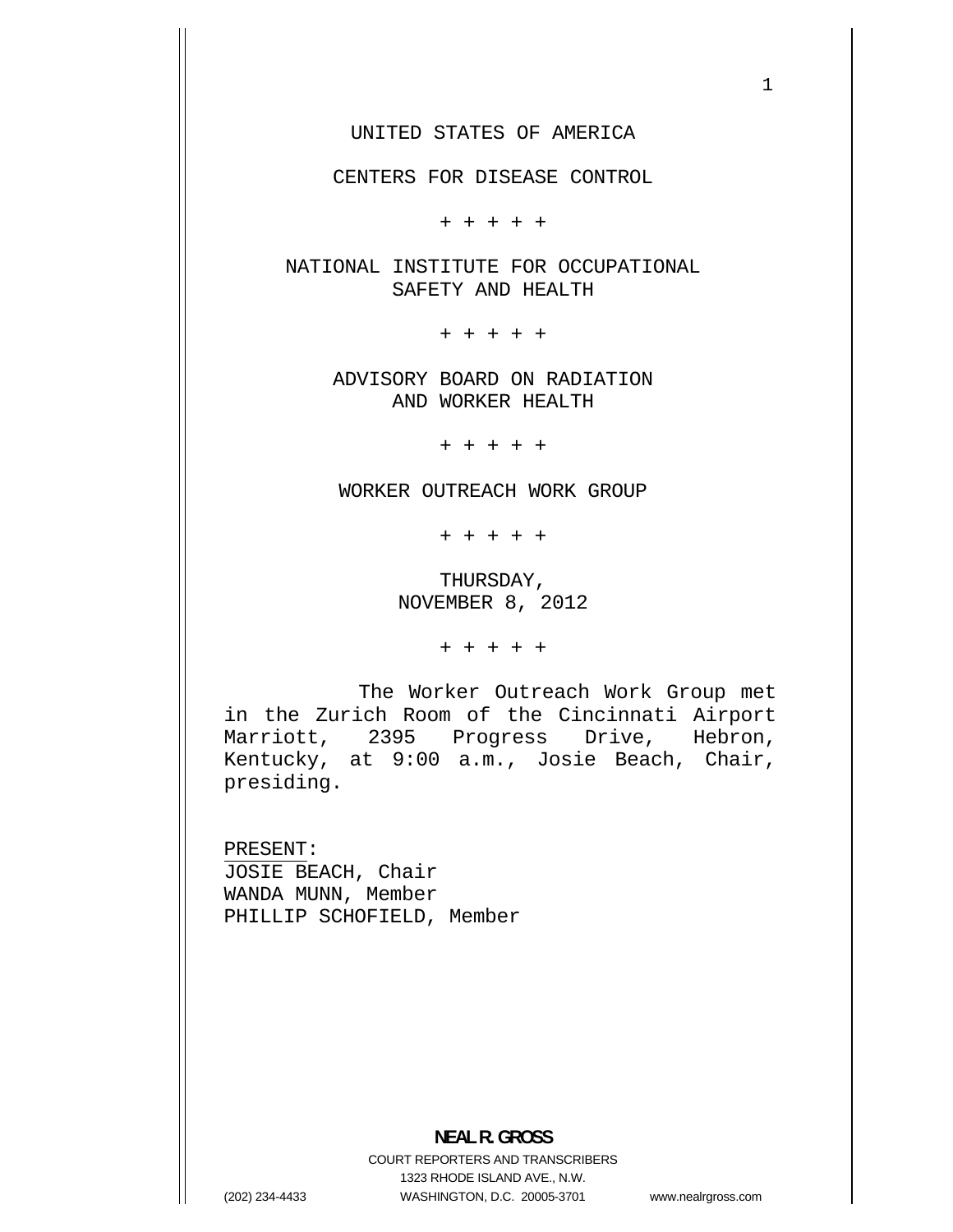UNITED STATES OF AMERICA

CENTERS FOR DISEASE CONTROL

+ + + + +

NATIONAL INSTITUTE FOR OCCUPATIONAL SAFETY AND HEALTH

+ + + + +

ADVISORY BOARD ON RADIATION AND WORKER HEALTH

+ + + + +

WORKER OUTREACH WORK GROUP

+ + + + +

THURSDAY, NOVEMBER 8, 2012

+ + + + +

The Worker Outreach Work Group met in the Zurich Room of the Cincinnati Airport Marriott, 2395 Progress Drive, Hebron, Kentucky, at 9:00 a.m., Josie Beach, Chair, presiding.

PRESENT: JOSIE BEACH, Chair WANDA MUNN, Member PHILLIP SCHOFIELD, Member

**NEAL R. GROSS**  COURT REPORTERS AND TRANSCRIBERS 1323 RHODE ISLAND AVE., N.W. (202) 234-4433 WASHINGTON, D.C. 20005-3701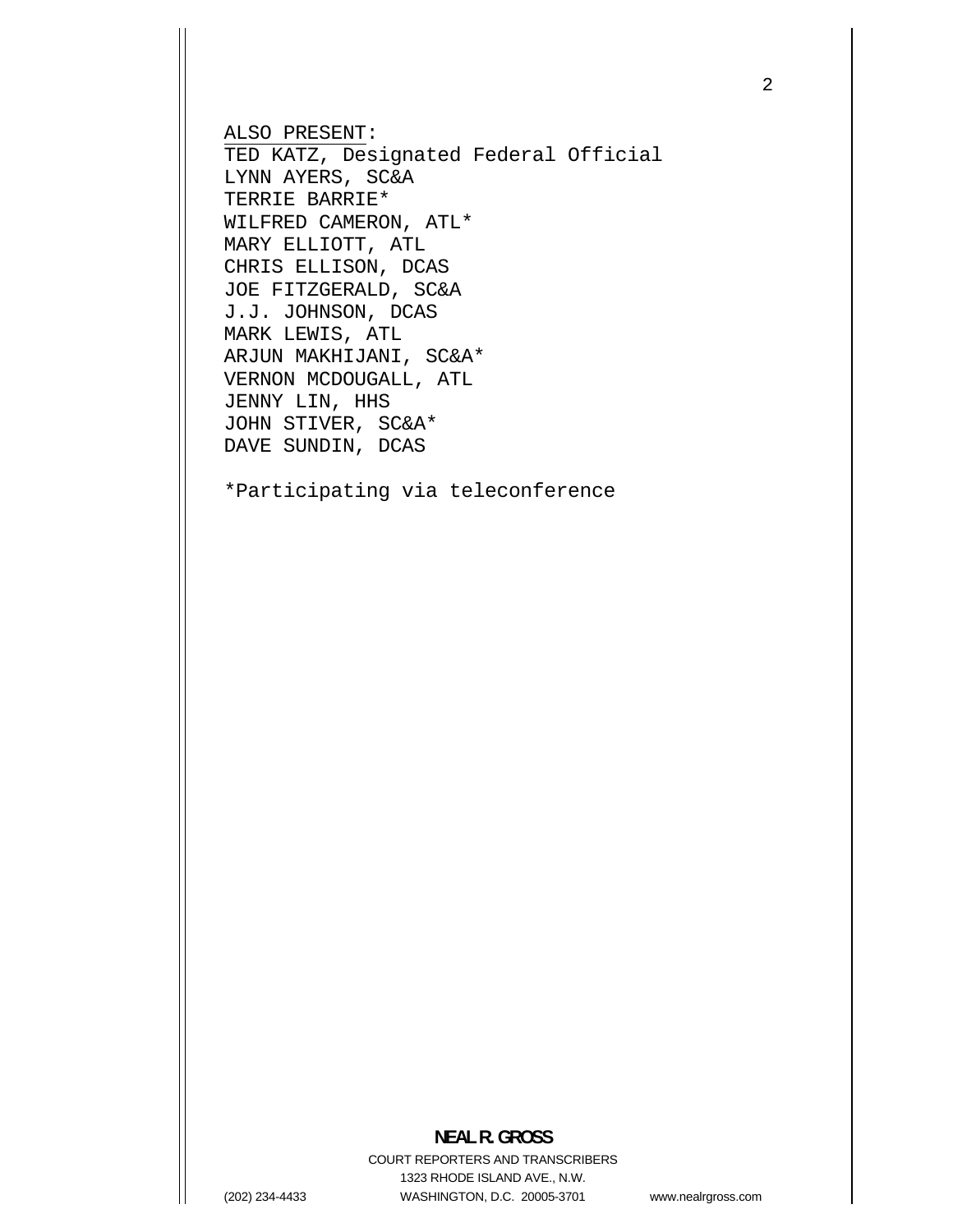ALSO PRESENT: TED KATZ, Designated Federal Official LYNN AYERS, SC&A TERRIE BARRIE\* WILFRED CAMERON, ATL\* MARY ELLIOTT, ATL CHRIS ELLISON, DCAS JOE FITZGERALD, SC&A J.J. JOHNSON, DCAS MARK LEWIS, ATL ARJUN MAKHIJANI, SC&A\* VERNON MCDOUGALL, ATL JENNY LIN, HHS JOHN STIVER, SC&A\* DAVE SUNDIN, DCAS

\*Participating via teleconference

## **NEAL R. GROSS**

COURT REPORTERS AND TRANSCRIBERS 1323 RHODE ISLAND AVE., N.W. (202) 234-4433 WASHINGTON, D.C. 20005-3701

www.nealrgross.com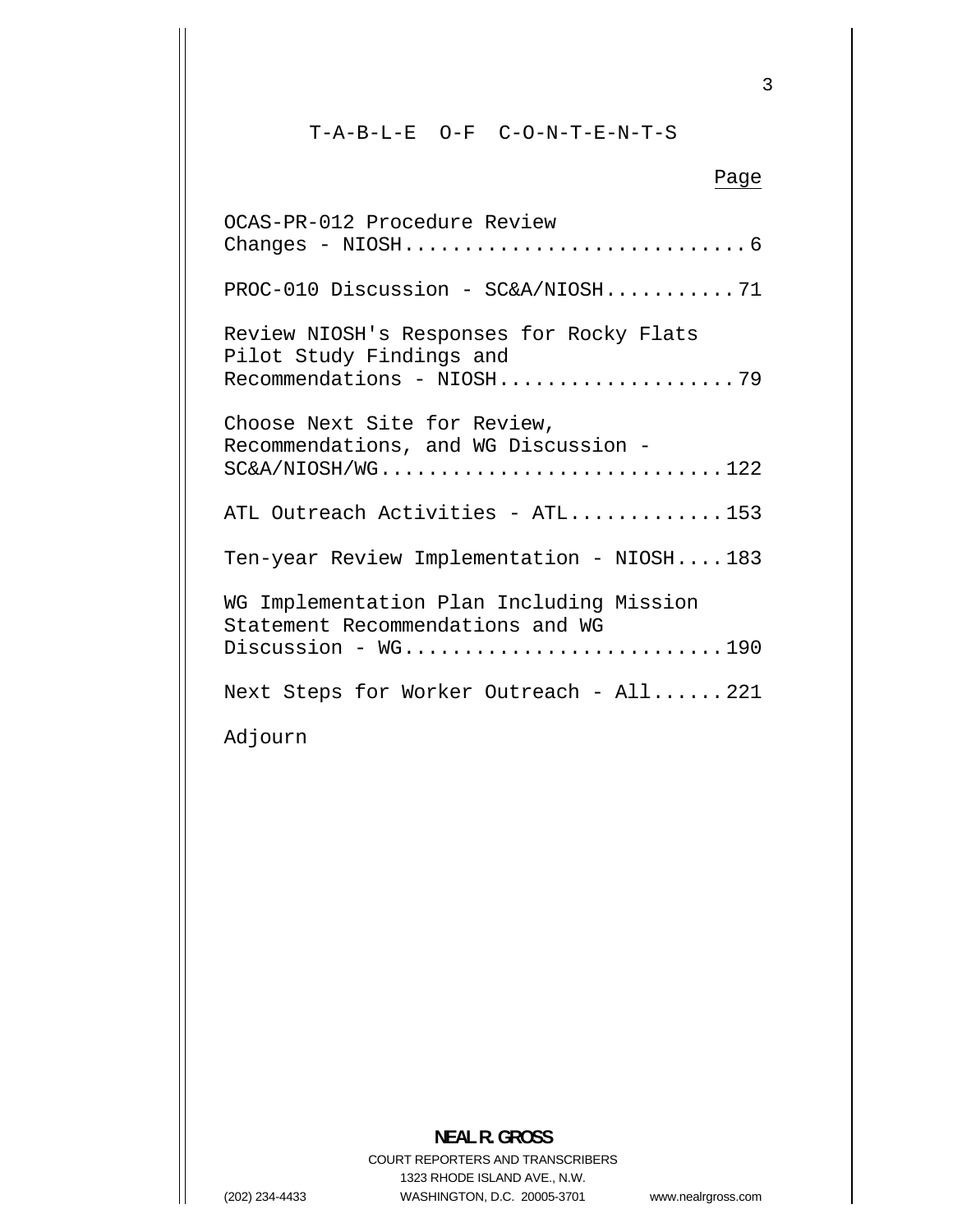T-A-B-L-E O-F C-O-N-T-E-N-T-S

# Page OCAS-PR-012 Procedure Review [Changes - NIOSH.............................6](#page-5-0)  [PROC-010 Discussion - SC&A/NIOSH](#page-70-0)  ...........71 Review NIOSH's Responses for Rocky Flats Pilot Study Findings and [Recommendations - NIOSH....................79](#page-78-0)  Recommendations, and WG Discussion - [SC&A/NIOSH/WG.............................122](#page-121-0)  Choose Next Site for Review, [ATL Outreach Activities - ATL.............153](#page-152-0)  [Ten-year Review Implementation - NIOSH....183](#page-182-0)  Statement Recommendations and WG Discussion - WG..............................190 Adjourn WG Implementation Plan Including Mission Next Steps for Worker Outreach - All...... 221

#### **NEAL R. GROSS**  COURT REPORTERS AND TRANSCRIBERS 1323 RHODE ISLAND AVE., N.W. (202) 234-4433 WASHINGTON, D.C. 20005-3701

www.nealrgross.com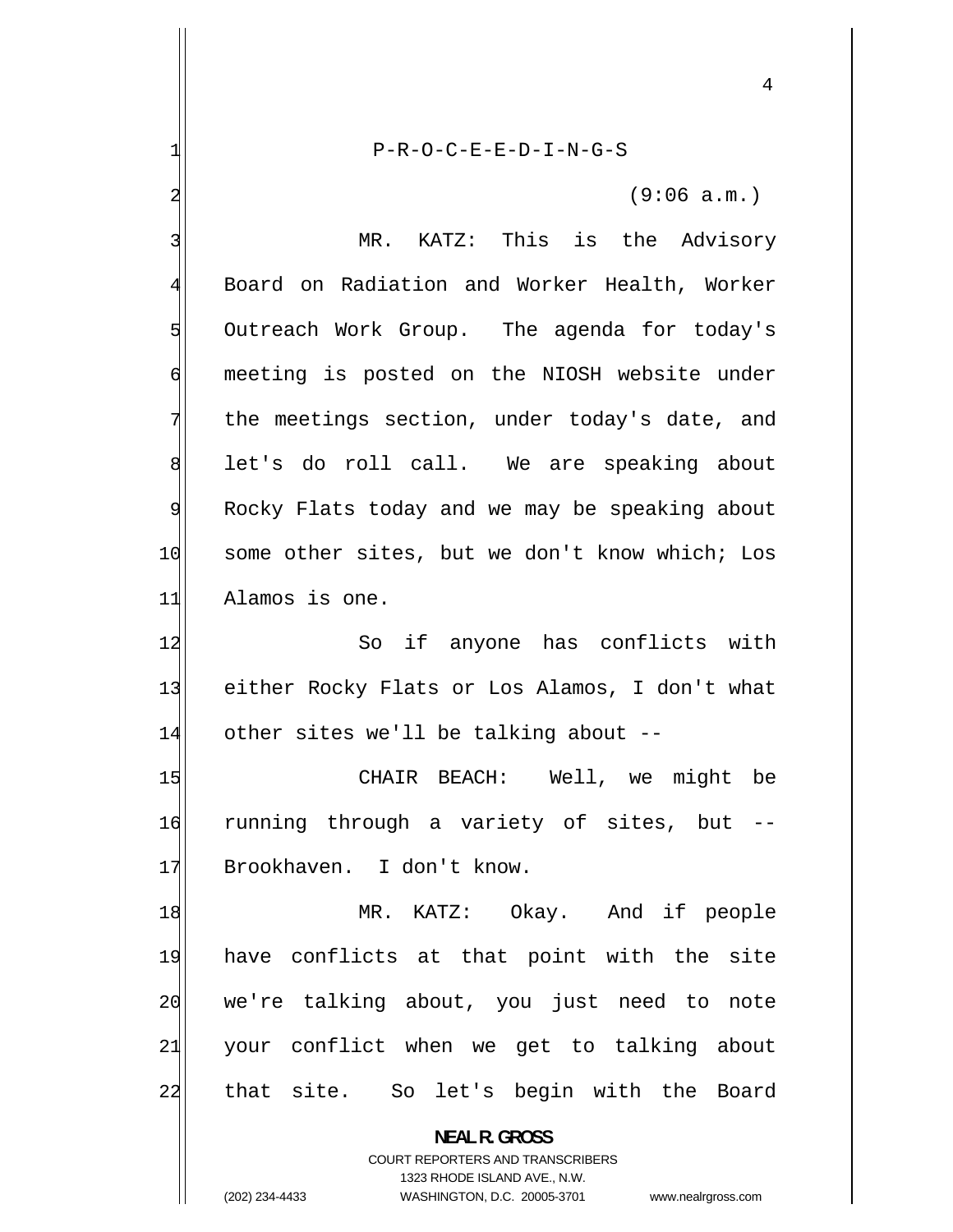1 P-R-O-C-E-E-D-I-N-G-S 2 (9:06 a.m.) 3 MR. KATZ: This is the Advisory 4 Board on Radiation and Worker Health, Worker 5 Outreach Work Group. The agenda for today's 6 meeting is posted on the NIOSH website under 7 the meetings section, under today's date, and 8 let's do roll call. We are speaking about 9 Rocky Flats today and we may be speaking about 10 some other sites, but we don't know which; Los 11 Alamos is one. 12 So if anyone has conflicts with 13 either Rocky Flats or Los Alamos, I don't what  $14$  other sites we'll be talking about --15 CHAIR BEACH: Well, we might be 16 running through a variety of sites, but -- 17 Brookhaven. I don't know. 18 MR. KATZ: Okay. And if people 19 have conflicts at that point with the site 20 we're talking about, you just need to note 21 your conflict when we get to talking about 22 that site. So let's begin with the Board **NEAL R. GROSS** 

> COURT REPORTERS AND TRANSCRIBERS 1323 RHODE ISLAND AVE., N.W.

(202) 234-4433 WASHINGTON, D.C. 20005-3701 www.nealrgross.com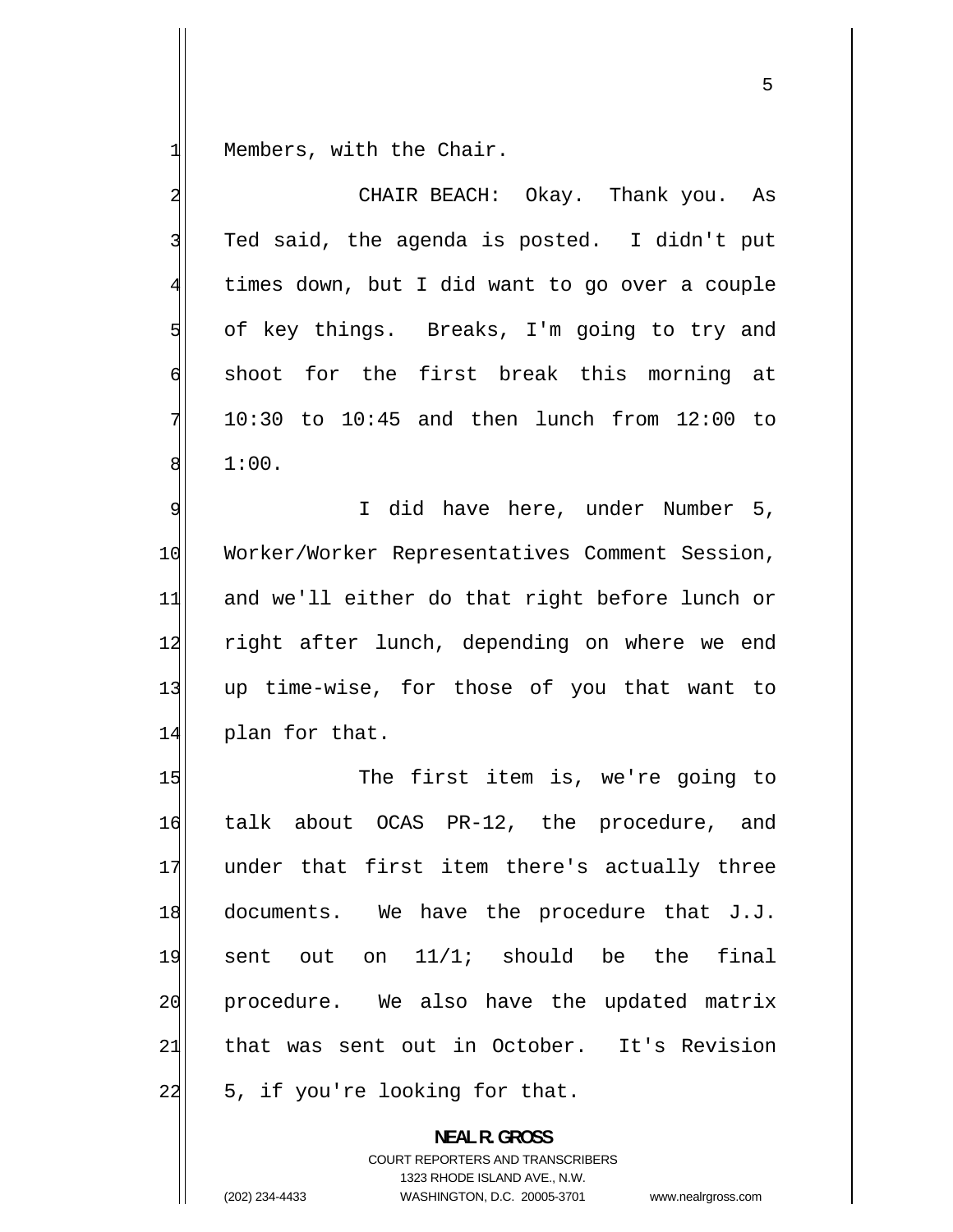$\frac{1}{\sqrt{2}}$ Members, with the Chair.

| 2              | CHAIR BEACH: Okay. Thank you. As                  |
|----------------|---------------------------------------------------|
| 3              | Ted said, the agenda is posted. I didn't put      |
| $\overline{4}$ | times down, but I did want to go over a couple    |
| $\overline{5}$ | of key things. Breaks, I'm going to try and       |
| $\sigma$       | shoot for the first break this morning at         |
| $\overline{7}$ | $10:30$ to $10:45$ and then lunch from $12:00$ to |
| 8              | 1:00.                                             |
| 9              | I did have here, under Number 5,                  |
| 10             | Worker/Worker Representatives Comment Session,    |
| 11             | and we'll either do that right before lunch or    |
| 12             | right after lunch, depending on where we end      |
| 13             | up time-wise, for those of you that want to       |
| 14             | plan for that.                                    |
| 15             | The first item is, we're going to                 |
| 16             | talk about OCAS PR-12, the procedure, and         |
| 17             | under that first item there's actually three      |
| 18             | documents. We have the procedure that J.J.        |
| 19             | sent out on 11/1; should be the final             |
| 20             | procedure. We also have the updated matrix        |
| 21             | that was sent out in October. It's Revision       |
| 22             | 5, if you're looking for that.                    |
|                | <b>NEAL R. GROSS</b>                              |

COURT REPORTERS AND TRANSCRIBERS 1323 RHODE ISLAND AVE., N.W.

(202) 234-4433 WASHINGTON, D.C. 20005-3701 www.nealrgross.com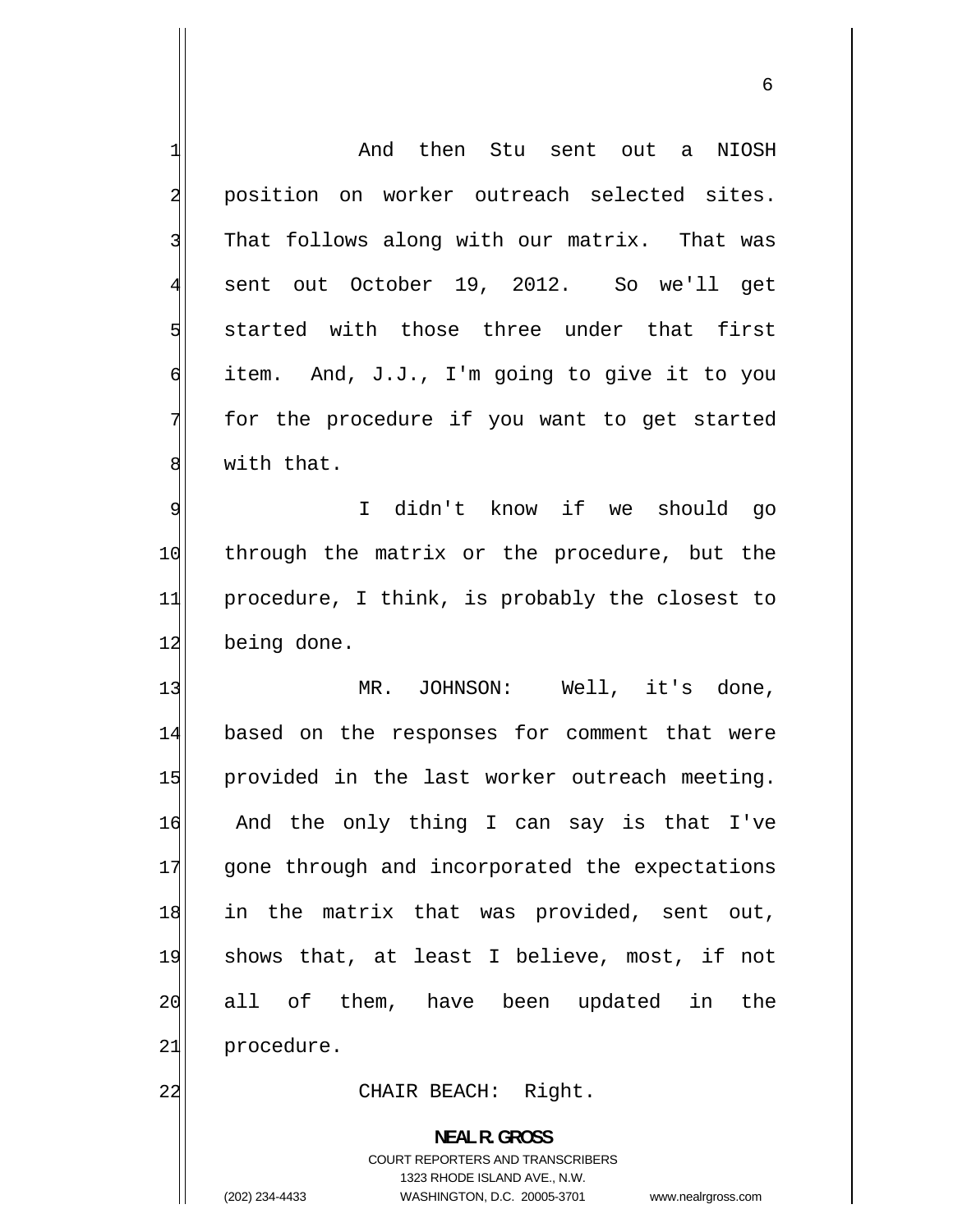<span id="page-5-0"></span>

| 1                       | And then Stu sent out a NIOSH                  |
|-------------------------|------------------------------------------------|
| $\overline{\mathbf{c}}$ | position on worker outreach selected sites.    |
| 3                       | That follows along with our matrix. That was   |
| $\overline{4}$          | sent out October 19, 2012. So we'll get        |
| 5                       | started with those three under that first      |
| б                       | item. And, J.J., I'm going to give it to you   |
| 7                       | for the procedure if you want to get started   |
| 8                       | with that.                                     |
| $\overline{9}$          | I didn't know if we should go                  |
| 10                      | through the matrix or the procedure, but the   |
| 11                      | procedure, I think, is probably the closest to |
| 12                      | being done.                                    |
| 13                      | MR. JOHNSON: Well, it's done,                  |
| 14                      | based on the responses for comment that were   |
| 15                      | provided in the last worker outreach meeting.  |
| 16                      | And the only thing I can say is that I've      |
| 17                      | gone through and incorporated the expectations |
| 18                      | in the matrix that was provided, sent out,     |
| 19                      | shows that, at least I believe, most, if not   |
| 20                      | all of them, have been updated in<br>the       |
| 21                      | procedure.                                     |
| 22                      | CHAIR BEACH: Right.                            |

**NEAL R. GROSS**  COURT REPORTERS AND TRANSCRIBERS 1323 RHODE ISLAND AVE., N.W. (202) 234-4433 WASHINGTON, D.C. 20005-3701 www.nealrgross.com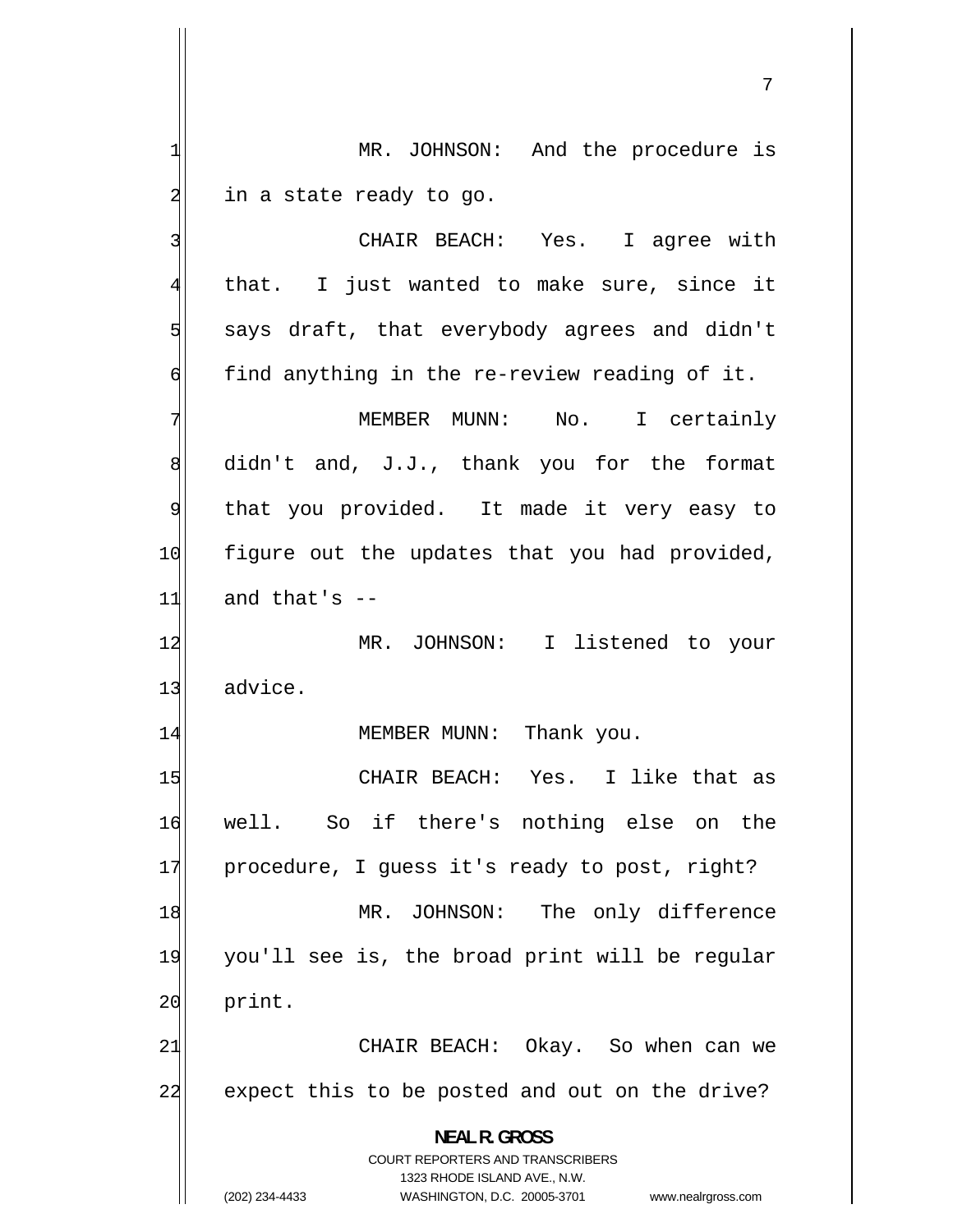MR. JOHNSON: And the procedure is in a state ready to go.

3 CHAIR BEACH: Yes. I agree with 4 that. I just wanted to make sure, since it 5 says draft, that everybody agrees and didn't 6 find anything in the re-review reading of it. 7 MEMBER MUNN: No. I certainly 8 didn't and, J.J., thank you for the format 9 that you provided. It made it very easy to 10 figure out the updates that you had provided,  $11$  and that's  $-$ 12 MR. JOHNSON: I listened to your 13 advice. 14 MEMBER MUNN: Thank you. 15 CHAIR BEACH: Yes. I like that as 16 well. So if there's nothing else on the 17 procedure, I guess it's ready to post, right? 18 MR. JOHNSON: The only difference 19 you'll see is, the broad print will be regular 20 print. 21 CHAIR BEACH: Okay. So when can we 22 expect this to be posted and out on the drive? **NEAL R. GROSS** 

> COURT REPORTERS AND TRANSCRIBERS 1323 RHODE ISLAND AVE., N.W.

1

2

(202) 234-4433 WASHINGTON, D.C. 20005-3701 www.nealrgross.com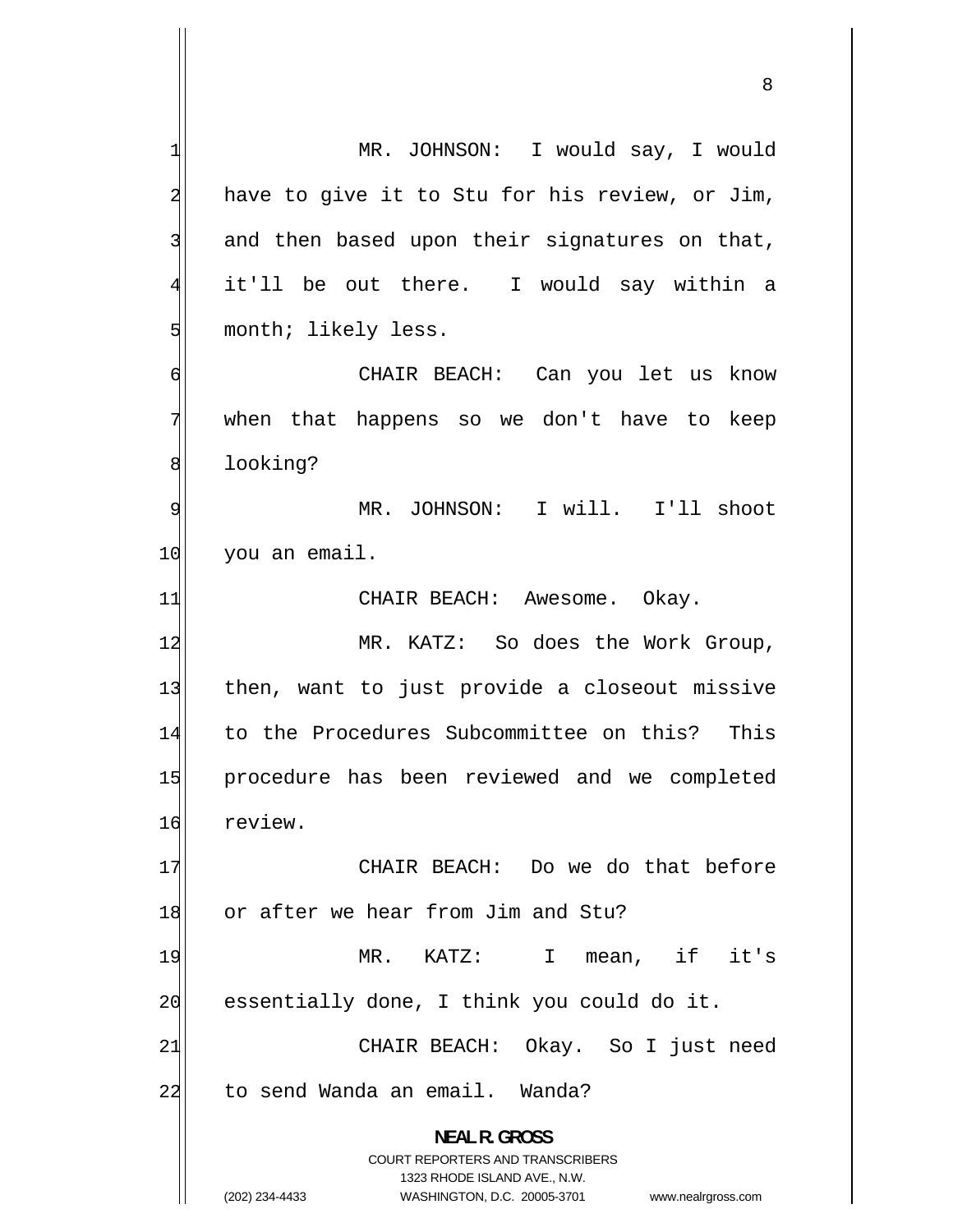1 MR. JOHNSON: I would say, I would 2 have to give it to Stu for his review, or Jim, 3 and then based upon their signatures on that, 4 it'll be out there. I would say within a 5 month; likely less. 6 CHAIR BEACH: Can you let us know 7 when that happens so we don't have to keep 8 looking? 9 MR. JOHNSON: I will. I'll shoot 10 you an email. 11 CHAIR BEACH: Awesome. Okay. 12 MR. KATZ: So does the Work Group, 13 then, want to just provide a closeout missive 14 to the Procedures Subcommittee on this? This 15 procedure has been reviewed and we completed 16 review. 17 CHAIR BEACH: Do we do that before 18 or after we hear from Jim and Stu? 19 MR. KATZ: I mean, if it's 20 essentially done, I think you could do it. 21 CHAIR BEACH: Okay. So I just need 22 to send Wanda an email. Wanda? **NEAL R. GROSS**  COURT REPORTERS AND TRANSCRIBERS 1323 RHODE ISLAND AVE., N.W. (202) 234-4433 WASHINGTON, D.C. 20005-3701 www.nealrgross.com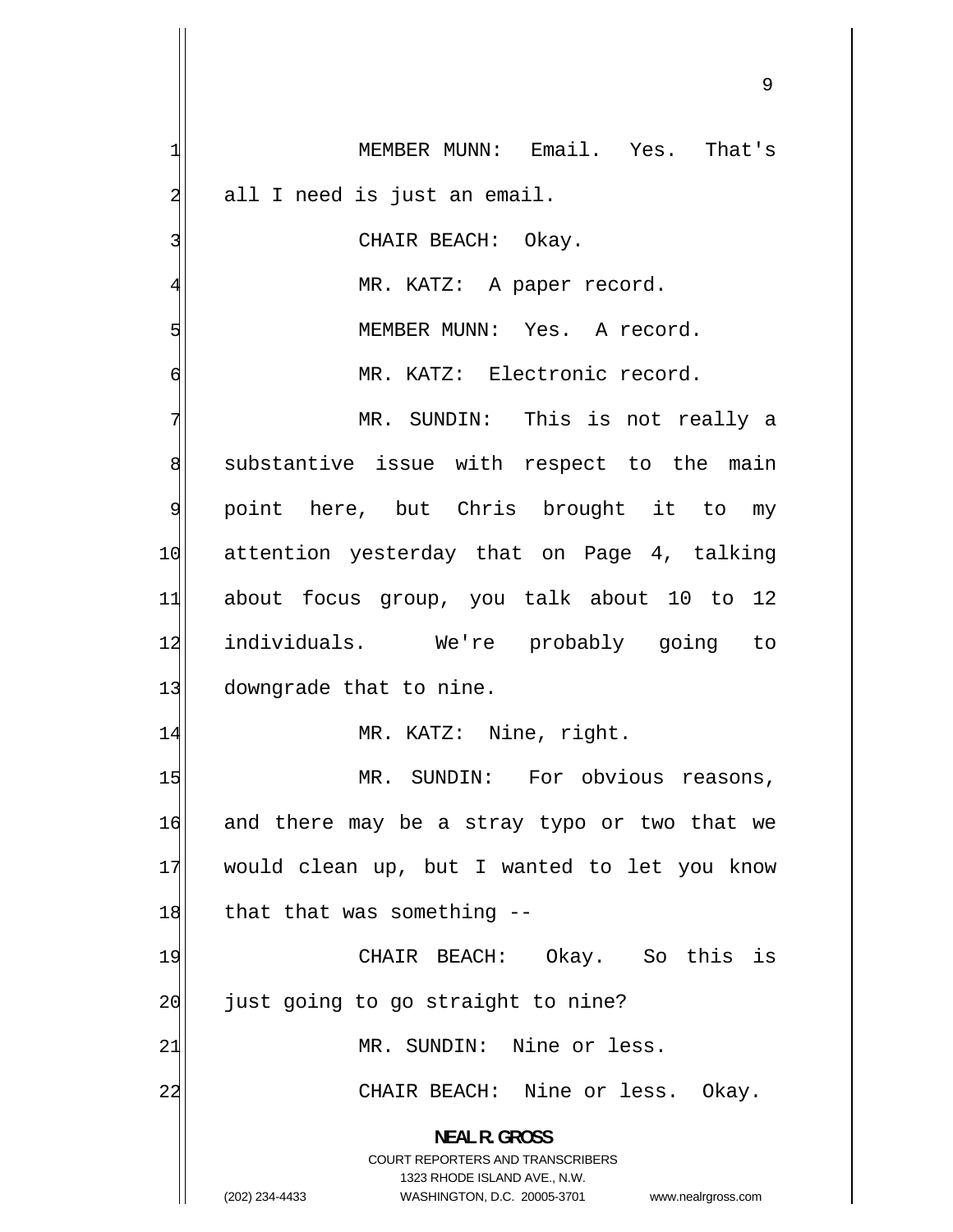1 MEMBER MUNN: Email. Yes. That's 2 all I need is just an email. 3 CHAIR BEACH: Okay. 4 MR. KATZ: A paper record. 5 MEMBER MUNN: Yes. A record. 6 MR. KATZ: Electronic record. 7 MR. SUNDIN: This is not really a 8 substantive issue with respect to the main 9 point here, but Chris brought it to my 10 attention yesterday that on Page 4, talking 11 about focus group, you talk about 10 to 12 12 individuals. We're probably going to 13 downgrade that to nine. 14 MR. KATZ: Nine, right. 15 MR. SUNDIN: For obvious reasons, 16 and there may be a stray typo or two that we 17 would clean up, but I wanted to let you know  $18$  that that was something  $-$ 19 CHAIR BEACH: Okay. So this is 20 just going to go straight to nine? 21 MR. SUNDIN: Nine or less. 22 CHAIR BEACH: Nine or less. Okay. **NEAL R. GROSS**  COURT REPORTERS AND TRANSCRIBERS 1323 RHODE ISLAND AVE., N.W. (202) 234-4433 WASHINGTON, D.C. 20005-3701 www.nealrgross.com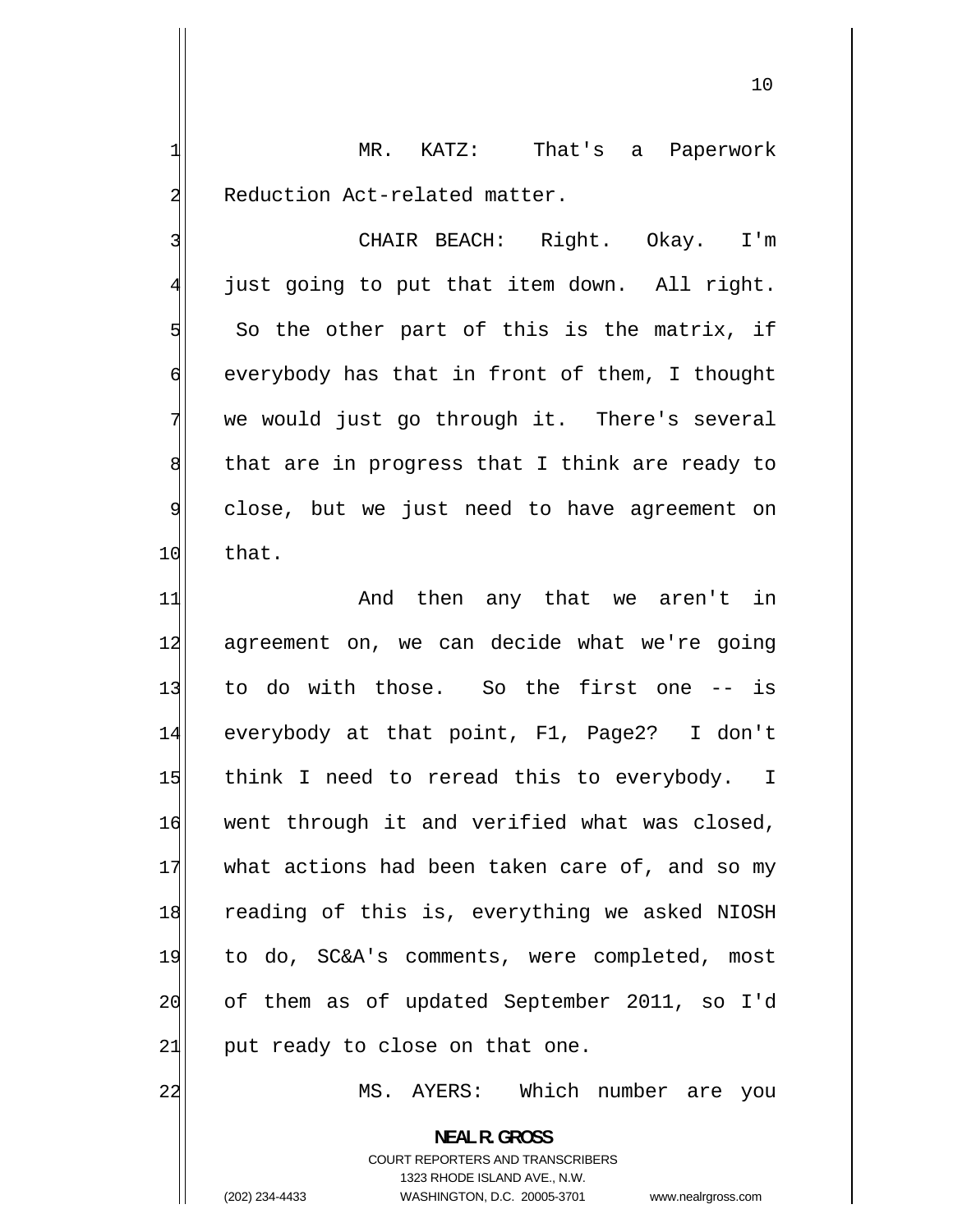MR. KATZ: That's a Paperwork Reduction Act-related matter.

 CHAIR BEACH: Right. Okay. I'm just going to put that item down. All right. So the other part of this is the matrix, if everybody has that in front of them, I thought we would just go through it. There's several that are in progress that I think are ready to close, but we just need to have agreement on 10 that.

11 And then any that we aren't in 12 agreement on, we can decide what we're going 13 to do with those. So the first one -- is 14 everybody at that point, F1, Page2? I don't 15 think I need to reread this to everybody. I 16 went through it and verified what was closed, 17 what actions had been taken care of, and so my 18 reading of this is, everything we asked NIOSH 19 to do, SC&A's comments, were completed, most 20 of them as of updated September 2011, so I'd  $21$  put ready to close on that one.

MS. AYERS: Which number are you

**NEAL R. GROSS**  COURT REPORTERS AND TRANSCRIBERS 1323 RHODE ISLAND AVE., N.W.

22

1

2

3

4

5

6

7

8

9

(202) 234-4433 WASHINGTON, D.C. 20005-3701 www.nealrgross.com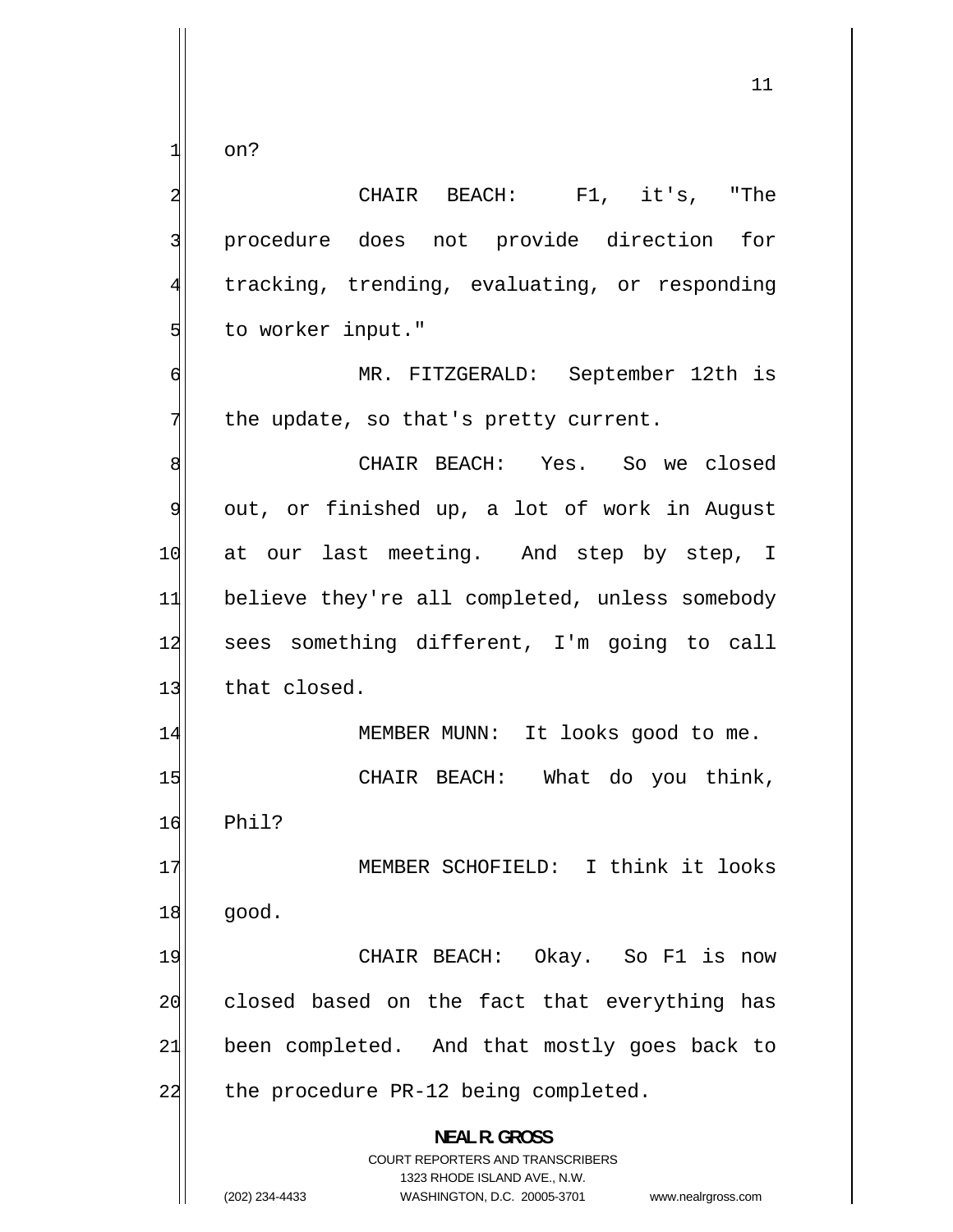on?

1

2 CHAIR BEACH: F1, it's, "The 3 procedure does not provide direction for 4 tracking, trending, evaluating, or responding 5 to worker input." 6 MR. FITZGERALD: September 12th is 7 the update, so that's pretty current. 8 CHAIR BEACH: Yes. So we closed 9 out, or finished up, a lot of work in August 10 at our last meeting. And step by step, I 11 believe they're all completed, unless somebody 12 sees something different, I'm going to call 13 that closed. 14 MEMBER MUNN: It looks good to me. 15 CHAIR BEACH: What do you think,  $16$  Phil? 17 MEMBER SCHOFIELD: I think it looks 18 good. 19 CHAIR BEACH: Okay. So F1 is now 20 closed based on the fact that everything has 21 been completed. And that mostly goes back to 22 the procedure PR-12 being completed. **NEAL R. GROSS**  COURT REPORTERS AND TRANSCRIBERS 1323 RHODE ISLAND AVE., N.W.

(202) 234-4433 WASHINGTON, D.C. 20005-3701 www.nealrgross.com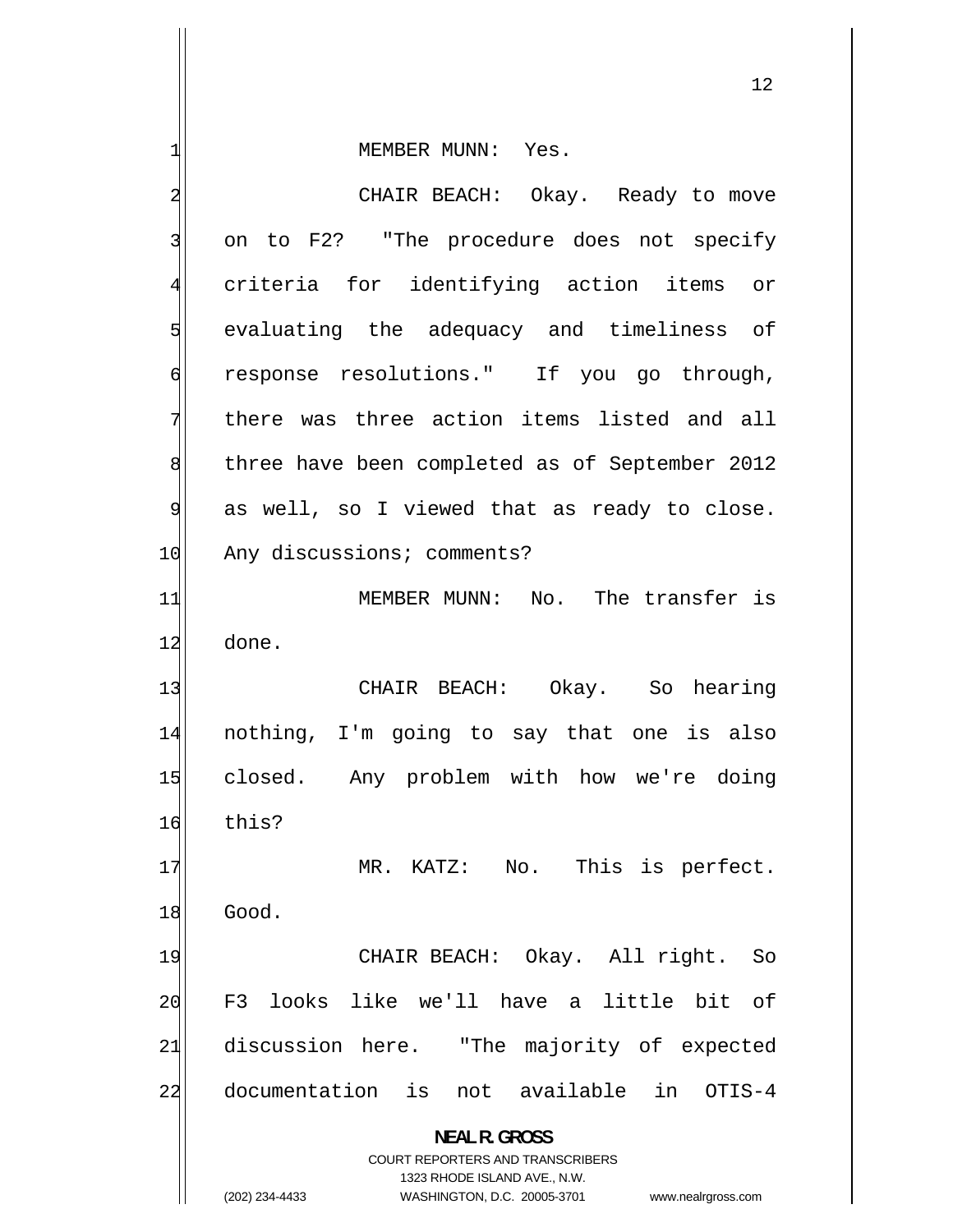| 1                       | MEMBER MUNN: Yes.                                                       |
|-------------------------|-------------------------------------------------------------------------|
| $\overline{\mathbf{c}}$ | CHAIR BEACH: Okay. Ready to move                                        |
| 3                       | on to F2? "The procedure does not specify                               |
| $\overline{4}$          | criteria for identifying action items or                                |
| 5                       | evaluating the adequacy and timeliness of                               |
| 6                       | response resolutions." If you go through,                               |
| 7                       | there was three action items listed and all                             |
| 8                       | three have been completed as of September 2012                          |
| 9                       | as well, so I viewed that as ready to close.                            |
| 10                      | Any discussions; comments?                                              |
| 11                      | MEMBER MUNN: No. The transfer is                                        |
| 12                      | done.                                                                   |
| 13                      | CHAIR BEACH: Okay. So hearing                                           |
| 14                      | nothing, I'm going to say that one is also                              |
| 15                      | closed. Any problem with how we're doing                                |
| 16                      | this?                                                                   |
| 17                      | MR. KATZ: No. This is perfect.                                          |
| 18                      | Good.                                                                   |
| 19                      | CHAIR BEACH: Okay. All right.<br>So                                     |
| 20                      | looks like we'll have a little bit<br>F3<br>of                          |
| 21                      | discussion here.<br>"The majority of expected                           |
| 22                      | documentation<br>not available<br>in<br>is<br>OTIS-4                    |
|                         | <b>NEAL R. GROSS</b>                                                    |
|                         | <b>COURT REPORTERS AND TRANSCRIBERS</b><br>1323 RHODE ISLAND AVE., N.W. |
|                         | WASHINGTON, D.C. 20005-3701<br>(202) 234-4433<br>www.nealrgross.com     |

<sup>(202) 234-4433</sup> WASHINGTON, D.C. 20005-3701 www.nealrgross.com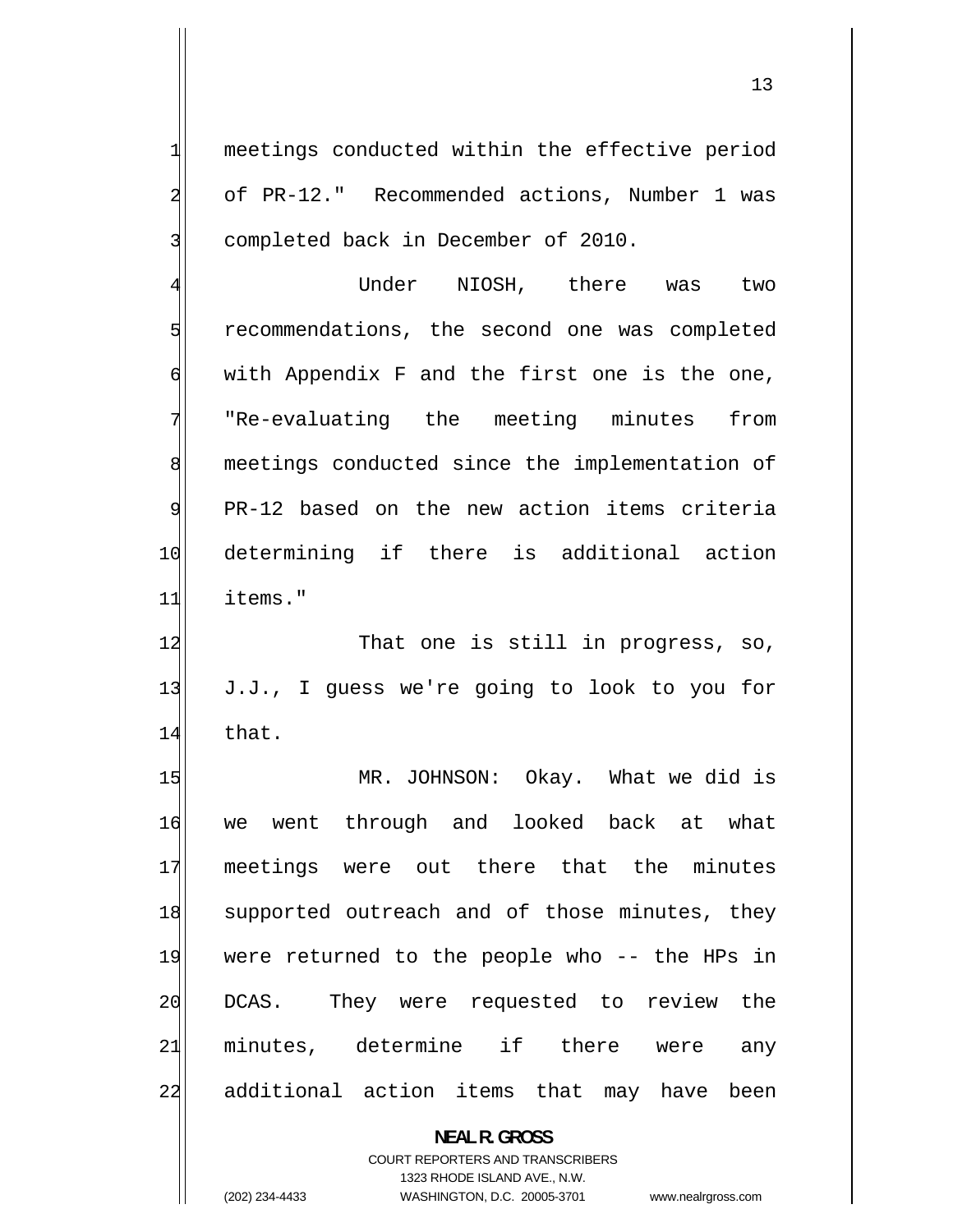meetings conducted within the effective period of PR-12." Recommended actions, Number 1 was completed back in December of 2010.

4 Under NIOSH, there was two 5 recommendations, the second one was completed 6 with Appendix F and the first one is the one, 7 "Re-evaluating the meeting minutes from 8 meetings conducted since the implementation of 9 PR-12 based on the new action items criteria 10 determining if there is additional action 11 items."

12 That one is still in progress, so, 13 J.J., I guess we're going to look to you for 14 that.

15 MR. JOHNSON: Okay. What we did is 16 we went through and looked back at what 17 meetings were out there that the minutes 18 supported outreach and of those minutes, they 19 were returned to the people who -- the HPs in 20 DCAS. They were requested to review the 21 minutes, determine if there were any 22 additional action items that may have been

> COURT REPORTERS AND TRANSCRIBERS 1323 RHODE ISLAND AVE., N.W.

**NEAL R. GROSS** 

1

2

3

(202) 234-4433 WASHINGTON, D.C. 20005-3701 www.nealrgross.com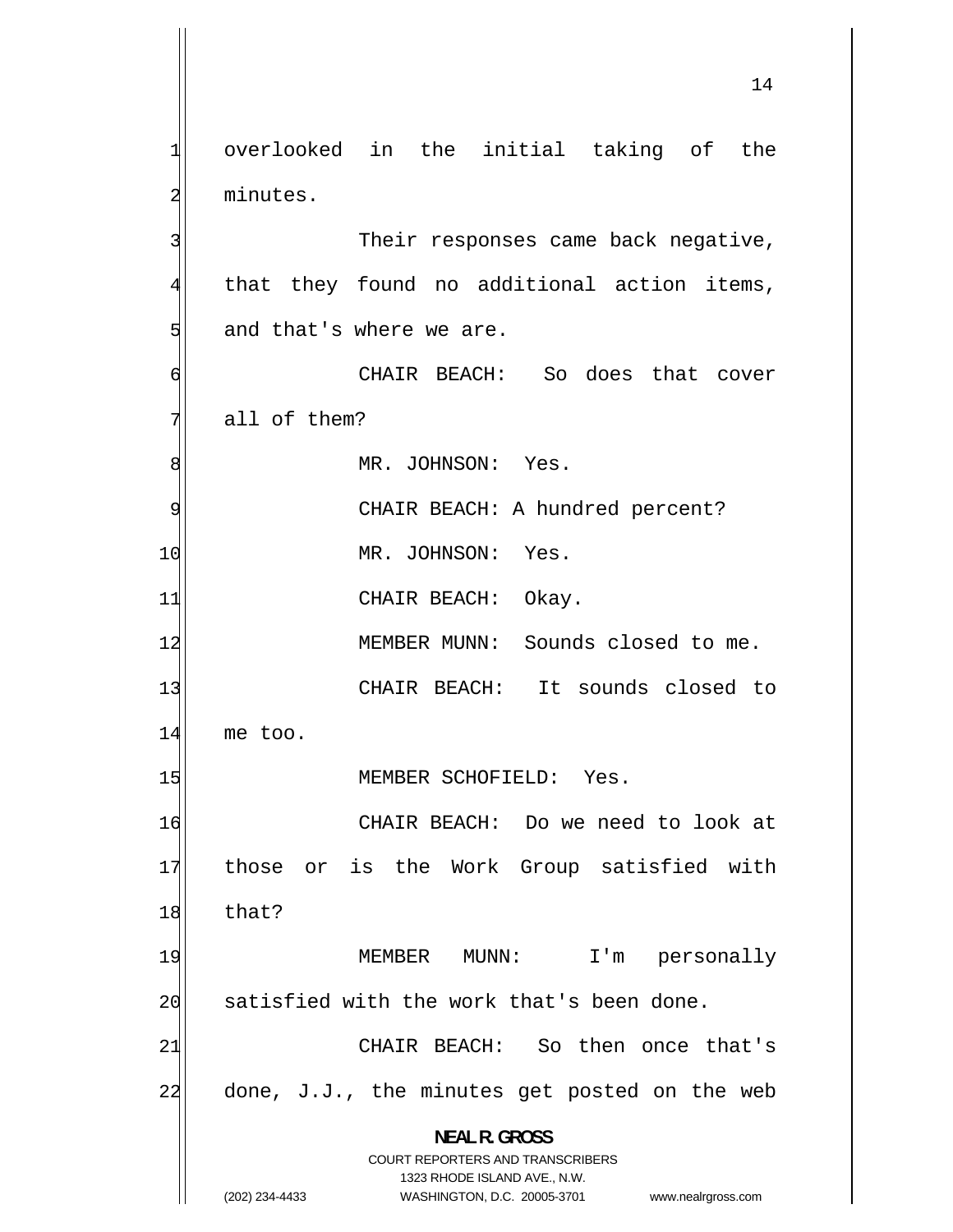1 overlooked in the initial taking of the 2 minutes. 3 Their responses came back negative, 4 that they found no additional action items, 5 and that's where we are. 6 CHAIR BEACH: So does that cover 7 all of them? 8 MR. JOHNSON: Yes. 9 CHAIR BEACH: A hundred percent? 10 MR. JOHNSON: Yes. 11 CHAIR BEACH: Okay. 12 MEMBER MUNN: Sounds closed to me. 13 CHAIR BEACH: It sounds closed to 14 me too. 15 MEMBER SCHOFIELD: Yes. 16 CHAIR BEACH: Do we need to look at 17 those or is the Work Group satisfied with 18 that? 19 MEMBER MUNN: I'm personally 20 satisfied with the work that's been done. 21 CHAIR BEACH: So then once that's 22 done, J.J., the minutes get posted on the web **NEAL R. GROSS**  COURT REPORTERS AND TRANSCRIBERS 1323 RHODE ISLAND AVE., N.W. (202) 234-4433 WASHINGTON, D.C. 20005-3701 www.nealrgross.com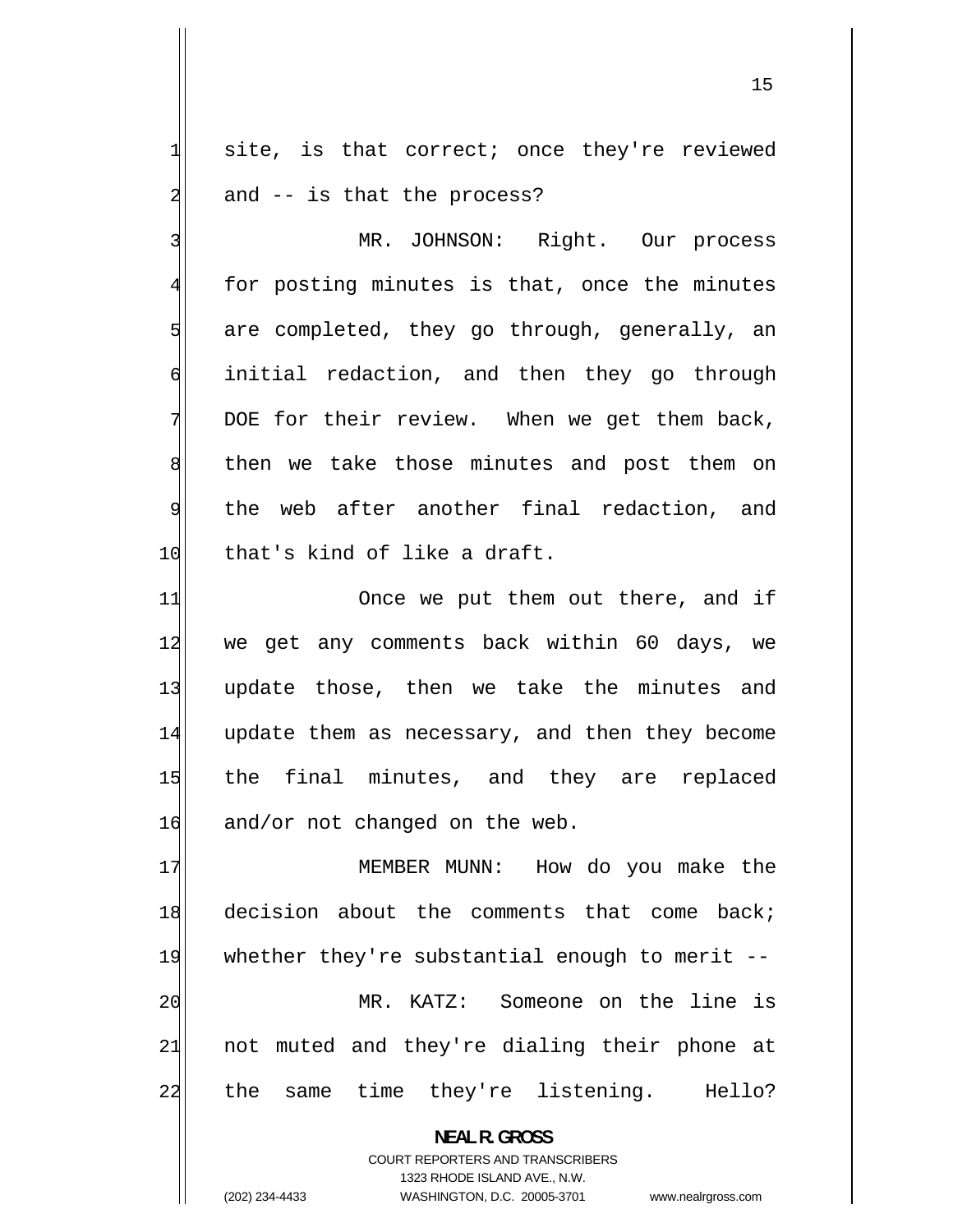site, is that correct; once they're reviewed and -- is that the process?

3 MR. JOHNSON: Right. Our process 4 for posting minutes is that, once the minutes 5 are completed, they go through, generally, an 6 initial redaction, and then they go through 7 DOE for their review. When we get them back, 8 then we take those minutes and post them on 9 the web after another final redaction, and 10 that's kind of like a draft.

11 Once we put them out there, and if 12 we get any comments back within 60 days, we 13 update those, then we take the minutes and 14 update them as necessary, and then they become 15 the final minutes, and they are replaced  $16$  and/or not changed on the web.

17 MEMBER MUNN: How do you make the 18 decision about the comments that come back; 19 whether they're substantial enough to merit --20 MR. KATZ: Someone on the line is 21 not muted and they're dialing their phone at 22 the same time they're listening. Hello?

> **NEAL R. GROSS**  COURT REPORTERS AND TRANSCRIBERS

> > 1323 RHODE ISLAND AVE., N.W.

(202) 234-4433 WASHINGTON, D.C. 20005-3701 www.nealrgross.com

1

2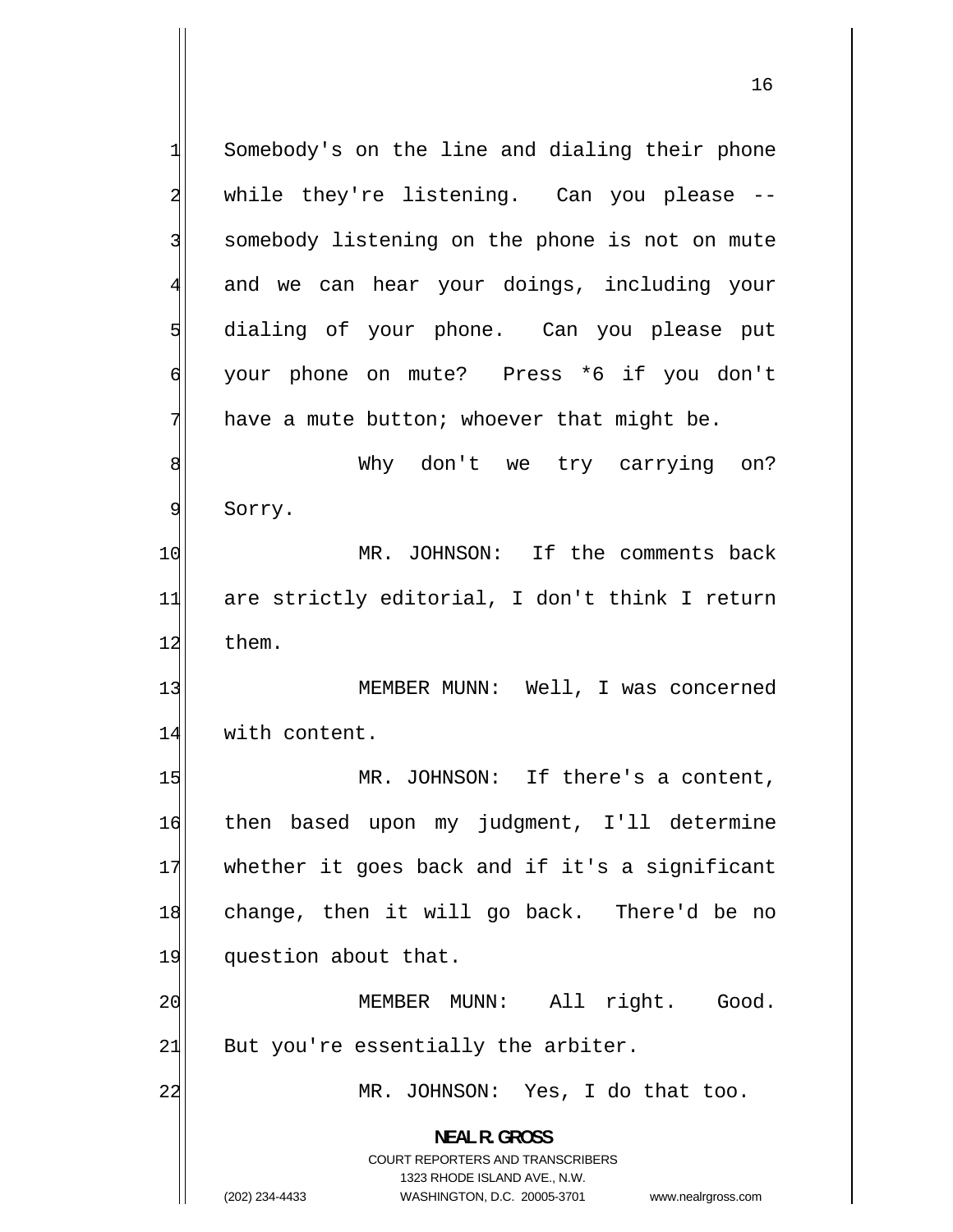1 Somebody's on the line and dialing their phone 2 while they're listening. Can you please -- 3 somebody listening on the phone is not on mute 4 and we can hear your doings, including your 5 dialing of your phone. Can you please put 6 your phone on mute? Press \*6 if you don't 7 have a mute button; whoever that might be. 8 Why don't we try carrying on? 9 Sorry. 10 MR. JOHNSON: If the comments back 11 are strictly editorial, I don't think I return 12 them. 13 MEMBER MUNN: Well, I was concerned 14 with content. 15 MR. JOHNSON: If there's a content, 16 then based upon my judgment, I'll determine 17 whether it goes back and if it's a significant 18 change, then it will go back. There'd be no 19 question about that. 20 MEMBER MUNN: All right. Good.  $21$  But you're essentially the arbiter. 22 MR. JOHNSON: Yes, I do that too. **NEAL R. GROSS**  COURT REPORTERS AND TRANSCRIBERS 1323 RHODE ISLAND AVE., N.W. (202) 234-4433 WASHINGTON, D.C. 20005-3701 www.nealrgross.com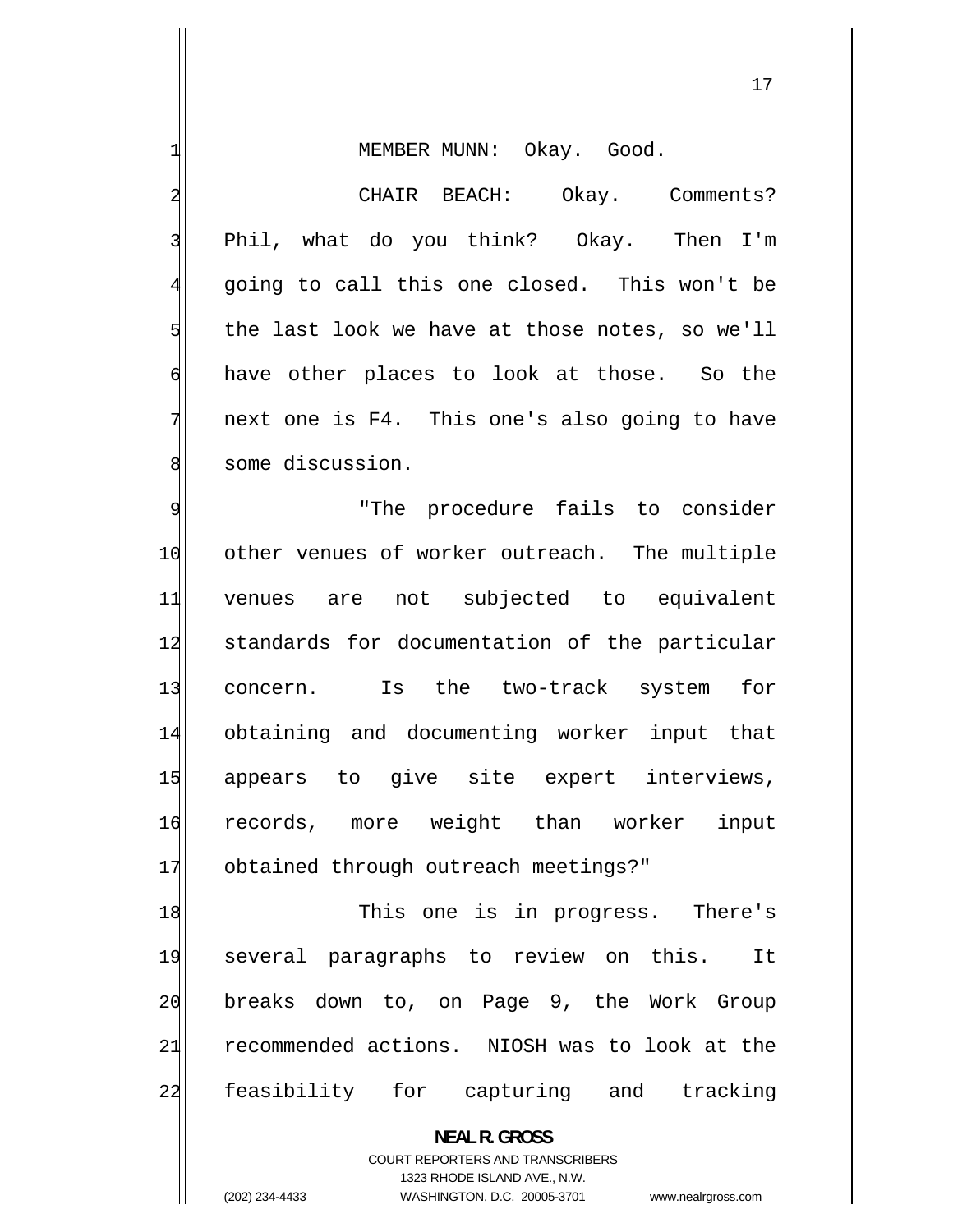MEMBER MUNN: Okay. Good.

 CHAIR BEACH: Okay. Comments? Phil, what do you think? Okay. Then I'm going to call this one closed. This won't be the last look we have at those notes, so we'll have other places to look at those. So the next one is F4. This one's also going to have some discussion.

9 "The procedure fails to consider 10 other venues of worker outreach. The multiple 11 venues are not subjected to equivalent 12 standards for documentation of the particular 13 concern. Is the two-track system for 14 obtaining and documenting worker input that 15 appears to give site expert interviews, 16 records, more weight than worker input 17 obtained through outreach meetings?"

18 This one is in progress. There's 19 several paragraphs to review on this. It 20 breaks down to, on Page 9, the Work Group 21 recommended actions. NIOSH was to look at the 22 feasibility for capturing and tracking

> **NEAL R. GROSS**  COURT REPORTERS AND TRANSCRIBERS 1323 RHODE ISLAND AVE., N.W.

1

2

3

4

5

6

7

8

(202) 234-4433 WASHINGTON, D.C. 20005-3701 www.nealrgross.com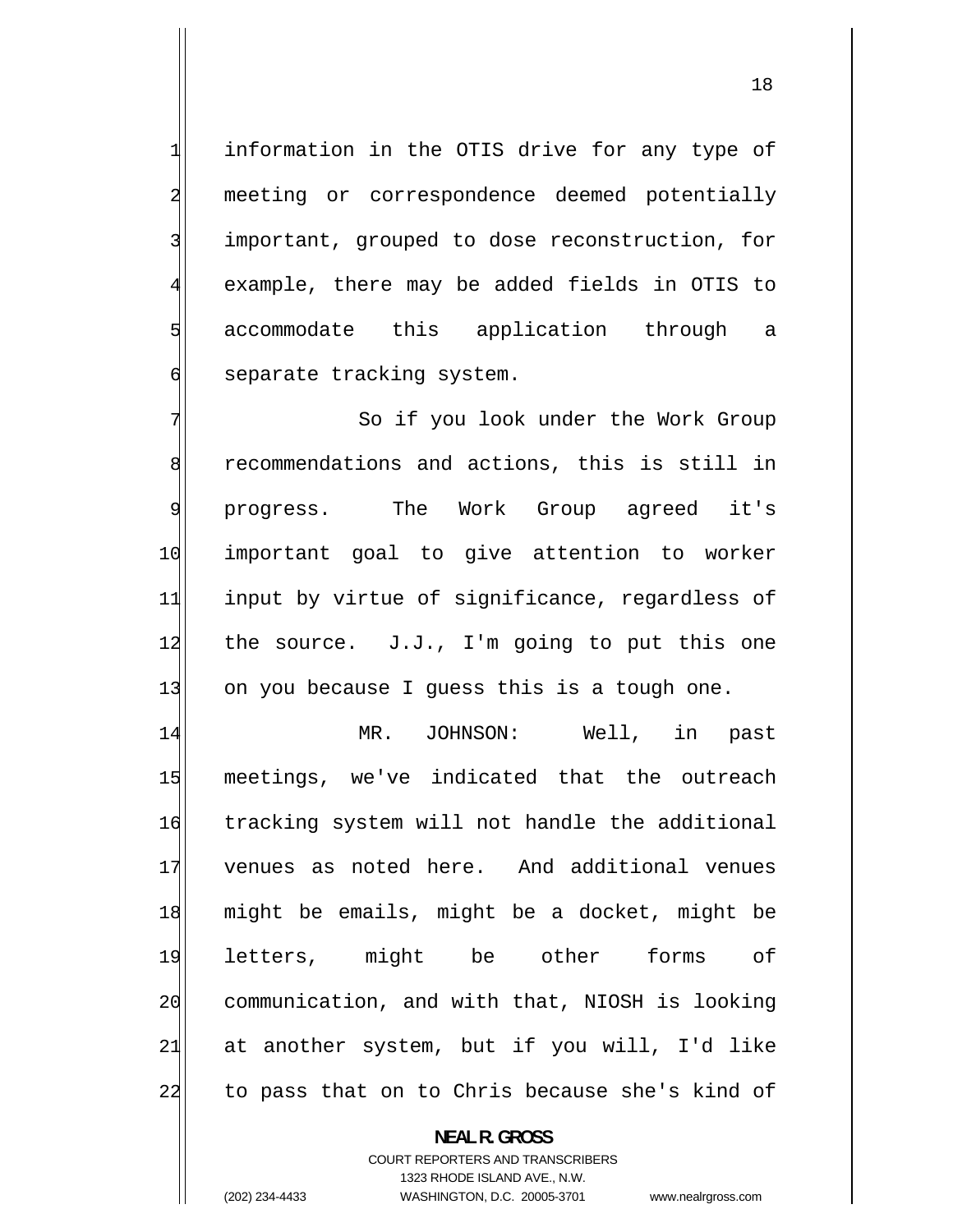information in the OTIS drive for any type of meeting or correspondence deemed potentially important, grouped to dose reconstruction, for example, there may be added fields in OTIS to accommodate this application through a separate tracking system.

7 So if you look under the Work Group 8 recommendations and actions, this is still in 9 progress. The Work Group agreed it's 10 important goal to give attention to worker 11 input by virtue of significance, regardless of 12 the source. J.J., I'm going to put this one 13 on you because I guess this is a tough one.

14 MR. JOHNSON: Well, in past 15 meetings, we've indicated that the outreach 16 tracking system will not handle the additional 17 venues as noted here. And additional venues 18 might be emails, might be a docket, might be 19 letters, might be other forms of 20 communication, and with that, NIOSH is looking 21 at another system, but if you will, I'd like 22 to pass that on to Chris because she's kind of

> **NEAL R. GROSS**  COURT REPORTERS AND TRANSCRIBERS 1323 RHODE ISLAND AVE., N.W. (202) 234-4433 WASHINGTON, D.C. 20005-3701 www.nealrgross.com

1

2

3

4

5

6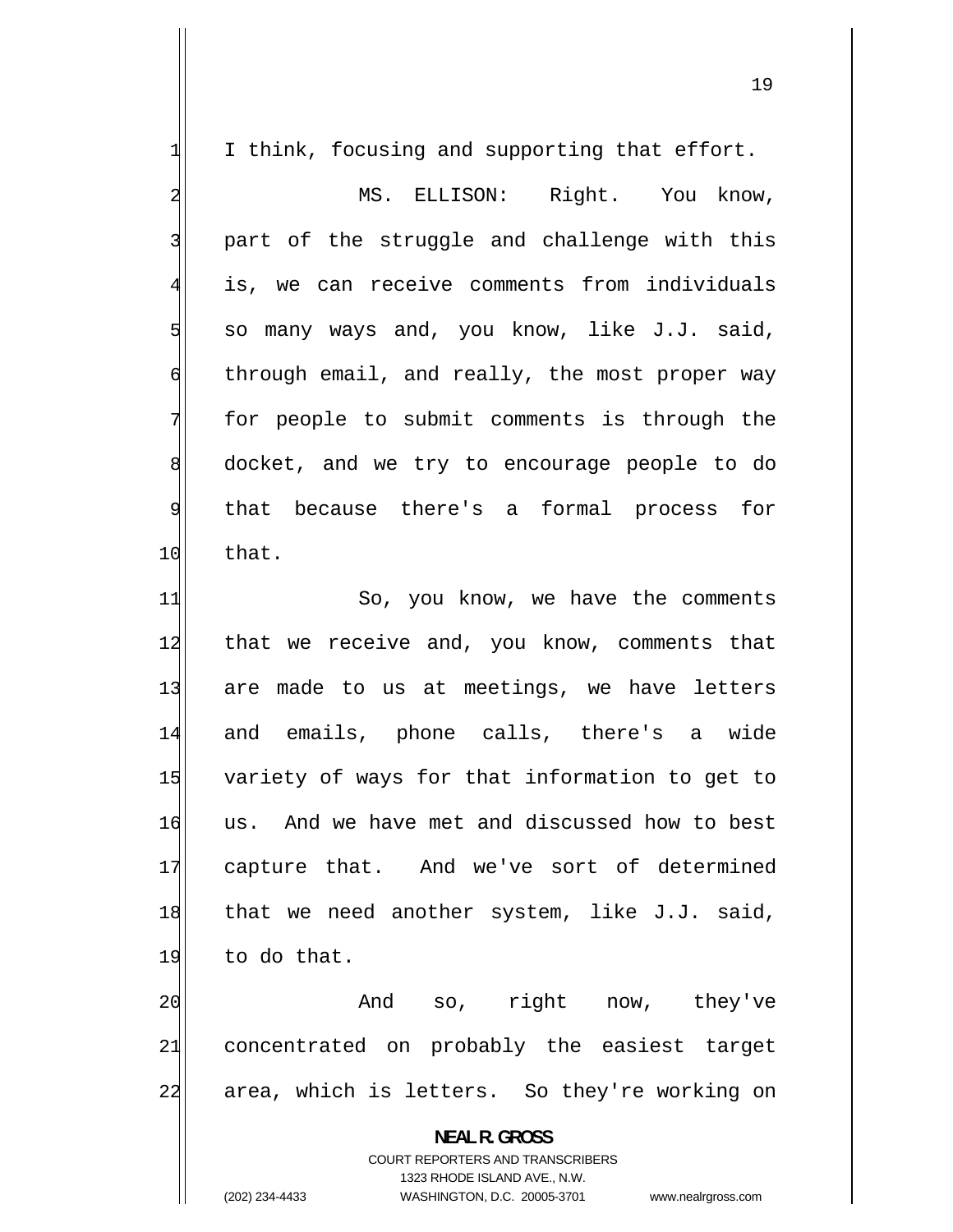| $\mathbf{1}$            | I think, focusing and supporting that effort.                       |
|-------------------------|---------------------------------------------------------------------|
| $\overline{\mathbf{c}}$ | MS. ELLISON: Right. You know,                                       |
| 3                       | part of the struggle and challenge with this                        |
| $\overline{4}$          | is, we can receive comments from individuals                        |
| $\overline{5}$          | so many ways and, you know, like J.J. said,                         |
| $\epsilon$              | through email, and really, the most proper way                      |
| 7                       | for people to submit comments is through the                        |
| 8                       | docket, and we try to encourage people to do                        |
| $\mathfrak{g}$          | that because there's a formal process for                           |
| 10                      | that.                                                               |
| 11                      | So, you know, we have the comments                                  |
| 12                      | that we receive and, you know, comments that                        |
| 13                      | are made to us at meetings, we have letters                         |
| 14                      | and emails, phone calls, there's a wide                             |
| 15                      | variety of ways for that information to get to                      |
| 16                      | us. And we have met and discussed how to best                       |
| 17                      | capture that. And we've sort of determined                          |
| 18                      | that we need another system, like J.J. said,                        |
| 19                      | to do that.                                                         |
| 20                      | And so, right now, they've                                          |
| 21                      | concentrated on probably the easiest target                         |
| 22                      | area, which is letters. So they're working on                       |
|                         | <b>NEAL R. GROSS</b>                                                |
|                         | COURT REPORTERS AND TRANSCRIBERS                                    |
|                         | 1323 RHODE ISLAND AVE., N.W.                                        |
|                         | (202) 234-4433<br>WASHINGTON, D.C. 20005-3701<br>www.nealrgross.com |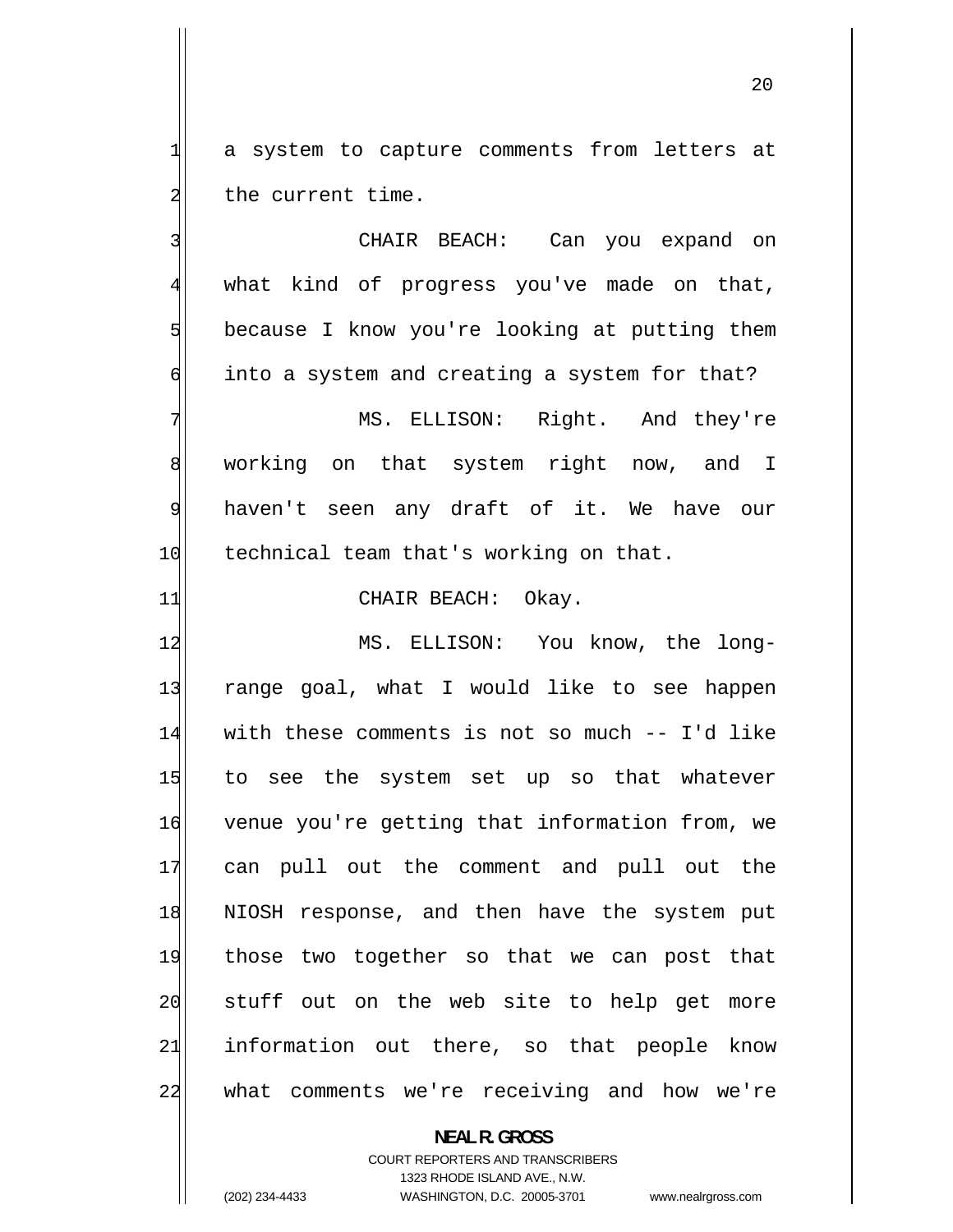a system to capture comments from letters at the current time.

1

2

3 CHAIR BEACH: Can you expand on 4 what kind of progress you've made on that, 5 because I know you're looking at putting them 6 into a system and creating a system for that? 7 MS. ELLISON: Right. And they're 8 working on that system right now, and I

9 haven't seen any draft of it. We have our 10 technical team that's working on that.

11 CHAIR BEACH: Okay.

12 MS. ELLISON: You know, the long-13 range goal, what I would like to see happen 14 with these comments is not so much -- I'd like 15 to see the system set up so that whatever 16 venue you're getting that information from, we 17 can pull out the comment and pull out the 18 NIOSH response, and then have the system put 19 those two together so that we can post that 20 stuff out on the web site to help get more 21 information out there, so that people know 22 what comments we're receiving and how we're

**NEAL R. GROSS** 

COURT REPORTERS AND TRANSCRIBERS 1323 RHODE ISLAND AVE., N.W. (202) 234-4433 WASHINGTON, D.C. 20005-3701 www.nealrgross.com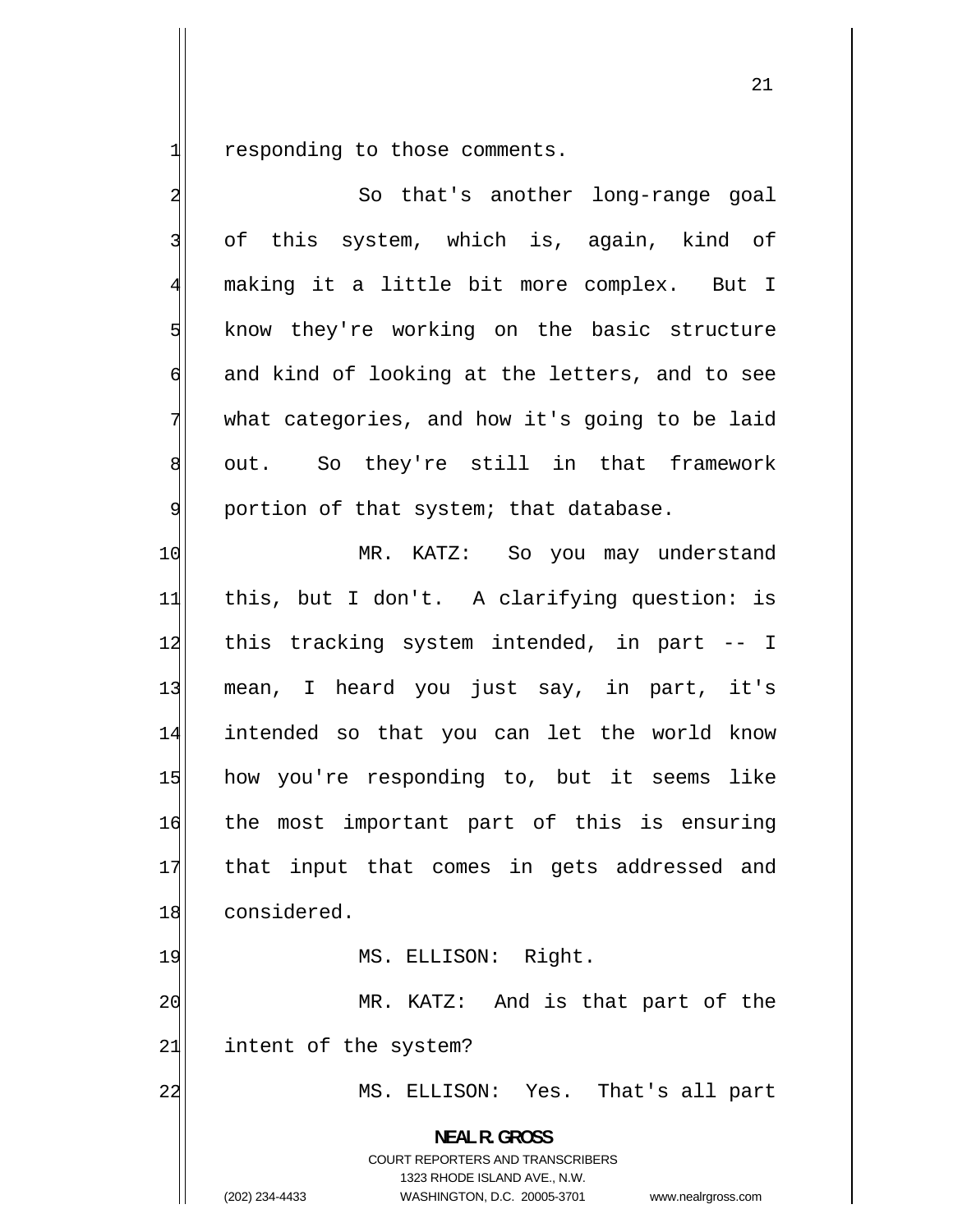1 responding to those comments.

 $\mathbf{I}$ 

| $\overline{\mathbf{c}}$ | So that's another long-range goal                                                                                                                               |
|-------------------------|-----------------------------------------------------------------------------------------------------------------------------------------------------------------|
| $\overline{3}$          | of this system, which is, again, kind of                                                                                                                        |
| $\overline{4}$          | making it a little bit more complex. But I                                                                                                                      |
| $\overline{5}$          | know they're working on the basic structure                                                                                                                     |
| $\epsilon$              | and kind of looking at the letters, and to see                                                                                                                  |
| 7                       | what categories, and how it's going to be laid                                                                                                                  |
| $8\,$                   | out. So they're still in that framework                                                                                                                         |
| $\overline{9}$          | portion of that system; that database.                                                                                                                          |
| 10                      | MR. KATZ: So you may understand                                                                                                                                 |
| 11                      | this, but I don't. A clarifying question: is                                                                                                                    |
| 12                      | this tracking system intended, in part -- I                                                                                                                     |
| 13                      | mean, I heard you just say, in part, it's                                                                                                                       |
| 14                      | intended so that you can let the world know                                                                                                                     |
| 15                      | how you're responding to, but it seems like                                                                                                                     |
| 16                      | the most important part of this is ensuring                                                                                                                     |
| 17                      | that input that comes in gets addressed and                                                                                                                     |
| 18                      | considered.                                                                                                                                                     |
| 19                      | MS. ELLISON: Right.                                                                                                                                             |
| 20                      | MR. KATZ: And is that part of the                                                                                                                               |
| 21                      | intent of the system?                                                                                                                                           |
| 22                      | ELLISON: Yes. That's all part<br>MS.                                                                                                                            |
|                         | <b>NEAL R. GROSS</b><br>COURT REPORTERS AND TRANSCRIBERS<br>1323 RHODE ISLAND AVE., N.W.<br>WASHINGTON, D.C. 20005-3701<br>(202) 234-4433<br>www.nealrgross.com |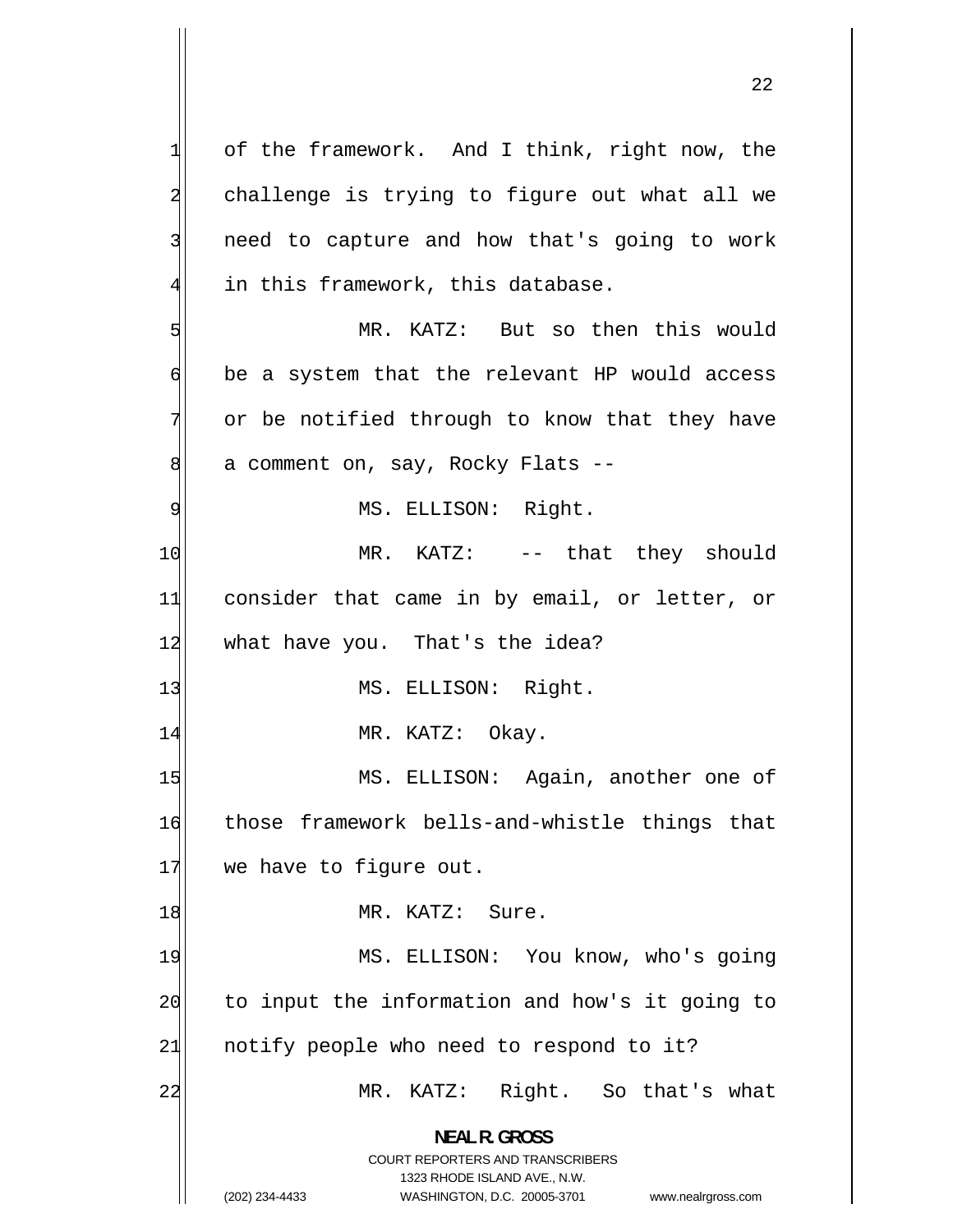1 of the framework. And I think, right now, the 2 challenge is trying to figure out what all we 3 need to capture and how that's going to work 4 in this framework, this database. 5 MR. KATZ: But so then this would 6 be a system that the relevant HP would access 7 or be notified through to know that they have 8 a comment on, say, Rocky Flats -- 9 MS. ELLISON: Right. 10 MR. KATZ: -- that they should 11 consider that came in by email, or letter, or 12 what have you. That's the idea? 13 MS. ELLISON: Right. 14 MR. KATZ: Okay. 15 MS. ELLISON: Again, another one of 16 those framework bells-and-whistle things that 17 we have to figure out. 18 MR. KATZ: Sure. 19 MS. ELLISON: You know, who's going 20 to input the information and how's it going to 21 notify people who need to respond to it? 22 MR. KATZ: Right. So that's what **NEAL R. GROSS**  COURT REPORTERS AND TRANSCRIBERS 1323 RHODE ISLAND AVE., N.W. (202) 234-4433 WASHINGTON, D.C. 20005-3701 www.nealrgross.com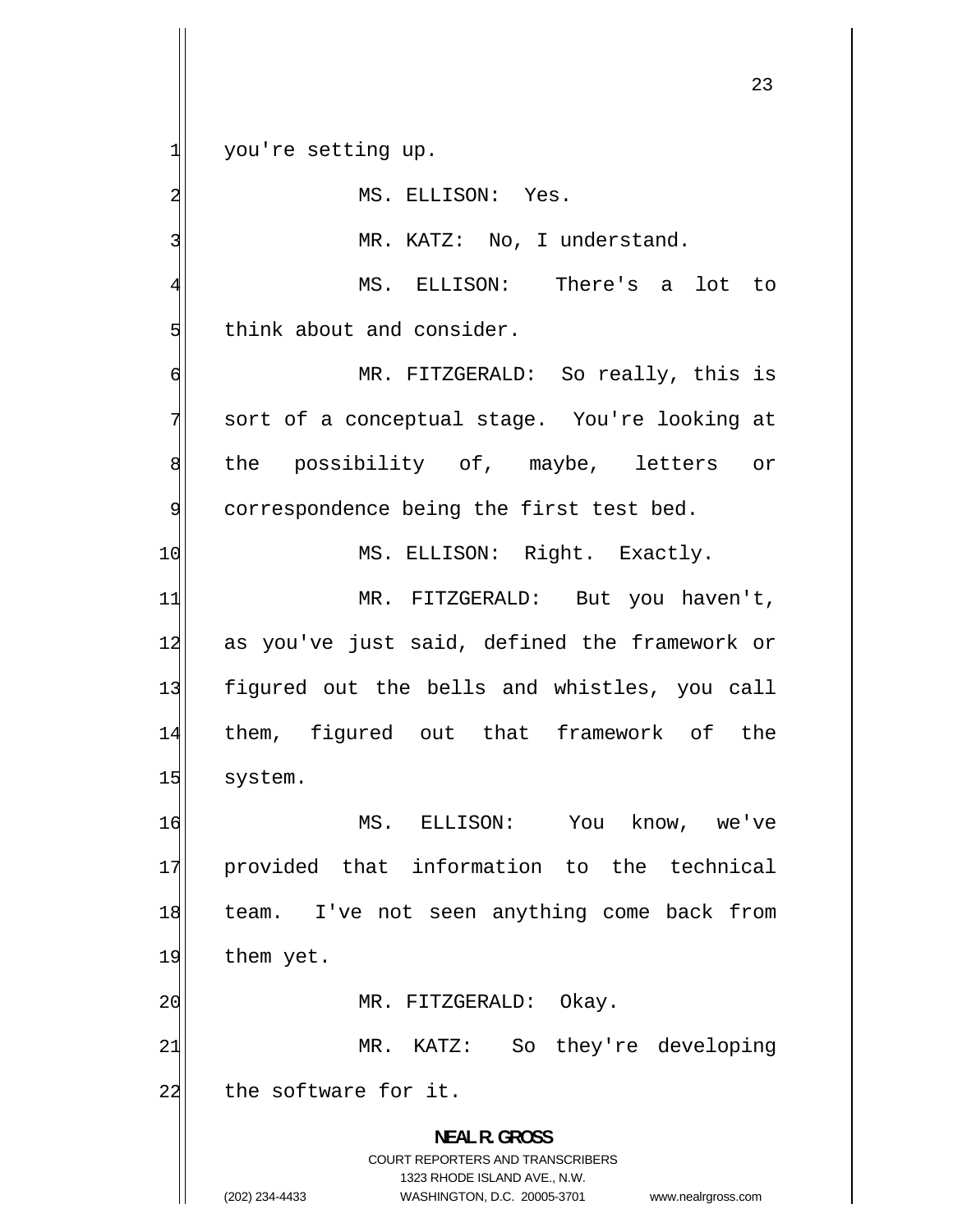you're setting up.

1

2

3

MS. ELLISON: Yes.

MR. KATZ: No, I understand.

4 MS. ELLISON: There's a lot to 5 think about and consider.

6 MR. FITZGERALD: So really, this is 7 sort of a conceptual stage. You're looking at 8 the possibility of, maybe, letters or 9 correspondence being the first test bed. 10 MS. ELLISON: Right. Exactly. 11 MR. FITZGERALD: But you haven't, 12 as you've just said, defined the framework or 13 figured out the bells and whistles, you call

14 them, figured out that framework of the 15 system.

16 MS. ELLISON: You know, we've 17 provided that information to the technical 18 team. I've not seen anything come back from 19 them yet.

20 MR. FITZGERALD: Okay.

21 MR. KATZ: So they're developing 22 the software for it.

> **NEAL R. GROSS**  COURT REPORTERS AND TRANSCRIBERS 1323 RHODE ISLAND AVE., N.W. (202) 234-4433 WASHINGTON, D.C. 20005-3701 www.nealrgross.com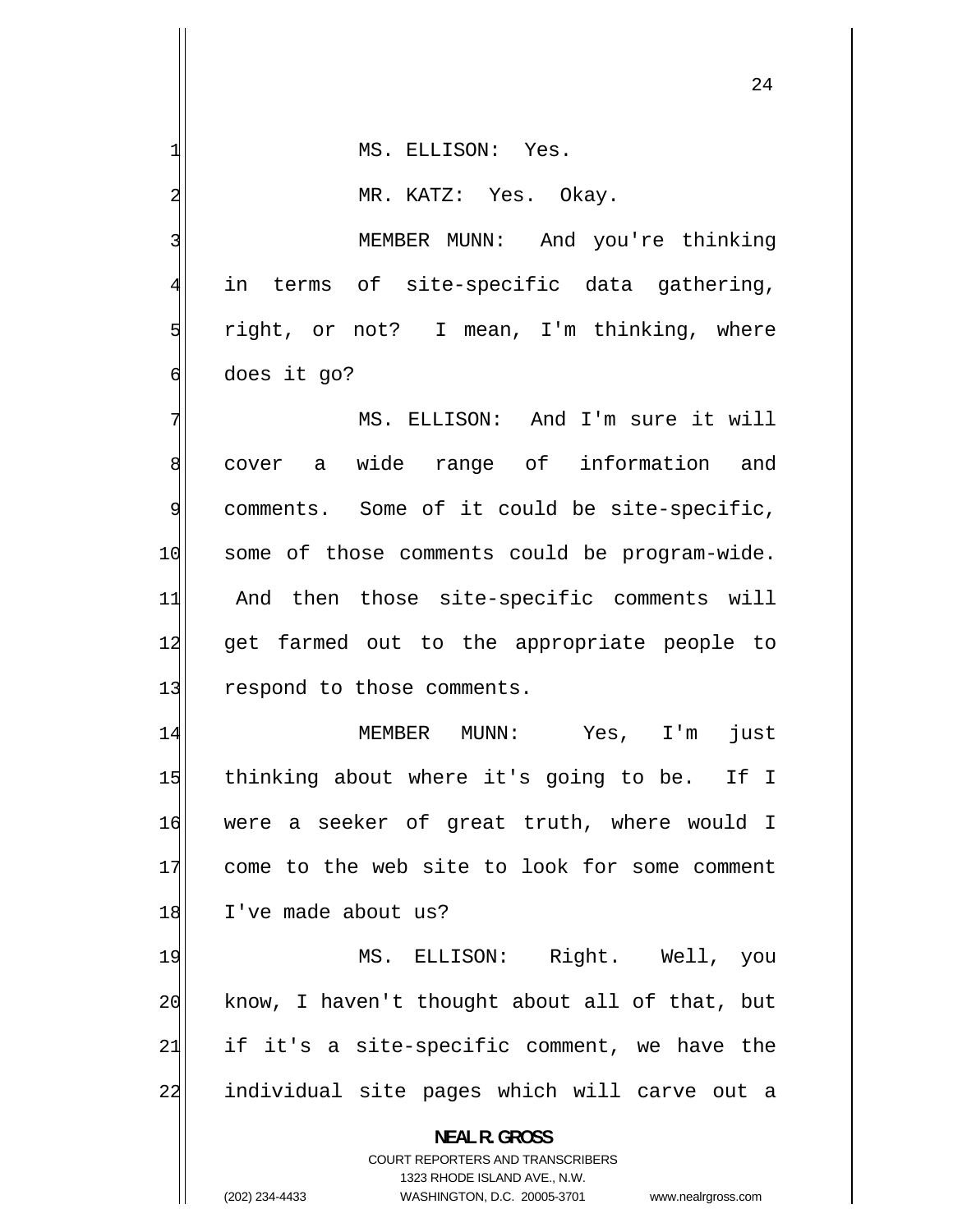1 MS. ELLISON: Yes. 2 MR. KATZ: Yes. Okay. 3 MEMBER MUNN: And you're thinking 4 in terms of site-specific data gathering, 5 right, or not? I mean, I'm thinking, where 6 does it go? 7 MS. ELLISON: And I'm sure it will 8 cover a wide range of information and 9 comments. Some of it could be site-specific, 10 some of those comments could be program-wide. 11 And then those site-specific comments will 12 get farmed out to the appropriate people to 13 respond to those comments. 14 MEMBER MUNN: Yes, I'm just 15 thinking about where it's going to be. If I 16 were a seeker of great truth, where would I 17 come to the web site to look for some comment 18 I've made about us? 19 MS. ELLISON: Right. Well, you 20 know, I haven't thought about all of that, but 21 if it's a site-specific comment, we have the 22 individual site pages which will carve out a **NEAL R. GROSS**  COURT REPORTERS AND TRANSCRIBERS 1323 RHODE ISLAND AVE., N.W.

(202) 234-4433 WASHINGTON, D.C. 20005-3701 www.nealrgross.com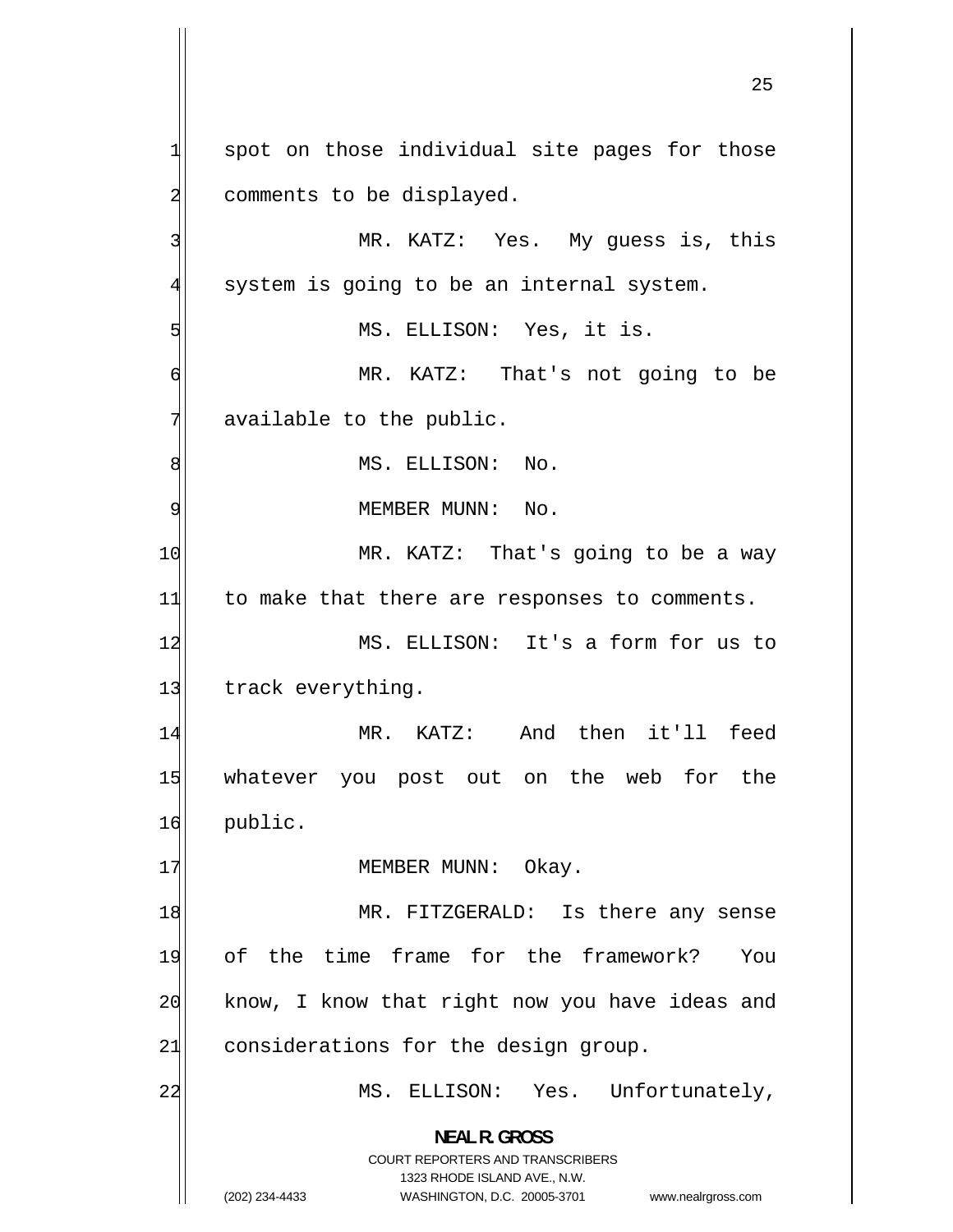1 spot on those individual site pages for those 2 comments to be displayed. 3 MR. KATZ: Yes. My guess is, this 4 system is going to be an internal system. 5 MS. ELLISON: Yes, it is. 6 MR. KATZ: That's not going to be 7 available to the public. 8 MS. ELLISON: No. 9 MEMBER MUNN: No. 10 MR. KATZ: That's going to be a way  $11$  to make that there are responses to comments. 12 MS. ELLISON: It's a form for us to 13 track everything. 14 MR. KATZ: And then it'll feed 15 whatever you post out on the web for the 16 public. 17 MEMBER MUNN: Okay. 18 MR. FITZGERALD: Is there any sense 19 of the time frame for the framework? You 20 know, I know that right now you have ideas and  $21$  considerations for the design group. 22 MS. ELLISON: Yes. Unfortunately, **NEAL R. GROSS**  COURT REPORTERS AND TRANSCRIBERS 1323 RHODE ISLAND AVE., N.W. (202) 234-4433 WASHINGTON, D.C. 20005-3701 www.nealrgross.com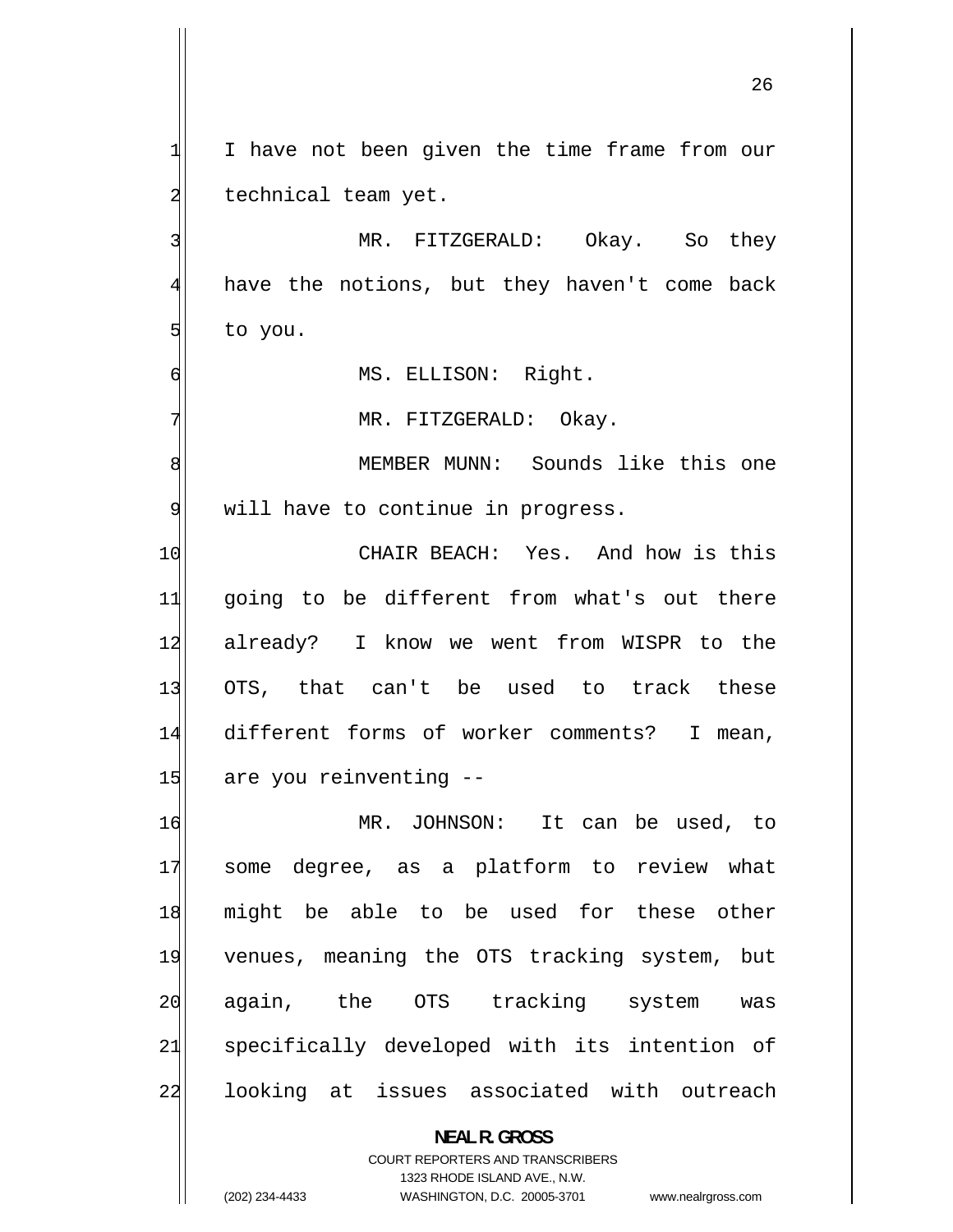1 I have not been given the time frame from our 2 technical team yet. 3 MR. FITZGERALD: Okay. So they 4 have the notions, but they haven't come back 5 to you. 6 MS. ELLISON: Right. 7 MR. FITZGERALD: Okay. 8 MEMBER MUNN: Sounds like this one 9 will have to continue in progress. 10 CHAIR BEACH: Yes. And how is this 11 going to be different from what's out there 12 already? I know we went from WISPR to the 13 OTS, that can't be used to track these 14 different forms of worker comments? I mean, 15 are you reinventing --16 MR. JOHNSON: It can be used, to 17 some degree, as a platform to review what 18 might be able to be used for these other 19 venues, meaning the OTS tracking system, but 20 again, the OTS tracking system was 21 specifically developed with its intention of 22 looking at issues associated with outreach

> **NEAL R. GROSS**  COURT REPORTERS AND TRANSCRIBERS 1323 RHODE ISLAND AVE., N.W.

(202) 234-4433 WASHINGTON, D.C. 20005-3701 www.nealrgross.com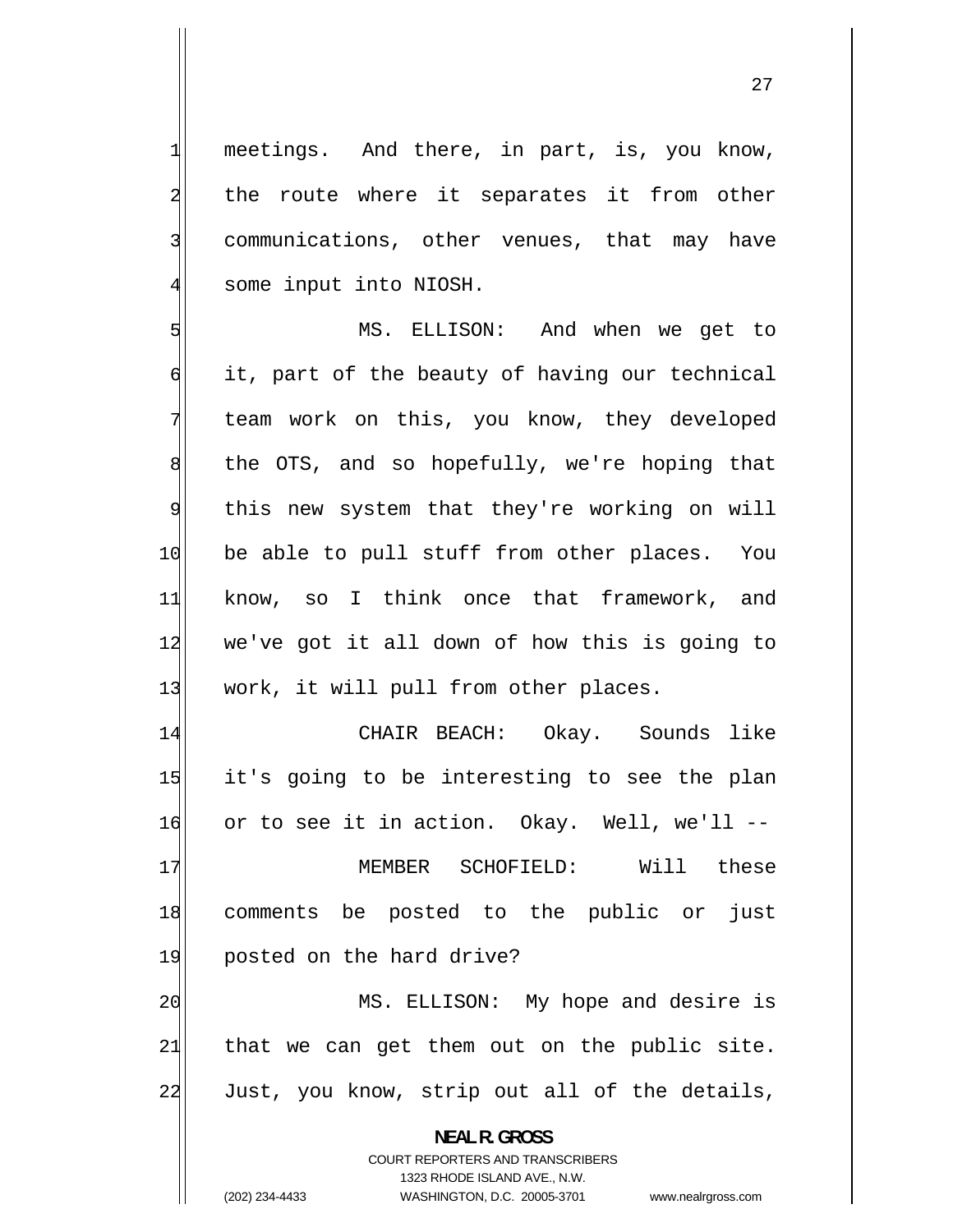meetings. And there, in part, is, you know, the route where it separates it from other communications, other venues, that may have some input into NIOSH.

1

2

3

4

5 MS. ELLISON: And when we get to 6 it, part of the beauty of having our technical 7 team work on this, you know, they developed 8 the OTS, and so hopefully, we're hoping that 9 this new system that they're working on will 10 be able to pull stuff from other places. You 11 know, so I think once that framework, and 12 we've got it all down of how this is going to 13 work, it will pull from other places.

14 CHAIR BEACH: Okay. Sounds like 15 it's going to be interesting to see the plan 16 or to see it in action. Okay. Well, we'll -- 17 MEMBER SCHOFIELD: Will these 18 comments be posted to the public or just 19 posted on the hard drive? 20 MS. ELLISON: My hope and desire is 21 that we can get them out on the public site. 22 Just, you know, strip out all of the details,

**NEAL R. GROSS** 

COURT REPORTERS AND TRANSCRIBERS 1323 RHODE ISLAND AVE., N.W. (202) 234-4433 WASHINGTON, D.C. 20005-3701 www.nealrgross.com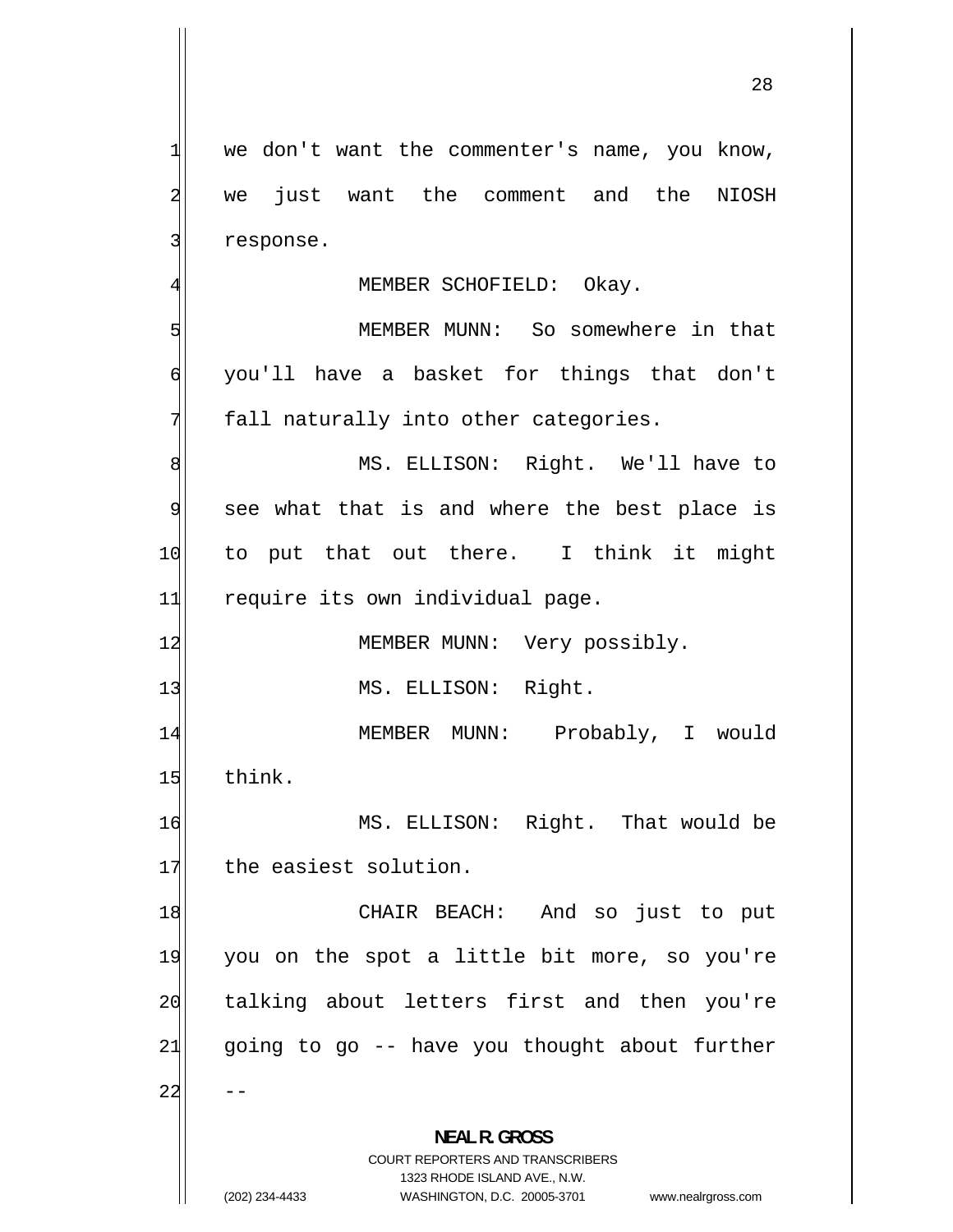- we don't want the commenter's name, you know, we just want the comment and the NIOSH response. 4 MEMBER SCHOFIELD: Okay. MEMBER MUNN: So somewhere in that you'll have a basket for things that don't fall naturally into other categories. MS. ELLISON: Right. We'll have to see what that is and where the best place is to put that out there. I think it might 11 require its own individual page. 12 MEMBER MUNN: Very possibly. 13 MS. ELLISON: Right. MEMBER MUNN: Probably, I would 15 think. MS. ELLISON: Right. That would be 17 the easiest solution. CHAIR BEACH: And so just to put you on the spot a little bit more, so you're talking about letters first and then you're going to go -- have you thought about further **NEAL R. GROSS** 

> COURT REPORTERS AND TRANSCRIBERS 1323 RHODE ISLAND AVE., N.W.

1

2

3

5

6

7

8

9

10

14

16

18

19

20

21

22

(202) 234-4433 WASHINGTON, D.C. 20005-3701 www.nealrgross.com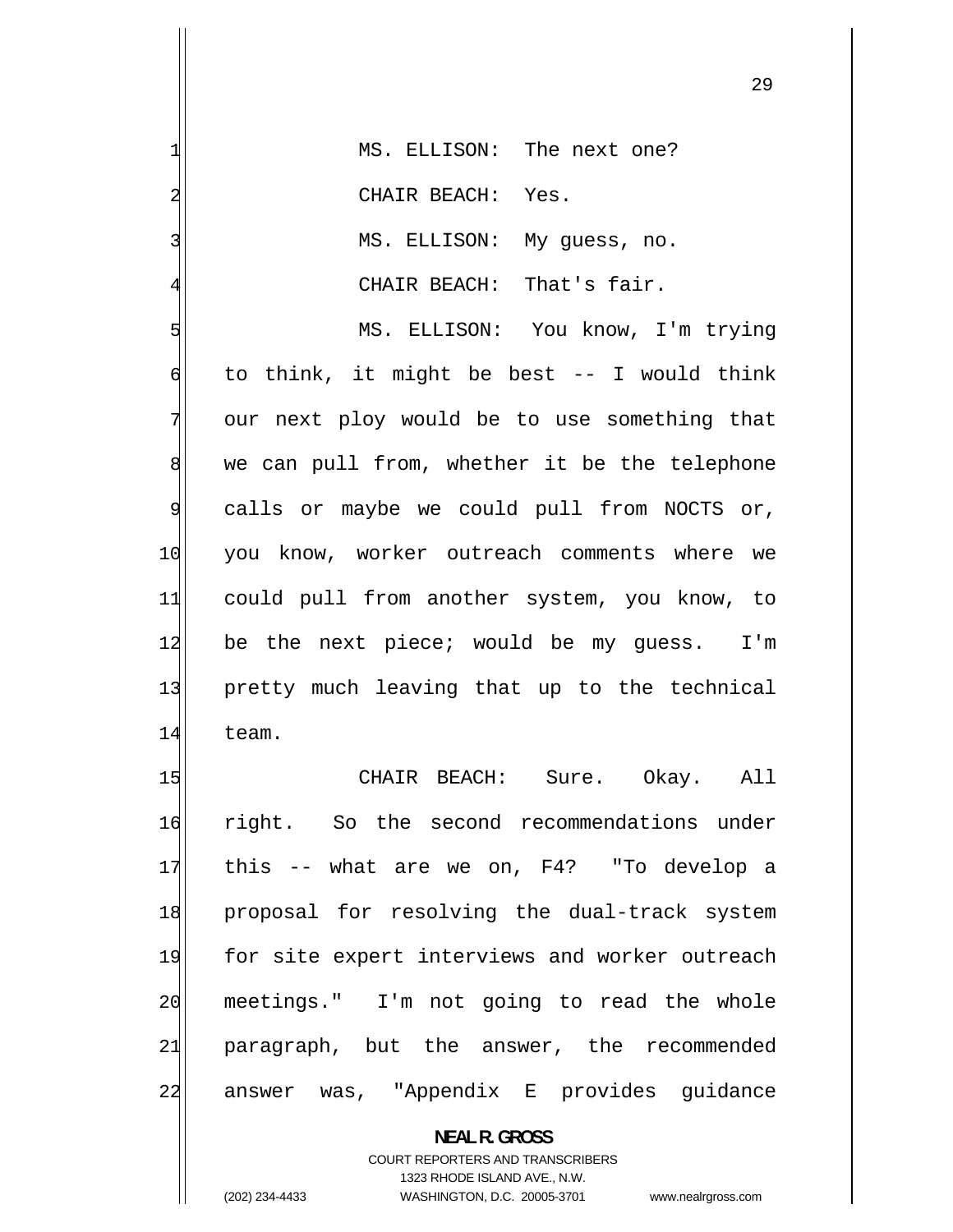| 1              | MS. ELLISON: The next one?                     |
|----------------|------------------------------------------------|
| $\overline{a}$ | CHAIR BEACH: Yes.                              |
| 3              | MS. ELLISON: My guess, no.                     |
| $\overline{4}$ | CHAIR BEACH: That's fair.                      |
| 5              | MS. ELLISON: You know, I'm trying              |
| $\sigma$       | to think, it might be best -- I would think    |
| 7              | our next ploy would be to use something that   |
| 8              | we can pull from, whether it be the telephone  |
| $\overline{9}$ | calls or maybe we could pull from NOCTS or,    |
| 10             | you know, worker outreach comments where we    |
| 11             | could pull from another system, you know, to   |
| 12             | be the next piece; would be my guess. I'm      |
| 13             | pretty much leaving that up to the technical   |
| 14             | team.                                          |
| 15             | CHAIR BEACH: Sure.<br>Okay. All                |
| 16             | right. So the second recommendations under     |
| 17             | this -- what are we on, F4? "To develop a      |
| 18             | proposal for resolving the dual-track system   |
| 19             | for site expert interviews and worker outreach |
| 20             | meetings." I'm not going to read the whole     |
| 21             | paragraph, but the answer, the recommended     |
| 22             | answer was, "Appendix E provides guidance      |

**NEAL R. GROSS**  COURT REPORTERS AND TRANSCRIBERS 1323 RHODE ISLAND AVE., N.W.

(202) 234-4433 WASHINGTON, D.C. 20005-3701 www.nealrgross.com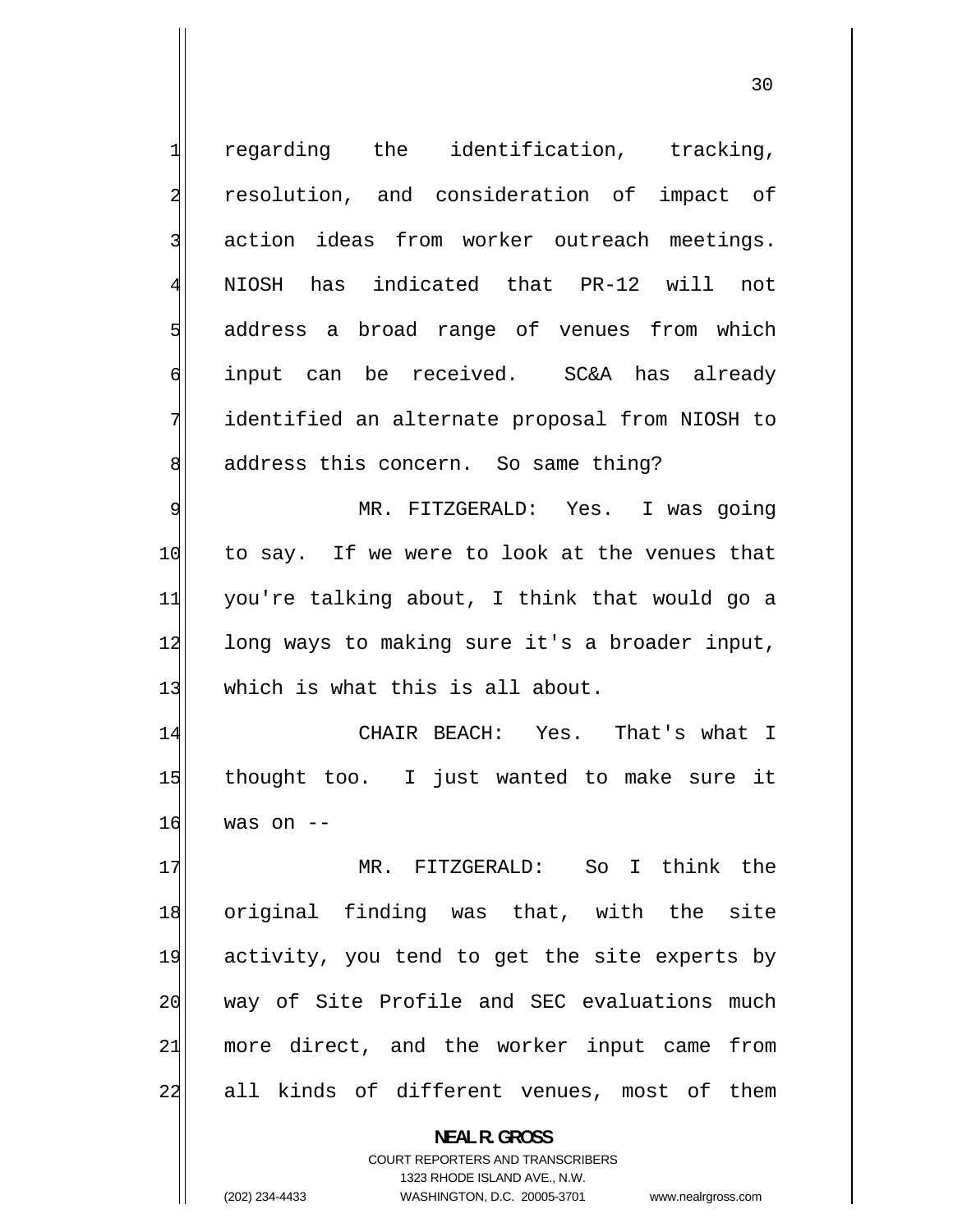1 regarding the identification, tracking, 2 resolution, and consideration of impact of 3 action ideas from worker outreach meetings. 4 NIOSH has indicated that PR-12 will not 5 address a broad range of venues from which 6 input can be received. SC&A has already 7 identified an alternate proposal from NIOSH to 8 address this concern. So same thing? 9 MR. FITZGERALD: Yes. I was going 10 to say. If we were to look at the venues that 11 you're talking about, I think that would go a 12 long ways to making sure it's a broader input, 13 which is what this is all about. 14 CHAIR BEACH: Yes. That's what I 15 thought too. I just wanted to make sure it 16 was on -- 17 MR. FITZGERALD: So I think the 18 original finding was that, with the site 19 activity, you tend to get the site experts by 20 way of Site Profile and SEC evaluations much 21 more direct, and the worker input came from 22 all kinds of different venues, most of them **NEAL R. GROSS**  COURT REPORTERS AND TRANSCRIBERS

1323 RHODE ISLAND AVE., N.W.

(202) 234-4433 WASHINGTON, D.C. 20005-3701 www.nealrgross.com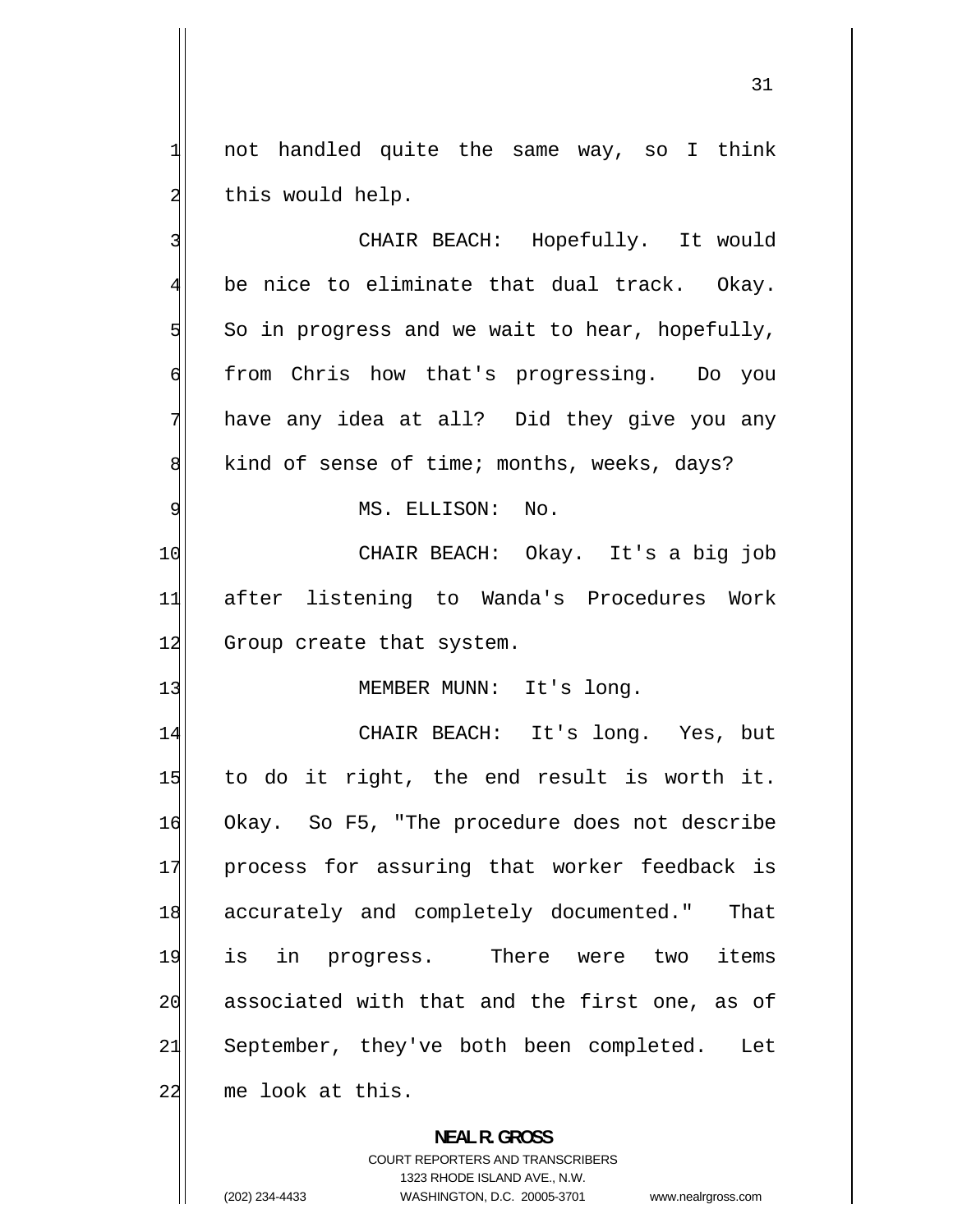not handled quite the same way, so I think this would help.

1

2

3 CHAIR BEACH: Hopefully. It would 4 be nice to eliminate that dual track. Okay. 5 So in progress and we wait to hear, hopefully, 6 from Chris how that's progressing. Do you 7 have any idea at all? Did they give you any 8 kind of sense of time; months, weeks, days? 9 MS. ELLISON: No. 10 CHAIR BEACH: Okay. It's a big job 11 after listening to Wanda's Procedures Work 12 Group create that system. 13 MEMBER MUNN: It's long. 14 CHAIR BEACH: It's long. Yes, but 15 to do it right, the end result is worth it.

16 Okay. So F5, "The procedure does not describe 17 process for assuring that worker feedback is 18 accurately and completely documented." That 19 is in progress. There were two items 20 associated with that and the first one, as of 21 September, they've both been completed. Let  $22$  me look at this.

> **NEAL R. GROSS**  COURT REPORTERS AND TRANSCRIBERS 1323 RHODE ISLAND AVE., N.W. (202) 234-4433 WASHINGTON, D.C. 20005-3701 www.nealrgross.com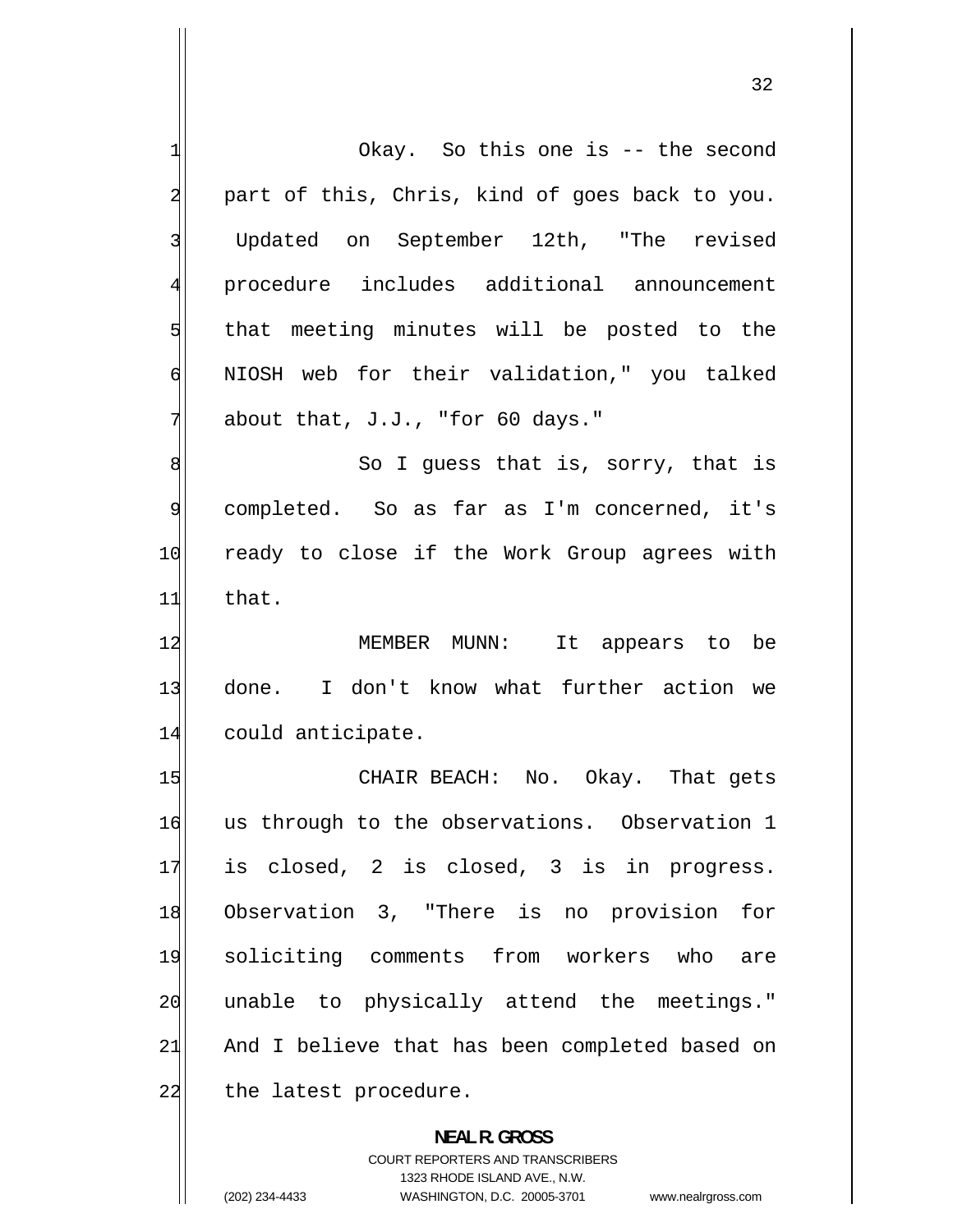1 Okay. So this one is -- the second 2 part of this, Chris, kind of goes back to you. 3 Updated on September 12th, "The revised 4 procedure includes additional announcement 5 that meeting minutes will be posted to the 6 NIOSH web for their validation," you talked 7 about that, J.J., "for 60 days." 8 So I guess that is, sorry, that is 9 completed. So as far as I'm concerned, it's 10 ready to close if the Work Group agrees with  $11$  that. 12 MEMBER MUNN: It appears to be 13 done. I don't know what further action we 14 could anticipate. 15 CHAIR BEACH: No. Okay. That gets 16 us through to the observations. Observation 1 17 is closed, 2 is closed, 3 is in progress. 18 Observation 3, "There is no provision for 19 soliciting comments from workers who are 20 unable to physically attend the meetings." 21 And I believe that has been completed based on 22 the latest procedure. **NEAL R. GROSS** 

> COURT REPORTERS AND TRANSCRIBERS 1323 RHODE ISLAND AVE., N.W.

(202) 234-4433 WASHINGTON, D.C. 20005-3701 www.nealrgross.com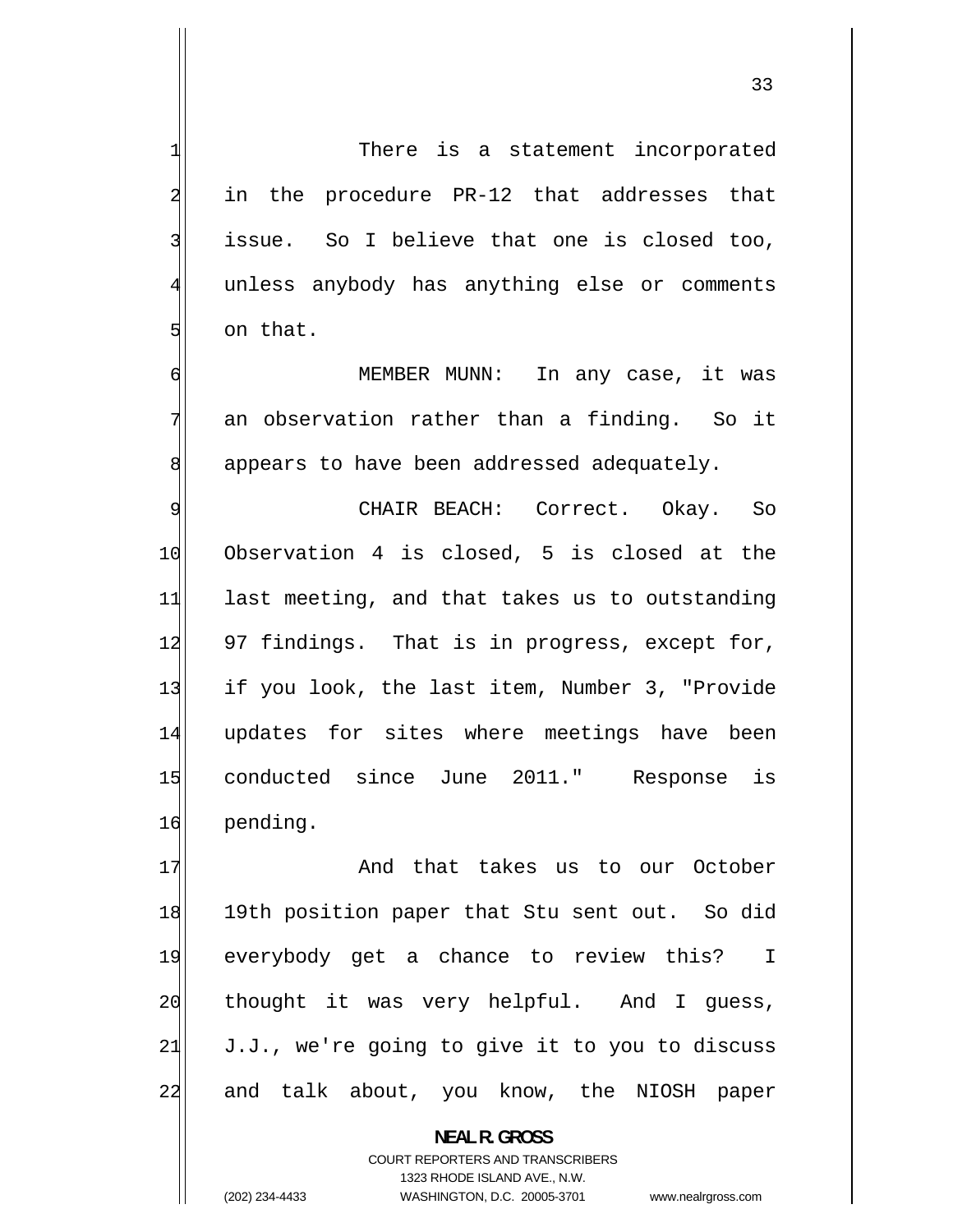There is a statement incorporated in the procedure PR-12 that addresses that issue. So I believe that one is closed too, unless anybody has anything else or comments on that.

1

2

3

4

5

6

7

8

 MEMBER MUNN: In any case, it was an observation rather than a finding. So it appears to have been addressed adequately.

9 CHAIR BEACH: Correct. Okay. So 10 Observation 4 is closed, 5 is closed at the 11 last meeting, and that takes us to outstanding 12 97 findings. That is in progress, except for, 13 if you look, the last item, Number 3, "Provide 14 updates for sites where meetings have been 15 conducted since June 2011." Response is 16 pending.

17 And that takes us to our October 18 19th position paper that Stu sent out. So did 19 everybody get a chance to review this? I 20 thought it was very helpful. And I guess, 21 J.J., we're going to give it to you to discuss 22 and talk about, you know, the NIOSH paper

> **NEAL R. GROSS**  COURT REPORTERS AND TRANSCRIBERS 1323 RHODE ISLAND AVE., N.W. (202) 234-4433 WASHINGTON, D.C. 20005-3701 www.nealrgross.com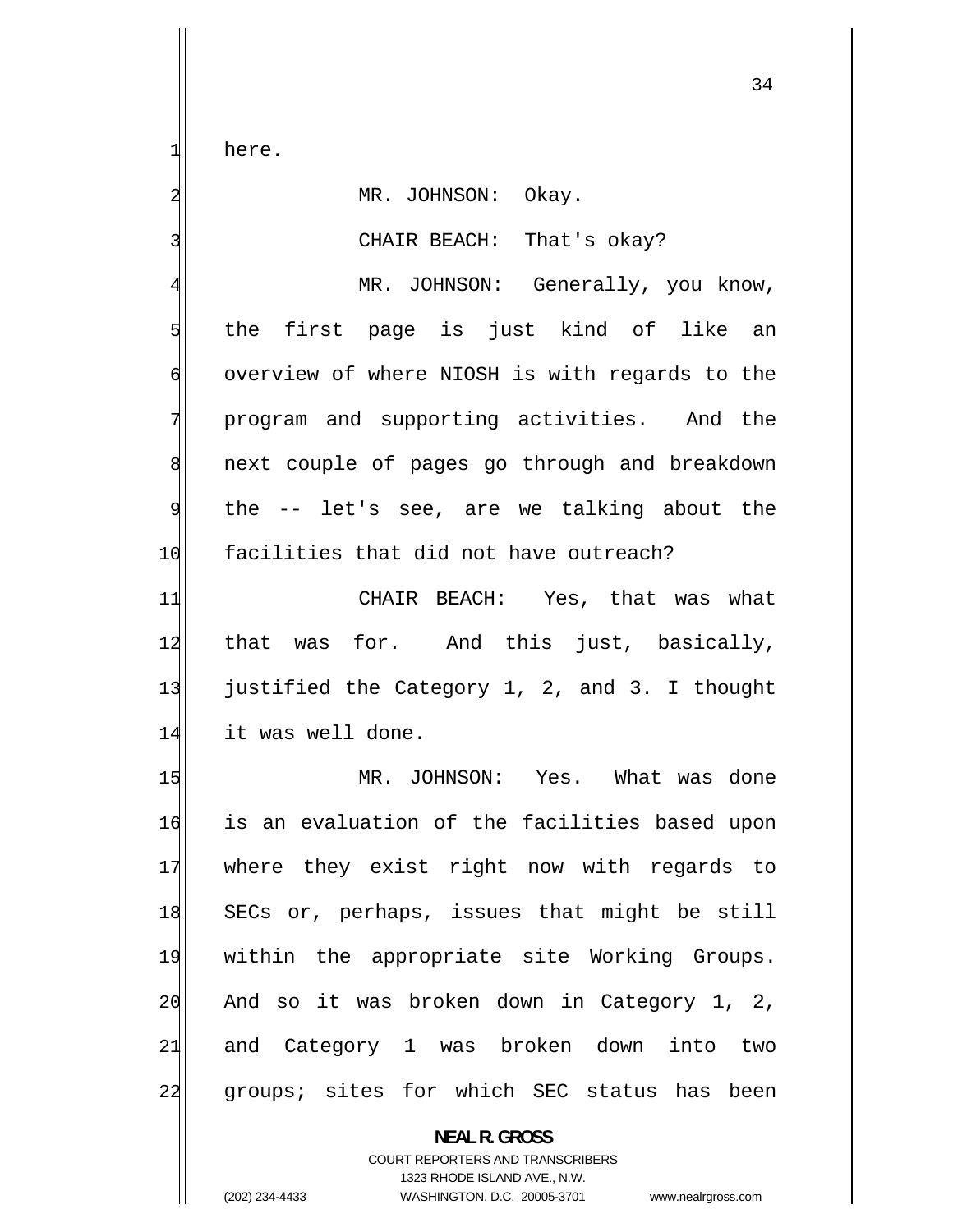here.

1

2

3

### MR. JOHNSON: Okay.

CHAIR BEACH: That's okay?

34

4 MR. JOHNSON: Generally, you know, 5 the first page is just kind of like an 6 overview of where NIOSH is with regards to the 7 program and supporting activities. And the 8 next couple of pages go through and breakdown 9 the -- let's see, are we talking about the 10 facilities that did not have outreach?

11 CHAIR BEACH: Yes, that was what 12 that was for. And this just, basically, 13 justified the Category 1, 2, and 3. I thought 14 it was well done.

15 MR. JOHNSON: Yes. What was done 16 is an evaluation of the facilities based upon 17 where they exist right now with regards to 18 SECs or, perhaps, issues that might be still 19 within the appropriate site Working Groups. 20 And so it was broken down in Category 1, 2, 21 and Category 1 was broken down into two 22 groups; sites for which SEC status has been

> **NEAL R. GROSS**  COURT REPORTERS AND TRANSCRIBERS 1323 RHODE ISLAND AVE., N.W. (202) 234-4433 WASHINGTON, D.C. 20005-3701 www.nealrgross.com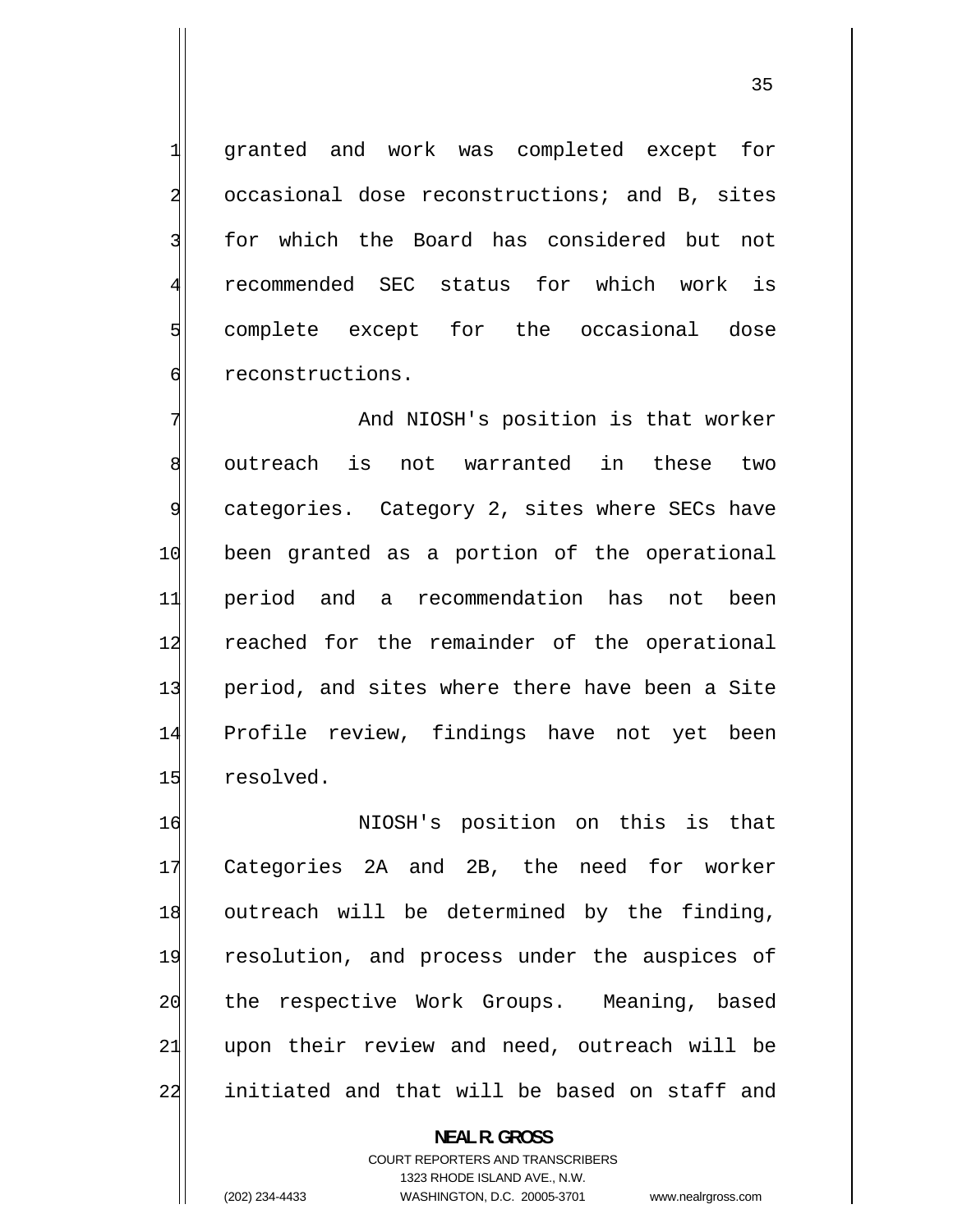granted and work was completed except for occasional dose reconstructions; and B, sites for which the Board has considered but not recommended SEC status for which work is complete except for the occasional dose reconstructions.

7 And NIOSH's position is that worker 8 outreach is not warranted in these two 9 categories. Category 2, sites where SECs have 10 been granted as a portion of the operational 11 period and a recommendation has not been 12 reached for the remainder of the operational 13 period, and sites where there have been a Site 14 Profile review, findings have not yet been 15 resolved.

16 NIOSH's position on this is that 17 Categories 2A and 2B, the need for worker 18 outreach will be determined by the finding, 19 resolution, and process under the auspices of 20 the respective Work Groups. Meaning, based 21 upon their review and need, outreach will be 22 initiated and that will be based on staff and

> **NEAL R. GROSS**  COURT REPORTERS AND TRANSCRIBERS 1323 RHODE ISLAND AVE., N.W. (202) 234-4433 WASHINGTON, D.C. 20005-3701 www.nealrgross.com

1

2

3

4

5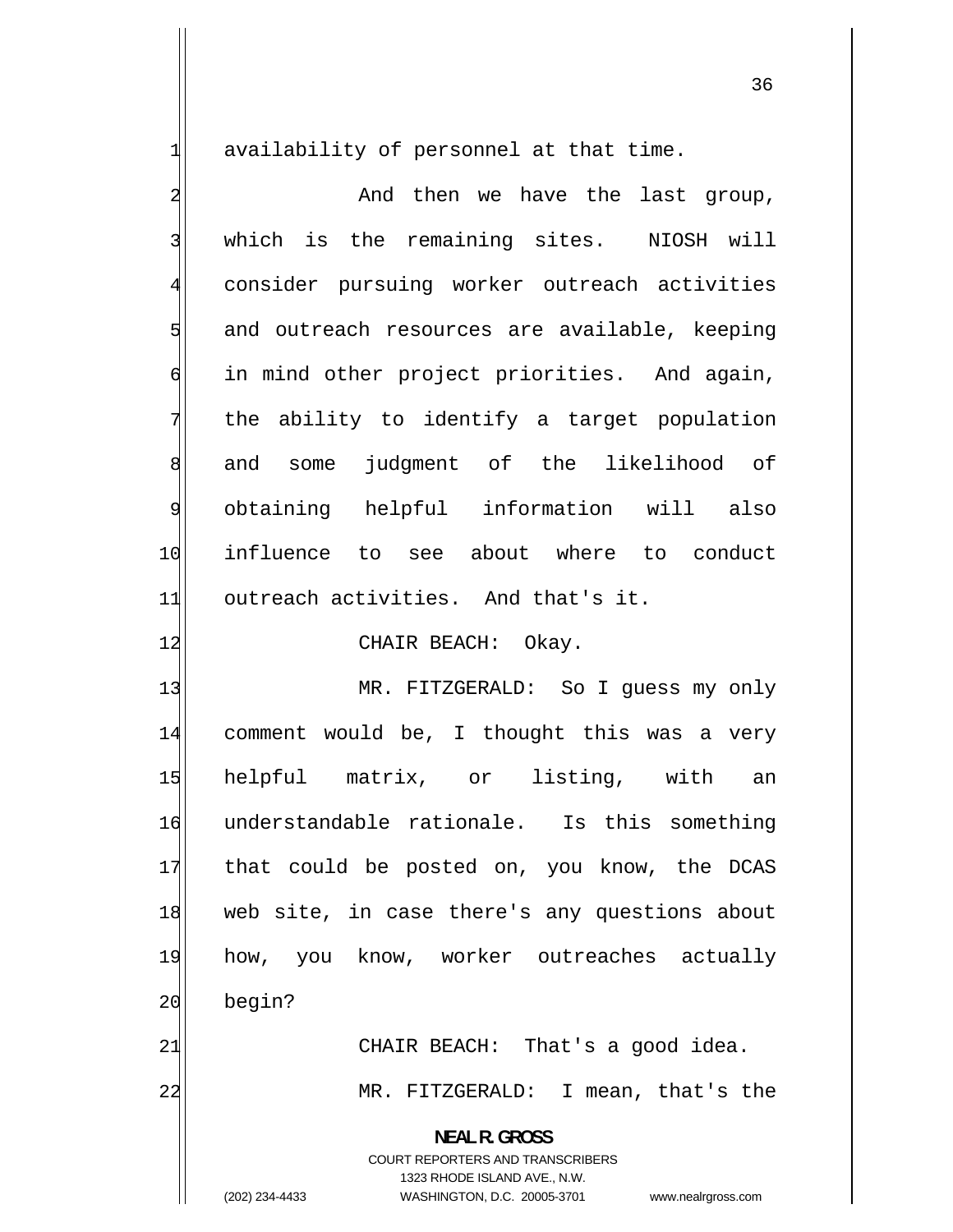availability of personnel at that time.

1

2 And then we have the last group, 3 which is the remaining sites. NIOSH will 4 consider pursuing worker outreach activities 5 and outreach resources are available, keeping 6 in mind other project priorities. And again, 7 the ability to identify a target population 8 and some judgment of the likelihood of 9 obtaining helpful information will also 10 influence to see about where to conduct 11 outreach activities. And that's it.

#### 12 CHAIR BEACH: Okay.

13 MR. FITZGERALD: So I guess my only 14 comment would be, I thought this was a very 15 helpful matrix, or listing, with an 16 understandable rationale. Is this something 17 that could be posted on, you know, the DCAS 18 web site, in case there's any questions about 19 how, you know, worker outreaches actually 20 begin? 21| CHAIR BEACH: That's a good idea.

22 MR. FITZGERALD: I mean, that's the

> **NEAL R. GROSS**  COURT REPORTERS AND TRANSCRIBERS 1323 RHODE ISLAND AVE., N.W. (202) 234-4433 WASHINGTON, D.C. 20005-3701 www.nealrgross.com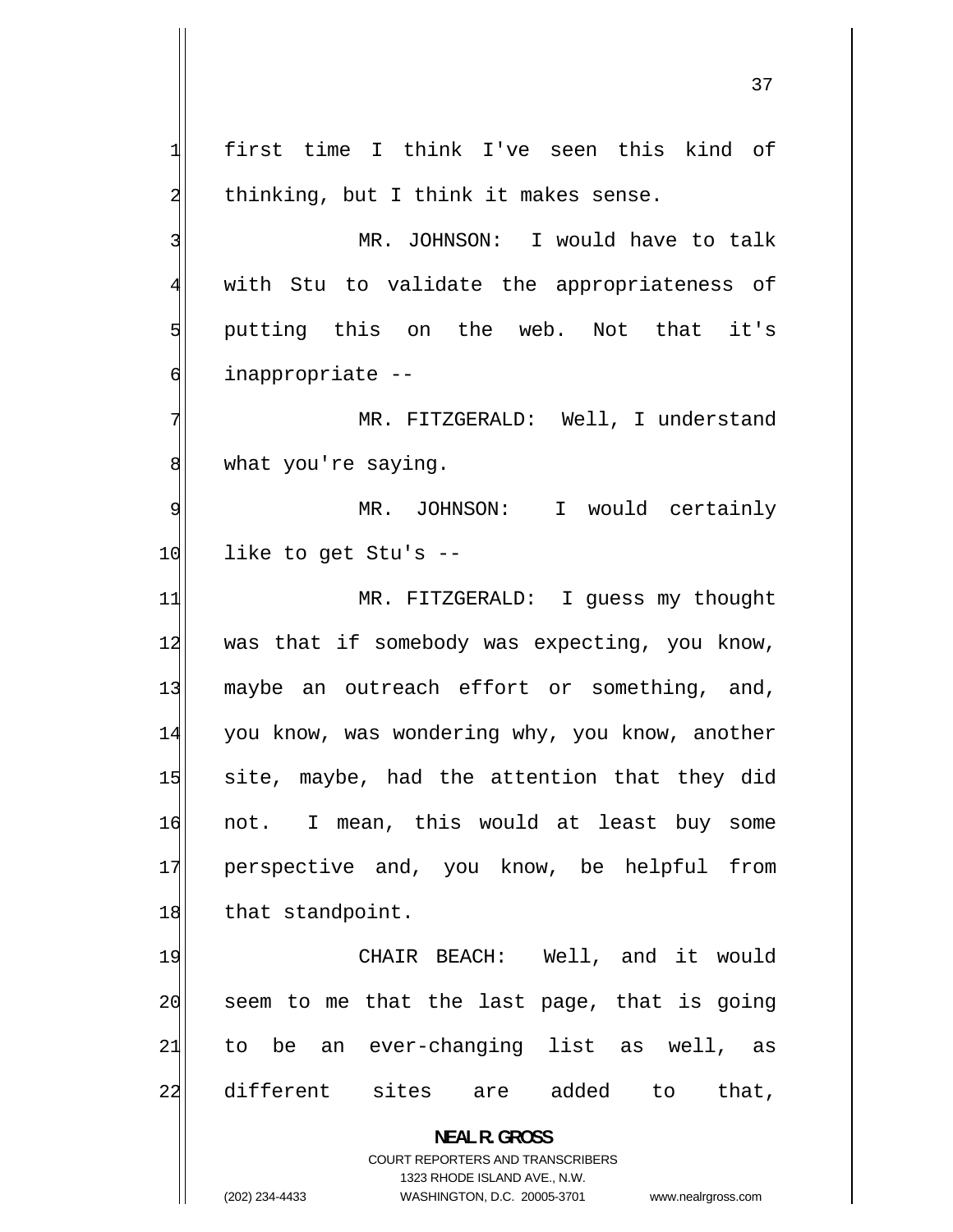1 first time I think I've seen this kind of 2 thinking, but I think it makes sense. 3 MR. JOHNSON: I would have to talk 4 with Stu to validate the appropriateness of 5 putting this on the web. Not that it's 6 inappropriate -- 7 MR. FITZGERALD: Well, I understand 8 what you're saying. 9 MR. JOHNSON: I would certainly 10 like to get Stu's --11 MR. FITZGERALD: I guess my thought 12 was that if somebody was expecting, you know, 13 maybe an outreach effort or something, and, 14 you know, was wondering why, you know, another 15 site, maybe, had the attention that they did 16 not. I mean, this would at least buy some 17 perspective and, you know, be helpful from 18 that standpoint. 19 CHAIR BEACH: Well, and it would 20 seem to me that the last page, that is going 21 to be an ever-changing list as well, as 22 different sites are added to that, **NEAL R. GROSS**  COURT REPORTERS AND TRANSCRIBERS 1323 RHODE ISLAND AVE., N.W.

(202) 234-4433 WASHINGTON, D.C. 20005-3701 www.nealrgross.com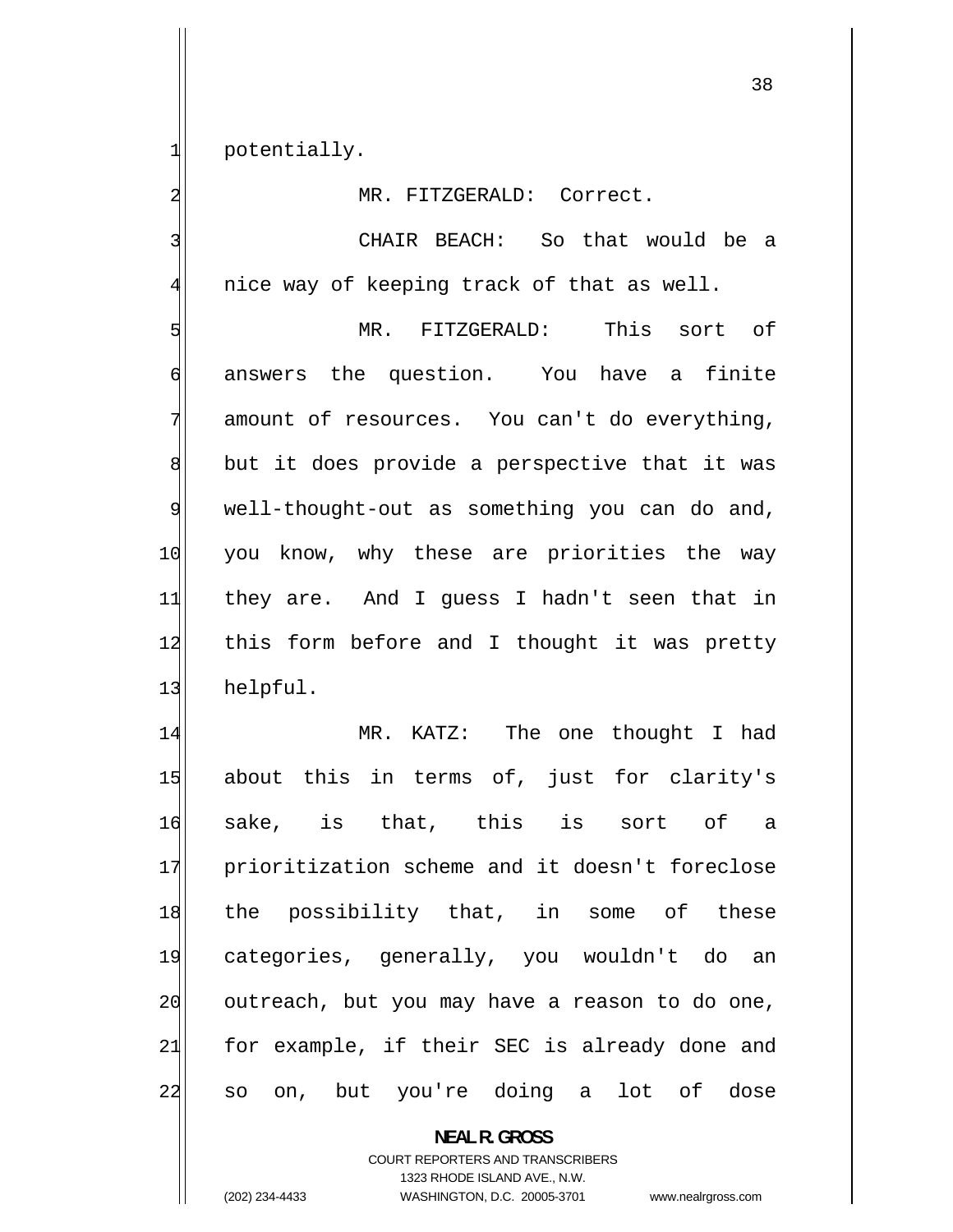potentially.

1

2

3

4

MR. FITZGERALD: Correct.

 CHAIR BEACH: So that would be a nice way of keeping track of that as well.

5 MR. FITZGERALD: This sort of 6 answers the question. You have a finite 7 amount of resources. You can't do everything, 8 but it does provide a perspective that it was 9 well-thought-out as something you can do and, 10 you know, why these are priorities the way 11 they are. And I guess I hadn't seen that in 12 this form before and I thought it was pretty 13 helpful.

14 MR. KATZ: The one thought I had 15 about this in terms of, just for clarity's 16 sake, is that, this is sort of a 17 prioritization scheme and it doesn't foreclose 18 the possibility that, in some of these 19 categories, generally, you wouldn't do an 20 outreach, but you may have a reason to do one, 21 for example, if their SEC is already done and 22 so on, but you're doing a lot of dose

> **NEAL R. GROSS**  COURT REPORTERS AND TRANSCRIBERS 1323 RHODE ISLAND AVE., N.W.

(202) 234-4433 WASHINGTON, D.C. 20005-3701 www.nealrgross.com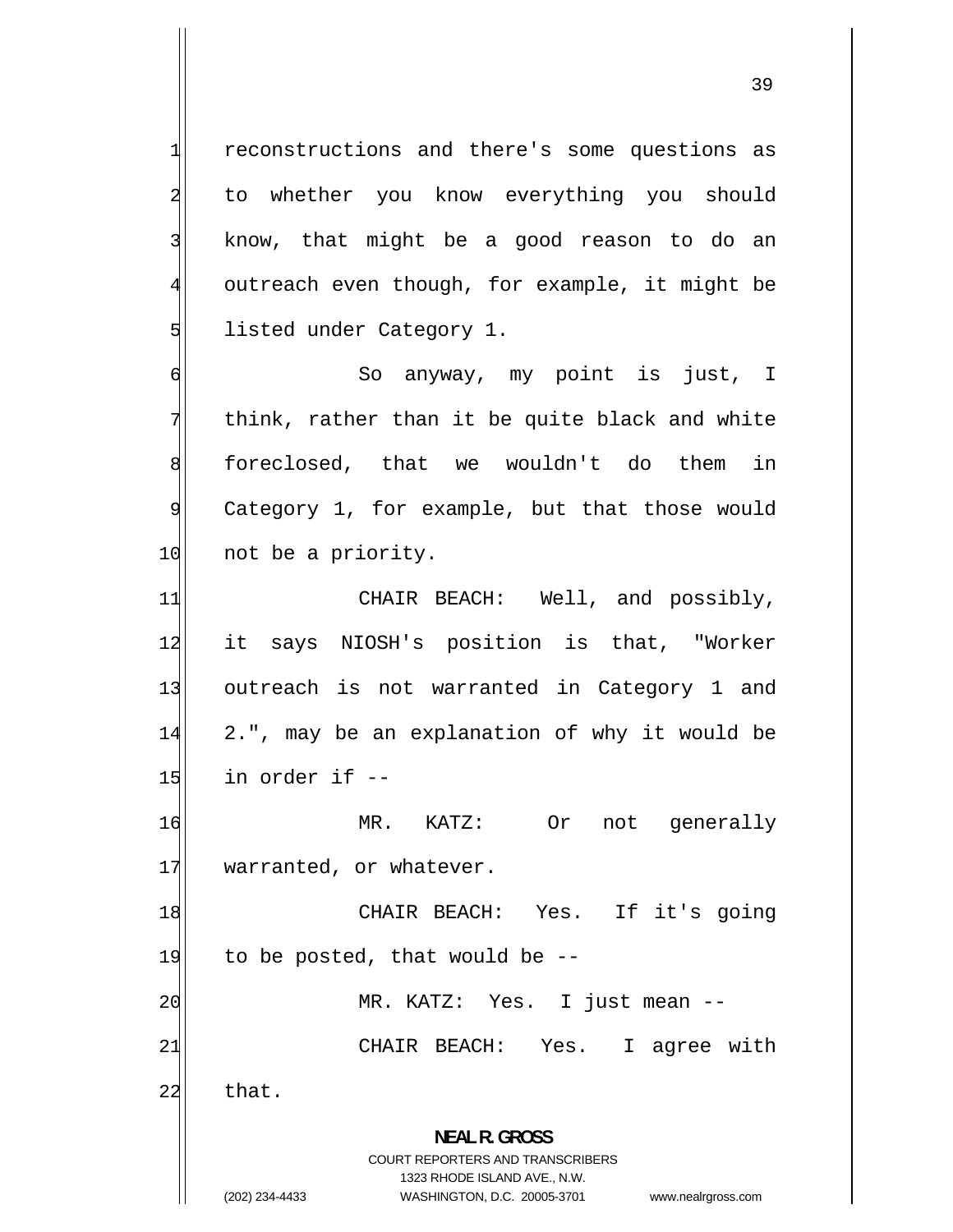reconstructions and there's some questions as to whether you know everything you should know, that might be a good reason to do an outreach even though, for example, it might be listed under Category 1.

 So anyway, my point is just, I think, rather than it be quite black and white 8 foreclosed, that we wouldn't do them in Category 1, for example, but that those would 10 not be a priority.

11 CHAIR BEACH: Well, and possibly, 12 it says NIOSH's position is that, "Worker 13 outreach is not warranted in Category 1 and 14 2.", may be an explanation of why it would be  $15$  in order if  $-$ 

16 MR. KATZ: Or not generally 17 warranted, or whatever.

18 CHAIR BEACH: Yes. If it's going  $19$  to be posted, that would be  $-$ 20 MR. KATZ: Yes. I just mean --

CHAIR BEACH: Yes. I agree with

 $22$  that.

21

1

2

3

4

5

6

7

9

**NEAL R. GROSS**  COURT REPORTERS AND TRANSCRIBERS 1323 RHODE ISLAND AVE., N.W.

(202) 234-4433 WASHINGTON, D.C. 20005-3701 www.nealrgross.com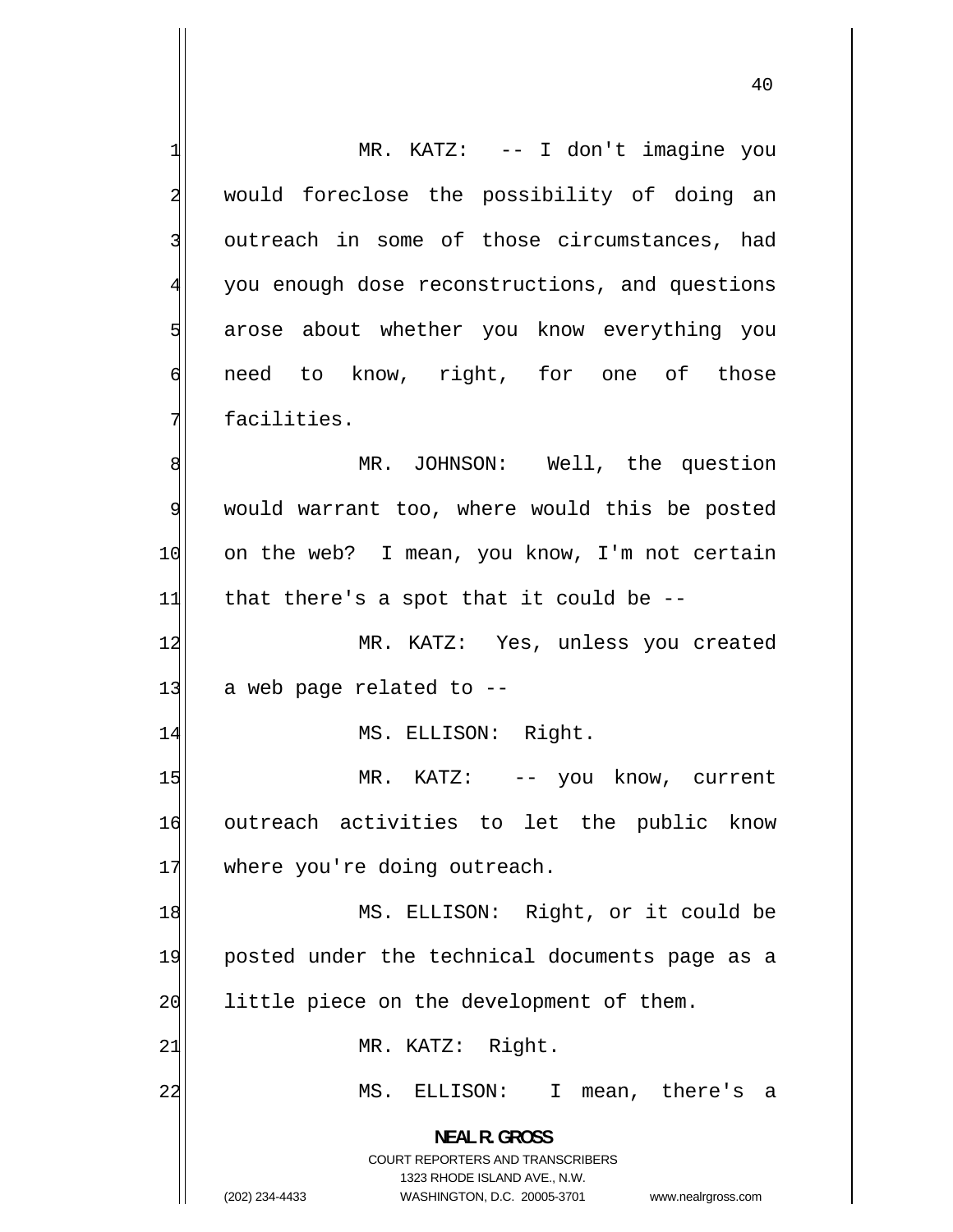1 MR. KATZ: -- I don't imagine you 2 would foreclose the possibility of doing an 3 outreach in some of those circumstances, had 4 you enough dose reconstructions, and questions 5 arose about whether you know everything you 6 need to know, right, for one of those 7 facilities. 8 MR. JOHNSON: Well, the question 9 would warrant too, where would this be posted 10 on the web? I mean, you know, I'm not certain  $11$  that there's a spot that it could be  $-$ 12 MR. KATZ: Yes, unless you created  $13$  a web page related to  $-$ 14 MS. ELLISON: Right. 15 MR. KATZ: -- you know, current 16 outreach activities to let the public know 17 where you're doing outreach. 18 MS. ELLISON: Right, or it could be 19 posted under the technical documents page as a 20 little piece on the development of them. 21 MR. KATZ: Right. 22 MS. ELLISON: I mean, there's a **NEAL R. GROSS**  COURT REPORTERS AND TRANSCRIBERS 1323 RHODE ISLAND AVE., N.W. (202) 234-4433 WASHINGTON, D.C. 20005-3701 www.nealrgross.com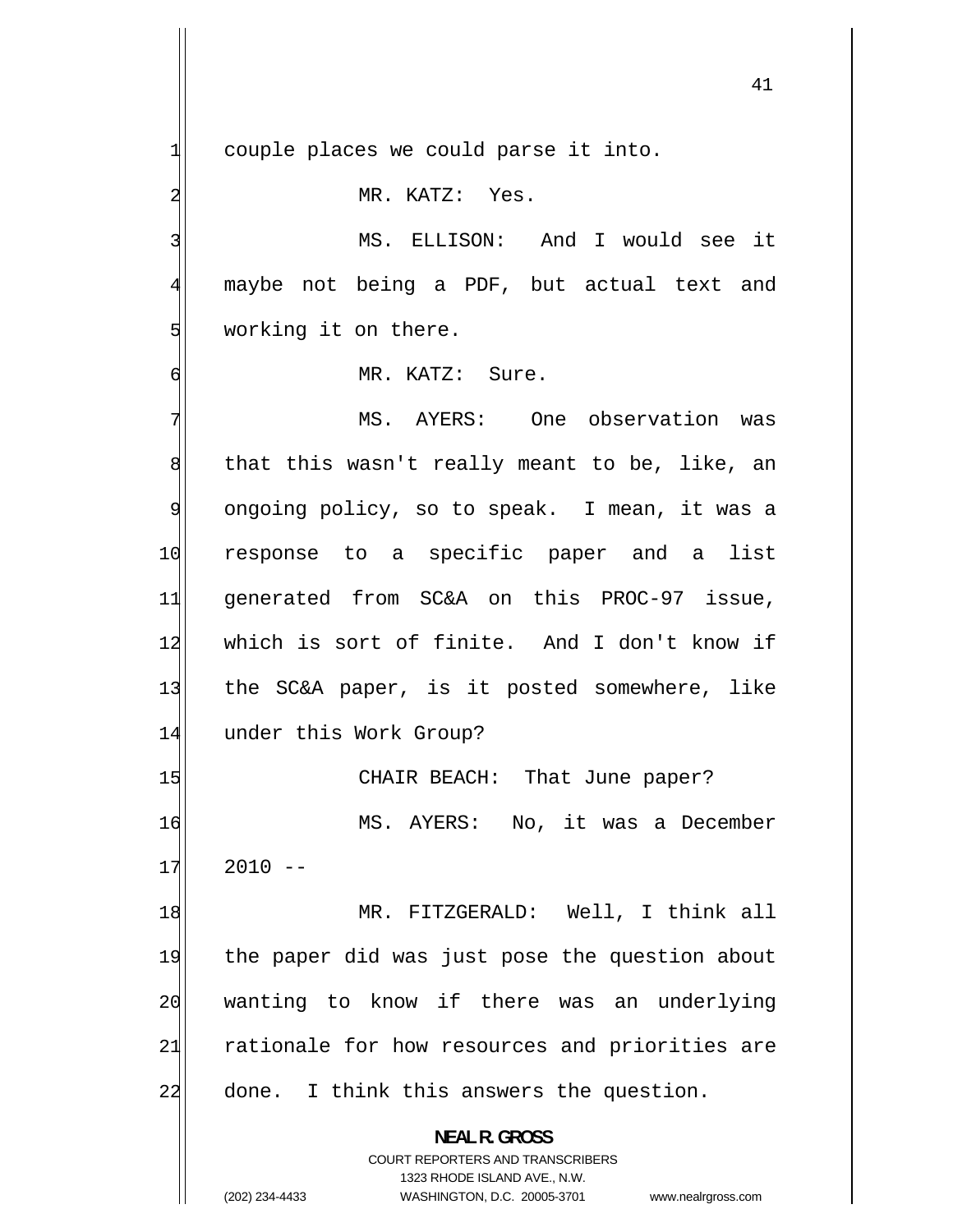couple places we could parse it into.

MR. KATZ: Yes.

 MS. ELLISON: And I would see it maybe not being a PDF, but actual text and working it on there.

MR. KATZ: Sure.

7 MS. AYERS: One observation was 8 that this wasn't really meant to be, like, an 9 ongoing policy, so to speak. I mean, it was a 10 response to a specific paper and a list 11 generated from SC&A on this PROC-97 issue, 12 which is sort of finite. And I don't know if 13 the SC&A paper, is it posted somewhere, like 14 under this Work Group? 15 CHAIR BEACH: That June paper? 16 MS. AYERS: No, it was a December

17  $2010 - -$ 

1

2

3

4

5

6

18 MR. FITZGERALD: Well, I think all 19 the paper did was just pose the question about 20 wanting to know if there was an underlying 21 rationale for how resources and priorities are 22 done. I think this answers the question.

> **NEAL R. GROSS**  COURT REPORTERS AND TRANSCRIBERS

> > 1323 RHODE ISLAND AVE., N.W.

(202) 234-4433 WASHINGTON, D.C. 20005-3701 www.nealrgross.com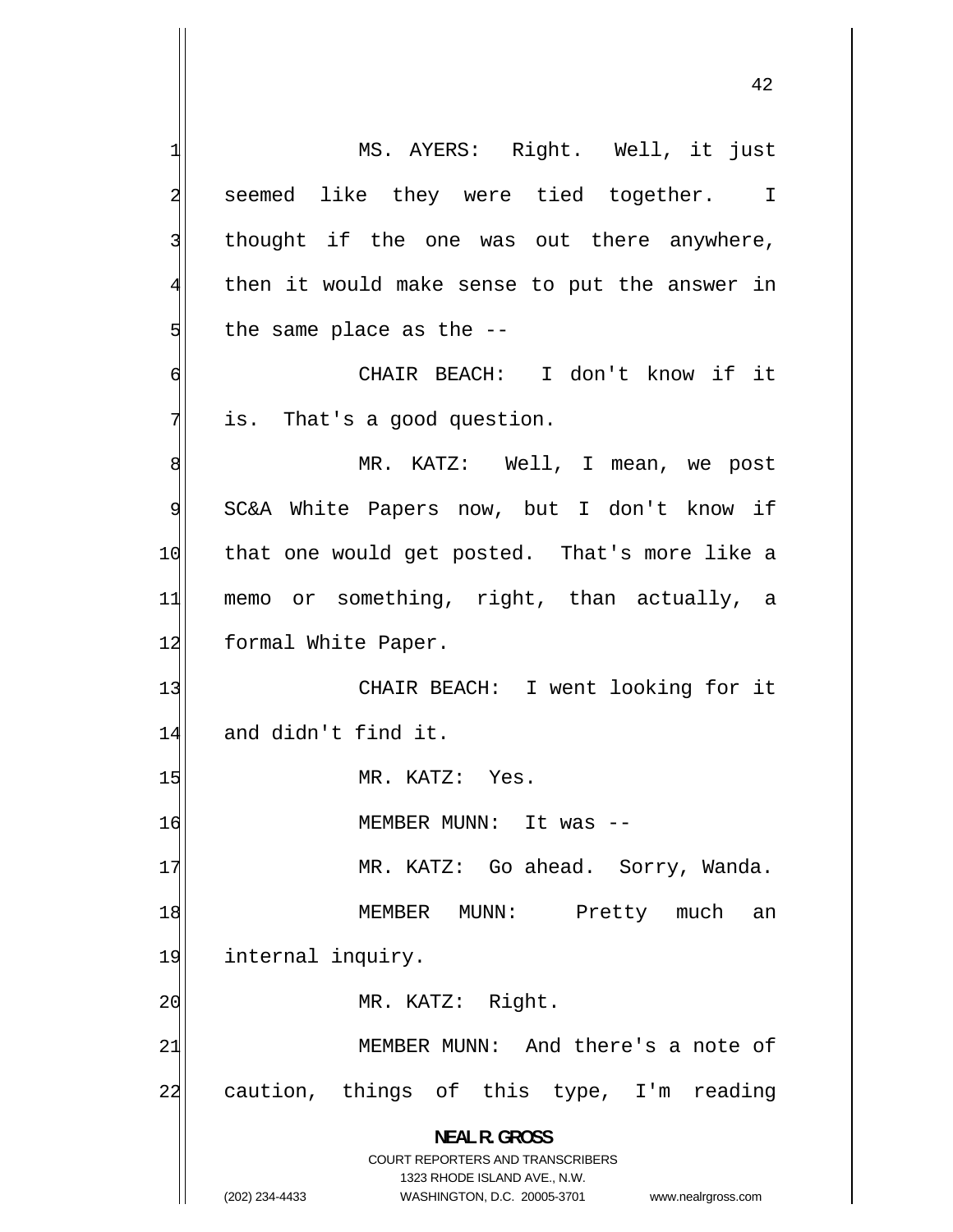1 MS. AYERS: Right. Well, it just 2 seemed like they were tied together. I 3 thought if the one was out there anywhere, 4 then it would make sense to put the answer in 5 the same place as the -- 6 CHAIR BEACH: I don't know if it 7 is. That's a good question. 8 MR. KATZ: Well, I mean, we post 9 SC&A White Papers now, but I don't know if 10 that one would get posted. That's more like a 11 memo or something, right, than actually, a 12 formal White Paper. 13 CHAIR BEACH: I went looking for it 14 and didn't find it. 15 MR. KATZ: Yes. 16 MEMBER MUNN: It was -- 17 MR. KATZ: Go ahead. Sorry, Wanda. 18 MEMBER MUNN: Pretty much an 19 internal inquiry. 20 MR. KATZ: Right. 21 MEMBER MUNN: And there's a note of 22 caution, things of this type, I'm reading **NEAL R. GROSS**  COURT REPORTERS AND TRANSCRIBERS 1323 RHODE ISLAND AVE., N.W.

(202) 234-4433 WASHINGTON, D.C. 20005-3701 www.nealrgross.com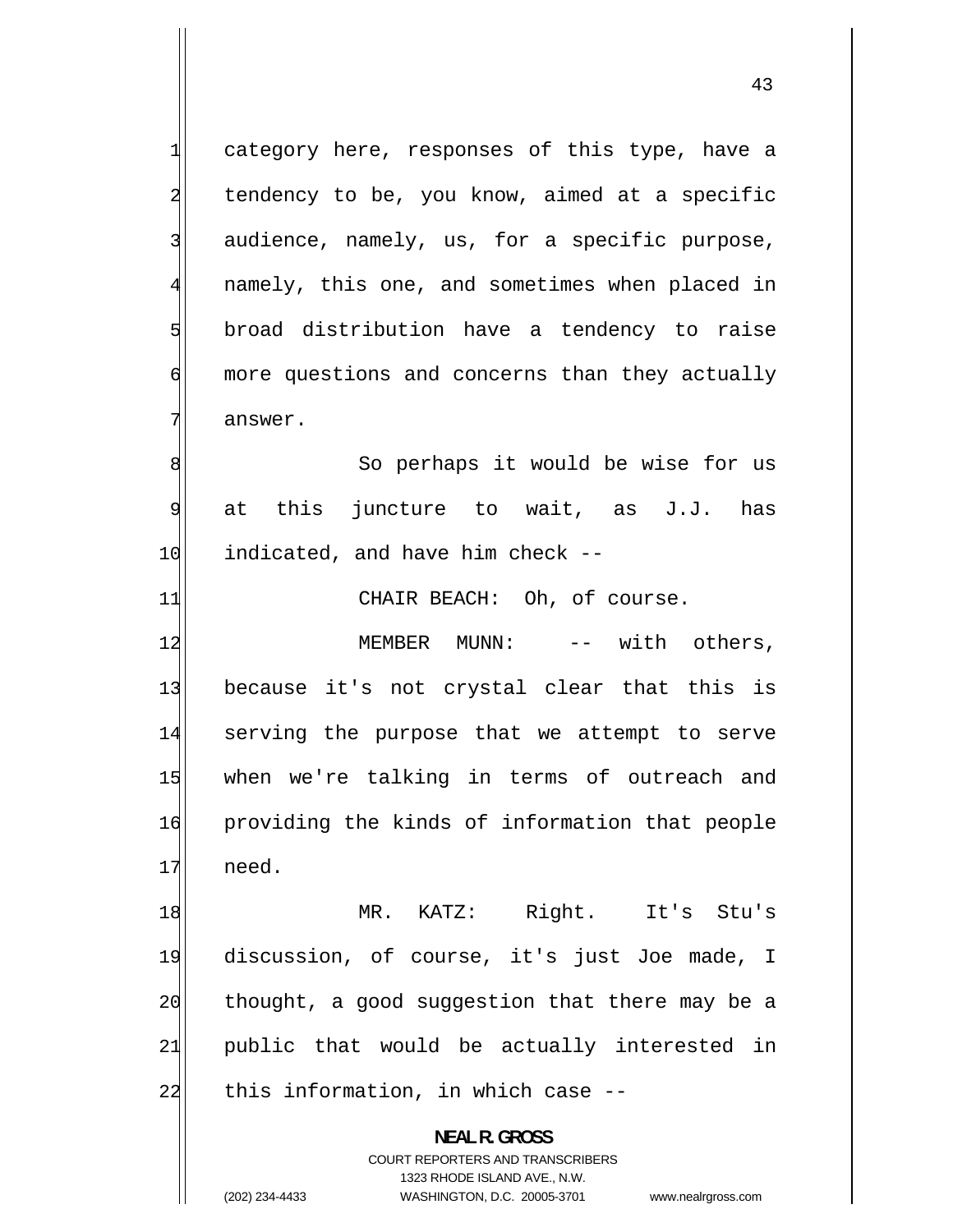category here, responses of this type, have a tendency to be, you know, aimed at a specific audience, namely, us, for a specific purpose, namely, this one, and sometimes when placed in broad distribution have a tendency to raise more questions and concerns than they actually answer. So perhaps it would be wise for us at this juncture to wait, as J.J. has

1

2

3

4

5

6

7

8

9

10 indicated, and have him check --

11 CHAIR BEACH: Oh, of course.

12 MEMBER MUNN: -- with others, 13 because it's not crystal clear that this is 14 serving the purpose that we attempt to serve 15 when we're talking in terms of outreach and 16 providing the kinds of information that people  $17$  need.

18 MR. KATZ: Right. It's Stu's 19 discussion, of course, it's just Joe made, I 20 thought, a good suggestion that there may be a 21 public that would be actually interested in 22 this information, in which case --

> **NEAL R. GROSS**  COURT REPORTERS AND TRANSCRIBERS 1323 RHODE ISLAND AVE., N.W. (202) 234-4433 WASHINGTON, D.C. 20005-3701 www.nealrgross.com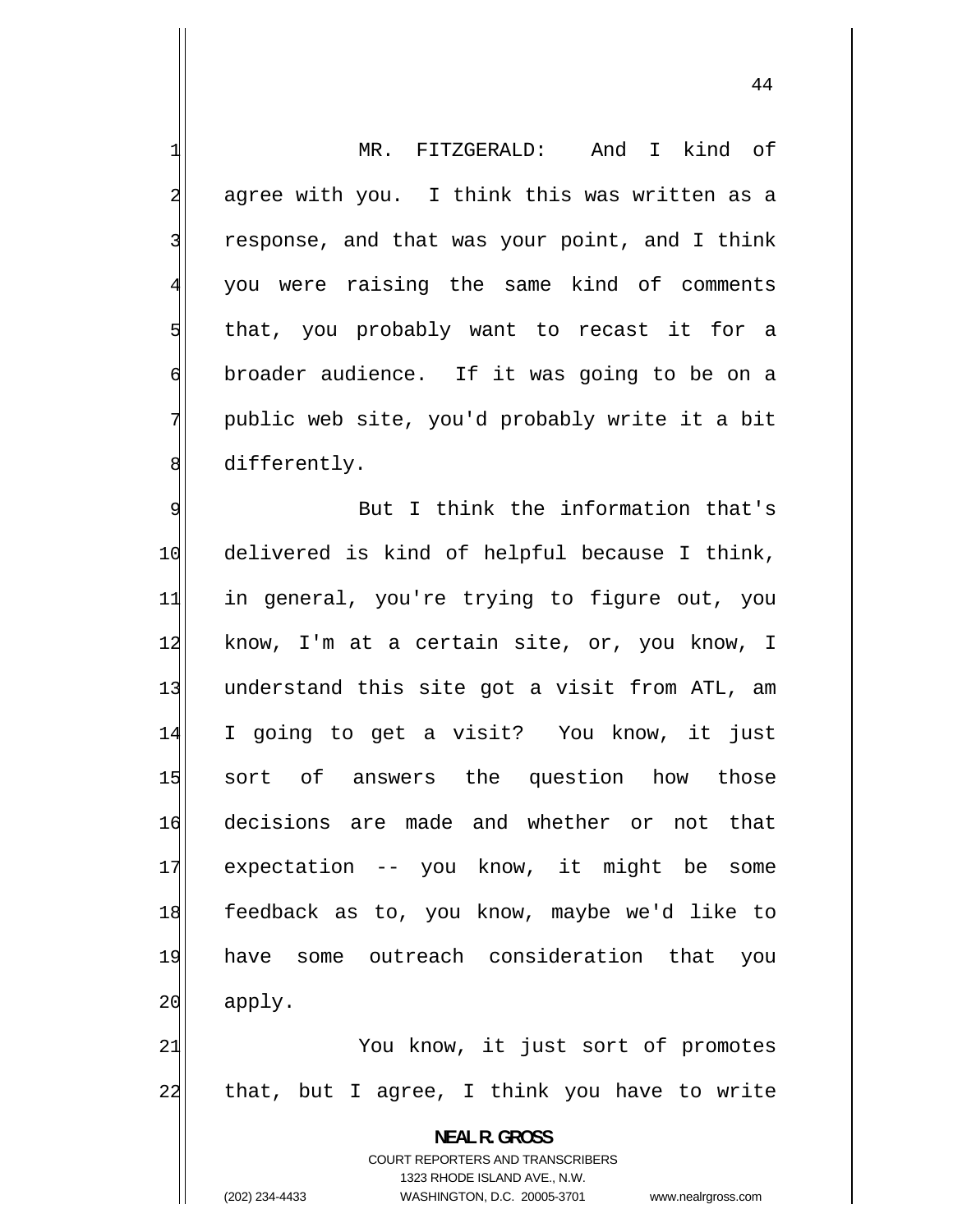MR. FITZGERALD: And I kind of 2 agree with you. I think this was written as a response, and that was your point, and I think you were raising the same kind of comments that, you probably want to recast it for a broader audience. If it was going to be on a public web site, you'd probably write it a bit 8 differently.

1

3

4

5

6

7

9 But I think the information that's 10 delivered is kind of helpful because I think, 11 in general, you're trying to figure out, you 12 know, I'm at a certain site, or, you know, I 13 understand this site got a visit from ATL, am 14 I going to get a visit? You know, it just 15 sort of answers the question how those 16 decisions are made and whether or not that 17 expectation -- you know, it might be some 18 feedback as to, you know, maybe we'd like to 19 have some outreach consideration that you 20 apply. 21 You know, it just sort of promotes

22 that, but I agree, I think you have to write

> **NEAL R. GROSS**  COURT REPORTERS AND TRANSCRIBERS

1323 RHODE ISLAND AVE., N.W.

(202) 234-4433 WASHINGTON, D.C. 20005-3701 www.nealrgross.com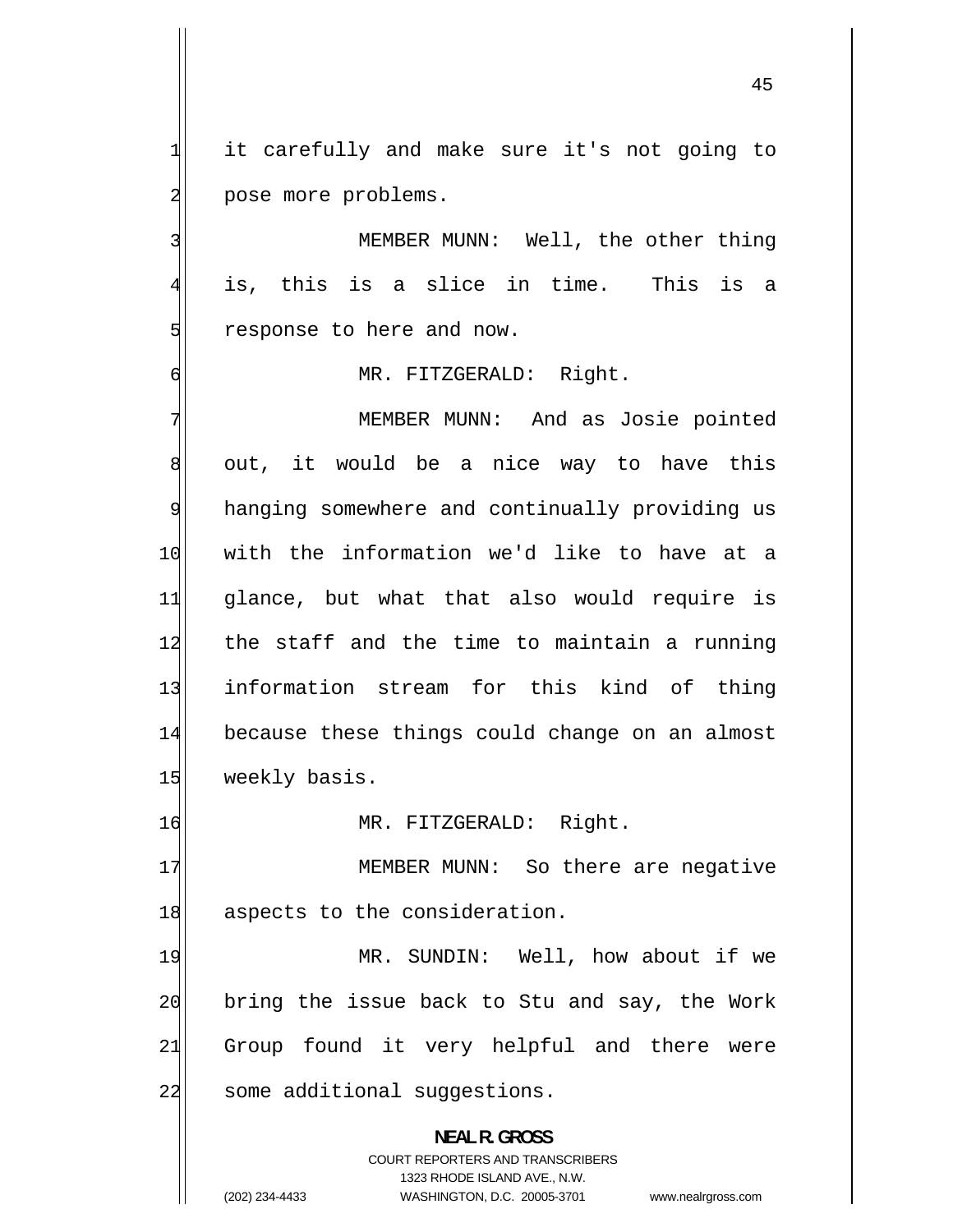it carefully and make sure it's not going to pose more problems.

1

2

3

4

5

6

 MEMBER MUNN: Well, the other thing is, this is a slice in time. This is a response to here and now.

MR. FITZGERALD: Right.

7 MEMBER MUNN: And as Josie pointed 8 out, it would be a nice way to have this 9 hanging somewhere and continually providing us 10 with the information we'd like to have at a 11 glance, but what that also would require is 12 the staff and the time to maintain a running 13 information stream for this kind of thing 14 because these things could change on an almost 15 weekly basis.

16 MR. FITZGERALD: Right.

17 MEMBER MUNN: So there are negative 18 aspects to the consideration.

19 MR. SUNDIN: Well, how about if we 20 bring the issue back to Stu and say, the Work 21 Group found it very helpful and there were 22 some additional suggestions.

> **NEAL R. GROSS**  COURT REPORTERS AND TRANSCRIBERS 1323 RHODE ISLAND AVE., N.W. (202) 234-4433 WASHINGTON, D.C. 20005-3701 www.nealrgross.com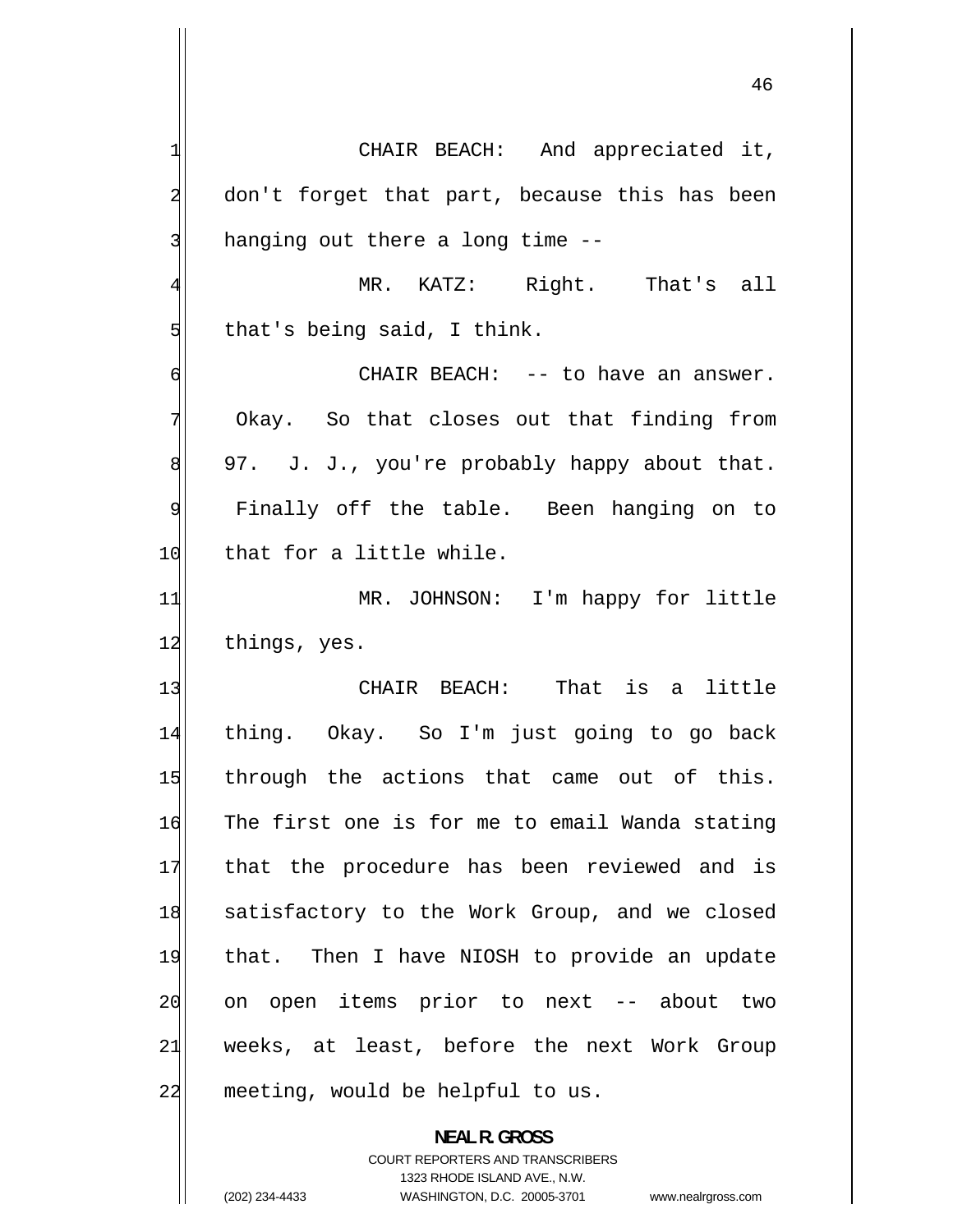MR. KATZ: Right. That's all 1 CHAIR BEACH: And appreciated it, 2 don't forget that part, because this has been 3 hanging out there a long time -- 4 5 that's being said, I think. 6 CHAIR BEACH: -- to have an answer. 7 Okay. So that closes out that finding from 8 97. J. J., you're probably happy about that. 9 Finally off the table. Been hanging on to 10 that for a little while. 11 MR. JOHNSON: I'm happy for little 12 things, yes. 13 CHAIR BEACH: That is a little 14 thing. Okay. So I'm just going to go back 15 through the actions that came out of this. 16 The first one is for me to email Wanda stating 17 that the procedure has been reviewed and is 18 satisfactory to the Work Group, and we closed 19 that. Then I have NIOSH to provide an update 20 on open items prior to next -- about two 21 weeks, at least, before the next Work Group 22 meeting, would be helpful to us.

> **NEAL R. GROSS**  COURT REPORTERS AND TRANSCRIBERS

1323 RHODE ISLAND AVE., N.W. (202) 234-4433 WASHINGTON, D.C. 20005-3701 www.nealrgross.com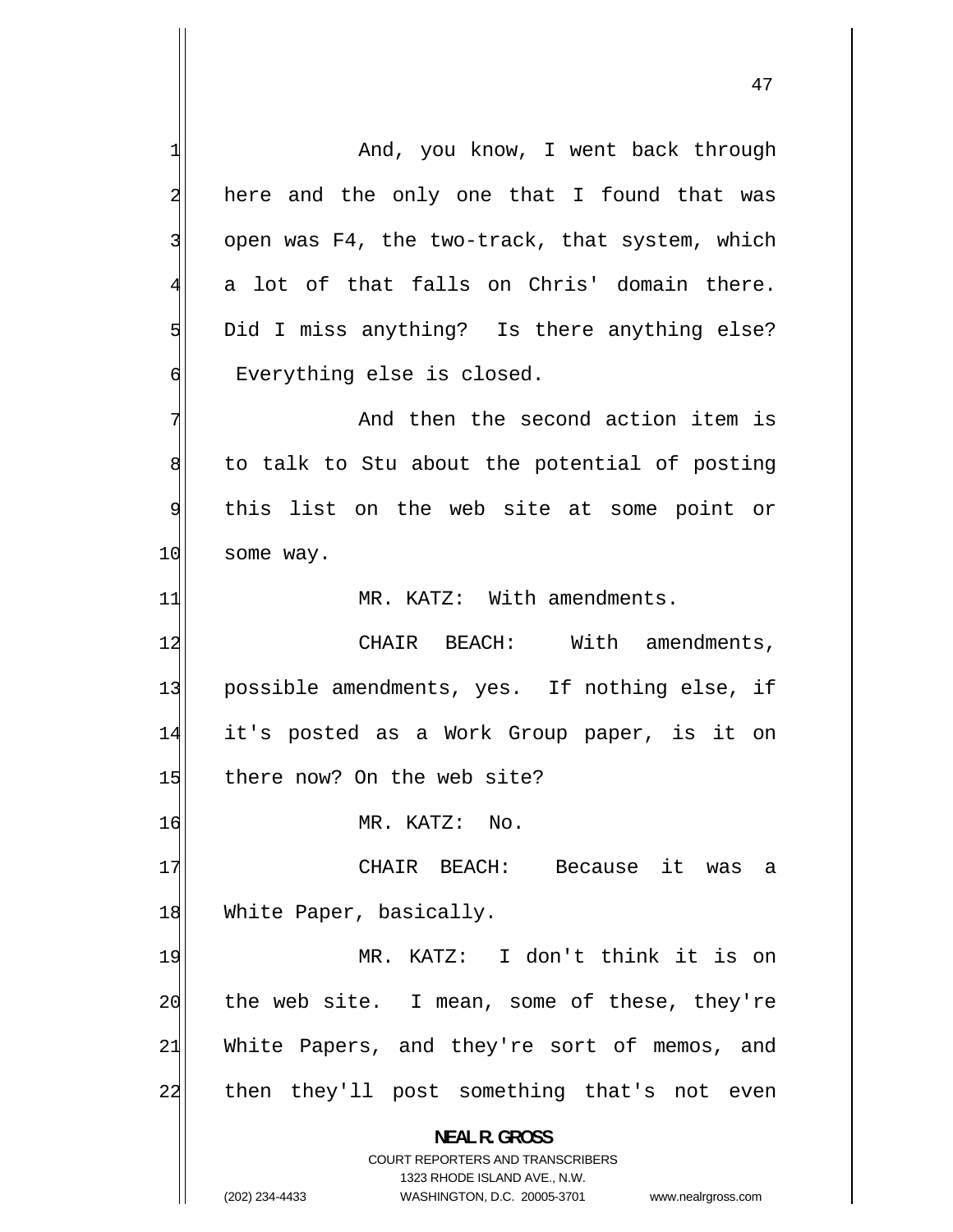1 And, you know, I went back through 2 here and the only one that I found that was 3 open was F4, the two-track, that system, which 4 a lot of that falls on Chris' domain there. 5 Did I miss anything? Is there anything else? 6 Everything else is closed. 7 And then the second action item is 8 to talk to Stu about the potential of posting 9 this list on the web site at some point or 10 some way. 11 MR. KATZ: With amendments. 12 CHAIR BEACH: With amendments, 13 possible amendments, yes. If nothing else, if 14 it's posted as a Work Group paper, is it on 15 | there now? On the web site? 16 MR. KATZ: No. 17 CHAIR BEACH: Because it was a 18 White Paper, basically. 19 MR. KATZ: I don't think it is on 20 the web site. I mean, some of these, they're 21 White Papers, and they're sort of memos, and 22 then they'll post something that's not even **NEAL R. GROSS**  COURT REPORTERS AND TRANSCRIBERS 1323 RHODE ISLAND AVE., N.W. (202) 234-4433 WASHINGTON, D.C. 20005-3701 www.nealrgross.com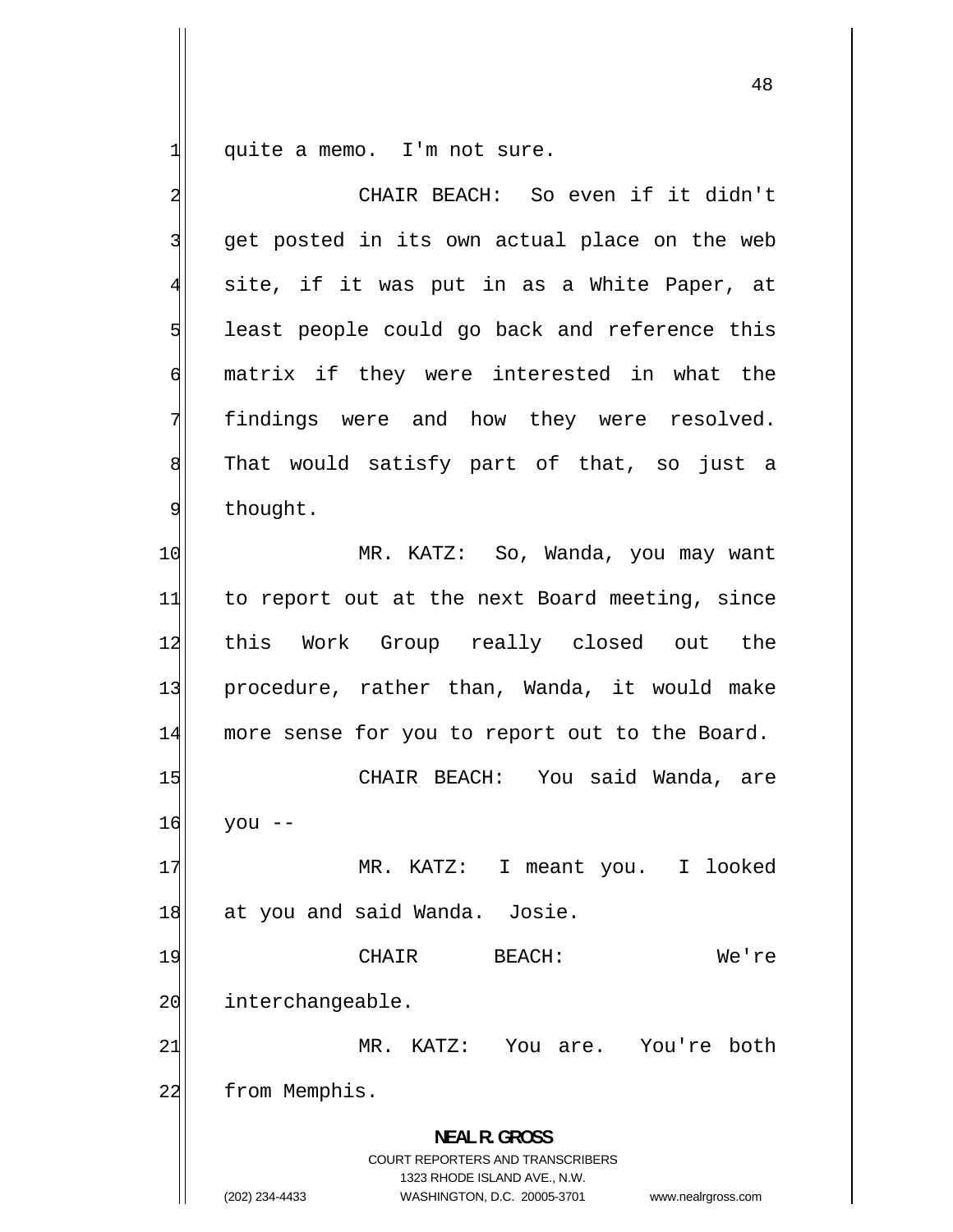1 quite a memo. I'm not sure.

| $\overline{a}$ | CHAIR BEACH: So even if it didn't                                                                                                                                      |
|----------------|------------------------------------------------------------------------------------------------------------------------------------------------------------------------|
| 3              | get posted in its own actual place on the web                                                                                                                          |
| $\overline{4}$ | site, if it was put in as a White Paper, at                                                                                                                            |
| 5              | least people could go back and reference this                                                                                                                          |
| 6              | matrix if they were interested in what the                                                                                                                             |
| 7              | findings were and how they were resolved.                                                                                                                              |
| 8              | That would satisfy part of that, so just a                                                                                                                             |
| $\overline{9}$ | thought.                                                                                                                                                               |
| 10             | MR. KATZ: So, Wanda, you may want                                                                                                                                      |
| 11             | to report out at the next Board meeting, since                                                                                                                         |
| 12             | this Work Group really closed out the                                                                                                                                  |
| 13             | procedure, rather than, Wanda, it would make                                                                                                                           |
| 14             | more sense for you to report out to the Board.                                                                                                                         |
| 15             | CHAIR BEACH: You said Wanda, are                                                                                                                                       |
| 16             | you --                                                                                                                                                                 |
| 17             | $MR$ .<br>KATZ: I meant you. I looked                                                                                                                                  |
| 18             | at you and said Wanda. Josie.                                                                                                                                          |
| 19             | CHAIR<br>We're<br><b>BEACH:</b>                                                                                                                                        |
| 20             | interchangeable.                                                                                                                                                       |
| 21             | KATZ:<br>MR.<br>You are. You're both                                                                                                                                   |
| 22             | from Memphis.                                                                                                                                                          |
|                | <b>NEAL R. GROSS</b><br><b>COURT REPORTERS AND TRANSCRIBERS</b><br>1323 RHODE ISLAND AVE., N.W.<br>(202) 234-4433<br>WASHINGTON, D.C. 20005-3701<br>www.nealrgross.com |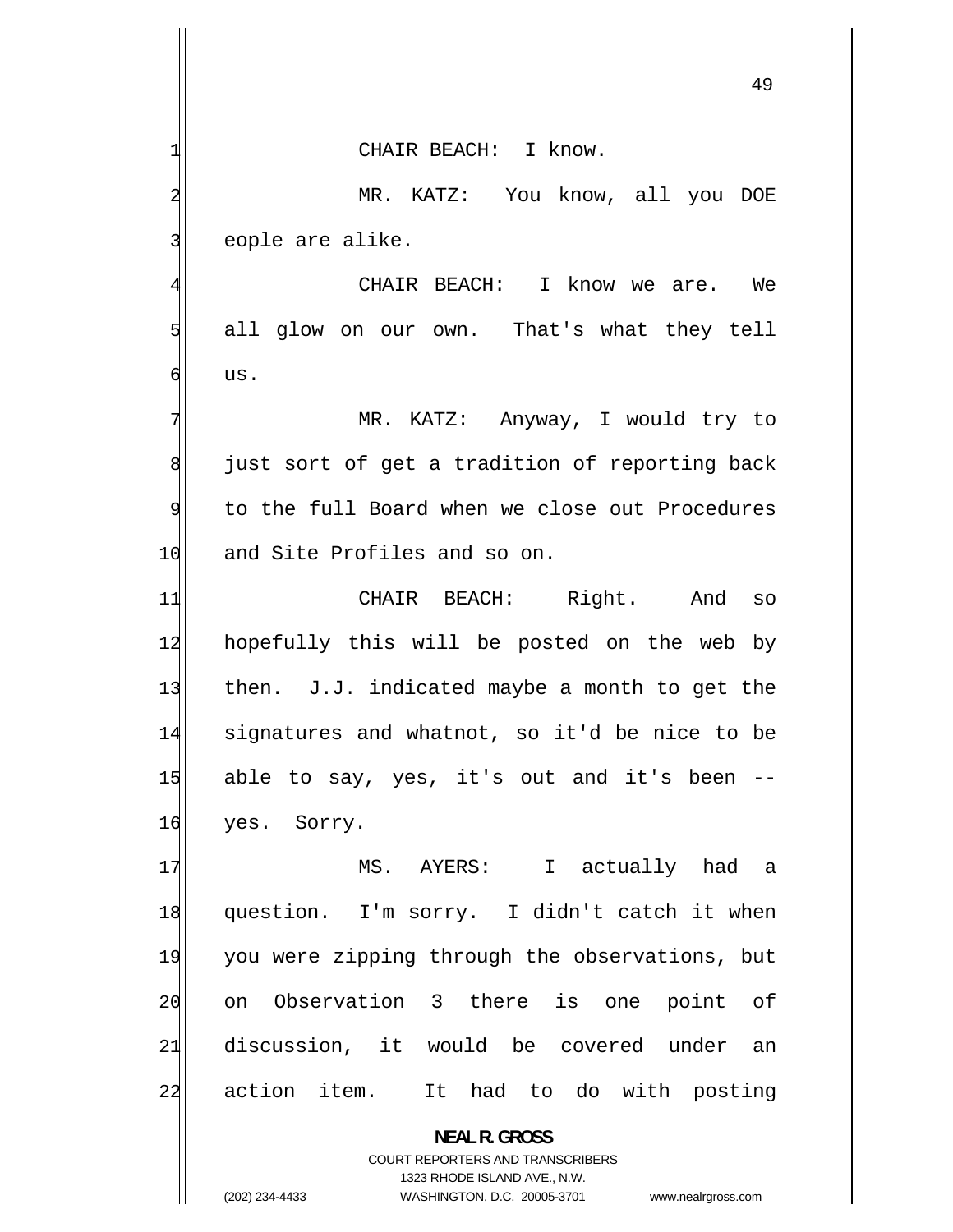49

 CHAIR BEACH: I know. MR. KATZ: You know, all you DOE

eople are alike.

1

2

3

5

6

4 CHAIR BEACH: I know we are. We all glow on our own. That's what they tell us.

7 MR. KATZ: Anyway, I would try to 8 just sort of get a tradition of reporting back 9 to the full Board when we close out Procedures 10 and Site Profiles and so on.

11 CHAIR BEACH: Right. And so 12 hopefully this will be posted on the web by 13 then. J.J. indicated maybe a month to get the 14 signatures and whatnot, so it'd be nice to be 15 able to say, yes, it's out and it's been -- 16 yes. Sorry.

17 MS. AYERS: I actually had a 18 question. I'm sorry. I didn't catch it when 19 you were zipping through the observations, but 20 on Observation 3 there is one point of 21 discussion, it would be covered under an 22 action item. It had to do with posting

> **NEAL R. GROSS**  COURT REPORTERS AND TRANSCRIBERS 1323 RHODE ISLAND AVE., N.W. (202) 234-4433 WASHINGTON, D.C. 20005-3701 www.nealrgross.com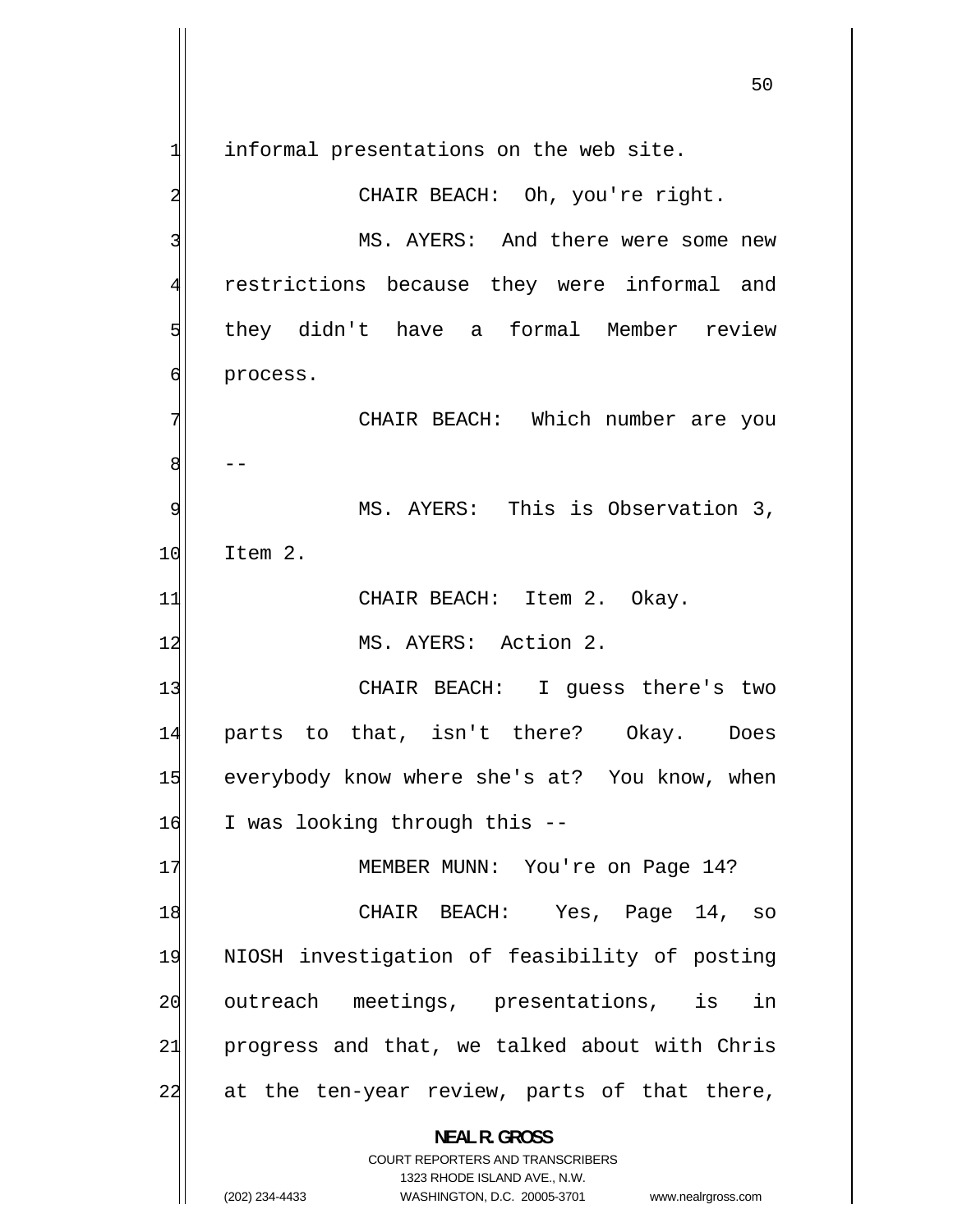-- 1 informal presentations on the web site. 2 CHAIR BEACH: Oh, you're right. 3 MS. AYERS: And there were some new [4](#page-3-0) restrictions because they were informal and [5](#page-4-0) they didn't have a formal Member review [6](#page-5-0) process. [7](#page-6-0) CHAIR BEACH: Which number are you [8](#page-7-0) [9](#page-8-0) MS. AYERS: This is Observation 3, [10](#page-9-0) Item 2. [11](#page-10-0) CHAIR BEACH: Item 2. Okay. [12](#page-11-0) MS. AYERS: Action 2. [13](#page-12-0) CHAIR BEACH: I guess there's two [14](#page-13-0) parts to that, isn't there? Okay. Does [15](#page-14-0) everybody know where she's at? You know, when [16](#page-15-0) I was looking through this -- [17](#page-16-0) MEMBER MUNN: You're on Page 14? [18](#page-17-0) CHAIR BEACH: Yes, Page 14, so [19](#page-18-0) NIOSH investigation of feasibility of posting [20](#page-19-0) outreach meetings, presentations, is in [21](#page-20-0) progress and that, we talked about with Chris [22](#page-21-0) at the ten-year review, parts of that there, **NEAL R. GROSS**  COURT REPORTERS AND TRANSCRIBERS 1323 RHODE ISLAND AVE., N.W.

<sup>(202) 234-4433</sup> WASHINGTON, D.C. 20005-3701 www.nealrgross.com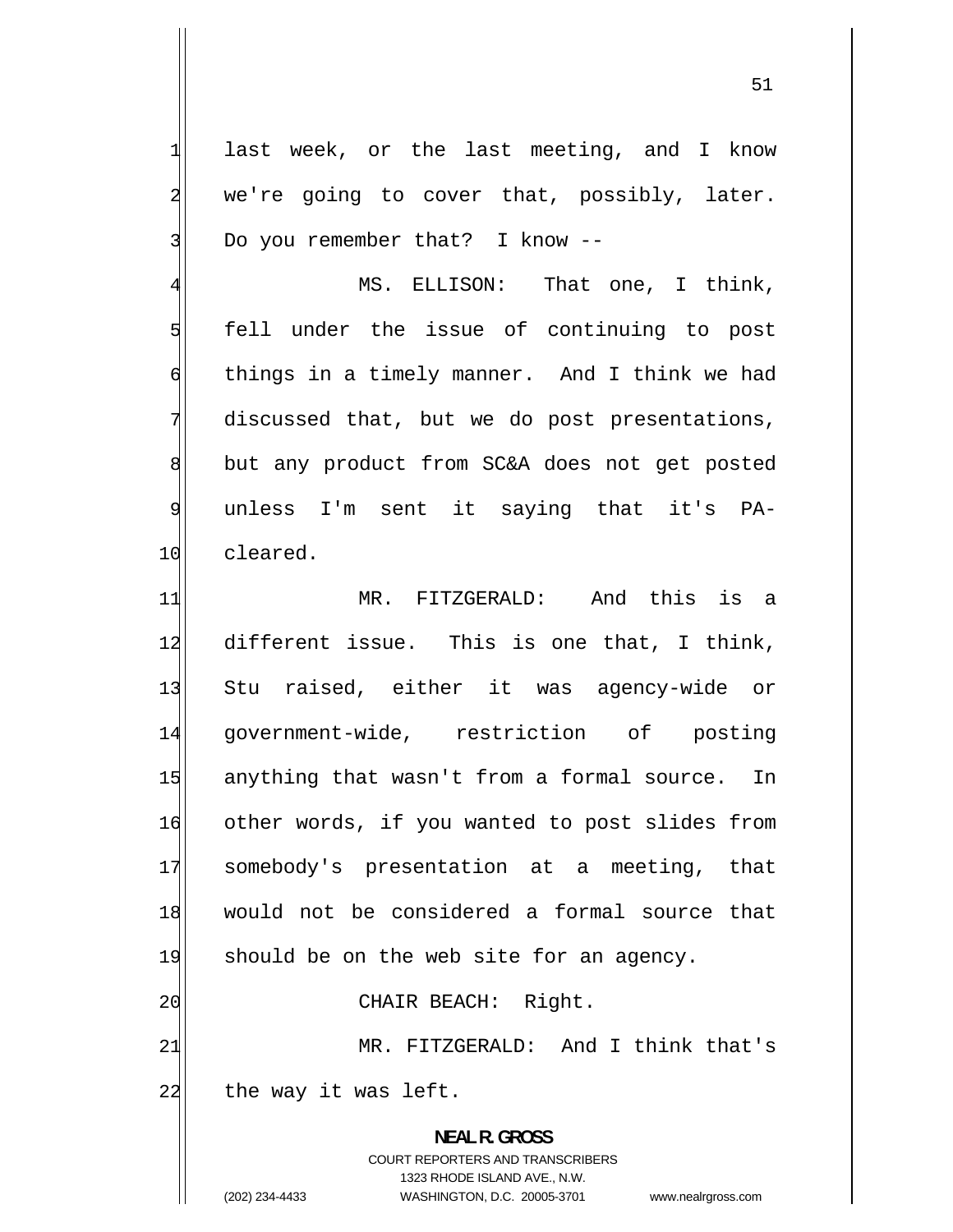last week, or the last meeting, and I know we're going to cover that, possibly, later. Do you remember that? I know --

4 MS. ELLISON: That one, I think, 5 fell under the issue of continuing to post 6 things in a timely manner. And I think we had 7 discussed that, but we do post presentations, 8 but any product from SC&A does not get posted 9 unless I'm sent it saying that it's PA-10 cleared.

11 MR. FITZGERALD: And this is a 12 different issue. This is one that, I think, 13 Stu raised, either it was agency-wide or 14 government-wide, restriction of posting 15 anything that wasn't from a formal source. In 16 other words, if you wanted to post slides from 17 somebody's presentation at a meeting, that 18 would not be considered a formal source that 19 should be on the web site for an agency. 20 CHAIR BEACH: Right. 21 MR. FITZGERALD: And I think that's  $22$  the way it was left. **NEAL R. GROSS** 

> COURT REPORTERS AND TRANSCRIBERS 1323 RHODE ISLAND AVE., N.W.

1

2

3

(202) 234-4433 WASHINGTON, D.C. 20005-3701 www.nealrgross.com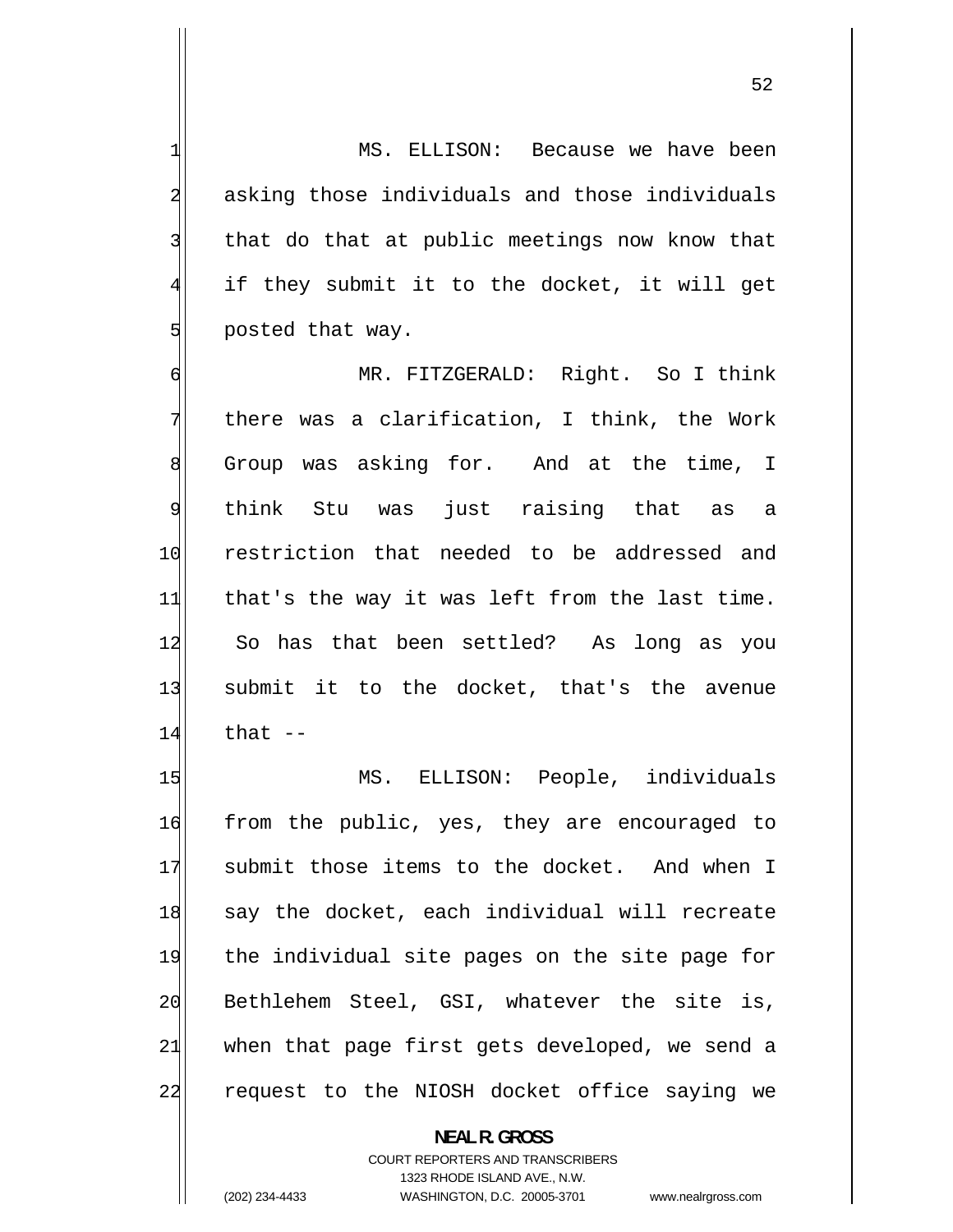MS. ELLISON: Because we have been asking those individuals and those individuals that do that at public meetings now know that if they submit it to the docket, it will get posted that way.

6 MR. FITZGERALD: Right. So I think 7 there was a clarification, I think, the Work 8 Group was asking for. And at the time, I 9 think Stu was just raising that as a 10 restriction that needed to be addressed and 11 that's the way it was left from the last time. 12 So has that been settled? As long as you 13 submit it to the docket, that's the avenue  $14$  that  $-$ 

15 MS. ELLISON: People, individuals 16 from the public, yes, they are encouraged to 17 submit those items to the docket. And when I 18 say the docket, each individual will recreate 19 the individual site pages on the site page for 20 Bethlehem Steel, GSI, whatever the site is, 21 when that page first gets developed, we send a 22 request to the NIOSH docket office saying we

> **NEAL R. GROSS**  COURT REPORTERS AND TRANSCRIBERS 1323 RHODE ISLAND AVE., N.W. (202) 234-4433 WASHINGTON, D.C. 20005-3701 www.nealrgross.com

1

2

3

4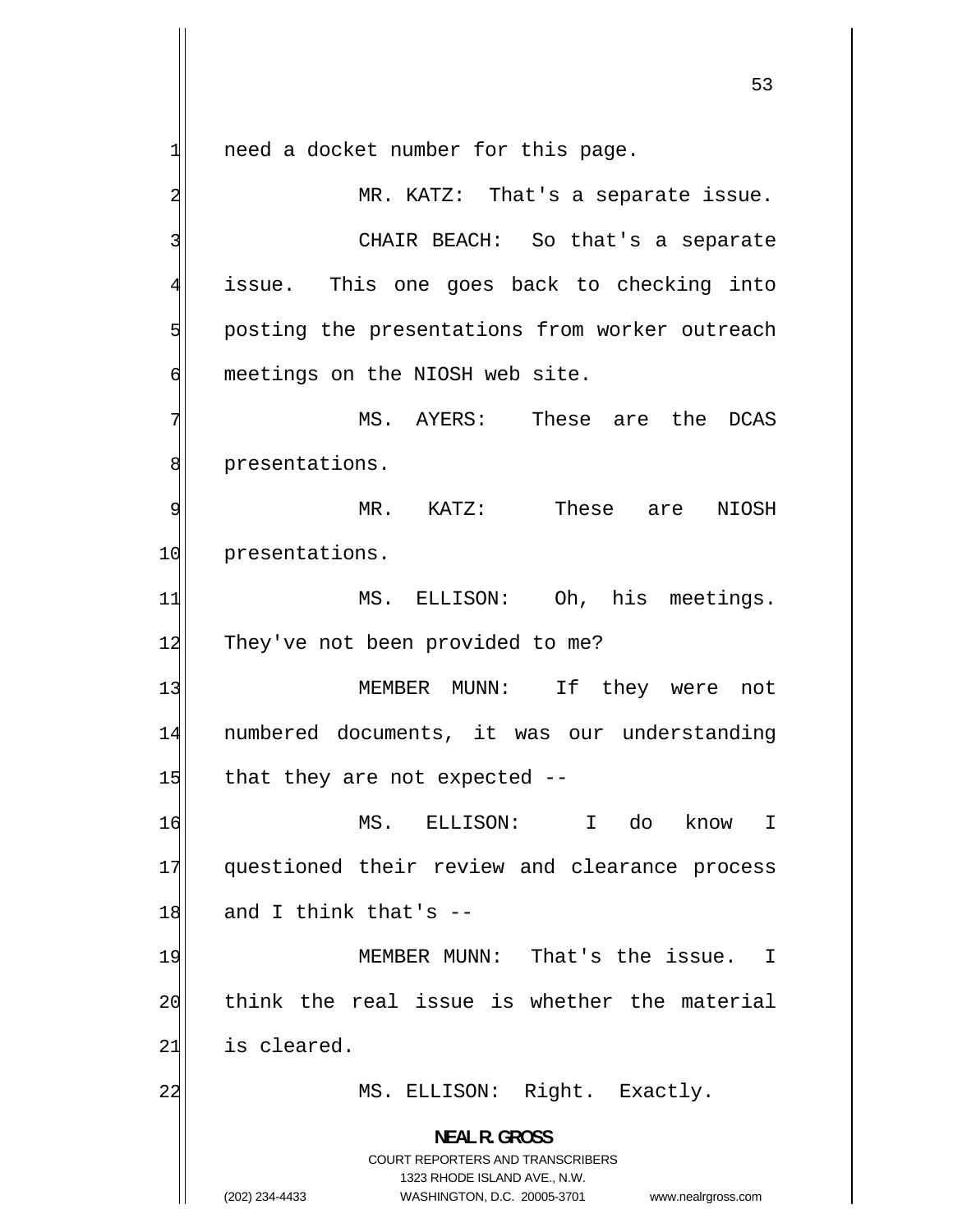1 need a docket number for this page. 2 MR. KATZ: That's a separate issue. 3 CHAIR BEACH: So that's a separate 4 issue. This one goes back to checking into 5 posting the presentations from worker outreach 6 meetings on the NIOSH web site. 7 MS. AYERS: These are the DCAS 8 presentations. 9 MR. KATZ: These are NIOSH 10 presentations. 11 MS. ELLISON: Oh, his meetings. 12 They've not been provided to me? 13 MEMBER MUNN: If they were not 14 numbered documents, it was our understanding  $15$  that they are not expected  $-$ 16 MS. ELLISON: I do know I 17 questioned their review and clearance process  $18$  and I think that's  $-$ 19 MEMBER MUNN: That's the issue. I 20 think the real issue is whether the material 21 is cleared. 22 MS. ELLISON: Right. Exactly.

> COURT REPORTERS AND TRANSCRIBERS 1323 RHODE ISLAND AVE., N.W.

**NEAL R. GROSS** 

(202) 234-4433 WASHINGTON, D.C. 20005-3701 www.nealrgross.com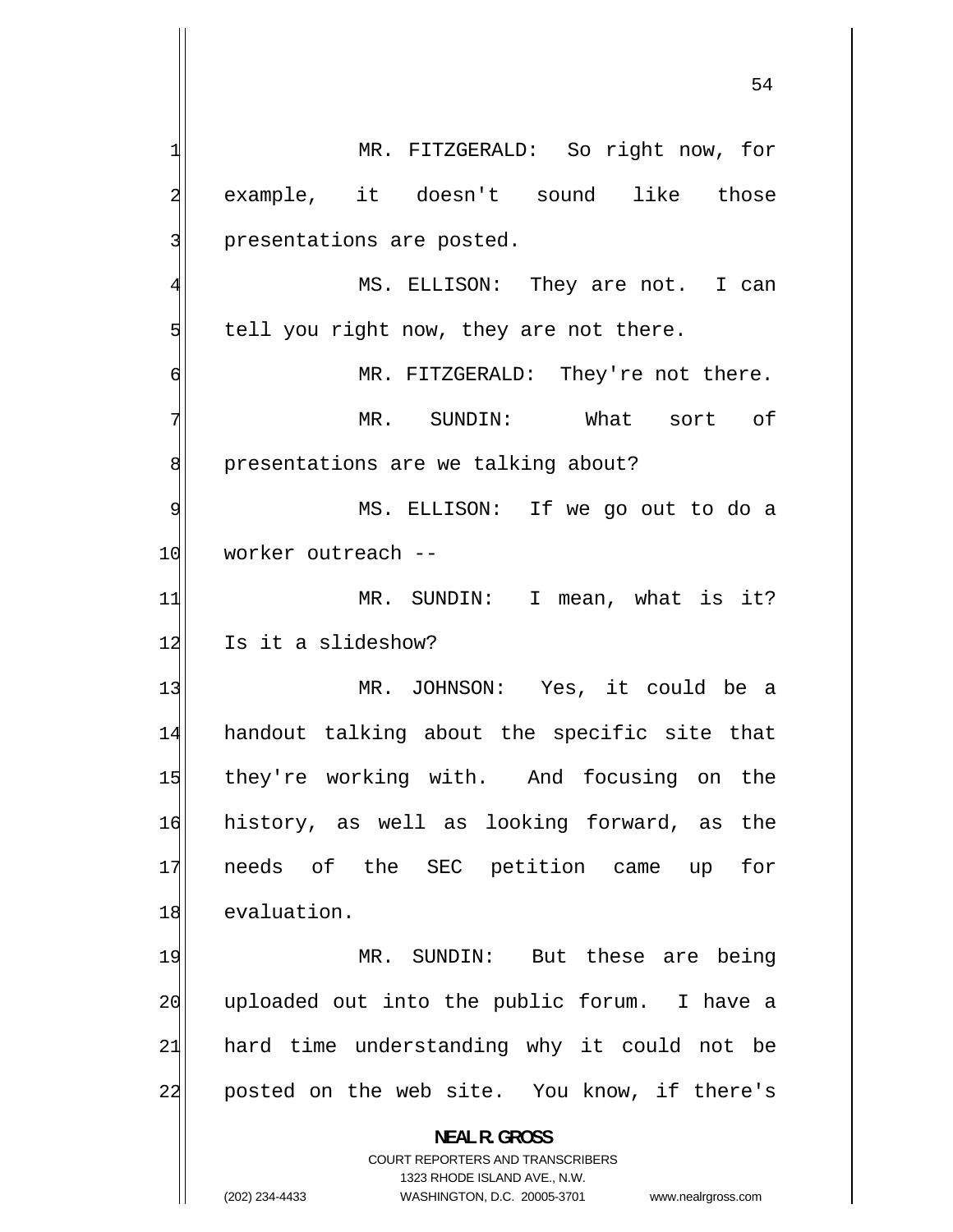1 MR. FITZGERALD: So right now, for 2 example, it doesn't sound like those 3 presentations are posted. 4 MS. ELLISON: They are not. I can 5 tell you right now, they are not there. 6 MR. FITZGERALD: They're not there. 7 MR. SUNDIN: What sort of 8 presentations are we talking about? 9 MS. ELLISON: If we go out to do a 10 worker outreach --11 MR. SUNDIN: I mean, what is it? 12 Is it a slideshow? 13 MR. JOHNSON: Yes, it could be a 14 handout talking about the specific site that 15 they're working with. And focusing on the 16 history, as well as looking forward, as the 17 needs of the SEC petition came up for 18 evaluation. 19 MR. SUNDIN: But these are being 20 uploaded out into the public forum. I have a 21 hard time understanding why it could not be 22 posted on the web site. You know, if there's **NEAL R. GROSS**  COURT REPORTERS AND TRANSCRIBERS 1323 RHODE ISLAND AVE., N.W. (202) 234-4433 WASHINGTON, D.C. 20005-3701 www.nealrgross.com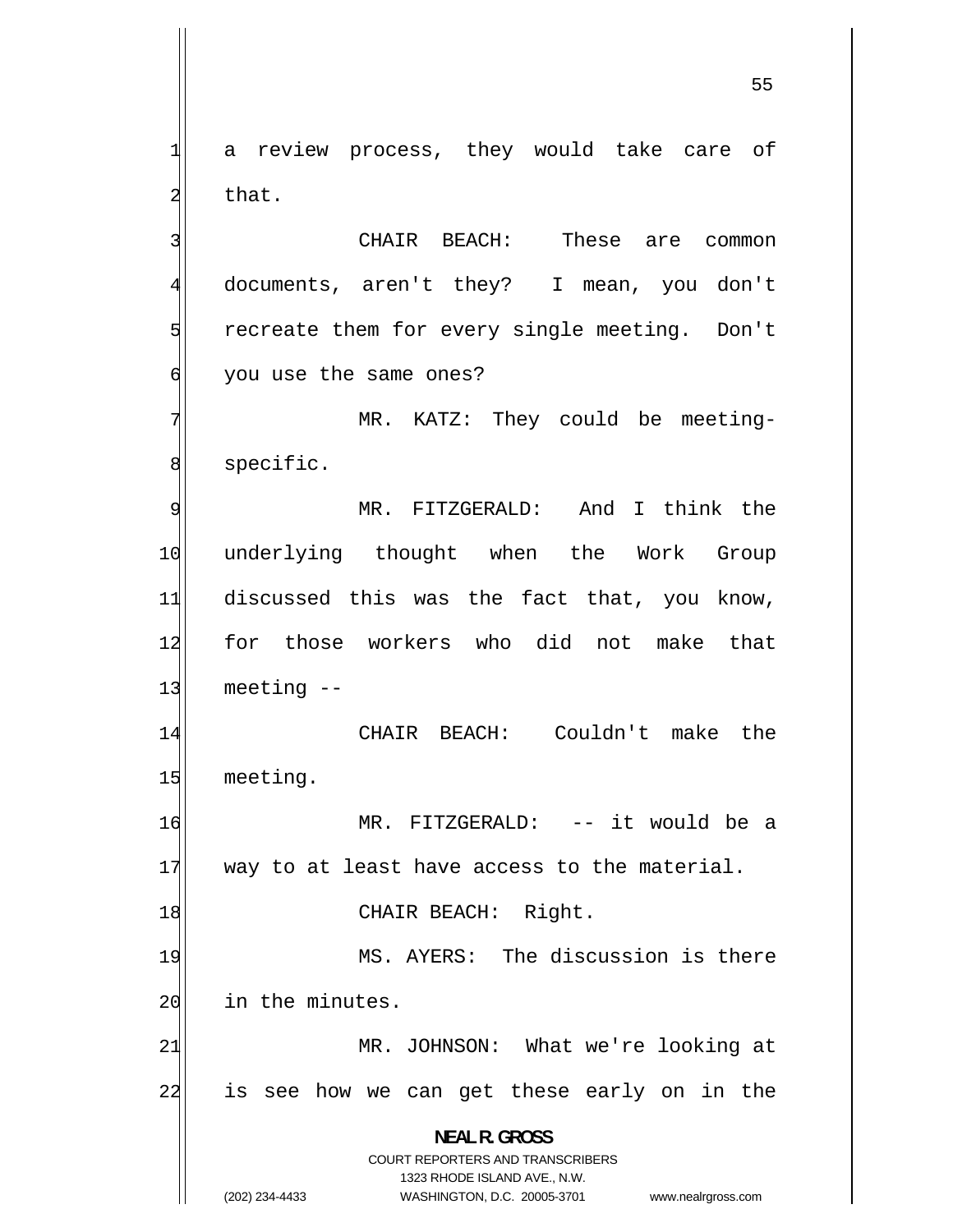1 a review process, they would take care of 2 that.

 CHAIR BEACH: These are common documents, aren't they? I mean, you don't recreate them for every single meeting. Don't you use the same ones?

7 MR. KATZ: They could be meeting-8 specific.

9 MR. FITZGERALD: And I think the 10 underlying thought when the Work Group 11 discussed this was the fact that, you know, 12 for those workers who did not make that  $13$  meeting  $-$ 

14 CHAIR BEACH: Couldn't make the 15 meeting.

16 MR. FITZGERALD: -- it would be a  $17$  way to at least have access to the material.

18 CHAIR BEACH: Right.

19 MS. AYERS: The discussion is there 20 in the minutes.

21 MR. JOHNSON: What we're looking at 22 is see how we can get these early on in the

> **NEAL R. GROSS**  COURT REPORTERS AND TRANSCRIBERS

> > 1323 RHODE ISLAND AVE., N.W.

3

4

5

6

(202) 234-4433 WASHINGTON, D.C. 20005-3701 www.nealrgross.com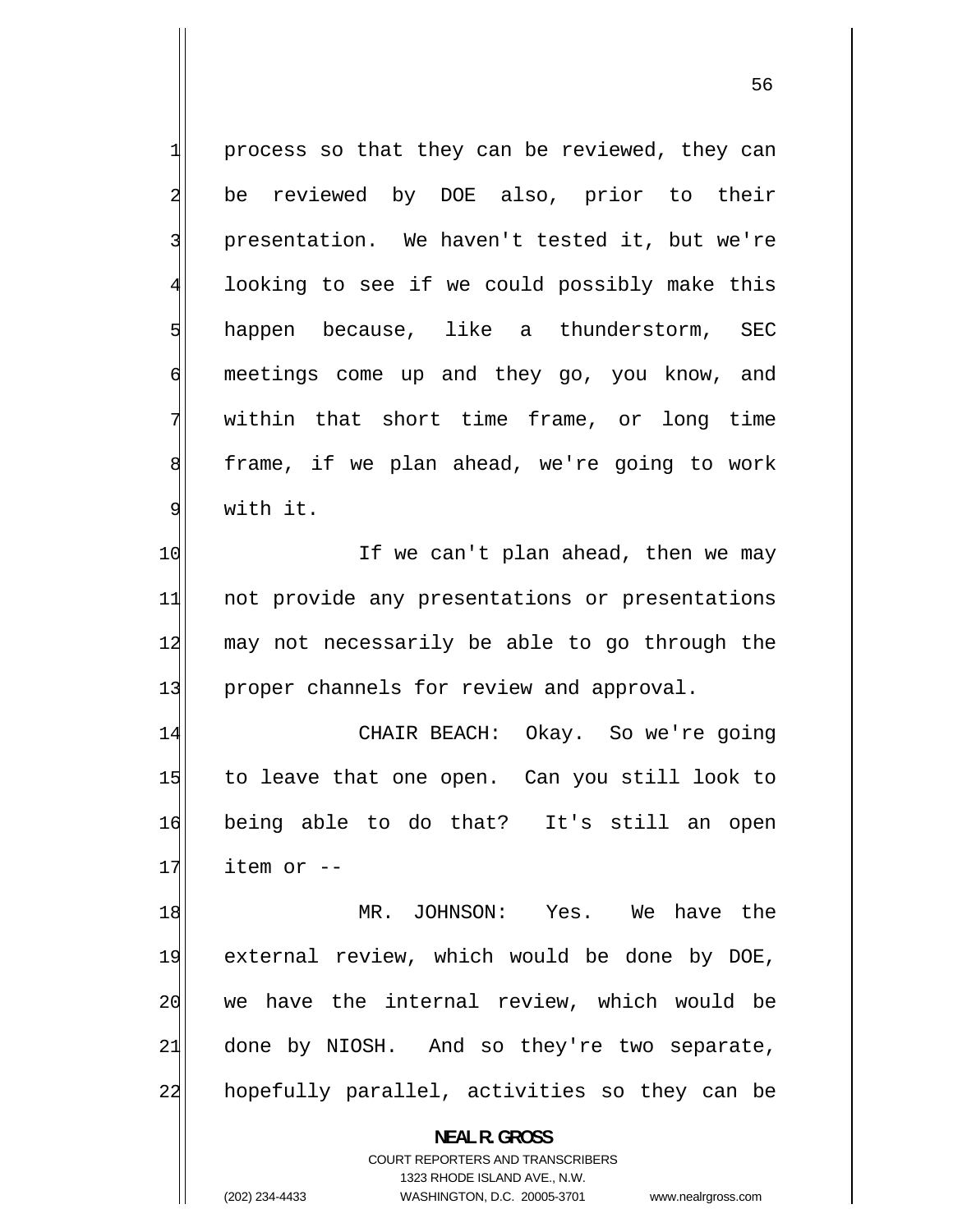1 process so that they can be reviewed, they can 2 be reviewed by DOE also, prior to their 3 presentation. We haven't tested it, but we're 4 looking to see if we could possibly make this 5 happen because, like a thunderstorm, SEC 6 meetings come up and they go, you know, and 7 within that short time frame, or long time 8 frame, if we plan ahead, we're going to work 9 with it. 10 If we can't plan ahead, then we may 11 not provide any presentations or presentations 12 may not necessarily be able to go through the 13 proper channels for review and approval. 14 CHAIR BEACH: Okay. So we're going 15 to leave that one open. Can you still look to 16 being able to do that? It's still an open  $17$  item or  $-$ 18 MR. JOHNSON: Yes. We have the 19 external review, which would be done by DOE, 20 we have the internal review, which would be 21 done by NIOSH. And so they're two separate, 22 hopefully parallel, activities so they can be **NEAL R. GROSS** 

> COURT REPORTERS AND TRANSCRIBERS 1323 RHODE ISLAND AVE., N.W.

(202) 234-4433 WASHINGTON, D.C. 20005-3701 www.nealrgross.com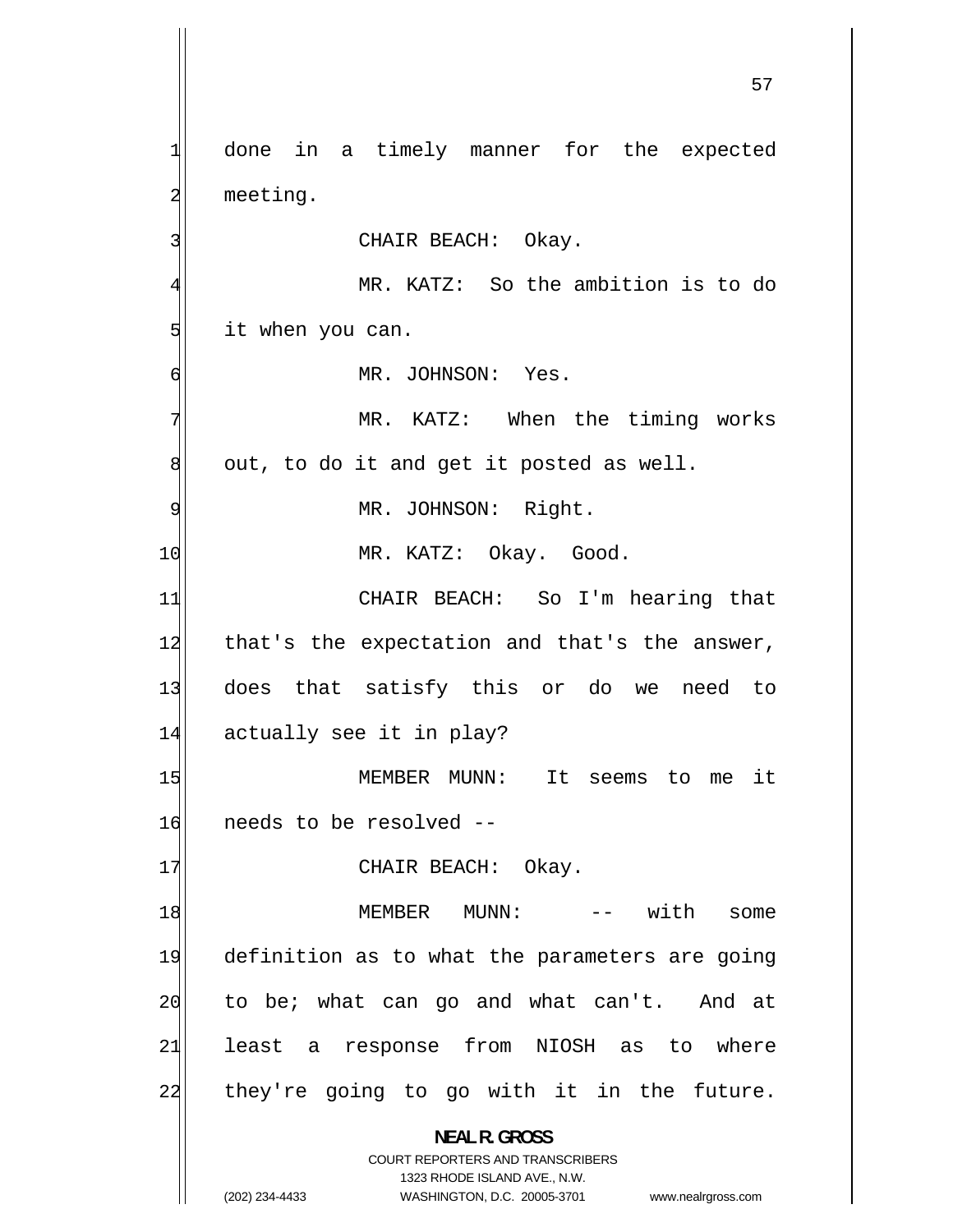1 done in a timely manner for the expected 2 meeting. 3 CHAIR BEACH: Okay. 4 MR. KATZ: So the ambition is to do 5 it when you can. 6 MR. JOHNSON: Yes. 7 MR. KATZ: When the timing works 8 out, to do it and get it posted as well. 9 MR. JOHNSON: Right. 10 MR. KATZ: Okay. Good. 11 CHAIR BEACH: So I'm hearing that 12 that's the expectation and that's the answer, 13 does that satisfy this or do we need to 14 actually see it in play? 15 MEMBER MUNN: It seems to me it 16 needs to be resolved -- 17 CHAIR BEACH: Okay. 18 MEMBER MUNN: -- with some 19 definition as to what the parameters are going 20 to be; what can go and what can't. And at 21 least a response from NIOSH as to where 22 they're going to go with it in the future. **NEAL R. GROSS**  COURT REPORTERS AND TRANSCRIBERS 1323 RHODE ISLAND AVE., N.W. (202) 234-4433 WASHINGTON, D.C. 20005-3701 www.nealrgross.com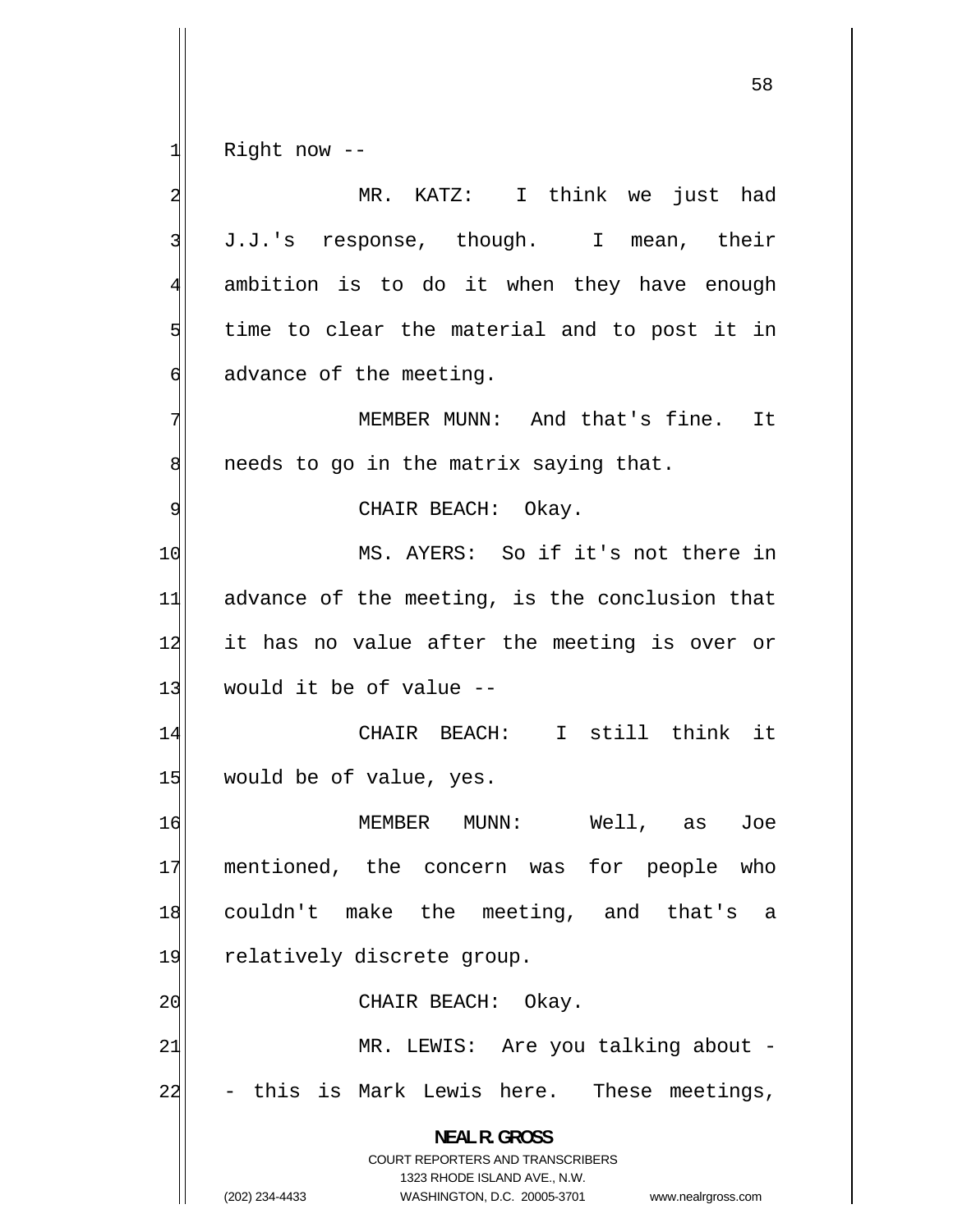1 Right now --

2 MR. KATZ: I think we just had 3 J.J.'s response, though. I mean, their 4 ambition is to do it when they have enough 5 time to clear the material and to post it in 6 advance of the meeting. 7 MEMBER MUNN: And that's fine. It 8 needs to go in the matrix saying that. 9 CHAIR BEACH: Okay. 10 MS. AYERS: So if it's not there in 11 advance of the meeting, is the conclusion that 12 it has no value after the meeting is over or  $13$  would it be of value  $-$ 14 CHAIR BEACH: I still think it 15 would be of value, yes. 16 MEMBER MUNN: Well, as Joe 17 mentioned, the concern was for people who 18 couldn't make the meeting, and that's a 19 relatively discrete group. 20 CHAIR BEACH: Okay. 21 MR. LEWIS: Are you talking about -22 this is Mark Lewis here. These meetings, **NEAL R. GROSS**  COURT REPORTERS AND TRANSCRIBERS 1323 RHODE ISLAND AVE., N.W. (202) 234-4433 WASHINGTON, D.C. 20005-3701 www.nealrgross.com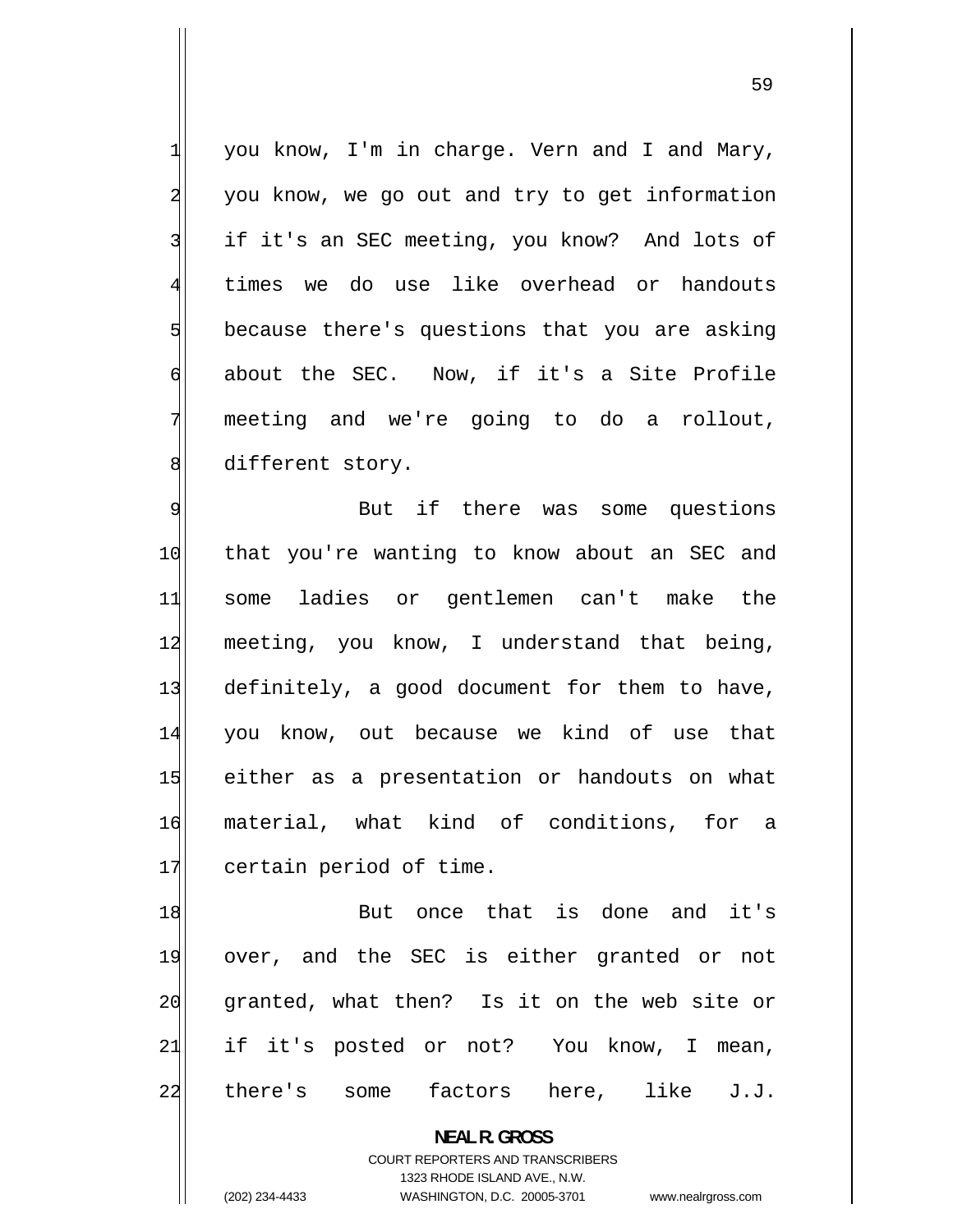you know, I'm in charge. Vern and I and Mary, you know, we go out and try to get information if it's an SEC meeting, you know? And lots of times we do use like overhead or handouts because there's questions that you are asking about the SEC. Now, if it's a Site Profile meeting and we're going to do a rollout, different story.

9 But if there was some questions 10 that you're wanting to know about an SEC and 11 some ladies or gentlemen can't make the 12 meeting, you know, I understand that being, 13 definitely, a good document for them to have, 14 you know, out because we kind of use that 15 either as a presentation or handouts on what 16 material, what kind of conditions, for a 17 certain period of time.

18 But once that is done and it's 19 over, and the SEC is either granted or not 20 granted, what then? Is it on the web site or 21 if it's posted or not? You know, I mean, 22 there's some factors here, like J.J.

> **NEAL R. GROSS**  COURT REPORTERS AND TRANSCRIBERS

> > 1323 RHODE ISLAND AVE., N.W.

1

2

3

4

5

6

7

8

(202) 234-4433 WASHINGTON, D.C. 20005-3701 www.nealrgross.com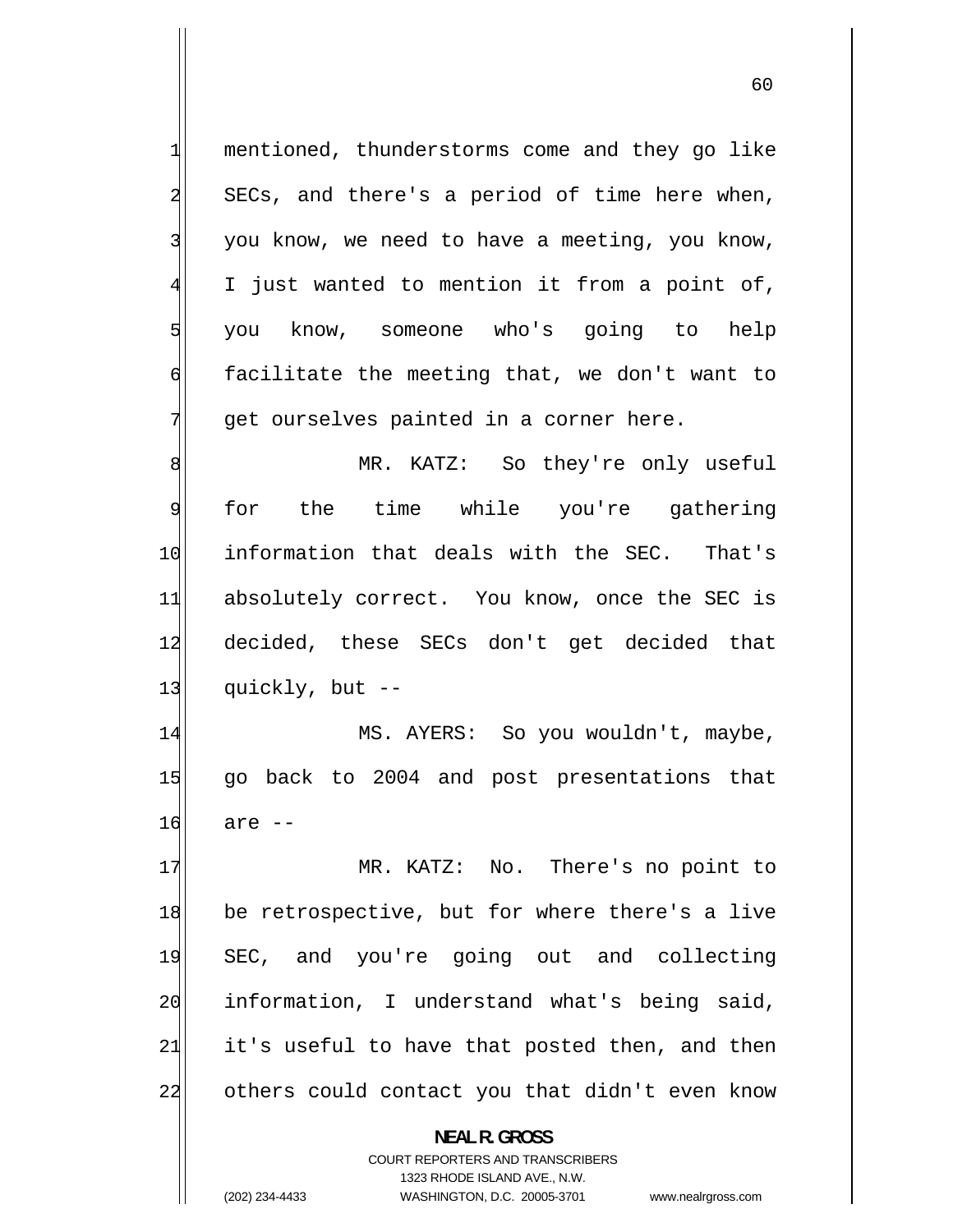1 mentioned, thunderstorms come and they go like 2 SECs, and there's a period of time here when, 3 you know, we need to have a meeting, you know, 4 I just wanted to mention it from a point of, 5 you know, someone who's going to help 6 facilitate the meeting that, we don't want to 7 get ourselves painted in a corner here. 8 MR. KATZ: So they're only useful 9 for the time while you're gathering 10 information that deals with the SEC. That's 11 absolutely correct. You know, once the SEC is 12 decided, these SECs don't get decided that  $13$  quickly, but  $-$ 14 MS. AYERS: So you wouldn't, maybe, 15 go back to 2004 and post presentations that 16 are -- 17 MR. KATZ: No. There's no point to 18 be retrospective, but for where there's a live 19 SEC, and you're going out and collecting 20 information, I understand what's being said, 21 it's useful to have that posted then, and then 22 others could contact you that didn't even know **NEAL R. GROSS**  COURT REPORTERS AND TRANSCRIBERS 1323 RHODE ISLAND AVE., N.W.

(202) 234-4433 WASHINGTON, D.C. 20005-3701 www.nealrgross.com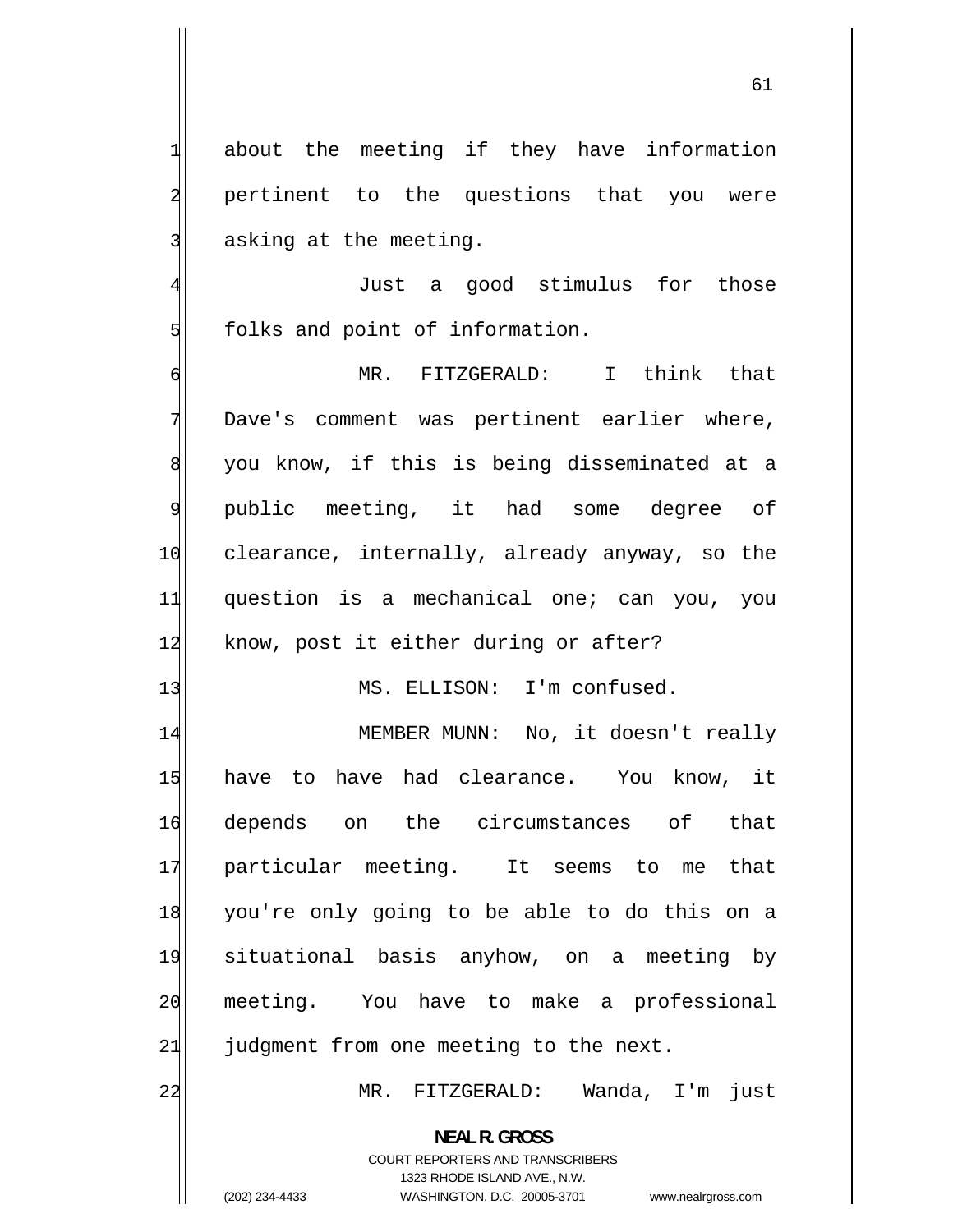about the meeting if they have information

2 pertinent to the questions that you were 3 asking at the meeting.

1

4 Just a good stimulus for those 5 folks and point of information.

6 MR. FITZGERALD: I think that 7 Dave's comment was pertinent earlier where, 8 you know, if this is being disseminated at a 9 public meeting, it had some degree of 10 clearance, internally, already anyway, so the 11 question is a mechanical one; can you, you 12 know, post it either during or after?

13 MS. ELLISON: I'm confused.

14 MEMBER MUNN: No, it doesn't really 15 have to have had clearance. You know, it 16 depends on the circumstances of that 17 particular meeting. It seems to me that 18 you're only going to be able to do this on a 19 situational basis anyhow, on a meeting by 20 meeting. You have to make a professional  $21$  judgment from one meeting to the next.

MR. FITZGERALD: Wanda, I'm just

**NEAL R. GROSS**  COURT REPORTERS AND TRANSCRIBERS

1323 RHODE ISLAND AVE., N.W.

22

(202) 234-4433 WASHINGTON, D.C. 20005-3701 www.nealrgross.com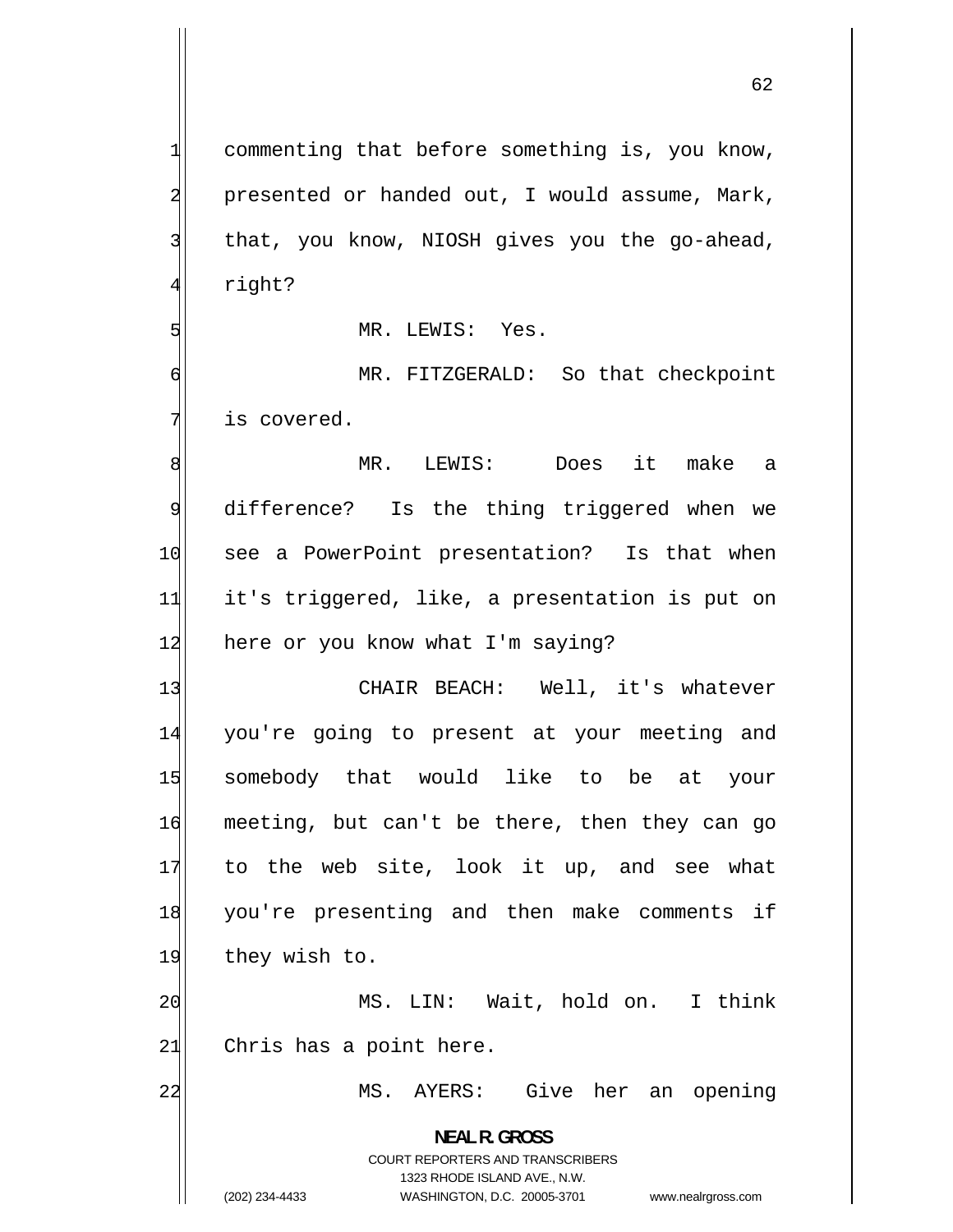1 commenting that before something is, you know, 2 presented or handed out, I would assume, Mark, 3 that, you know, NIOSH gives you the go-ahead, 4 right? 5 MR. LEWIS: Yes. 6 MR. FITZGERALD: So that checkpoint 7 is covered. 8 MR. LEWIS: Does it make a 9 difference? Is the thing triggered when we 10 see a PowerPoint presentation? Is that when 11 it's triggered, like, a presentation is put on 12 here or you know what I'm saying? 13 CHAIR BEACH: Well, it's whatever 14 you're going to present at your meeting and 15 somebody that would like to be at your 16 meeting, but can't be there, then they can go 17 to the web site, look it up, and see what 18 you're presenting and then make comments if 19 they wish to. 20 MS. LIN: Wait, hold on. I think  $21$  Chris has a point here. 22 MS. AYERS: Give her an opening **NEAL R. GROSS**  COURT REPORTERS AND TRANSCRIBERS 1323 RHODE ISLAND AVE., N.W.

(202) 234-4433 WASHINGTON, D.C. 20005-3701 www.nealrgross.com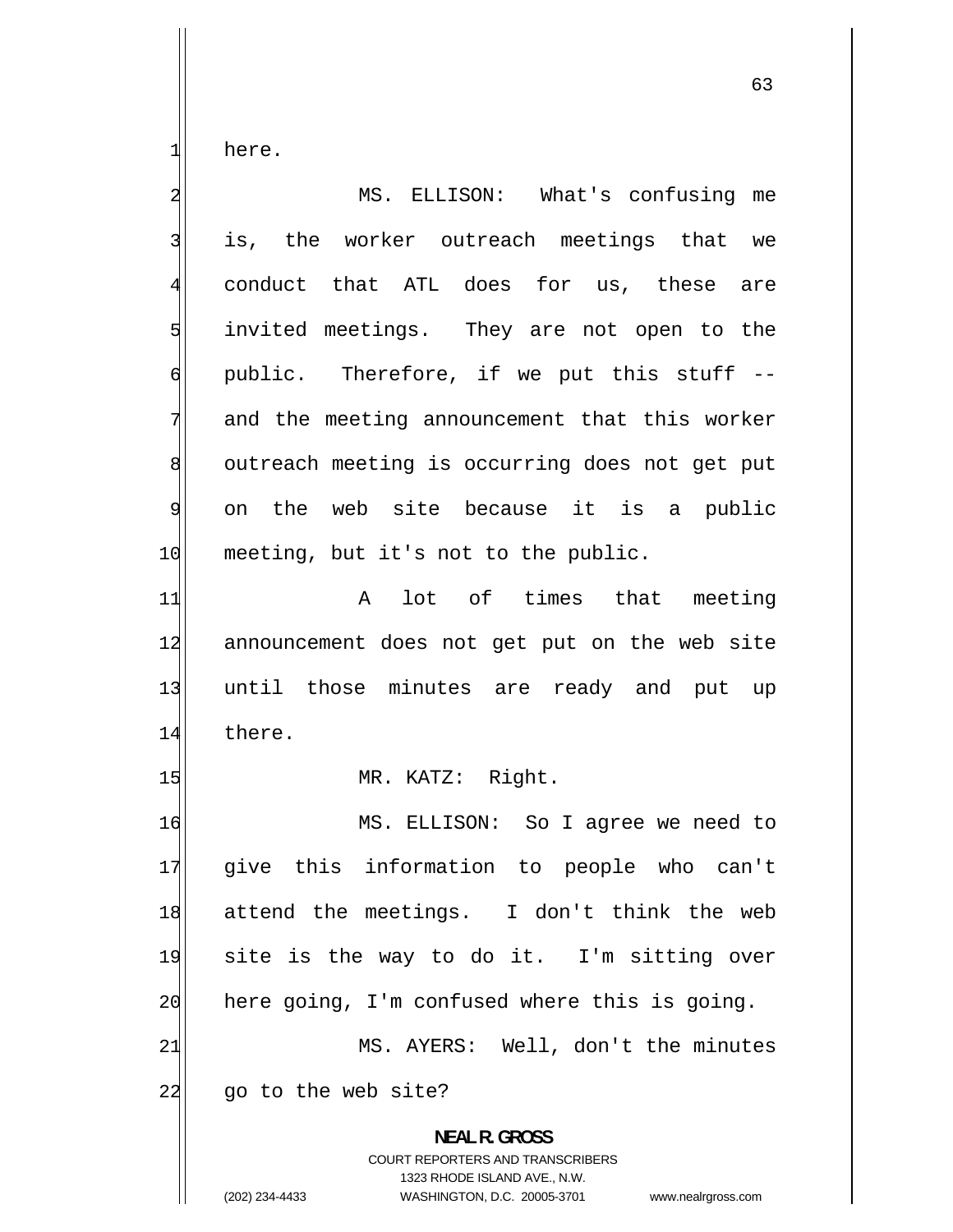here.

1

| $\overline{\mathbf{c}}$ | MS. ELLISON: What's confusing me                                                                                                                                       |
|-------------------------|------------------------------------------------------------------------------------------------------------------------------------------------------------------------|
| 3                       | is, the worker outreach meetings that we                                                                                                                               |
| $\overline{4}$          | conduct that ATL does for us, these are                                                                                                                                |
| 5                       | invited meetings. They are not open to the                                                                                                                             |
| $\mathsf{G}$            | public. Therefore, if we put this stuff --                                                                                                                             |
| 7                       | and the meeting announcement that this worker                                                                                                                          |
| 8                       | outreach meeting is occurring does not get put                                                                                                                         |
| $\overline{9}$          | on the web site because it is a public                                                                                                                                 |
| 10                      | meeting, but it's not to the public.                                                                                                                                   |
| 11                      | lot of times that meeting<br>$\mathsf{A}$                                                                                                                              |
| 12                      | announcement does not get put on the web site                                                                                                                          |
| 13                      | until those minutes are ready and put up                                                                                                                               |
| 14                      | there.                                                                                                                                                                 |
| 15                      | MR. KATZ: Right.                                                                                                                                                       |
| 16                      | MS. ELLISON: So I agree we need to                                                                                                                                     |
| 17                      | give this information to people who can't                                                                                                                              |
| 18                      | attend the meetings. I don't think the web                                                                                                                             |
| 19                      | site is the way to do it. I'm sitting over                                                                                                                             |
| 20                      | here going, I'm confused where this is going.                                                                                                                          |
| 21                      | MS. AYERS: Well, don't the minutes                                                                                                                                     |
| 22                      | go to the web site?                                                                                                                                                    |
|                         | <b>NEAL R. GROSS</b><br><b>COURT REPORTERS AND TRANSCRIBERS</b><br>1323 RHODE ISLAND AVE., N.W.<br>(202) 234-4433<br>WASHINGTON, D.C. 20005-3701<br>www.nealrgross.com |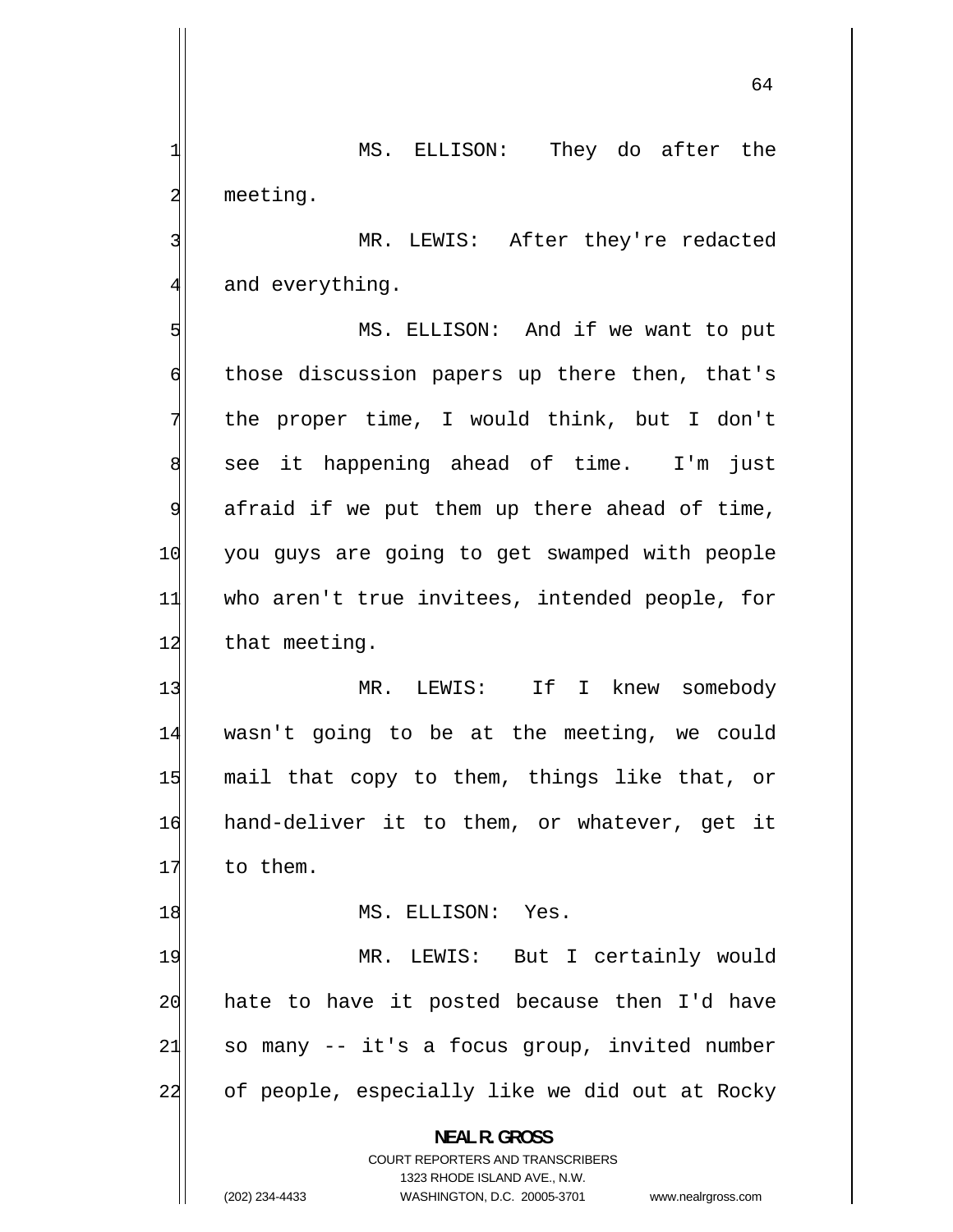MS. ELLISON: They do after the meeting.

 MR. LEWIS: After they're redacted and everything.

5 MS. ELLISON: And if we want to put 6 those discussion papers up there then, that's 7 the proper time, I would think, but I don't 8 see it happening ahead of time. I'm just 9 afraid if we put them up there ahead of time, 10 you guys are going to get swamped with people 11 who aren't true invitees, intended people, for 12 that meeting.

13 MR. LEWIS: If I knew somebody 14 wasn't going to be at the meeting, we could 15 mail that copy to them, things like that, or 16 hand-deliver it to them, or whatever, get it 17 to them.

MS. ELLISON: Yes.

19 MR. LEWIS: But I certainly would 20 hate to have it posted because then I'd have 21 so many -- it's a focus group, invited number 22 of people, especially like we did out at Rocky

> **NEAL R. GROSS**  COURT REPORTERS AND TRANSCRIBERS 1323 RHODE ISLAND AVE., N.W.

1

2

3

4

18

(202) 234-4433 WASHINGTON, D.C. 20005-3701 www.nealrgross.com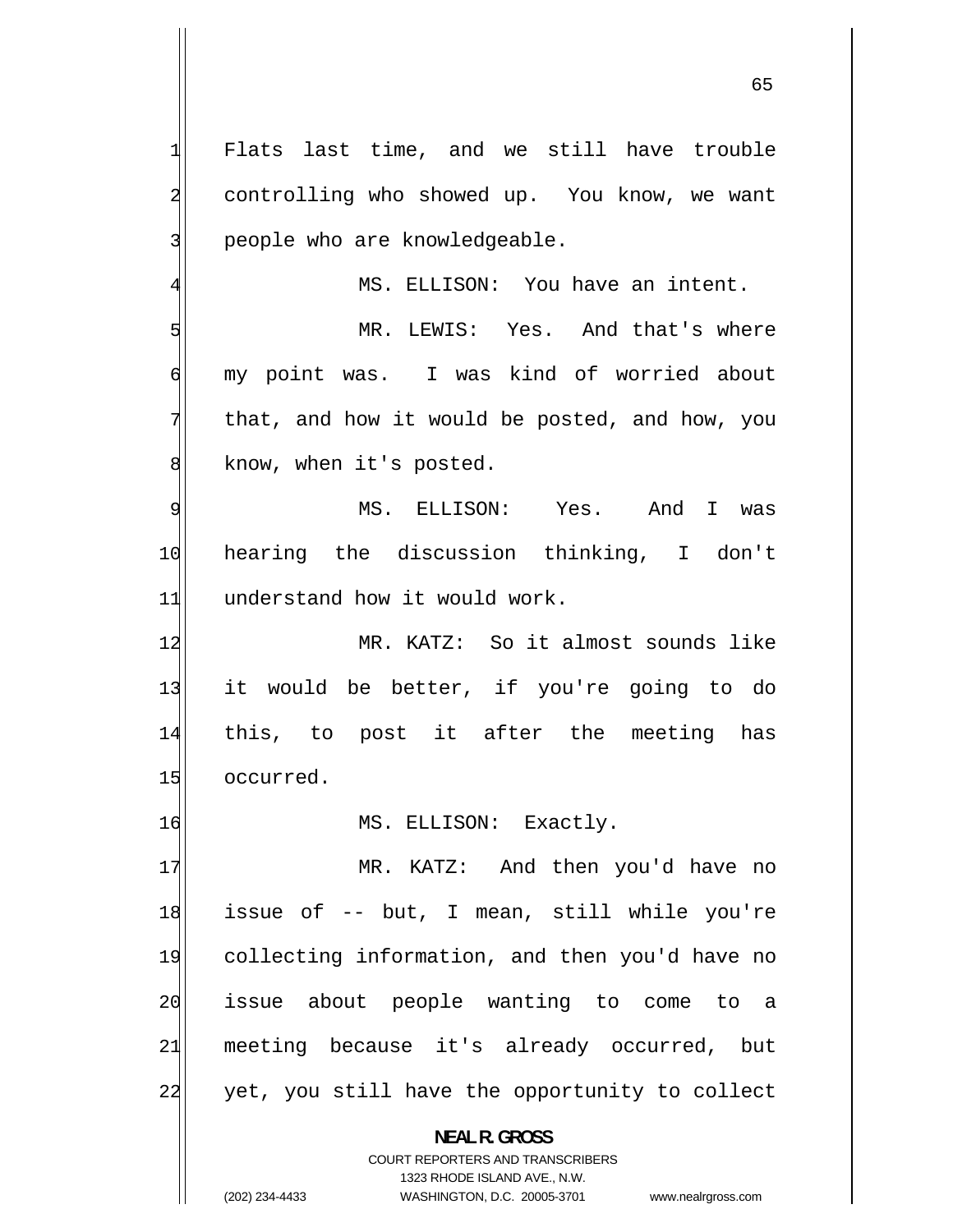Flats last time, and we still have trouble controlling who showed up. You know, we want people who are knowledgeable.

1

2

3

5

6

7

8

4

MS. ELLISON: You have an intent.

 MR. LEWIS: Yes. And that's where my point was. I was kind of worried about that, and how it would be posted, and how, you know, when it's posted.

9 MS. ELLISON: Yes. And I was 10 hearing the discussion thinking, I don't 11 understand how it would work.

12 MR. KATZ: So it almost sounds like 13 it would be better, if you're going to do 14 this, to post it after the meeting has 15 occurred.

16 MS. ELLISON: Exactly.

17 MR. KATZ: And then you'd have no 18 issue of -- but, I mean, still while you're 19 collecting information, and then you'd have no 20 issue about people wanting to come to a 21 meeting because it's already occurred, but 22 yet, you still have the opportunity to collect

**NEAL R. GROSS** 

COURT REPORTERS AND TRANSCRIBERS 1323 RHODE ISLAND AVE., N.W. (202) 234-4433 WASHINGTON, D.C. 20005-3701 www.nealrgross.com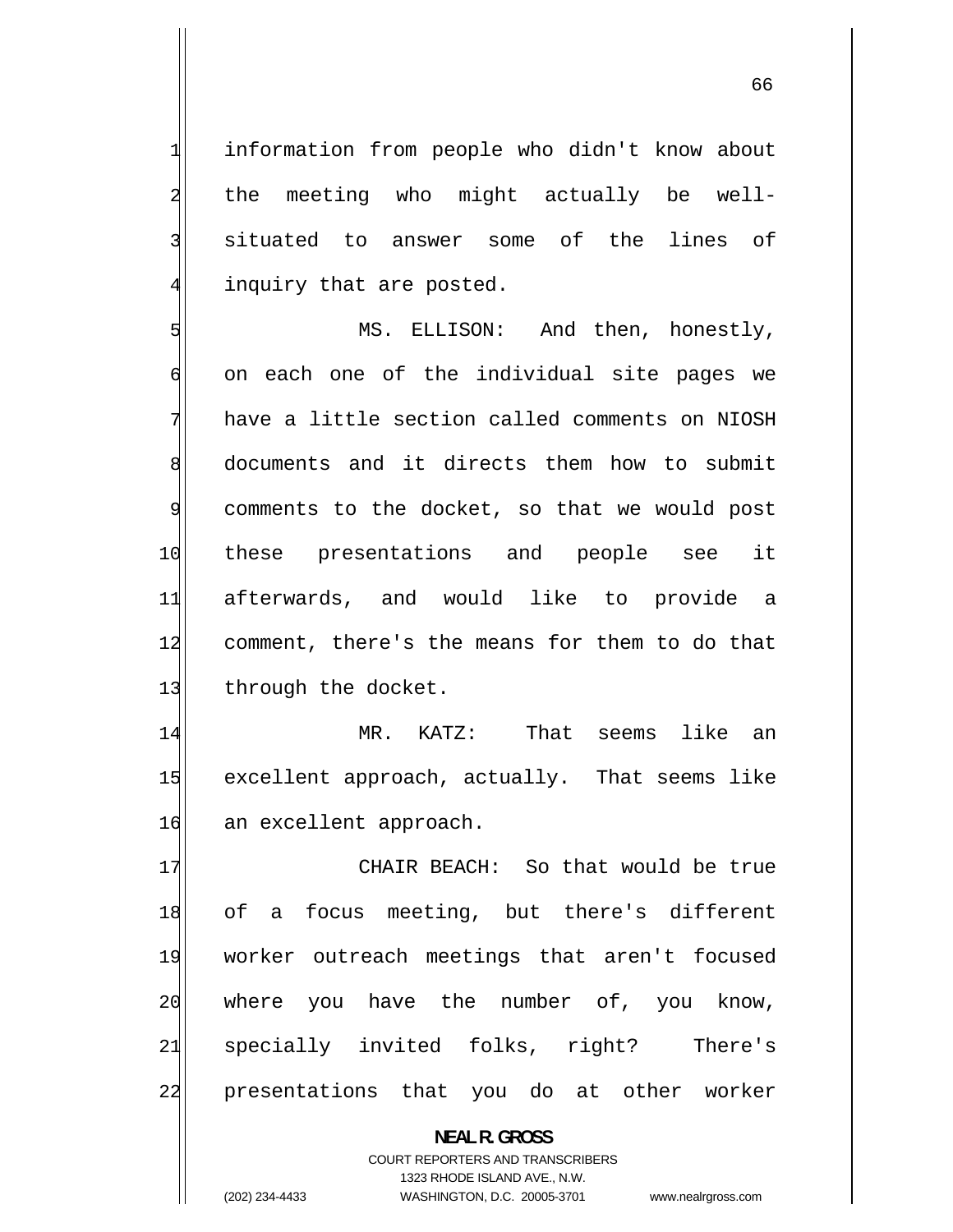information from people who didn't know about the meeting who might actually be well situated to answer some of the lines of inquiry that are posted.

1

2

3

4

5 MS. ELLISON: And then, honestly, 6 on each one of the individual site pages we 7 have a little section called comments on NIOSH 8 documents and it directs them how to submit 9 comments to the docket, so that we would post 10 these presentations and people see it 11 afterwards, and would like to provide a 12 comment, there's the means for them to do that 13 through the docket.

14 MR. KATZ: That seems like an 15 excellent approach, actually. That seems like 16 an excellent approach.

17 CHAIR BEACH: So that would be true 18 of a focus meeting, but there's different 19 worker outreach meetings that aren't focused 20 where you have the number of, you know, 21 specially invited folks, right? There's 22 presentations that you do at other worker

> **NEAL R. GROSS**  COURT REPORTERS AND TRANSCRIBERS 1323 RHODE ISLAND AVE., N.W. (202) 234-4433 WASHINGTON, D.C. 20005-3701 www.nealrgross.com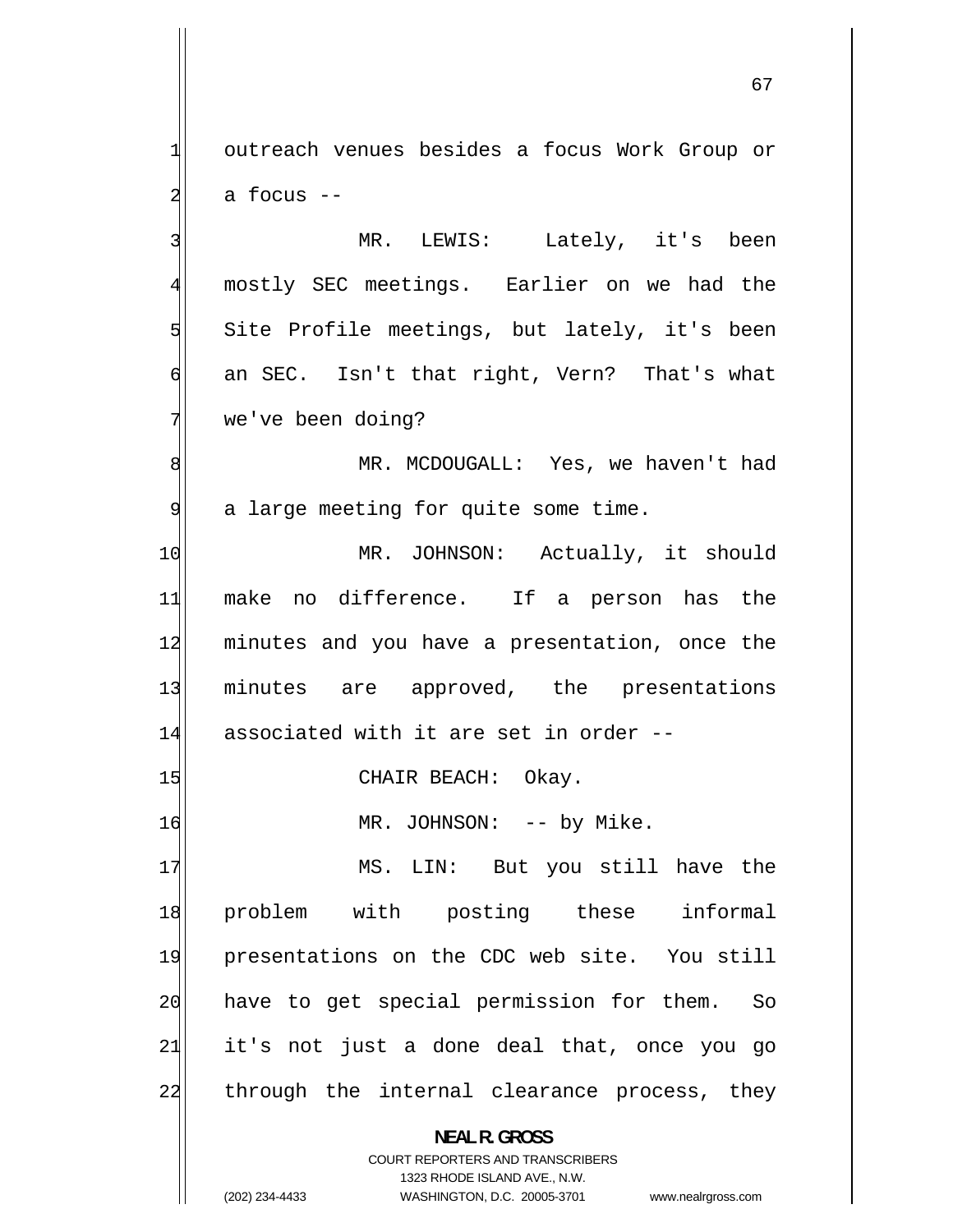outreach venues besides a focus Work Group or a focus --

1

2

3

4

5

6

7

 MR. LEWIS: Lately, it's been mostly SEC meetings. Earlier on we had the Site Profile meetings, but lately, it's been an SEC. Isn't that right, Vern? That's what we've been doing?

8 MR. MCDOUGALL: Yes, we haven't had 9 a large meeting for quite some time.

10 MR. JOHNSON: Actually, it should 11 make no difference. If a person has the 12 minutes and you have a presentation, once the 13 minutes are approved, the presentations 14 associated with it are set in order --

15 CHAIR BEACH: Okay.

16 MR. JOHNSON: -- by Mike.

17 MS. LIN: But you still have the 18 problem with posting these informal 19 presentations on the CDC web site. You still 20 have to get special permission for them. So 21 it's not just a done deal that, once you go 22 through the internal clearance process, they

**NEAL R. GROSS** 

COURT REPORTERS AND TRANSCRIBERS 1323 RHODE ISLAND AVE., N.W. (202) 234-4433 WASHINGTON, D.C. 20005-3701 www.nealrgross.com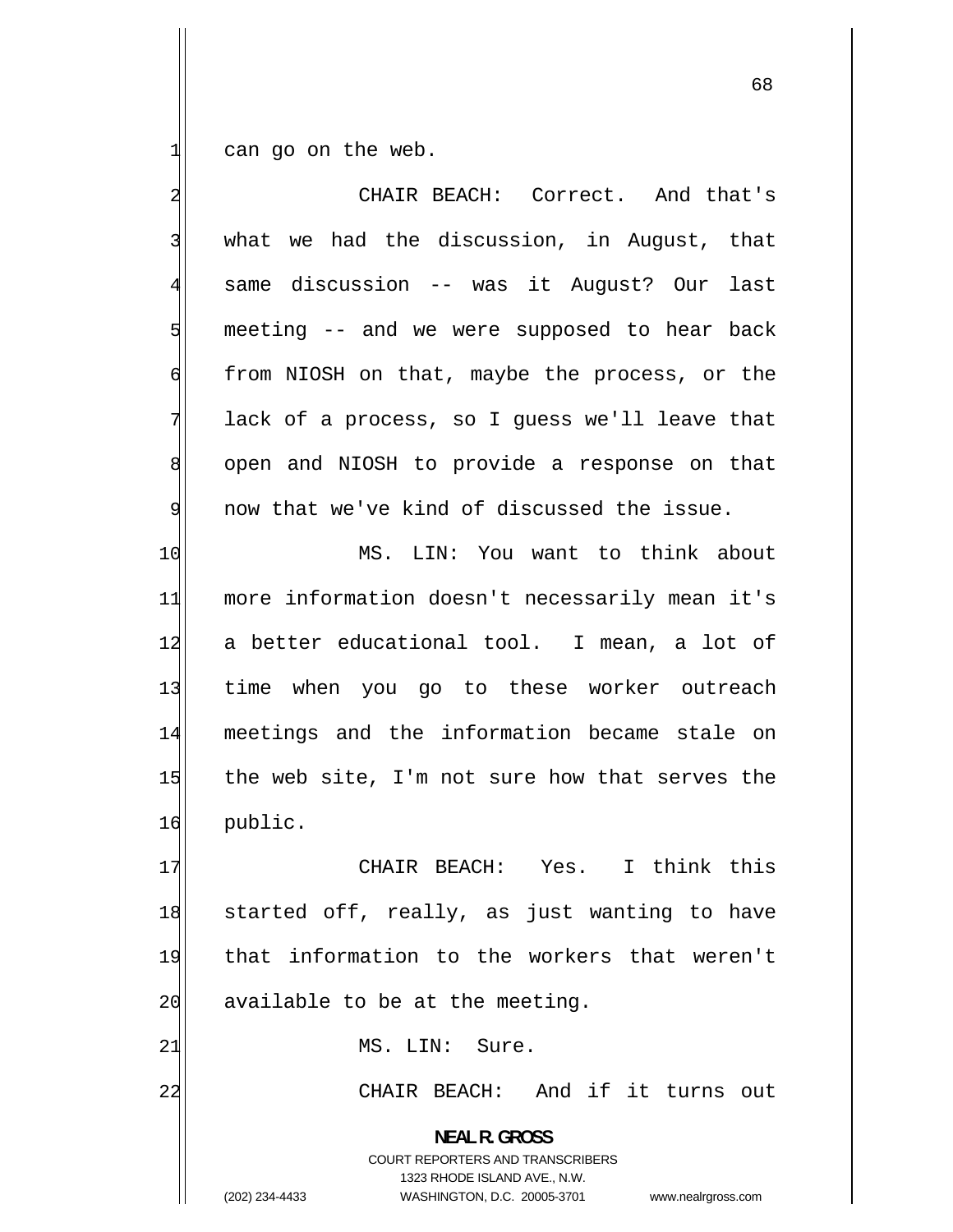can go on the web.

1

| $\overline{\mathbf{c}}$ | CHAIR BEACH: Correct. And that's                                                                                                                                       |
|-------------------------|------------------------------------------------------------------------------------------------------------------------------------------------------------------------|
| 3                       | what we had the discussion, in August, that                                                                                                                            |
| $\overline{4}$          | same discussion -- was it August? Our last                                                                                                                             |
| 5                       | meeting -- and we were supposed to hear back                                                                                                                           |
| 6                       | from NIOSH on that, maybe the process, or the                                                                                                                          |
| 7                       | lack of a process, so I guess we'll leave that                                                                                                                         |
| $\,8\,$                 | open and NIOSH to provide a response on that                                                                                                                           |
| 9                       | now that we've kind of discussed the issue.                                                                                                                            |
| 10                      | MS. LIN: You want to think about                                                                                                                                       |
| 11                      | more information doesn't necessarily mean it's                                                                                                                         |
| 12                      | a better educational tool. I mean, a lot of                                                                                                                            |
| 13                      | time when you go to these worker outreach                                                                                                                              |
| 14                      | meetings and the information became stale on                                                                                                                           |
| 15                      | the web site, I'm not sure how that serves the                                                                                                                         |
| 16                      | public.                                                                                                                                                                |
| 17                      | CHAIR BEACH: Yes. I think this                                                                                                                                         |
| 18                      | started off, really, as just wanting to have                                                                                                                           |
| 19                      | that information to the workers that weren't                                                                                                                           |
| 20                      | available to be at the meeting.                                                                                                                                        |
| 21                      | MS. LIN: Sure.                                                                                                                                                         |
| 22                      | CHAIR BEACH: And if it turns out                                                                                                                                       |
|                         | <b>NEAL R. GROSS</b><br><b>COURT REPORTERS AND TRANSCRIBERS</b><br>1323 RHODE ISLAND AVE., N.W.<br>(202) 234-4433<br>WASHINGTON, D.C. 20005-3701<br>www.nealrgross.com |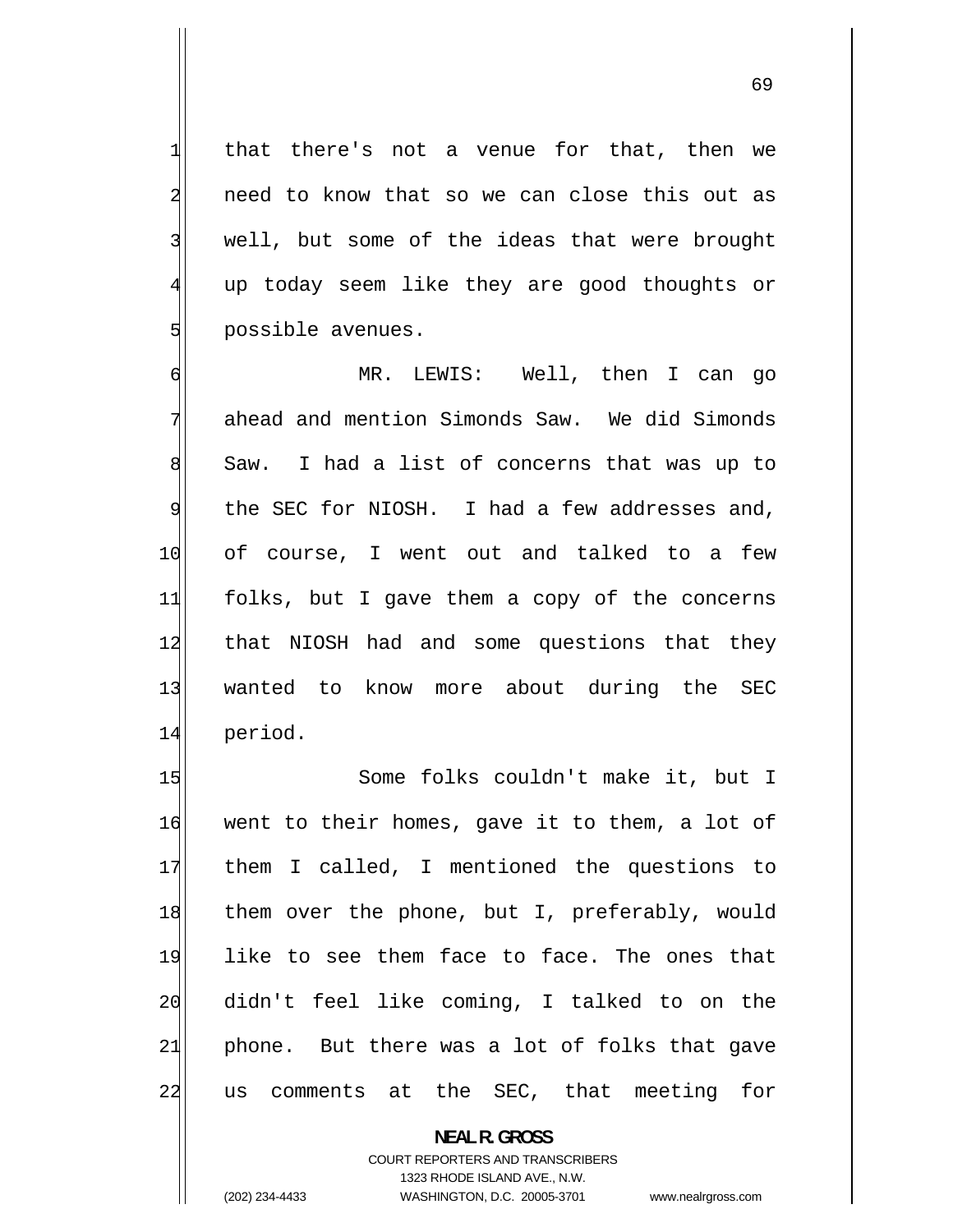that there's not a venue for that, then we need to know that so we can close this out as well, but some of the ideas that were brought up today seem like they are good thoughts or possible avenues.

1

2

3

4

5

6 MR. LEWIS: Well, then I can go 7 ahead and mention Simonds Saw. We did Simonds 8 Saw. I had a list of concerns that was up to 9 the SEC for NIOSH. I had a few addresses and, 10 of course, I went out and talked to a few 11 folks, but I gave them a copy of the concerns 12 that NIOSH had and some questions that they 13 wanted to know more about during the SEC 14 period.

15 Some folks couldn't make it, but I 16 went to their homes, gave it to them, a lot of 17 them I called, I mentioned the questions to 18 them over the phone, but I, preferably, would 19 like to see them face to face. The ones that 20 didn't feel like coming, I talked to on the 21 phone. But there was a lot of folks that gave 22 us comments at the SEC, that meeting for

**NEAL R. GROSS** 

COURT REPORTERS AND TRANSCRIBERS 1323 RHODE ISLAND AVE., N.W. (202) 234-4433 WASHINGTON, D.C. 20005-3701 www.nealrgross.com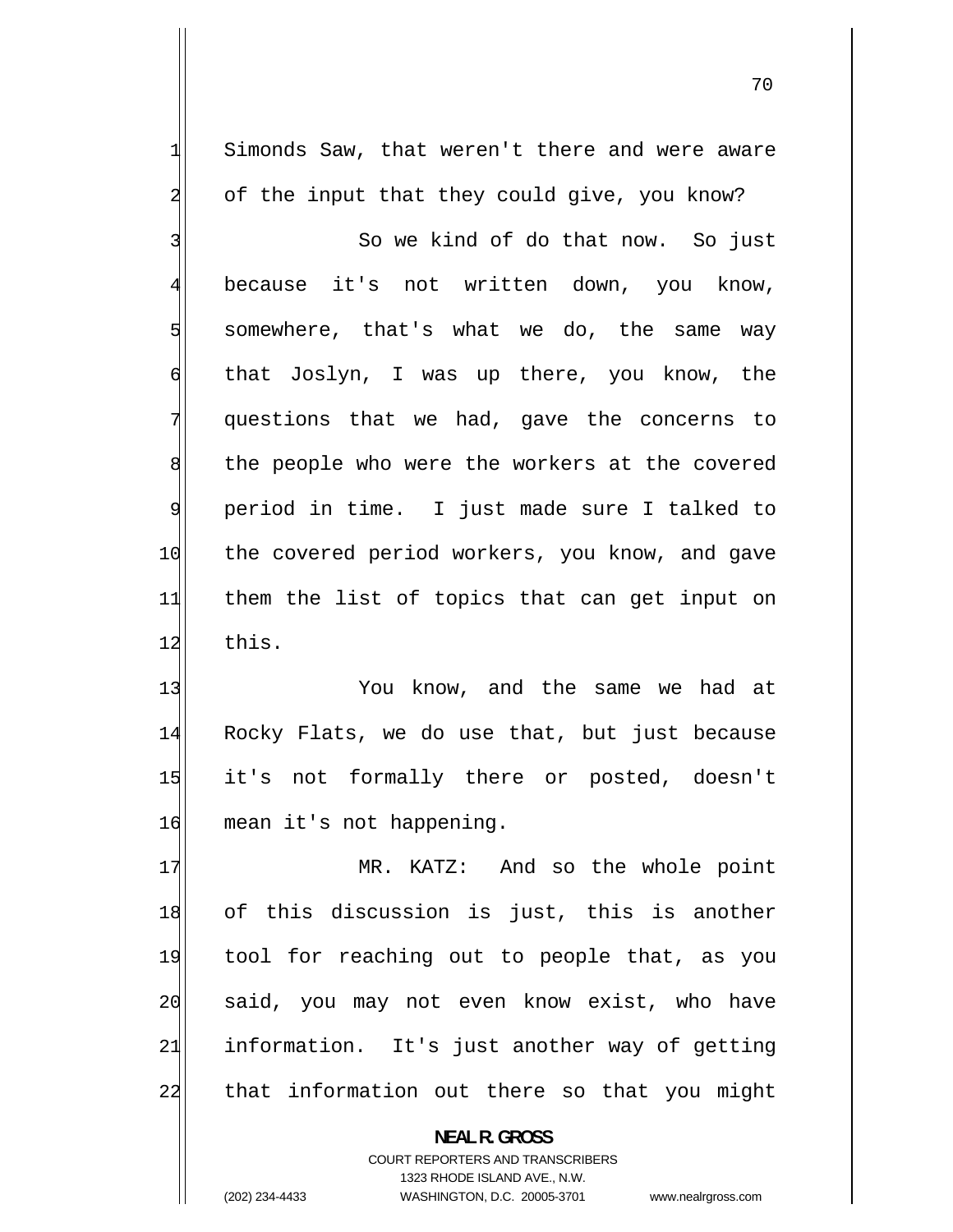Simonds Saw, that weren't there and were aware of the input that they could give, you know?

1

2

70

3 So we kind of do that now. So just 4 because it's not written down, you know, 5 somewhere, that's what we do, the same way 6 that Joslyn, I was up there, you know, the 7 questions that we had, gave the concerns to 8 the people who were the workers at the covered 9 period in time. I just made sure I talked to 10 the covered period workers, you know, and gave 11 them the list of topics that can get input on 12 this.

13 You know, and the same we had at 14 Rocky Flats, we do use that, but just because 15 it's not formally there or posted, doesn't 16 mean it's not happening.

17 MR. KATZ: And so the whole point 18 of this discussion is just, this is another 19 tool for reaching out to people that, as you 20 said, you may not even know exist, who have 21 information. It's just another way of getting 22 that information out there so that you might

> **NEAL R. GROSS**  COURT REPORTERS AND TRANSCRIBERS 1323 RHODE ISLAND AVE., N.W. (202) 234-4433 WASHINGTON, D.C. 20005-3701 www.nealrgross.com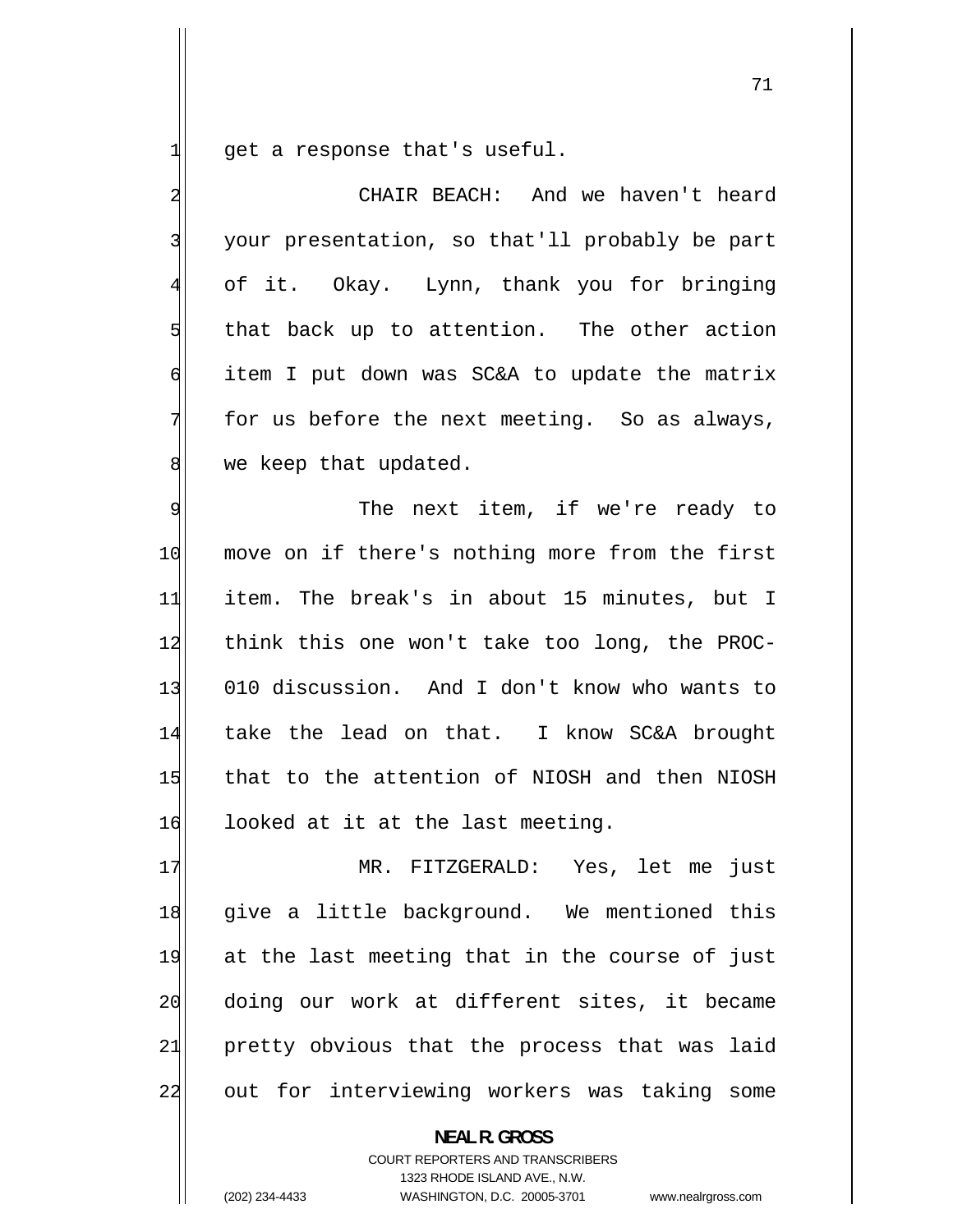1 get a response that's useful.

2 CHAIR BEACH: And we haven't heard 3 your presentation, so that'll probably be part 4 of it. Okay. Lynn, thank you for bringing 5 that back up to attention. The other action 6 item I put down was SC&A to update the matrix 7 for us before the next meeting. So as always, 8 we keep that updated. 9 The next item, if we're ready to 10 move on if there's nothing more from the first 11 item. The break's in about 15 minutes, but I 12 think this one won't take too long, the PROC-13 010 discussion. And I don't know who wants to 14 take the lead on that. I know SC&A brought 15 that to the attention of NIOSH and then NIOSH 16 looked at it at the last meeting. 17 MR. FITZGERALD: Yes, let me just 18 give a little background. We mentioned this 19 at the last meeting that in the course of just 20 doing our work at different sites, it became 21 pretty obvious that the process that was laid

22

**NEAL R. GROSS** 

out for interviewing workers was taking some

COURT REPORTERS AND TRANSCRIBERS 1323 RHODE ISLAND AVE., N.W. (202) 234-4433 WASHINGTON, D.C. 20005-3701 www.nealrgross.com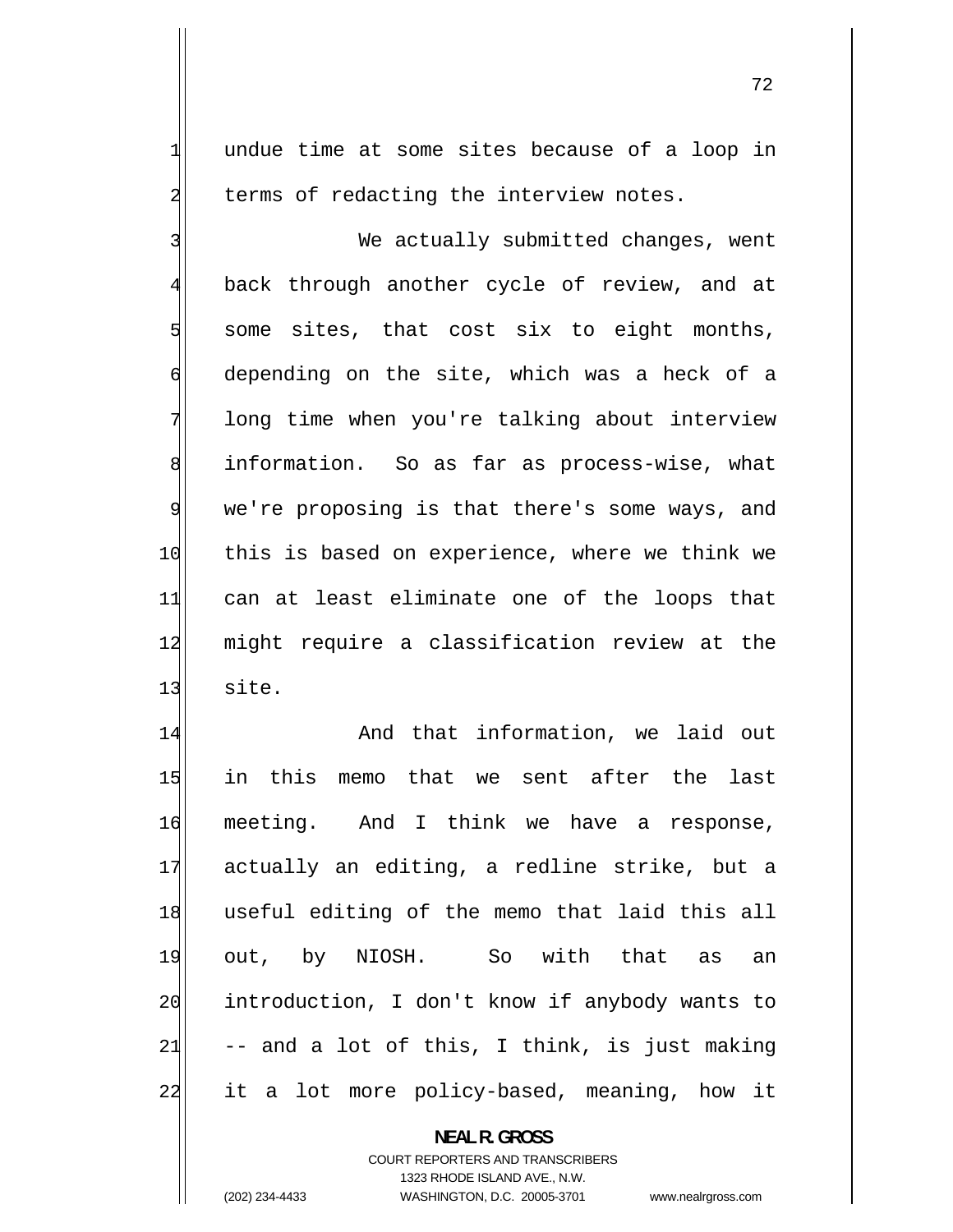undue time at some sites because of a loop in terms of redacting the interview notes.

3 We actually submitted changes, went 4 back through another cycle of review, and at 5 some sites, that cost six to eight months, 6 depending on the site, which was a heck of a 7 long time when you're talking about interview 8 information. So as far as process-wise, what 9 we're proposing is that there's some ways, and 10 this is based on experience, where we think we 11 can at least eliminate one of the loops that 12 might require a classification review at the  $13$  site.

14 And that information, we laid out 15 in this memo that we sent after the last 16 meeting. And I think we have a response, 17 actually an editing, a redline strike, but a 18 useful editing of the memo that laid this all 19 out, by NIOSH. So with that as an 20 introduction, I don't know if anybody wants to 21 -- and a lot of this, I think, is just making 22 it a lot more policy-based, meaning, how it

> **NEAL R. GROSS**  COURT REPORTERS AND TRANSCRIBERS 1323 RHODE ISLAND AVE., N.W.

1

2

(202) 234-4433 WASHINGTON, D.C. 20005-3701 www.nealrgross.com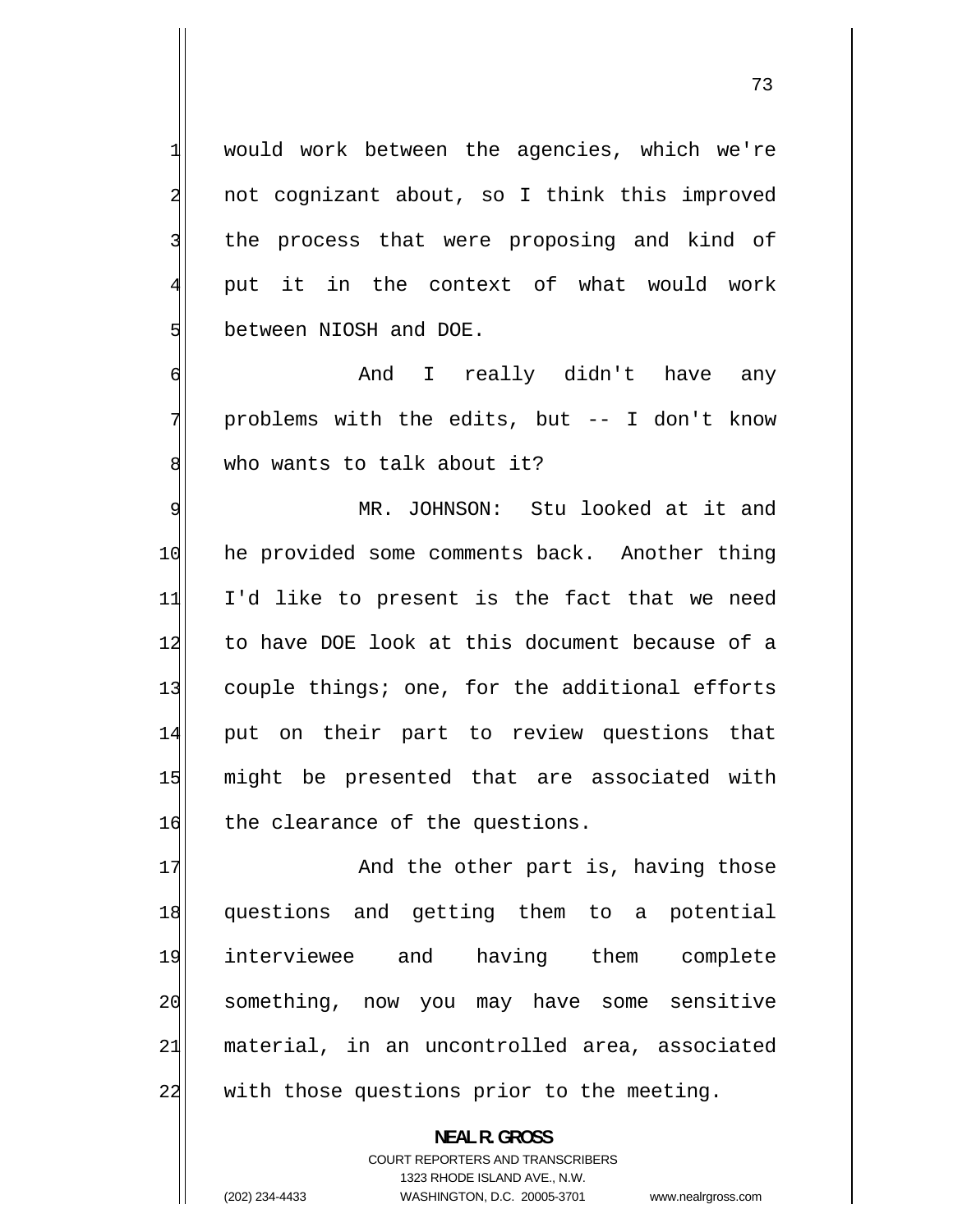would work between the agencies, which we're not cognizant about, so I think this improved the process that were proposing and kind of put it in the context of what would work between NIOSH and DOE.

1

2

3

4

5

6

7

8

 And I really didn't have any problems with the edits, but -- I don't know who wants to talk about it?

9 MR. JOHNSON: Stu looked at it and 10 he provided some comments back. Another thing 11 I'd like to present is the fact that we need 12 to have DOE look at this document because of a 13 couple things; one, for the additional efforts 14 put on their part to review questions that 15 might be presented that are associated with 16 the clearance of the questions.

17 And the other part is, having those 18 questions and getting them to a potential 19 interviewee and having them complete 20 something, now you may have some sensitive 21 material, in an uncontrolled area, associated 22 with those questions prior to the meeting.

> COURT REPORTERS AND TRANSCRIBERS 1323 RHODE ISLAND AVE., N.W.

**NEAL R. GROSS** 

(202) 234-4433 WASHINGTON, D.C. 20005-3701 www.nealrgross.com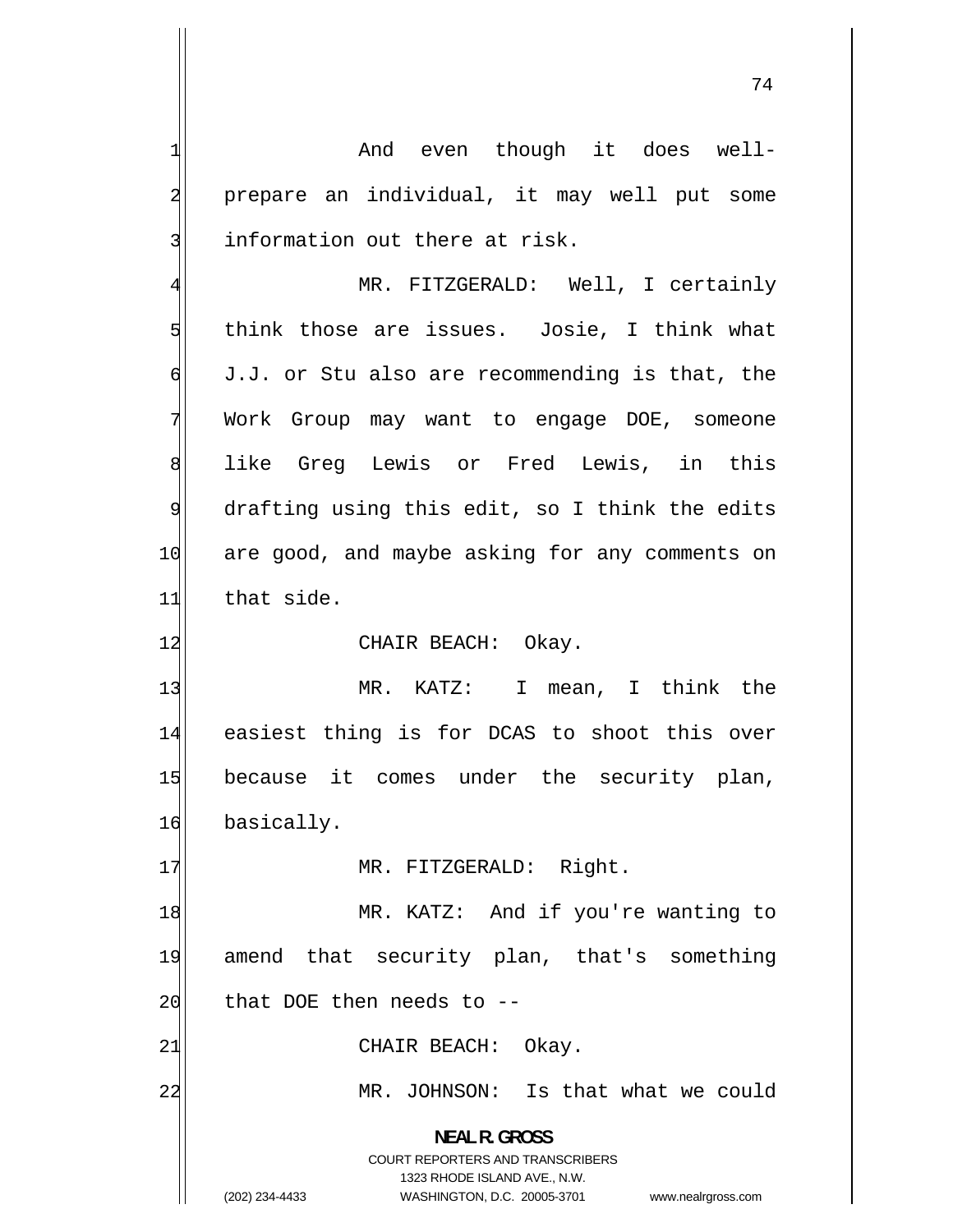And even though it does well prepare an individual, it may well put some information out there at risk.

4 MR. FITZGERALD: Well, I certainly 5 think those are issues. Josie, I think what 6 J.J. or Stu also are recommending is that, the 7 Work Group may want to engage DOE, someone 8 like Greg Lewis or Fred Lewis, in this 9 drafting using this edit, so I think the edits 10 are good, and maybe asking for any comments on  $11$  that side.

12 CHAIR BEACH: Okay.

13 MR. KATZ: I mean, I think the 14 easiest thing is for DCAS to shoot this over 15 because it comes under the security plan, 16 basically.

17 MR. FITZGERALD: Right.

18 MR. KATZ: And if you're wanting to 19 amend that security plan, that's something  $20$  that DOE then needs to  $-$ 

21 CHAIR BEACH: Okay.

MR. JOHNSON: Is that what we could

**NEAL R. GROSS**  COURT REPORTERS AND TRANSCRIBERS 1323 RHODE ISLAND AVE., N.W.

22

1

2

3

(202) 234-4433 WASHINGTON, D.C. 20005-3701 www.nealrgross.com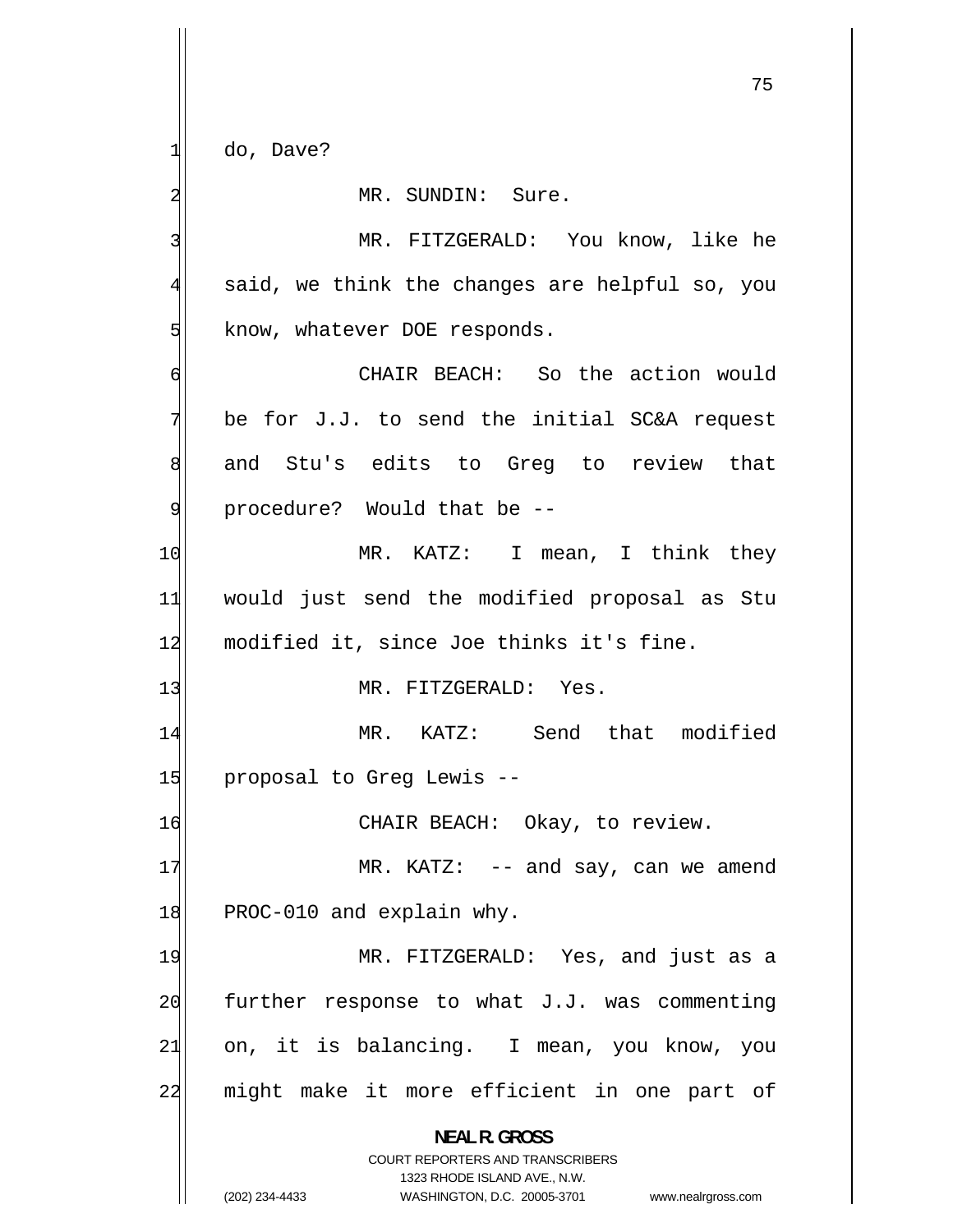do, Dave?

1

## MR. SUNDIN: Sure.

2 3 MR. FITZGERALD: You know, like he 4 said, we think the changes are helpful so, you 5 know, whatever DOE responds. 6 CHAIR BEACH: So the action would 7 be for J.J. to send the initial SC&A request 8 and Stu's edits to Greg to review that 9 procedure? Would that be -- 10 MR. KATZ: I mean, I think they 11 would just send the modified proposal as Stu 12 modified it, since Joe thinks it's fine. 13 MR. FITZGERALD: Yes. 14 MR. KATZ: Send that modified 15 proposal to Greg Lewis --16 CHAIR BEACH: Okay, to review. 17 MR. KATZ: -- and say, can we amend 18 PROC-010 and explain why. 19 MR. FITZGERALD: Yes, and just as a 20 further response to what J.J. was commenting 21 on, it is balancing. I mean, you know, you 22 might make it more efficient in one part of **NEAL R. GROSS**  COURT REPORTERS AND TRANSCRIBERS

> 1323 RHODE ISLAND AVE., N.W. (202) 234-4433 WASHINGTON, D.C. 20005-3701 www.nealrgross.com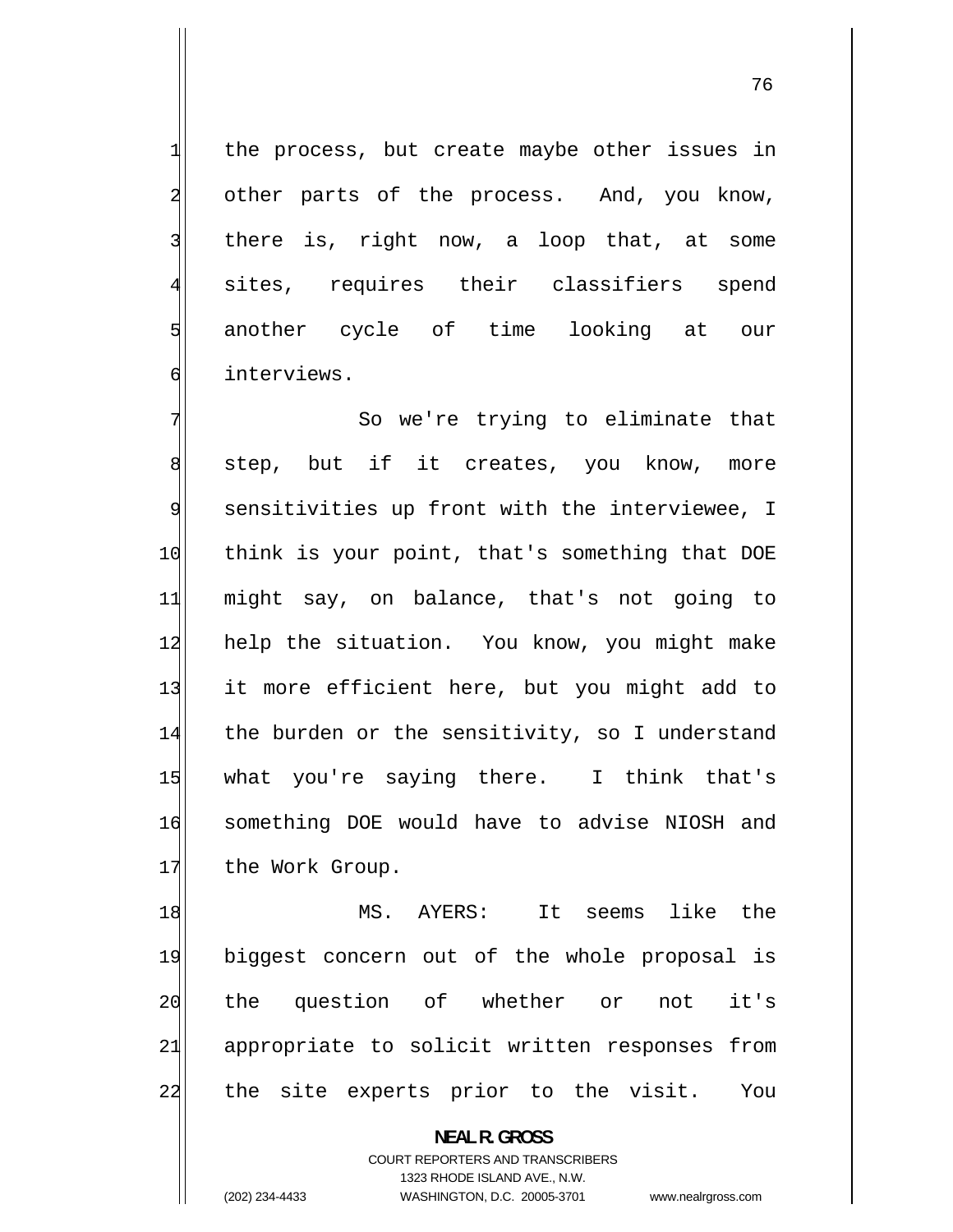the process, but create maybe other issues in other parts of the process. And, you know, there is, right now, a loop that, at some sites, requires their classifiers spend another cycle of time looking at our interviews.

7 So we're trying to eliminate that 8 step, but if it creates, you know, more 9 sensitivities up front with the interviewee, I 10 think is your point, that's something that DOE 11 might say, on balance, that's not going to 12 help the situation. You know, you might make 13 it more efficient here, but you might add to 14 the burden or the sensitivity, so I understand 15 what you're saying there. I think that's 16 something DOE would have to advise NIOSH and 17 the Work Group.

18 MS. AYERS: It seems like the 19 biggest concern out of the whole proposal is 20 the question of whether or not it's 21 appropriate to solicit written responses from 22 the site experts prior to the visit. You

> **NEAL R. GROSS**  COURT REPORTERS AND TRANSCRIBERS

> > 1323 RHODE ISLAND AVE., N.W.

1

2

3

4

5

6

(202) 234-4433 WASHINGTON, D.C. 20005-3701 www.nealrgross.com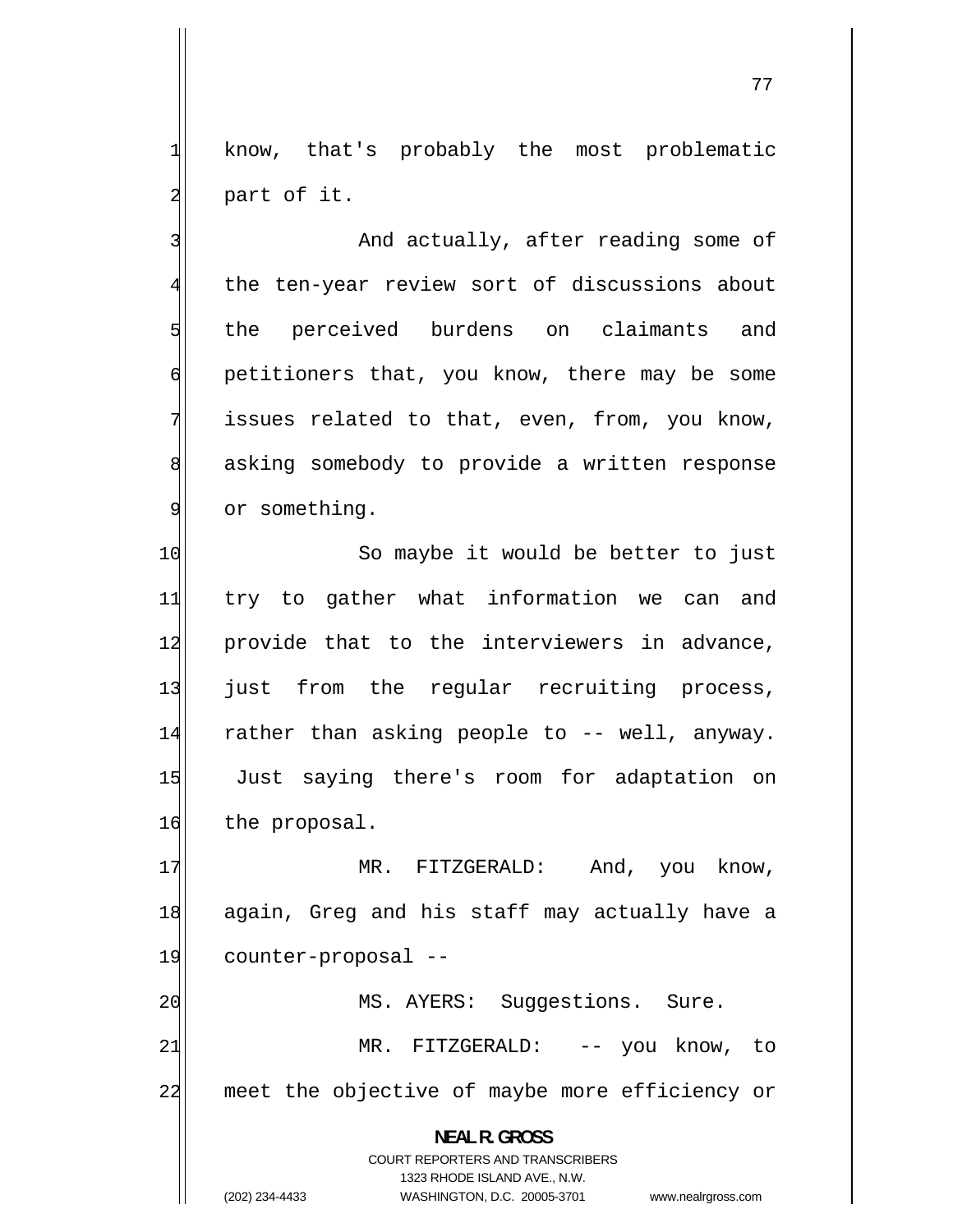know, that's probably the most problematic part of it.

1

2

3

5

6

7

9

 And actually, after reading some of 4 the ten-year review sort of discussions about the perceived burdens on claimants and petitioners that, you know, there may be some issues related to that, even, from, you know, 8 asking somebody to provide a written response or something.

10 So maybe it would be better to just 11 try to gather what information we can and 12 provide that to the interviewers in advance, 13 just from the regular recruiting process, 14 rather than asking people to -- well, anyway. 15 Just saying there's room for adaptation on 16 the proposal.

17 MR. FITZGERALD: And, you know, 18 again, Greg and his staff may actually have a 19 counter-proposal -- 20 MS. AYERS: Suggestions. Sure.

21 MR. FITZGERALD: -- you know, to 22 meet the objective of maybe more efficiency or

> **NEAL R. GROSS**  COURT REPORTERS AND TRANSCRIBERS 1323 RHODE ISLAND AVE., N.W. (202) 234-4433 WASHINGTON, D.C. 20005-3701 www.nealrgross.com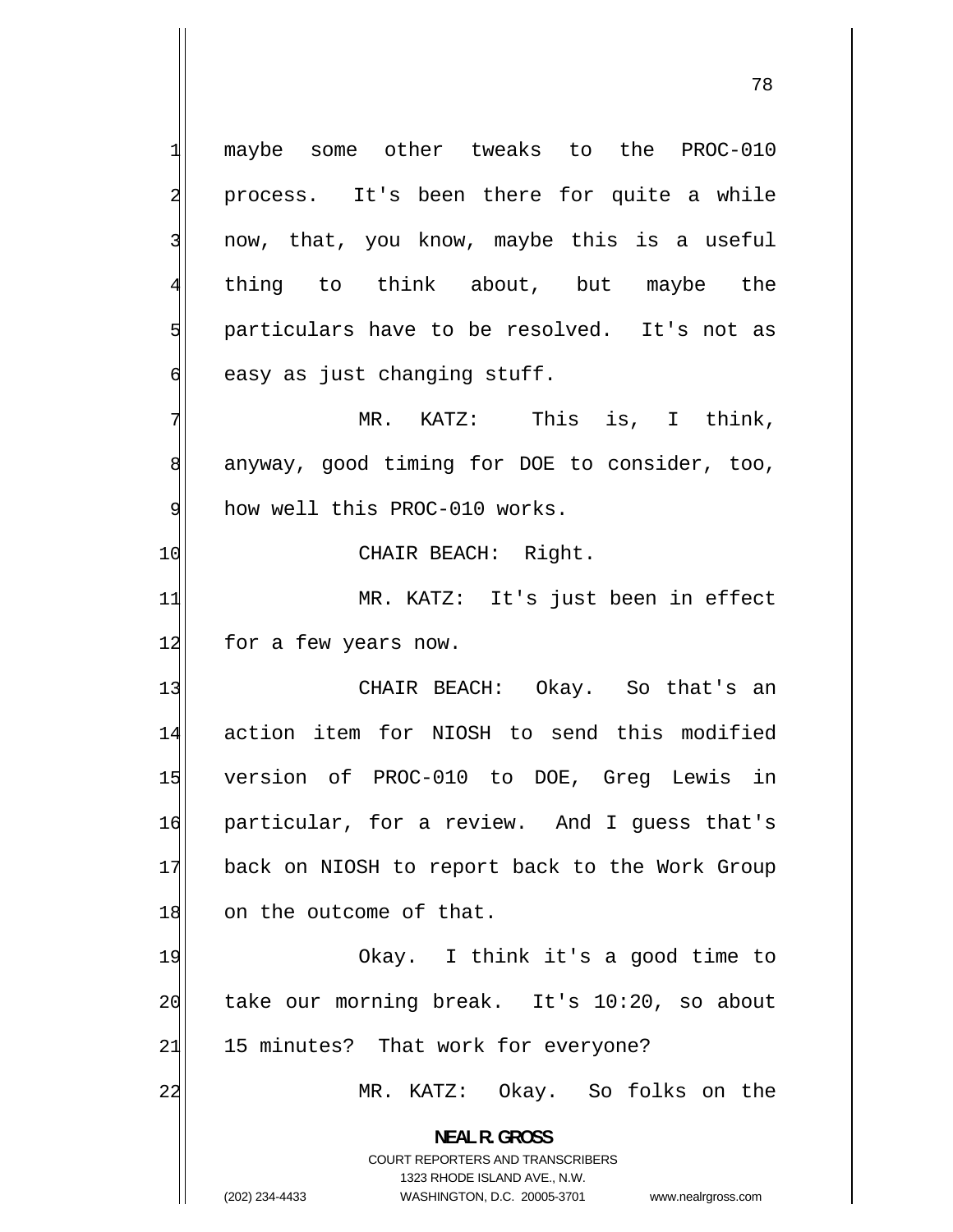maybe some other tweaks to the PROC-010 2 process. It's been there for quite a while now, that, you know, maybe this is a useful thing to think about, but maybe the particulars have to be resolved. It's not as 6 easy as just changing stuff. MR. KATZ: This is, I think, 8 anyway, good timing for DOE to consider, too, 9 how well this PROC-010 works. 10 CHAIR BEACH: Right. MR. KATZ: It's just been in effect 12 for a few years now.

13 CHAIR BEACH: Okay. So that's an 14 action item for NIOSH to send this modified 15 version of PROC-010 to DOE, Greg Lewis in 16 particular, for a review. And I guess that's 17 back on NIOSH to report back to the Work Group 18 on the outcome of that.

19 Okay. I think it's a good time to 20 take our morning break. It's 10:20, so about 21 15 minutes? That work for everyone?

MR. KATZ: Okay. So folks on the

**NEAL R. GROSS**  COURT REPORTERS AND TRANSCRIBERS

1323 RHODE ISLAND AVE., N.W.

1

3

4

5

7

11

22

(202) 234-4433 WASHINGTON, D.C. 20005-3701 www.nealrgross.com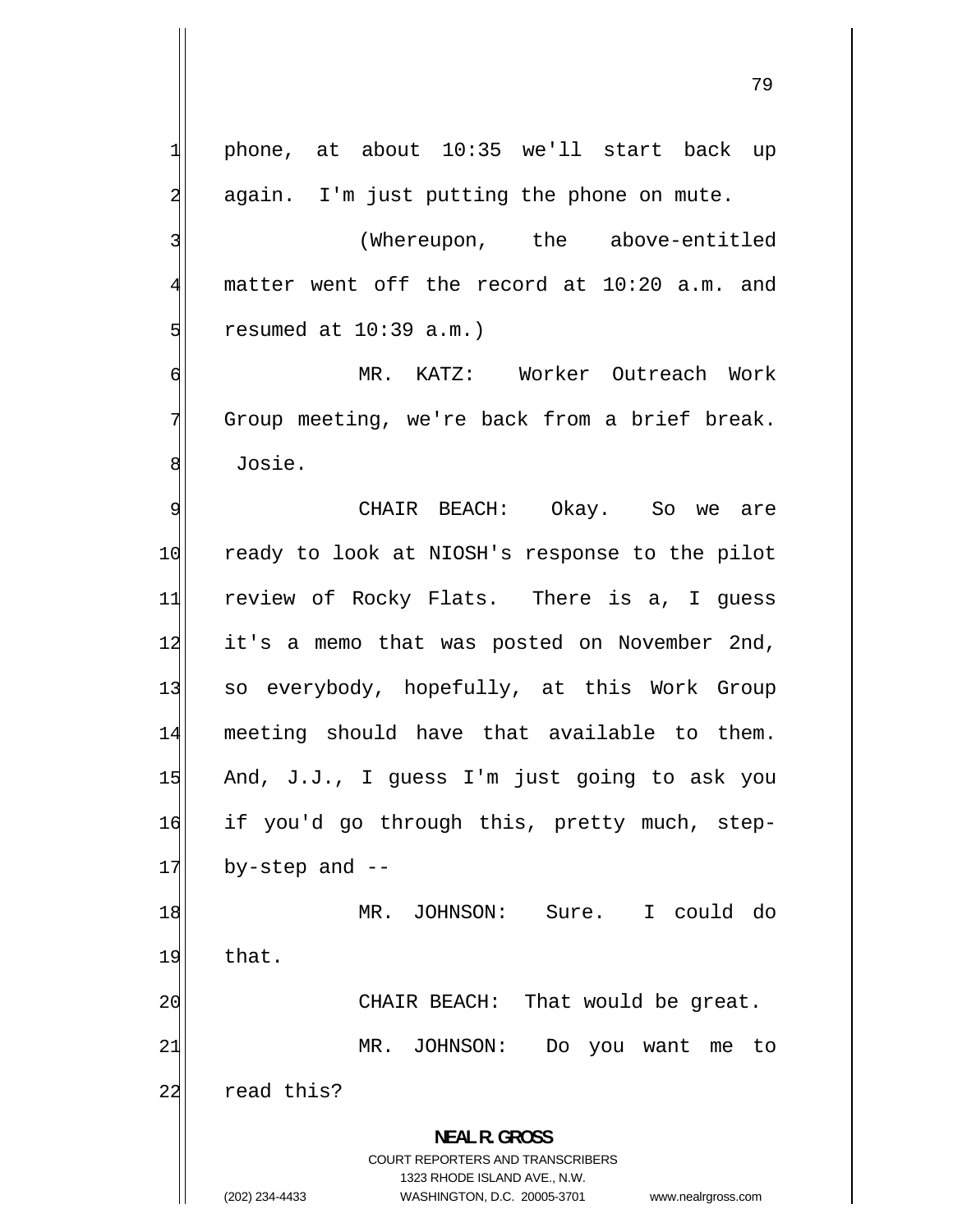1 phone, at about 10:35 we'll start back up 2 again. I'm just putting the phone on mute. 3 (Whereupon, the above-entitled 4 matter went off the record at 10:20 a.m. and 5 resumed at 10:39 a.m.) 6 MR. KATZ: Worker Outreach Work 7 Group meeting, we're back from a brief break. 8 Josie. 9 CHAIR BEACH: Okay. So we are 10 ready to look at NIOSH's response to the pilot 11 review of Rocky Flats. There is a, I guess 12 it's a memo that was posted on November 2nd, 13 so everybody, hopefully, at this Work Group 14 meeting should have that available to them. 15 And, J.J., I guess I'm just going to ask you 16 if you'd go through this, pretty much, step- $17$  by-step and  $-$ 18 MR. JOHNSON: Sure. I could do 19 that. 20 CHAIR BEACH: That would be great. 21 MR. JOHNSON: Do you want me to 22 read this? **NEAL R. GROSS**  COURT REPORTERS AND TRANSCRIBERS 1323 RHODE ISLAND AVE., N.W. (202) 234-4433 WASHINGTON, D.C. 20005-3701 www.nealrgross.com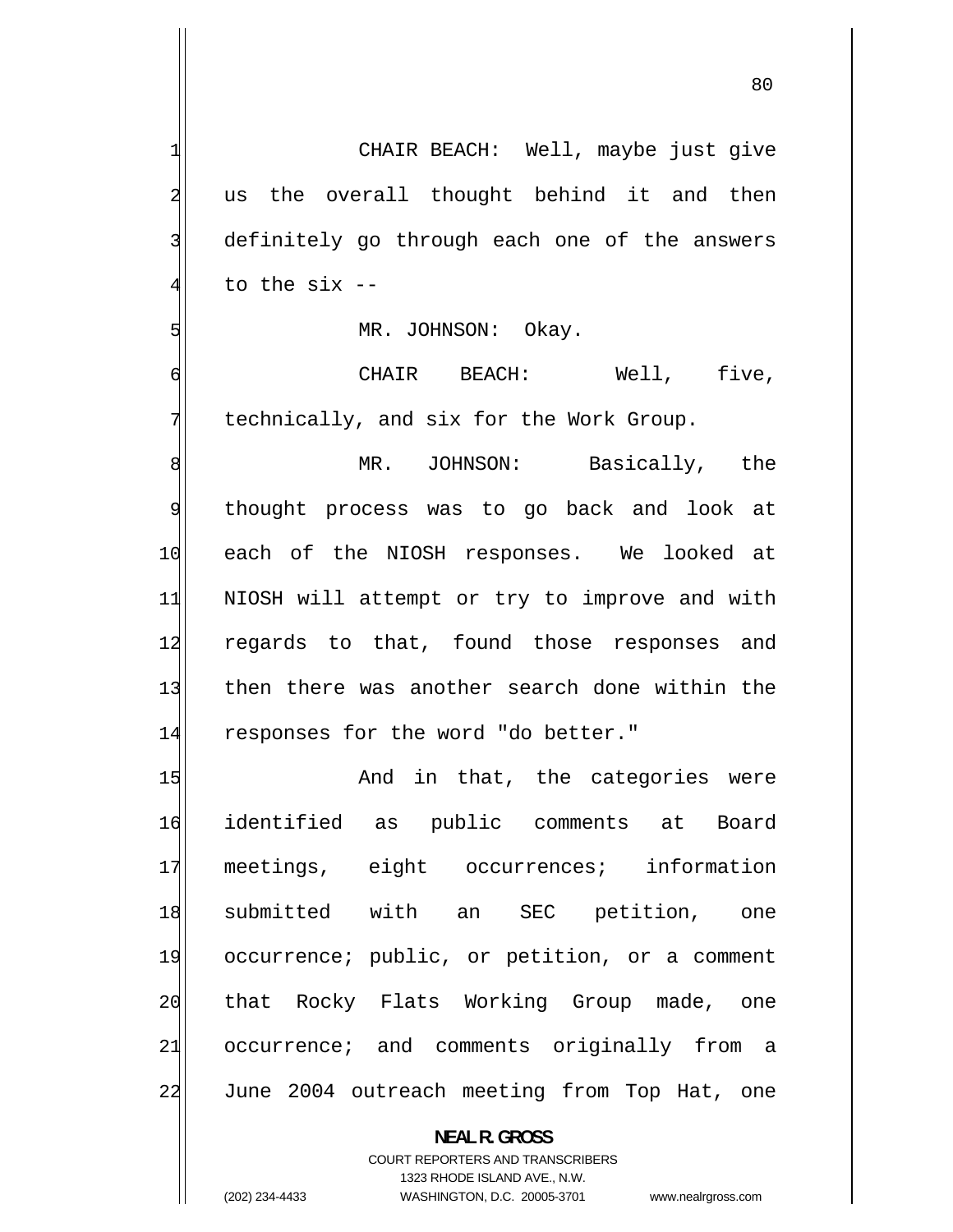| 1              | CHAIR BEACH: Well, maybe just give            |
|----------------|-----------------------------------------------|
| $\overline{a}$ | us the overall thought behind it and then     |
| 3              | definitely go through each one of the answers |
| $\overline{4}$ | to the $six -$                                |
| 5              | MR. JOHNSON: Okay.                            |
| $\sigma$       | CHAIR BEACH: Well, five,                      |
| 7              | technically, and six for the Work Group.      |
| 8              | MR. JOHNSON: Basically, the                   |
| $\overline{9}$ | thought process was to go back and look at    |
| 10             | each of the NIOSH responses. We looked at     |
| 11             | NIOSH will attempt or try to improve and with |
| 12             | regards to that, found those responses and    |
| 13             | then there was another search done within the |
| 14             | responses for the word "do better."           |
| 15             | And in that, the categories were              |
| 16             | identified as public comments at Board        |
| 17             | meetings, eight occurrences; information      |
| 18             | submitted with an SEC petition, one           |
| 19             | occurrence; public, or petition, or a comment |
| 20             | that Rocky Flats Working Group made, one      |
| 21             | occurrence; and comments originally from a    |
| 22             | June 2004 outreach meeting from Top Hat, one  |
|                | <b>NEAL R. GROSS</b>                          |

COURT REPORTERS AND TRANSCRIBERS 1323 RHODE ISLAND AVE., N.W.

 $\mathsf{I}$ 

(202) 234-4433 WASHINGTON, D.C. 20005-3701 www.nealrgross.com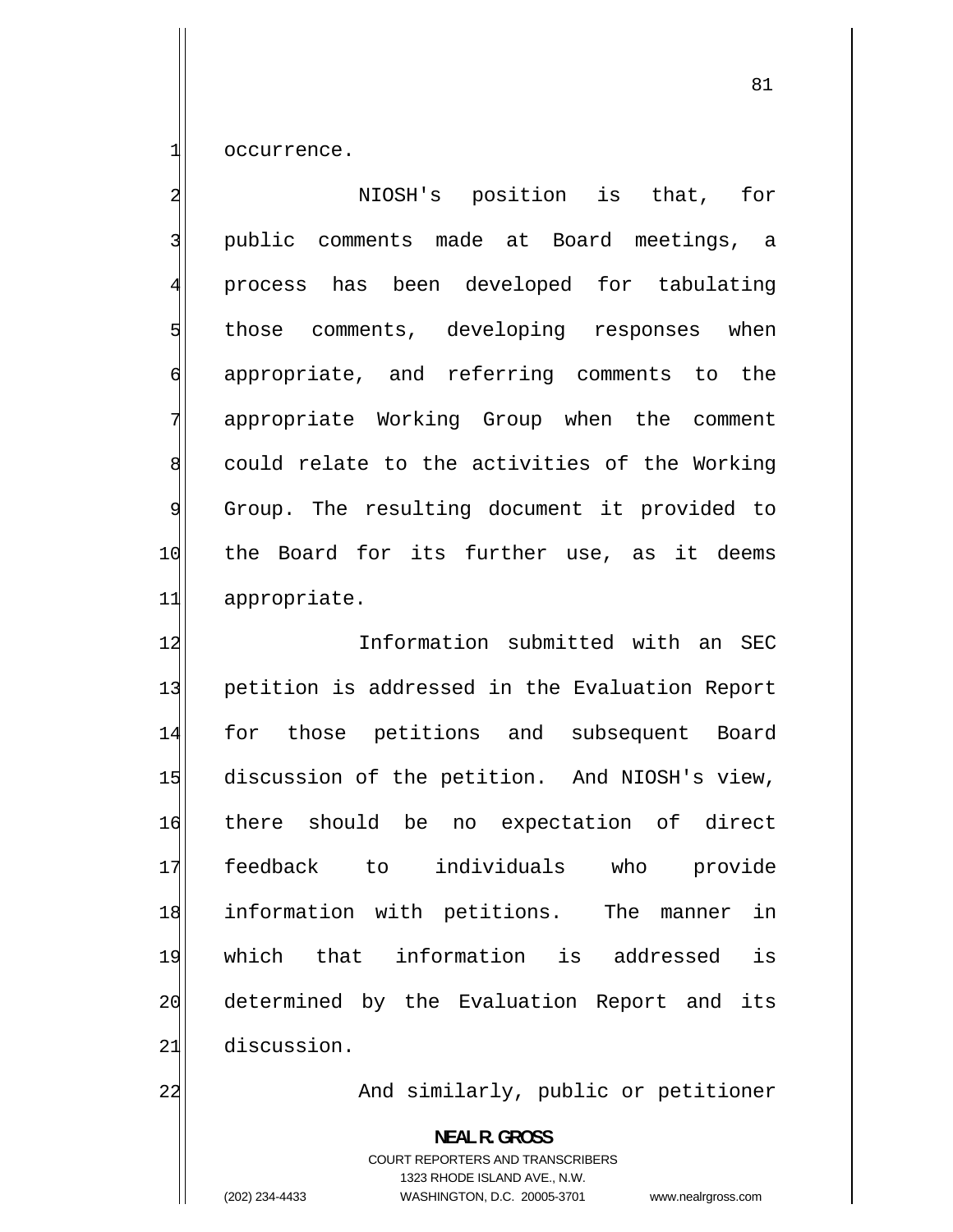occurrence.

1

2 NIOSH's position is that, for 3 public comments made at Board meetings, a 4 process has been developed for tabulating 5 those comments, developing responses when 6 appropriate, and referring comments to the 7 appropriate Working Group when the comment 8 could relate to the activities of the Working 9 Group. The resulting document it provided to 10 the Board for its further use, as it deems 11 appropriate.

12 Information submitted with an SEC 13 petition is addressed in the Evaluation Report 14 for those petitions and subsequent Board 15 discussion of the petition. And NIOSH's view, 16 there should be no expectation of direct 17 feedback to individuals who provide 18 information with petitions. The manner in 19 which that information is addressed is 20 determined by the Evaluation Report and its 21 discussion.

22

And similarly, public or petitioner

**NEAL R. GROSS**  COURT REPORTERS AND TRANSCRIBERS 1323 RHODE ISLAND AVE., N.W. (202) 234-4433 WASHINGTON, D.C. 20005-3701 www.nealrgross.com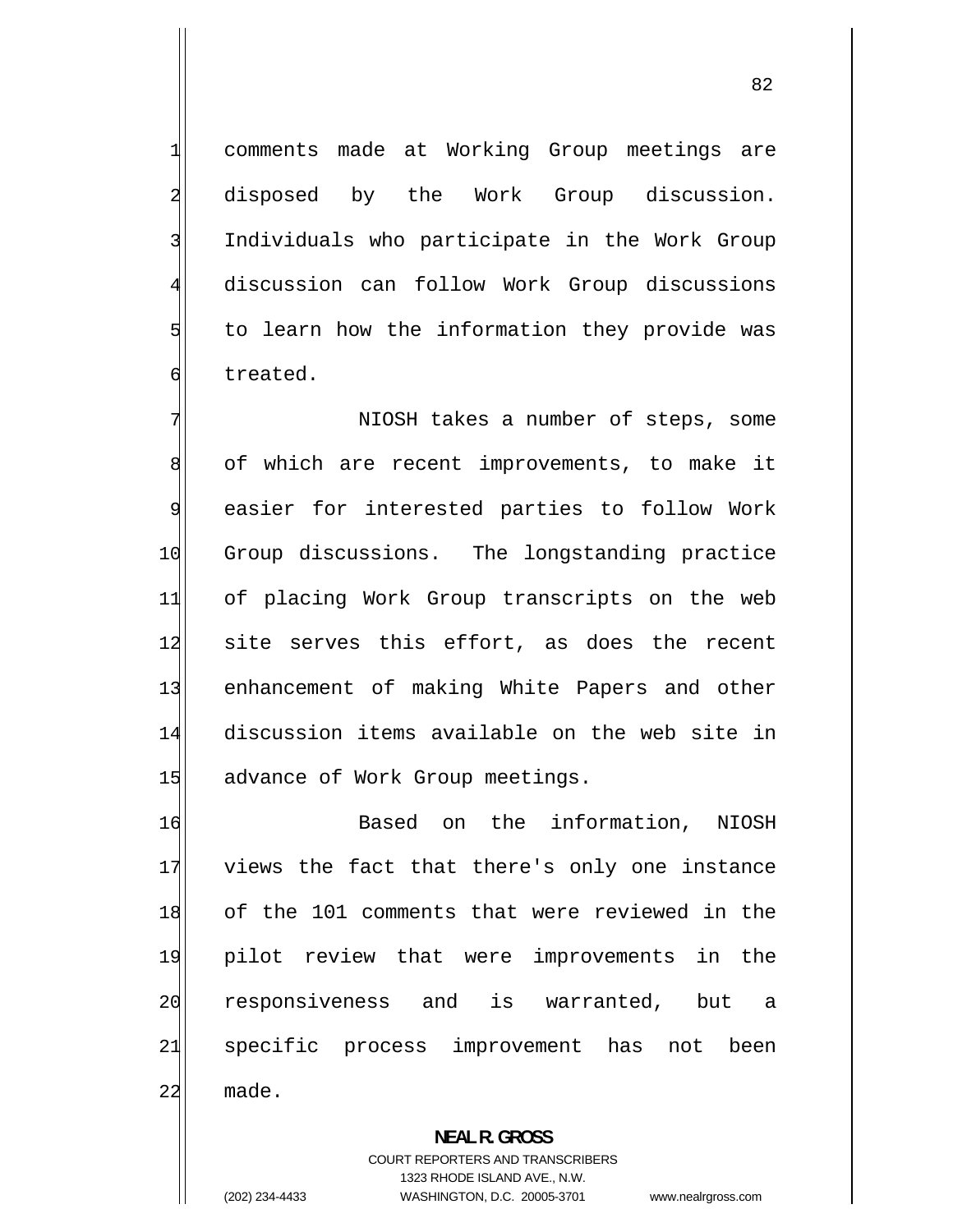comments made at Working Group meetings are disposed by the Work Group discussion. Individuals who participate in the Work Group discussion can follow Work Group discussions to learn how the information they provide was treated.

7 NIOSH takes a number of steps, some 8 of which are recent improvements, to make it 9 easier for interested parties to follow Work 10 Group discussions. The longstanding practice 11 of placing Work Group transcripts on the web 12 site serves this effort, as does the recent 13 enhancement of making White Papers and other 14 discussion items available on the web site in 15 advance of Work Group meetings.

16 Based on the information, NIOSH 17 views the fact that there's only one instance 18 of the 101 comments that were reviewed in the 19 pilot review that were improvements in the 20 responsiveness and is warranted, but a 21 specific process improvement has not been 22 made.

> **NEAL R. GROSS**  COURT REPORTERS AND TRANSCRIBERS 1323 RHODE ISLAND AVE., N.W. (202) 234-4433 WASHINGTON, D.C. 20005-3701 www.nealrgross.com

1

2

3

4

5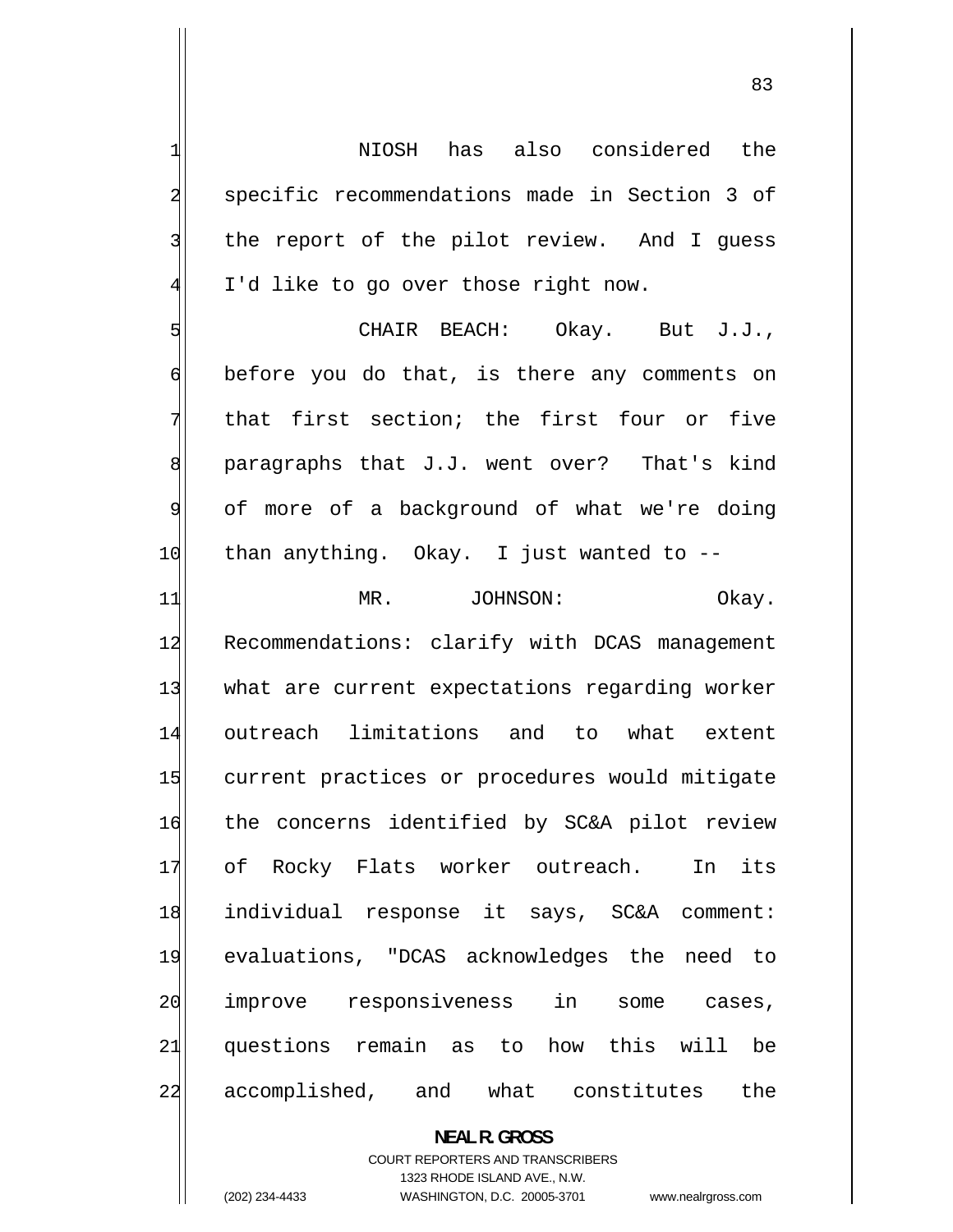1 NIOSH has also considered the 2 specific recommendations made in Section 3 of 3 the report of the pilot review. And I guess 4 I'd like to go over those right now. 5 CHAIR BEACH: Okay. But J.J., 6 before you do that, is there any comments on 7 that first section; the first four or five 8 paragraphs that J.J. went over? That's kind 9 of more of a background of what we're doing  $10$  than anything. Okay. I just wanted to  $-$ -11 MR. JOHNSON: Okay. 12 Recommendations: clarify with DCAS management 13 what are current expectations regarding worker 14 outreach limitations and to what extent 15 current practices or procedures would mitigate 16 the concerns identified by SC&A pilot review 17 of Rocky Flats worker outreach. In its 18 individual response it says, SC&A comment: 19 evaluations, "DCAS acknowledges the need to

> **NEAL R. GROSS**  COURT REPORTERS AND TRANSCRIBERS 1323 RHODE ISLAND AVE., N.W. (202) 234-4433 WASHINGTON, D.C. 20005-3701 www.nealrgross.com

improve responsiveness in some cases,

questions remain as to how this will be

accomplished, and what constitutes the

20

21

22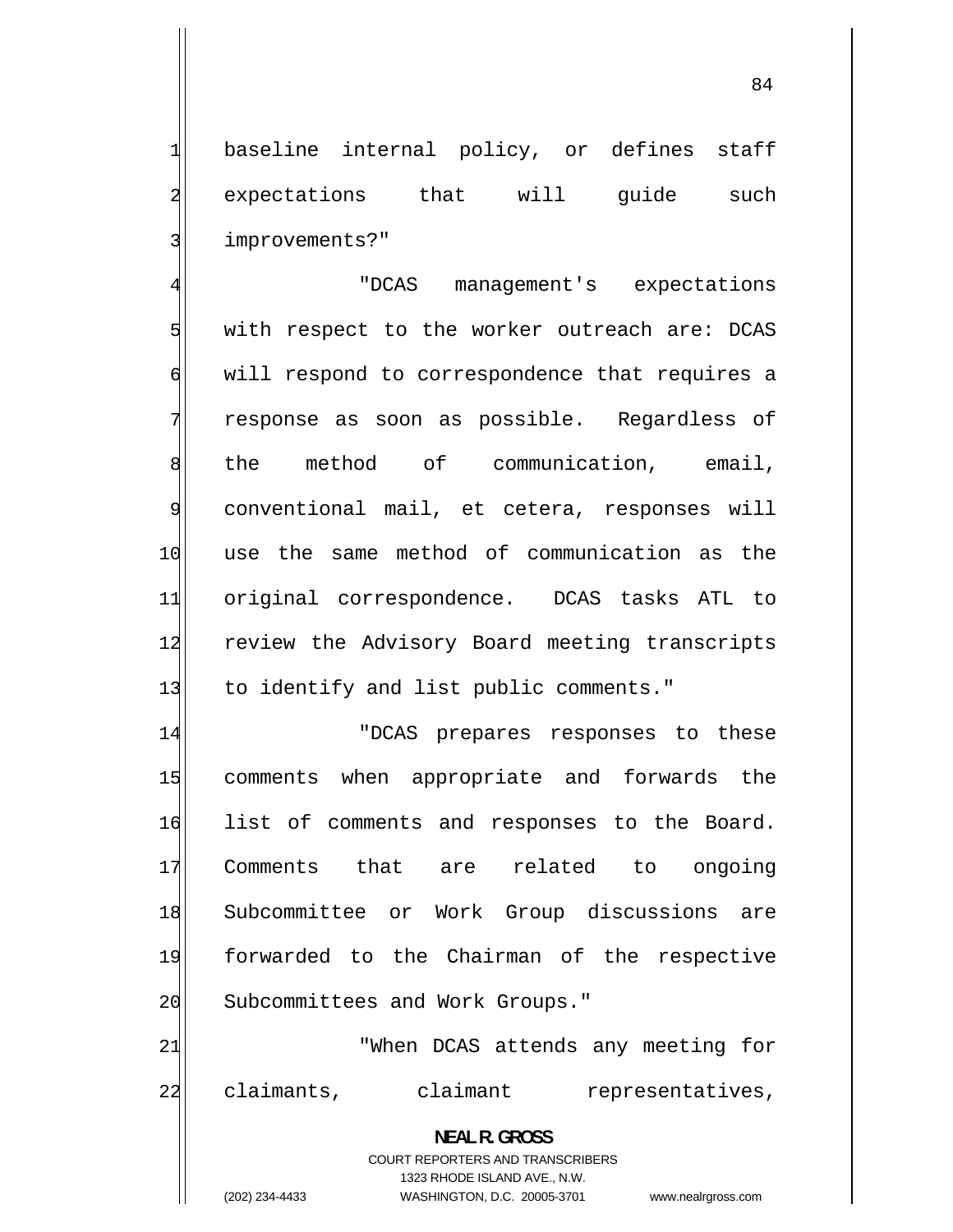baseline internal policy, or defines staff expectations that will quide such improvements?"

4 "DCAS management's expectations 5 with respect to the worker outreach are: DCAS 6 will respond to correspondence that requires a 7 response as soon as possible. Regardless of 8 the method of communication, email, 9 conventional mail, et cetera, responses will 10 use the same method of communication as the 11 original correspondence. DCAS tasks ATL to 12 review the Advisory Board meeting transcripts 13 to identify and list public comments."

14 "DCAS prepares responses to these 15 comments when appropriate and forwards the 16 list of comments and responses to the Board. 17 Comments that are related to ongoing 18 Subcommittee or Work Group discussions are 19 forwarded to the Chairman of the respective 20 Subcommittees and Work Groups."

21 "When DCAS attends any meeting for 22 claimants, claimant representatives,

> **NEAL R. GROSS**  COURT REPORTERS AND TRANSCRIBERS 1323 RHODE ISLAND AVE., N.W.

1

2

3

(202) 234-4433 WASHINGTON, D.C. 20005-3701 www.nealrgross.com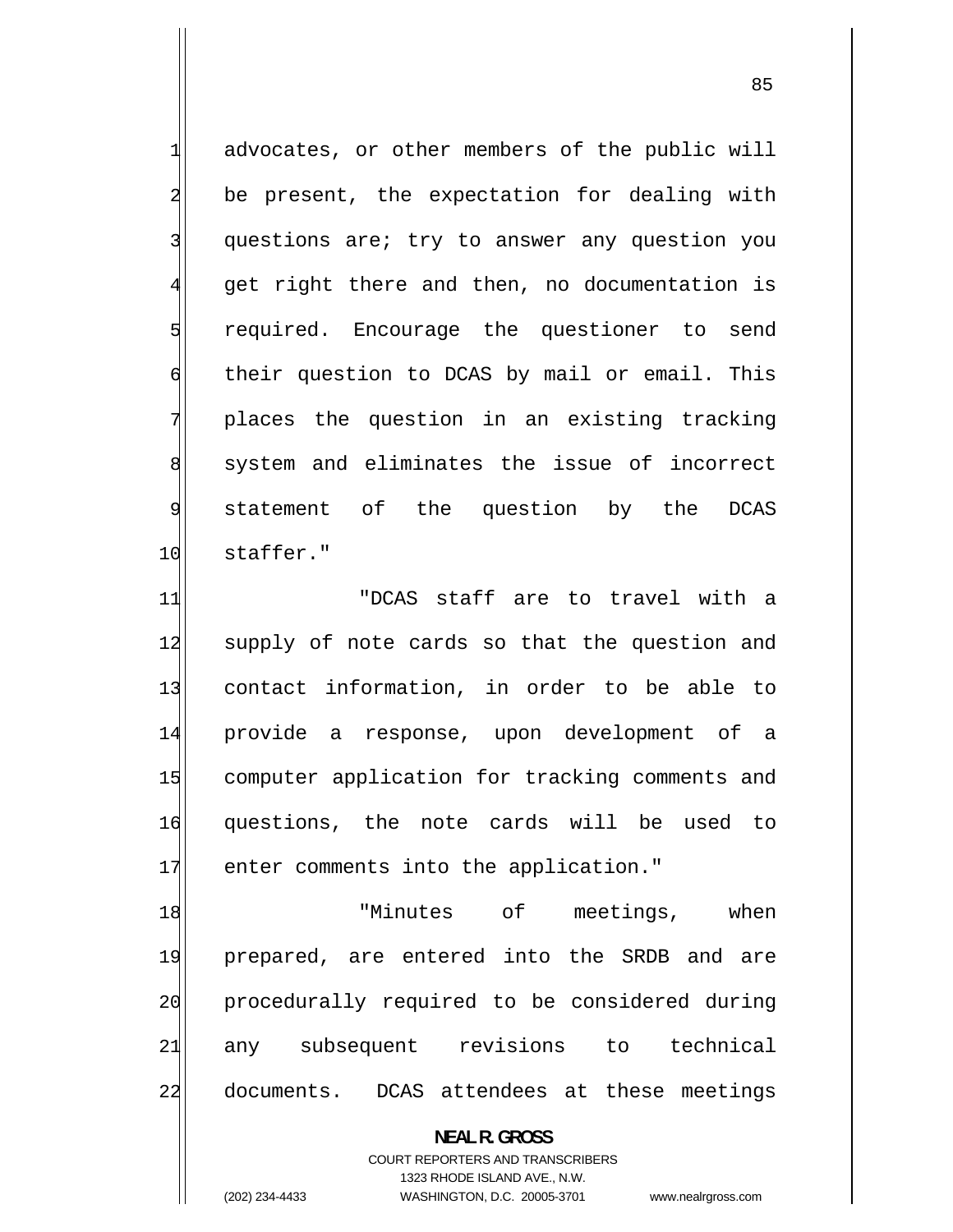1 advocates, or other members of the public will 2 be present, the expectation for dealing with questions are; try to answer any question you get right there and then, no documentation is required. Encourage the questioner to send 6 their question to DCAS by mail or email. This places the question in an existing tracking 8 system and eliminates the issue of incorrect statement of the question by the DCAS 10 staffer."

11 "DCAS staff are to travel with a 12 supply of note cards so that the question and 13 contact information, in order to be able to 14 provide a response, upon development of a 15 computer application for tracking comments and 16 questions, the note cards will be used to 17 enter comments into the application."

18 "Minutes of meetings, when 19 prepared, are entered into the SRDB and are 20 procedurally required to be considered during 21 any subsequent revisions to technical 22 documents. DCAS attendees at these meetings

> **NEAL R. GROSS**  COURT REPORTERS AND TRANSCRIBERS 1323 RHODE ISLAND AVE., N.W. (202) 234-4433 WASHINGTON, D.C. 20005-3701 www.nealrgross.com

3

4

5

7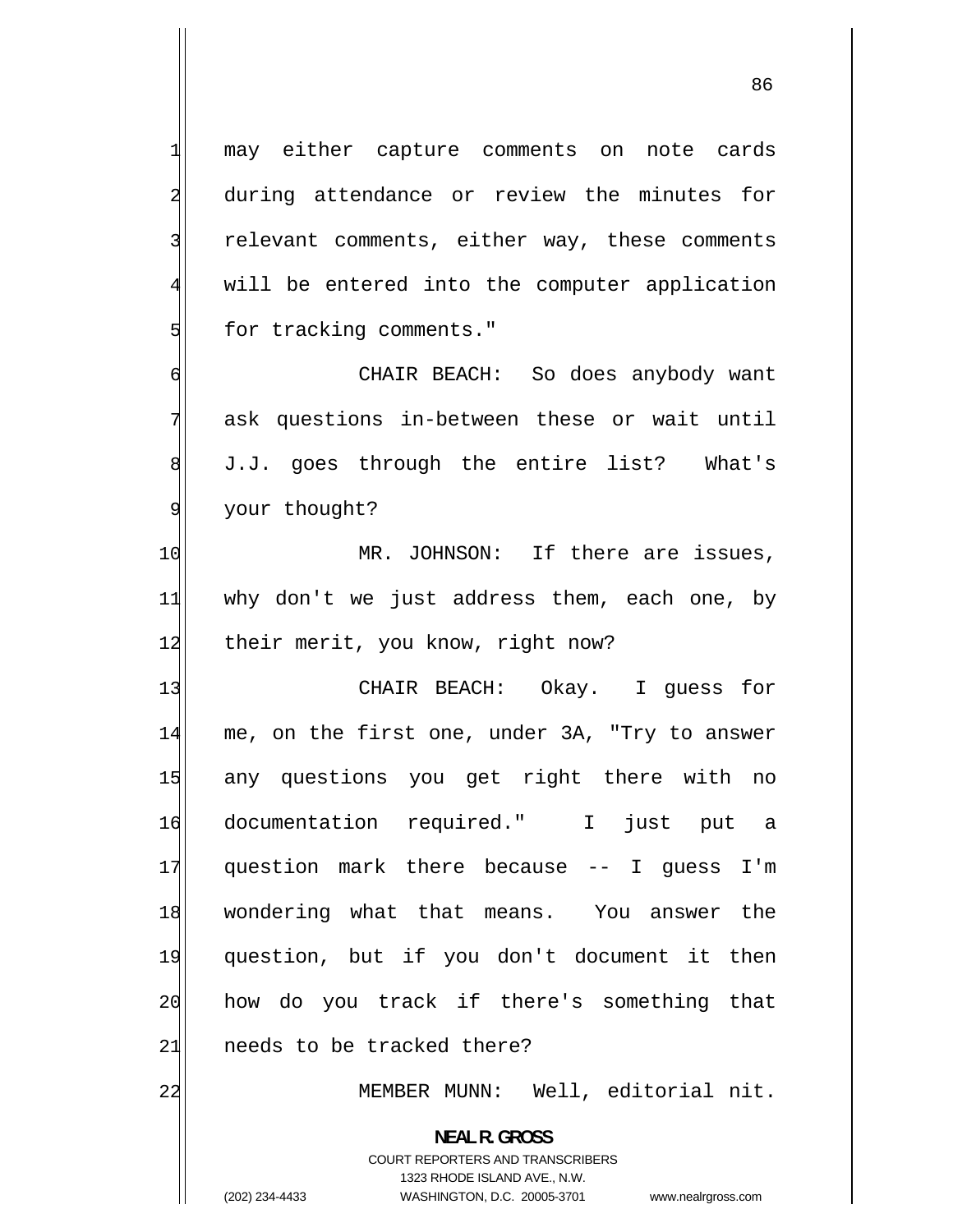may either capture comments on note cards during attendance or review the minutes for relevant comments, either way, these comments will be entered into the computer application for tracking comments."

 CHAIR BEACH: So does anybody want ask questions in-between these or wait until J.J. goes through the entire list? What's your thought?

10 MR. JOHNSON: If there are issues, 11 why don't we just address them, each one, by 12 their merit, you know, right now?

13 CHAIR BEACH: Okay. I guess for 14 me, on the first one, under 3A, "Try to answer 15 any questions you get right there with no 16 documentation required." I just put a 17 question mark there because -- I guess I'm 18 wondering what that means. You answer the 19 question, but if you don't document it then 20 how do you track if there's something that 21 needs to be tracked there?

MEMBER MUNN: Well, editorial nit.

COURT REPORTERS AND TRANSCRIBERS 1323 RHODE ISLAND AVE., N.W.

**NEAL R. GROSS** 

1

2

3

4

5

6

7

8

9

22

(202) 234-4433 WASHINGTON, D.C. 20005-3701 www.nealrgross.com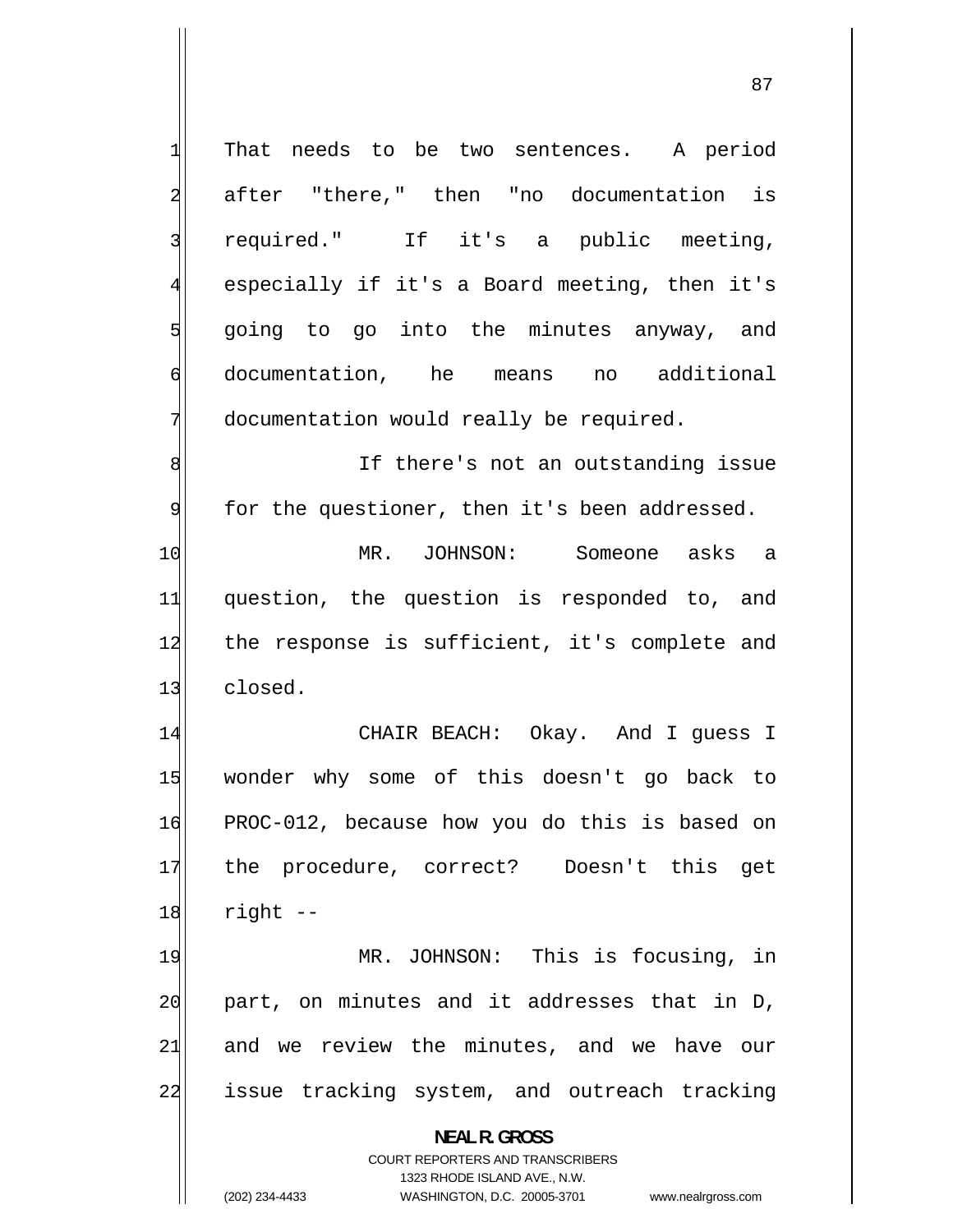1 That needs to be two sentences. A period 2 after "there," then "no documentation is 3 required." If it's a public meeting, 4 especially if it's a Board meeting, then it's 5 going to go into the minutes anyway, and 6 documentation, he means no additional 7 documentation would really be required. 8 If there's not an outstanding issue 9 for the questioner, then it's been addressed. 10 MR. JOHNSON: Someone asks a 11 question, the question is responded to, and 12 the response is sufficient, it's complete and 13 closed. 14 CHAIR BEACH: Okay. And I guess I 15 wonder why some of this doesn't go back to 16 PROC-012, because how you do this is based on 17 the procedure, correct? Doesn't this get  $18$  right  $-$ 19 MR. JOHNSON: This is focusing, in 20 part, on minutes and it addresses that in D, 21 and we review the minutes, and we have our 22 issue tracking system, and outreach tracking

> **NEAL R. GROSS**  COURT REPORTERS AND TRANSCRIBERS

> > 1323 RHODE ISLAND AVE., N.W.

(202) 234-4433 WASHINGTON, D.C. 20005-3701 www.nealrgross.com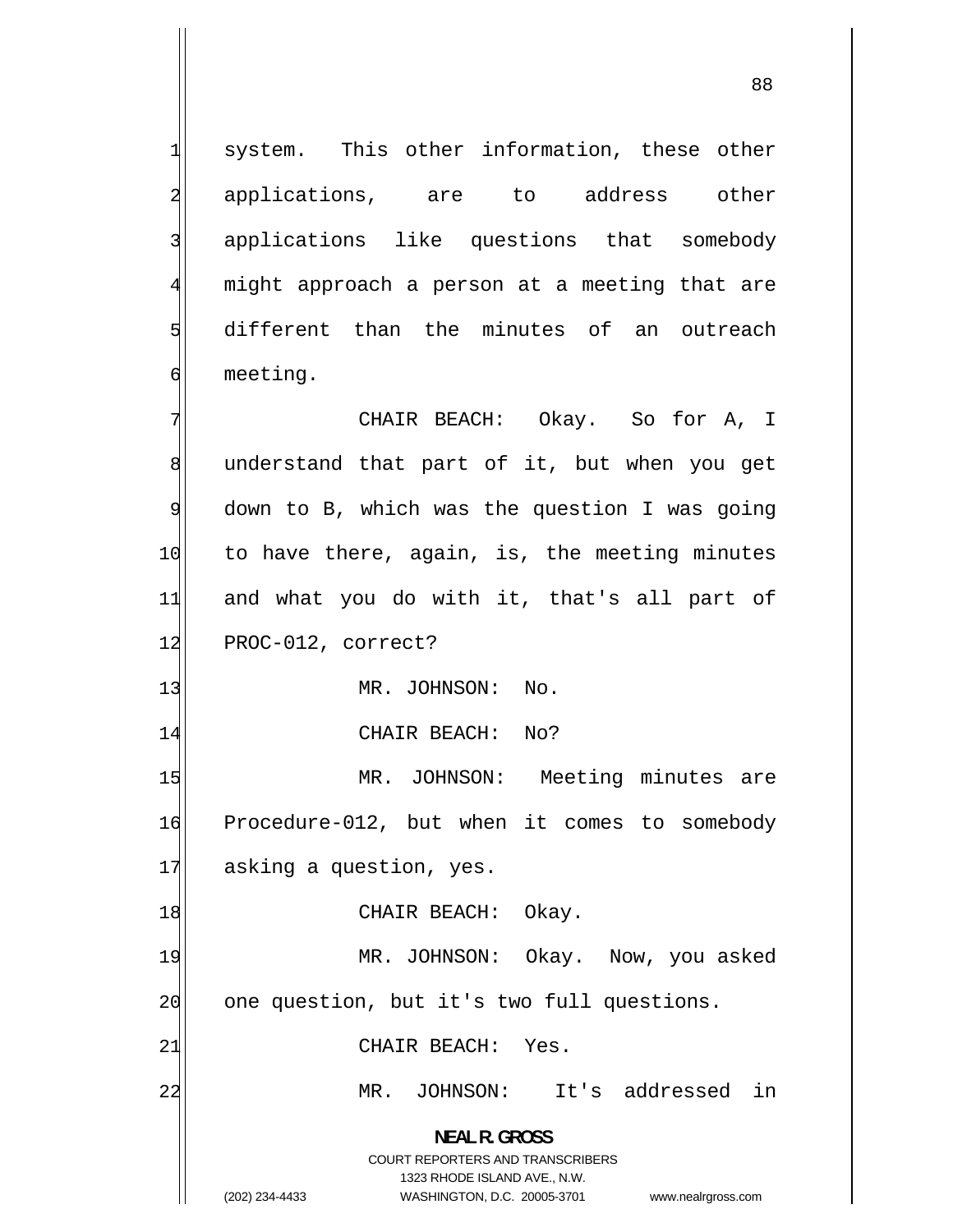system. This other information, these other applications, are to address other applications like questions that somebody might approach a person at a meeting that are different than the minutes of an outreach meeting.

7 CHAIR BEACH: Okay. So for A, I 8 understand that part of it, but when you get 9 down to B, which was the question I was going 10 to have there, again, is, the meeting minutes 11 and what you do with it, that's all part of 12 PROC-012, correct?

13 MR. JOHNSON: No.

14 CHAIR BEACH: No?

15 MR. JOHNSON: Meeting minutes are 16 Procedure-012, but when it comes to somebody 17 asking a question, yes.

18 CHAIR BEACH: Okay.

19 MR. JOHNSON: Okay. Now, you asked 20 one question, but it's two full questions.

21 CHAIR BEACH: Yes.

MR. JOHNSON: It's addressed in

**NEAL R. GROSS**  COURT REPORTERS AND TRANSCRIBERS 1323 RHODE ISLAND AVE., N.W.

22

1

2

3

4

5

6

(202) 234-4433 WASHINGTON, D.C. 20005-3701 www.nealrgross.com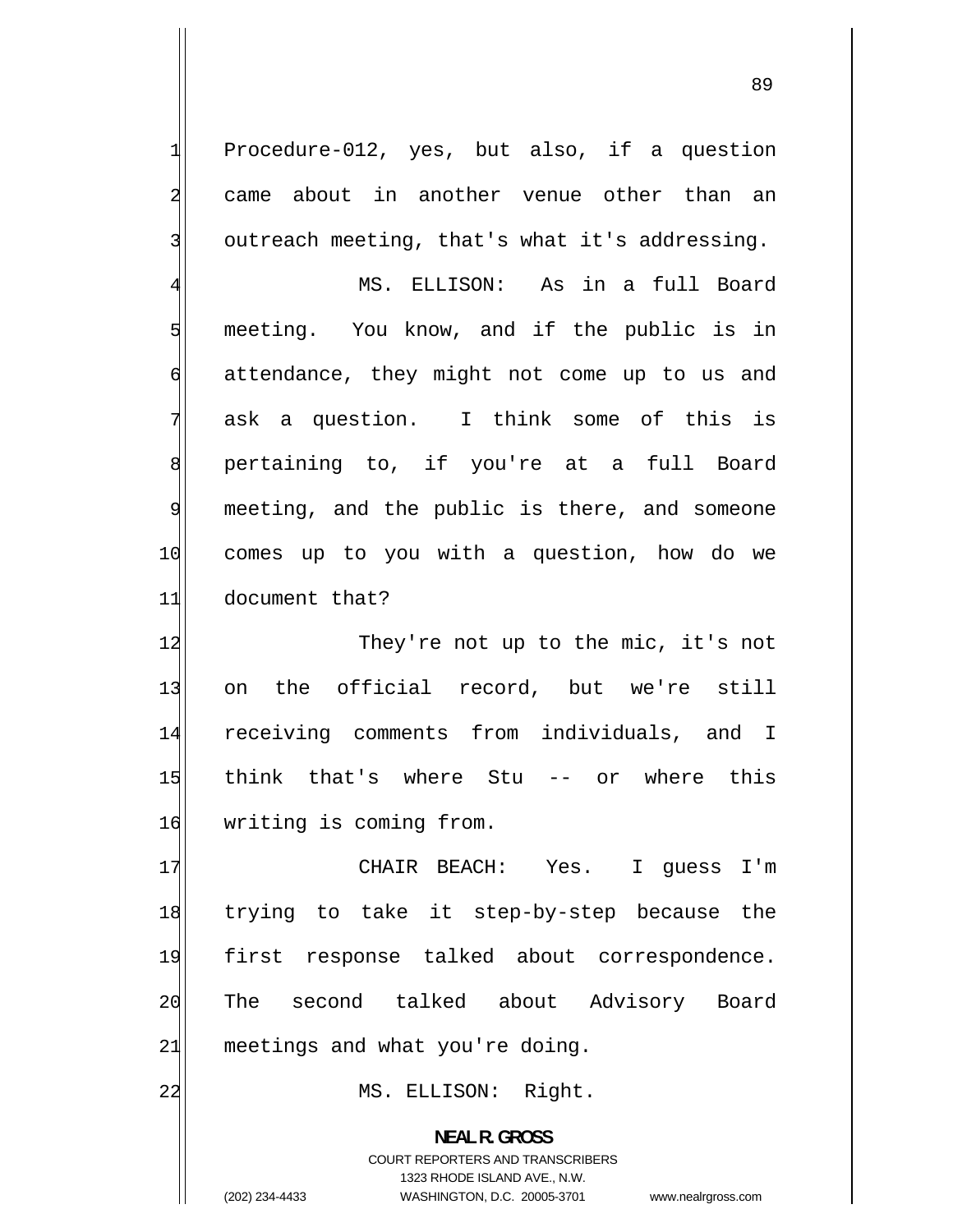Procedure-012, yes, but also, if a question came about in another venue other than an outreach meeting, that's what it's addressing.

1

2

3

4 MS. ELLISON: As in a full Board 5 meeting. You know, and if the public is in 6 attendance, they might not come up to us and 7 ask a question. I think some of this is 8 pertaining to, if you're at a full Board 9 meeting, and the public is there, and someone 10 comes up to you with a question, how do we 11 document that?

12 They're not up to the mic, it's not 13 on the official record, but we're still 14 receiving comments from individuals, and I 15 think that's where Stu -- or where this 16 writing is coming from.

17 CHAIR BEACH: Yes. I guess I'm 18 trying to take it step-by-step because the 19 first response talked about correspondence. 20 The second talked about Advisory Board  $21$  meetings and what you're doing.

22 MS. ELLISON: Right.

**NEAL R. GROSS**  COURT REPORTERS AND TRANSCRIBERS 1323 RHODE ISLAND AVE., N.W. (202) 234-4433 WASHINGTON, D.C. 20005-3701 www.nealrgross.com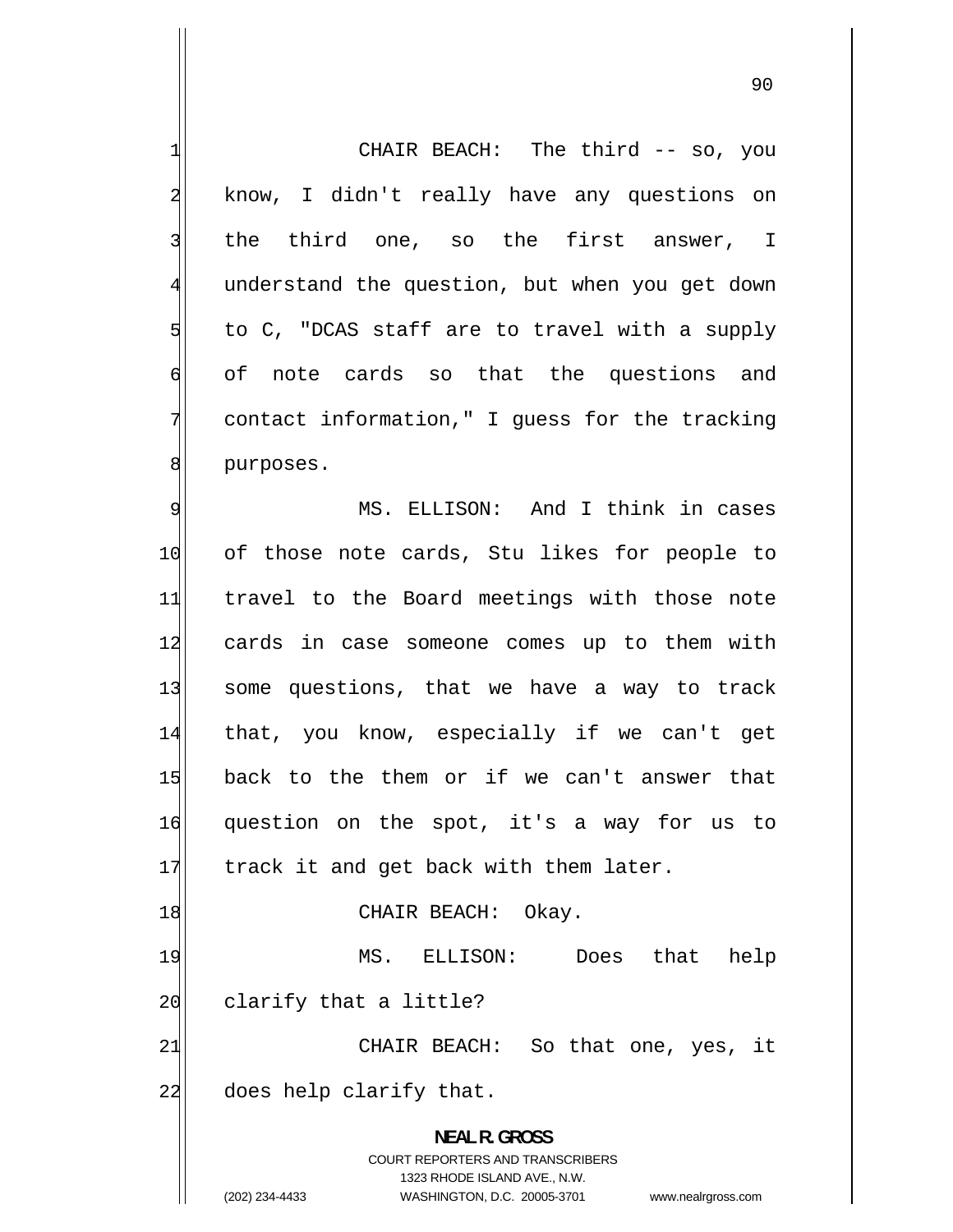1 CHAIR BEACH: The third -- so, you 2 know, I didn't really have any questions on 3 the third one, so the first answer, I [4](#page-3-0) understand the question, but when you get down [5](#page-4-0) to C, "DCAS staff are to travel with a supply [6](#page-5-0) of note cards so that the questions and [7](#page-6-0) contact information," I guess for the tracking [8](#page-7-0) purposes. [9](#page-8-0) MS. ELLISON: And I think in cases [10](#page-9-0) of those note cards, Stu likes for people to [11](#page-10-0) travel to the Board meetings with those note [12](#page-11-0) cards in case someone comes up to them with [13](#page-12-0) some questions, that we have a way to track [14](#page-13-0) that, you know, especially if we can't get [15](#page-14-0) back to the them or if we can't answer that [16](#page-15-0) question on the spot, it's a way for us to [17](#page-16-0) track it and get back with them later. [18](#page-17-0) CHAIR BEACH: Okay. [19](#page-18-0) MS. ELLISON: Does that help [20](#page-19-0) clarify that a little? [21](#page-20-0) CHAIR BEACH: So that one, yes, it [22](#page-21-0) does help clarify that. **NEAL R. GROSS**  COURT REPORTERS AND TRANSCRIBERS 1323 RHODE ISLAND AVE., N.W. (202) 234-4433 WASHINGTON, D.C. 20005-3701 www.nealrgross.com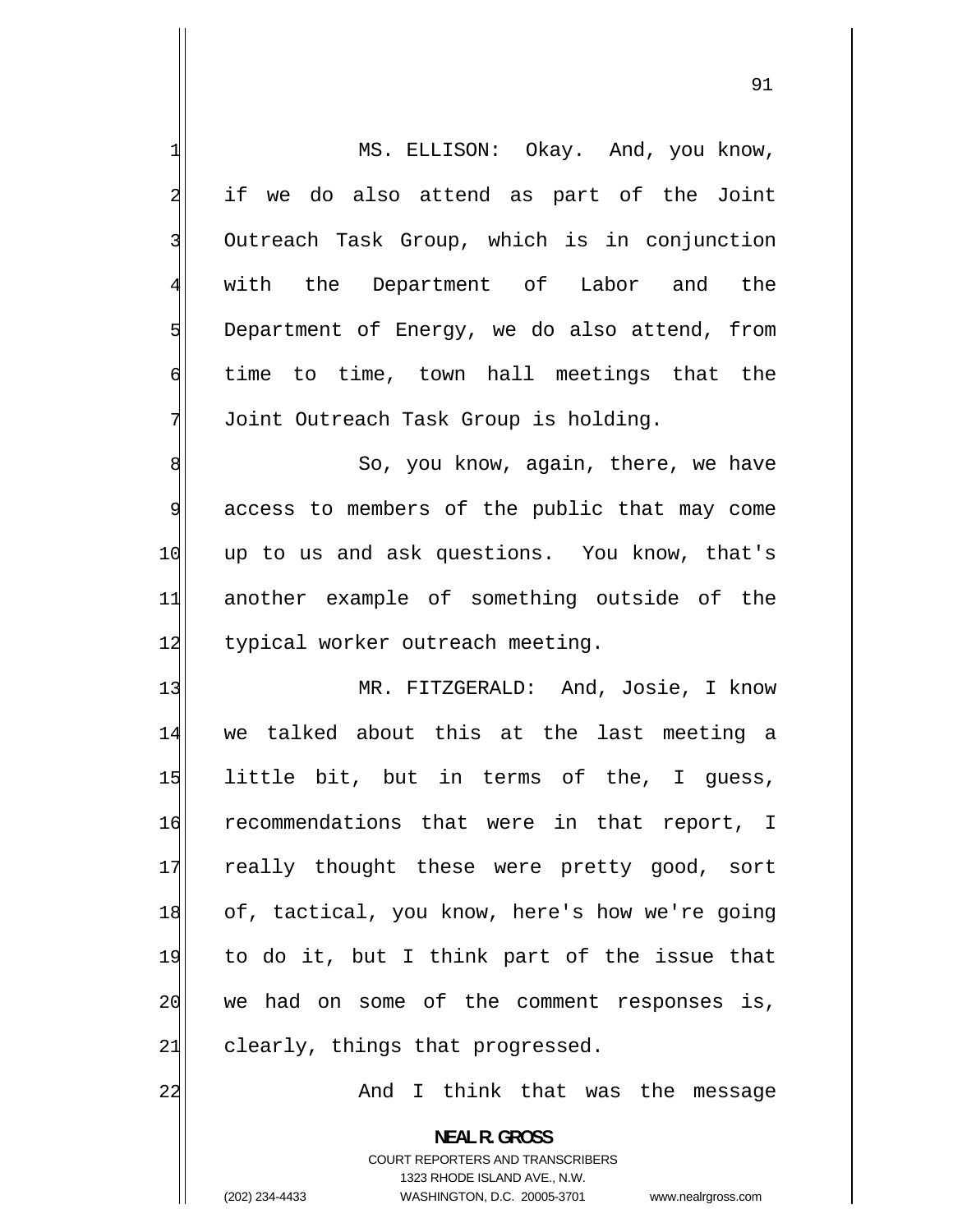| $\mathbf{1}$            | MS. ELLISON: Okay. And, you know,                                                                                                                               |
|-------------------------|-----------------------------------------------------------------------------------------------------------------------------------------------------------------|
| $\overline{a}$          | if we do also attend as part of the Joint                                                                                                                       |
| $\overline{\mathbf{3}}$ | Outreach Task Group, which is in conjunction                                                                                                                    |
|                         |                                                                                                                                                                 |
| $\overline{4}$          | with the Department of Labor and the                                                                                                                            |
| 5                       | Department of Energy, we do also attend, from                                                                                                                   |
| 6                       | time to time, town hall meetings that the                                                                                                                       |
| 7                       | Joint Outreach Task Group is holding.                                                                                                                           |
| 8                       | So, you know, again, there, we have                                                                                                                             |
| 9                       | access to members of the public that may come                                                                                                                   |
| 10                      | up to us and ask questions. You know, that's                                                                                                                    |
| 11                      | another example of something outside of the                                                                                                                     |
| 12                      | typical worker outreach meeting.                                                                                                                                |
| 13                      | MR. FITZGERALD: And, Josie, I know                                                                                                                              |
| 14                      | we talked about this at the last meeting a                                                                                                                      |
| 15                      | little bit, but in terms of the, I guess,                                                                                                                       |
| 16                      | recommendations that were in that report, I                                                                                                                     |
| 17                      | really thought these were pretty good, sort                                                                                                                     |
| 18                      | of, tactical, you know, here's how we're going                                                                                                                  |
| 19                      | to do it, but I think part of the issue that                                                                                                                    |
| 20                      | we had on some of the comment responses<br>is,                                                                                                                  |
| 21                      | clearly, things that progressed.                                                                                                                                |
| 22                      | And I think that was the message                                                                                                                                |
|                         |                                                                                                                                                                 |
|                         | <b>NEAL R. GROSS</b><br>COURT REPORTERS AND TRANSCRIBERS<br>1323 RHODE ISLAND AVE., N.W.<br>(202) 234-4433<br>WASHINGTON, D.C. 20005-3701<br>www.nealrgross.com |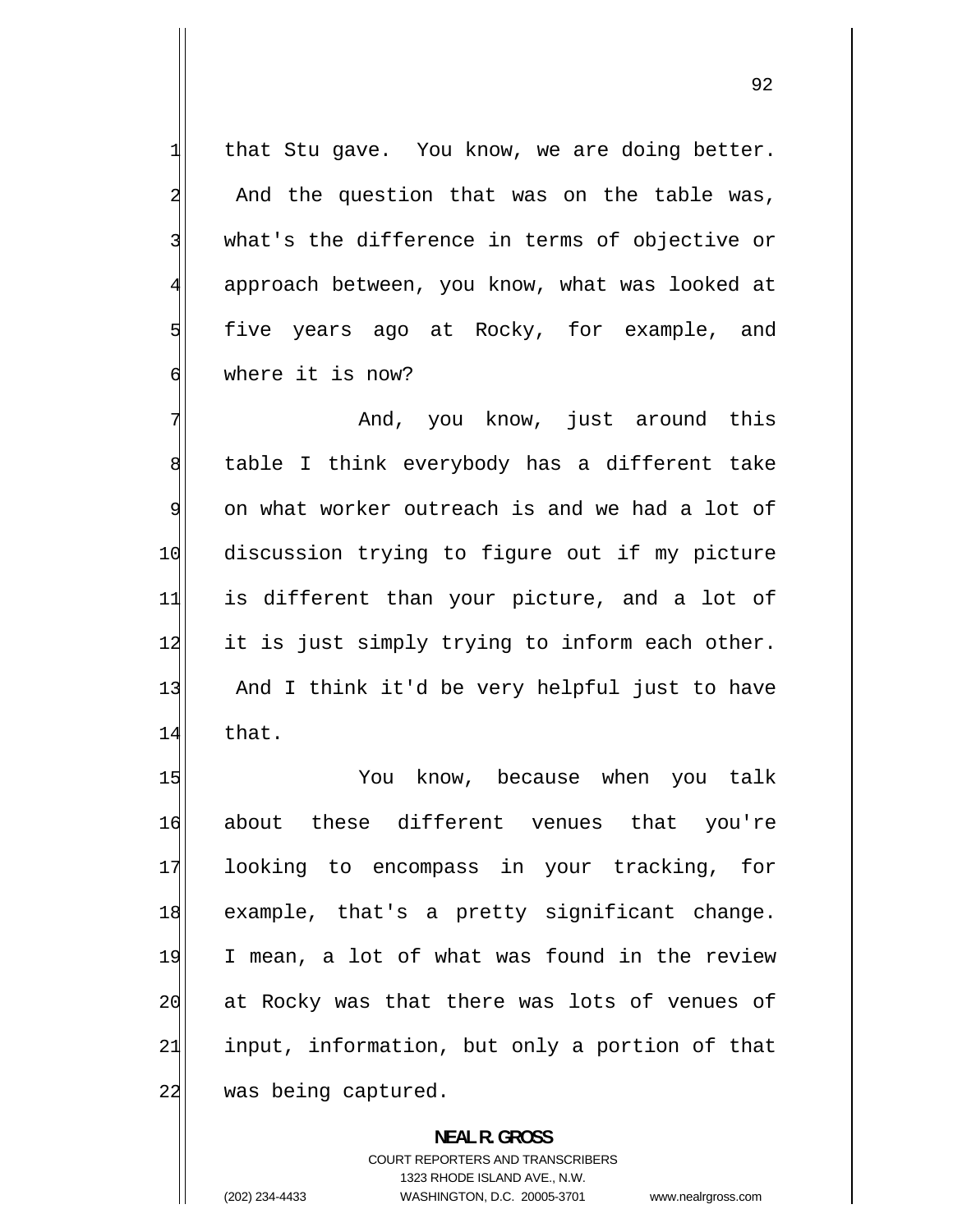that Stu gave. You know, we are doing better. And the question that was on the table was, what's the difference in terms of objective or approach between, you know, what was looked at five years ago at Rocky, for example, and where it is now?

1

2

3

4

5

6

7 And, you know, just around this 8 table I think everybody has a different take 9 on what worker outreach is and we had a lot of 10 discussion trying to figure out if my picture 11 is different than your picture, and a lot of 12 it is just simply trying to inform each other. 13 And I think it'd be very helpful just to have 14 that.

15 You know, because when you talk 16 about these different venues that you're 17 looking to encompass in your tracking, for 18 example, that's a pretty significant change. 19 I mean, a lot of what was found in the review 20 at Rocky was that there was lots of venues of 21 input, information, but only a portion of that 22 was being captured.

> **NEAL R. GROSS**  COURT REPORTERS AND TRANSCRIBERS 1323 RHODE ISLAND AVE., N.W. (202) 234-4433 WASHINGTON, D.C. 20005-3701 www.nealrgross.com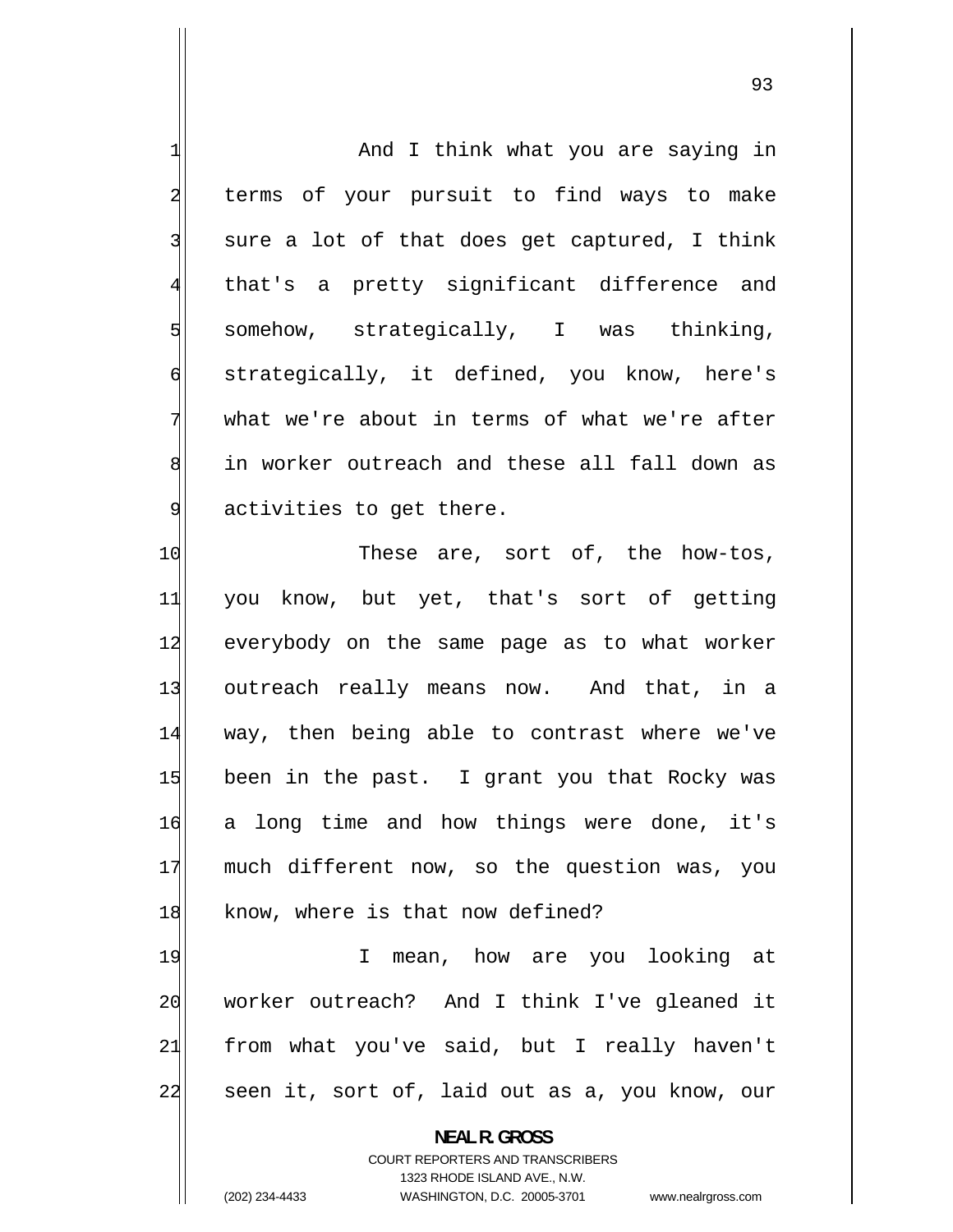| 1                       | And I think what you are saying in                                  |
|-------------------------|---------------------------------------------------------------------|
| $\overline{\mathbf{c}}$ | terms of your pursuit to find ways to make                          |
| 3                       | sure a lot of that does get captured, I think                       |
| $\overline{4}$          | that's a pretty significant difference and                          |
| 5                       | somehow, strategically, I was thinking,                             |
| $\mathbf 6$             | strategically, it defined, you know, here's                         |
| 7                       | what we're about in terms of what we're after                       |
| 8                       | in worker outreach and these all fall down as                       |
| $\overline{9}$          | activities to get there.                                            |
| 10                      | These are, sort of, the how-tos,                                    |
| 11                      | you know, but yet, that's sort of getting                           |
| 12                      | everybody on the same page as to what worker                        |
| 13                      | outreach really means now. And that, in a                           |
| 14                      | way, then being able to contrast where we've                        |
| 15                      | been in the past. I grant you that Rocky was                        |
| 16                      | a long time and how things were done, it's                          |
| 17                      | much different now, so the question was, you                        |
| 18                      | know, where is that now defined?                                    |
| 19                      | mean, how are you looking at<br>T.                                  |
| 20                      | worker outreach? And I think I've gleaned it                        |
| 21                      | from what you've said, but I really haven't                         |
| 22                      | seen it, sort of, laid out as a, you know, our                      |
|                         | <b>NEAL R. GROSS</b>                                                |
|                         | <b>COURT REPORTERS AND TRANSCRIBERS</b>                             |
|                         | 1323 RHODE ISLAND AVE., N.W.                                        |
|                         | (202) 234-4433<br>WASHINGTON, D.C. 20005-3701<br>www.nealrgross.com |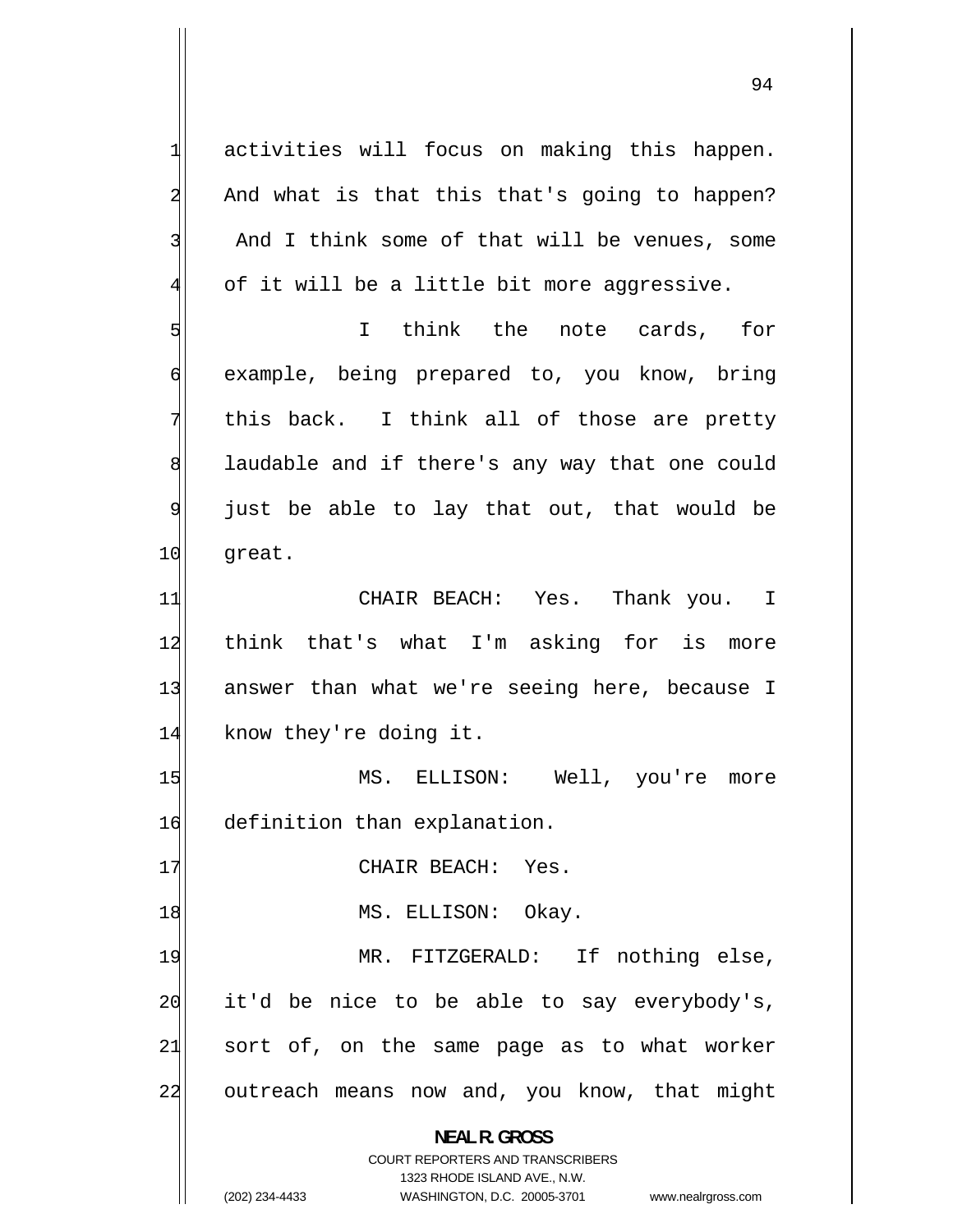activities will focus on making this happen. And what is that this that's going to happen? And I think some of that will be venues, some of it will be a little bit more aggressive. I think the note cards, for example, being prepared to, you know, bring

1

2

3

4

5

6

7 this back. I think all of those are pretty 8 laudable and if there's any way that one could 9 just be able to lay that out, that would be 10 great.

11 CHAIR BEACH: Yes. Thank you. I 12 think that's what I'm asking for is more 13 answer than what we're seeing here, because I 14 know they're doing it.

15 MS. ELLISON: Well, you're more 16 definition than explanation.

17 CHAIR BEACH: Yes.

18 MS. ELLISON: Okay.

19 MR. FITZGERALD: If nothing else, 20 it'd be nice to be able to say everybody's, 21 sort of, on the same page as to what worker 22 outreach means now and, you know, that might

**NEAL R. GROSS** 

COURT REPORTERS AND TRANSCRIBERS 1323 RHODE ISLAND AVE., N.W. (202) 234-4433 WASHINGTON, D.C. 20005-3701 www.nealrgross.com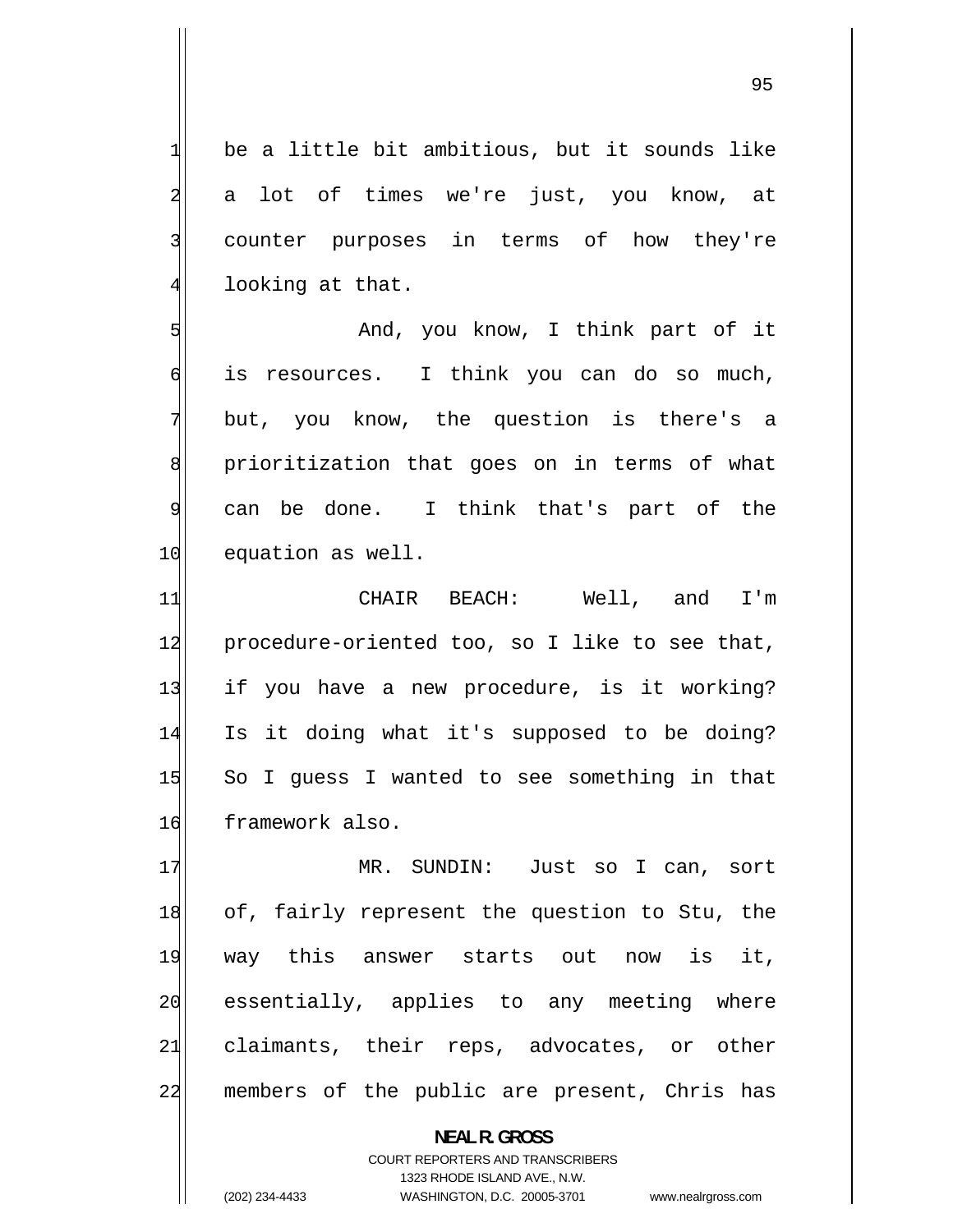be a little bit ambitious, but it sounds like a lot of times we're just, you know, at counter purposes in terms of how they're looking at that.

 And, you know, I think part of it 6 is resources. I think you can do so much, but, you know, the question is there's a 8 prioritization that goes on in terms of what can be done. I think that's part of the 10 equation as well.

11 CHAIR BEACH: Well, and I'm 12 procedure-oriented too, so I like to see that, 13 if you have a new procedure, is it working? 14 Is it doing what it's supposed to be doing? 15 So I guess I wanted to see something in that 16 framework also.

17 MR. SUNDIN: Just so I can, sort 18 of, fairly represent the question to Stu, the 19 way this answer starts out now is it, 20 essentially, applies to any meeting where 21 claimants, their reps, advocates, or other 22 members of the public are present, Chris has

> **NEAL R. GROSS**  COURT REPORTERS AND TRANSCRIBERS 1323 RHODE ISLAND AVE., N.W. (202) 234-4433 WASHINGTON, D.C. 20005-3701 www.nealrgross.com

1

2

3

4

5

7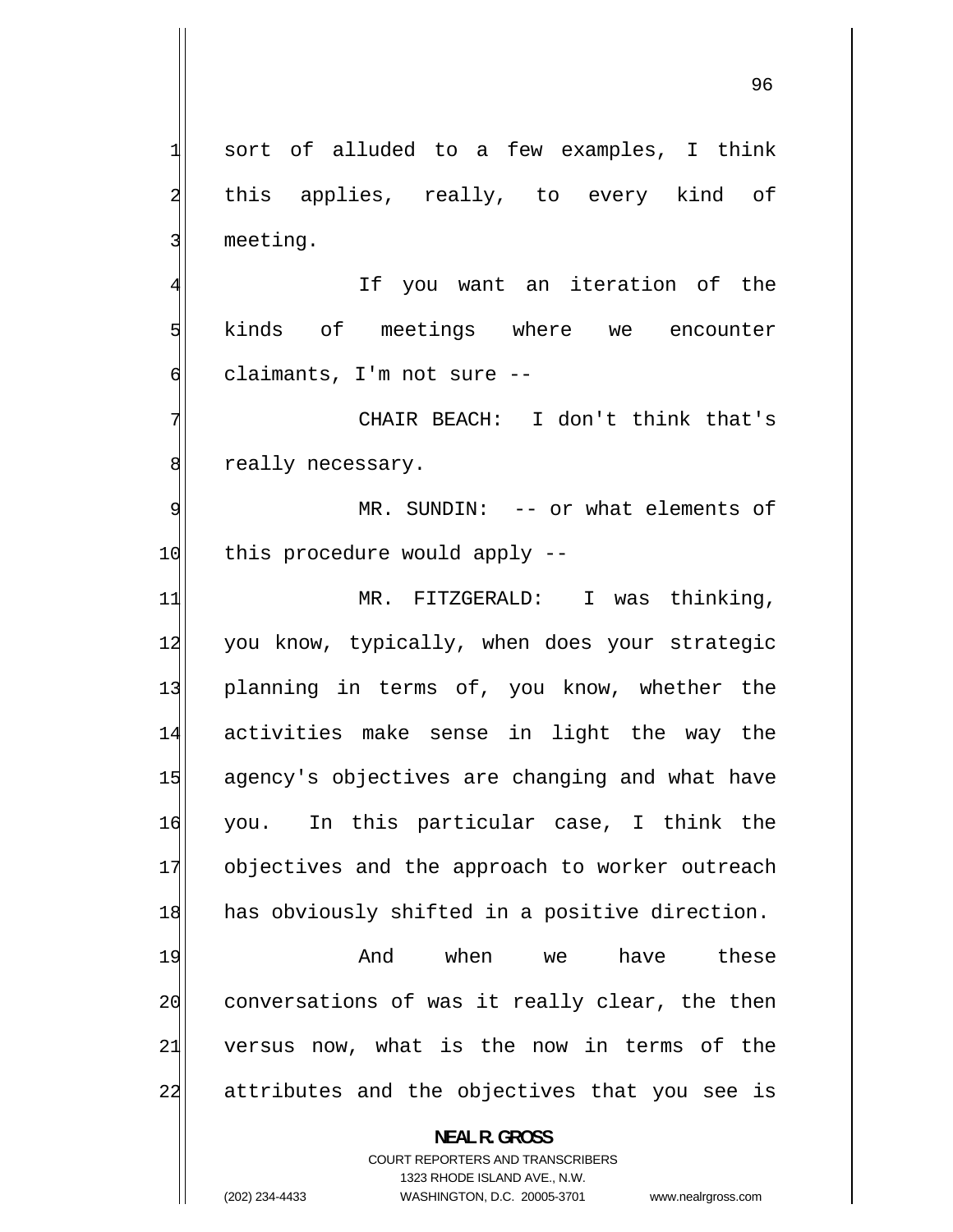1 sort of alluded to a few examples, I think 2 this applies, really, to every kind of 3 meeting. 4 If you want an iteration of the 5 kinds of meetings where we encounter 6 claimants, I'm not sure -- 7 CHAIR BEACH: I don't think that's 8 really necessary. 9 MR. SUNDIN: -- or what elements of 10 this procedure would apply --11 MR. FITZGERALD: I was thinking, 12 you know, typically, when does your strategic 13 planning in terms of, you know, whether the 14 activities make sense in light the way the 15 agency's objectives are changing and what have 16 you. In this particular case, I think the 17 objectives and the approach to worker outreach 18 has obviously shifted in a positive direction. 19 And when we have these 20 conversations of was it really clear, the then 21 versus now, what is the now in terms of the 22 attributes and the objectives that you see is **NEAL R. GROSS**  COURT REPORTERS AND TRANSCRIBERS 1323 RHODE ISLAND AVE., N.W.

(202) 234-4433 WASHINGTON, D.C. 20005-3701 www.nealrgross.com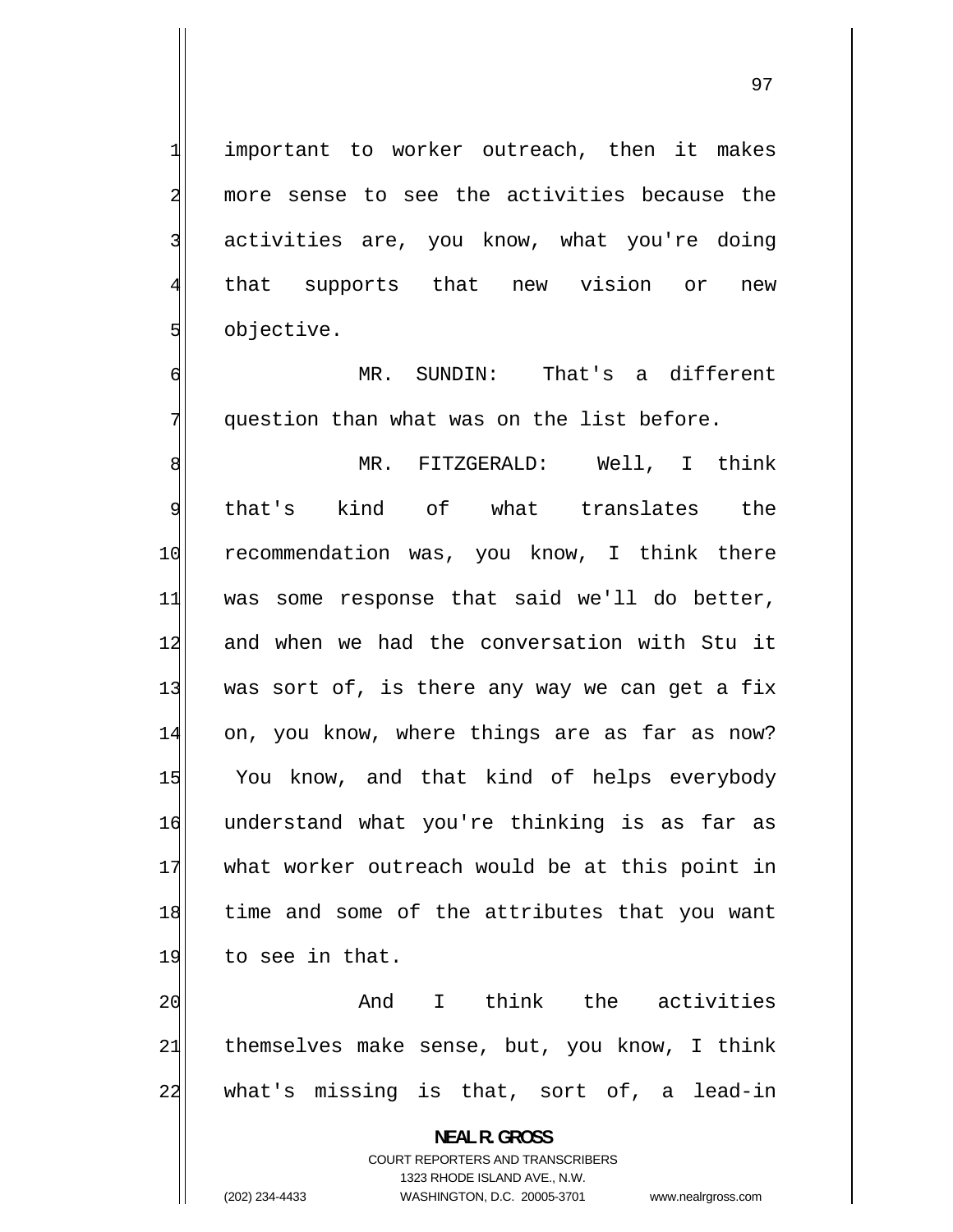important to worker outreach, then it makes more sense to see the activities because the activities are, you know, what you're doing that supports that new vision or new objective.

1

2

3

4

5

6

7

 MR. SUNDIN: That's a different question than what was on the list before.

8 MR. FITZGERALD: Well, I think 9 that's kind of what translates the 10 recommendation was, you know, I think there 11 was some response that said we'll do better, 12 and when we had the conversation with Stu it 13 was sort of, is there any way we can get a fix 14 on, you know, where things are as far as now? 15 You know, and that kind of helps everybody 16 understand what you're thinking is as far as 17 what worker outreach would be at this point in 18 time and some of the attributes that you want 19 to see in that.

20 And I think the activities 21 themselves make sense, but, you know, I think 22 what's missing is that, sort of, a lead-in

> **NEAL R. GROSS**  COURT REPORTERS AND TRANSCRIBERS 1323 RHODE ISLAND AVE., N.W. (202) 234-4433 WASHINGTON, D.C. 20005-3701 www.nealrgross.com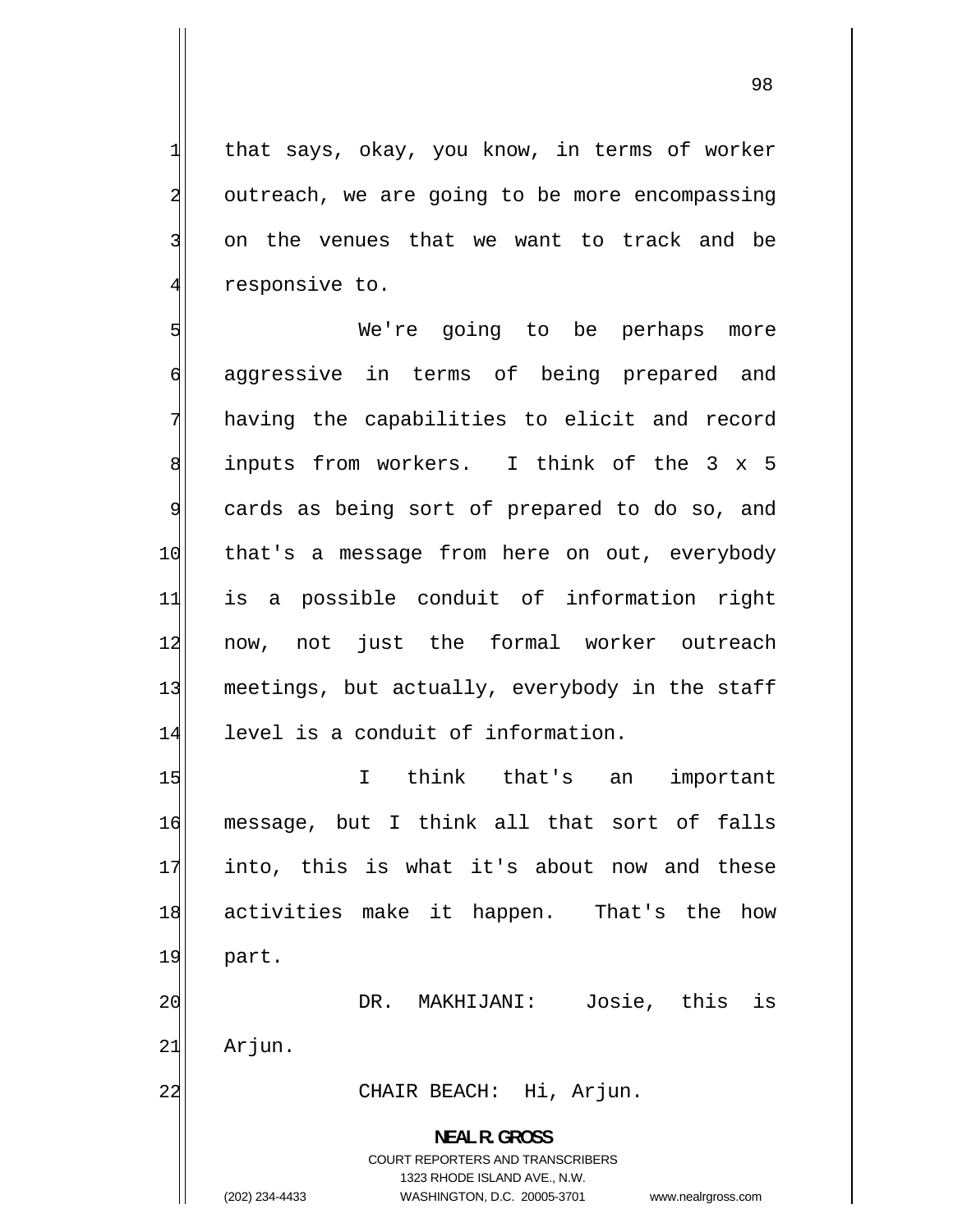that says, okay, you know, in terms of worker outreach, we are going to be more encompassing on the venues that we want to track and be responsive to.

5 We're going to be perhaps more 6 aggressive in terms of being prepared and 7 having the capabilities to elicit and record 8 inputs from workers. I think of the 3 x 5 9 cards as being sort of prepared to do so, and 10 that's a message from here on out, everybody 11 is a possible conduit of information right 12 now, not just the formal worker outreach 13 meetings, but actually, everybody in the staff 14 level is a conduit of information.

15 I think that's an important 16 message, but I think all that sort of falls 17 into, this is what it's about now and these 18 activities make it happen. That's the how 19 part. 20 DR. MAKHIJANI: Josie, this is  $21$  Arjun. 22 CHAIR BEACH: Hi, Arjun. **NEAL R. GROSS** 

> COURT REPORTERS AND TRANSCRIBERS 1323 RHODE ISLAND AVE., N.W.

1

2

3

4

(202) 234-4433 WASHINGTON, D.C. 20005-3701 www.nealrgross.com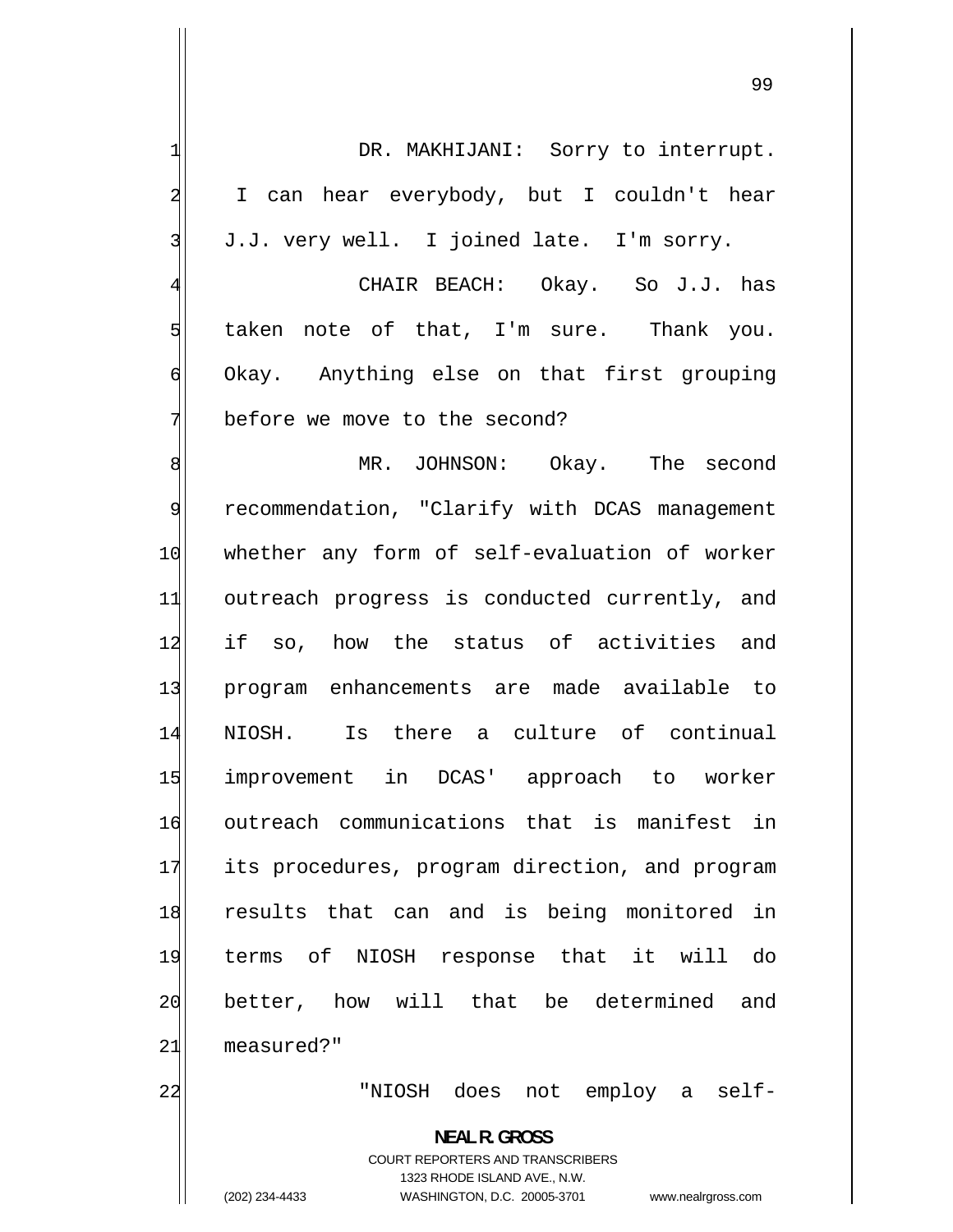| 1              | DR. MAKHIJANI: Sorry to interrupt.                                      |
|----------------|-------------------------------------------------------------------------|
| 2              | I can hear everybody, but I couldn't hear                               |
| 3              | J.J. very well. I joined late. I'm sorry.                               |
| $\overline{4}$ | CHAIR BEACH: Okay. So J.J. has                                          |
| 5              | taken note of that, I'm sure. Thank you.                                |
| 6              | Okay. Anything else on that first grouping                              |
| 7              | before we move to the second?                                           |
| 8              | MR. JOHNSON: Okay. The second                                           |
| 9              | recommendation, "Clarify with DCAS management                           |
| 10             | whether any form of self-evaluation of worker                           |
| 11             | outreach progress is conducted currently, and                           |
| 12             | if so, how the status of activities and                                 |
| 13             | program enhancements are made available to                              |
| 14             | NIOSH. Is there a culture of continual                                  |
| 15             | improvement in DCAS' approach to worker                                 |
| 16             | outreach communications that is manifest<br>in                          |
| 17             | its procedures, program direction, and program                          |
| 18             | results that can and is being monitored in                              |
| 19             | terms of NIOSH response that it will<br>do                              |
| 20             | better, how will that be determined<br>and                              |
| 21             | measured?"                                                              |
| 22             | "NIOSH does not employ a self-                                          |
|                |                                                                         |
|                | <b>NEAL R. GROSS</b>                                                    |
|                | <b>COURT REPORTERS AND TRANSCRIBERS</b><br>1323 RHODE ISLAND AVE., N.W. |
|                | (202) 234-4433<br>WASHINGTON, D.C. 20005-3701<br>www.nealrgross.com     |

 $\mathsf{I}$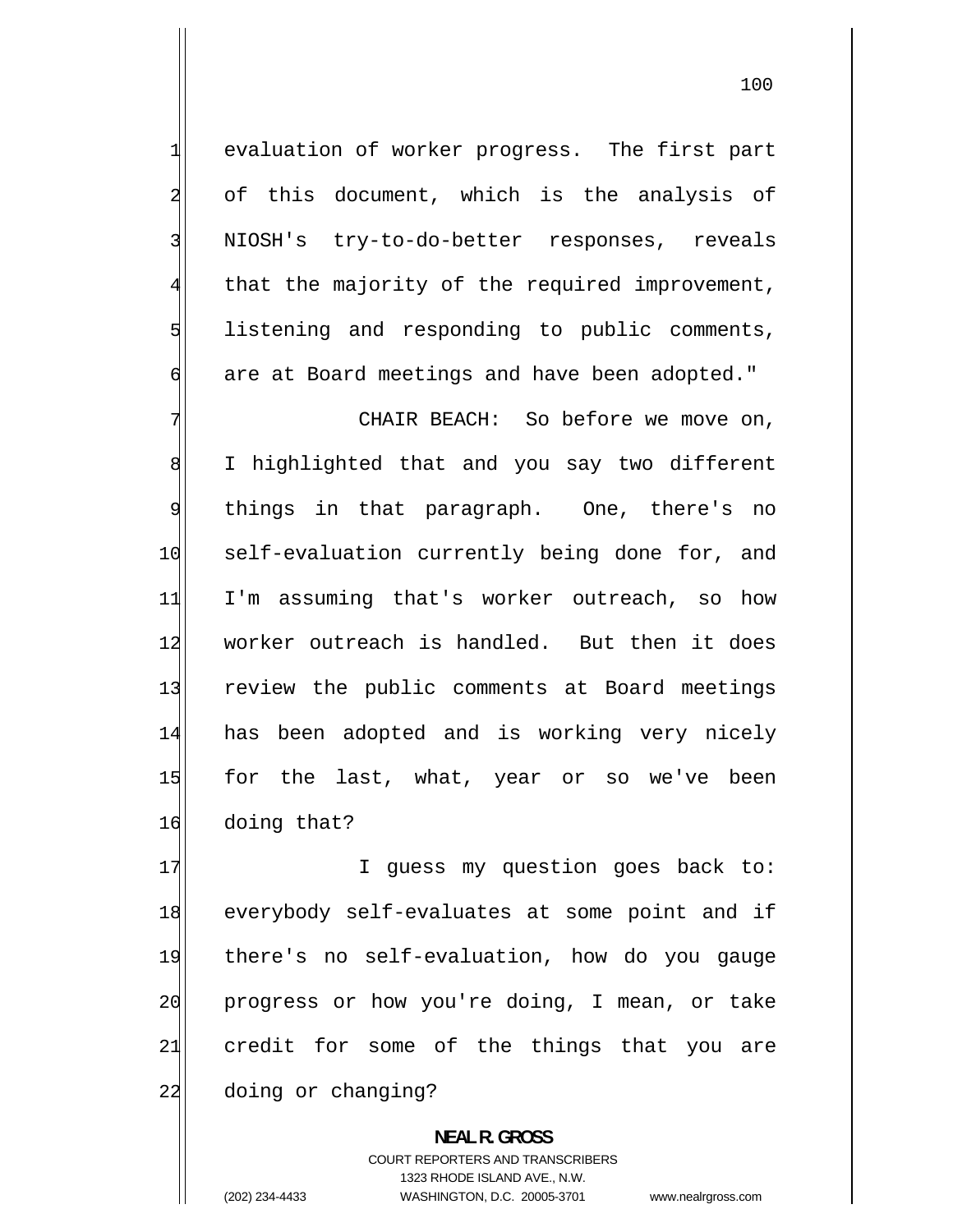evaluation of worker progress. The first part of this document, which is the analysis of NIOSH's try-to-do-better responses, reveals that the majority of the required improvement, listening and responding to public comments, are at Board meetings and have been adopted."

7 CHAIR BEACH: So before we move on, 8 I highlighted that and you say two different 9 things in that paragraph. One, there's no 10 self-evaluation currently being done for, and 11 I'm assuming that's worker outreach, so how 12 worker outreach is handled. But then it does 13 review the public comments at Board meetings 14 has been adopted and is working very nicely 15 for the last, what, year or so we've been 16 doing that?

17 I guess my question goes back to: 18 everybody self-evaluates at some point and if 19 there's no self-evaluation, how do you gauge 20 progress or how you're doing, I mean, or take 21 credit for some of the things that you are 22 doing or changing?

> **NEAL R. GROSS**  COURT REPORTERS AND TRANSCRIBERS 1323 RHODE ISLAND AVE., N.W. (202) 234-4433 WASHINGTON, D.C. 20005-3701 www.nealrgross.com

1

2

3

4

5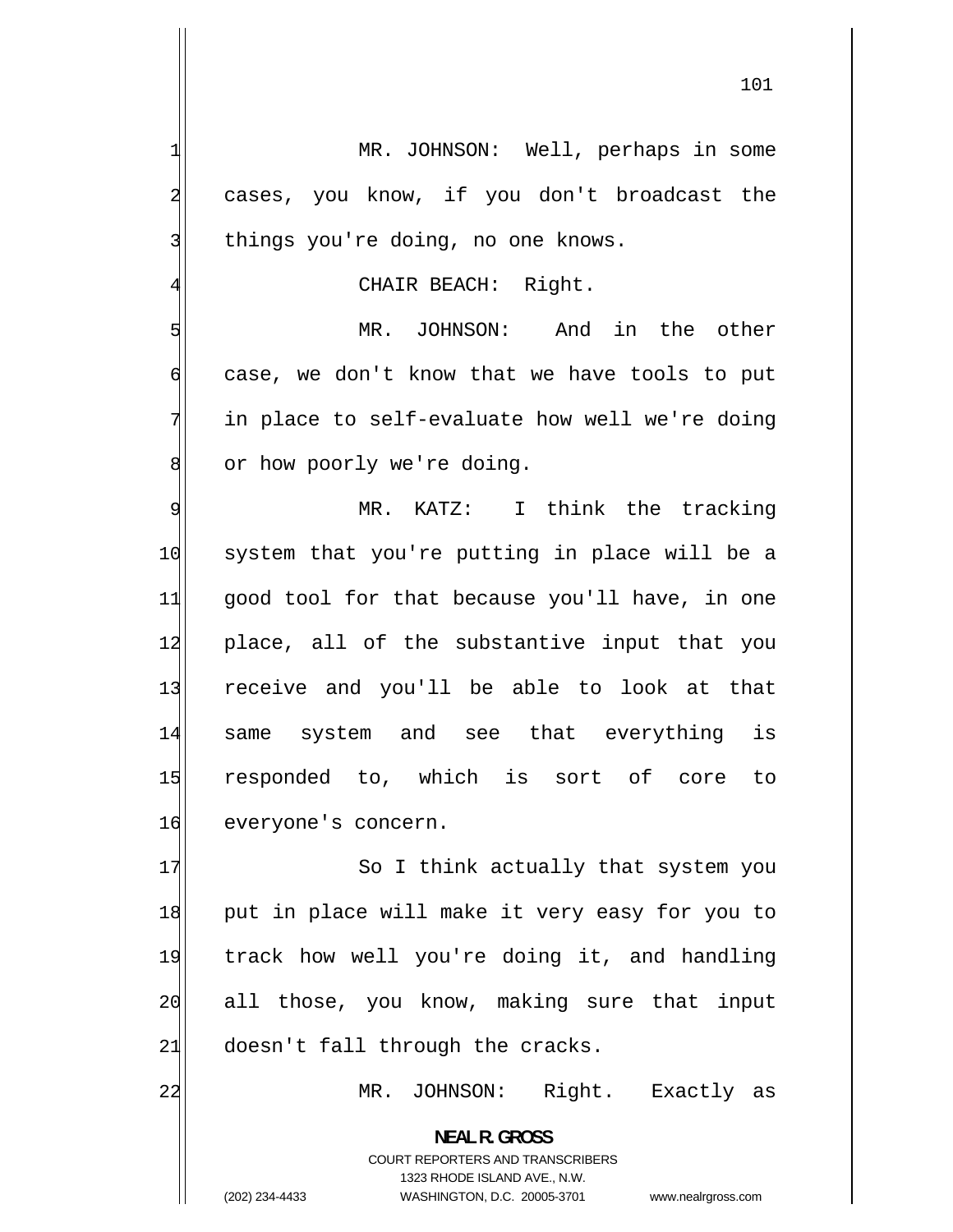MR. JOHNSON: Well, perhaps in some cases, you know, if you don't broadcast the things you're doing, no one knows.

1

2

3

5

6

7

8

22

4

CHAIR BEACH: Right.

 MR. JOHNSON: And in the other case, we don't know that we have tools to put in place to self-evaluate how well we're doing or how poorly we're doing.

9 MR. KATZ: I think the tracking 10 system that you're putting in place will be a 11 good tool for that because you'll have, in one 12 place, all of the substantive input that you 13 receive and you'll be able to look at that 14 same system and see that everything is 15 responded to, which is sort of core to 16 everyone's concern.

17 So I think actually that system you 18 put in place will make it very easy for you to 19 track how well you're doing it, and handling 20 all those, you know, making sure that input  $21$  doesn't fall through the cracks.

**NEAL R. GROSS** 

MR. JOHNSON: Right. Exactly as

COURT REPORTERS AND TRANSCRIBERS 1323 RHODE ISLAND AVE., N.W. (202) 234-4433 WASHINGTON, D.C. 20005-3701 www.nealrgross.com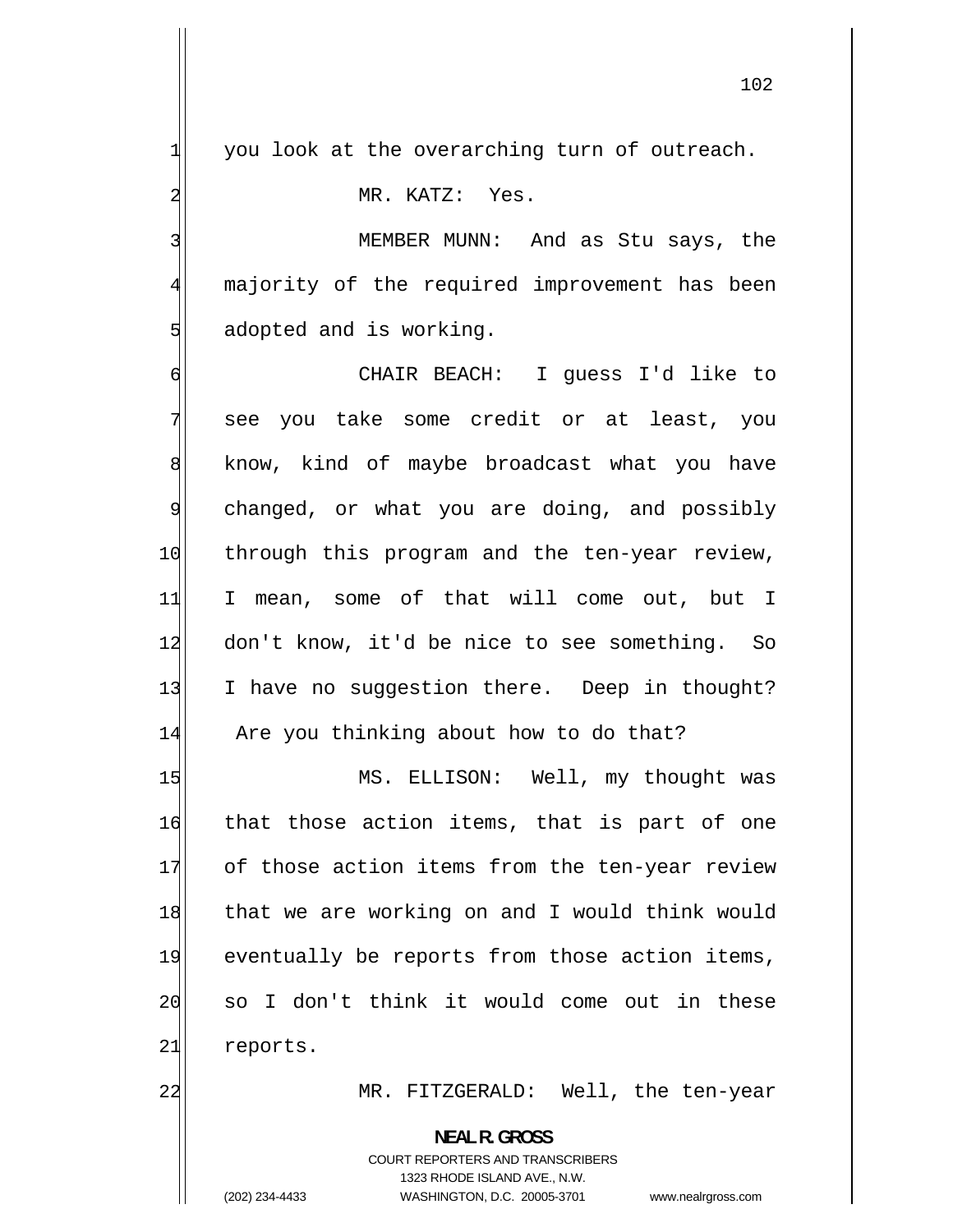102

you look at the overarching turn of outreach.

MR. KATZ: Yes.

1

2

3

4

5

 MEMBER MUNN: And as Stu says, the majority of the required improvement has been adopted and is working.

6 CHAIR BEACH: I guess I'd like to 7 see you take some credit or at least, you 8 know, kind of maybe broadcast what you have 9 changed, or what you are doing, and possibly 10 through this program and the ten-year review, 11 I mean, some of that will come out, but I 12 don't know, it'd be nice to see something. So 13 I have no suggestion there. Deep in thought? 14 Are you thinking about how to do that?

15 MS. ELLISON: Well, my thought was 16 that those action items, that is part of one 17 of those action items from the ten-year review 18 that we are working on and I would think would 19 eventually be reports from those action items, 20 so I don't think it would come out in these 21 reports.

22 MR. FITZGERALD: Well, the ten-year

**NEAL R. GROSS** 

COURT REPORTERS AND TRANSCRIBERS 1323 RHODE ISLAND AVE., N.W. (202) 234-4433 WASHINGTON, D.C. 20005-3701 www.nealrgross.com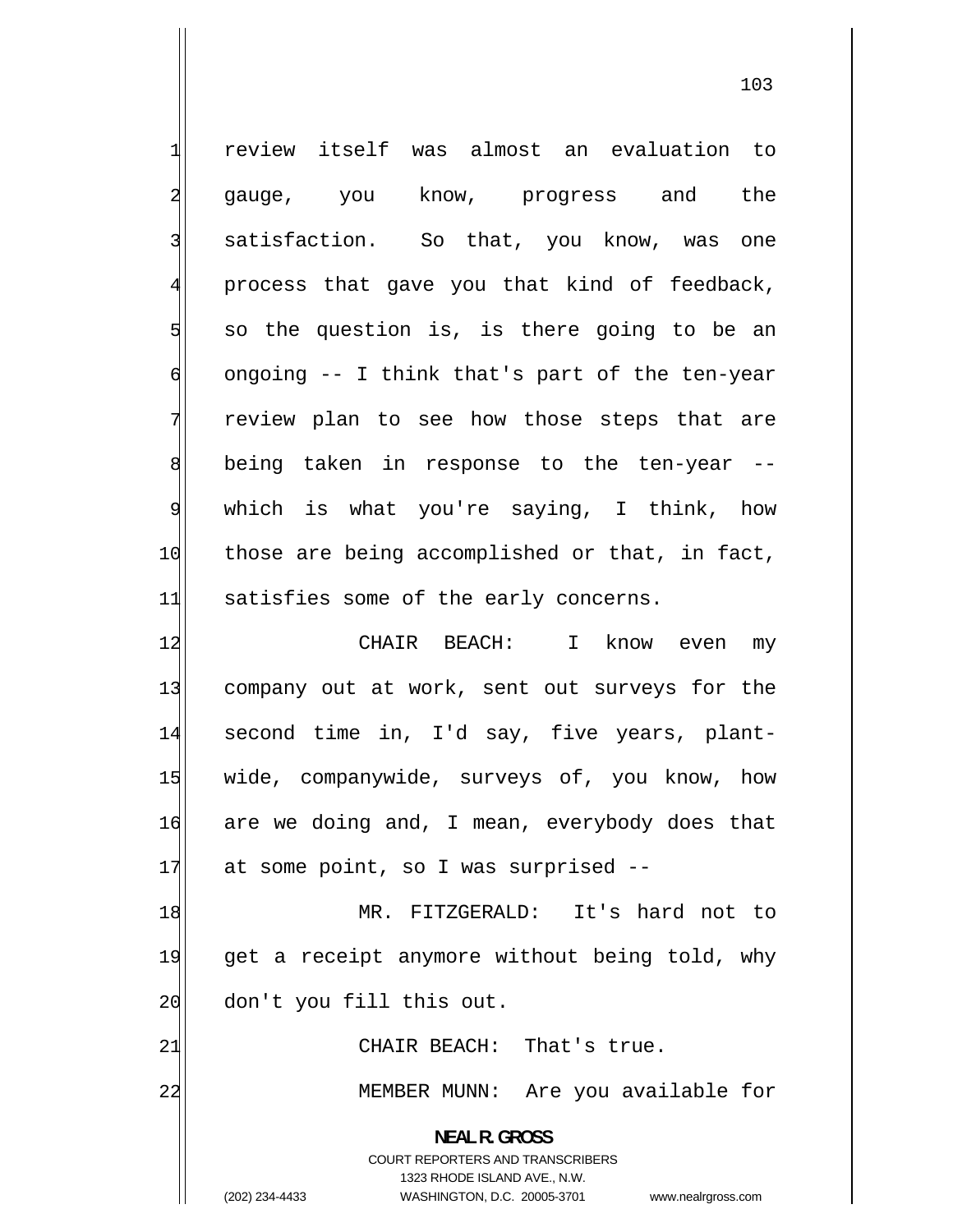| 1                | review itself was almost an evaluation to                           |
|------------------|---------------------------------------------------------------------|
| $\overline{a}$   | gauge, you know, progress and the                                   |
| 3                | satisfaction. So that, you know, was one                            |
| $\overline{4}$   | process that gave you that kind of feedback,                        |
| 5                | so the question is, is there going to be an                         |
| 6                | ongoing -- I think that's part of the ten-year                      |
| 7                | review plan to see how those steps that are                         |
| $\boldsymbol{8}$ | being taken in response to the ten-year --                          |
| $\mathsf{S}$     | which is what you're saying, I think, how                           |
| 10               | those are being accomplished or that, in fact,                      |
| 11               | satisfies some of the early concerns.                               |
| 12               | CHAIR BEACH: I know even my                                         |
| 13               | company out at work, sent out surveys for the                       |
| 14               | second time in, I'd say, five years, plant-                         |
| 15               | wide, companywide, surveys of, you know, how                        |
| 16               | are we doing and, I mean, everybody does that                       |
| 17               | at some point, so I was surprised --                                |
| 18               | MR. FITZGERALD: It's hard not to                                    |
| 19               | get a receipt anymore without being told, why                       |
| 20               | don't you fill this out.                                            |
| 21               | CHAIR BEACH: That's true.                                           |
| 22               | MEMBER MUNN: Are you available for                                  |
|                  | <b>NEAL R. GROSS</b>                                                |
|                  | COURT REPORTERS AND TRANSCRIBERS                                    |
|                  | 1323 RHODE ISLAND AVE., N.W.                                        |
|                  | (202) 234-4433<br>WASHINGTON, D.C. 20005-3701<br>www.nealrgross.com |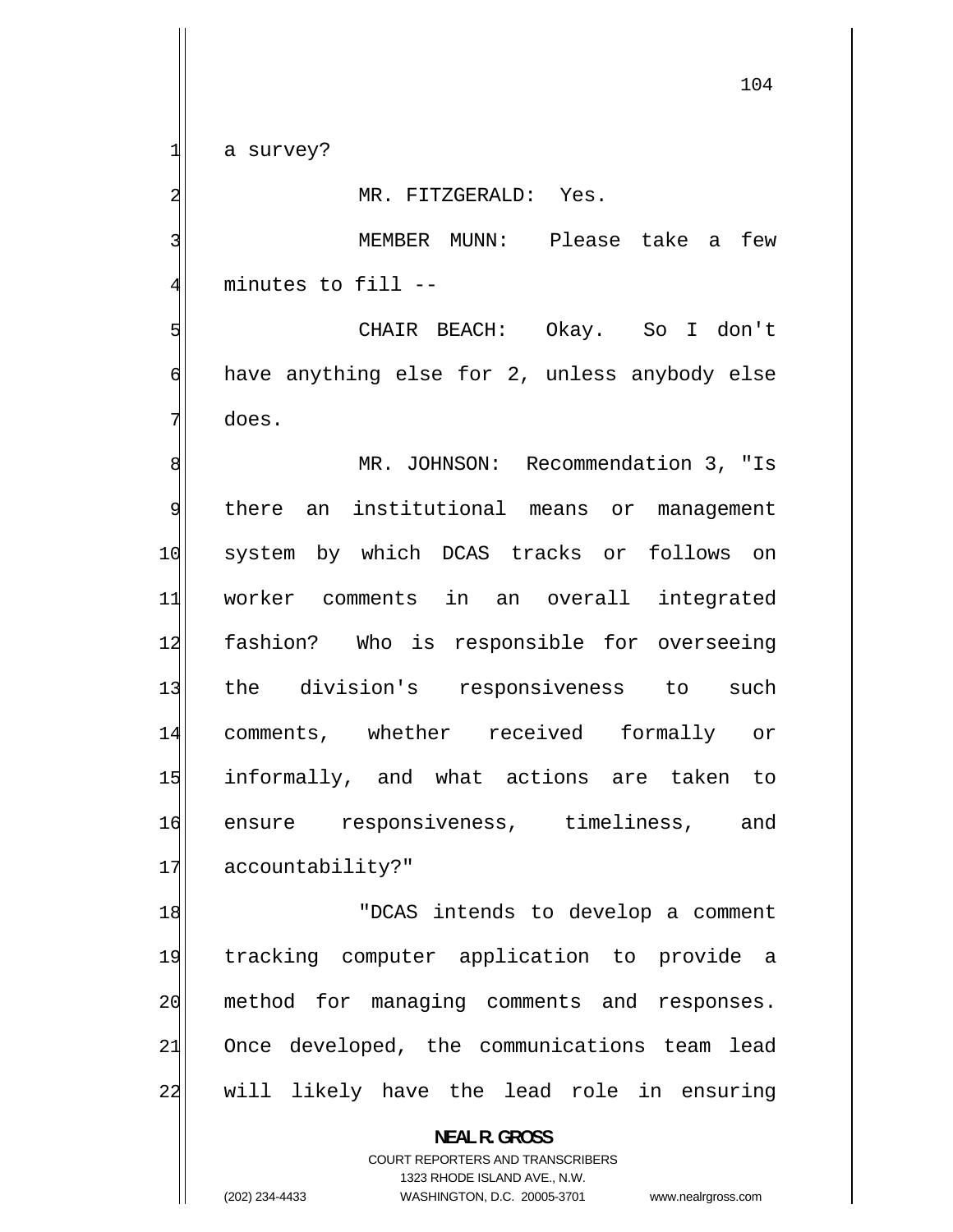a survey?

1

2

3

4

5

6

7

MR. FITZGERALD: Yes.

 MEMBER MUNN: Please take a few minutes to fill --

 CHAIR BEACH: Okay. So I don't have anything else for 2, unless anybody else does.

8 MR. JOHNSON: Recommendation 3, "Is 9 there an institutional means or management 10 system by which DCAS tracks or follows on 11 worker comments in an overall integrated 12 fashion? Who is responsible for overseeing 13 the division's responsiveness to such 14 comments, whether received formally or 15 informally, and what actions are taken to 16 ensure responsiveness, timeliness, and 17 accountability?"

18 "DCAS intends to develop a comment 19 tracking computer application to provide a 20 method for managing comments and responses. 21 Once developed, the communications team lead 22 will likely have the lead role in ensuring

> **NEAL R. GROSS**  COURT REPORTERS AND TRANSCRIBERS 1323 RHODE ISLAND AVE., N.W.

(202) 234-4433 WASHINGTON, D.C. 20005-3701 www.nealrgross.com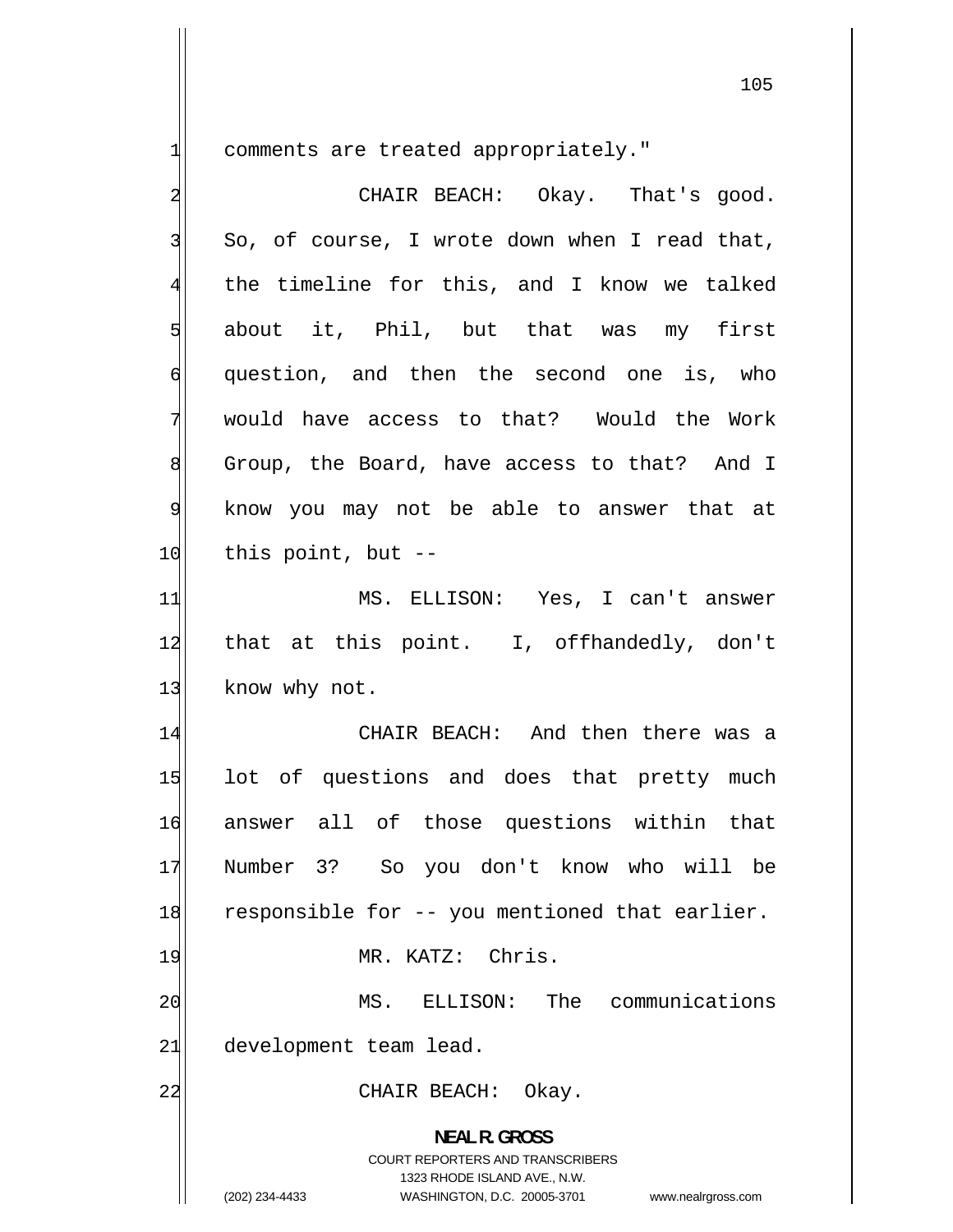comments are treated appropriately."

1

| $\overline{\mathbf{c}}$ | CHAIR BEACH: Okay. That's good.                                                                                                                                        |
|-------------------------|------------------------------------------------------------------------------------------------------------------------------------------------------------------------|
| $\overline{3}$          | So, of course, I wrote down when I read that,                                                                                                                          |
| $\overline{4}$          | the timeline for this, and I know we talked                                                                                                                            |
| 5                       | about it, Phil, but that was my first                                                                                                                                  |
| $\sigma$                | question, and then the second one is, who                                                                                                                              |
| 7                       | would have access to that? Would the Work                                                                                                                              |
| 8                       | Group, the Board, have access to that? And I                                                                                                                           |
| $\overline{9}$          | know you may not be able to answer that at                                                                                                                             |
| 10                      | this point, but $-$                                                                                                                                                    |
| 11                      | MS. ELLISON: Yes, I can't answer                                                                                                                                       |
| 12                      | that at this point. I, offhandedly, don't                                                                                                                              |
| 13                      | know why not.                                                                                                                                                          |
| 14                      | CHAIR BEACH: And then there was a                                                                                                                                      |
| 15                      | lot of questions and does that pretty much                                                                                                                             |
| 16                      | answer all of those questions within that                                                                                                                              |
| 17                      | Number 3? So you don't know who will be                                                                                                                                |
| 18                      | responsible for -- you mentioned that earlier.                                                                                                                         |
| 19                      | MR. KATZ: Chris.                                                                                                                                                       |
| 20                      | The<br>communications<br>MS.<br>ELLISON:                                                                                                                               |
| 21                      | development team lead.                                                                                                                                                 |
| 22                      | Okay.<br>CHAIR BEACH:                                                                                                                                                  |
|                         | <b>NEAL R. GROSS</b><br><b>COURT REPORTERS AND TRANSCRIBERS</b><br>1323 RHODE ISLAND AVE., N.W.<br>(202) 234-4433<br>WASHINGTON, D.C. 20005-3701<br>www.nealrgross.com |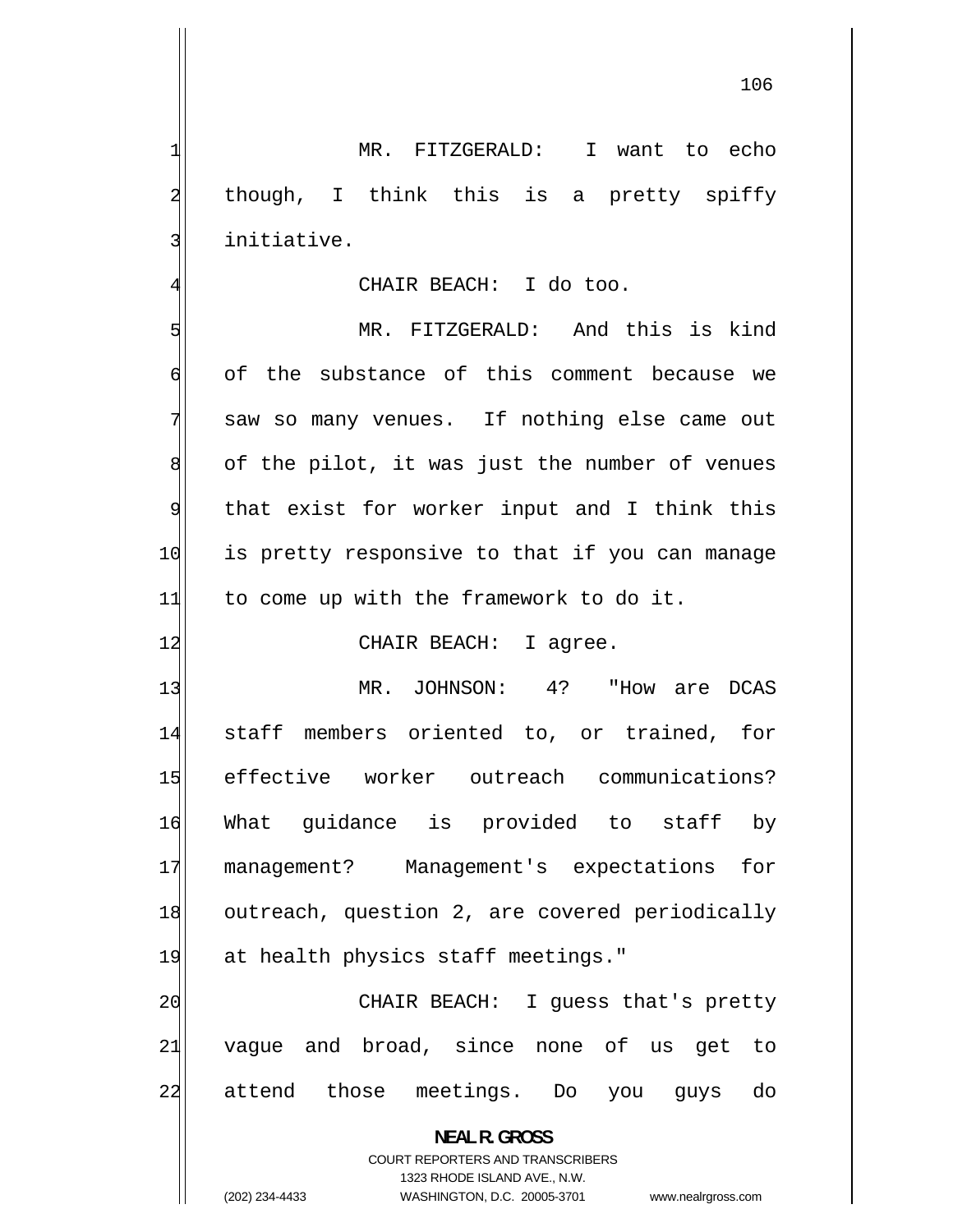MR. FITZGERALD: I want to echo though, I think this is a pretty spiffy initiative. 4 CHAIR BEACH: I do too. MR. FITZGERALD: And this is kind

1

2

3

5 6 of the substance of this comment because we 7 saw so many venues. If nothing else came out 8 of the pilot, it was just the number of venues 9 that exist for worker input and I think this 10 is pretty responsive to that if you can manage  $11$  to come up with the framework to do it.

12 CHAIR BEACH: I agree.

13 MR. JOHNSON: 4? "How are DCAS 14 staff members oriented to, or trained, for 15 effective worker outreach communications? 16 What guidance is provided to staff by 17 management? Management's expectations for 18 outreach, question 2, are covered periodically 19 at health physics staff meetings."

20 CHAIR BEACH: I guess that's pretty 21 vague and broad, since none of us get to 22 attend those meetings. Do you guys do

> **NEAL R. GROSS**  COURT REPORTERS AND TRANSCRIBERS 1323 RHODE ISLAND AVE., N.W.

(202) 234-4433 WASHINGTON, D.C. 20005-3701 www.nealrgross.com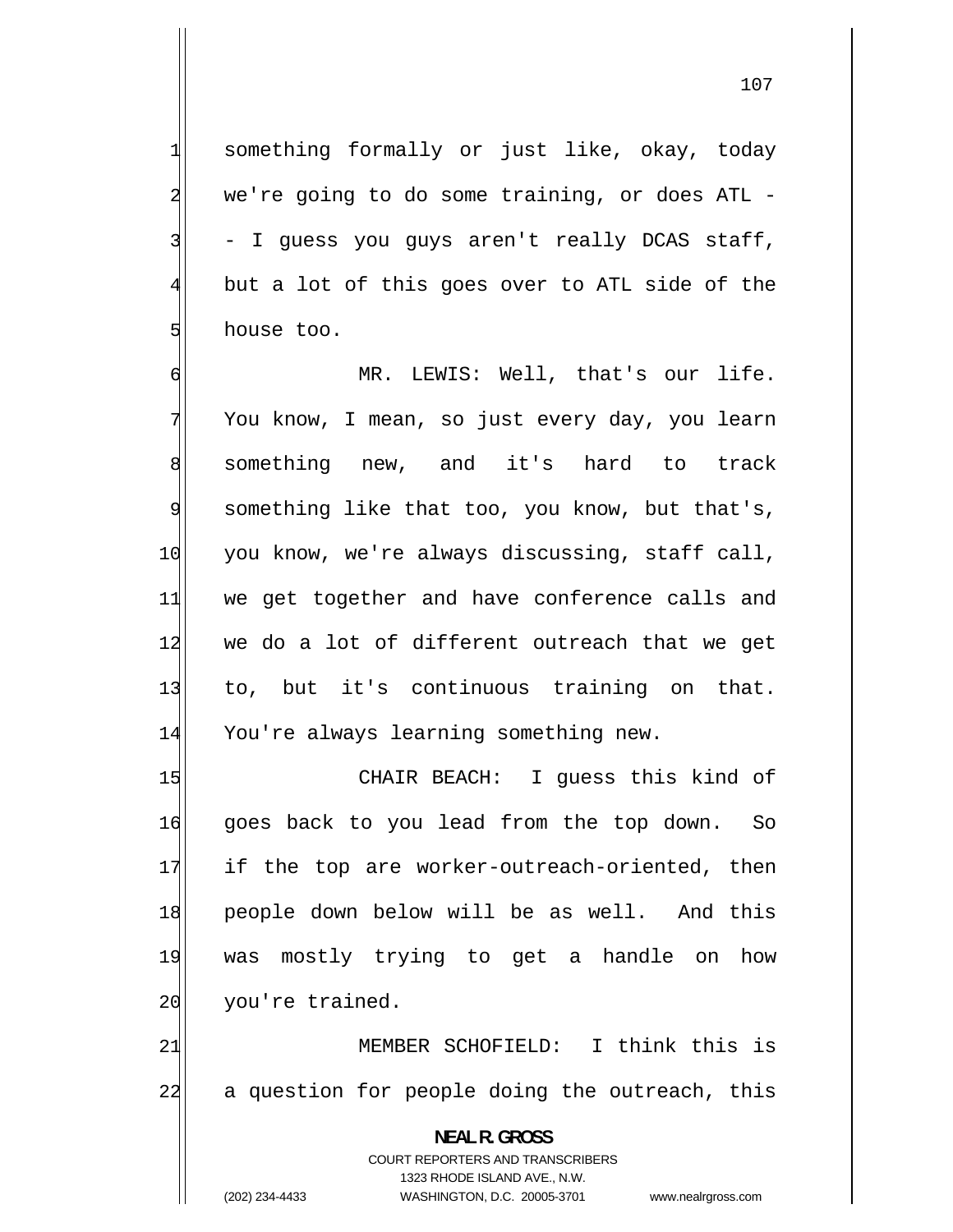something formally or just like, okay, today we're going to do some training, or does ATL - - I guess you guys aren't really DCAS staff, but a lot of this goes over to ATL side of the house too.

6 MR. LEWIS: Well, that's our life. 7 You know, I mean, so just every day, you learn 8 something new, and it's hard to track 9 something like that too, you know, but that's, 10 you know, we're always discussing, staff call, 11 we get together and have conference calls and 12 we do a lot of different outreach that we get 13 to, but it's continuous training on that. 14 You're always learning something new.

15 CHAIR BEACH: I guess this kind of 16 goes back to you lead from the top down. So 17 if the top are worker-outreach-oriented, then 18 people down below will be as well. And this 19 was mostly trying to get a handle on how 20 you're trained.

21 MEMBER SCHOFIELD: I think this is 22 a question for people doing the outreach, this

> **NEAL R. GROSS**  COURT REPORTERS AND TRANSCRIBERS 1323 RHODE ISLAND AVE., N.W.

1

2

3

4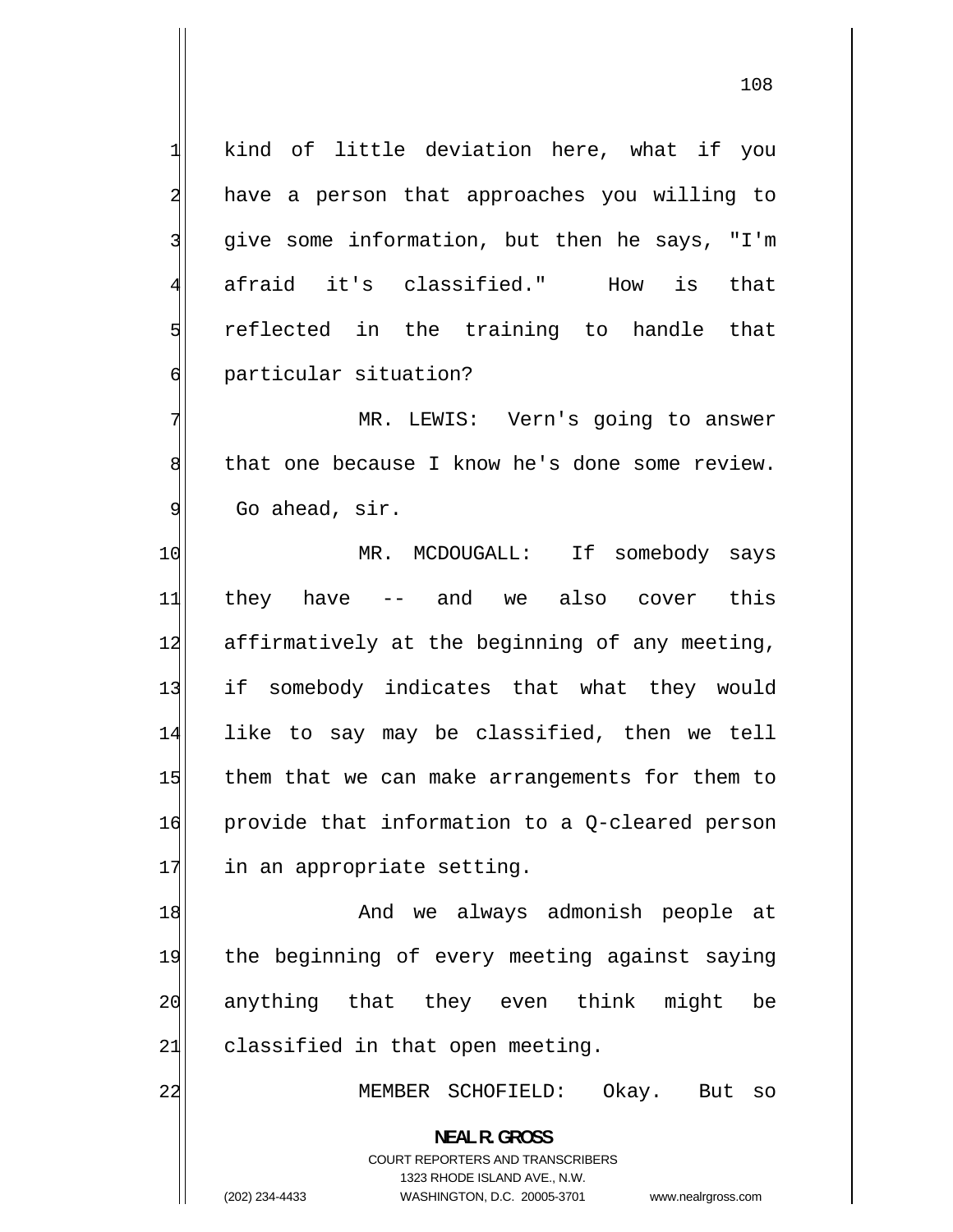1 kind of little deviation here, what if you 2 have a person that approaches you willing to 3 give some information, but then he says, "I'm 4 afraid it's classified." How is that 5 reflected in the training to handle that 6 particular situation? 7 MR. LEWIS: Vern's going to answer 8 that one because I know he's done some review. 9 Go ahead, sir. 10 MR. MCDOUGALL: If somebody says 11 they have -- and we also cover this 12 affirmatively at the beginning of any meeting, 13 if somebody indicates that what they would 14 like to say may be classified, then we tell 15 them that we can make arrangements for them to 16 provide that information to a Q-cleared person 17 in an appropriate setting. 18 And we always admonish people at 19 the beginning of every meeting against saying 20 anything that they even think might be  $21$  classified in that open meeting. 22 MEMBER SCHOFIELD: Okay. But so **NEAL R. GROSS**  COURT REPORTERS AND TRANSCRIBERS 1323 RHODE ISLAND AVE., N.W.

<sup>(202) 234-4433</sup> WASHINGTON, D.C. 20005-3701 www.nealrgross.com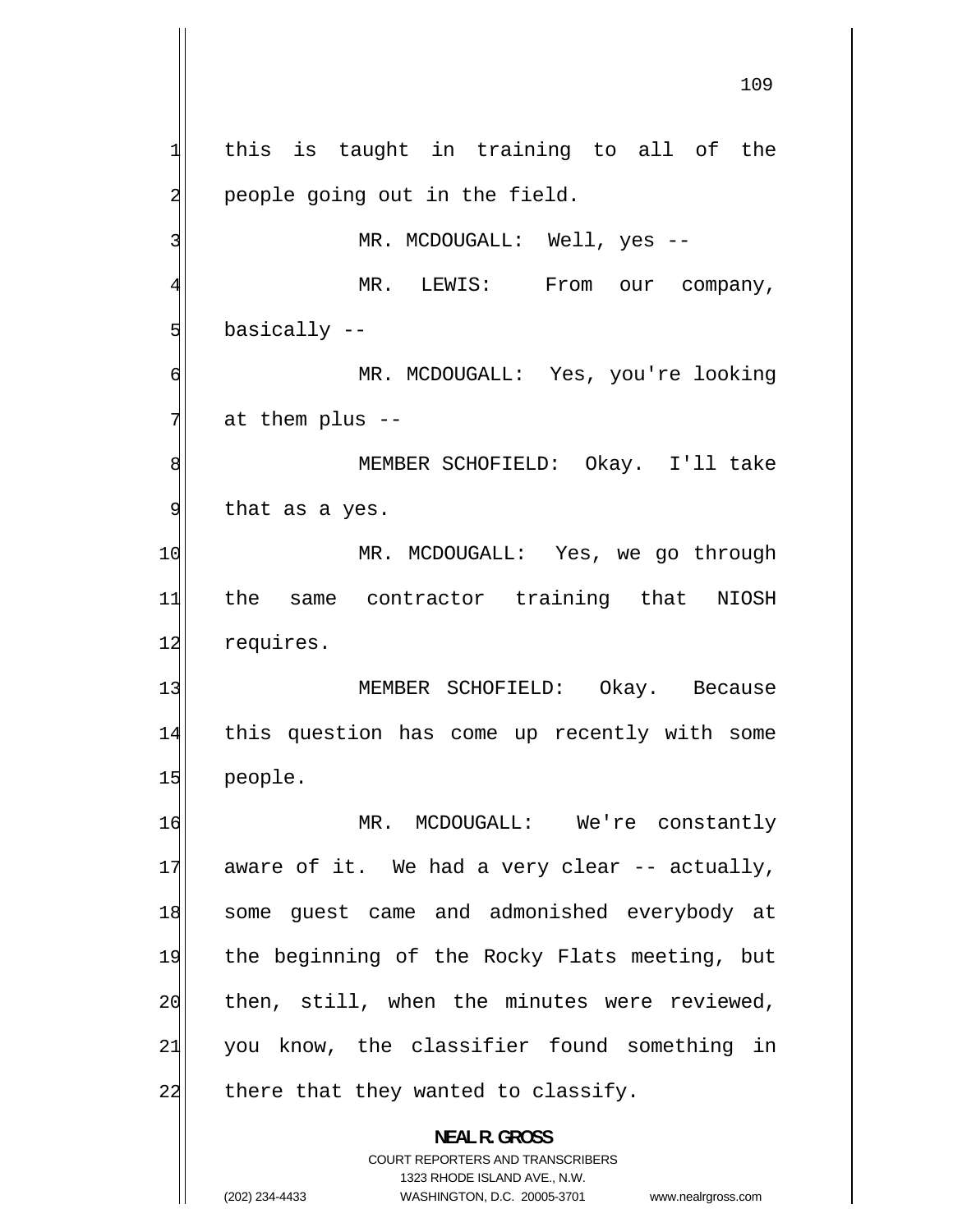1 this is taught in training to all of the 2 people going out in the field. 3 MR. MCDOUGALL: Well, yes -- 4 MR. LEWIS: From our company, 5 basically -- 6 MR. MCDOUGALL: Yes, you're looking 7 at them plus -- 8 MEMBER SCHOFIELD: Okay. I'll take 9 that as a yes. 10 MR. MCDOUGALL: Yes, we go through 11 the same contractor training that NIOSH 12 requires. 13 MEMBER SCHOFIELD: Okay. Because 14 this question has come up recently with some 15 people. 16 MR. MCDOUGALL: We're constantly 17 aware of it. We had a very clear -- actually, 18 some guest came and admonished everybody at 19 the beginning of the Rocky Flats meeting, but 20 then, still, when the minutes were reviewed, 21 you know, the classifier found something in  $22$  there that they wanted to classify. **NEAL R. GROSS** 

> COURT REPORTERS AND TRANSCRIBERS 1323 RHODE ISLAND AVE., N.W.

(202) 234-4433 WASHINGTON, D.C. 20005-3701 www.nealrgross.com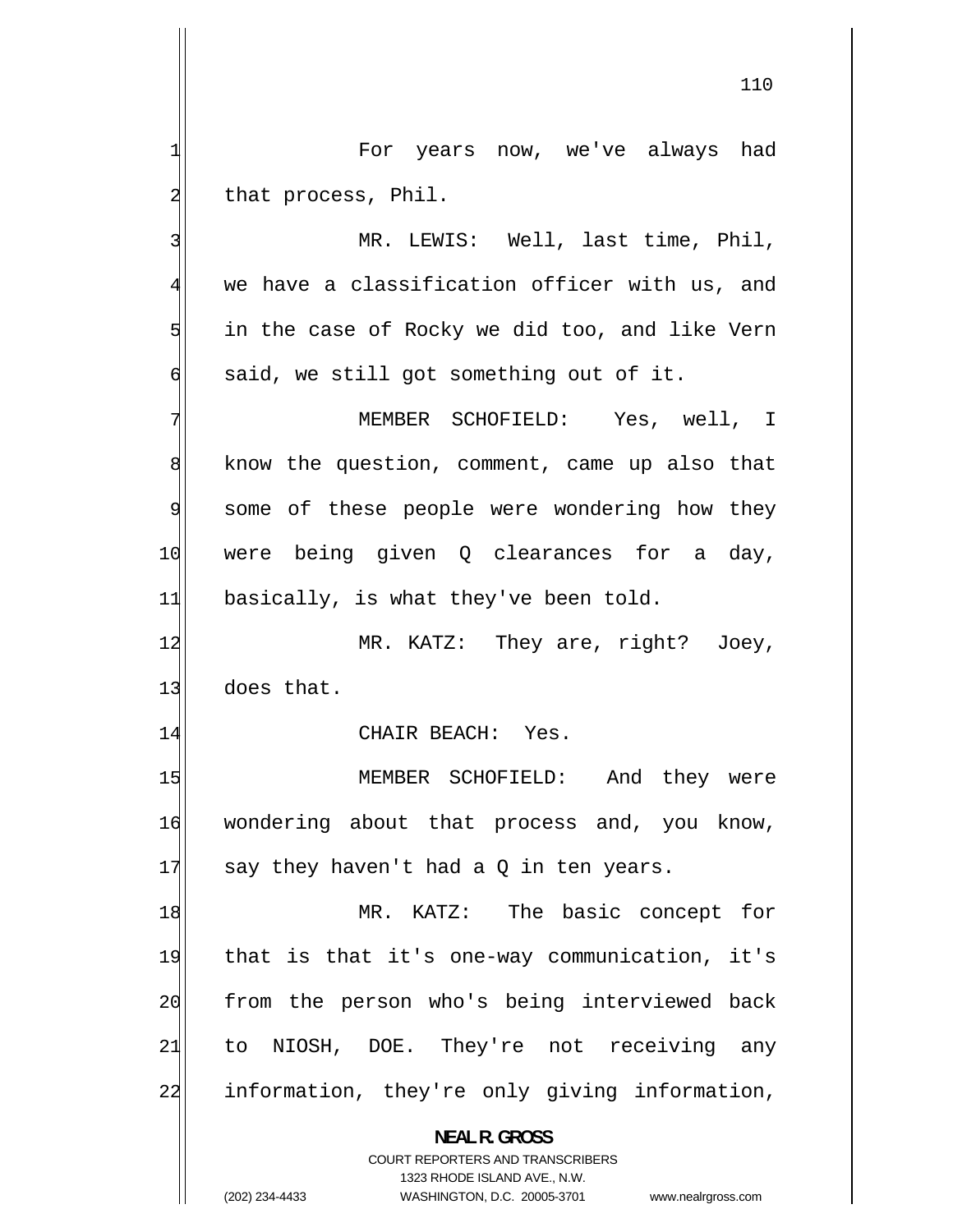For years now, we've always had that process, Phil.

1

2

3

4

5

6

 MR. LEWIS: Well, last time, Phil, we have a classification officer with us, and in the case of Rocky we did too, and like Vern said, we still got something out of it.

7 MEMBER SCHOFIELD: Yes, well, I 8 know the question, comment, came up also that 9 some of these people were wondering how they 10 were being given Q clearances for a day,  $11$  basically, is what they've been told.

12 MR. KATZ: They are, right? Joey, 13 does that.

14 CHAIR BEACH: Yes.

15 MEMBER SCHOFIELD: And they were 16 wondering about that process and, you know, 17 say they haven't had a Q in ten years.

18 MR. KATZ: The basic concept for 19 that is that it's one-way communication, it's 20 from the person who's being interviewed back 21 to NIOSH, DOE. They're not receiving any 22 information, they're only giving information,

> **NEAL R. GROSS**  COURT REPORTERS AND TRANSCRIBERS

1323 RHODE ISLAND AVE., N.W. (202) 234-4433 WASHINGTON, D.C. 20005-3701 www.nealrgross.com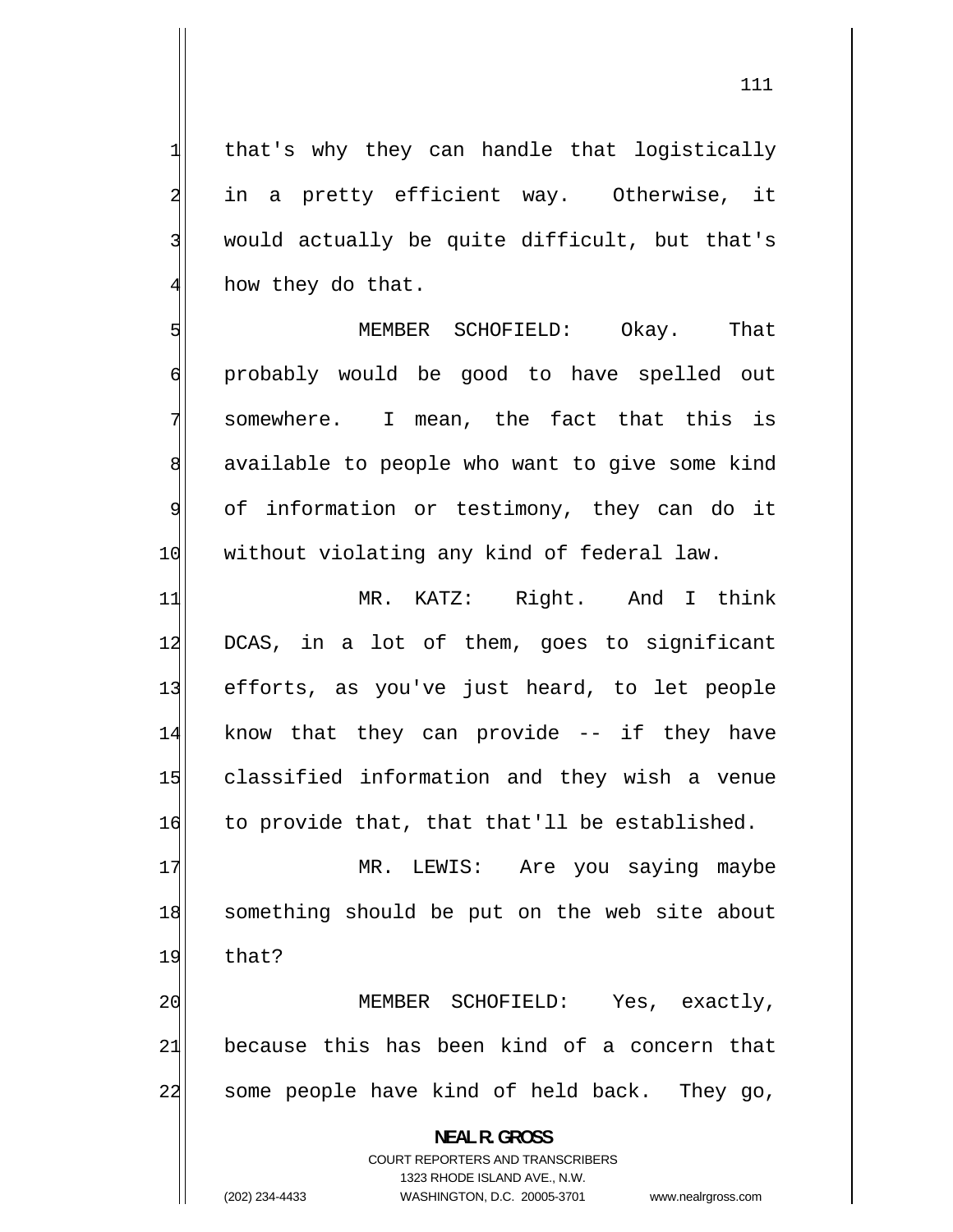that's why they can handle that logistically in a pretty efficient way. Otherwise, it would actually be quite difficult, but that's how they do that.

5 MEMBER SCHOFIELD: Okay. That 6 probably would be good to have spelled out 7 somewhere. I mean, the fact that this is 8 available to people who want to give some kind 9 of information or testimony, they can do it 10 | without violating any kind of federal law.

11 MR. KATZ: Right. And I think 12 DCAS, in a lot of them, goes to significant 13 efforts, as you've just heard, to let people 14 know that they can provide -- if they have 15 classified information and they wish a venue 16 to provide that, that that'll be established.

17 MR. LEWIS: Are you saying maybe 18 something should be put on the web site about 19 that?

20 MEMBER SCHOFIELD: Yes, exactly, 21 because this has been kind of a concern that 22 some people have kind of held back. They go,

> **NEAL R. GROSS**  COURT REPORTERS AND TRANSCRIBERS 1323 RHODE ISLAND AVE., N.W.

1

2

3

4

(202) 234-4433 WASHINGTON, D.C. 20005-3701 www.nealrgross.com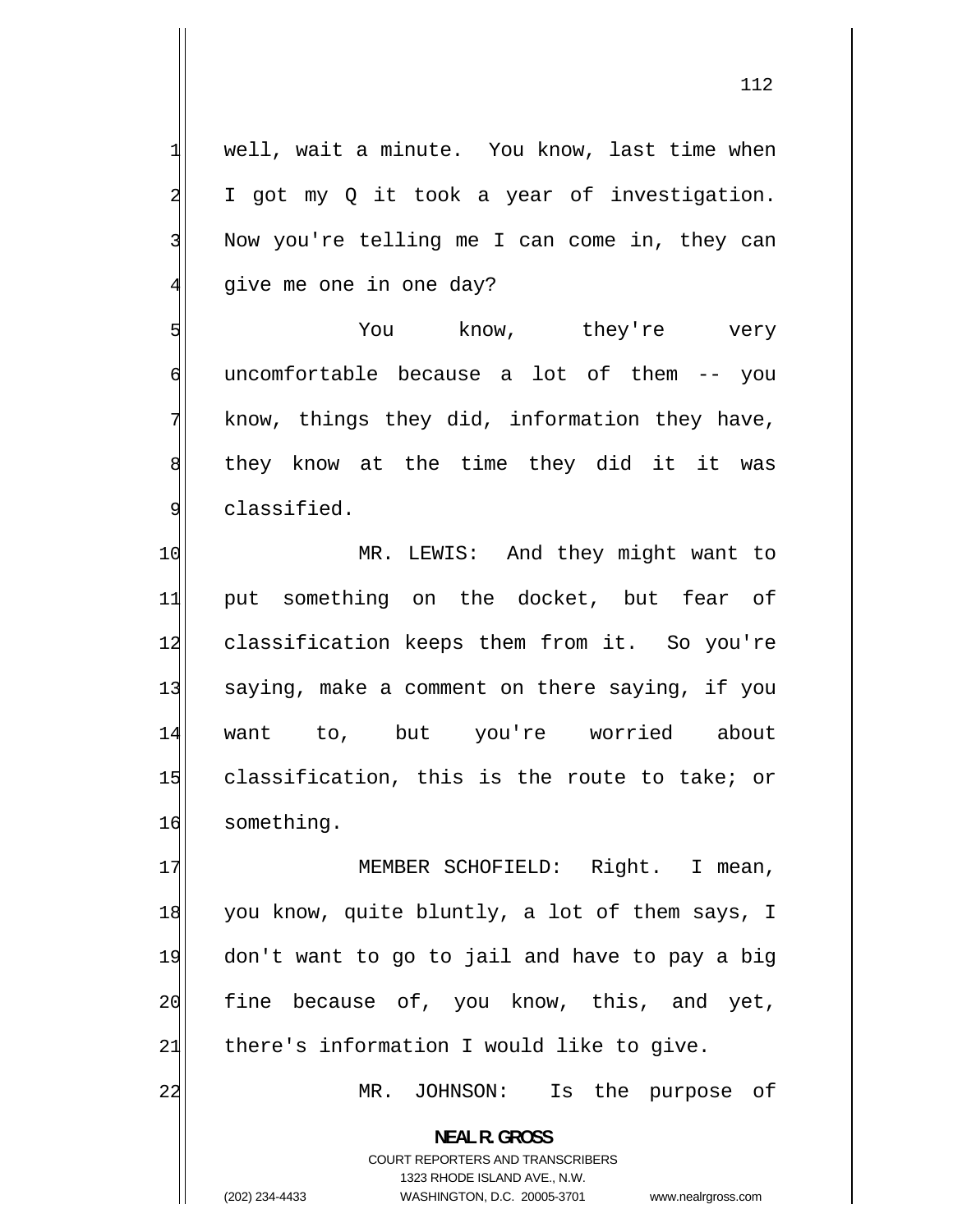1 well, wait a minute. You know, last time when 2 I got my Q it took a year of investigation. 3 Now you're telling me I can come in, they can 4 give me one in one day? 5 You know, they're very 6 uncomfortable because a lot of them -- you 7 know, things they did, information they have, 8 they know at the time they did it it was 9 classified. 10 MR. LEWIS: And they might want to 11 put something on the docket, but fear of 12 classification keeps them from it. So you're 13 saying, make a comment on there saying, if you 14 want to, but you're worried about 15 classification, this is the route to take; or 16 something. 17 MEMBER SCHOFIELD: Right. I mean, 18 you know, quite bluntly, a lot of them says, I 19 don't want to go to jail and have to pay a big 20 fine because of, you know, this, and yet,  $21$  there's information I would like to give. 22 MR. JOHNSON: Is the purpose of **NEAL R. GROSS**  COURT REPORTERS AND TRANSCRIBERS 1323 RHODE ISLAND AVE., N.W.

(202) 234-4433 WASHINGTON, D.C. 20005-3701 www.nealrgross.com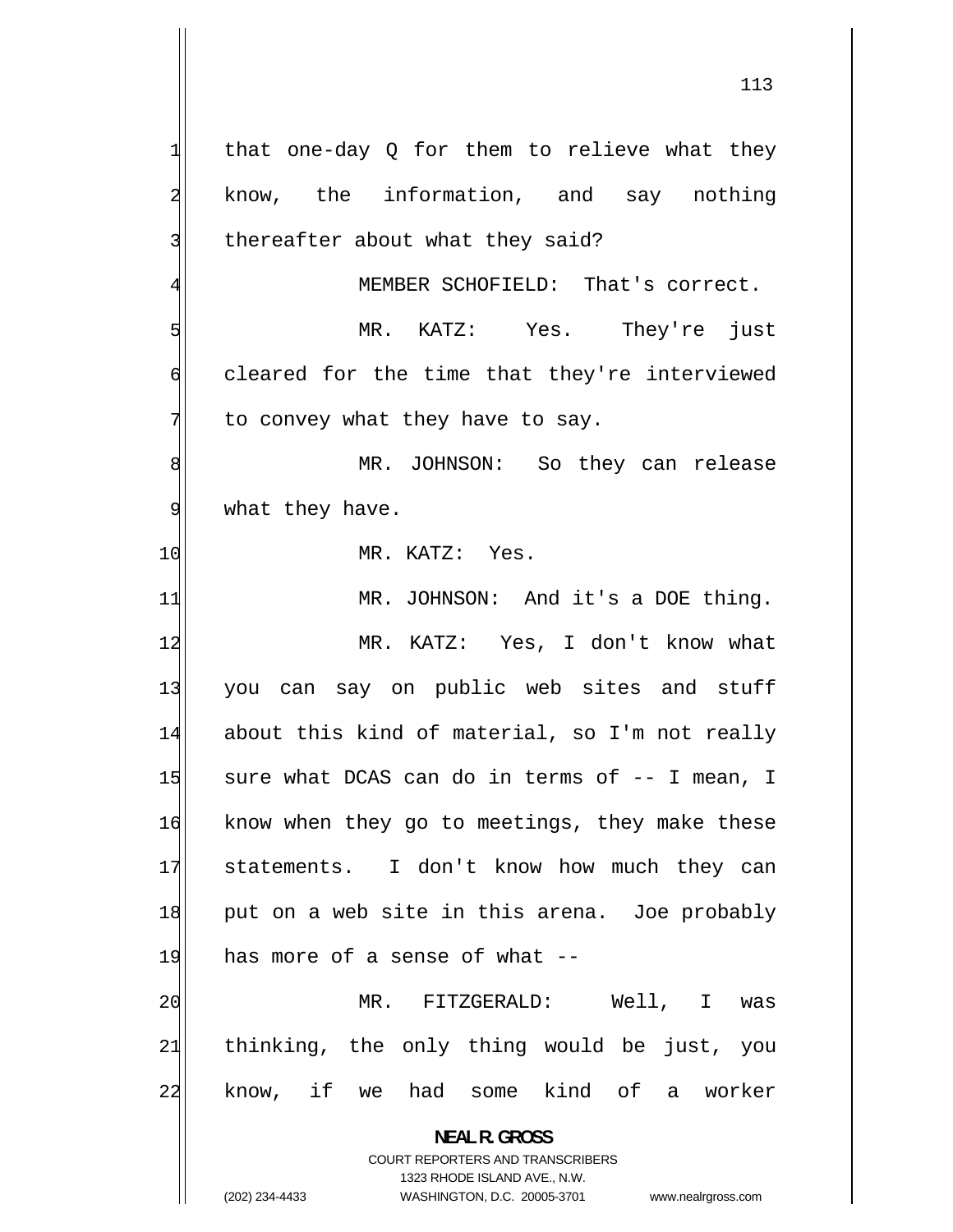1 that one-day Q for them to relieve what they 2 know, the information, and say nothing 3 thereafter about what they said? 4 MEMBER SCHOFIELD: That's correct. 5 MR. KATZ: Yes. They're just 6 cleared for the time that they're interviewed 7 to convey what they have to say. 8 MR. JOHNSON: So they can release 9 what they have. 10 MR. KATZ: Yes. 11 MR. JOHNSON: And it's a DOE thing. 12 MR. KATZ: Yes, I don't know what 13 you can say on public web sites and stuff 14 about this kind of material, so I'm not really 15 sure what DCAS can do in terms of -- I mean, I 16 know when they go to meetings, they make these 17 statements. I don't know how much they can 18 put on a web site in this arena. Joe probably  $19$  has more of a sense of what  $-$ 20 MR. FITZGERALD: Well, I was 21 thinking, the only thing would be just, you 22 know, if we had some kind of a worker **NEAL R. GROSS**  COURT REPORTERS AND TRANSCRIBERS

1323 RHODE ISLAND AVE., N.W.

(202) 234-4433 WASHINGTON, D.C. 20005-3701 www.nealrgross.com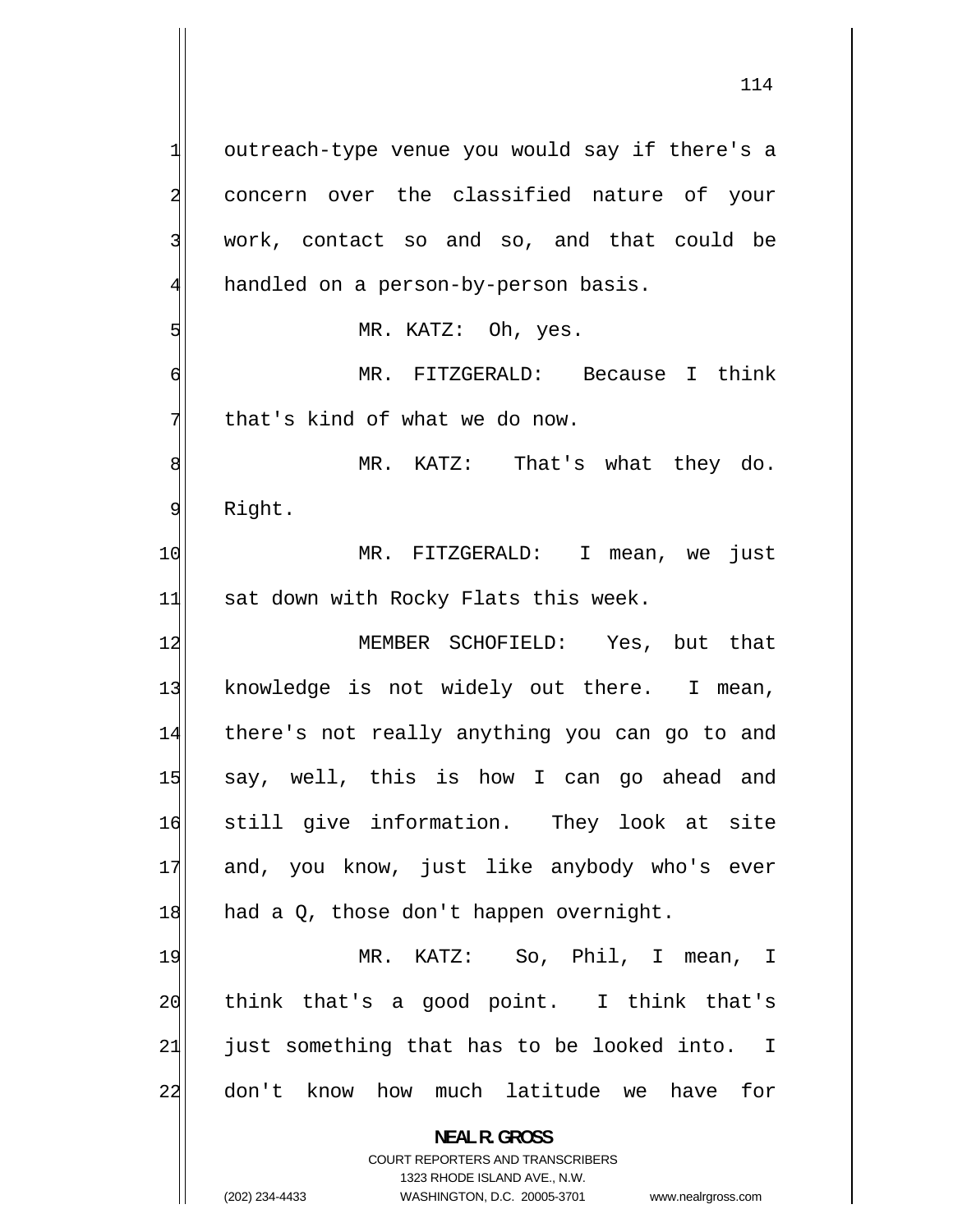1 outreach-type venue you would say if there's a 2 concern over the classified nature of your 3 work, contact so and so, and that could be 4 handled on a person-by-person basis. 5 MR. KATZ: Oh, yes. 6 MR. FITZGERALD: Because I think 7 that's kind of what we do now. 8 MR. KATZ: That's what they do. 9 Right. 10 MR. FITZGERALD: I mean, we just 11 sat down with Rocky Flats this week. 12 MEMBER SCHOFIELD: Yes, but that 13 knowledge is not widely out there. I mean, 14 there's not really anything you can go to and 15 say, well, this is how I can go ahead and 16 still give information. They look at site 17 and, you know, just like anybody who's ever  $18$  had a Q, those don't happen overnight. 19 MR. KATZ: So, Phil, I mean, I 20 think that's a good point. I think that's 21 just something that has to be looked into. I 22 don't know how much latitude we have for **NEAL R. GROSS** 

> COURT REPORTERS AND TRANSCRIBERS 1323 RHODE ISLAND AVE., N.W.

(202) 234-4433 WASHINGTON, D.C. 20005-3701 www.nealrgross.com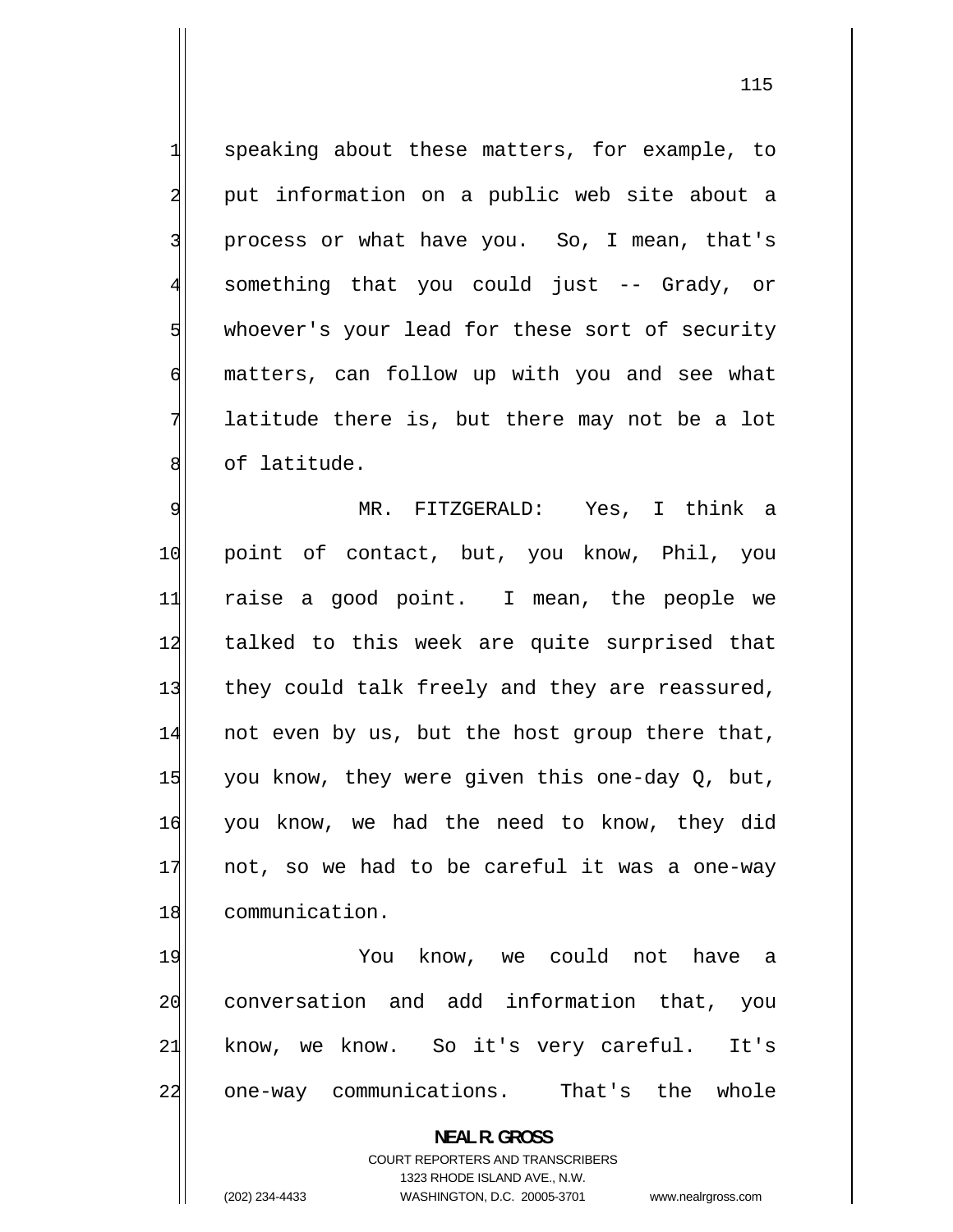speaking about these matters, for example, to put information on a public web site about a process or what have you. So, I mean, that's something that you could just -- Grady, or whoever's your lead for these sort of security matters, can follow up with you and see what latitude there is, but there may not be a lot of latitude.

1

2

3

4

5

6

7

8

9 MR. FITZGERALD: Yes, I think a 10 point of contact, but, you know, Phil, you 11 raise a good point. I mean, the people we 12 talked to this week are quite surprised that 13 they could talk freely and they are reassured, 14 not even by us, but the host group there that, 15 you know, they were given this one-day Q, but, 16 you know, we had the need to know, they did 17 not, so we had to be careful it was a one-way 18 communication.

19 You know, we could not have a 20 conversation and add information that, you 21 know, we know. So it's very careful. It's 22 one-way communications. That's the whole

> **NEAL R. GROSS**  COURT REPORTERS AND TRANSCRIBERS 1323 RHODE ISLAND AVE., N.W. (202) 234-4433 WASHINGTON, D.C. 20005-3701 www.nealrgross.com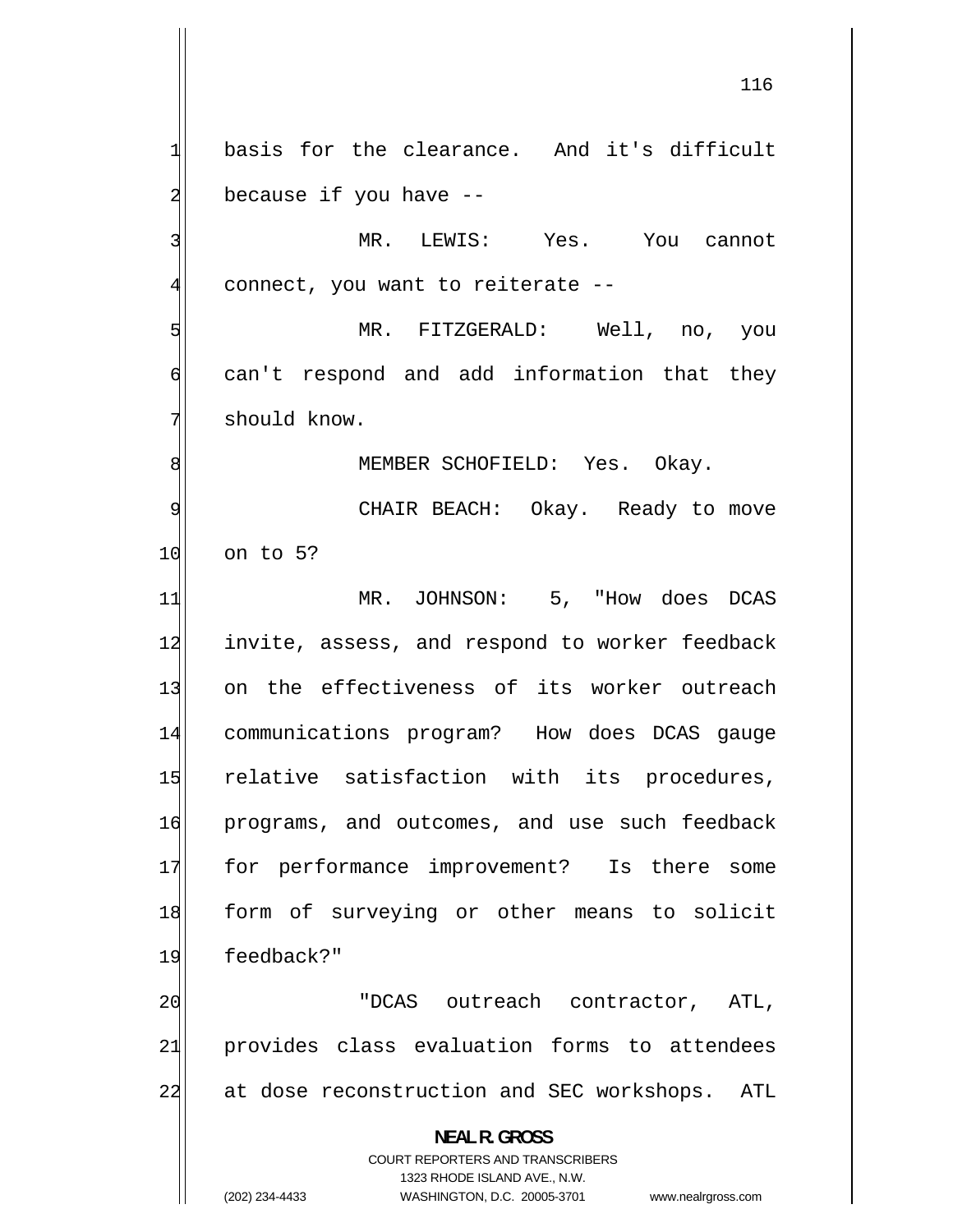1 basis for the clearance. And it's difficult 2 because if you have -- 3 MR. LEWIS: Yes. You cannot 4 connect, you want to reiterate -- 5 MR. FITZGERALD: Well, no, you 6 can't respond and add information that they 7 should know. 8 MEMBER SCHOFIELD: Yes. Okay. 9 CHAIR BEACH: Okay. Ready to move 10 on to 5? 11 MR. JOHNSON: 5, "How does DCAS 12 invite, assess, and respond to worker feedback 13 on the effectiveness of its worker outreach 14 communications program? How does DCAS gauge 15 relative satisfaction with its procedures, 16 programs, and outcomes, and use such feedback 17 for performance improvement? Is there some 18 form of surveying or other means to solicit 19 feedback?" 20 "DCAS outreach contractor, ATL, 21 provides class evaluation forms to attendees 22 at dose reconstruction and SEC workshops. ATL **NEAL R. GROSS**  COURT REPORTERS AND TRANSCRIBERS 1323 RHODE ISLAND AVE., N.W.

(202) 234-4433 WASHINGTON, D.C. 20005-3701 www.nealrgross.com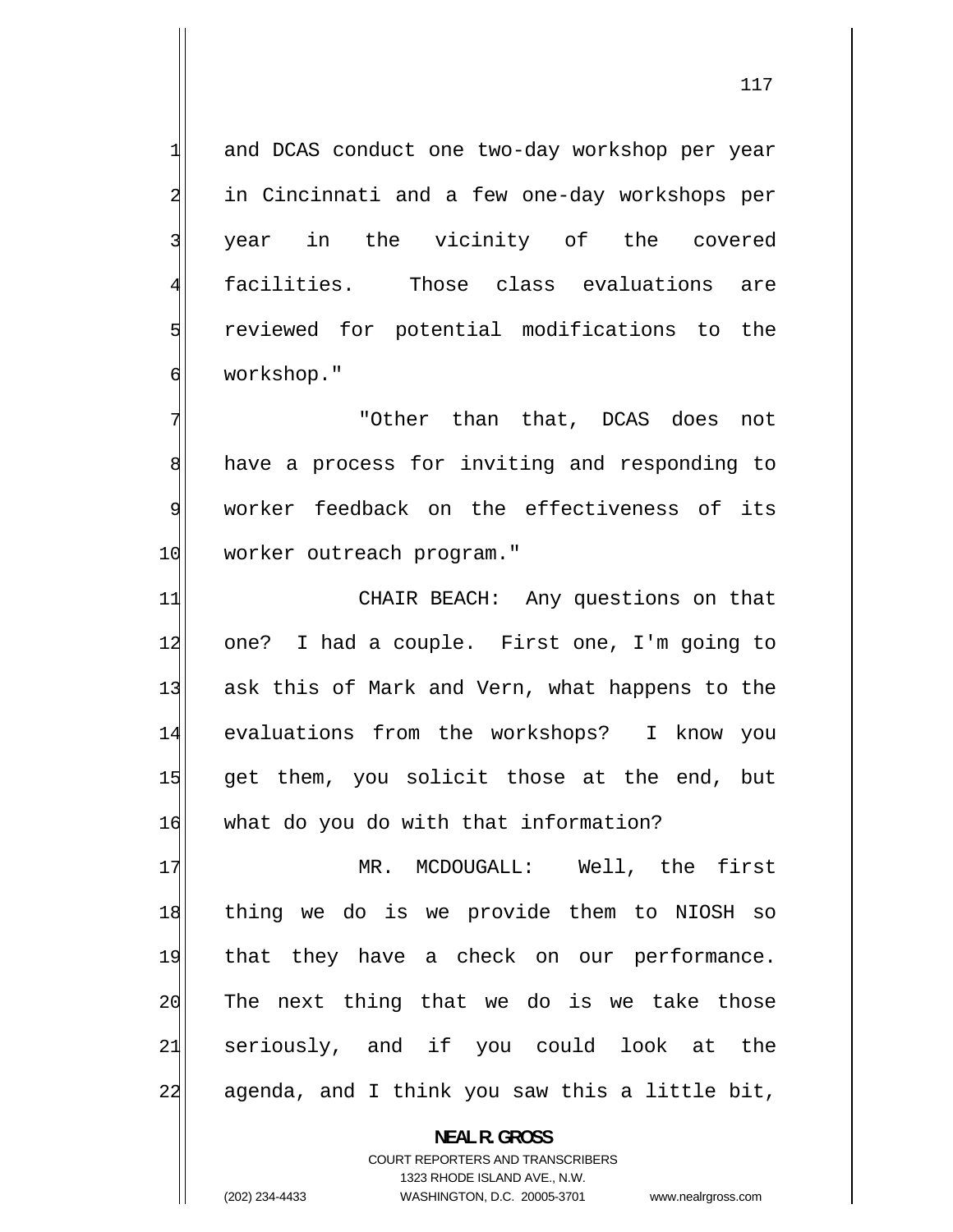and DCAS conduct one two-day workshop per year in Cincinnati and a few one-day workshops per year in the vicinity of the covered facilities. Those class evaluations are reviewed for potential modifications to the workshop."

1

2

3

4

5

6

7

8

9

 "Other than that, DCAS does not have a process for inviting and responding to worker feedback on the effectiveness of its 10 worker outreach program."

11 CHAIR BEACH: Any questions on that 12 one? I had a couple. First one, I'm going to 13 ask this of Mark and Vern, what happens to the 14 evaluations from the workshops? I know you 15 get them, you solicit those at the end, but 16 what do you do with that information?

17 MR. MCDOUGALL: Well, the first 18 thing we do is we provide them to NIOSH so 19 that they have a check on our performance. 20 The next thing that we do is we take those 21 seriously, and if you could look at the 22 agenda, and I think you saw this a little bit,

> **NEAL R. GROSS**  COURT REPORTERS AND TRANSCRIBERS 1323 RHODE ISLAND AVE., N.W. (202) 234-4433 WASHINGTON, D.C. 20005-3701 www.nealrgross.com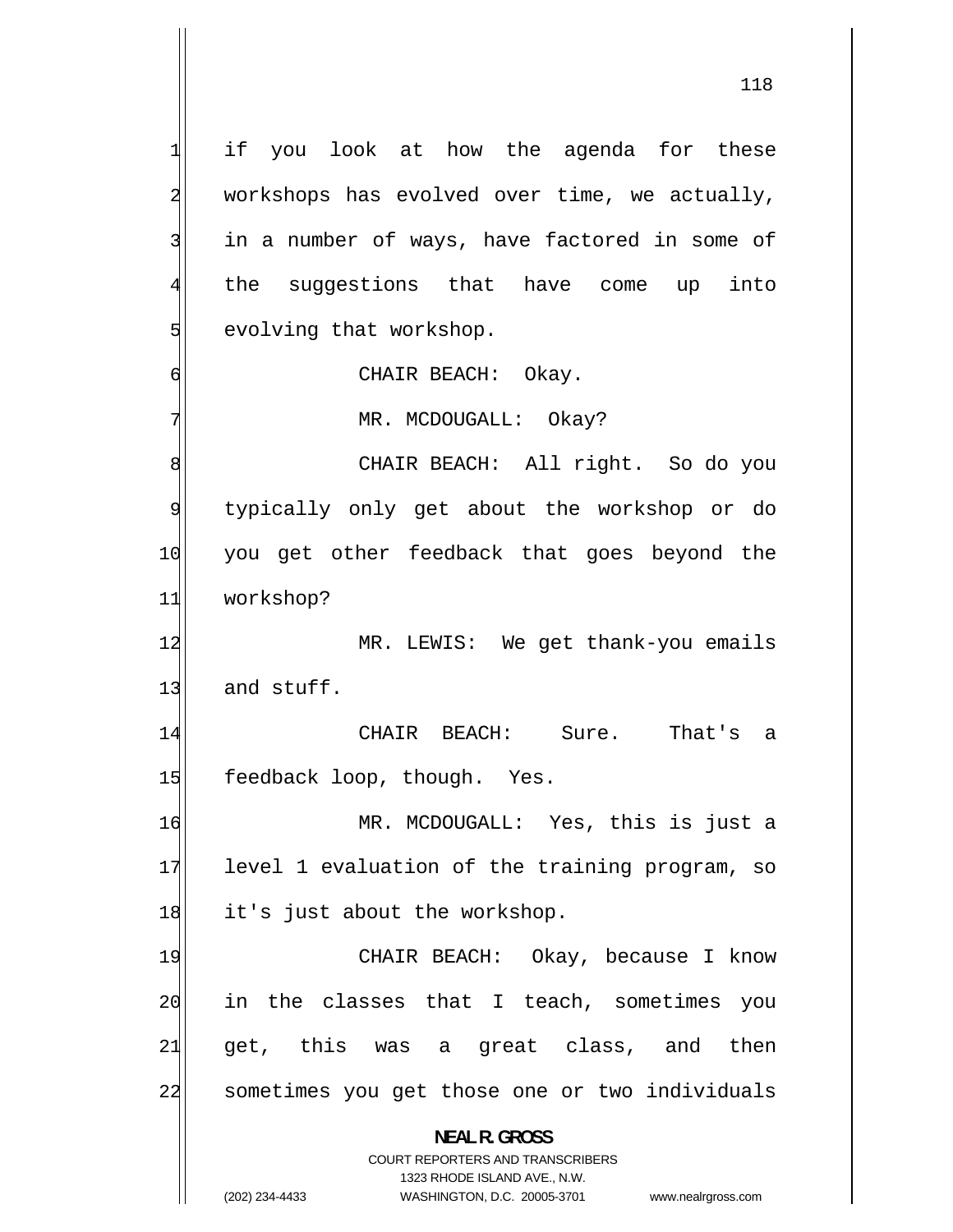CHAIR BEACH: 1 if you look at how the agenda for these 2 workshops has evolved over time, we actually, 3 in a number of ways, have factored in some of 4 the suggestions that have come up into 5 evolving that workshop. 6 CHAIR BEACH: Okay. 7 MR. MCDOUGALL: Okay? 8 CHAIR BEACH: All right. So do you 9 typically only get about the workshop or do 10 you get other feedback that goes beyond the 11 workshop? 12 MR. LEWIS: We get thank-you emails  $13$  and stuff. 14 Sure. That's a 15 feedback loop, though. Yes. 16 MR. MCDOUGALL: Yes, this is just a 17 level 1 evaluation of the training program, so 18 it's just about the workshop. 19 CHAIR BEACH: Okay, because I know 20 in the classes that I teach, sometimes you 21 get, this was a great class, and then 22 sometimes you get those one or two individuals **NEAL R. GROSS**  COURT REPORTERS AND TRANSCRIBERS 1323 RHODE ISLAND AVE., N.W. (202) 234-4433 WASHINGTON, D.C. 20005-3701 www.nealrgross.com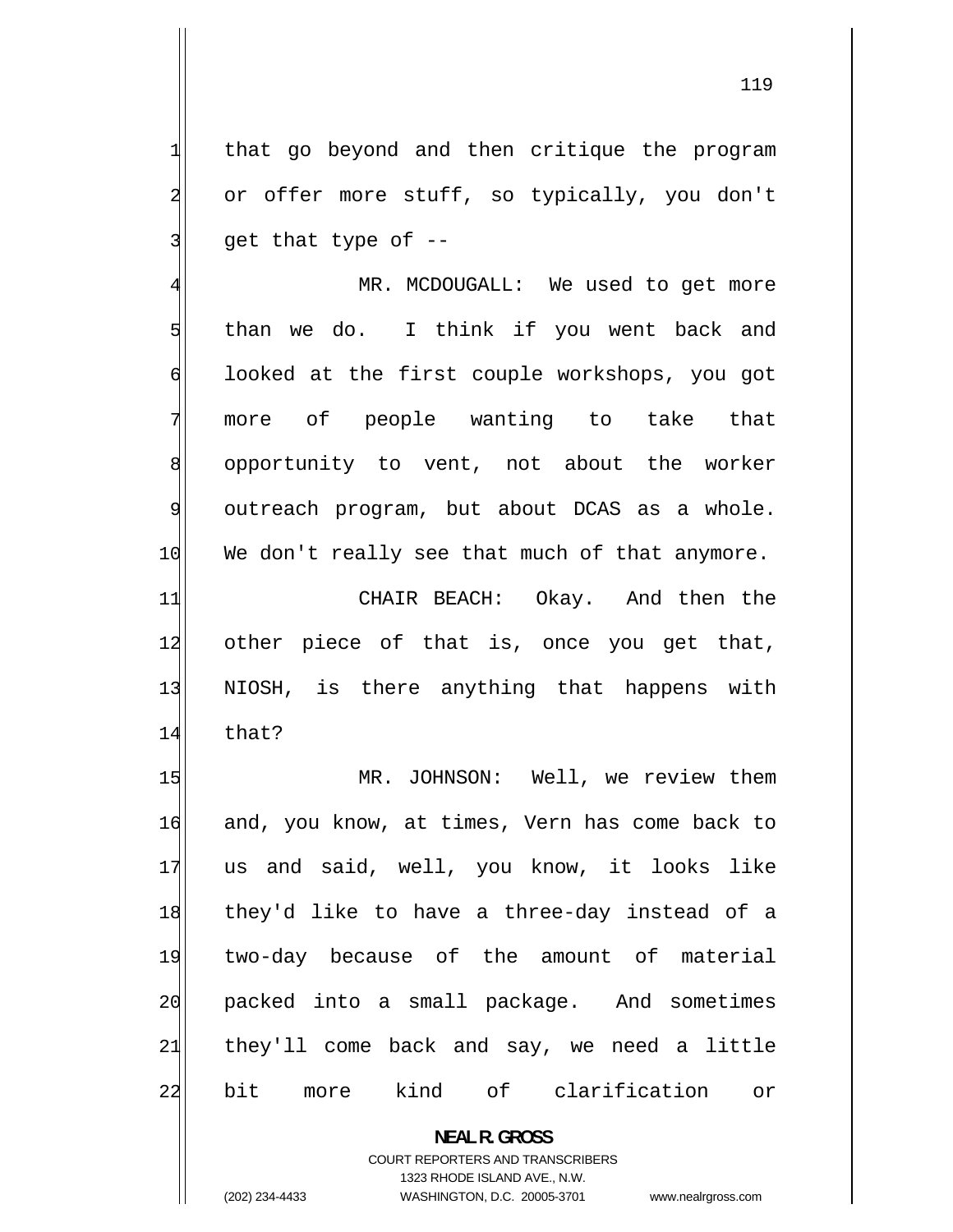that go beyond and then critique the program or offer more stuff, so typically, you don't get that type of --

4 MR. MCDOUGALL: We used to get more 5 than we do. I think if you went back and 6 looked at the first couple workshops, you got more of people wanting to take that 8 opportunity to vent, not about the worker 9 outreach program, but about DCAS as a whole. 10 We don't really see that much of that anymore.

11 CHAIR BEACH: Okay. And then the 12 other piece of that is, once you get that, 13 NIOSH, is there anything that happens with 14 that?

15 MR. JOHNSON: Well, we review them 16 and, you know, at times, Vern has come back to 17 us and said, well, you know, it looks like 18 they'd like to have a three-day instead of a 19 two-day because of the amount of material 20 packed into a small package. And sometimes 21 they'll come back and say, we need a little 22 bit more kind of clarification or

COURT REPORTERS AND TRANSCRIBERS

**NEAL R. GROSS** 

1323 RHODE ISLAND AVE., N.W.

(202) 234-4433 WASHINGTON, D.C. 20005-3701 www.nealrgross.com

1

2

3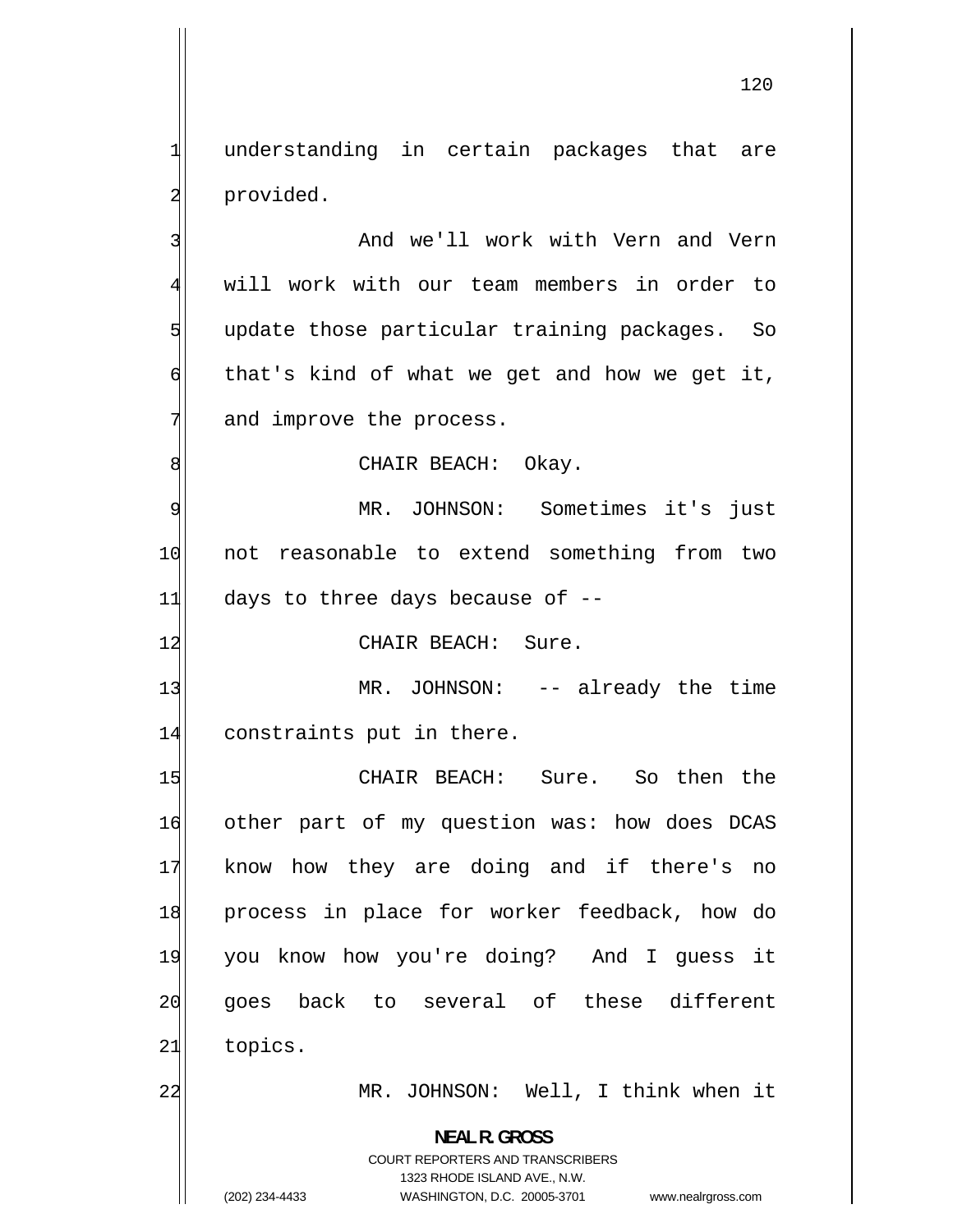understanding in certain packages that are provided.

 And we'll work with Vern and Vern will work with our team members in order to update those particular training packages. So that's kind of what we get and how we get it, and improve the process.

CHAIR BEACH: Okay.

9 MR. JOHNSON: Sometimes it's just 10 not reasonable to extend something from two  $11$  days to three days because of  $-$ -

12 CHAIR BEACH: Sure.

13 MR. JOHNSON: -- already the time 14 constraints put in there.

15 CHAIR BEACH: Sure. So then the 16 other part of my question was: how does DCAS 17 know how they are doing and if there's no 18 process in place for worker feedback, how do 19 you know how you're doing? And I guess it 20 goes back to several of these different 21 topics. 22 MR. JOHNSON: Well, I think when it

> **NEAL R. GROSS**  COURT REPORTERS AND TRANSCRIBERS

> > 1323 RHODE ISLAND AVE., N.W.

(202) 234-4433 WASHINGTON, D.C. 20005-3701 www.nealrgross.com

1

2

3

4

5

6

7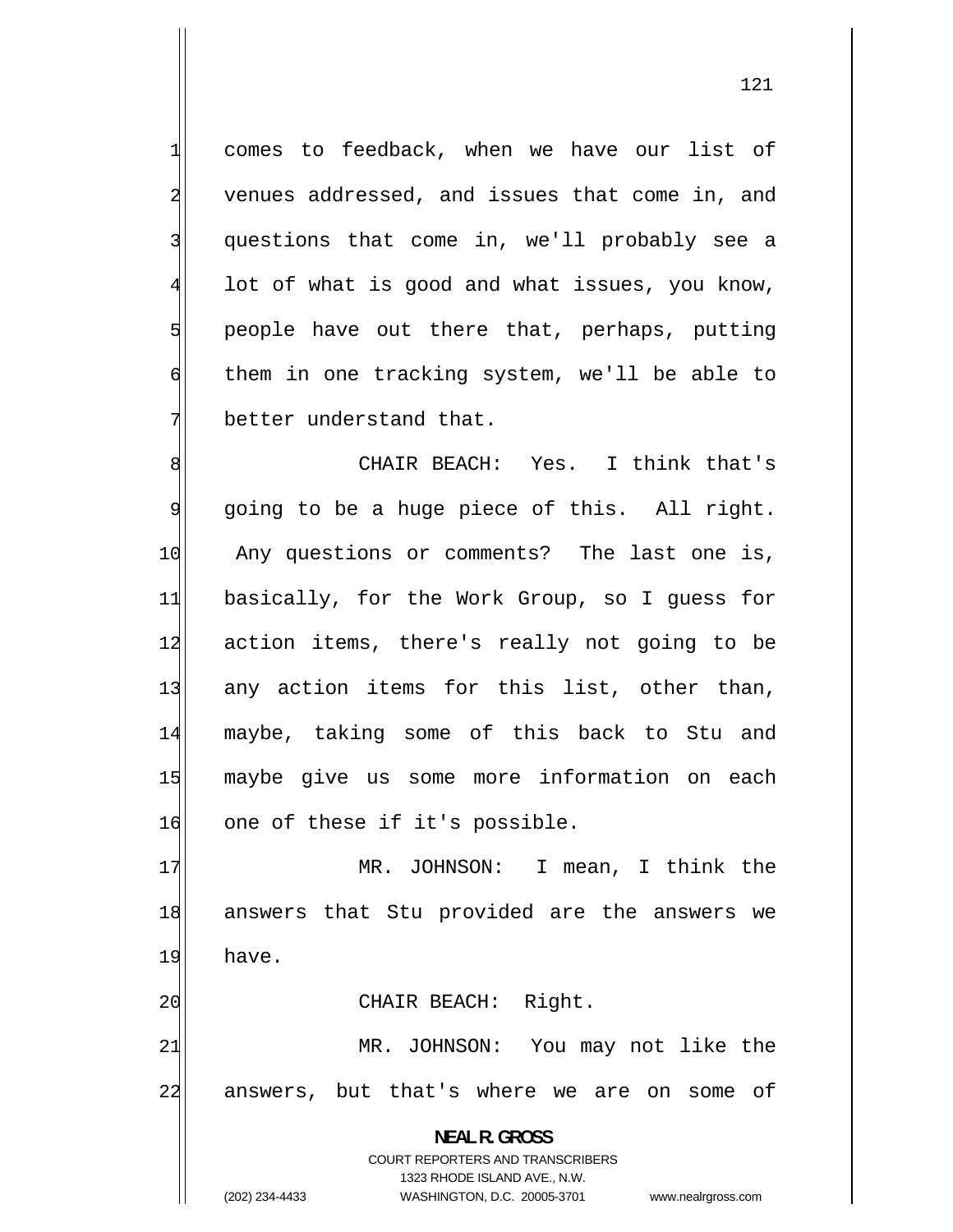comes to feedback, when we have our list of venues addressed, and issues that come in, and questions that come in, we'll probably see a lot of what is good and what issues, you know, people have out there that, perhaps, putting them in one tracking system, we'll be able to better understand that.

1

2

3

4

5

6

7

8 CHAIR BEACH: Yes. I think that's 9 going to be a huge piece of this. All right. 10 Any questions or comments? The last one is, 11 basically, for the Work Group, so I guess for 12 action items, there's really not going to be 13 any action items for this list, other than, 14 maybe, taking some of this back to Stu and 15 maybe give us some more information on each 16 one of these if it's possible.

17 MR. JOHNSON: I mean, I think the 18 answers that Stu provided are the answers we 19 have. 20 CHAIR BEACH: Right.

21 MR. JOHNSON: You may not like the 22 answers, but that's where we are on some of

> **NEAL R. GROSS**  COURT REPORTERS AND TRANSCRIBERS 1323 RHODE ISLAND AVE., N.W.

(202) 234-4433 WASHINGTON, D.C. 20005-3701 www.nealrgross.com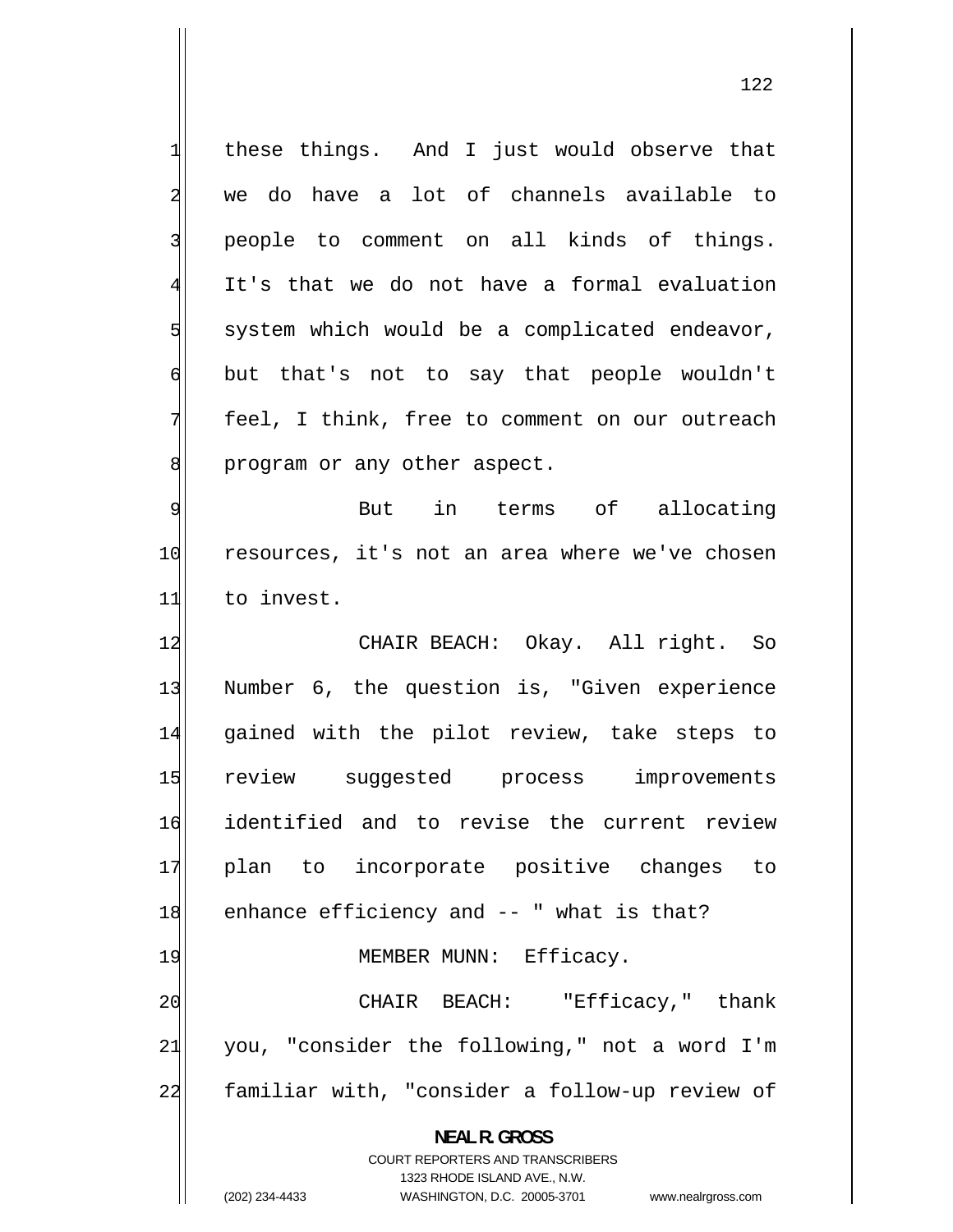1 these things. And I just would observe that 2 we do have a lot of channels available to 3 people to comment on all kinds of things. 4 It's that we do not have a formal evaluation 5 system which would be a complicated endeavor, 6 but that's not to say that people wouldn't 7 feel, I think, free to comment on our outreach 8 program or any other aspect. 9 But in terms of allocating 10 resources, it's not an area where we've chosen 11 to invest. 12 CHAIR BEACH: Okay. All right. So 13 Number 6, the question is, "Given experience 14 gained with the pilot review, take steps to 15 review suggested process improvements 16 identified and to revise the current review 17 plan to incorporate positive changes to 18 enhance efficiency and -- " what is that? 19 MEMBER MUNN: Efficacy. 20 CHAIR BEACH: "Efficacy," thank 21 you, "consider the following," not a word I'm 22 familiar with, "consider a follow-up review of **NEAL R. GROSS**  COURT REPORTERS AND TRANSCRIBERS 1323 RHODE ISLAND AVE., N.W. (202) 234-4433 WASHINGTON, D.C. 20005-3701 www.nealrgross.com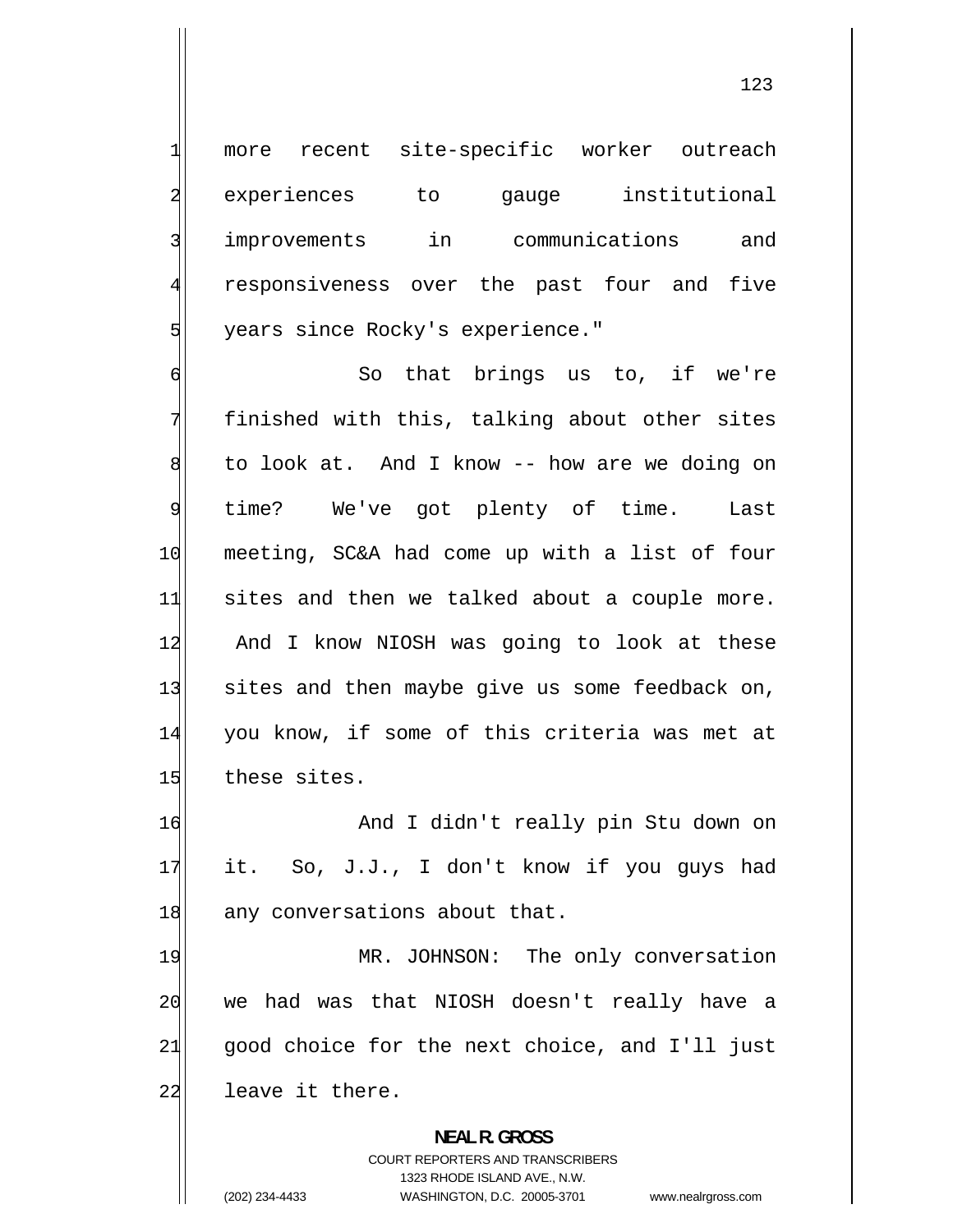more recent site-specific worker outreach experiences to gauge institutional improvements in communications and responsiveness over the past four and five years since Rocky's experience."

6 So that brings us to, if we're 7 finished with this, talking about other sites 8 to look at. And I know -- how are we doing on 9 time? We've got plenty of time. Last 10 meeting, SC&A had come up with a list of four 11 sites and then we talked about a couple more. 12 And I know NIOSH was going to look at these 13 sites and then maybe give us some feedback on, 14 you know, if some of this criteria was met at 15 these sites.

16 And I didn't really pin Stu down on 17 it. So, J.J., I don't know if you guys had 18 any conversations about that.

19 MR. JOHNSON: The only conversation 20 we had was that NIOSH doesn't really have a 21 good choice for the next choice, and I'll just 22 leave it there.

> **NEAL R. GROSS**  COURT REPORTERS AND TRANSCRIBERS 1323 RHODE ISLAND AVE., N.W. (202) 234-4433 WASHINGTON, D.C. 20005-3701 www.nealrgross.com

1

2

3

4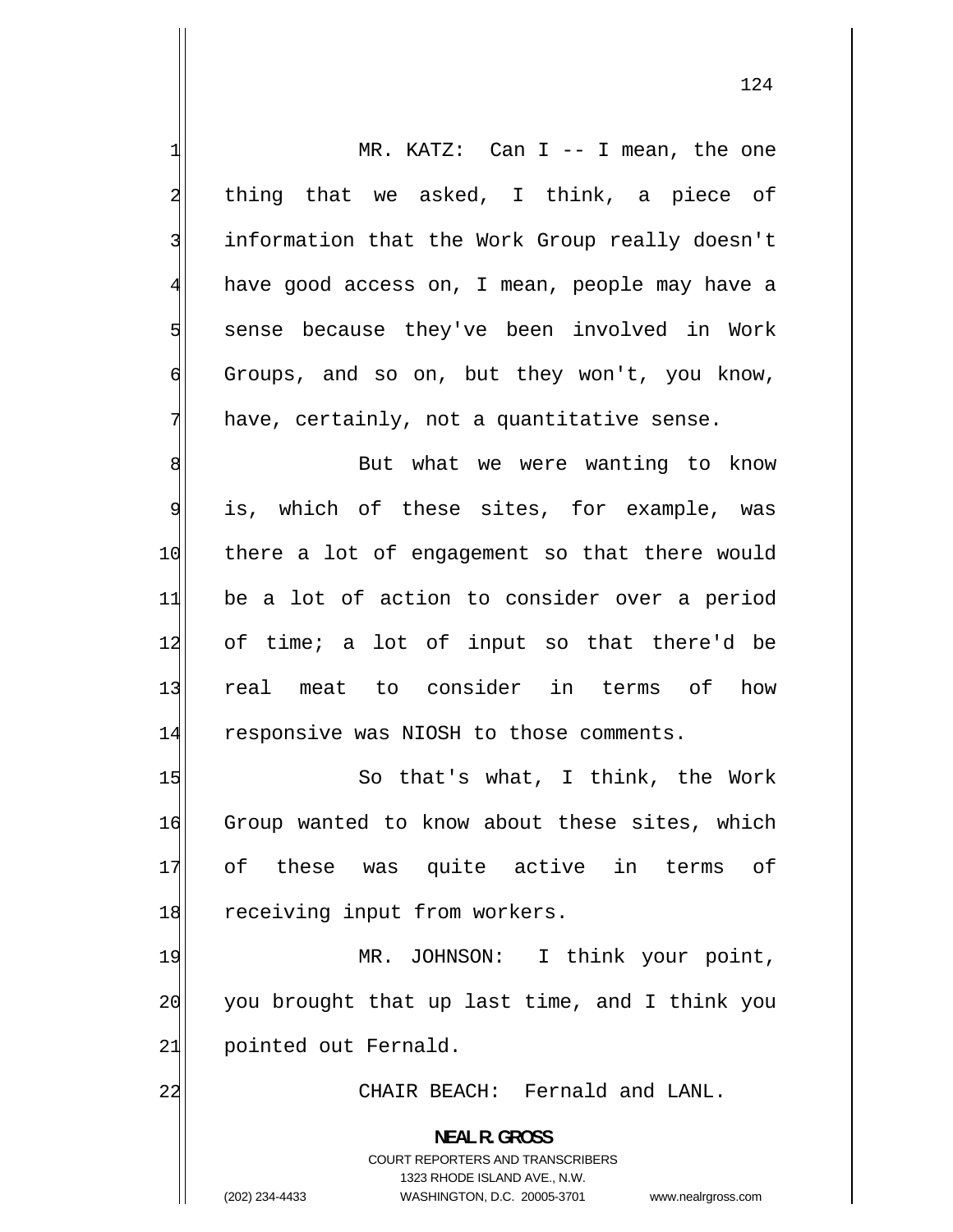1 MR. KATZ: Can I -- I mean, the one 2 thing that we asked, I think, a piece of 3 information that the Work Group really doesn't 4 have good access on, I mean, people may have a 5 sense because they've been involved in Work 6 Groups, and so on, but they won't, you know, 7 have, certainly, not a quantitative sense. 8 But what we were wanting to know 9 is, which of these sites, for example, was 10 there a lot of engagement so that there would 11 be a lot of action to consider over a period 12 of time; a lot of input so that there'd be 13 real meat to consider in terms of how 14 responsive was NIOSH to those comments. 15 So that's what, I think, the Work 16 Group wanted to know about these sites, which 17 of these was quite active in terms of 18 receiving input from workers. 19 MR. JOHNSON: I think your point, 20 you brought that up last time, and I think you 21 pointed out Fernald. 22 CHAIR BEACH: Fernald and LANL. **NEAL R. GROSS**  COURT REPORTERS AND TRANSCRIBERS 1323 RHODE ISLAND AVE., N.W. (202) 234-4433 WASHINGTON, D.C. 20005-3701 www.nealrgross.com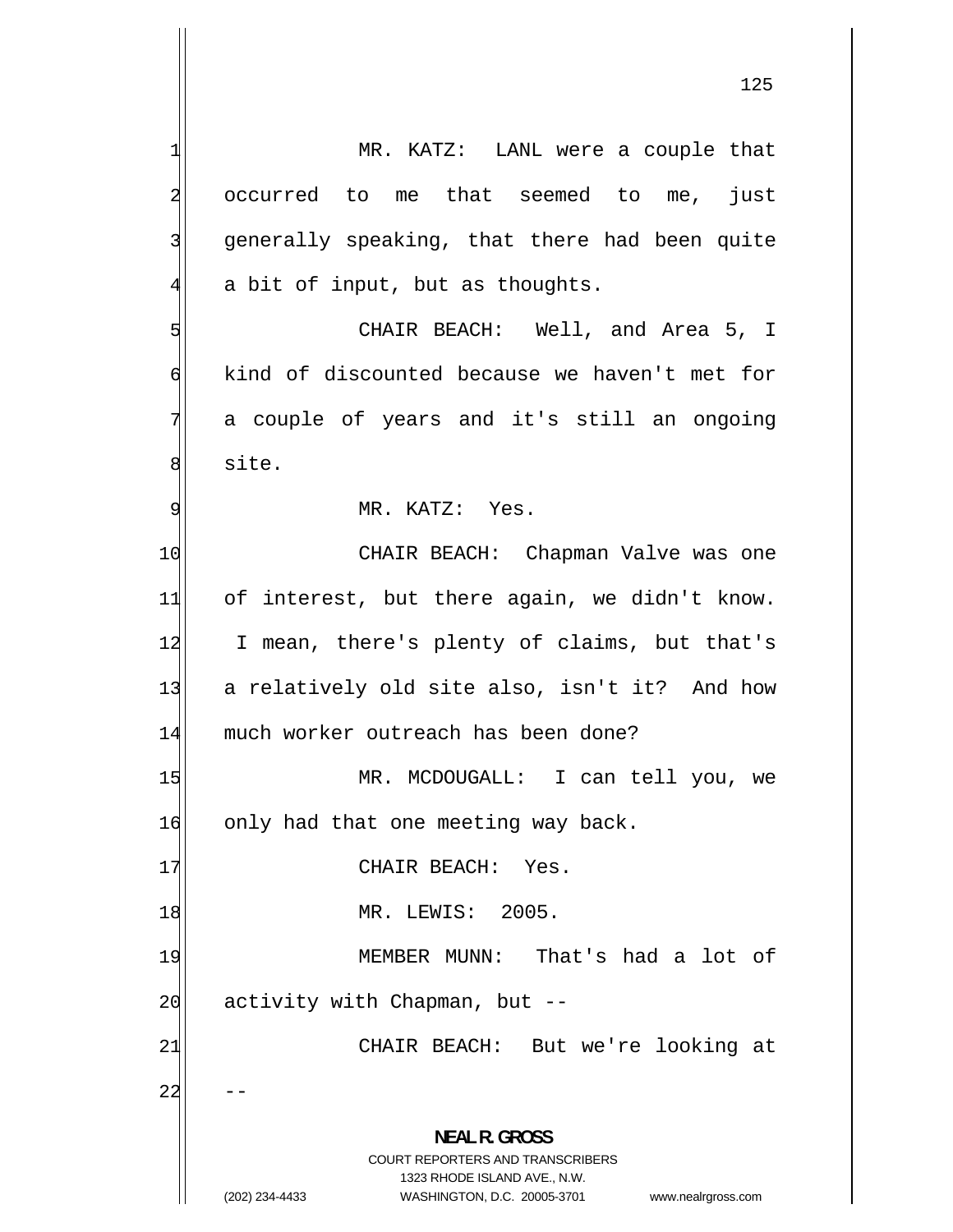-- 1 MR. KATZ: LANL were a couple that 2 occurred to me that seemed to me, just 3 generally speaking, that there had been quite 4 a bit of input, but as thoughts. 5 CHAIR BEACH: Well, and Area 5, I 6 kind of discounted because we haven't met for 7 a couple of years and it's still an ongoing 8 site. 9 MR. KATZ: Yes. 10 CHAIR BEACH: Chapman Valve was one 11 of interest, but there again, we didn't know. 12 I mean, there's plenty of claims, but that's 13 a relatively old site also, isn't it? And how 14 much worker outreach has been done? 15 MR. MCDOUGALL: I can tell you, we 16 only had that one meeting way back. 17 CHAIR BEACH: Yes. 18 MR. LEWIS: 2005. 19 MEMBER MUNN: That's had a lot of  $20$  activity with Chapman, but  $-$ 21 CHAIR BEACH: But we're looking at 22 **NEAL R. GROSS**  COURT REPORTERS AND TRANSCRIBERS 1323 RHODE ISLAND AVE., N.W. (202) 234-4433 WASHINGTON, D.C. 20005-3701 www.nealrgross.com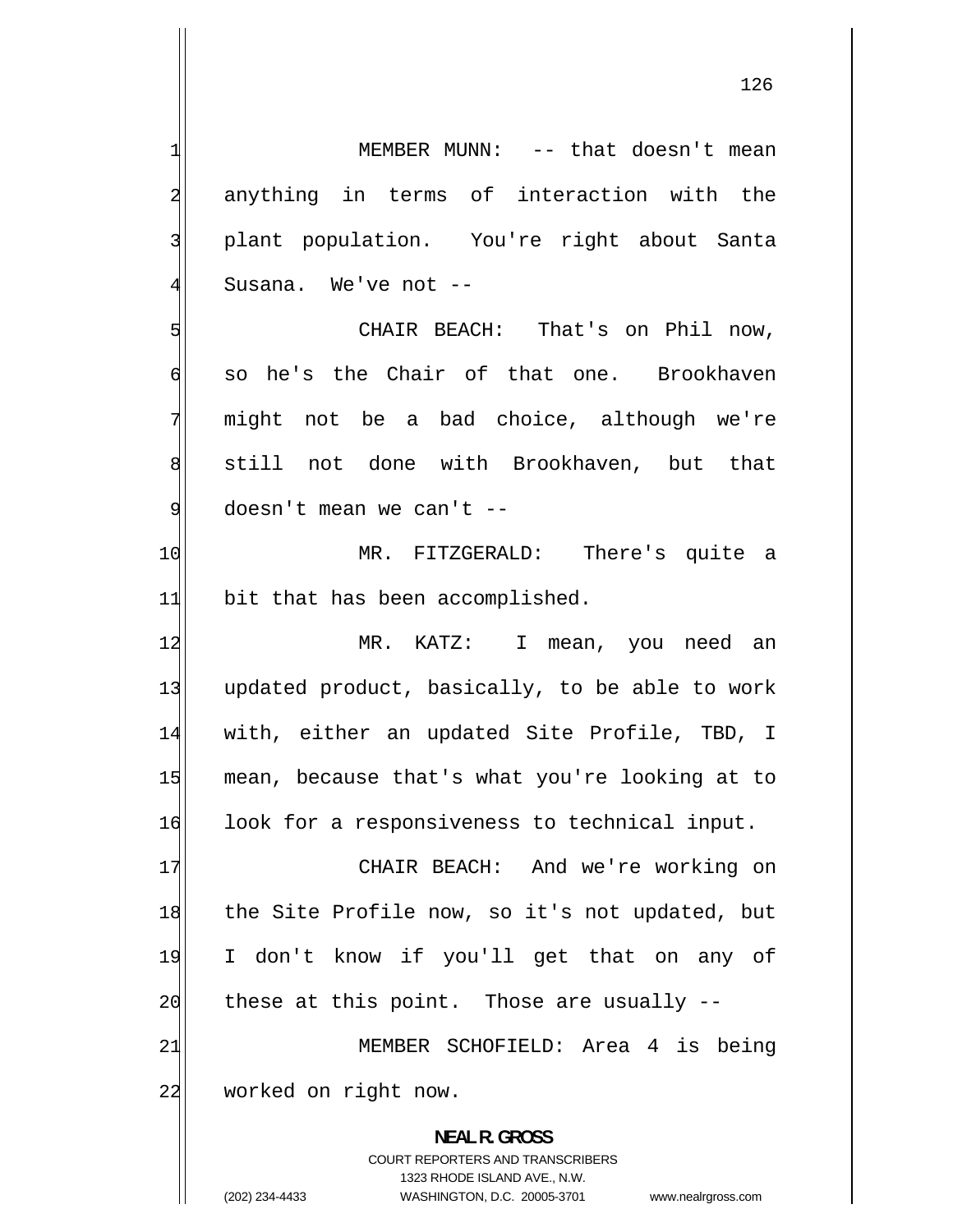126

1 MEMBER MUNN: -- that doesn't mean 2 anything in terms of interaction with the 3 plant population. You're right about Santa 4 Susana. We've not -- 5 CHAIR BEACH: That's on Phil now, 6 so he's the Chair of that one. Brookhaven 7 might not be a bad choice, although we're 8 still not done with Brookhaven, but that 9 doesn't mean we can't -- 10 MR. FITZGERALD: There's quite a  $11$  bit that has been accomplished. 12 MR. KATZ: I mean, you need an 13 updated product, basically, to be able to work 14 with, either an updated Site Profile, TBD, I 15 mean, because that's what you're looking at to 16 look for a responsiveness to technical input. 17 CHAIR BEACH: And we're working on 18 the Site Profile now, so it's not updated, but 19 I don't know if you'll get that on any of  $20$  these at this point. Those are usually  $-$ 21 MEMBER SCHOFIELD: Area 4 is being 22 worked on right now. **NEAL R. GROSS**  COURT REPORTERS AND TRANSCRIBERS 1323 RHODE ISLAND AVE., N.W.

<sup>(202) 234-4433</sup> WASHINGTON, D.C. 20005-3701 www.nealrgross.com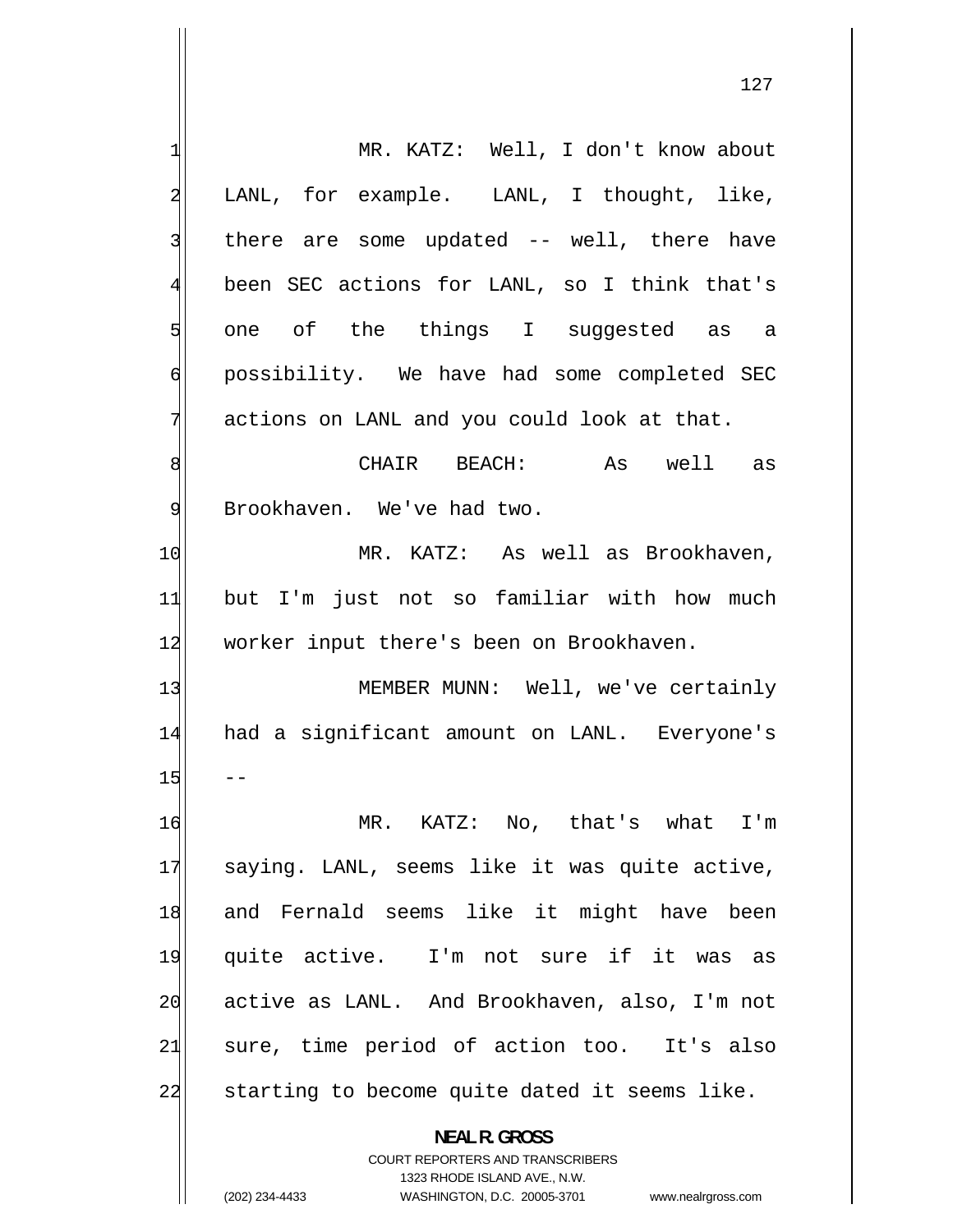$-$ 1 MR. KATZ: Well, I don't know about 2 LANL, for example. LANL, I thought, like, 3 there are some updated -- well, there have 4 been SEC actions for LANL, so I think that's 5 one of the things I suggested as a 6 possibility. We have had some completed SEC 7 actions on LANL and you could look at that. 8 CHAIR BEACH: As well as 9 Brookhaven. We've had two. 10 MR. KATZ: As well as Brookhaven, 11 but I'm just not so familiar with how much 12 worker input there's been on Brookhaven. 13 MEMBER MUNN: Well, we've certainly 14 had a significant amount on LANL. Everyone's 15 16 MR. KATZ: No, that's what I'm 17 saying. LANL, seems like it was quite active, 18 and Fernald seems like it might have been 19 quite active. I'm not sure if it was as 20 active as LANL. And Brookhaven, also, I'm not 21 sure, time period of action too. It's also 22 starting to become quite dated it seems like. **NEAL R. GROSS**  COURT REPORTERS AND TRANSCRIBERS

1323 RHODE ISLAND AVE., N.W.

(202) 234-4433 WASHINGTON, D.C. 20005-3701 www.nealrgross.com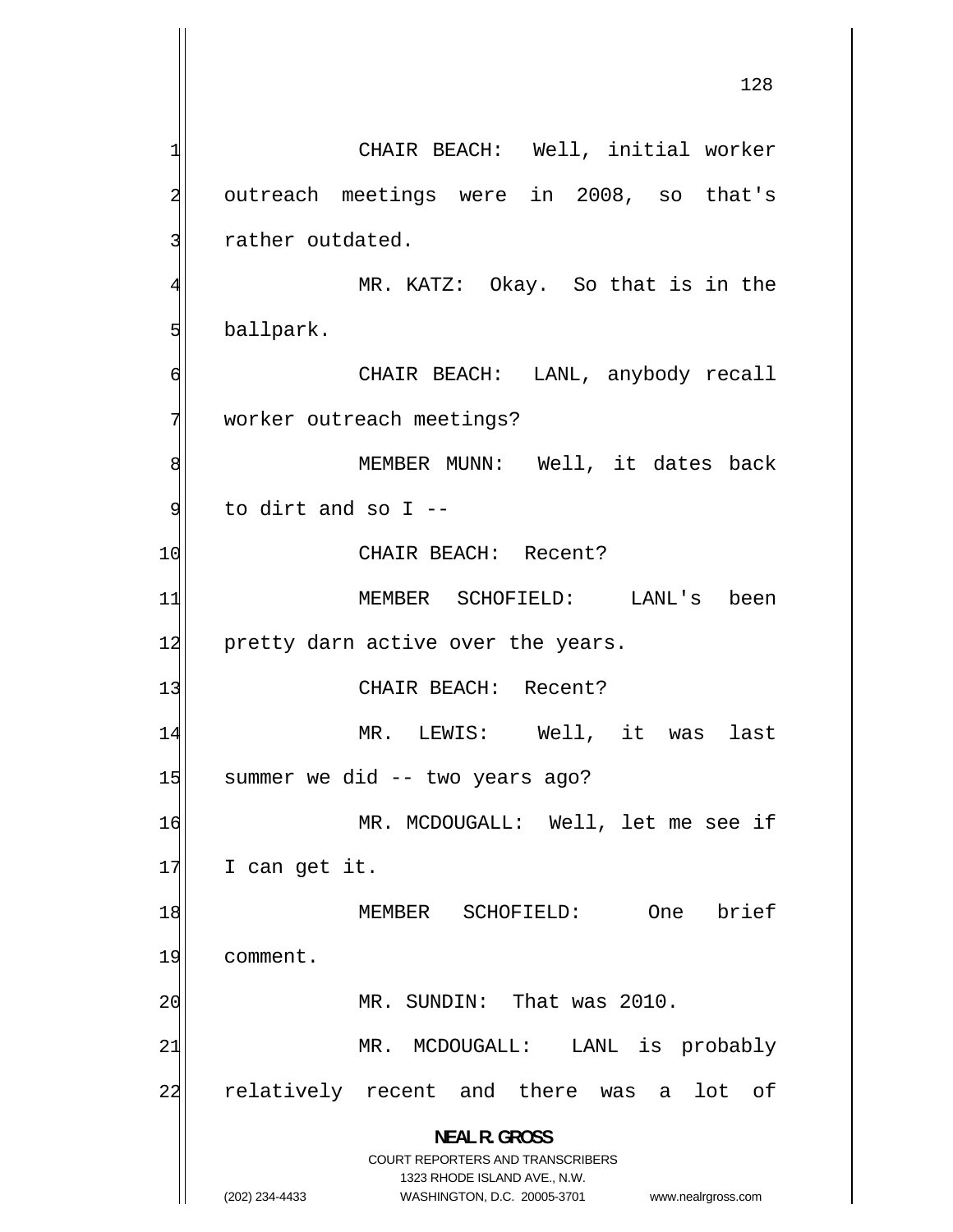128

1 CHAIR BEACH: Well, initial worker 2 outreach meetings were in 2008, so that's 3 rather outdated. 4 MR. KATZ: Okay. So that is in the 5 ballpark. 6 CHAIR BEACH: LANL, anybody recall 7 worker outreach meetings? 8 MEMBER MUNN: Well, it dates back 9 to dirt and so I -- 10 CHAIR BEACH: Recent? 11 MEMBER SCHOFIELD: LANL's been 12 pretty darn active over the years. 13 CHAIR BEACH: Recent? 14 MR. LEWIS: Well, it was last 15 summer we did -- two years ago? 16 MR. MCDOUGALL: Well, let me see if  $17$  I can get it. 18 MEMBER SCHOFIELD: One brief 19 comment. 20 MR. SUNDIN: That was 2010. 21 MR. MCDOUGALL: LANL is probably 22 relatively recent and there was a lot of **NEAL R. GROSS**  COURT REPORTERS AND TRANSCRIBERS 1323 RHODE ISLAND AVE., N.W. (202) 234-4433 WASHINGTON, D.C. 20005-3701 www.nealrgross.com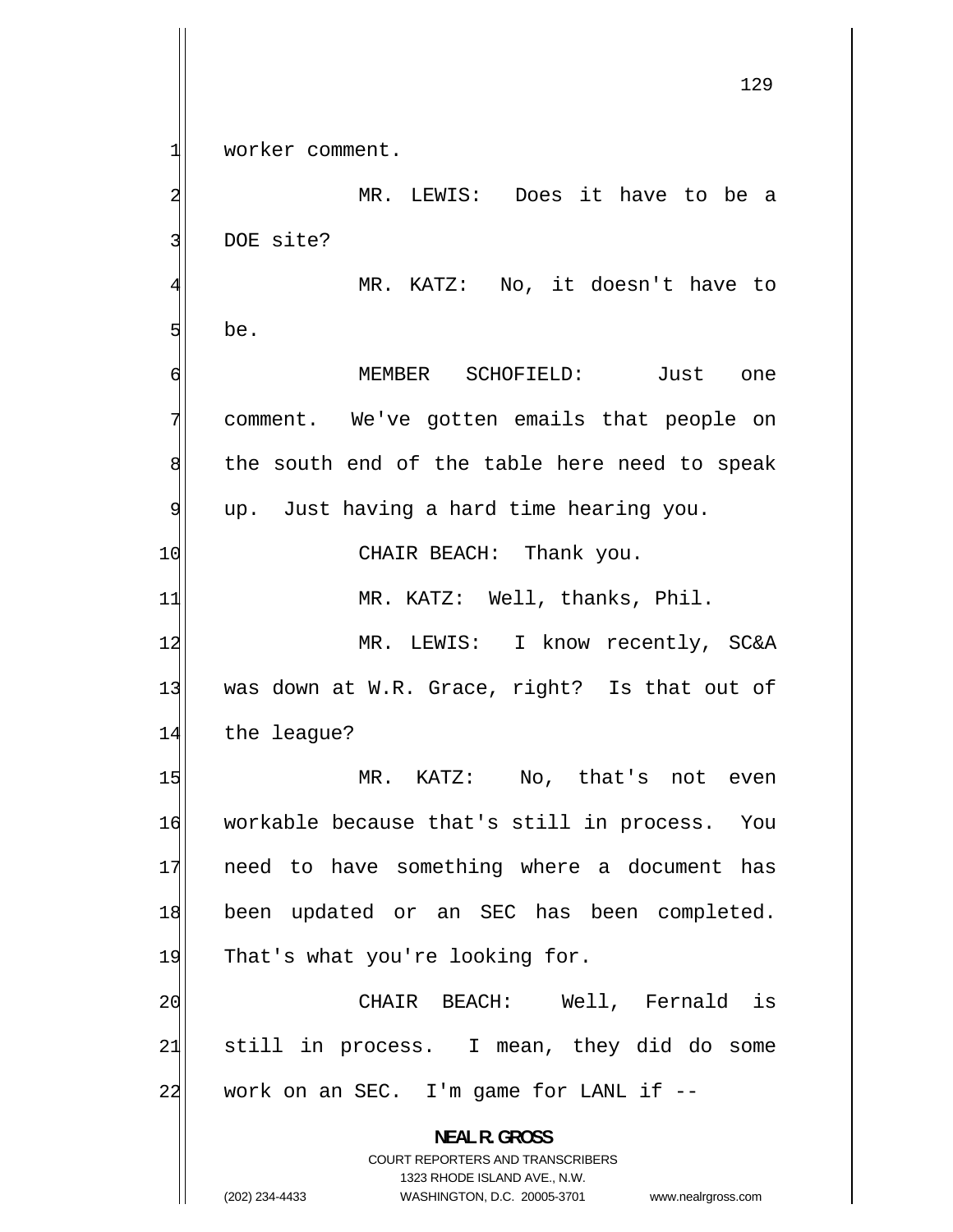1 worker comment. 2 MR. LEWIS: Does it have to be a 3 DOE site? 4 MR. KATZ: No, it doesn't have to 5 be. 6 MEMBER SCHOFIELD: Just one 7 comment. We've gotten emails that people on 8 the south end of the table here need to speak 9 up. Just having a hard time hearing you. 10 CHAIR BEACH: Thank you. 11 MR. KATZ: Well, thanks, Phil. 12 MR. LEWIS: I know recently, SC&A 13 was down at W.R. Grace, right? Is that out of 14 the league? 15 MR. KATZ: No, that's not even 16 workable because that's still in process. You 17 need to have something where a document has 18 been updated or an SEC has been completed. 19 That's what you're looking for. 20 CHAIR BEACH: Well, Fernald is 21 still in process. I mean, they did do some  $22$  work on an SEC. I'm game for LANL if  $-$ **NEAL R. GROSS**  COURT REPORTERS AND TRANSCRIBERS

1323 RHODE ISLAND AVE., N.W.

(202) 234-4433 WASHINGTON, D.C. 20005-3701 www.nealrgross.com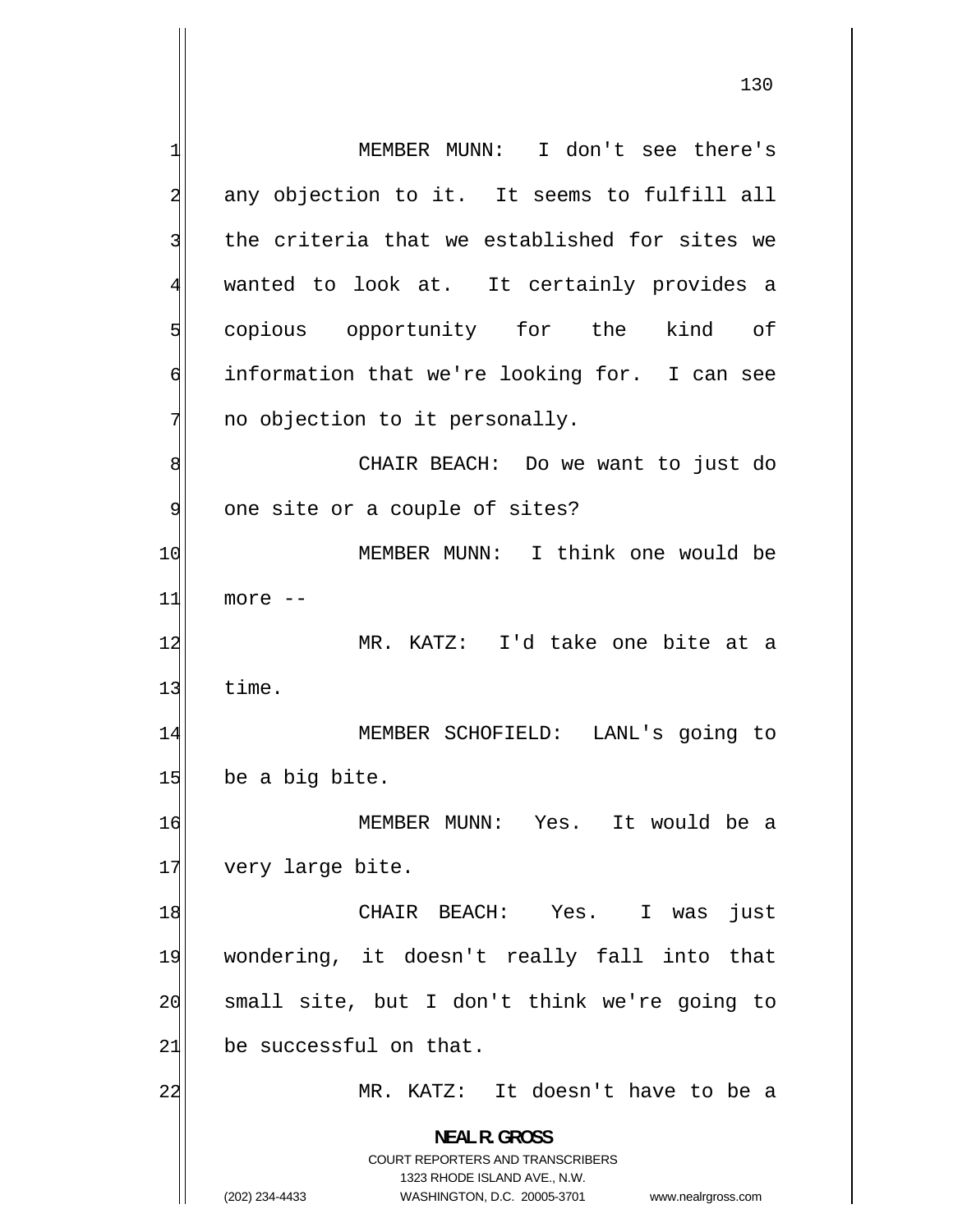1 MEMBER MUNN: I don't see there's 2 any objection to it. It seems to fulfill all 3 the criteria that we established for sites we 4 wanted to look at. It certainly provides a 5 copious opportunity for the kind of 6 information that we're looking for. I can see 7 no objection to it personally. 8 CHAIR BEACH: Do we want to just do 9 one site or a couple of sites? 10 MEMBER MUNN: I think one would be 11 more -- 12 MR. KATZ: I'd take one bite at a  $13$  time. 14 MEMBER SCHOFIELD: LANL's going to  $15$  be a big bite. 16 MEMBER MUNN: Yes. It would be a 17 very large bite. 18 CHAIR BEACH: Yes. I was just 19 wondering, it doesn't really fall into that 20 small site, but I don't think we're going to 21 be successful on that. 22 MR. KATZ: It doesn't have to be a **NEAL R. GROSS**  COURT REPORTERS AND TRANSCRIBERS 1323 RHODE ISLAND AVE., N.W. (202) 234-4433 WASHINGTON, D.C. 20005-3701 www.nealrgross.com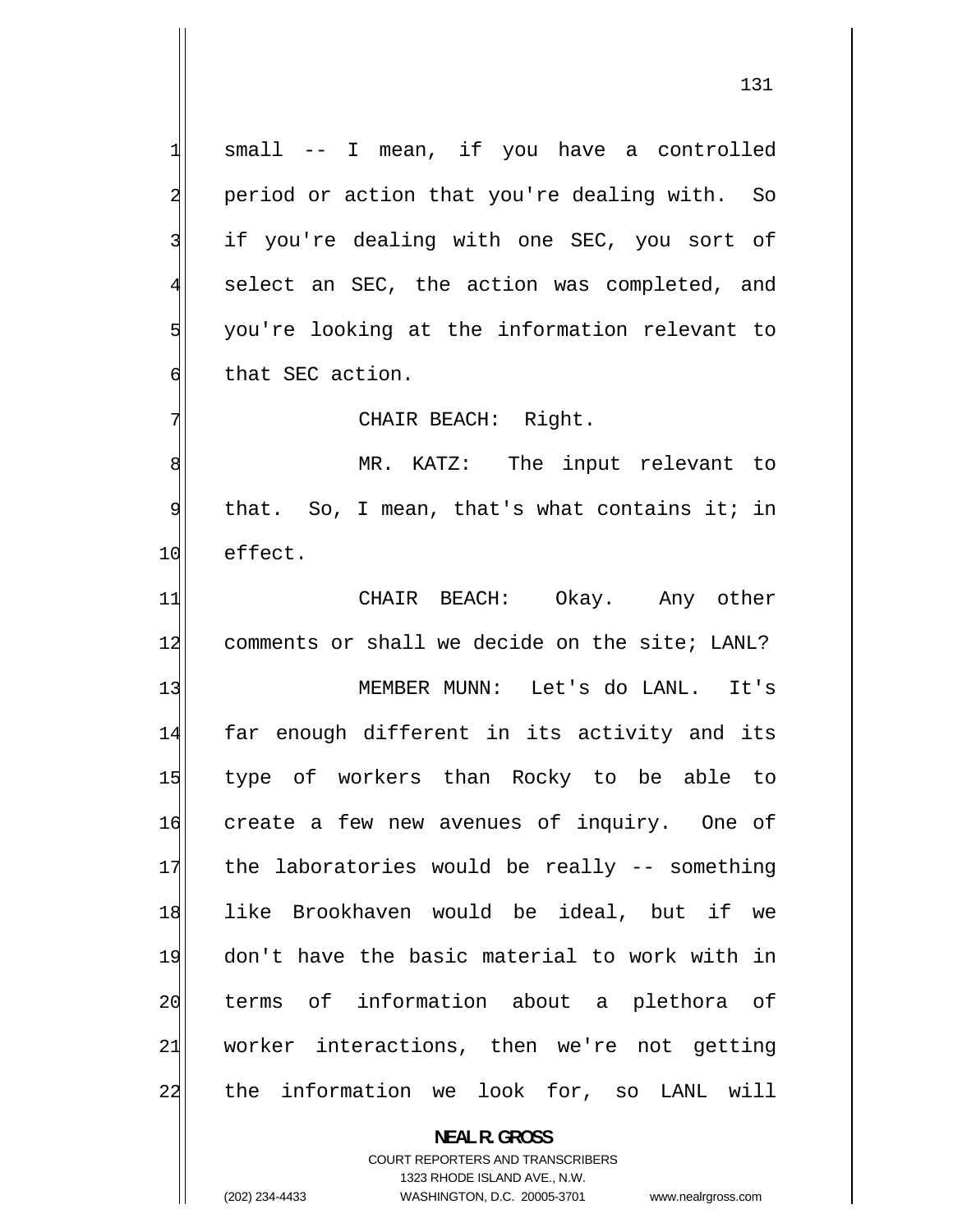small -- I mean, if you have a controlled period or action that you're dealing with. So if you're dealing with one SEC, you sort of select an SEC, the action was completed, and you're looking at the information relevant to that SEC action.

CHAIR BEACH: Right.

8 MR. KATZ: The input relevant to 9 that. So, I mean, that's what contains it; in 10 effect.

11 CHAIR BEACH: Okay. Any other 12 comments or shall we decide on the site; LANL? 13 MEMBER MUNN: Let's do LANL. It's 14 far enough different in its activity and its 15 type of workers than Rocky to be able to

16 create a few new avenues of inquiry. One of 17 the laboratories would be really -- something 18 like Brookhaven would be ideal, but if we 19 don't have the basic material to work with in 20 terms of information about a plethora of 21 worker interactions, then we're not getting 22 the information we look for, so LANL will

> **NEAL R. GROSS**  COURT REPORTERS AND TRANSCRIBERS 1323 RHODE ISLAND AVE., N.W. (202) 234-4433 WASHINGTON, D.C. 20005-3701 www.nealrgross.com

1

2

3

4

5

6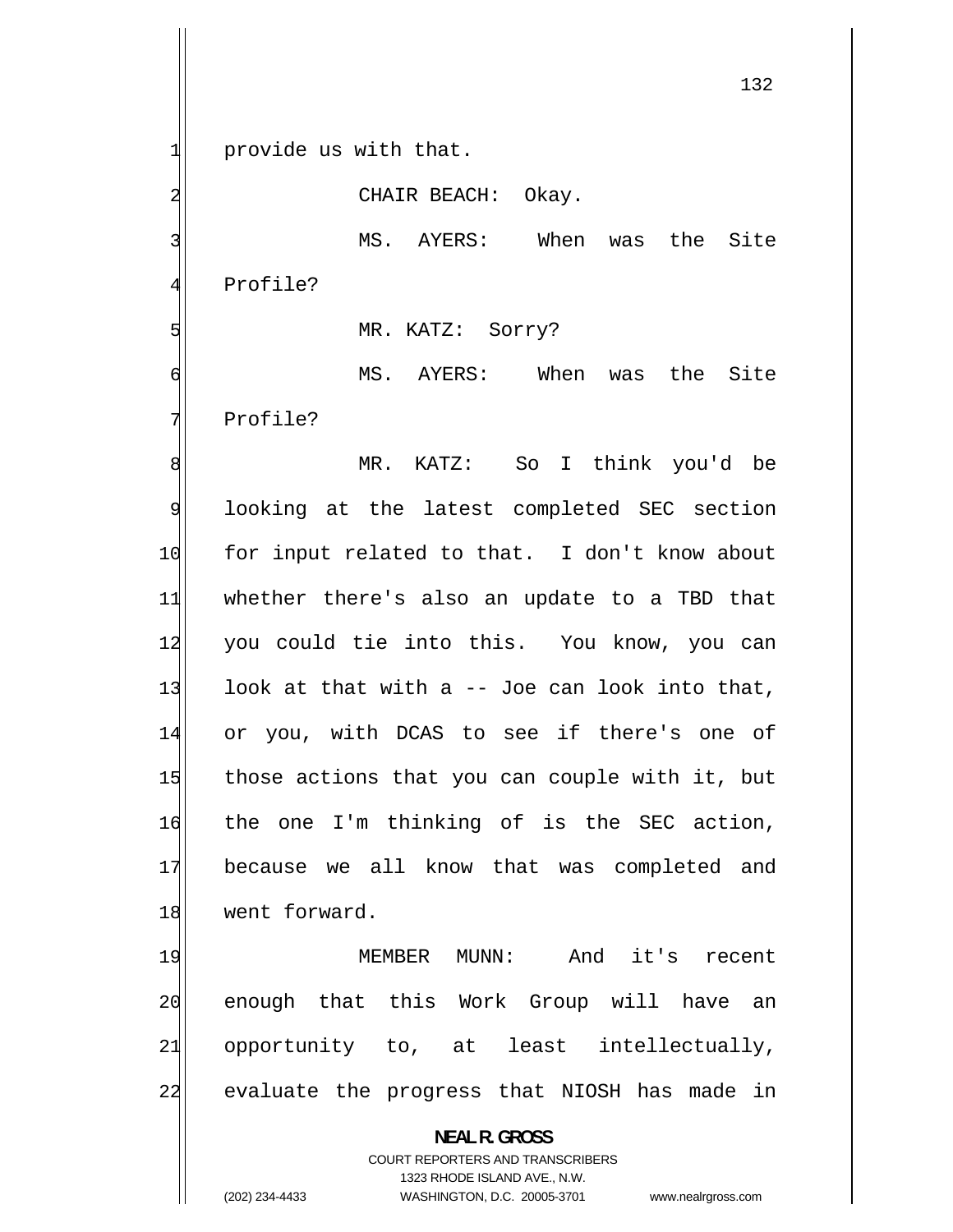provide us with that.

1

2

5

CHAIR BEACH: Okay.

3 MS. AYERS: When was the Site 4 Profile?

MR. KATZ: Sorry?

6 MS. AYERS: When was the Site 7 Profile?

8 MR. KATZ: So I think you'd be 9 looking at the latest completed SEC section 10 for input related to that. I don't know about 11 whether there's also an update to a TBD that 12 you could tie into this. You know, you can 13 look at that with a -- Joe can look into that, 14 or you, with DCAS to see if there's one of 15 those actions that you can couple with it, but 16 the one I'm thinking of is the SEC action, 17 because we all know that was completed and 18 went forward.

19 MEMBER MUNN: And it's recent 20 enough that this Work Group will have an 21 opportunity to, at least intellectually, 22 evaluate the progress that NIOSH has made in

> **NEAL R. GROSS**  COURT REPORTERS AND TRANSCRIBERS 1323 RHODE ISLAND AVE., N.W.

(202) 234-4433 WASHINGTON, D.C. 20005-3701 www.nealrgross.com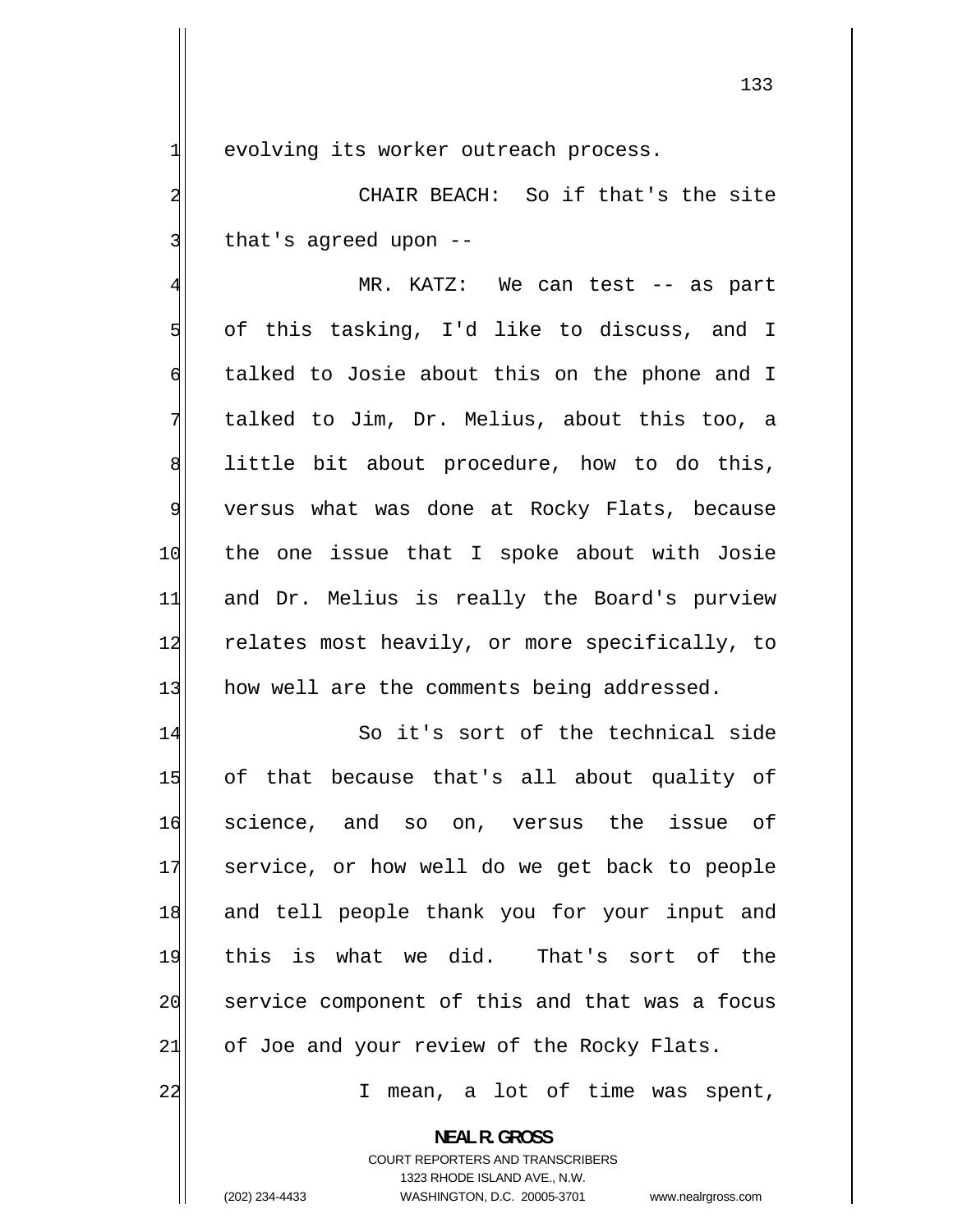evolving its worker outreach process.

1

2

3

 CHAIR BEACH: So if that's the site that's agreed upon --

4 MR. KATZ: We can test -- as part 5 of this tasking, I'd like to discuss, and I 6 talked to Josie about this on the phone and I 7 talked to Jim, Dr. Melius, about this too, a 8 little bit about procedure, how to do this, 9 versus what was done at Rocky Flats, because 10 the one issue that I spoke about with Josie 11 and Dr. Melius is really the Board's purview 12 relates most heavily, or more specifically, to 13 how well are the comments being addressed.

14 So it's sort of the technical side 15 of that because that's all about quality of 16 science, and so on, versus the issue of 17 service, or how well do we get back to people 18 and tell people thank you for your input and 19 this is what we did. That's sort of the 20 service component of this and that was a focus  $21$  of Joe and your review of the Rocky Flats.

I mean, a lot of time was spent,

**NEAL R. GROSS**  COURT REPORTERS AND TRANSCRIBERS

1323 RHODE ISLAND AVE., N.W.

22

(202) 234-4433 WASHINGTON, D.C. 20005-3701 www.nealrgross.com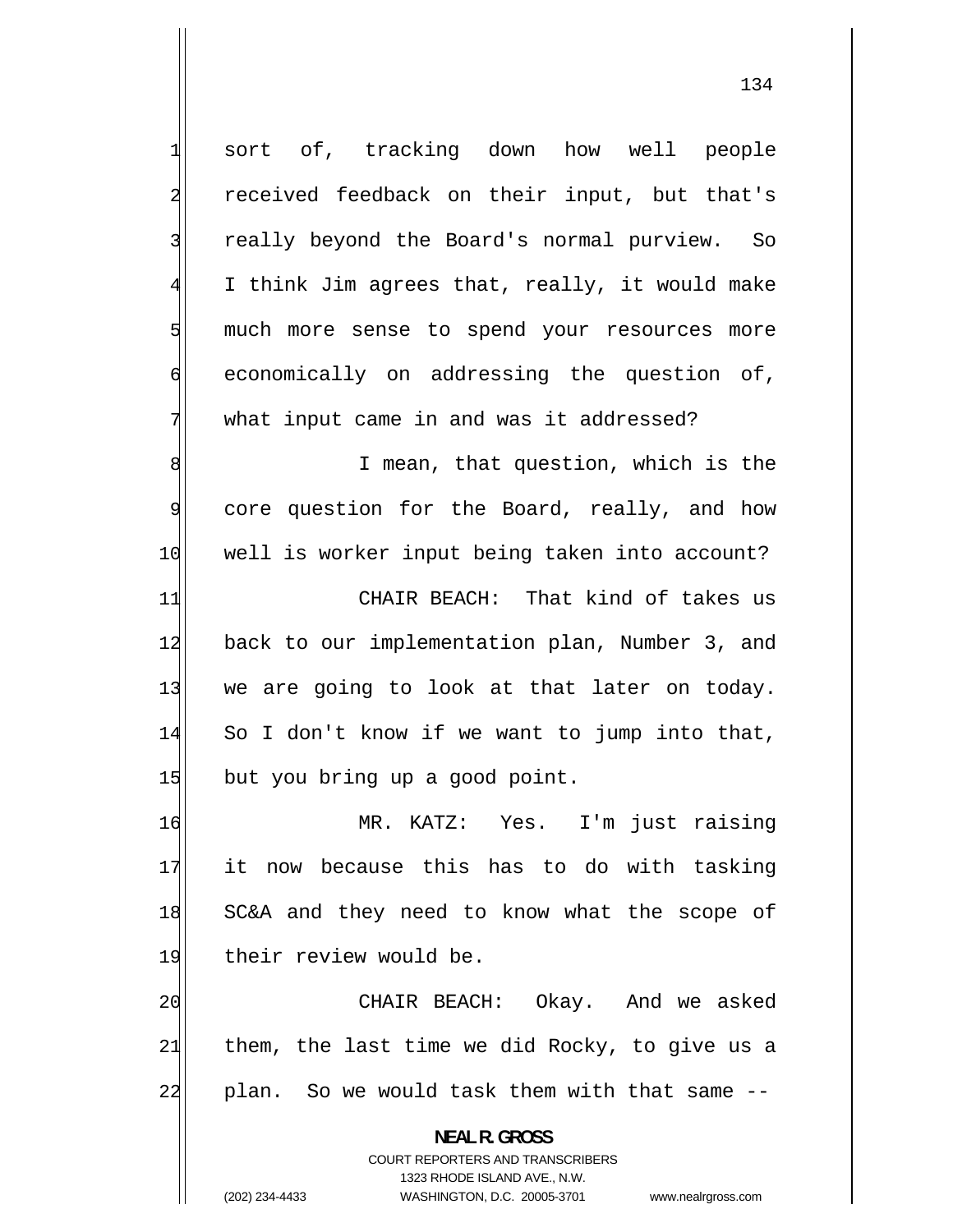1 sort of, tracking down how well people 2 received feedback on their input, but that's 3 really beyond the Board's normal purview. So 4 I think Jim agrees that, really, it would make 5 much more sense to spend your resources more 6 economically on addressing the question of, 7 what input came in and was it addressed? 8 I mean, that question, which is the 9 core question for the Board, really, and how 10 well is worker input being taken into account? 11 CHAIR BEACH: That kind of takes us 12 back to our implementation plan, Number 3, and 13 we are going to look at that later on today. 14 So I don't know if we want to jump into that, 15 but you bring up a good point. 16 MR. KATZ: Yes. I'm just raising 17 it now because this has to do with tasking 18 SC&A and they need to know what the scope of 19 their review would be. 20 CHAIR BEACH: Okay. And we asked 21 them, the last time we did Rocky, to give us a 22 plan. So we would task them with that same -- **NEAL R. GROSS**  COURT REPORTERS AND TRANSCRIBERS

1323 RHODE ISLAND AVE., N.W.

(202) 234-4433 WASHINGTON, D.C. 20005-3701 www.nealrgross.com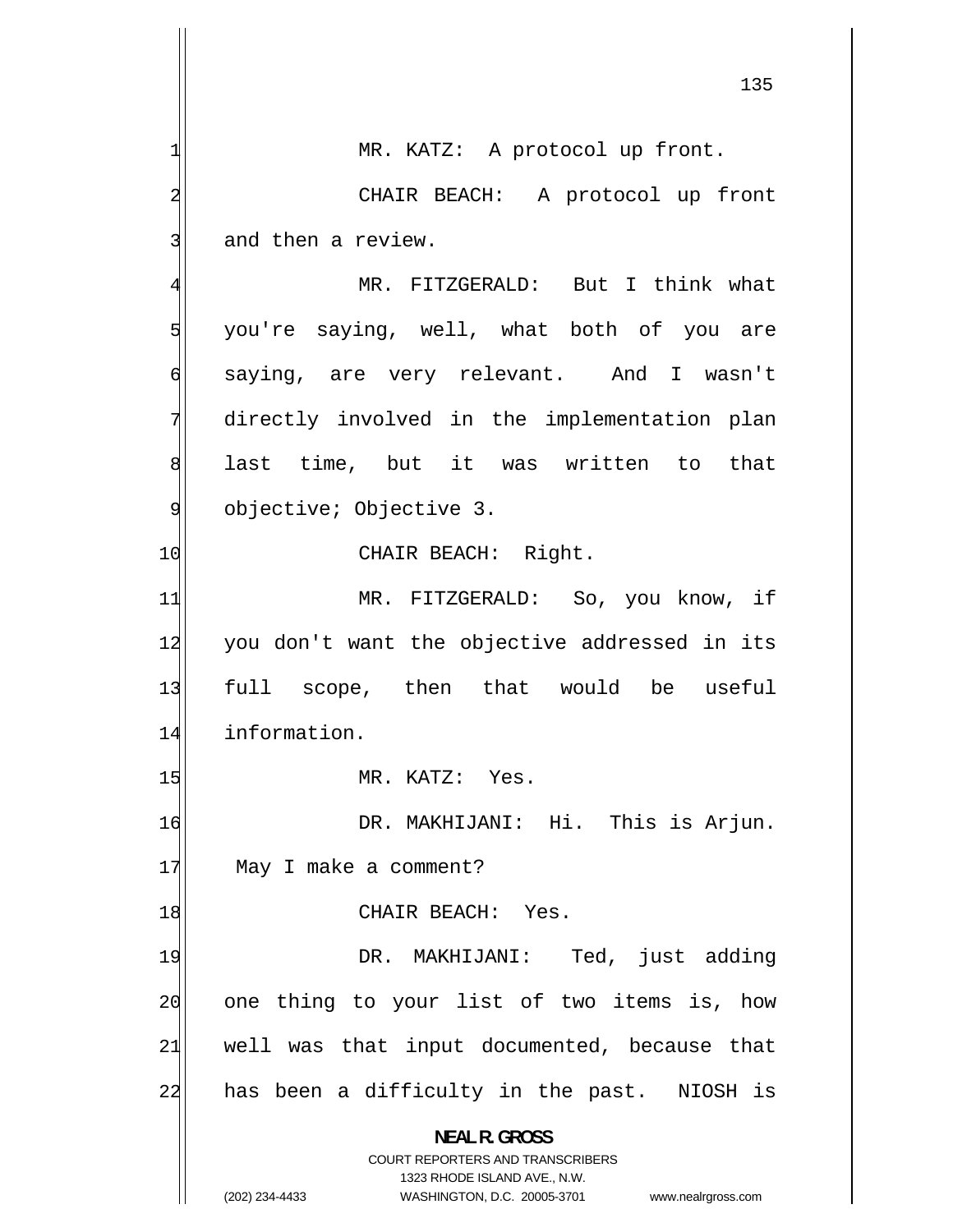135 1 MR. KATZ: A protocol up front. 2 CHAIR BEACH: A protocol up front 3 and then a review. 4 MR. FITZGERALD: But I think what 5 you're saying, well, what both of you are 6 saying, are very relevant. And I wasn't 7 directly involved in the implementation plan 8 last time, but it was written to that 9 objective; Objective 3. 10 CHAIR BEACH: Right. 11 MR. FITZGERALD: So, you know, if 12 you don't want the objective addressed in its 13 full scope, then that would be useful 14 information. 15 MR. KATZ: Yes. 16 DR. MAKHIJANI: Hi. This is Arjun. 17 May I make a comment? 18 CHAIR BEACH: Yes. 19 DR. MAKHIJANI: Ted, just adding 20 one thing to your list of two items is, how 21 well was that input documented, because that 22 has been a difficulty in the past. NIOSH is **NEAL R. GROSS**  COURT REPORTERS AND TRANSCRIBERS 1323 RHODE ISLAND AVE., N.W. (202) 234-4433 WASHINGTON, D.C. 20005-3701 www.nealrgross.com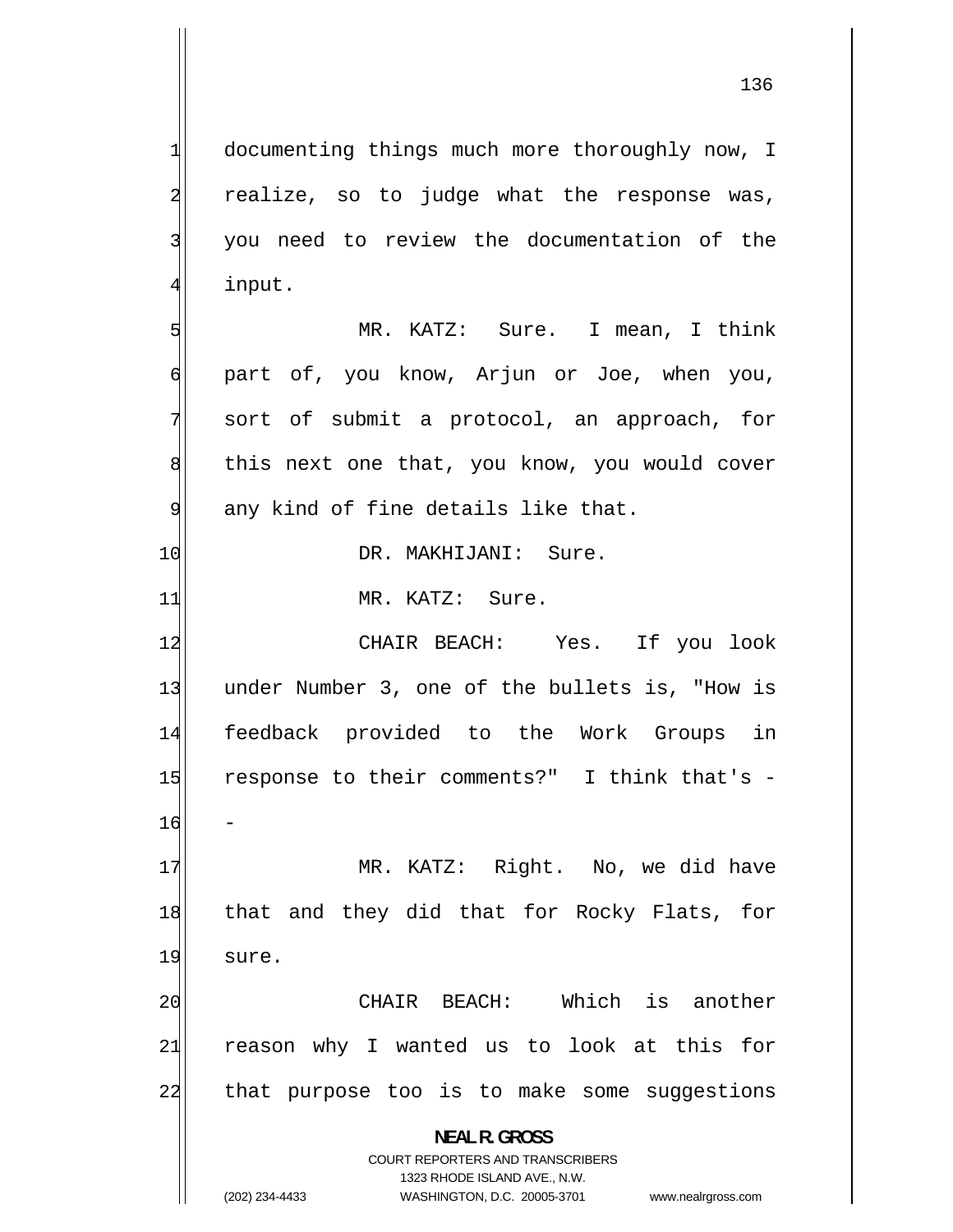documenting things much more thoroughly now, I realize, so to judge what the response was, you need to review the documentation of the input.

 MR. KATZ: Sure. I mean, I think 6 part of, you know, Arjun or Joe, when you, 7 sort of submit a protocol, an approach, for 8 this next one that, you know, you would cover 9 any kind of fine details like that.

10 DR. MAKHIJANI: Sure.

11 MR. KATZ: Sure.

12 CHAIR BEACH: Yes. If you look 13 under Number 3, one of the bullets is, "How is 14 feedback provided to the Work Groups in 15 response to their comments?" I think that's - 16 -

17 MR. KATZ: Right. No, we did have 18 that and they did that for Rocky Flats, for 19 sure.

20 CHAIR BEACH: Which is another 21 reason why I wanted us to look at this for 22 that purpose too is to make some suggestions

> **NEAL R. GROSS**  COURT REPORTERS AND TRANSCRIBERS

1

2

3

4

5

1323 RHODE ISLAND AVE., N.W. (202) 234-4433 WASHINGTON, D.C. 20005-3701 www.nealrgross.com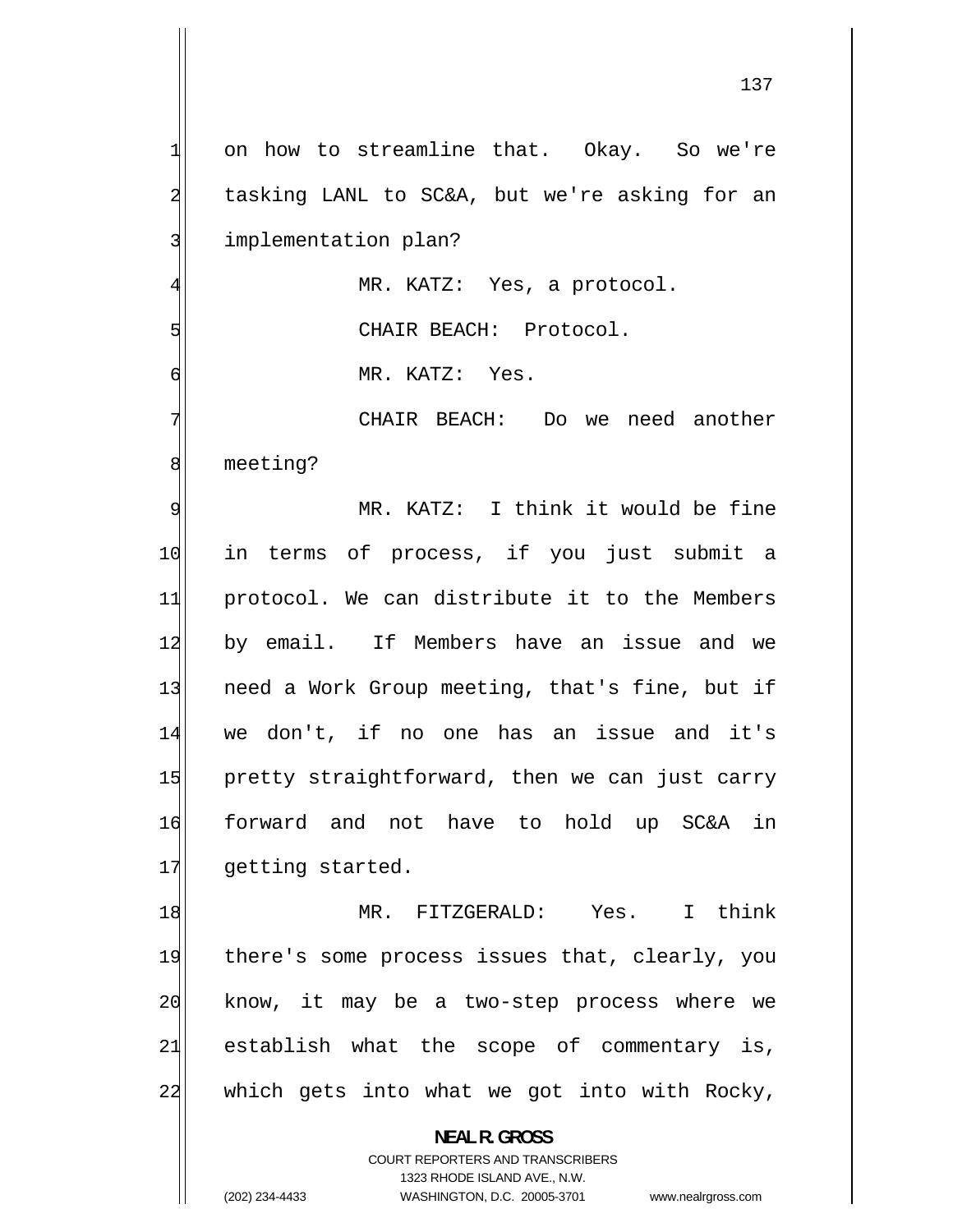1 on how to streamline that. Okay. So we're 2 tasking LANL to SC&A, but we're asking for an 3 implementation plan? 4 MR. KATZ: Yes, a protocol. 5 CHAIR BEACH: Protocol. 6 MR. KATZ: Yes. 7 CHAIR BEACH: Do we need another 8 meeting? 9 MR. KATZ: I think it would be fine 10 in terms of process, if you just submit a 11 protocol. We can distribute it to the Members 12 by email. If Members have an issue and we 13 need a Work Group meeting, that's fine, but if 14 we don't, if no one has an issue and it's 15 pretty straightforward, then we can just carry 16 forward and not have to hold up SC&A in 17 getting started. 18 MR. FITZGERALD: Yes. I think 19 there's some process issues that, clearly, you 20 know, it may be a two-step process where we 21 establish what the scope of commentary is, 22 which gets into what we got into with Rocky, **NEAL R. GROSS** 

> COURT REPORTERS AND TRANSCRIBERS 1323 RHODE ISLAND AVE., N.W.

(202) 234-4433 WASHINGTON, D.C. 20005-3701 www.nealrgross.com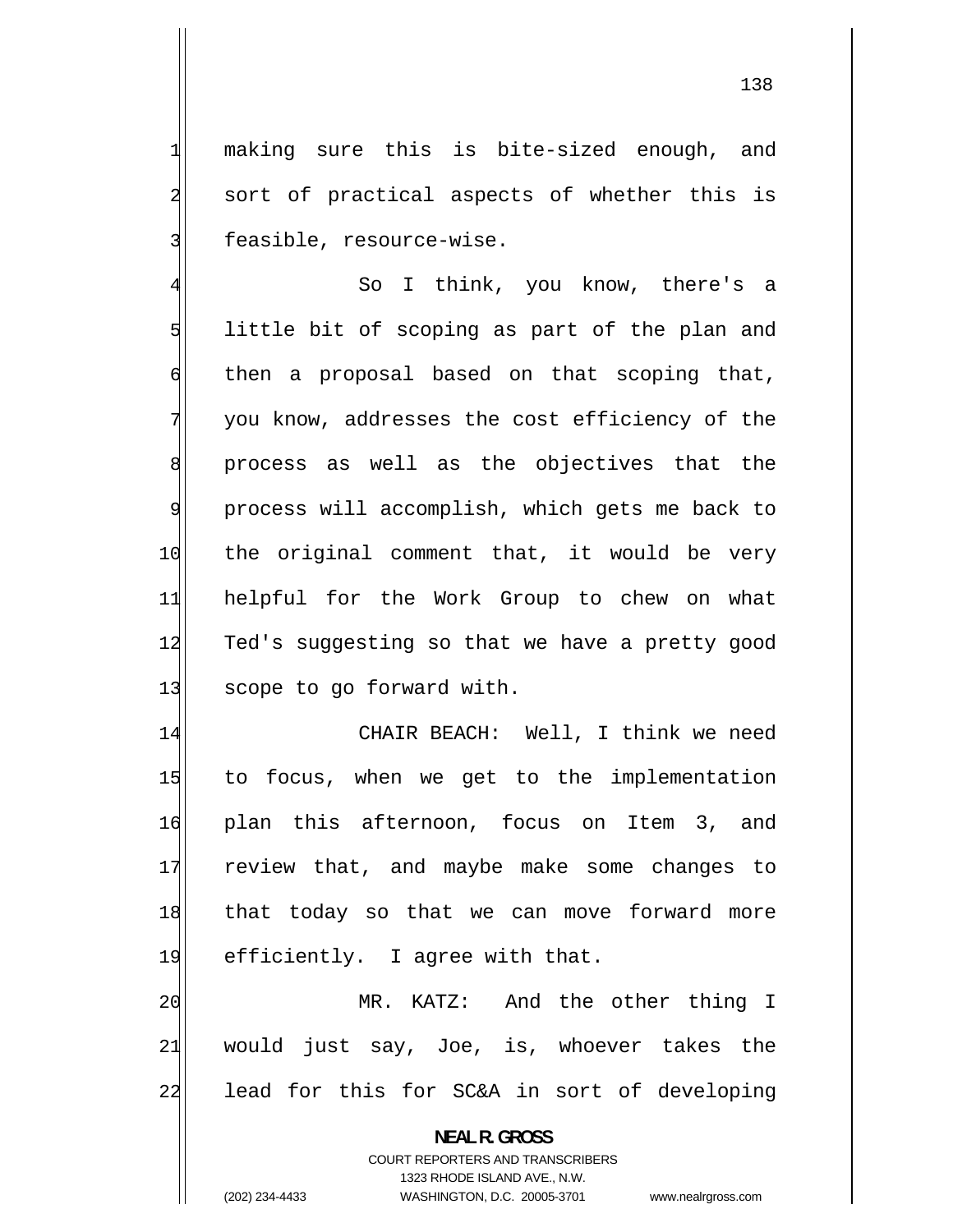making sure this is bite-sized enough, and sort of practical aspects of whether this is feasible, resource-wise.

4 So I think, you know, there's a 5 little bit of scoping as part of the plan and 6 then a proposal based on that scoping that, 7 you know, addresses the cost efficiency of the 8 process as well as the objectives that the 9 process will accomplish, which gets me back to 10 the original comment that, it would be very 11 helpful for the Work Group to chew on what 12 Ted's suggesting so that we have a pretty good 13 scope to go forward with.

14 CHAIR BEACH: Well, I think we need 15 to focus, when we get to the implementation 16 plan this afternoon, focus on Item 3, and 17 review that, and maybe make some changes to 18 that today so that we can move forward more 19 efficiently. I agree with that.

20 MR. KATZ: And the other thing I 21 would just say, Joe, is, whoever takes the 22 lead for this for SC&A in sort of developing

> **NEAL R. GROSS**  COURT REPORTERS AND TRANSCRIBERS

> > 1323 RHODE ISLAND AVE., N.W.

(202) 234-4433 WASHINGTON, D.C. 20005-3701 www.nealrgross.com

1

2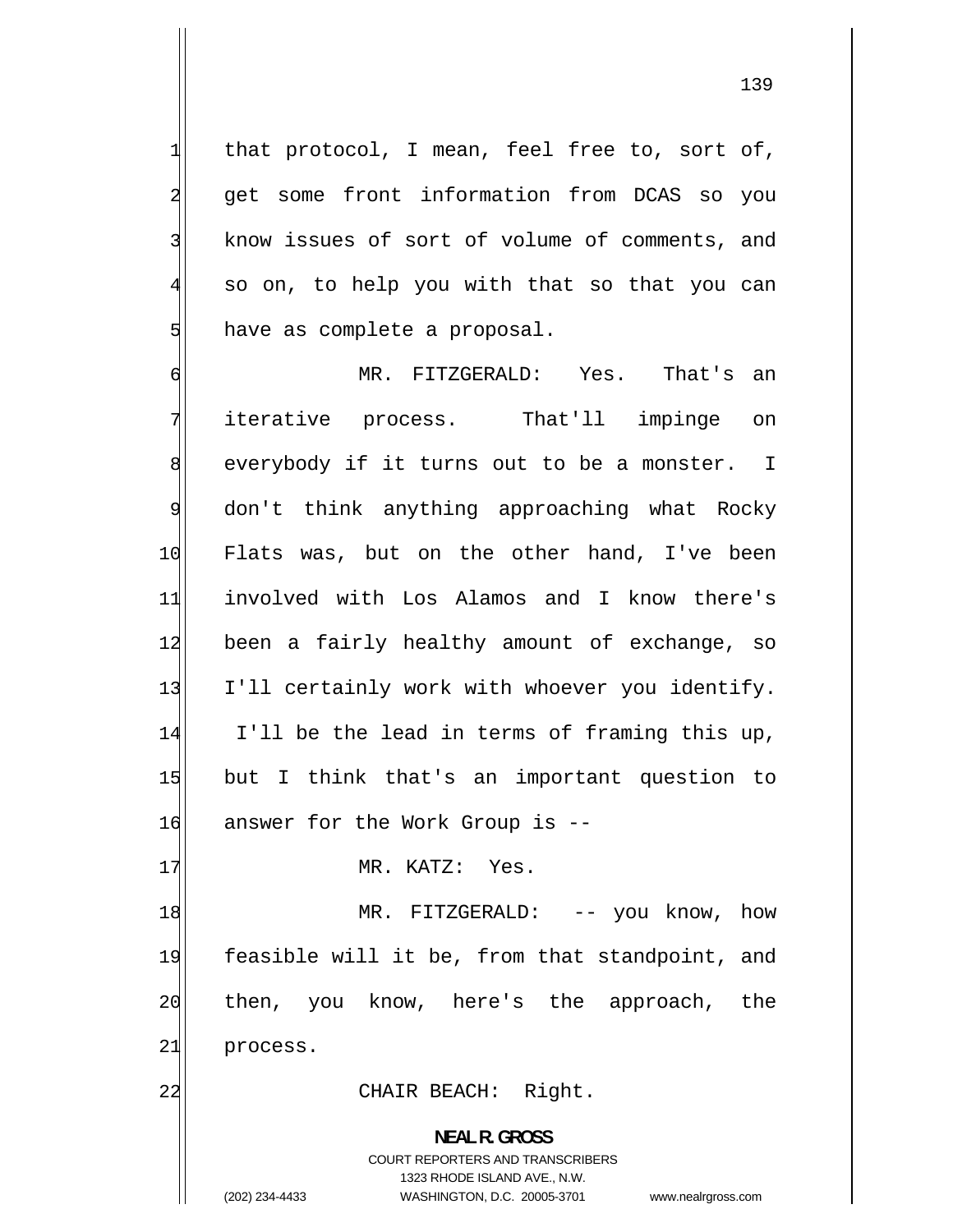that protocol, I mean, feel free to, sort of, get some front information from DCAS so you know issues of sort of volume of comments, and so on, to help you with that so that you can have as complete a proposal.

1

2

3

4

5

6 MR. FITZGERALD: Yes. That's an 7 iterative process. That'll impinge on 8 everybody if it turns out to be a monster. I 9 don't think anything approaching what Rocky 10 Flats was, but on the other hand, I've been 11 involved with Los Alamos and I know there's 12 been a fairly healthy amount of exchange, so 13 I'll certainly work with whoever you identify. 14 I'll be the lead in terms of framing this up, 15 but I think that's an important question to 16 answer for the Work Group is --

17 MR. KATZ: Yes.

18 MR. FITZGERALD: -- you know, how 19 feasible will it be, from that standpoint, and 20 then, you know, here's the approach, the 21 process.

22 CHAIR BEACH: Right.

**NEAL R. GROSS**  COURT REPORTERS AND TRANSCRIBERS 1323 RHODE ISLAND AVE., N.W. (202) 234-4433 WASHINGTON, D.C. 20005-3701 www.nealrgross.com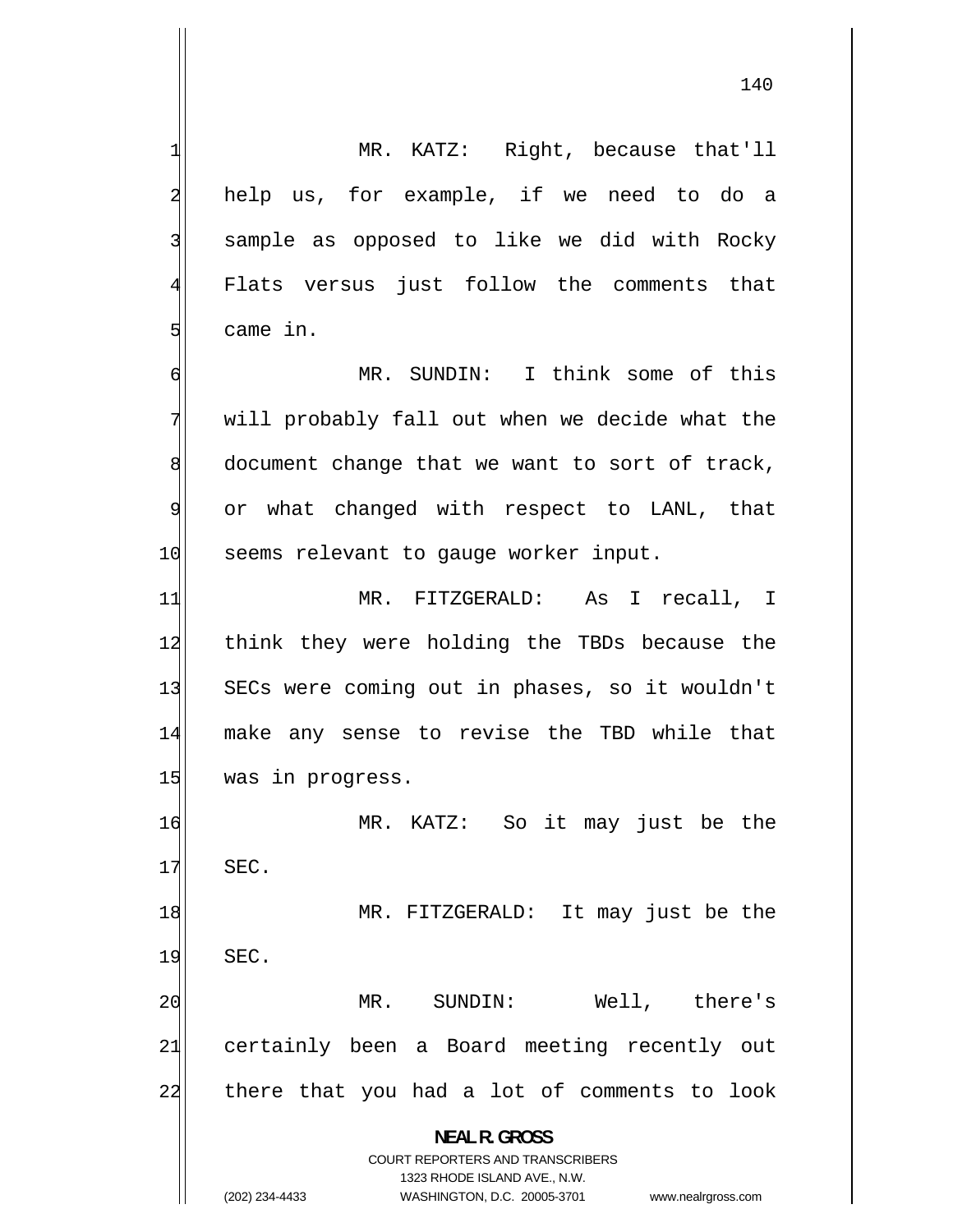1 MR. KATZ: Right, because that'll 2 help us, for example, if we need to do a 3 sample as opposed to like we did with Rocky 4 Flats versus just follow the comments that 5 came in. 6 MR. SUNDIN: I think some of this 7 will probably fall out when we decide what the 8 document change that we want to sort of track, 9 or what changed with respect to LANL, that 10 seems relevant to gauge worker input. 11 MR. FITZGERALD: As I recall, I 12 think they were holding the TBDs because the 13 SECs were coming out in phases, so it wouldn't 14 make any sense to revise the TBD while that 15 was in progress. 16 MR. KATZ: So it may just be the 17 SEC. 18 MR. FITZGERALD: It may just be the 19 SEC.

20 MR. SUNDIN: Well, there's 21 certainly been a Board meeting recently out 22 there that you had a lot of comments to look

**NEAL R. GROSS** 

COURT REPORTERS AND TRANSCRIBERS 1323 RHODE ISLAND AVE., N.W.

(202) 234-4433 WASHINGTON, D.C. 20005-3701 www.nealrgross.com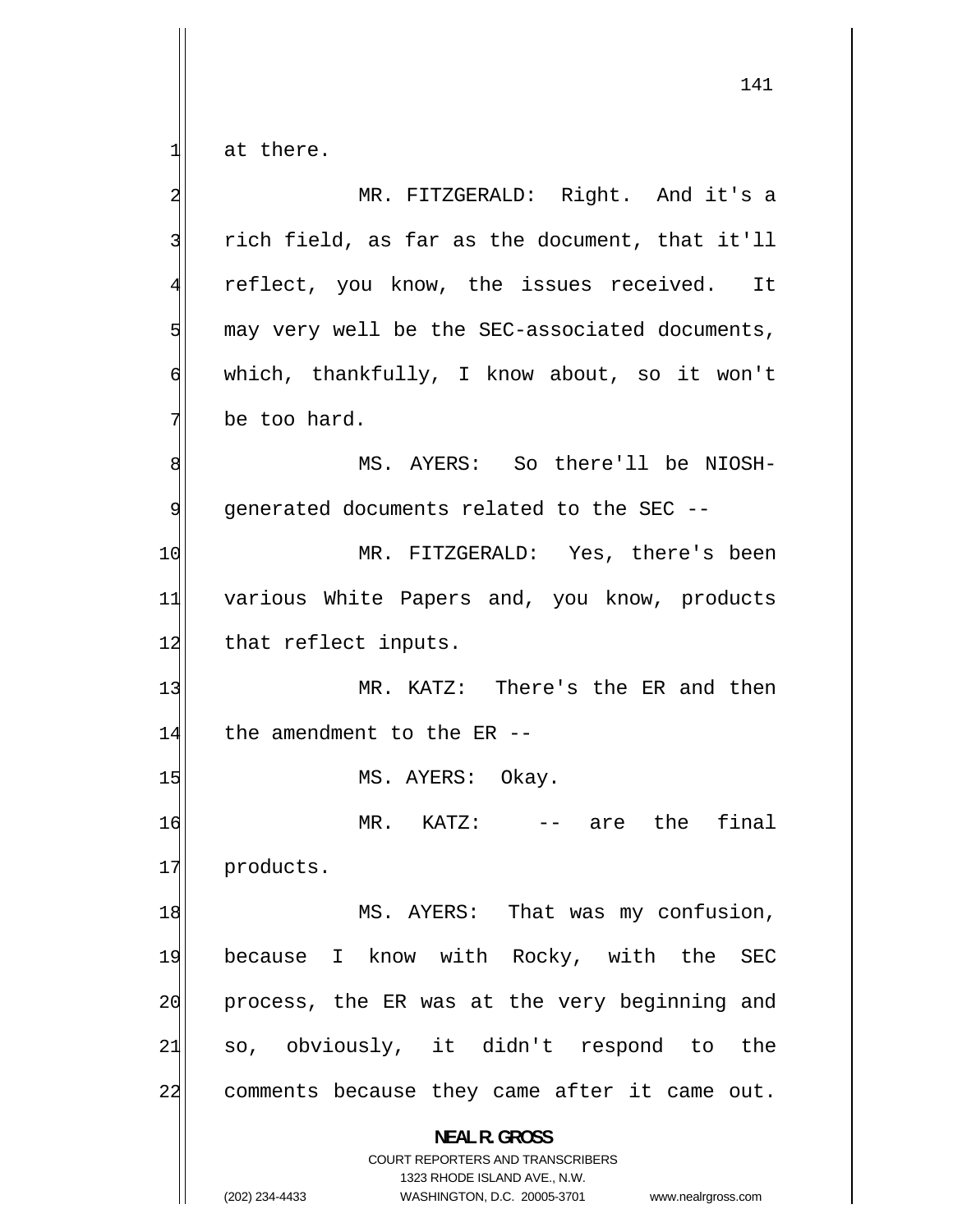at there.

| 2              | MR. FITZGERALD: Right. And it's a                                                                                                                                                                                                                                                                                                                                                                                                 |
|----------------|-----------------------------------------------------------------------------------------------------------------------------------------------------------------------------------------------------------------------------------------------------------------------------------------------------------------------------------------------------------------------------------------------------------------------------------|
| 3              | rich field, as far as the document, that it'll                                                                                                                                                                                                                                                                                                                                                                                    |
| $\overline{4}$ | reflect, you know, the issues received. It                                                                                                                                                                                                                                                                                                                                                                                        |
| 5              | may very well be the SEC-associated documents,                                                                                                                                                                                                                                                                                                                                                                                    |
| $\epsilon$     | which, thankfully, I know about, so it won't                                                                                                                                                                                                                                                                                                                                                                                      |
| 7              | be too hard.                                                                                                                                                                                                                                                                                                                                                                                                                      |
| 8              | MS. AYERS: So there'll be NIOSH-                                                                                                                                                                                                                                                                                                                                                                                                  |
| 9              | generated documents related to the SEC --                                                                                                                                                                                                                                                                                                                                                                                         |
| 10             | MR. FITZGERALD: Yes, there's been                                                                                                                                                                                                                                                                                                                                                                                                 |
| 11             | various White Papers and, you know, products                                                                                                                                                                                                                                                                                                                                                                                      |
| 12             | that reflect inputs.                                                                                                                                                                                                                                                                                                                                                                                                              |
| 13             | MR. KATZ: There's the ER and then                                                                                                                                                                                                                                                                                                                                                                                                 |
| 14             | the amendment to the ER --                                                                                                                                                                                                                                                                                                                                                                                                        |
| 15             | MS. AYERS: Okay.                                                                                                                                                                                                                                                                                                                                                                                                                  |
| 16             | final<br>are the<br>$MR.$ $KATZ:$<br>$\frac{1}{2} \frac{1}{2} \frac{1}{2} \frac{1}{2} \frac{1}{2} \frac{1}{2} \frac{1}{2} \frac{1}{2} \frac{1}{2} \frac{1}{2} \frac{1}{2} \frac{1}{2} \frac{1}{2} \frac{1}{2} \frac{1}{2} \frac{1}{2} \frac{1}{2} \frac{1}{2} \frac{1}{2} \frac{1}{2} \frac{1}{2} \frac{1}{2} \frac{1}{2} \frac{1}{2} \frac{1}{2} \frac{1}{2} \frac{1}{2} \frac{1}{2} \frac{1}{2} \frac{1}{2} \frac{1}{2} \frac{$ |
| 17             | products.                                                                                                                                                                                                                                                                                                                                                                                                                         |
| 18             | MS. AYERS: That was my confusion,                                                                                                                                                                                                                                                                                                                                                                                                 |
| 19             | because I know with Rocky, with the<br><b>SEC</b>                                                                                                                                                                                                                                                                                                                                                                                 |
| 20             | process, the ER was at the very beginning and                                                                                                                                                                                                                                                                                                                                                                                     |
| 21             | so, obviously, it didn't respond to the                                                                                                                                                                                                                                                                                                                                                                                           |
| 22             | comments because they came after it came out.                                                                                                                                                                                                                                                                                                                                                                                     |
|                | <b>NEAL R. GROSS</b><br>COURT REPORTERS AND TRANSCRIBERS<br>1323 RHODE ISLAND AVE., N.W.<br>(202) 234-4433<br>WASHINGTON, D.C. 20005-3701<br>www.nealrgross.com                                                                                                                                                                                                                                                                   |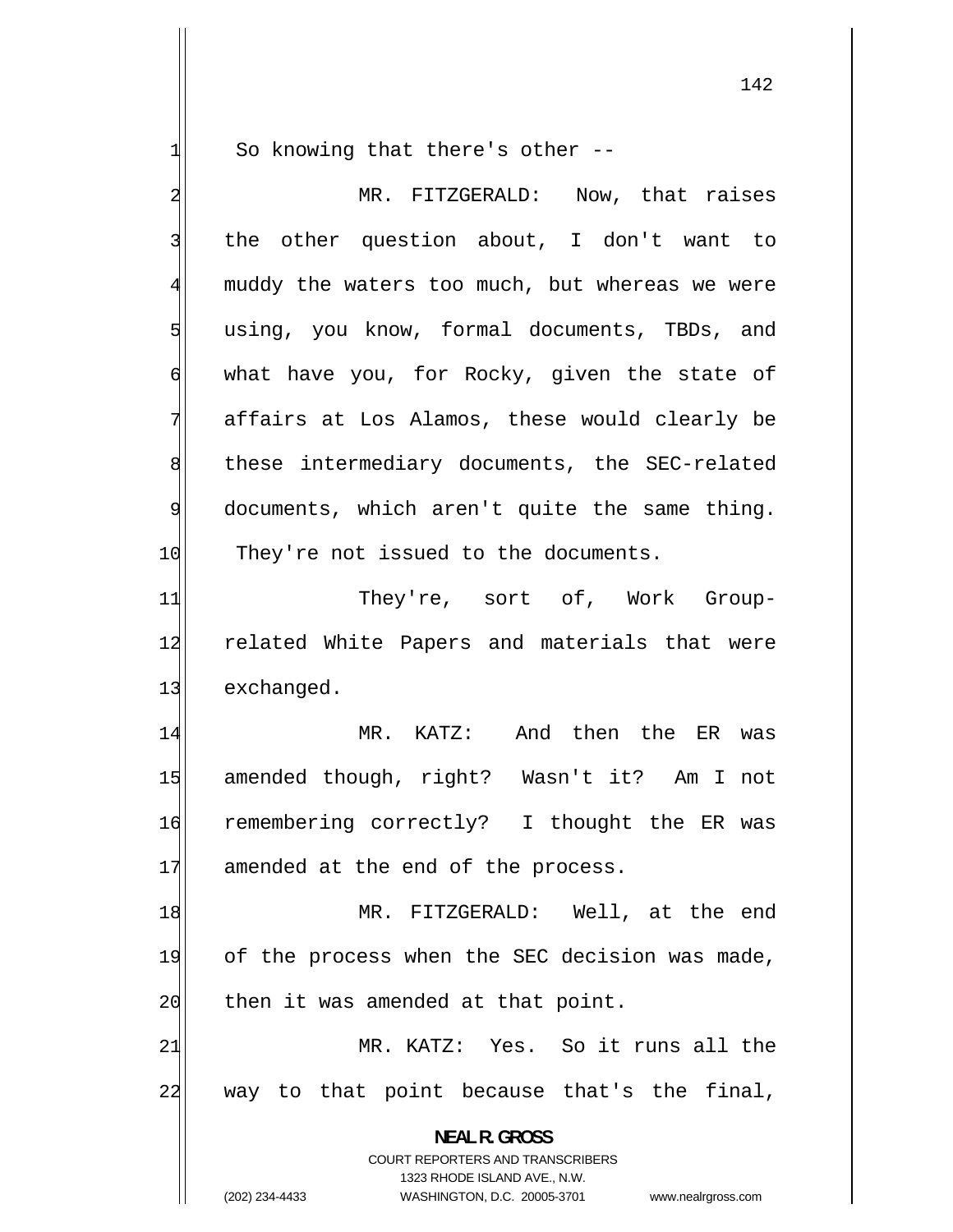So knowing that there's other --

1

2 MR. FITZGERALD: Now, that raises 3 the other question about, I don't want to 4 muddy the waters too much, but whereas we were 5 using, you know, formal documents, TBDs, and 6 what have you, for Rocky, given the state of 7 affairs at Los Alamos, these would clearly be 8 these intermediary documents, the SEC-related 9 documents, which aren't quite the same thing. 10 They're not issued to the documents. 11 They're, sort of, Work Group-12 related White Papers and materials that were 13 exchanged. 14 MR. KATZ: And then the ER was 15 amended though, right? Wasn't it? Am I not 16 remembering correctly? I thought the ER was 17 amended at the end of the process. 18 MR. FITZGERALD: Well, at the end 19 of the process when the SEC decision was made, 20 then it was amended at that point. 21 MR. KATZ: Yes. So it runs all the 22 way to that point because that's the final, **NEAL R. GROSS**  COURT REPORTERS AND TRANSCRIBERS 1323 RHODE ISLAND AVE., N.W. (202) 234-4433 WASHINGTON, D.C. 20005-3701 www.nealrgross.com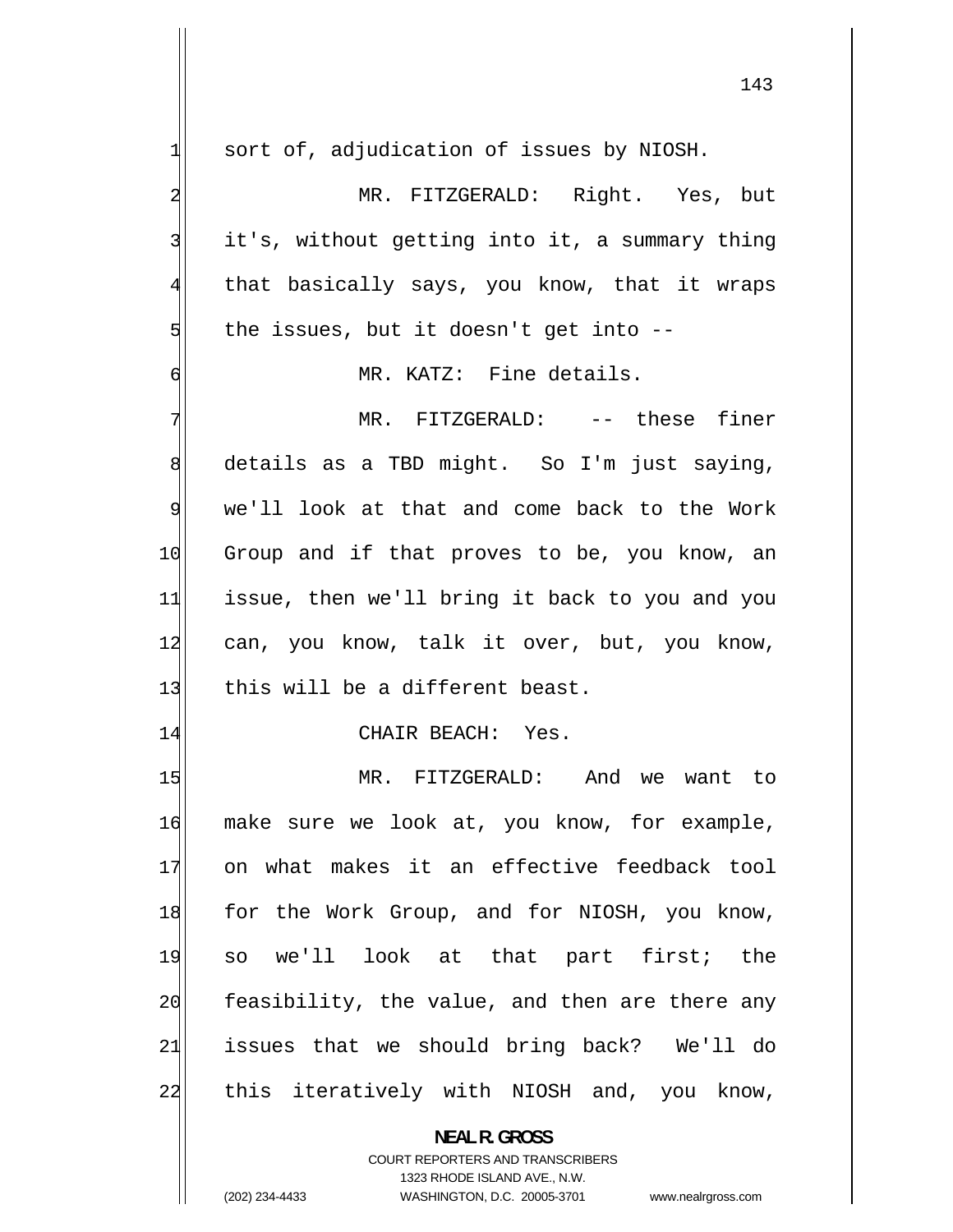| $\mathbf{1}$            | sort of, adjudication of issues by NIOSH.                           |
|-------------------------|---------------------------------------------------------------------|
| $\overline{\mathbf{c}}$ | MR. FITZGERALD: Right. Yes, but                                     |
| 3                       | it's, without getting into it, a summary thing                      |
| $\overline{4}$          | that basically says, you know, that it wraps                        |
| 5                       | the issues, but it doesn't get into --                              |
| $\sigma$                | MR. KATZ: Fine details.                                             |
| 7                       | MR. FITZGERALD: -- these finer                                      |
| 8                       | details as a TBD might. So I'm just saying,                         |
| 9                       | we'll look at that and come back to the Work                        |
| 10                      | Group and if that proves to be, you know, an                        |
| 11                      | issue, then we'll bring it back to you and you                      |
| 12                      | can, you know, talk it over, but, you know,                         |
| 13                      | this will be a different beast.                                     |
| 14                      | CHAIR BEACH: Yes.                                                   |
| 15                      | MR. FITZGERALD: And we want to                                      |
| 16                      | make sure we look at, you know, for example,                        |
| 17                      | on what makes it an effective feedback tool                         |
| 18                      | for the Work Group, and for NIOSH, you know,                        |
| 19                      | so we'll look at that part first; the                               |
| 20                      | feasibility, the value, and then are there any                      |
| 21                      | issues that we should bring back? We'll do                          |
| 22                      | this iteratively with NIOSH and, you know,                          |
|                         | <b>NEAL R. GROSS</b>                                                |
|                         | COURT REPORTERS AND TRANSCRIBERS                                    |
|                         | 1323 RHODE ISLAND AVE., N.W.                                        |
|                         | (202) 234-4433<br>WASHINGTON, D.C. 20005-3701<br>www.nealrgross.com |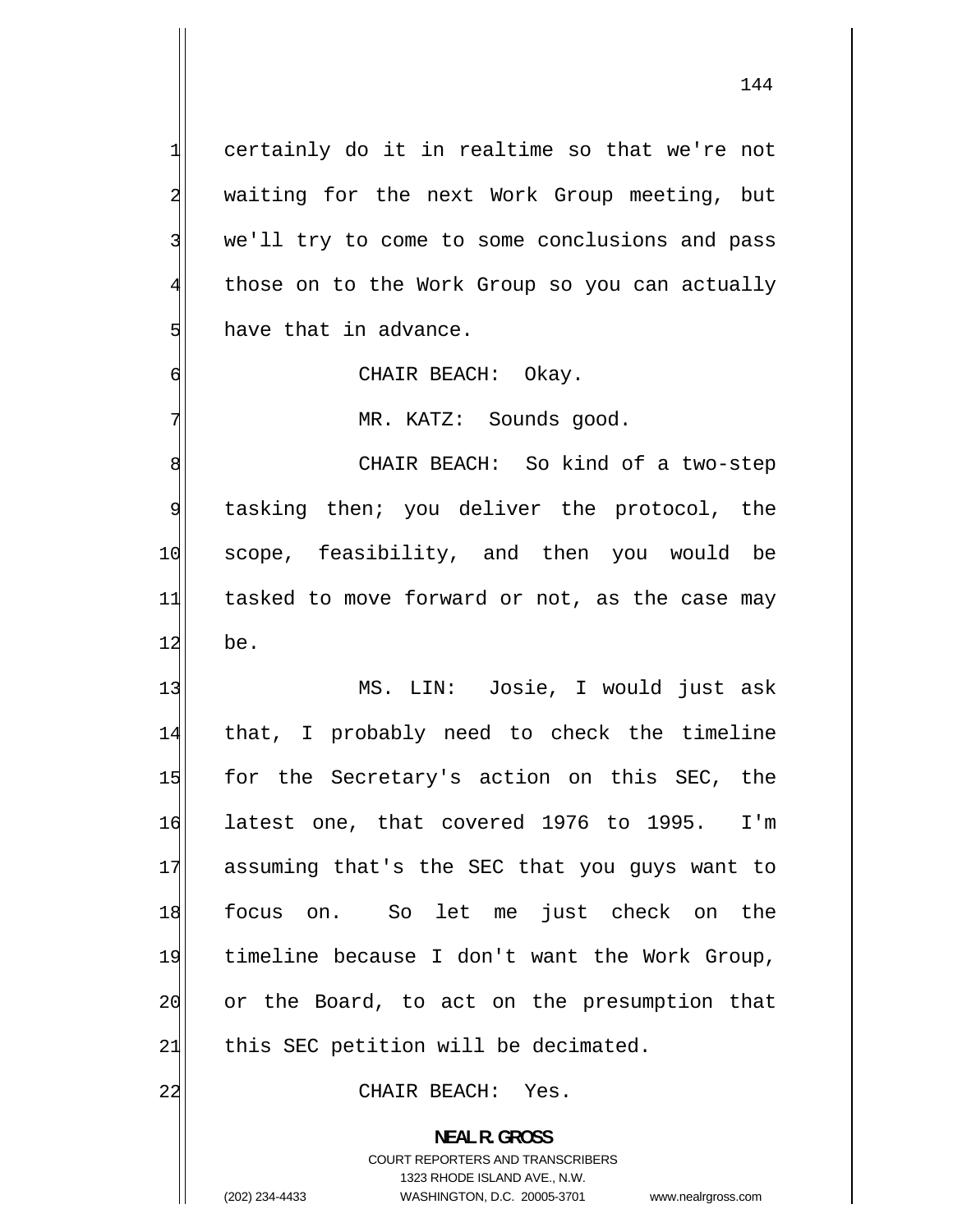certainly do it in realtime so that we're not waiting for the next Work Group meeting, but we'll try to come to some conclusions and pass those on to the Work Group so you can actually have that in advance.

CHAIR BEACH: Okay.

MR. KATZ: Sounds good.

8 CHAIR BEACH: So kind of a two-step 9 tasking then; you deliver the protocol, the 10 scope, feasibility, and then you would be 11 tasked to move forward or not, as the case may 12 be.

13 MS. LIN: Josie, I would just ask 14 that, I probably need to check the timeline 15 for the Secretary's action on this SEC, the 16 latest one, that covered 1976 to 1995. I'm 17 assuming that's the SEC that you guys want to 18 focus on. So let me just check on the 19 timeline because I don't want the Work Group, 20 or the Board, to act on the presumption that  $21$  this SEC petition will be decimated.

22 CHAIR BEACH: Yes.

**NEAL R. GROSS**  COURT REPORTERS AND TRANSCRIBERS 1323 RHODE ISLAND AVE., N.W. (202) 234-4433 WASHINGTON, D.C. 20005-3701 www.nealrgross.com

1

2

3

4

5

6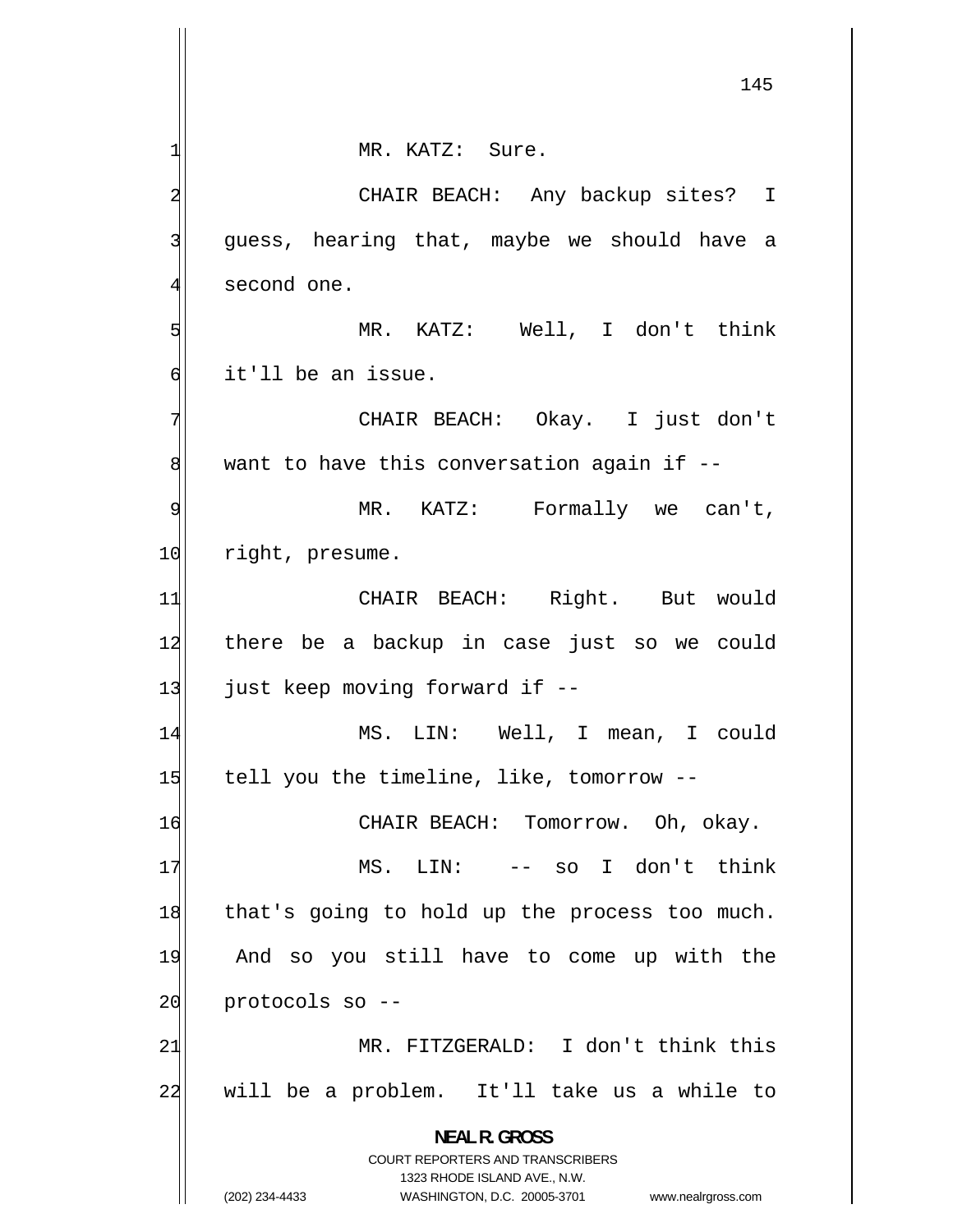1 MR. KATZ: Sure. 2 CHAIR BEACH: Any backup sites? I 3 guess, hearing that, maybe we should have a 4 second one. 5 MR. KATZ: Well, I don't think 6 it'll be an issue. 7 CHAIR BEACH: Okay. I just don't 8 want to have this conversation again if -- 9 MR. KATZ: Formally we can't, 10 right, presume. 11 CHAIR BEACH: Right. But would 12 there be a backup in case just so we could 13 just keep moving forward if --14 MS. LIN: Well, I mean, I could 15 tell you the timeline, like, tomorrow --16 CHAIR BEACH: Tomorrow. Oh, okay. 17 MS. LIN: -- so I don't think 18 that's going to hold up the process too much. 19 And so you still have to come up with the  $20$  protocols so  $-$ -21 MR. FITZGERALD: I don't think this 22 will be a problem. It'll take us a while to **NEAL R. GROSS**  COURT REPORTERS AND TRANSCRIBERS 1323 RHODE ISLAND AVE., N.W. (202) 234-4433 WASHINGTON, D.C. 20005-3701 www.nealrgross.com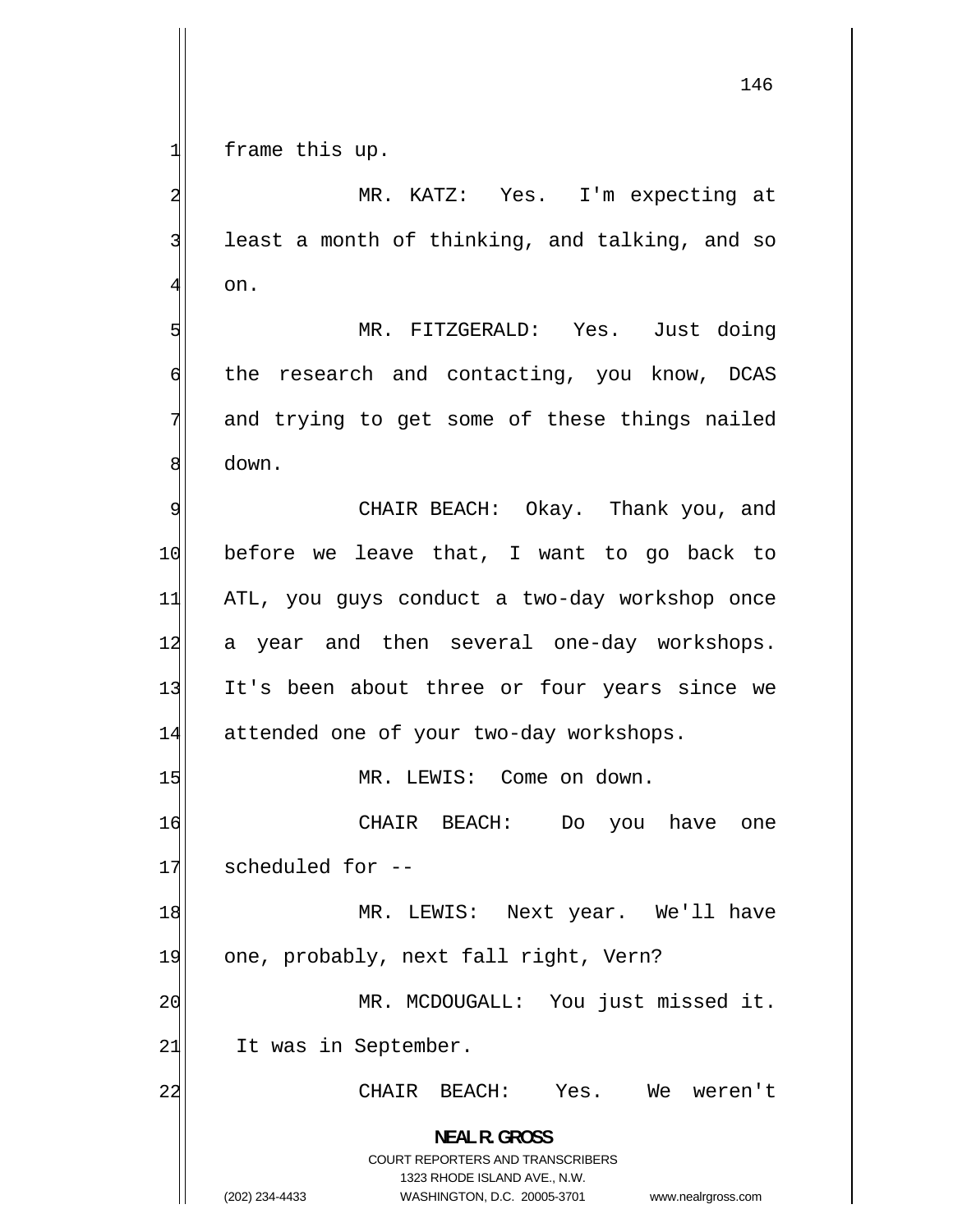146

1 frame this up.

2 MR. KATZ: Yes. I'm expecting at 3 least a month of thinking, and talking, and so 4 on. 5 MR. FITZGERALD: Yes. Just doing 6 the research and contacting, you know, DCAS 7 and trying to get some of these things nailed 8 down. 9 CHAIR BEACH: Okay. Thank you, and 10 before we leave that, I want to go back to 11 ATL, you guys conduct a two-day workshop once 12 a year and then several one-day workshops. 13 It's been about three or four years since we 14 attended one of your two-day workshops. 15 MR. LEWIS: Come on down. 16 CHAIR BEACH: Do you have one 17 scheduled for --18 MR. LEWIS: Next year. We'll have 19 one, probably, next fall right, Vern? 20 MR. MCDOUGALL: You just missed it. 21 It was in September. 22 CHAIR BEACH: Yes. We weren't **NEAL R. GROSS**  COURT REPORTERS AND TRANSCRIBERS 1323 RHODE ISLAND AVE., N.W.

(202) 234-4433 WASHINGTON, D.C. 20005-3701 www.nealrgross.com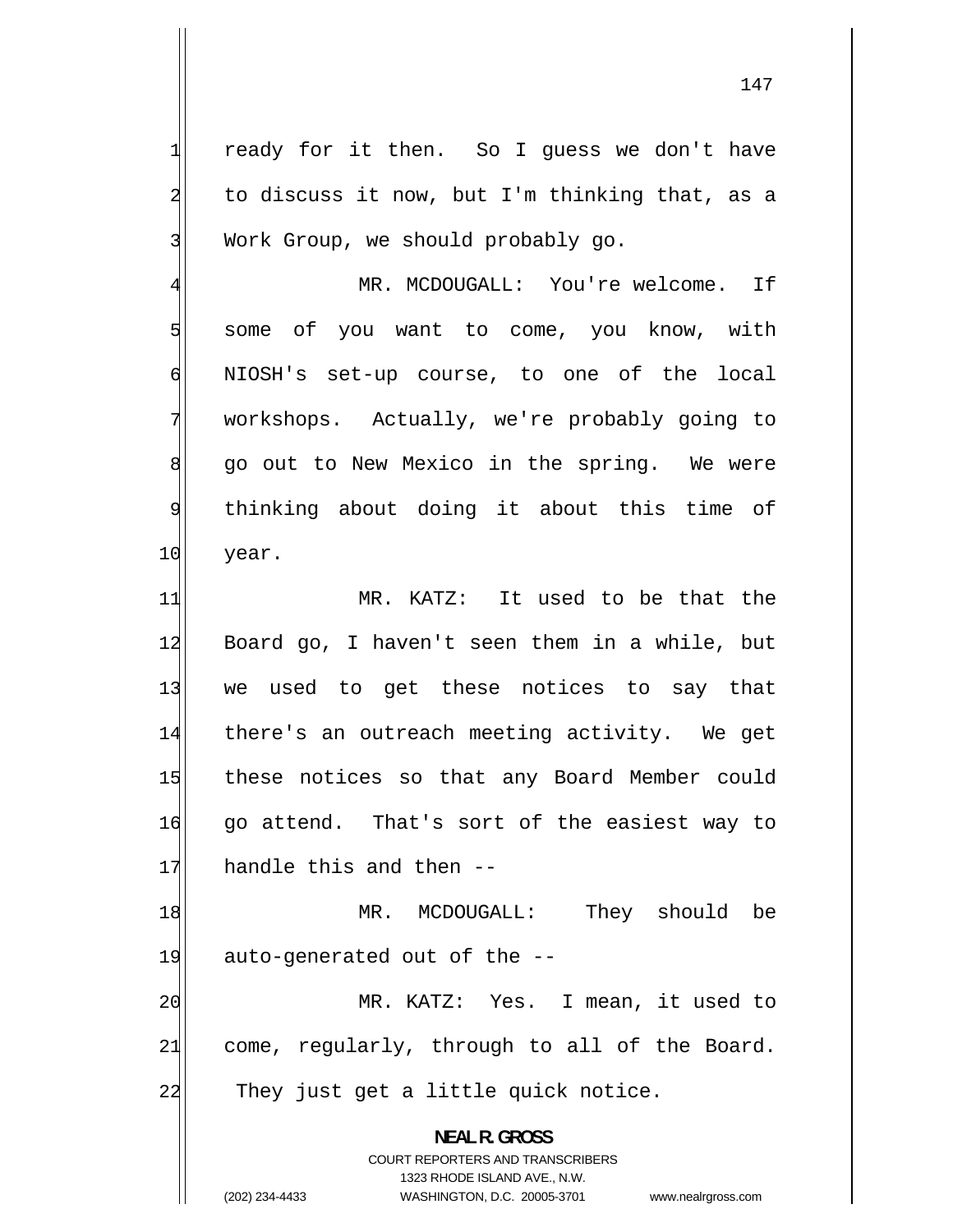ready for it then. So I guess we don't have to discuss it now, but I'm thinking that, as a Work Group, we should probably go.

[4](#page-3-0) MR. MCDOUGALL: You're welcome. If some of you want to come, you know, with NIOSH's set-up course, to one of the local workshops. Actually, we're probably going to go out to New Mexico in the spring. We were thinking about doing it about this time of year.

[11](#page-10-0) MR. KATZ: It used to be that the [12](#page-11-0) Board go, I haven't seen them in a while, but [13](#page-12-0) we used to get these notices to say that [14](#page-13-0) there's an outreach meeting activity. We get [15](#page-14-0) these notices so that any Board Member could [16](#page-15-0) go attend. That's sort of the easiest way to [17](#page-16-0) handle this and then --

[18](#page-17-0) MR. MCDOUGALL: They should be [19](#page-18-0) auto-generated out of the -- [20](#page-19-0) MR. KATZ: Yes. I mean, it used to

[21](#page-20-0) come, regularly, through to all of the Board. [22](#page-21-0) They just get a little quick notice.

> **NEAL R. GROSS**  COURT REPORTERS AND TRANSCRIBERS

> > 1323 RHODE ISLAND AVE., N.W.

(202) 234-4433 WASHINGTON, D.C. 20005-3701 www.nealrgross.com

1

2

3

[5](#page-4-0)

[6](#page-5-0)

[7](#page-6-0)

[8](#page-7-0)

[9](#page-8-0)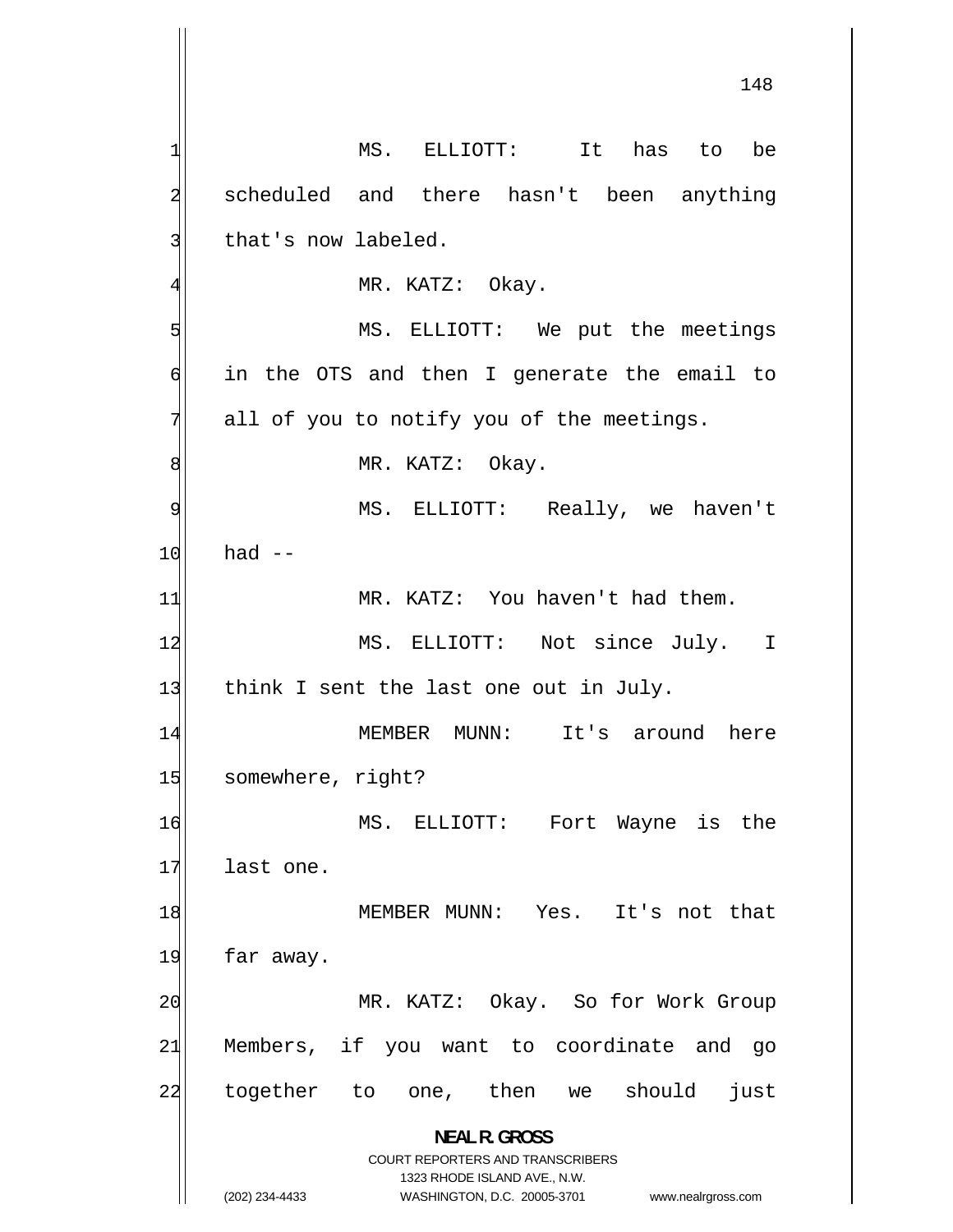1 MS. ELLIOTT: It has to be 2 scheduled and there hasn't been anything 3 that's now labeled. 4 MR. KATZ: Okay. 5 MS. ELLIOTT: We put the meetings 6 in the OTS and then I generate the email to 7 all of you to notify you of the meetings. 8 MR. KATZ: Okay. 9 MS. ELLIOTT: Really, we haven't  $10$  had  $-$ 11 MR. KATZ: You haven't had them. 12 MS. ELLIOTT: Not since July. I 13 think I sent the last one out in July. 14 MEMBER MUNN: It's around here 15 somewhere, right? 16 MS. ELLIOTT: Fort Wayne is the 17 last one. 18 MEMBER MUNN: Yes. It's not that 19 far away. 20 MR. KATZ: Okay. So for Work Group 21 Members, if you want to coordinate and go 22 together to one, then we should just **NEAL R. GROSS**  COURT REPORTERS AND TRANSCRIBERS 1323 RHODE ISLAND AVE., N.W. (202) 234-4433 WASHINGTON, D.C. 20005-3701 www.nealrgross.com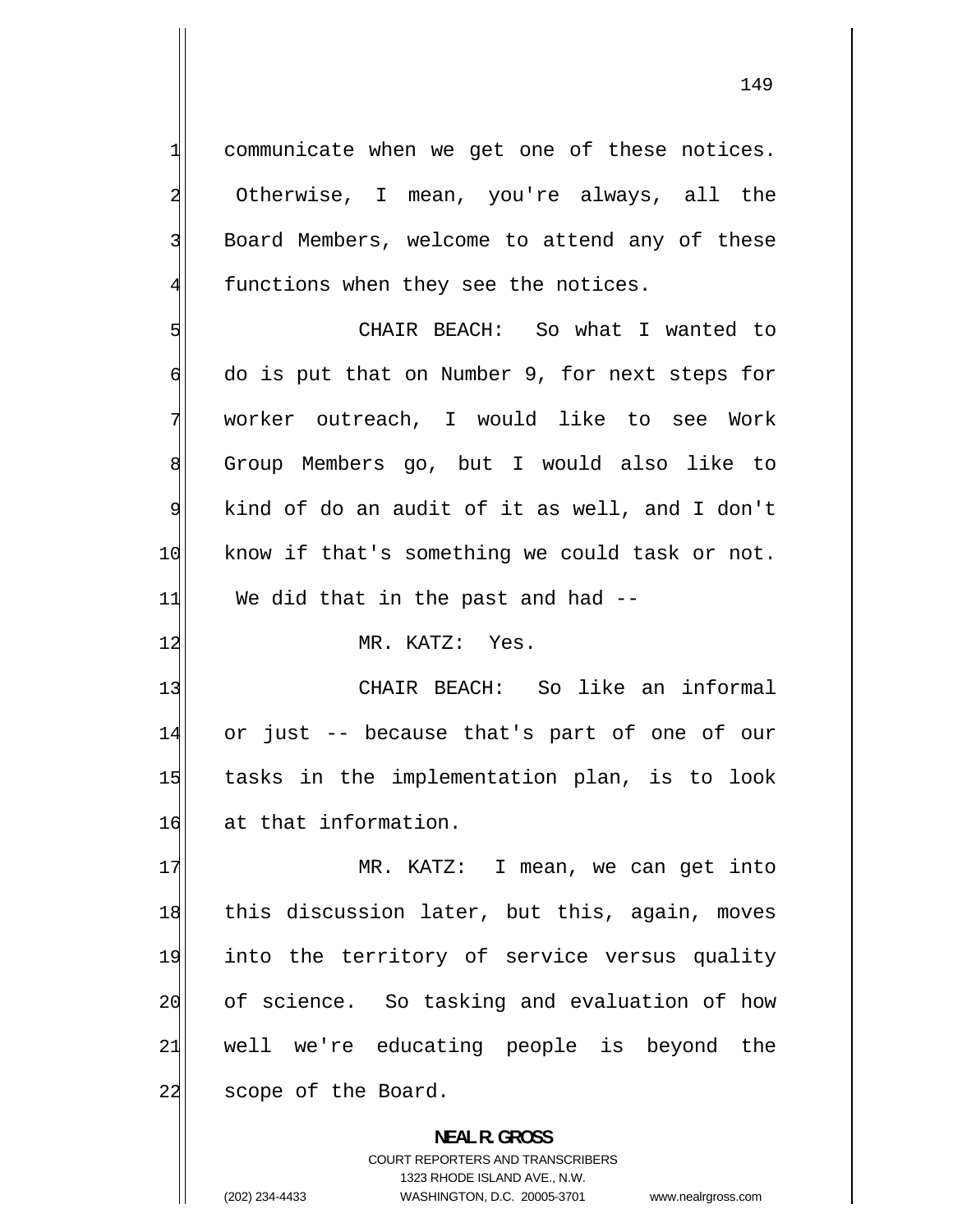communicate when we get one of these notices. Otherwise, I mean, you're always, all the Board Members, welcome to attend any of these functions when they see the notices.

5 CHAIR BEACH: So what I wanted to 6 do is put that on Number 9, for next steps for 7 worker outreach, I would like to see Work 8 Group Members go, but I would also like to 9 kind of do an audit of it as well, and I don't 10 know if that's something we could task or not.  $11$  We did that in the past and had  $-$ 

12 MR. KATZ: Yes.

13 CHAIR BEACH: So like an informal 14 or just -- because that's part of one of our 15 tasks in the implementation plan, is to look 16 at that information.

17 MR. KATZ: I mean, we can get into 18 this discussion later, but this, again, moves 19 into the territory of service versus quality 20 of science. So tasking and evaluation of how 21 well we're educating people is beyond the 22 scope of the Board.

> **NEAL R. GROSS**  COURT REPORTERS AND TRANSCRIBERS 1323 RHODE ISLAND AVE., N.W. (202) 234-4433 WASHINGTON, D.C. 20005-3701 www.nealrgross.com

1

2

3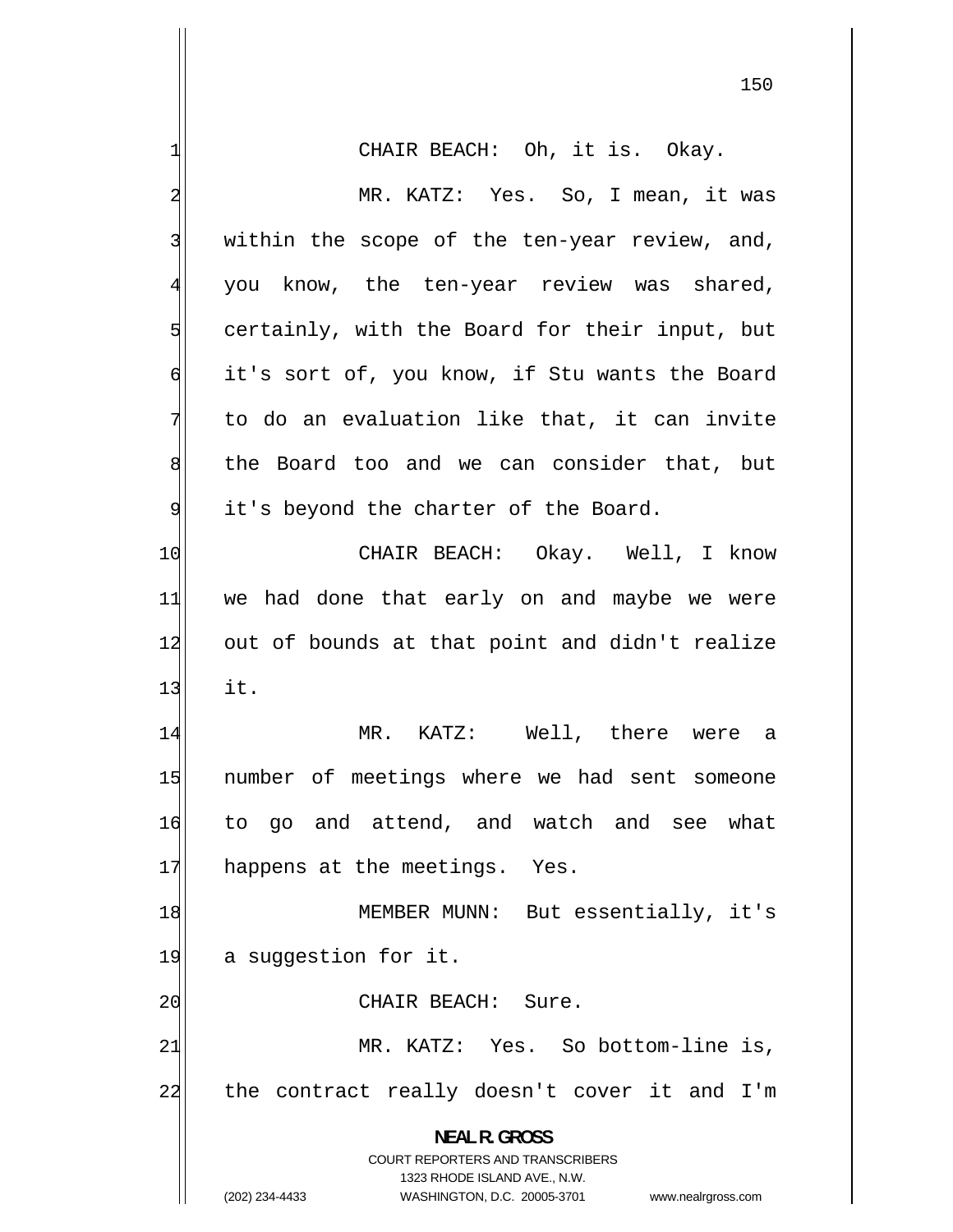| 1              | CHAIR BEACH: Oh, it is. Okay.                                       |
|----------------|---------------------------------------------------------------------|
| $\overline{a}$ | MR. KATZ: Yes. So, I mean, it was                                   |
| 3              | within the scope of the ten-year review, and,                       |
| $\overline{4}$ | you know, the ten-year review was shared,                           |
| 5              | certainly, with the Board for their input, but                      |
| $\sigma$       | it's sort of, you know, if Stu wants the Board                      |
| 7              | to do an evaluation like that, it can invite                        |
| 8              | the Board too and we can consider that, but                         |
| 9              | it's beyond the charter of the Board.                               |
| 10             | CHAIR BEACH: Okay. Well, I know                                     |
| 11             | we had done that early on and maybe we were                         |
| 12             | out of bounds at that point and didn't realize                      |
| 13             | it.                                                                 |
| 14             | MR. KATZ: Well, there were a                                        |
| 15             | number of meetings where we had sent someone                        |
| 16             | to go and attend, and watch and see what                            |
| 17             | happens at the meetings. Yes.                                       |
| 18             | MEMBER MUNN: But essentially, it's                                  |
| 19             | a suggestion for it.                                                |
| 20             | CHAIR BEACH: Sure.                                                  |
| 21             | MR. KATZ: Yes. So bottom-line is,                                   |
| 22             | the contract really doesn't cover it and I'm                        |
|                | <b>NEAL R. GROSS</b>                                                |
|                | COURT REPORTERS AND TRANSCRIBERS                                    |
|                | 1323 RHODE ISLAND AVE., N.W.                                        |
|                | (202) 234-4433<br>WASHINGTON, D.C. 20005-3701<br>www.nealrgross.com |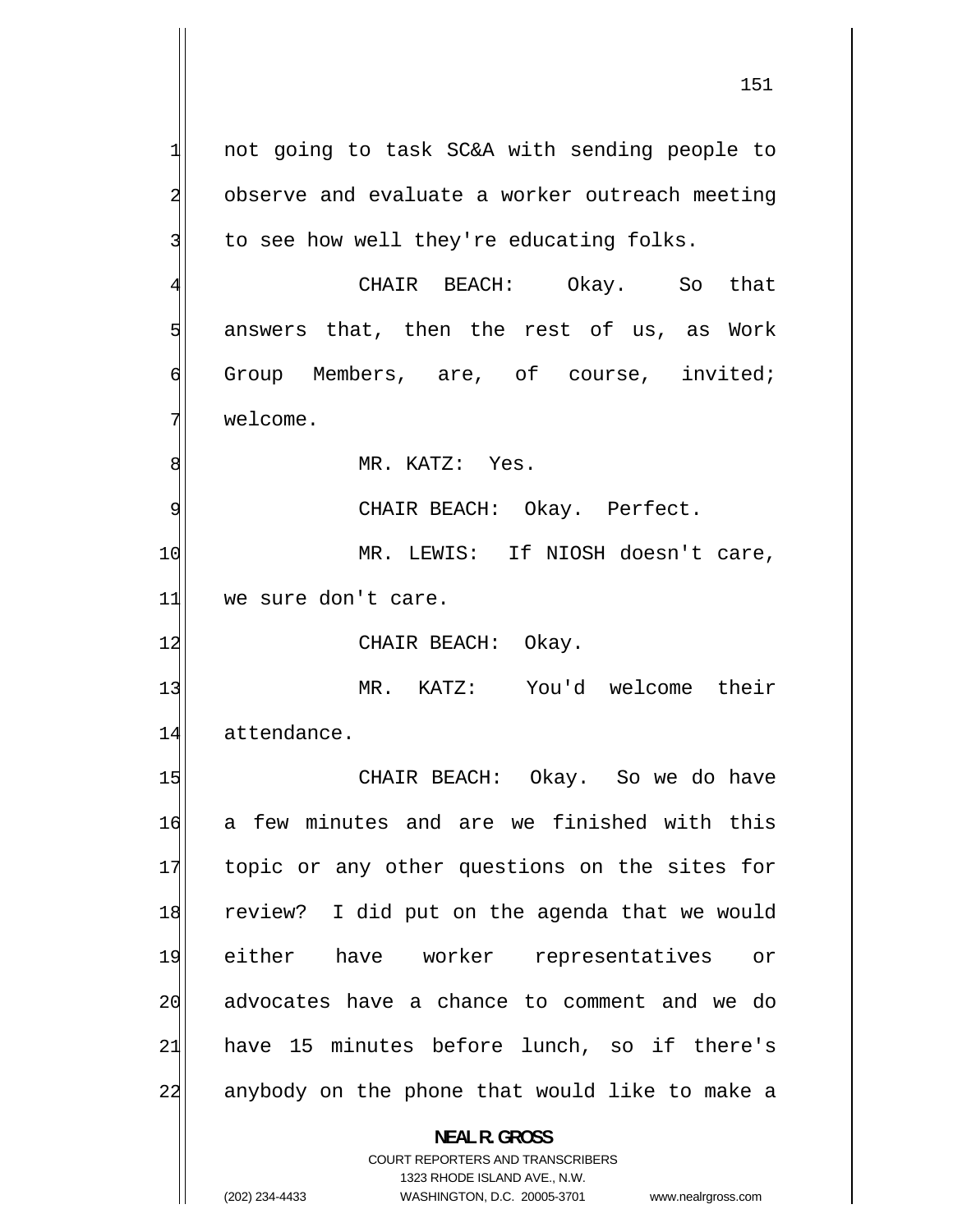1 not going to task SC&A with sending people to 2 observe and evaluate a worker outreach meeting 3 to see how well they're educating folks. 4 CHAIR BEACH: Okay. So that 5 answers that, then the rest of us, as Work 6 Group Members, are, of course, invited; 7 welcome. 8 MR. KATZ: Yes. 9 CHAIR BEACH: Okay. Perfect. 10 MR. LEWIS: If NIOSH doesn't care, 11 we sure don't care. 12 CHAIR BEACH: Okay. 13 MR. KATZ: You'd welcome their 14 attendance. 15 CHAIR BEACH: Okay. So we do have 16 a few minutes and are we finished with this 17 topic or any other questions on the sites for 18 review? I did put on the agenda that we would 19 either have worker representatives or 20 advocates have a chance to comment and we do 21 have 15 minutes before lunch, so if there's 22 anybody on the phone that would like to make a **NEAL R. GROSS**  COURT REPORTERS AND TRANSCRIBERS

1323 RHODE ISLAND AVE., N.W.

(202) 234-4433 WASHINGTON, D.C. 20005-3701 www.nealrgross.com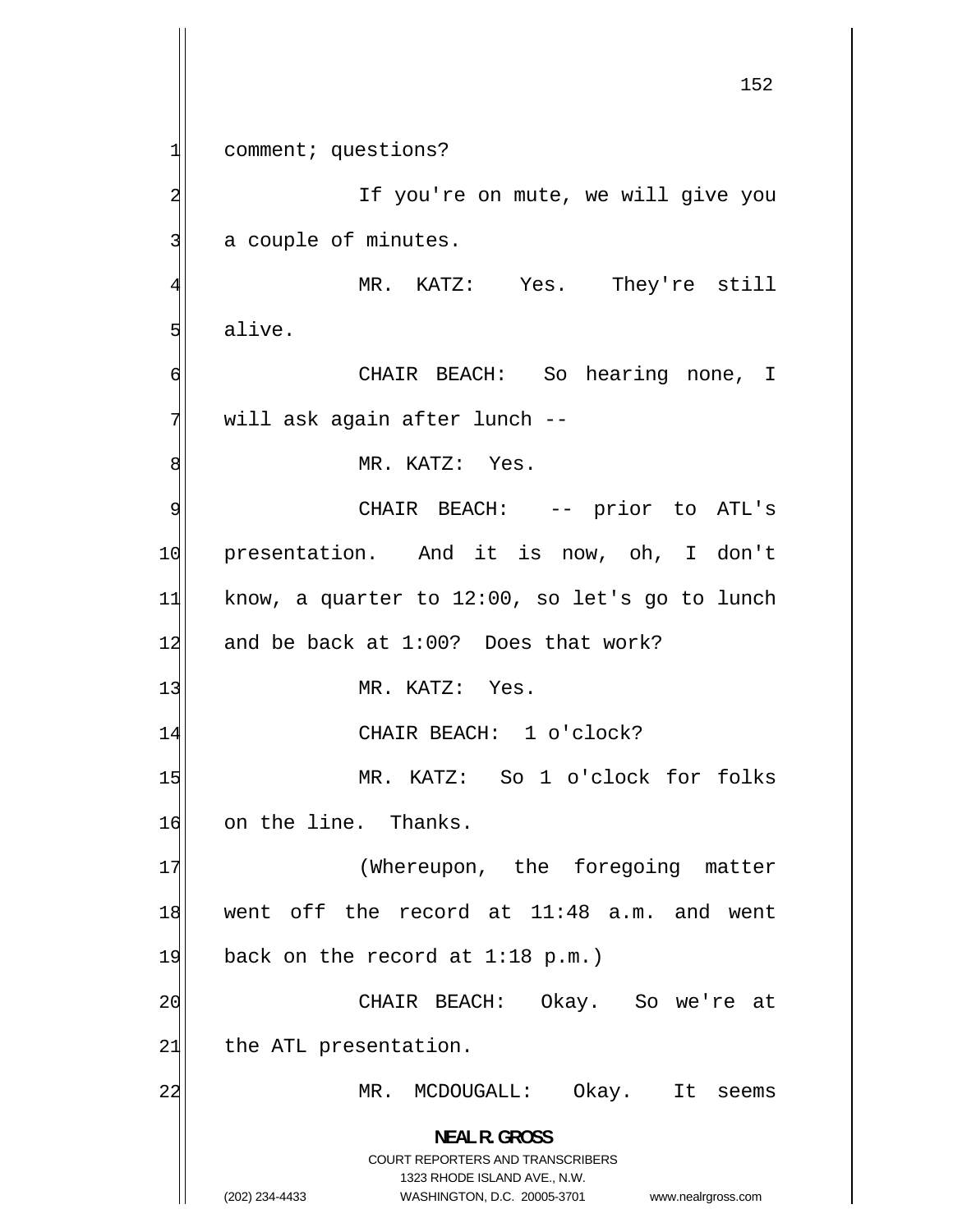152 1 comment; questions? 2 If you're on mute, we will give you 3 a couple of minutes. 4 MR. KATZ: Yes. They're still 5 alive. 6 CHAIR BEACH: So hearing none, I 7 will ask again after lunch -- 8 MR. KATZ: Yes. 9 CHAIR BEACH: -- prior to ATL's 10 presentation. And it is now, oh, I don't 11 know, a quarter to 12:00, so let's go to lunch 12 and be back at  $1:00$ ? Does that work? 13 MR. KATZ: Yes. 14 CHAIR BEACH: 1 o'clock? 15 MR. KATZ: So 1 o'clock for folks 16 on the line. Thanks. 17 (Whereupon, the foregoing matter 18 went off the record at 11:48 a.m. and went 19 back on the record at  $1:18 \text{ p.m.}$ ) 20 CHAIR BEACH: Okay. So we're at 21 the ATL presentation. 22 MR. MCDOUGALL: Okay. It seems **NEAL R. GROSS**  COURT REPORTERS AND TRANSCRIBERS 1323 RHODE ISLAND AVE., N.W. (202) 234-4433 WASHINGTON, D.C. 20005-3701 www.nealrgross.com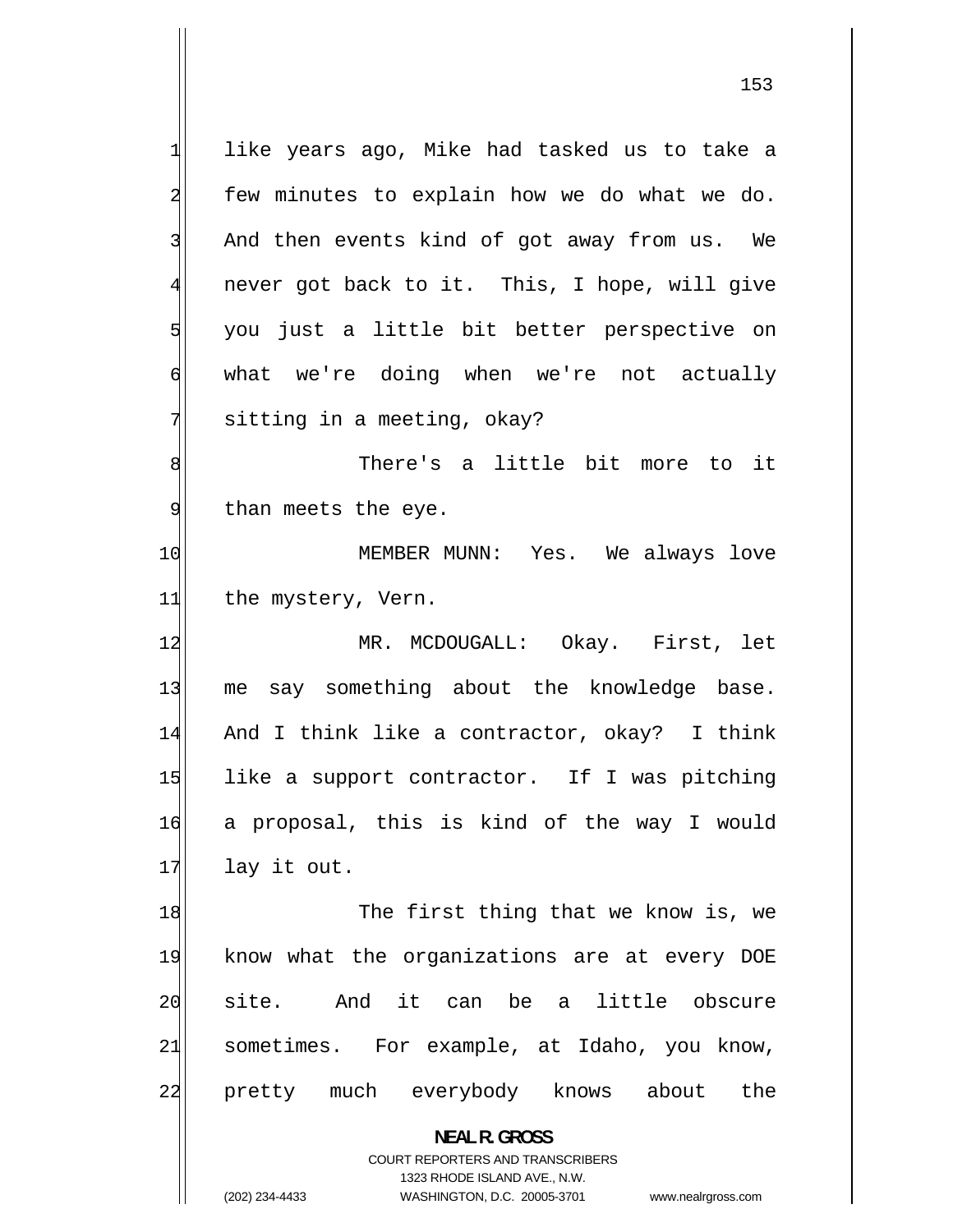1 like years ago, Mike had tasked us to take a 2 few minutes to explain how we do what we do. 3 And then events kind of got away from us. We 4 never got back to it. This, I hope, will give 5 you just a little bit better perspective on 6 what we're doing when we're not actually 7 sitting in a meeting, okay? 8 There's a little bit more to it 9 than meets the eye. 10 MEMBER MUNN: Yes. We always love 11 the mystery, Vern. 12 MR. MCDOUGALL: Okay. First, let 13 me say something about the knowledge base. 14 And I think like a contractor, okay? I think 15 like a support contractor. If I was pitching 16 a proposal, this is kind of the way I would  $17$  lay it out. 18 The first thing that we know is, we 19 know what the organizations are at every DOE 20 site. And it can be a little obscure 21 sometimes. For example, at Idaho, you know,

22 pretty much everybody knows about the

> **NEAL R. GROSS**  COURT REPORTERS AND TRANSCRIBERS

> > 1323 RHODE ISLAND AVE., N.W.

(202) 234-4433 WASHINGTON, D.C. 20005-3701 www.nealrgross.com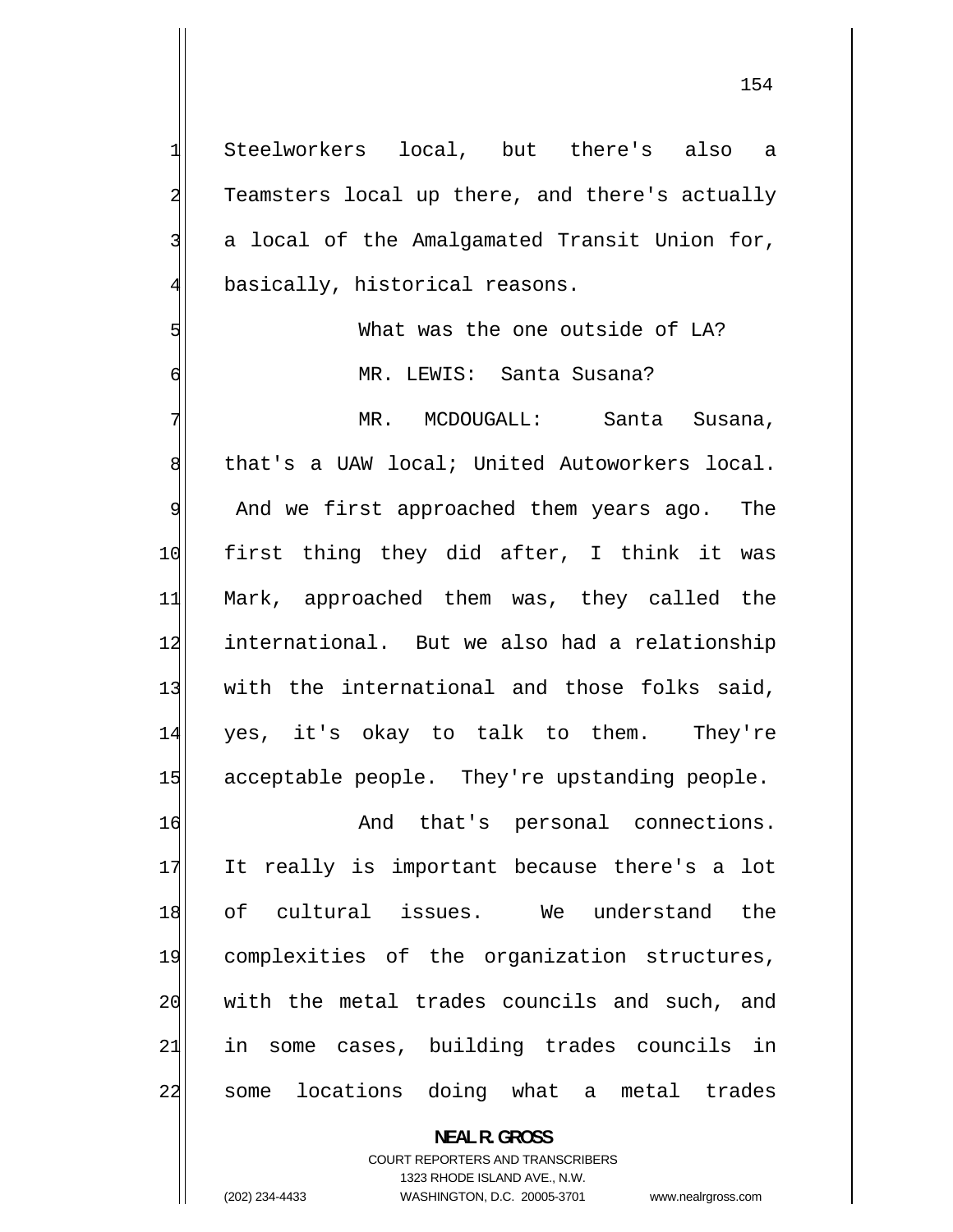Steelworkers local, but there's also a Teamsters local up there, and there's actually a local of the Amalgamated Transit Union for, basically, historical reasons. What was the one outside of LA? MR. LEWIS: Santa Susana? MR. MCDOUGALL: Santa Susana,

that's a UAW local; United Autoworkers local.

9 And we first approached them years ago. The 10 first thing they did after, I think it was 11 Mark, approached them was, they called the 12 international. But we also had a relationship 13 with the international and those folks said, 14 yes, it's okay to talk to them. They're 15 acceptable people. They're upstanding people.

16 And that's personal connections. 17 It really is important because there's a lot 18 of cultural issues. We understand the 19 complexities of the organization structures, 20 with the metal trades councils and such, and 21 in some cases, building trades councils in 22 some locations doing what a metal trades

**NEAL R. GROSS** 

COURT REPORTERS AND TRANSCRIBERS 1323 RHODE ISLAND AVE., N.W. (202) 234-4433 WASHINGTON, D.C. 20005-3701 www.nealrgross.com

1

2

3

4

5

6

7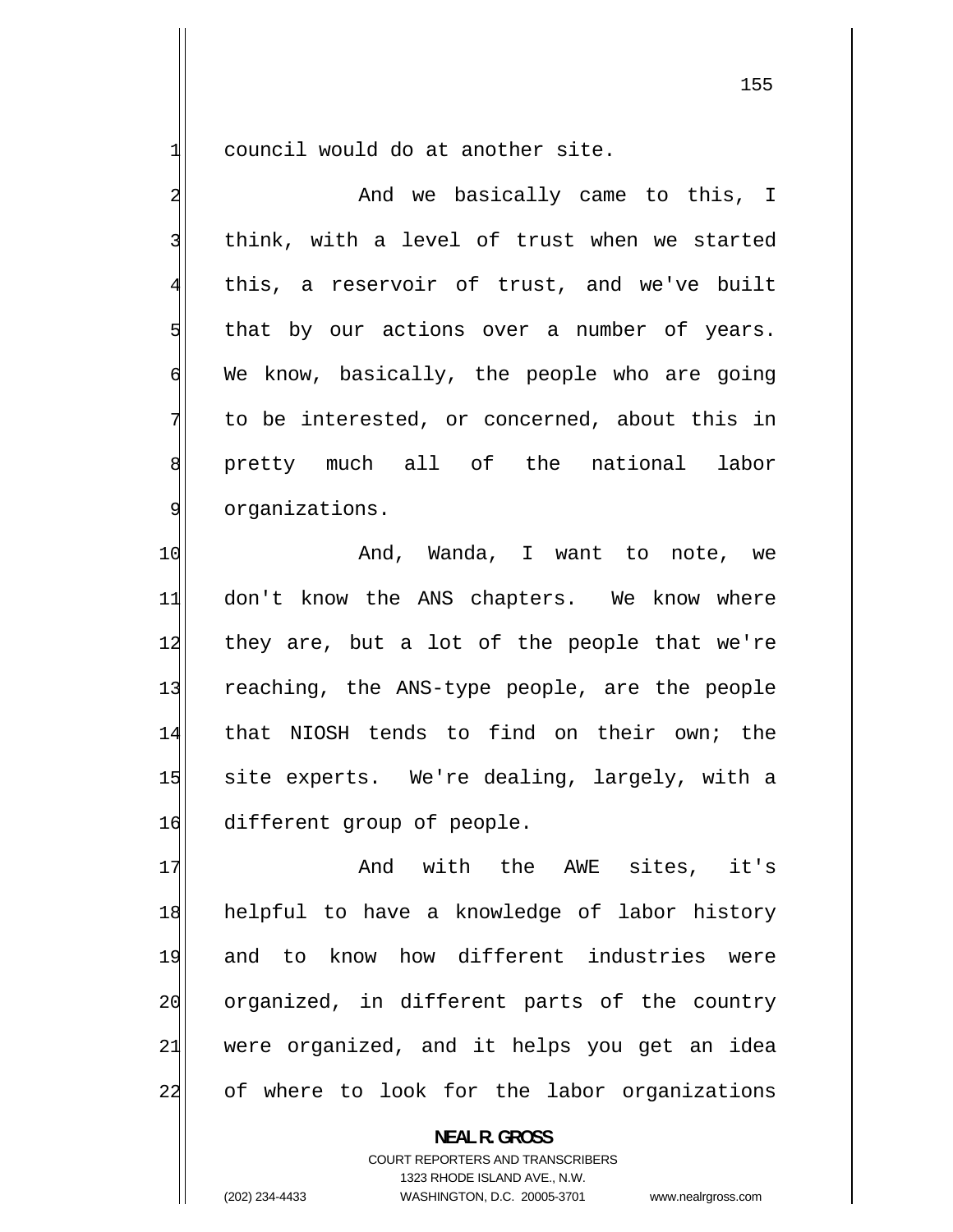1 council would do at another site.

| 2              | And we basically came to this, I              |
|----------------|-----------------------------------------------|
| 3              | think, with a level of trust when we started  |
| $\overline{4}$ | this, a reservoir of trust, and we've built   |
| 5              | that by our actions over a number of years.   |
| 6              | We know, basically, the people who are going  |
| 7              | to be interested, or concerned, about this in |
| 8              | pretty much all of the national labor         |
| 9              | organizations.                                |
| 10             | And, Wanda, I want to note, we                |
| 11             | don't know the ANS chapters. We know where    |
| 12             | they are, but a lot of the people that we're  |
| 13             | reaching, the ANS-type people, are the people |
| 14             | that NIOSH tends to find on their own; the    |
| 15             | site experts. We're dealing, largely, with a  |
| 16             | different group of people.                    |
| 17             | And with the AWE sites, it's                  |
| 18             | helpful to have a knowledge of labor history  |
| 19             | and to know how different industries were     |
| 20             | organized, in different parts of the country  |
| 21             | were organized, and it helps you get an idea  |
| 22             | of where to look for the labor organizations  |

**NEAL R. GROSS**  COURT REPORTERS AND TRANSCRIBERS 1323 RHODE ISLAND AVE., N.W.

(202) 234-4433 WASHINGTON, D.C. 20005-3701 www.nealrgross.com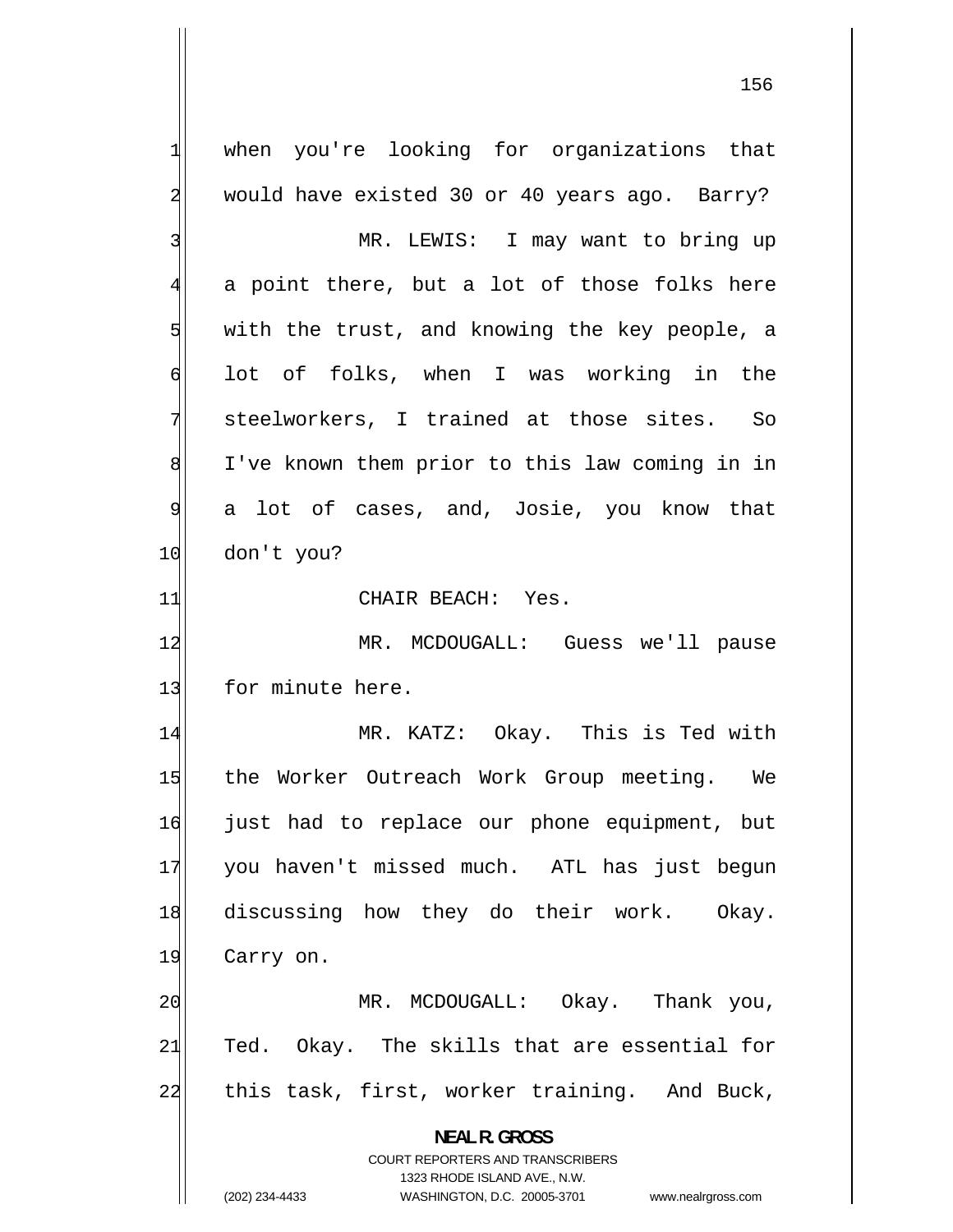1 when you're looking for organizations that 2 would have existed 30 or 40 years ago. Barry? 3 MR. LEWIS: I may want to bring up 4 a point there, but a lot of those folks here 5 with the trust, and knowing the key people, a 6 lot of folks, when I was working in the 7 steelworkers, I trained at those sites. So 8 I've known them prior to this law coming in in 9 a lot of cases, and, Josie, you know that 10 don't you? 11 CHAIR BEACH: Yes. 12 MR. MCDOUGALL: Guess we'll pause 13 for minute here. 14 MR. KATZ: Okay. This is Ted with 15 the Worker Outreach Work Group meeting. We 16 just had to replace our phone equipment, but 17 you haven't missed much. ATL has just begun 18 discussing how they do their work. Okay. 19 Carry on. 20 MR. MCDOUGALL: Okay. Thank you, 21 Ted. Okay. The skills that are essential for 22 this task, first, worker training. And Buck, **NEAL R. GROSS**  COURT REPORTERS AND TRANSCRIBERS 1323 RHODE ISLAND AVE., N.W. (202) 234-4433 WASHINGTON, D.C. 20005-3701 www.nealrgross.com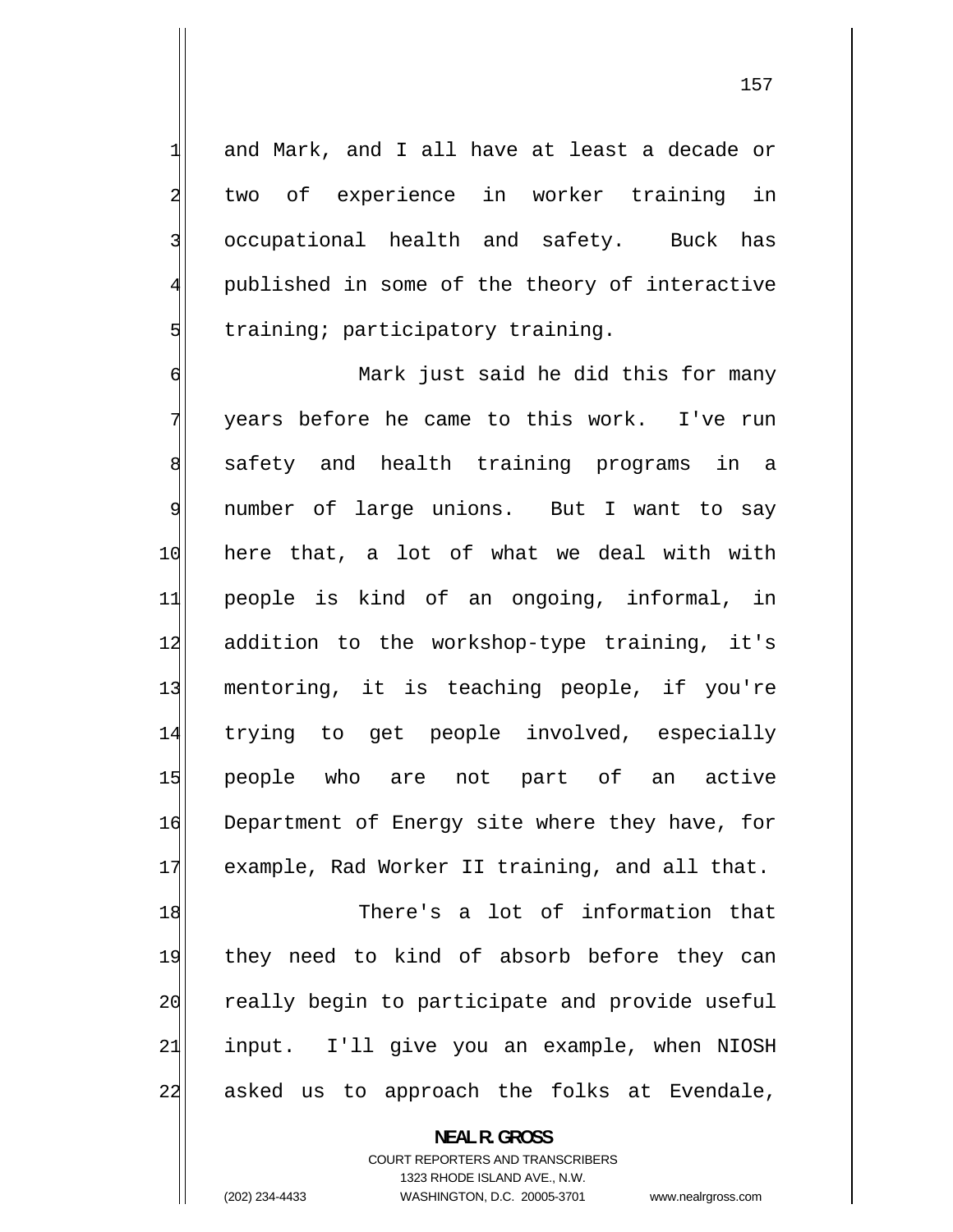and Mark, and I all have at least a decade or two of experience in worker training in occupational health and safety. Buck has published in some of the theory of interactive training; participatory training.

6 Mark just said he did this for many 7 years before he came to this work. I've run 8 safety and health training programs in a 9 number of large unions. But I want to say 10 here that, a lot of what we deal with with 11 people is kind of an ongoing, informal, in 12 addition to the workshop-type training, it's 13 mentoring, it is teaching people, if you're 14 trying to get people involved, especially 15 people who are not part of an active 16 Department of Energy site where they have, for 17 example, Rad Worker II training, and all that.

18 There's a lot of information that 19 they need to kind of absorb before they can 20 really begin to participate and provide useful 21 input. I'll give you an example, when NIOSH 22 asked us to approach the folks at Evendale,

> **NEAL R. GROSS**  COURT REPORTERS AND TRANSCRIBERS 1323 RHODE ISLAND AVE., N.W. (202) 234-4433 WASHINGTON, D.C. 20005-3701 www.nealrgross.com

1

2

3

4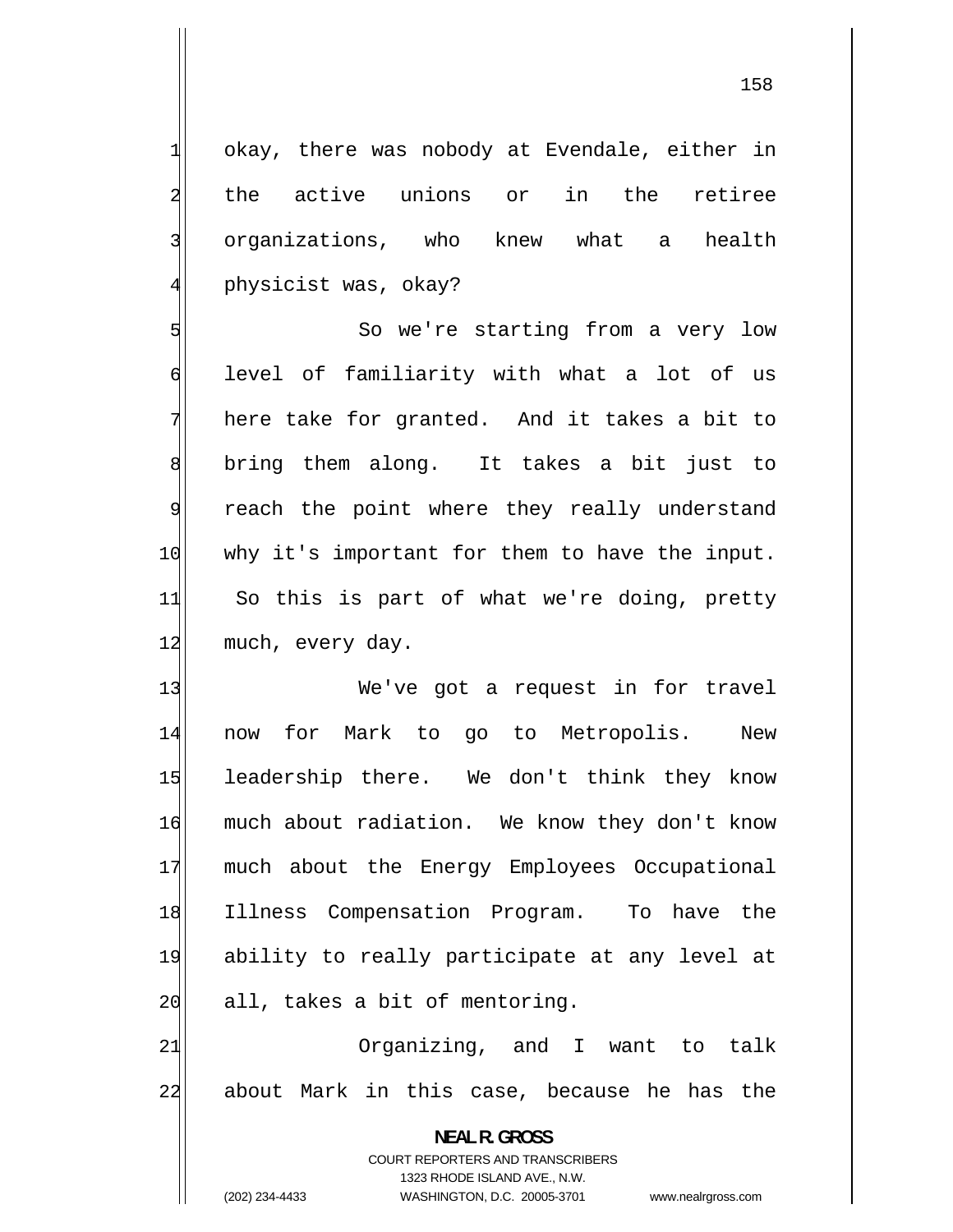okay, there was nobody at Evendale, either in the active unions or in the retiree organizations, who knew what a health physicist was, okay?

1

2

3

4

5 So we're starting from a very low 6 level of familiarity with what a lot of us 7 here take for granted. And it takes a bit to 8 bring them along. It takes a bit just to 9 reach the point where they really understand 10 why it's important for them to have the input. 11 So this is part of what we're doing, pretty 12 much, every day.

13 We've got a request in for travel 14 now for Mark to go to Metropolis. New 15 leadership there. We don't think they know 16 much about radiation. We know they don't know 17 much about the Energy Employees Occupational 18 Illness Compensation Program. To have the 19 ability to really participate at any level at  $20$  all, takes a bit of mentoring.

21 Organizing, and I want to talk 22 about Mark in this case, because he has the

> **NEAL R. GROSS**  COURT REPORTERS AND TRANSCRIBERS 1323 RHODE ISLAND AVE., N.W. (202) 234-4433 WASHINGTON, D.C. 20005-3701 www.nealrgross.com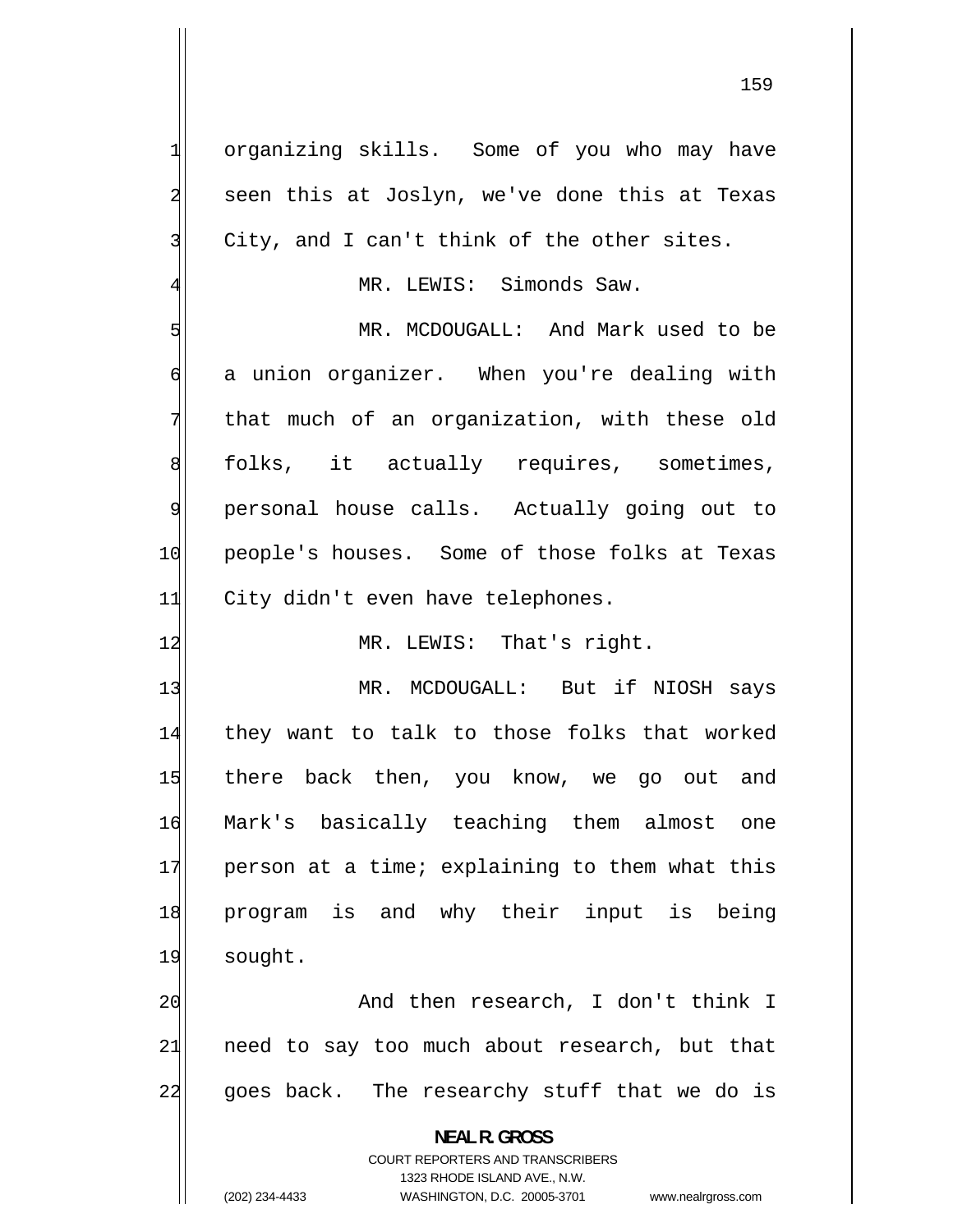organizing skills. Some of you who may have seen this at Joslyn, we've done this at Texas City, and I can't think of the other sites.

1

2

3

4

MR. LEWIS: Simonds Saw.

5 MR. MCDOUGALL: And Mark used to be 6 a union organizer. When you're dealing with 7 that much of an organization, with these old 8 folks, it actually requires, sometimes, 9 personal house calls. Actually going out to 10 people's houses. Some of those folks at Texas 11 City didn't even have telephones.

12 MR. LEWIS: That's right.

13 MR. MCDOUGALL: But if NIOSH says 14 they want to talk to those folks that worked 15 there back then, you know, we go out and 16 Mark's basically teaching them almost one 17 person at a time; explaining to them what this 18 program is and why their input is being 19 sought.

20 And then research, I don't think I 21 need to say too much about research, but that 22 goes back. The researchy stuff that we do is

> **NEAL R. GROSS**  COURT REPORTERS AND TRANSCRIBERS 1323 RHODE ISLAND AVE., N.W. (202) 234-4433 WASHINGTON, D.C. 20005-3701 www.nealrgross.com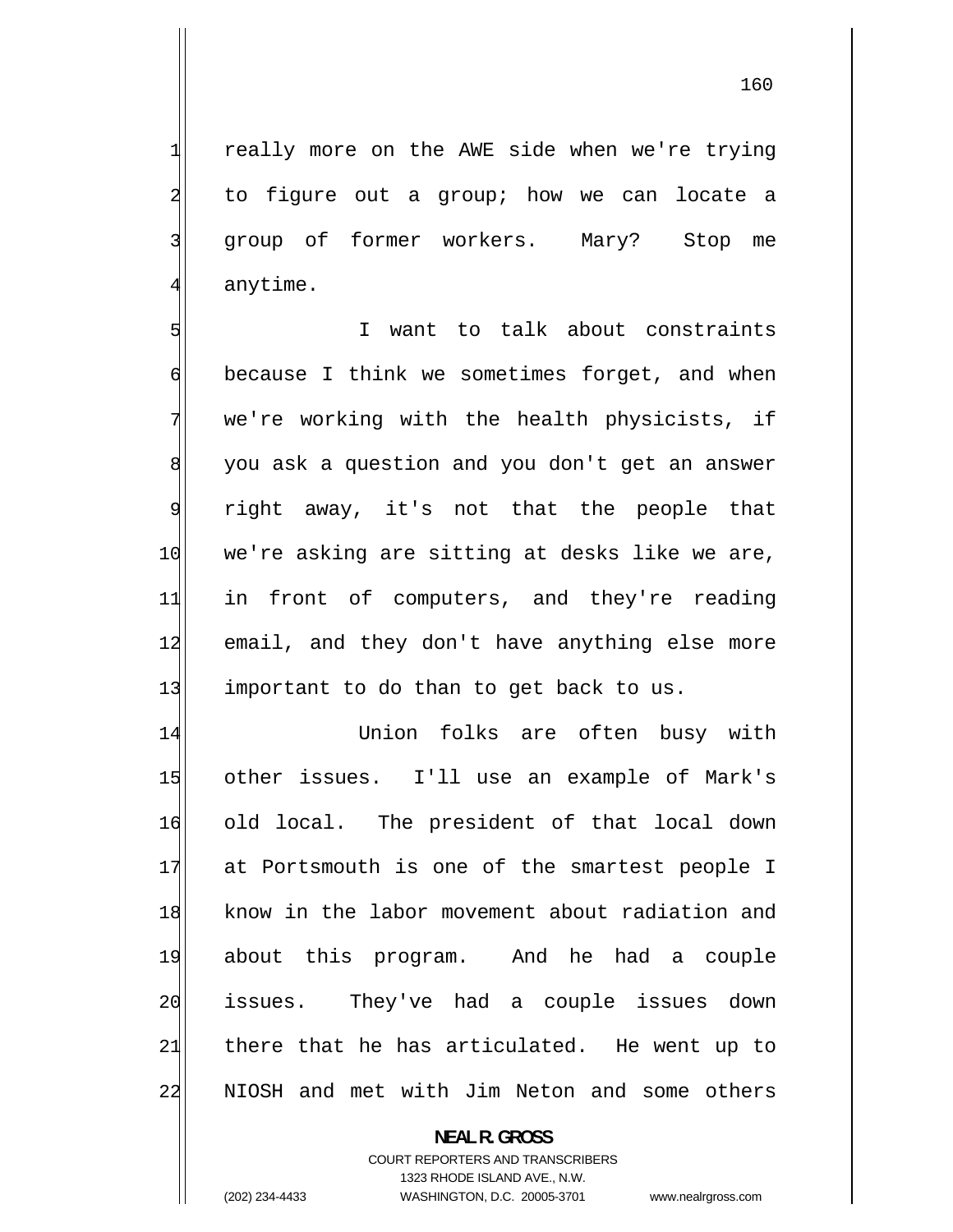160

 really more on the AWE side when we're trying to figure out a group; how we can locate a group of former workers. Mary? Stop me anytime.

5 I want to talk about constraints 6 because I think we sometimes forget, and when 7 we're working with the health physicists, if 8 you ask a question and you don't get an answer 9 right away, it's not that the people that 10 we're asking are sitting at desks like we are, 11 in front of computers, and they're reading 12 email, and they don't have anything else more 13 important to do than to get back to us.

14 Union folks are often busy with 15 other issues. I'll use an example of Mark's 16 old local. The president of that local down 17 at Portsmouth is one of the smartest people I 18 know in the labor movement about radiation and 19 about this program. And he had a couple 20 issues. They've had a couple issues down 21 there that he has articulated. He went up to 22 NIOSH and met with Jim Neton and some others

> **NEAL R. GROSS**  COURT REPORTERS AND TRANSCRIBERS 1323 RHODE ISLAND AVE., N.W. (202) 234-4433 WASHINGTON, D.C. 20005-3701 www.nealrgross.com

1

2

3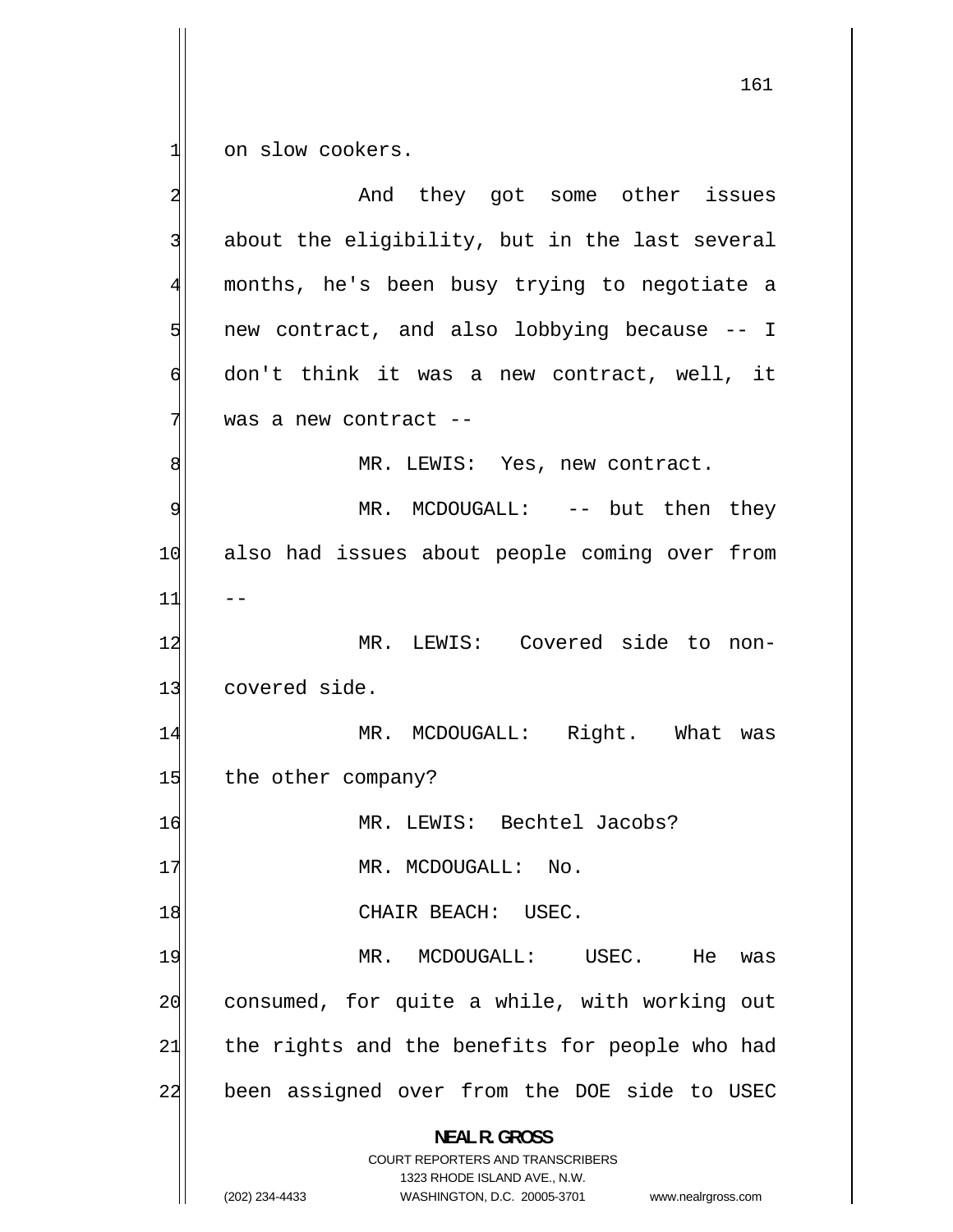1 on slow cookers.

 $-1$ 2 And they got some other issues 3 about the eligibility, but in the last several 4 months, he's been busy trying to negotiate a 5 new contract, and also lobbying because -- I 6 don't think it was a new contract, well, it 7 was a new contract -- 8 MR. LEWIS: Yes, new contract. 9 MR. MCDOUGALL: -- but then they 10 also had issues about people coming over from 11 12 MR. LEWIS: Covered side to non-13 covered side. 14 MR. MCDOUGALL: Right. What was 15 the other company? 16 MR. LEWIS: Bechtel Jacobs? 17 MR. MCDOUGALL: No. 18 CHAIR BEACH: USEC. 19 MR. MCDOUGALL: USEC. He was 20 consumed, for quite a while, with working out 21 the rights and the benefits for people who had 22 been assigned over from the DOE side to USEC **NEAL R. GROSS**  COURT REPORTERS AND TRANSCRIBERS 1323 RHODE ISLAND AVE., N.W. (202) 234-4433 WASHINGTON, D.C. 20005-3701 www.nealrgross.com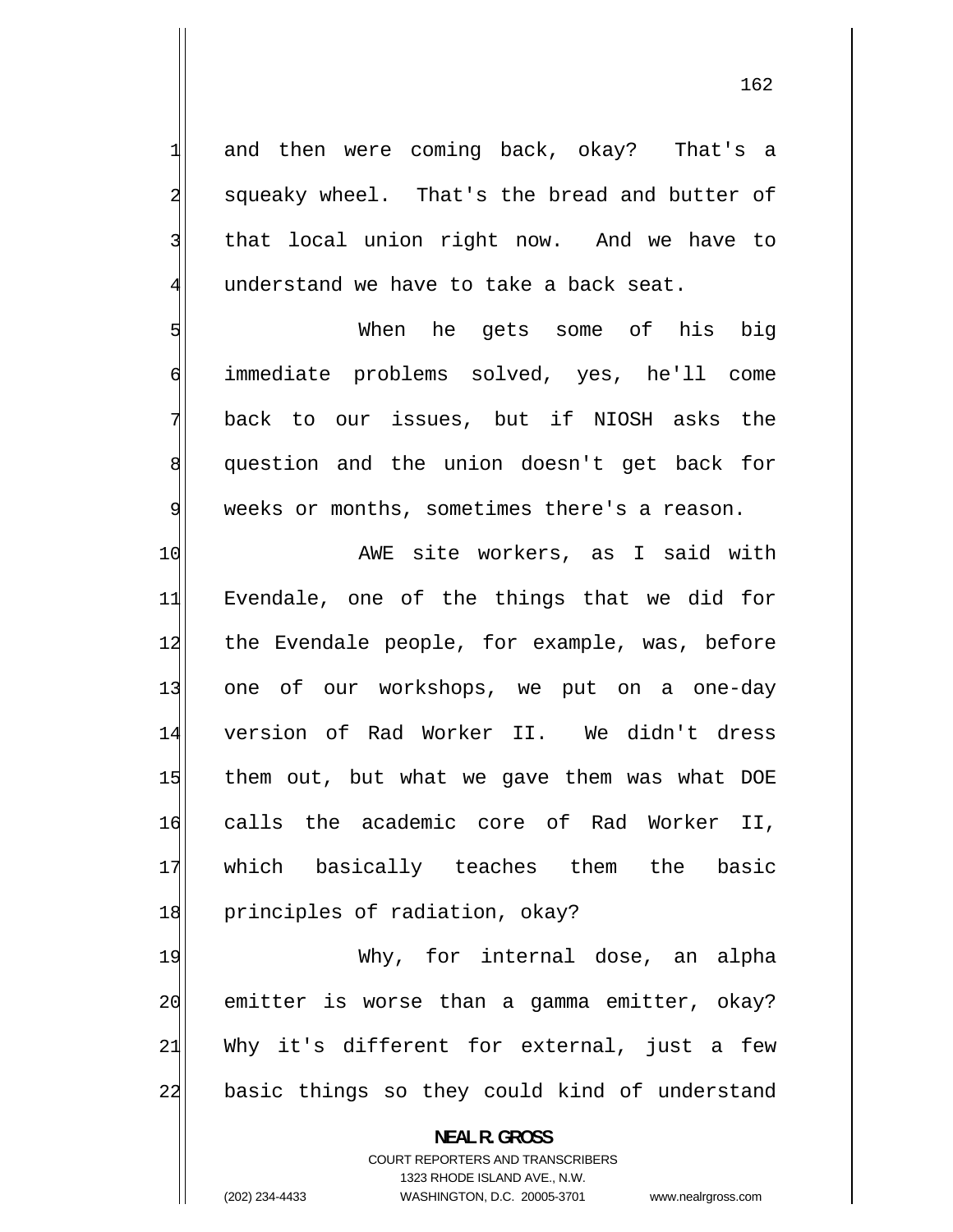and then were coming back, okay? That's a squeaky wheel. That's the bread and butter of that local union right now. And we have to understand we have to take a back seat.

1

2

3

4

5

6

7

8

9

 When he gets some of his big immediate problems solved, yes, he'll come back to our issues, but if NIOSH asks the question and the union doesn't get back for weeks or months, sometimes there's a reason.

10 AWE site workers, as I said with 11 Evendale, one of the things that we did for 12 the Evendale people, for example, was, before 13 one of our workshops, we put on a one-day 14 version of Rad Worker II. We didn't dress 15 them out, but what we gave them was what DOE 16 calls the academic core of Rad Worker II, 17 which basically teaches them the basic 18 principles of radiation, okay?

19 Why, for internal dose, an alpha 20 emitter is worse than a gamma emitter, okay? 21 Why it's different for external, just a few 22 basic things so they could kind of understand

> **NEAL R. GROSS**  COURT REPORTERS AND TRANSCRIBERS 1323 RHODE ISLAND AVE., N.W. (202) 234-4433 WASHINGTON, D.C. 20005-3701 www.nealrgross.com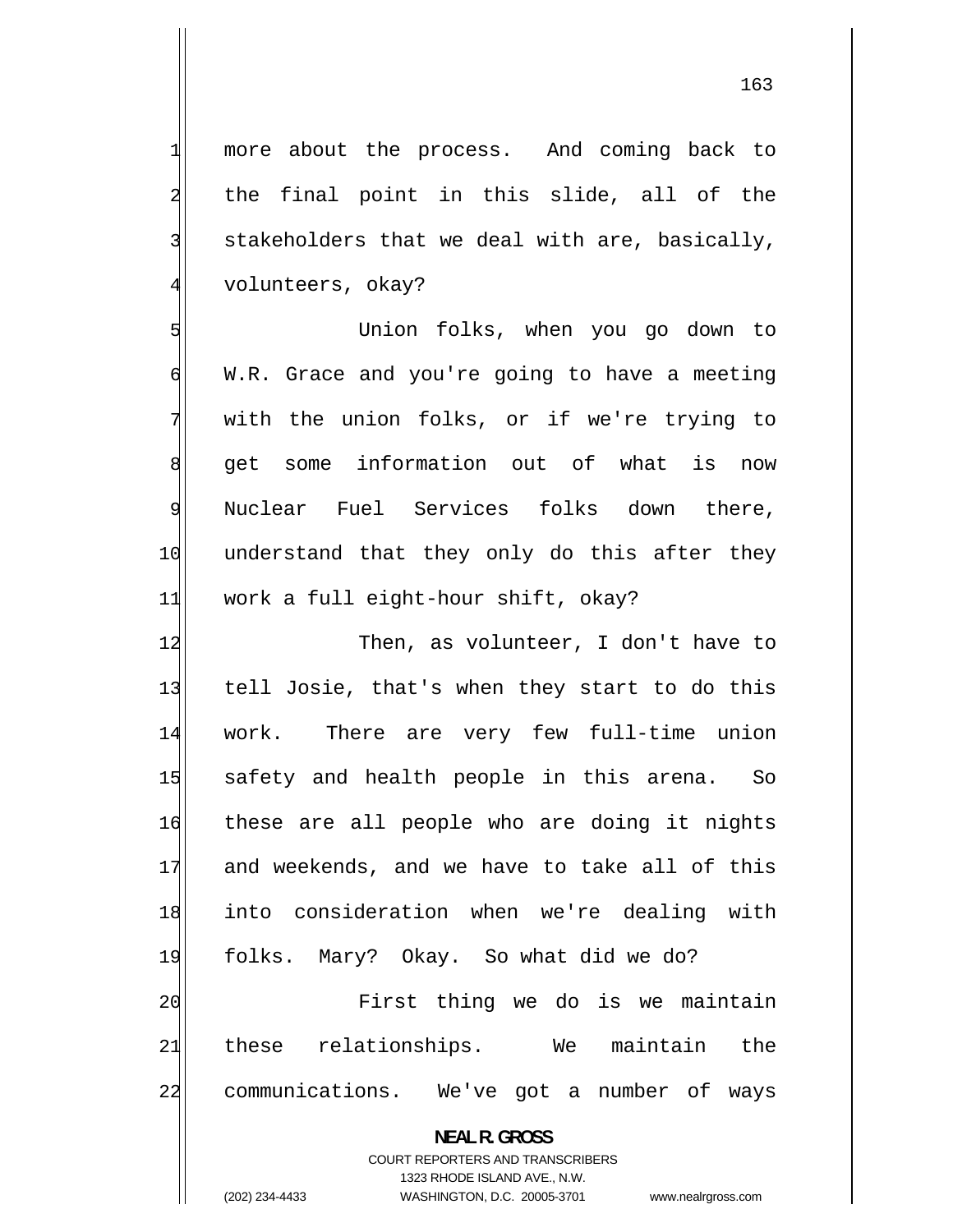more about the process. And coming back to the final point in this slide, all of the stakeholders that we deal with are, basically, volunteers, okay?

5 Union folks, when you go down to 6 W.R. Grace and you're going to have a meeting 7 with the union folks, or if we're trying to 8 get some information out of what is now 9 Nuclear Fuel Services folks down there, 10 understand that they only do this after they 11 work a full eight-hour shift, okay?

12 Then, as volunteer, I don't have to 13 tell Josie, that's when they start to do this 14 work. There are very few full-time union 15 safety and health people in this arena. So 16 these are all people who are doing it nights 17 and weekends, and we have to take all of this 18 into consideration when we're dealing with 19 folks. Mary? Okay. So what did we do? 20 First thing we do is we maintain 21 these relationships. We maintain the 22 communications. We've got a number of ways

**NEAL R. GROSS** 

COURT REPORTERS AND TRANSCRIBERS 1323 RHODE ISLAND AVE., N.W. (202) 234-4433 WASHINGTON, D.C. 20005-3701 www.nealrgross.com

1

2

3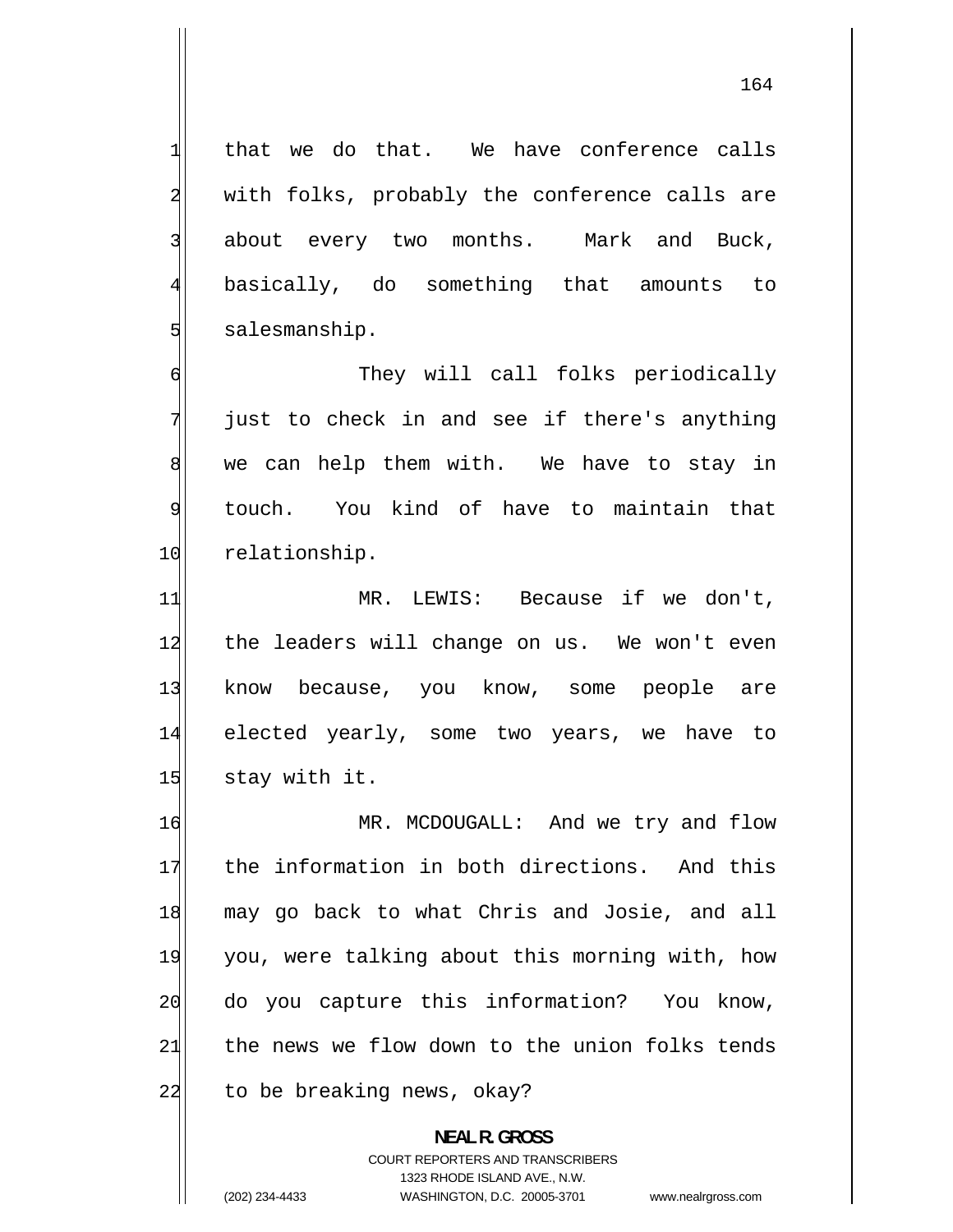that we do that. We have conference calls with folks, probably the conference calls are about every two months. Mark and Buck, basically, do something that amounts to

1

2

3

4

5

salesmanship.

6 They will call folks periodically 7 just to check in and see if there's anything 8 we can help them with. We have to stay in 9 touch. You kind of have to maintain that 10 relationship.

11 MR. LEWIS: Because if we don't, 12 the leaders will change on us. We won't even 13 know because, you know, some people are 14 elected yearly, some two years, we have to  $15$  stay with it.

16 MR. MCDOUGALL: And we try and flow 17 the information in both directions. And this 18 may go back to what Chris and Josie, and all 19 you, were talking about this morning with, how 20 do you capture this information? You know, 21 the news we flow down to the union folks tends 22 to be breaking news, okay?

> **NEAL R. GROSS**  COURT REPORTERS AND TRANSCRIBERS 1323 RHODE ISLAND AVE., N.W. (202) 234-4433 WASHINGTON, D.C. 20005-3701 www.nealrgross.com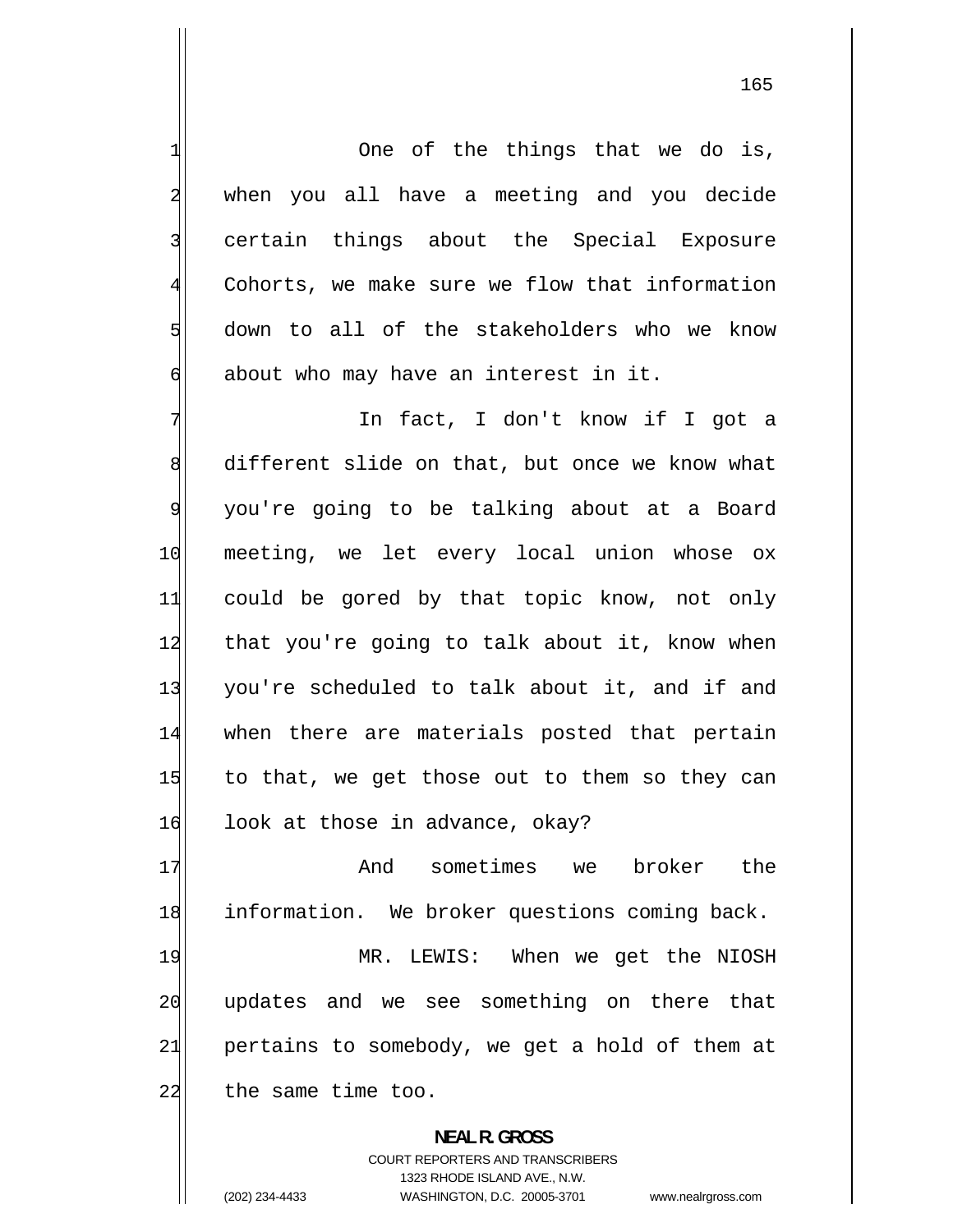1 One of the things that we do is, 2 when you all have a meeting and you decide 3 certain things about the Special Exposure 4 Cohorts, we make sure we flow that information 5 down to all of the stakeholders who we know 6 about who may have an interest in it. 7 In fact, I don't know if I got a 8 different slide on that, but once we know what 9 you're going to be talking about at a Board 10 meeting, we let every local union whose ox 11 could be gored by that topic know, not only 12 that you're going to talk about it, know when 13 you're scheduled to talk about it, and if and 14 when there are materials posted that pertain 15 to that, we get those out to them so they can 16 look at those in advance, okay? 17 And sometimes we broker the 18 information. We broker questions coming back. 19 MR. LEWIS: When we get the NIOSH 20 updates and we see something on there that 21 pertains to somebody, we get a hold of them at 22 the same time too. **NEAL R. GROSS** 

> COURT REPORTERS AND TRANSCRIBERS 1323 RHODE ISLAND AVE., N.W.

(202) 234-4433 WASHINGTON, D.C. 20005-3701 www.nealrgross.com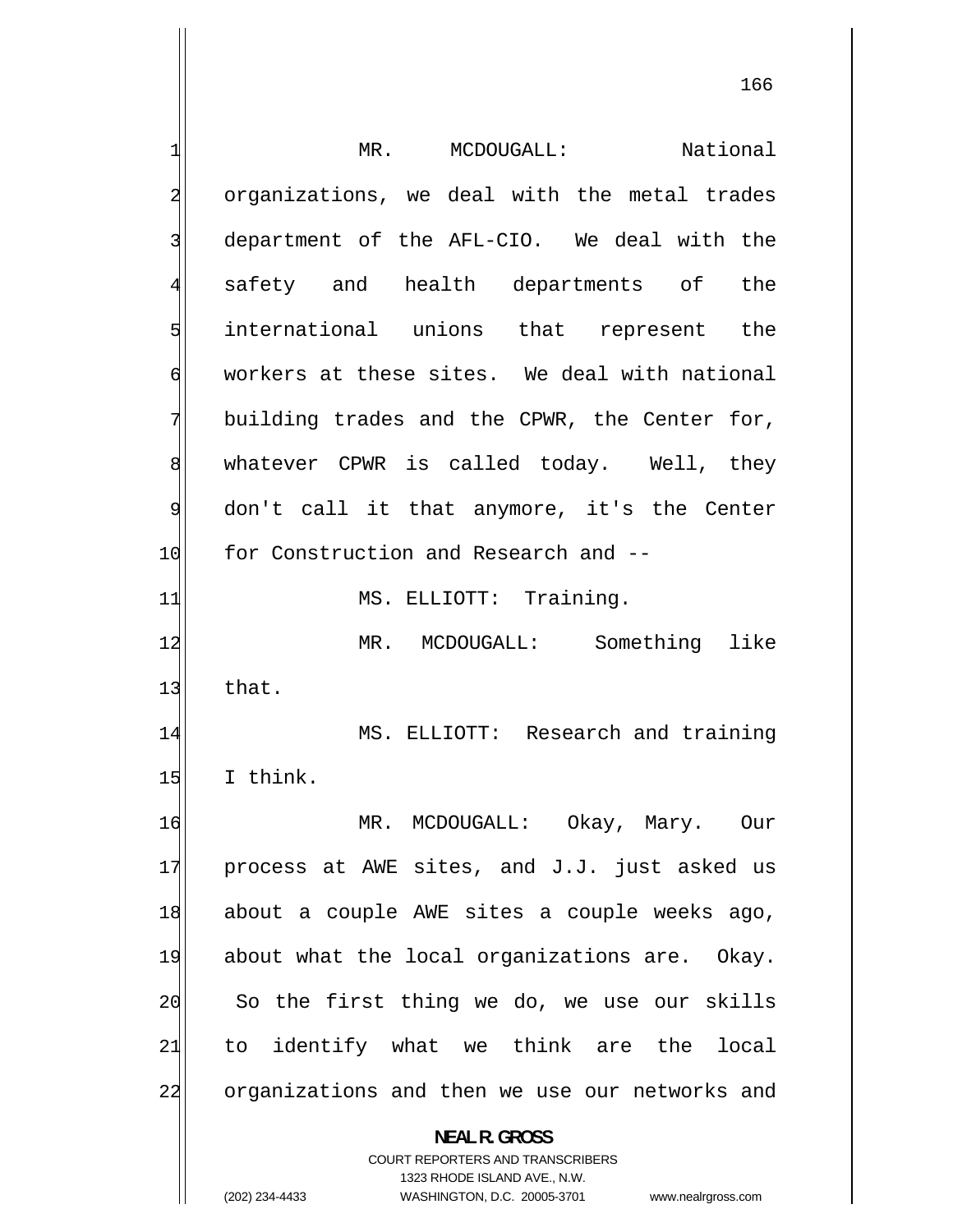1 MR. MCDOUGALL: National 2 organizations, we deal with the metal trades 3 department of the AFL-CIO. We deal with the 4 safety and health departments of the 5 international unions that represent the 6 workers at these sites. We deal with national 7 building trades and the CPWR, the Center for, 8 whatever CPWR is called today. Well, they 9 don't call it that anymore, it's the Center 10 for Construction and Research and --11 MS. ELLIOTT: Training. 12 MR. MCDOUGALL: Something like  $13$  that. 14 MS. ELLIOTT: Research and training  $15$  I think. 16 MR. MCDOUGALL: Okay, Mary. Our 17 process at AWE sites, and J.J. just asked us 18 about a couple AWE sites a couple weeks ago, 19 about what the local organizations are. Okay. 20 So the first thing we do, we use our skills 21 to identify what we think are the local 22 organizations and then we use our networks and **NEAL R. GROSS**  COURT REPORTERS AND TRANSCRIBERS 1323 RHODE ISLAND AVE., N.W.

(202) 234-4433 WASHINGTON, D.C. 20005-3701 www.nealrgross.com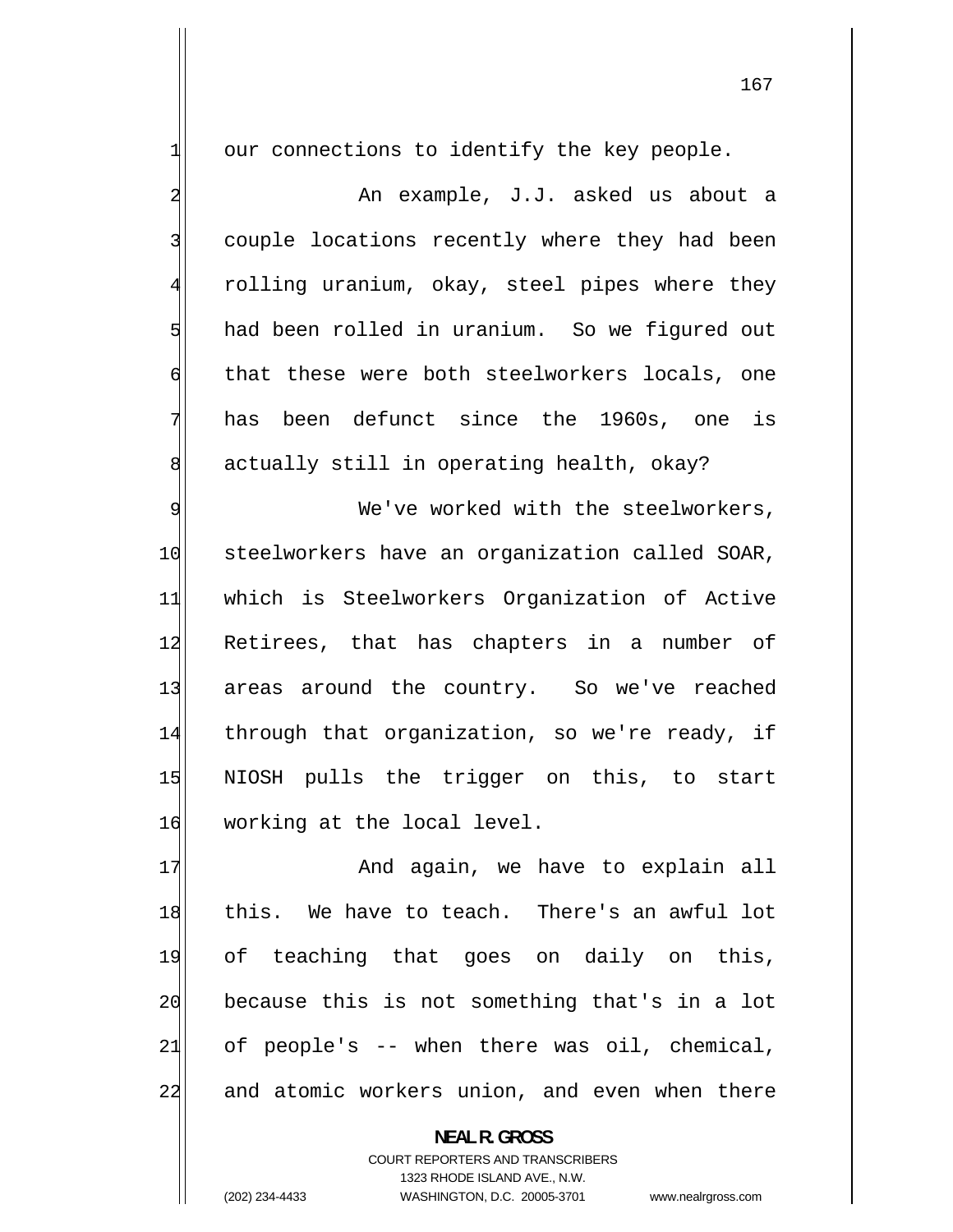our connections to identify the key people.

1

2

3

4

5

6

7

8

 An example, J.J. asked us about a couple locations recently where they had been rolling uranium, okay, steel pipes where they had been rolled in uranium. So we figured out that these were both steelworkers locals, one has been defunct since the 1960s, one is actually still in operating health, okay?

9 We've worked with the steelworkers, 10 steelworkers have an organization called SOAR, 11 which is Steelworkers Organization of Active 12 Retirees, that has chapters in a number of 13 areas around the country. So we've reached 14 through that organization, so we're ready, if 15 NIOSH pulls the trigger on this, to start 16 working at the local level.

17 And again, we have to explain all 18 this. We have to teach. There's an awful lot 19 of teaching that goes on daily on this, 20 because this is not something that's in a lot 21 of people's -- when there was oil, chemical, 22 and atomic workers union, and even when there

> **NEAL R. GROSS**  COURT REPORTERS AND TRANSCRIBERS 1323 RHODE ISLAND AVE., N.W. (202) 234-4433 WASHINGTON, D.C. 20005-3701 www.nealrgross.com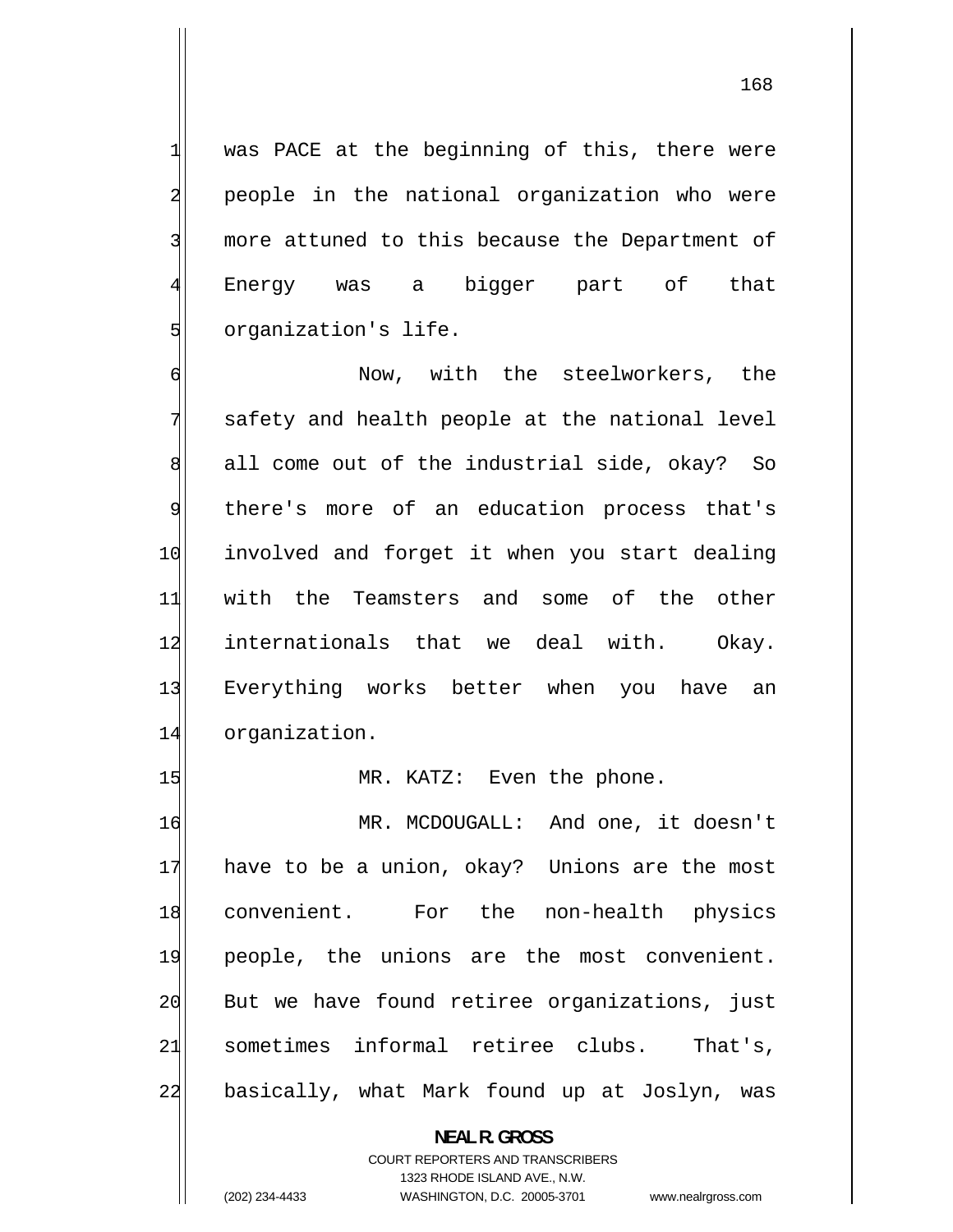was PACE at the beginning of this, there were people in the national organization who were more attuned to this because the Department of Energy was a bigger part of that organization's life.

1

2

3

4

5

6 Now, with the steelworkers, the 7 safety and health people at the national level 8 all come out of the industrial side, okay? So 9 there's more of an education process that's 10 involved and forget it when you start dealing 11 with the Teamsters and some of the other 12 internationals that we deal with. Okay. 13 Everything works better when you have an 14 organization.

15 MR. KATZ: Even the phone.

16 MR. MCDOUGALL: And one, it doesn't 17 have to be a union, okay? Unions are the most 18 convenient. For the non-health physics 19 people, the unions are the most convenient. 20 But we have found retiree organizations, just 21 sometimes informal retiree clubs. That's, 22 basically, what Mark found up at Joslyn, was

> **NEAL R. GROSS**  COURT REPORTERS AND TRANSCRIBERS 1323 RHODE ISLAND AVE., N.W. (202) 234-4433 WASHINGTON, D.C. 20005-3701 www.nealrgross.com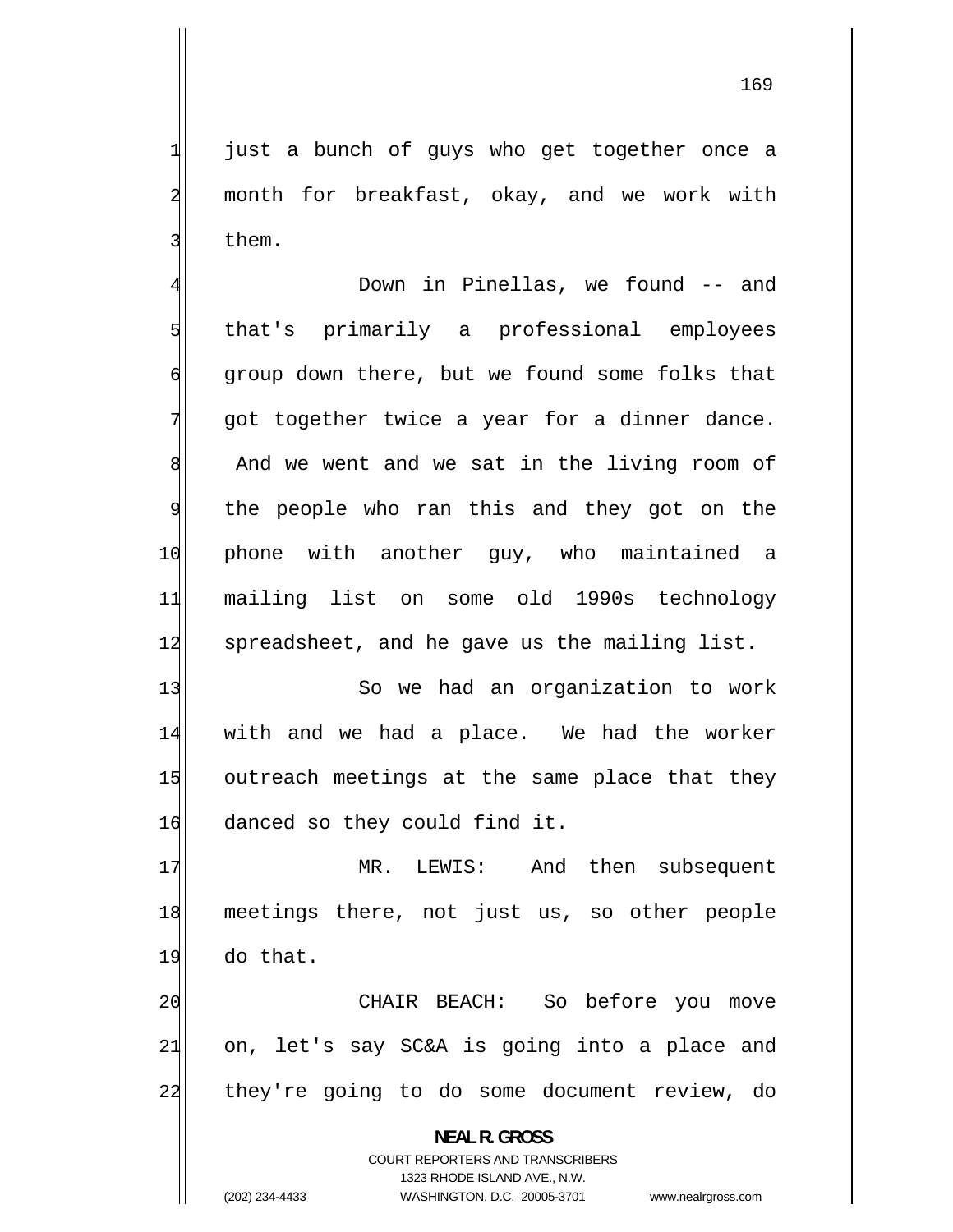just a bunch of guys who get together once a month for breakfast, okay, and we work with them.

1

2

3

4 Down in Pinellas, we found -- and 5 that's primarily a professional employees 6 group down there, but we found some folks that 7 got together twice a year for a dinner dance. 8 And we went and we sat in the living room of 9 the people who ran this and they got on the 10 phone with another guy, who maintained a 11 mailing list on some old 1990s technology 12 spreadsheet, and he gave us the mailing list.

13 So we had an organization to work 14 with and we had a place. We had the worker 15 outreach meetings at the same place that they 16 danced so they could find it.

17 MR. LEWIS: And then subsequent 18 meetings there, not just us, so other people  $19$  do that.

20 CHAIR BEACH: So before you move 21 on, let's say SC&A is going into a place and 22 they're going to do some document review, do

**NEAL R. GROSS** 

COURT REPORTERS AND TRANSCRIBERS 1323 RHODE ISLAND AVE., N.W. (202) 234-4433 WASHINGTON, D.C. 20005-3701 www.nealrgross.com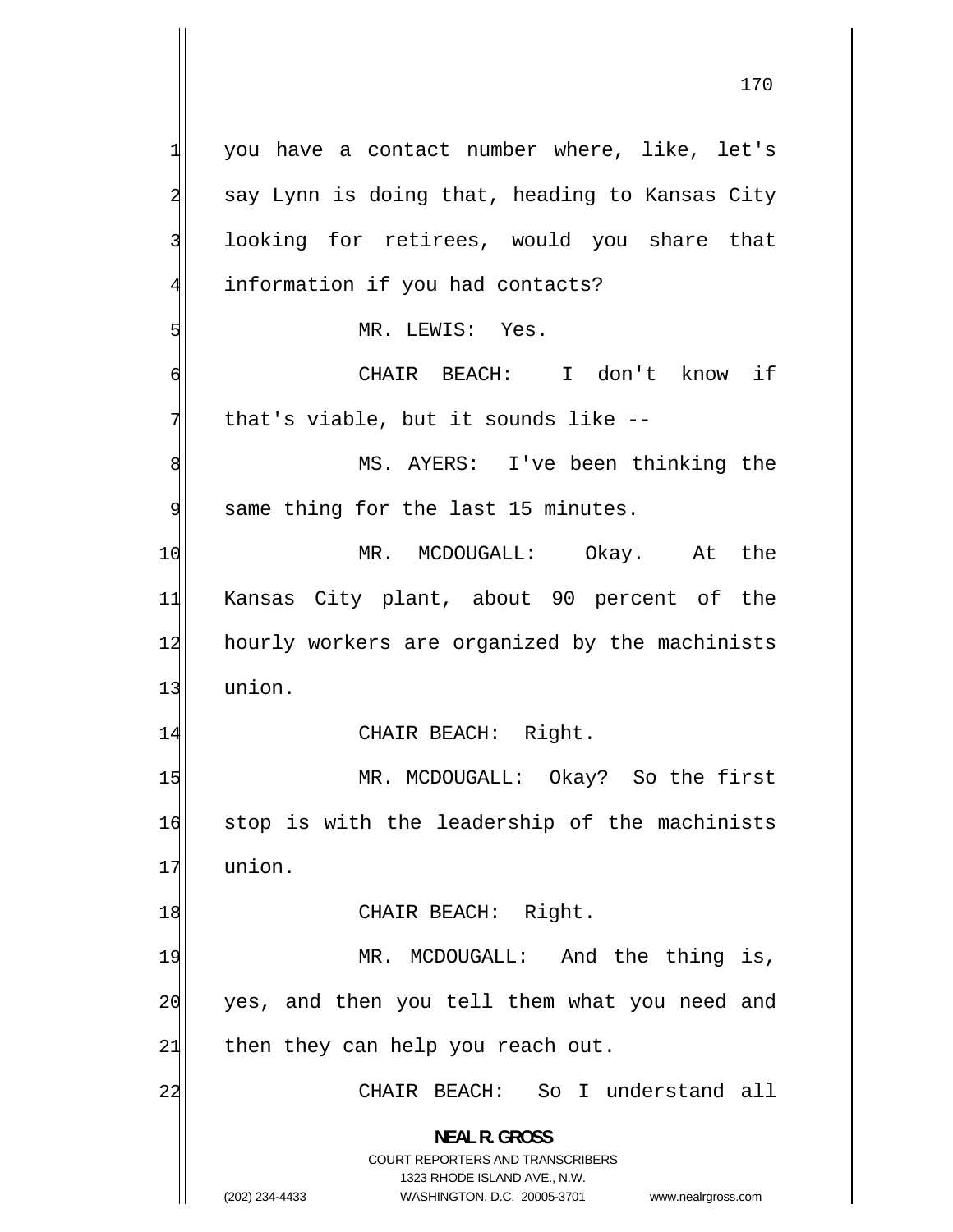1 you have a contact number where, like, let's 2 say Lynn is doing that, heading to Kansas City 3 looking for retirees, would you share that 4 information if you had contacts? 5 MR. LEWIS: Yes. 6 CHAIR BEACH: I don't know if 7 that's viable, but it sounds like -- 8 MS. AYERS: I've been thinking the 9 same thing for the last 15 minutes. 10 MR. MCDOUGALL: Okay. At the 11 Kansas City plant, about 90 percent of the 12 hourly workers are organized by the machinists 13 union. 14 CHAIR BEACH: Right. 15 MR. MCDOUGALL: Okay? So the first 16 stop is with the leadership of the machinists 17 union. 18 CHAIR BEACH: Right. 19 MR. MCDOUGALL: And the thing is, 20 yes, and then you tell them what you need and  $21$  then they can help you reach out. 22 CHAIR BEACH: So I understand all **NEAL R. GROSS**  COURT REPORTERS AND TRANSCRIBERS 1323 RHODE ISLAND AVE., N.W.

<sup>(202) 234-4433</sup> WASHINGTON, D.C. 20005-3701 www.nealrgross.com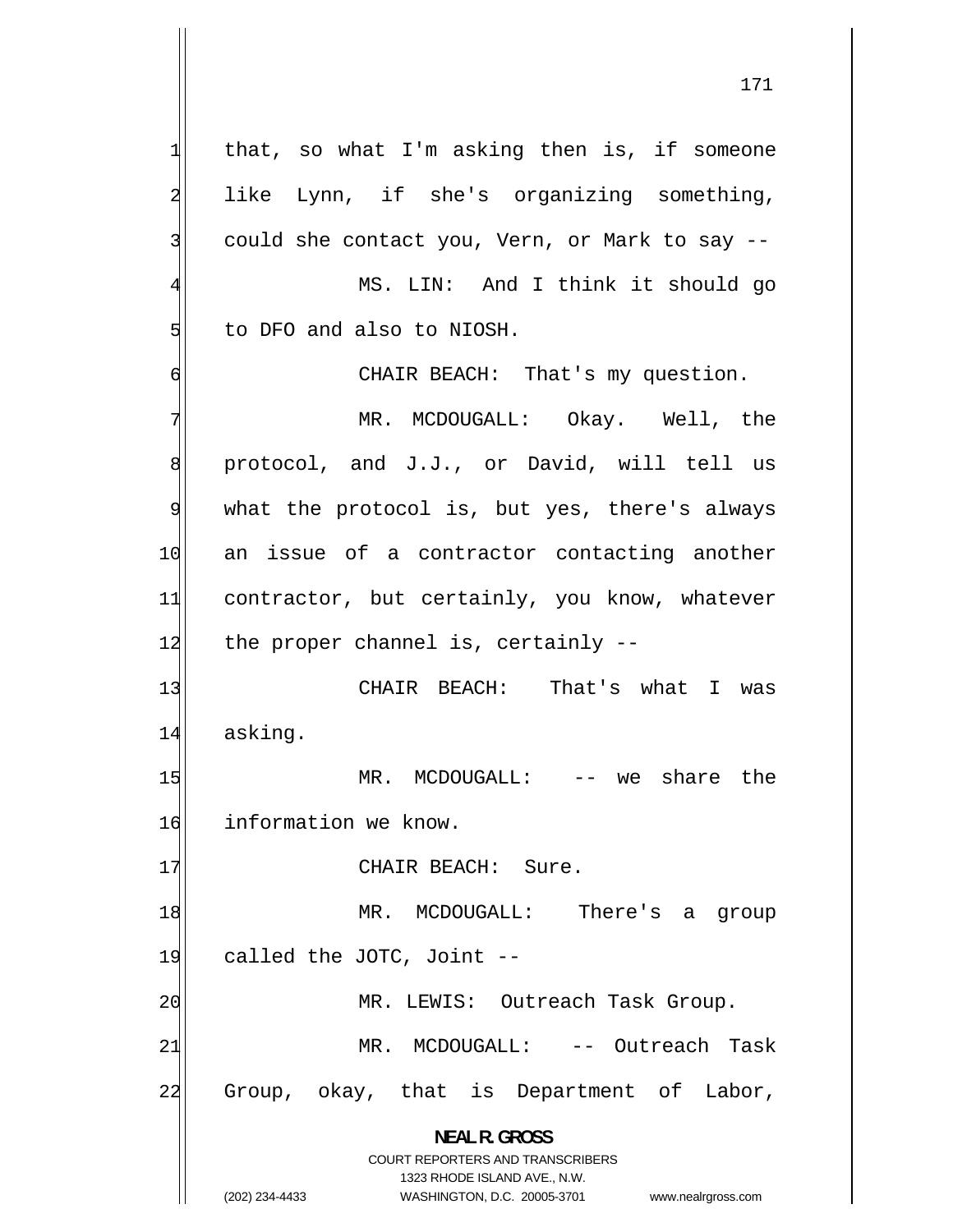1 that, so what I'm asking then is, if someone 2 like Lynn, if she's organizing something, 3 could she contact you, Vern, or Mark to say -- 4 MS. LIN: And I think it should go 5 to DFO and also to NIOSH. 6 CHAIR BEACH: That's my question. 7 MR. MCDOUGALL: Okay. Well, the 8 protocol, and J.J., or David, will tell us 9 what the protocol is, but yes, there's always 10 an issue of a contractor contacting another 11 contractor, but certainly, you know, whatever  $12$  the proper channel is, certainly  $-$ 13 CHAIR BEACH: That's what I was 14 asking. 15 MR. MCDOUGALL: -- we share the 16 information we know. 17 CHAIR BEACH: Sure. 18 MR. MCDOUGALL: There's a group 19 called the JOTC, Joint --20 MR. LEWIS: Outreach Task Group. 21 MR. MCDOUGALL: -- Outreach Task 22 Group, okay, that is Department of Labor, **NEAL R. GROSS**  COURT REPORTERS AND TRANSCRIBERS

> 1323 RHODE ISLAND AVE., N.W. (202) 234-4433 WASHINGTON, D.C. 20005-3701 www.nealrgross.com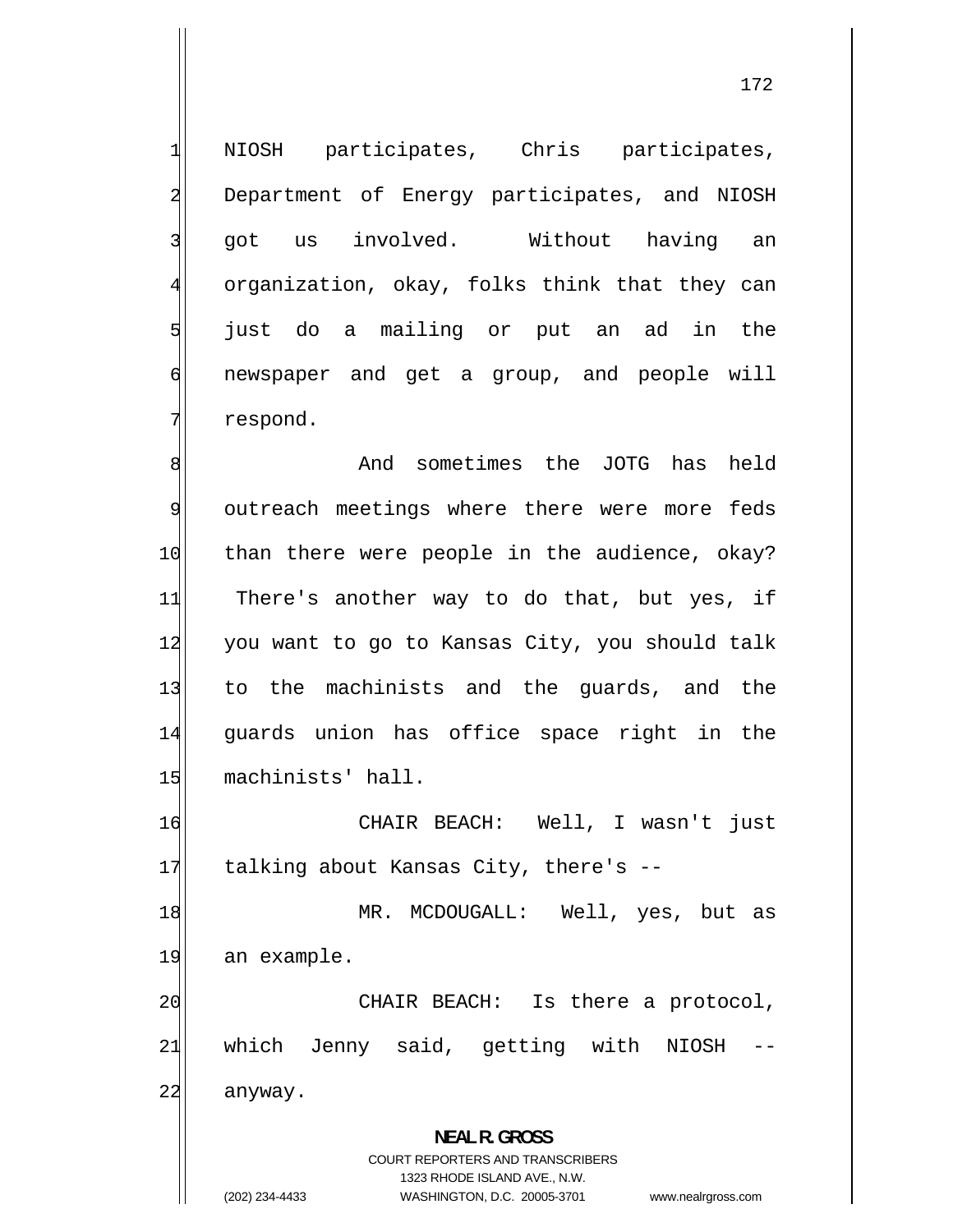NIOSH participates, Chris participates, Department of Energy participates, and NIOSH got us involved. Without having an organization, okay, folks think that they can just do a mailing or put an ad in the newspaper and get a group, and people will respond.

1

2

3

4

5

6

7

8 And sometimes the JOTG has held 9 outreach meetings where there were more feds 10 than there were people in the audience, okay? 11 There's another way to do that, but yes, if 12 you want to go to Kansas City, you should talk 13 to the machinists and the guards, and the 14 guards union has office space right in the 15 machinists' hall.

16 CHAIR BEACH: Well, I wasn't just 17 talking about Kansas City, there's --

18 MR. MCDOUGALL: Well, yes, but as 19 an example.

20 CHAIR BEACH: Is there a protocol, 21 which Jenny said, getting with NIOSH 22 anyway.

> **NEAL R. GROSS**  COURT REPORTERS AND TRANSCRIBERS 1323 RHODE ISLAND AVE., N.W. (202) 234-4433 WASHINGTON, D.C. 20005-3701 www.nealrgross.com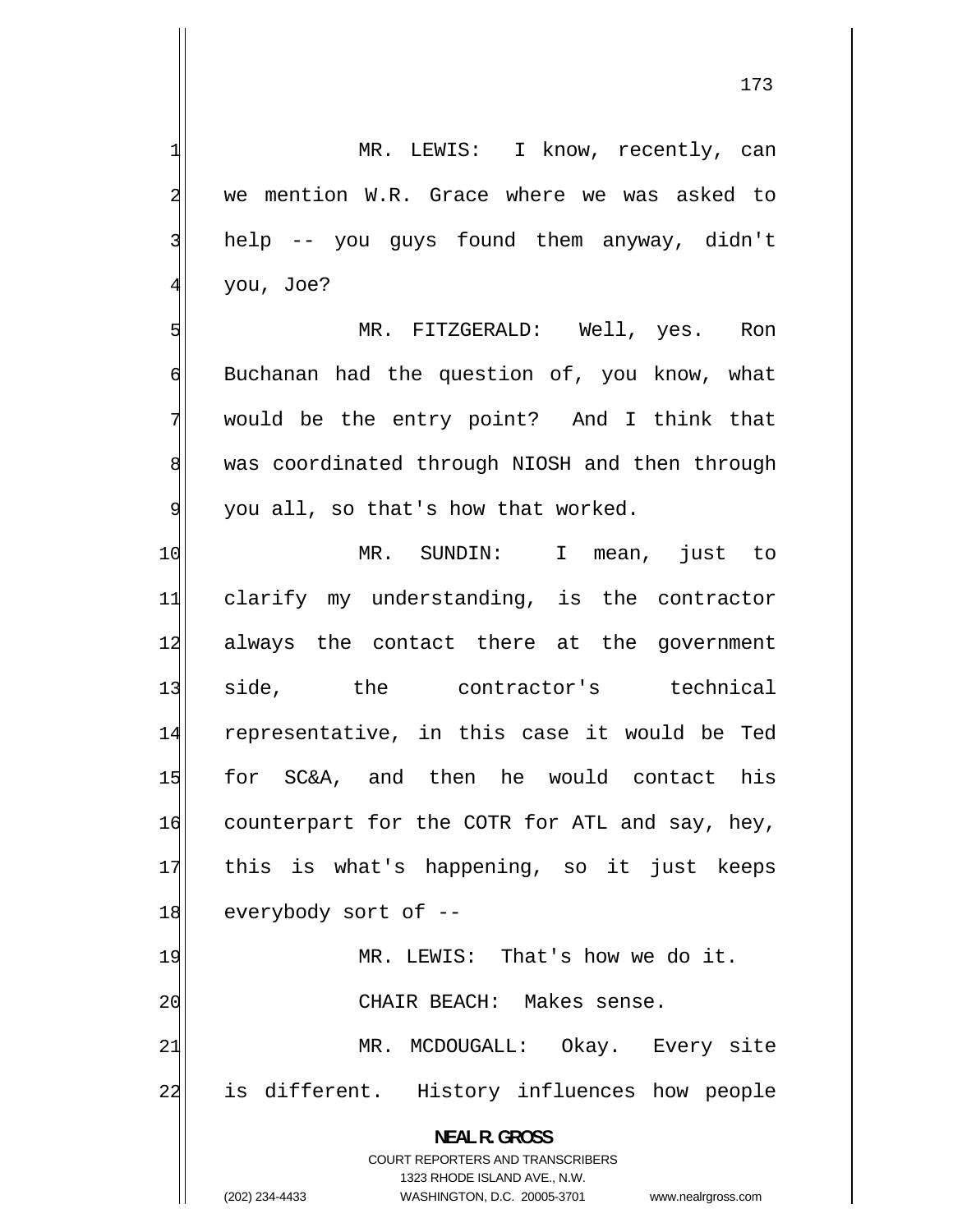MR. LEWIS: I know, recently, can we mention W.R. Grace where we was asked to help -- you guys found them anyway, didn't you, Joe?

 MR. FITZGERALD: Well, yes. Ron Buchanan had the question of, you know, what would be the entry point? And I think that was coordinated through NIOSH and then through you all, so that's how that worked.

10 MR. SUNDIN: I mean, just to 11 clarify my understanding, is the contractor 12 always the contact there at the government 13 side, the contractor's technical 14 representative, in this case it would be Ted 15 for SC&A, and then he would contact his 16 counterpart for the COTR for ATL and say, hey, 17 this is what's happening, so it just keeps 18 everybody sort of --19 MR. LEWIS: That's how we do it. 20 CHAIR BEACH: Makes sense. 21 MR. MCDOUGALL: Okay. Every site 22 is different. History influences how people **NEAL R. GROSS** 

> COURT REPORTERS AND TRANSCRIBERS 1323 RHODE ISLAND AVE., N.W.

1

2

3

4

5

6

7

8

9

(202) 234-4433 WASHINGTON, D.C. 20005-3701 www.nealrgross.com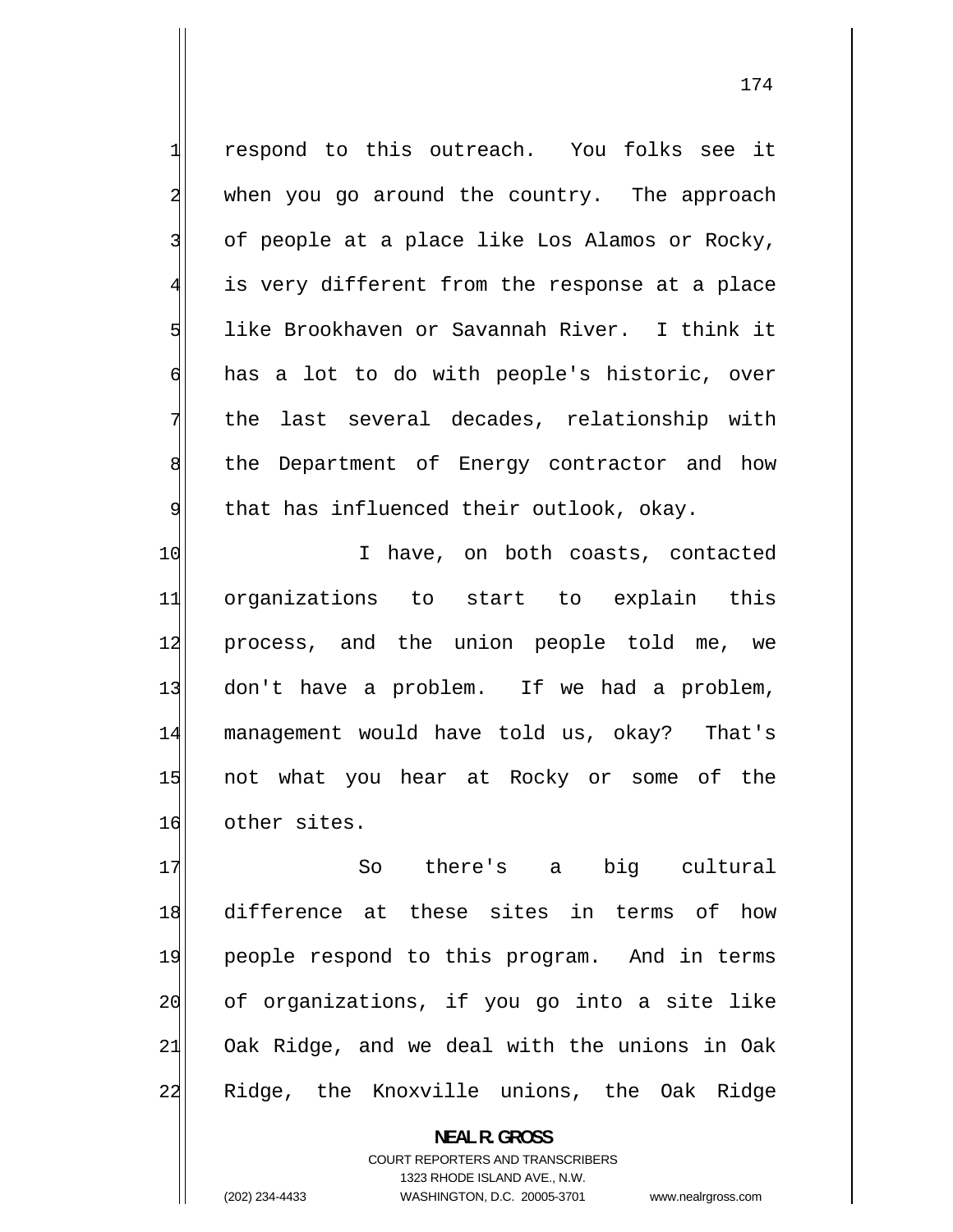respond to this outreach. You folks see it when you go around the country. The approach of people at a place like Los Alamos or Rocky, is very different from the response at a place like Brookhaven or Savannah River. I think it has a lot to do with people's historic, over the last several decades, relationship with the Department of Energy contractor and how that has influenced their outlook, okay.

10 I have, on both coasts, contacted 11 organizations to start to explain this 12 process, and the union people told me, we 13 don't have a problem. If we had a problem, 14 management would have told us, okay? That's 15 not what you hear at Rocky or some of the 16 other sites.

17 So there's a big cultural 18 difference at these sites in terms of how 19 people respond to this program. And in terms 20 of organizations, if you go into a site like 21 Oak Ridge, and we deal with the unions in Oak 22 Ridge, the Knoxville unions, the Oak Ridge

> **NEAL R. GROSS**  COURT REPORTERS AND TRANSCRIBERS 1323 RHODE ISLAND AVE., N.W. (202) 234-4433 WASHINGTON, D.C. 20005-3701 www.nealrgross.com

1

2

3

4

5

6

7

8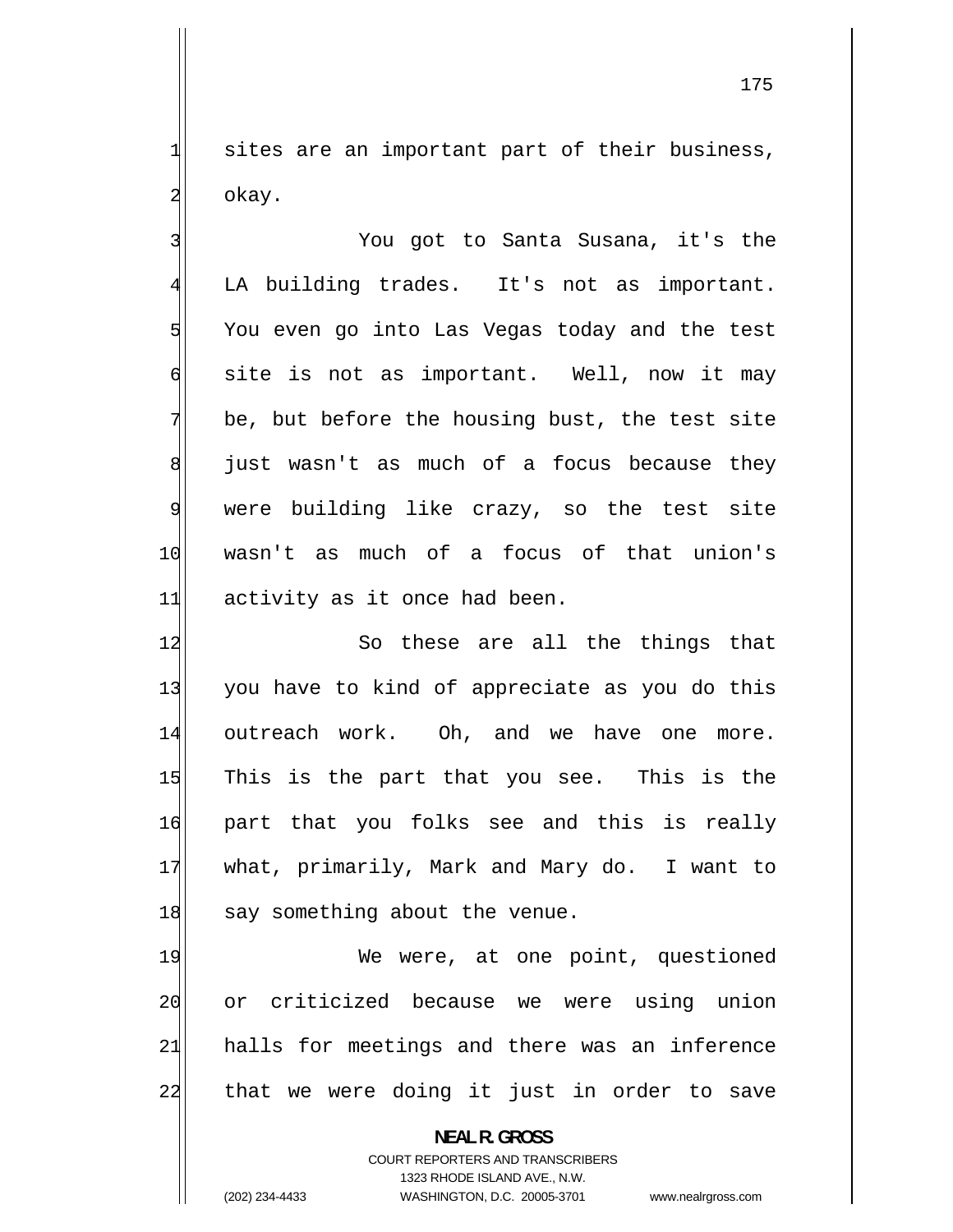sites are an important part of their business, okay.

3 You got to Santa Susana, it's the 4 LA building trades. It's not as important. 5 You even go into Las Vegas today and the test 6 site is not as important. Well, now it may 7 be, but before the housing bust, the test site 8 just wasn't as much of a focus because they 9 were building like crazy, so the test site 10 wasn't as much of a focus of that union's 11 activity as it once had been.

12 So these are all the things that 13 you have to kind of appreciate as you do this 14 outreach work. Oh, and we have one more. 15 This is the part that you see. This is the 16 part that you folks see and this is really 17 what, primarily, Mark and Mary do. I want to 18 say something about the venue.

19 We were, at one point, questioned 20 or criticized because we were using union 21 halls for meetings and there was an inference 22 that we were doing it just in order to save

> **NEAL R. GROSS**  COURT REPORTERS AND TRANSCRIBERS 1323 RHODE ISLAND AVE., N.W.

1

2

(202) 234-4433 WASHINGTON, D.C. 20005-3701 www.nealrgross.com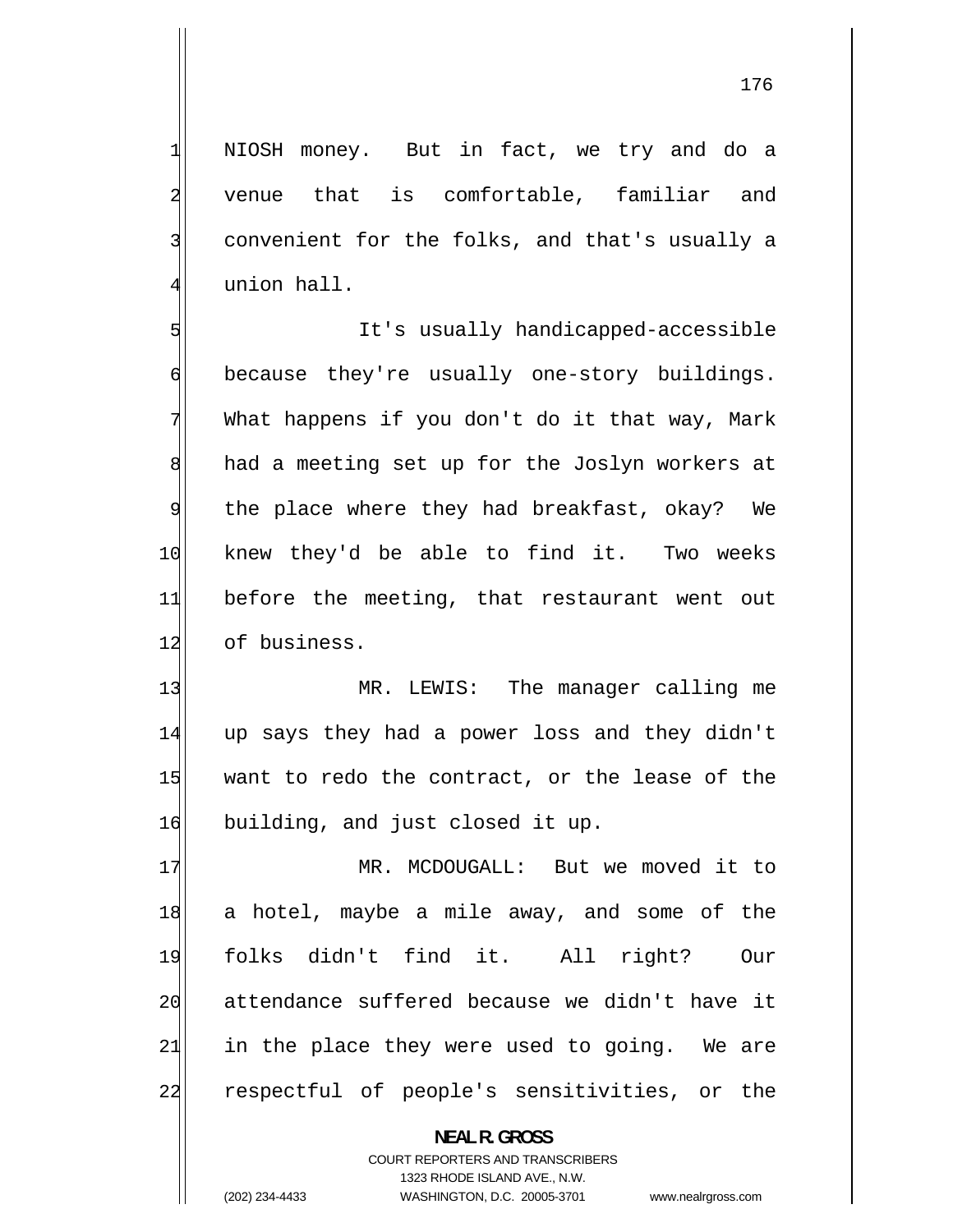NIOSH money. But in fact, we try and do a venue that is comfortable, familiar and convenient for the folks, and that's usually a union hall.

5 It's usually handicapped-accessible 6 because they're usually one-story buildings. 7 What happens if you don't do it that way, Mark 8 had a meeting set up for the Joslyn workers at 9 the place where they had breakfast, okay? We 10 knew they'd be able to find it. Two weeks 11 before the meeting, that restaurant went out 12 of business.

13 MR. LEWIS: The manager calling me 14 up says they had a power loss and they didn't 15 want to redo the contract, or the lease of the 16 building, and just closed it up.

17 MR. MCDOUGALL: But we moved it to 18 a hotel, maybe a mile away, and some of the 19 folks didn't find it. All right? Our 20 attendance suffered because we didn't have it 21 in the place they were used to going. We are 22 respectful of people's sensitivities, or the

> **NEAL R. GROSS**  COURT REPORTERS AND TRANSCRIBERS 1323 RHODE ISLAND AVE., N.W. (202) 234-4433 WASHINGTON, D.C. 20005-3701 www.nealrgross.com

1

2

3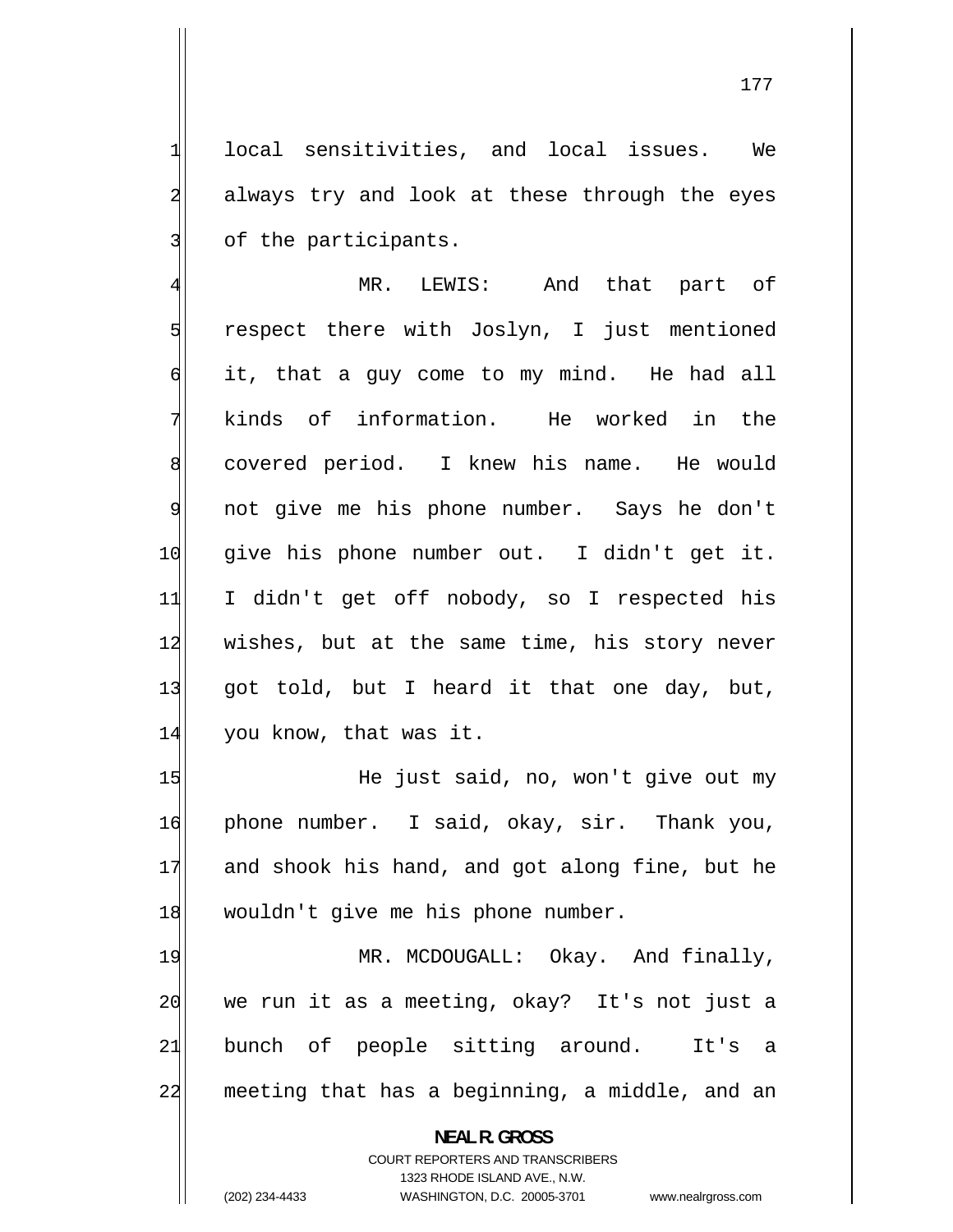local sensitivities, and local issues. We always try and look at these through the eyes of the participants.

1

2

3

4 MR. LEWIS: And that part of 5 respect there with Joslyn, I just mentioned 6 it, that a guy come to my mind. He had all 7 kinds of information. He worked in the 8 covered period. I knew his name. He would 9 not give me his phone number. Says he don't 10 give his phone number out. I didn't get it. 11 I didn't get off nobody, so I respected his 12 wishes, but at the same time, his story never 13 got told, but I heard it that one day, but, 14 you know, that was it.

15 He just said, no, won't give out my 16 phone number. I said, okay, sir. Thank you, 17 and shook his hand, and got along fine, but he 18 wouldn't give me his phone number.

19 MR. MCDOUGALL: Okay. And finally, 20 we run it as a meeting, okay? It's not just a 21 bunch of people sitting around. It's a 22 meeting that has a beginning, a middle, and an

**NEAL R. GROSS** 

COURT REPORTERS AND TRANSCRIBERS 1323 RHODE ISLAND AVE., N.W. (202) 234-4433 WASHINGTON, D.C. 20005-3701 www.nealrgross.com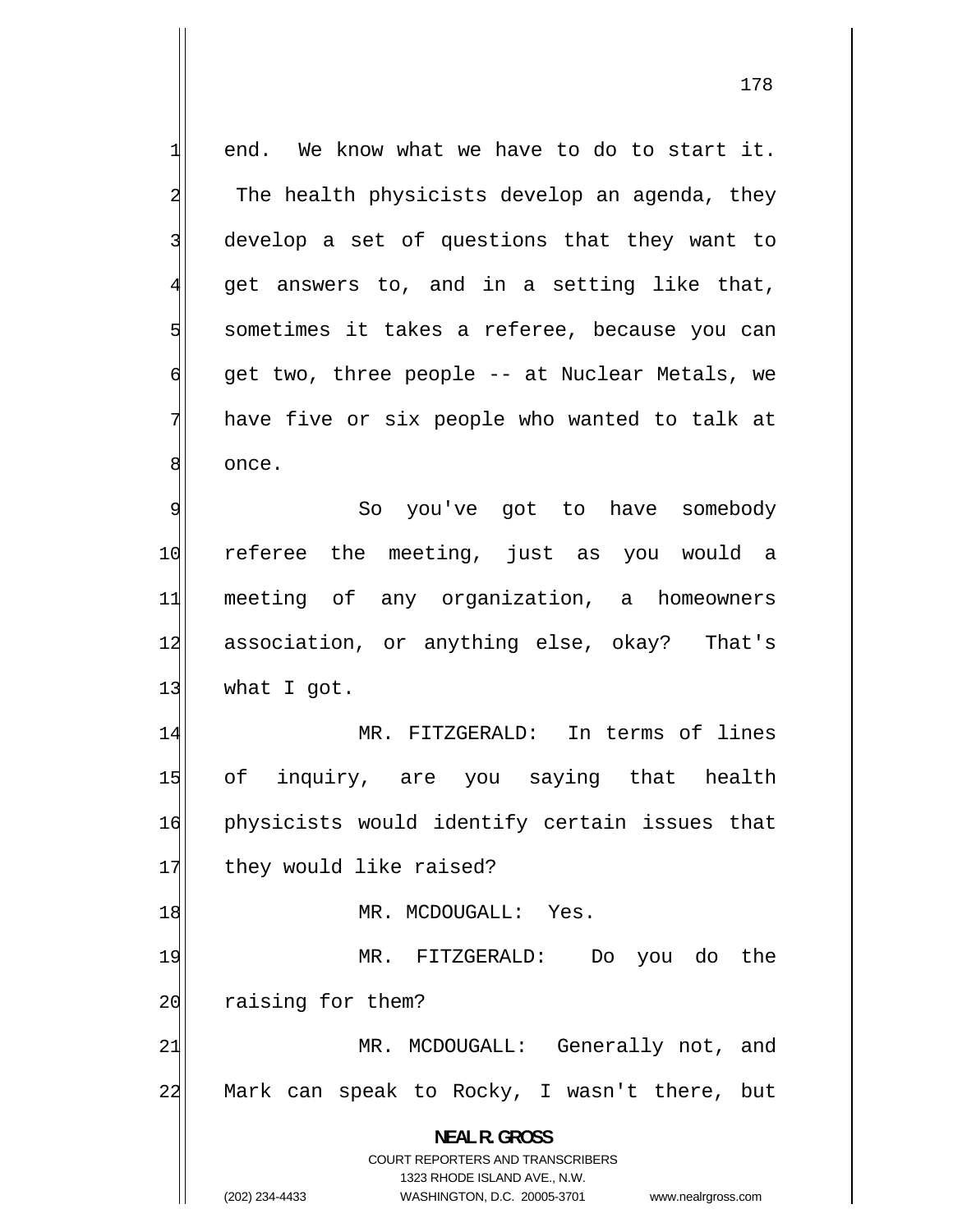end. We know what we have to do to start it. The health physicists develop an agenda, they develop a set of questions that they want to get answers to, and in a setting like that, sometimes it takes a referee, because you can get two, three people -- at Nuclear Metals, we have five or six people who wanted to talk at once. So you've got to have somebody

1

2

3

4

5

6

7

8

9 10 referee the meeting, just as you would a 11 meeting of any organization, a homeowners 12 association, or anything else, okay? That's 13 what I got.

14 MR. FITZGERALD: In terms of lines 15 of inquiry, are you saying that health 16 physicists would identify certain issues that 17 they would like raised?

18 MR. MCDOUGALL: Yes.

19 MR. FITZGERALD: Do you do the 20 raising for them?

21 MR. MCDOUGALL: Generally not, and 22 Mark can speak to Rocky, I wasn't there, but

**NEAL R. GROSS** 

COURT REPORTERS AND TRANSCRIBERS 1323 RHODE ISLAND AVE., N.W. (202) 234-4433 WASHINGTON, D.C. 20005-3701 www.nealrgross.com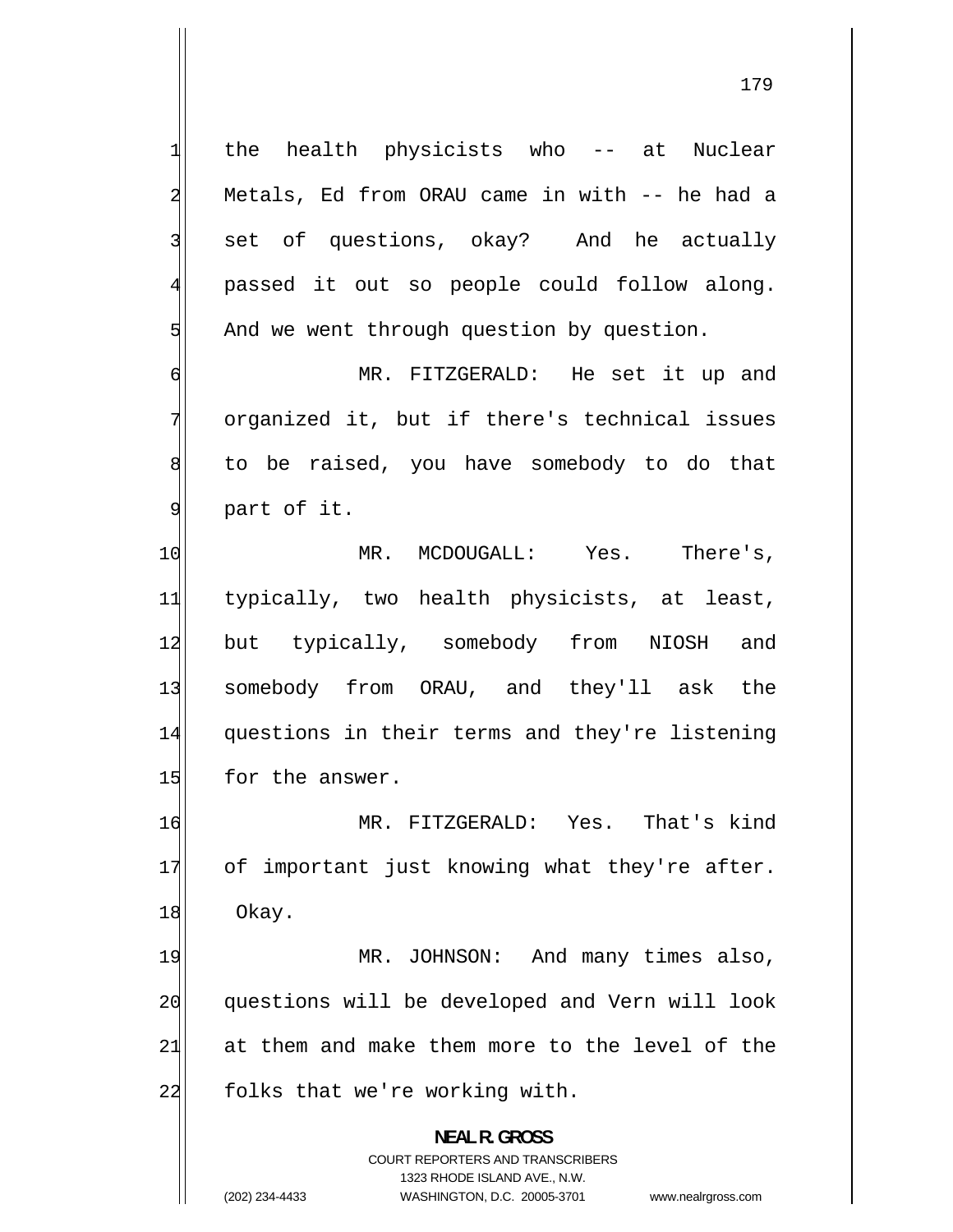1 the health physicists who -- at Nuclear 2 Metals, Ed from ORAU came in with -- he had a 3 set of questions, okay? And he actually 4 passed it out so people could follow along. 5 And we went through question by question. 6 MR. FITZGERALD: He set it up and 7 organized it, but if there's technical issues 8 to be raised, you have somebody to do that 9 part of it. 10 MR. MCDOUGALL: Yes. There's, 11 typically, two health physicists, at least, 12 but typically, somebody from NIOSH and 13 somebody from ORAU, and they'll ask the 14 questions in their terms and they're listening 15 for the answer. 16 MR. FITZGERALD: Yes. That's kind 17 of important just knowing what they're after. 18 Okay. 19 MR. JOHNSON: And many times also, 20 questions will be developed and Vern will look 21 at them and make them more to the level of the  $22$  folks that we're working with. **NEAL R. GROSS**  COURT REPORTERS AND TRANSCRIBERS

1323 RHODE ISLAND AVE., N.W.

(202) 234-4433 WASHINGTON, D.C. 20005-3701 www.nealrgross.com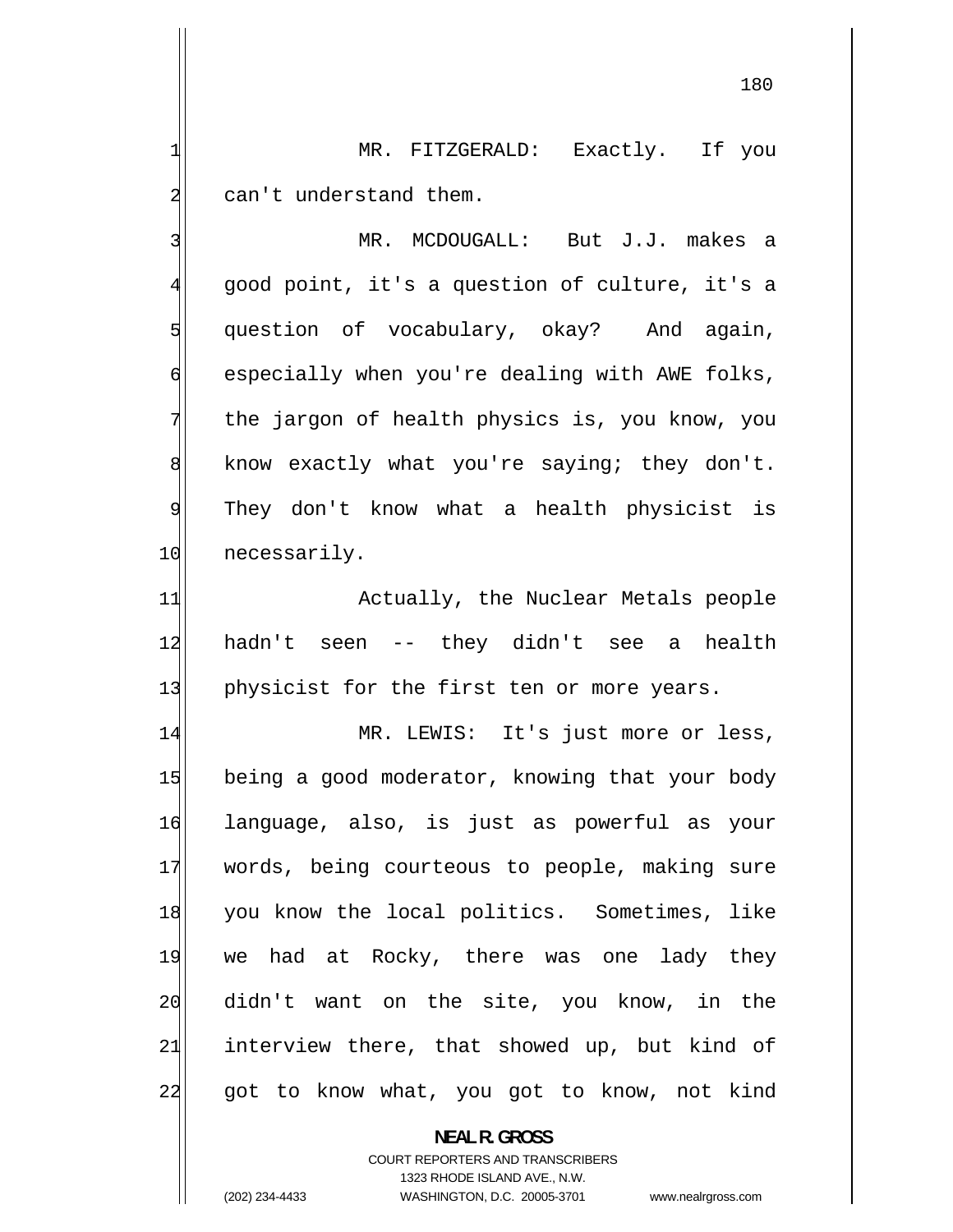MR. FITZGERALD: Exactly. If you can't understand them.

 MR. MCDOUGALL: But J.J. makes a good point, it's a question of culture, it's a question of vocabulary, okay? And again, especially when you're dealing with AWE folks, the jargon of health physics is, you know, you know exactly what you're saying; they don't. They don't know what a health physicist is 10 necessarily.

11 Actually, the Nuclear Metals people 12 hadn't seen -- they didn't see a health 13 physicist for the first ten or more years.

14 MR. LEWIS: It's just more or less, 15 being a good moderator, knowing that your body 16 language, also, is just as powerful as your 17 words, being courteous to people, making sure 18 you know the local politics. Sometimes, like 19 we had at Rocky, there was one lady they 20 didn't want on the site, you know, in the 21 interview there, that showed up, but kind of 22 got to know what, you got to know, not kind

> **NEAL R. GROSS**  COURT REPORTERS AND TRANSCRIBERS

> > 1323 RHODE ISLAND AVE., N.W.

1

2

3

4

5

6

7

8

9

(202) 234-4433 WASHINGTON, D.C. 20005-3701 www.nealrgross.com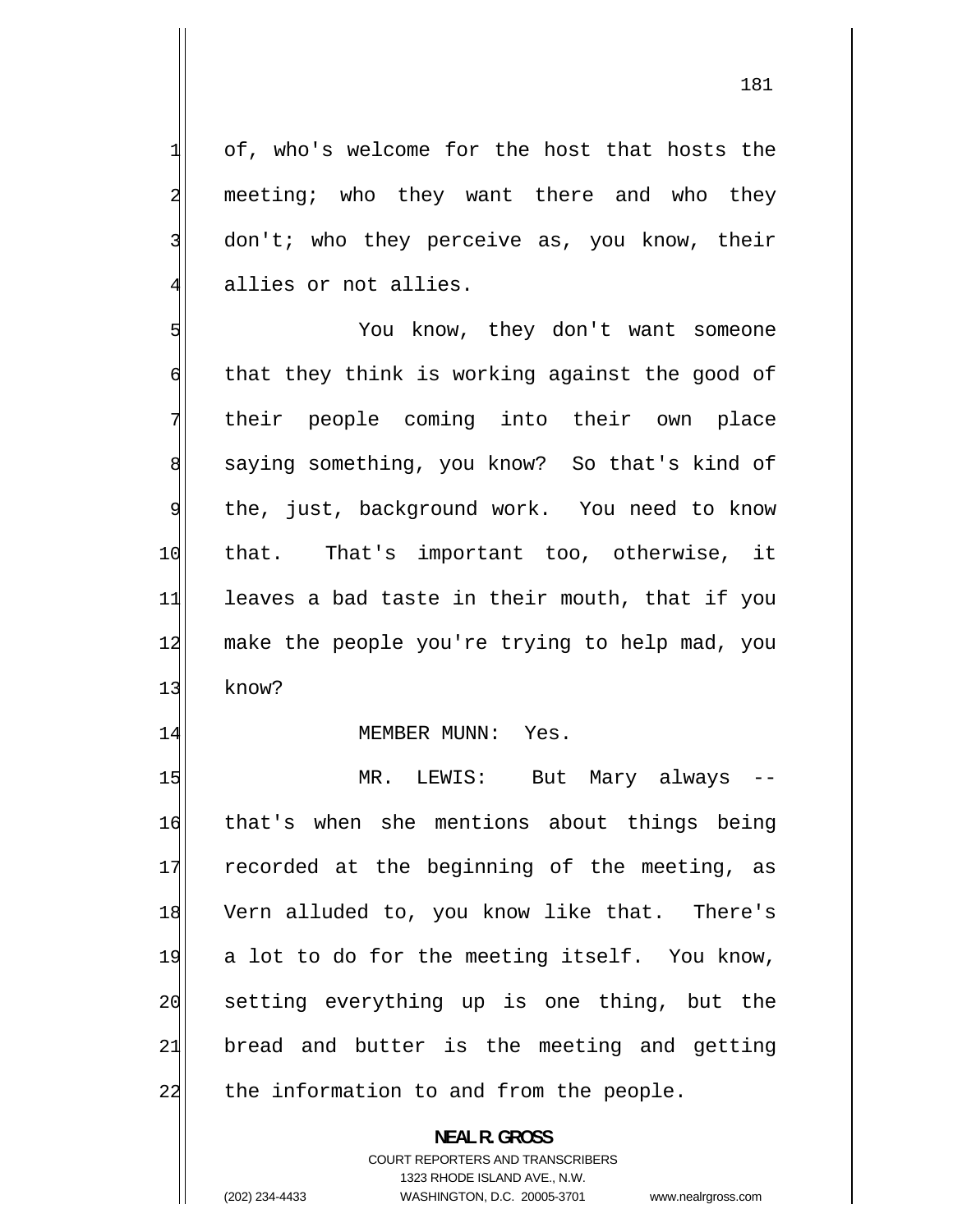of, who's welcome for the host that hosts the meeting; who they want there and who they don't; who they perceive as, you know, their allies or not allies.

1

2

3

4

5 You know, they don't want someone 6 that they think is working against the good of 7 their people coming into their own place 8 saying something, you know? So that's kind of 9 the, just, background work. You need to know 10 that. That's important too, otherwise, it 11 leaves a bad taste in their mouth, that if you 12 make the people you're trying to help mad, you 13 know?

#### 14 MEMBER MUNN: Yes.

15 MR. LEWIS: But Mary always 16 that's when she mentions about things being 17 recorded at the beginning of the meeting, as 18 Vern alluded to, you know like that. There's 19 a lot to do for the meeting itself. You know, 20 setting everything up is one thing, but the 21 bread and butter is the meeting and getting  $22$  the information to and from the people.

> **NEAL R. GROSS**  COURT REPORTERS AND TRANSCRIBERS 1323 RHODE ISLAND AVE., N.W.

(202) 234-4433 WASHINGTON, D.C. 20005-3701 www.nealrgross.com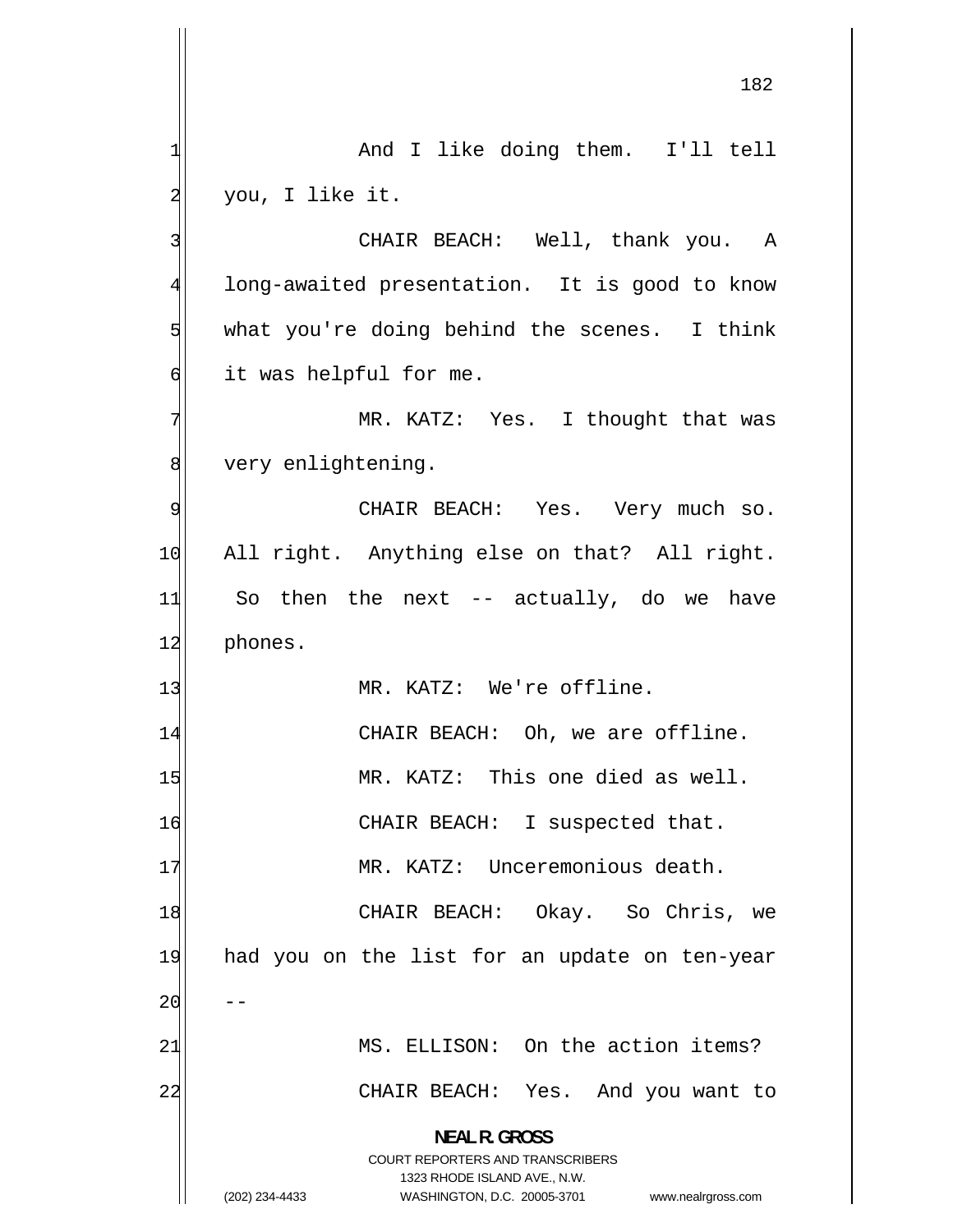-- 182 1 And I like doing them. I'll tell 2 you, I like it. 3 CHAIR BEACH: Well, thank you. A 4 long-awaited presentation. It is good to know 5 what you're doing behind the scenes. I think 6 it was helpful for me. 7 MR. KATZ: Yes. I thought that was 8 very enlightening. 9 CHAIR BEACH: Yes. Very much so. 10 All right. Anything else on that? All right. 11 So then the next  $-$  actually, do we have 12 phones. 13 MR. KATZ: We're offline. 14 CHAIR BEACH: Oh, we are offline. 15 MR. KATZ: This one died as well. 16 CHAIR BEACH: I suspected that. 17 MR. KATZ: Unceremonious death. 18 CHAIR BEACH: Okay. So Chris, we 19 had you on the list for an update on ten-year 20 21 MS. ELLISON: On the action items? 22 CHAIR BEACH: Yes. And you want to **NEAL R. GROSS**  COURT REPORTERS AND TRANSCRIBERS 1323 RHODE ISLAND AVE., N.W. (202) 234-4433 WASHINGTON, D.C. 20005-3701 www.nealrgross.com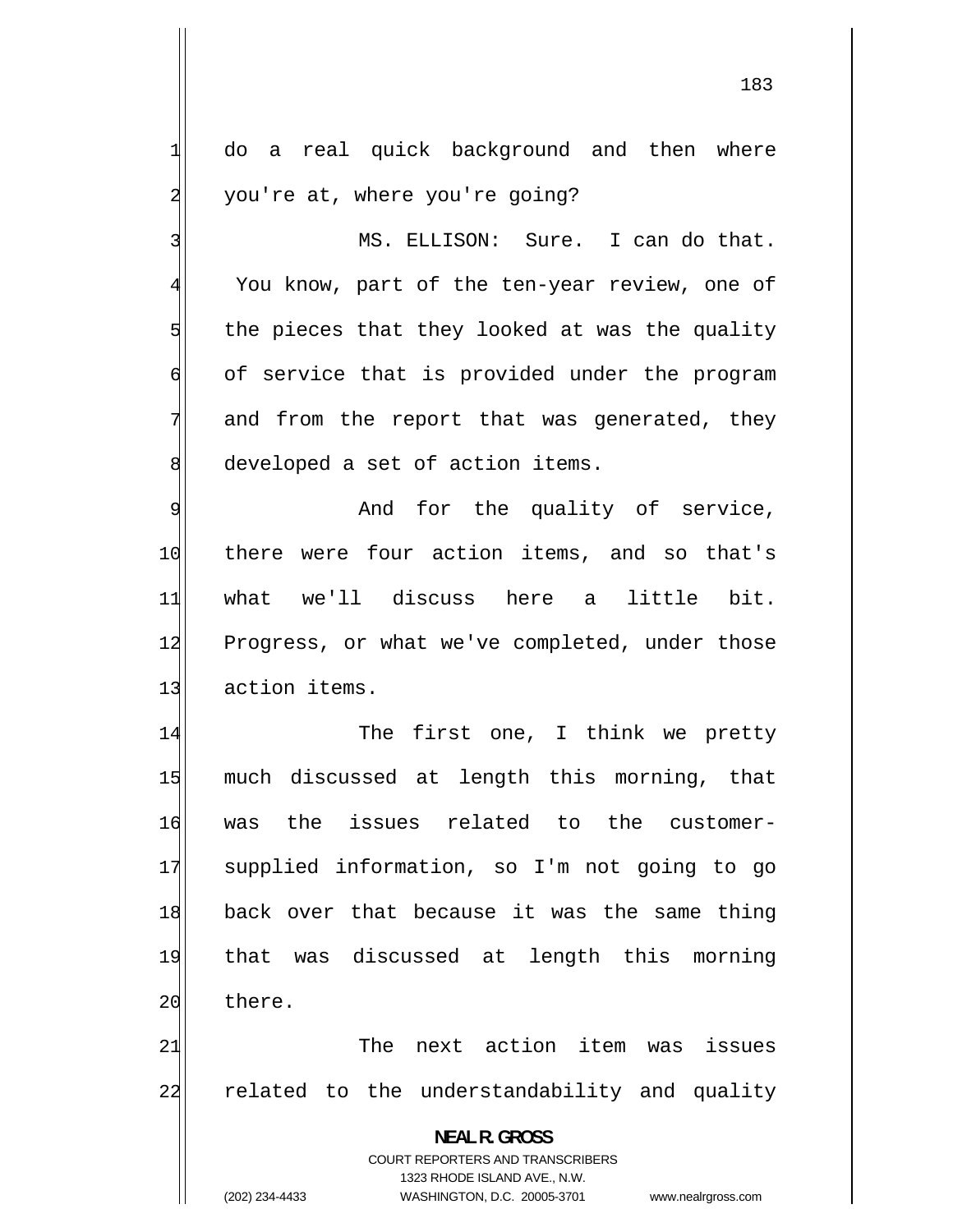do a real quick background and then where you're at, where you're going? MS. ELLISON: Sure. I can do that. You know, part of the ten-year review, one of

1

2

3

4

5

6

7

8

 the pieces that they looked at was the quality of service that is provided under the program and from the report that was generated, they developed a set of action items.

9 And for the quality of service, 10 there were four action items, and so that's 11 what we'll discuss here a little bit. 12 Progress, or what we've completed, under those 13 action items.

14 The first one, I think we pretty 15 much discussed at length this morning, that 16 was the issues related to the customer-17 supplied information, so I'm not going to go 18 back over that because it was the same thing 19 that was discussed at length this morning 20 there.

21 The next action item was issues 22 related to the understandability and quality

> **NEAL R. GROSS**  COURT REPORTERS AND TRANSCRIBERS 1323 RHODE ISLAND AVE., N.W.

(202) 234-4433 WASHINGTON, D.C. 20005-3701 www.nealrgross.com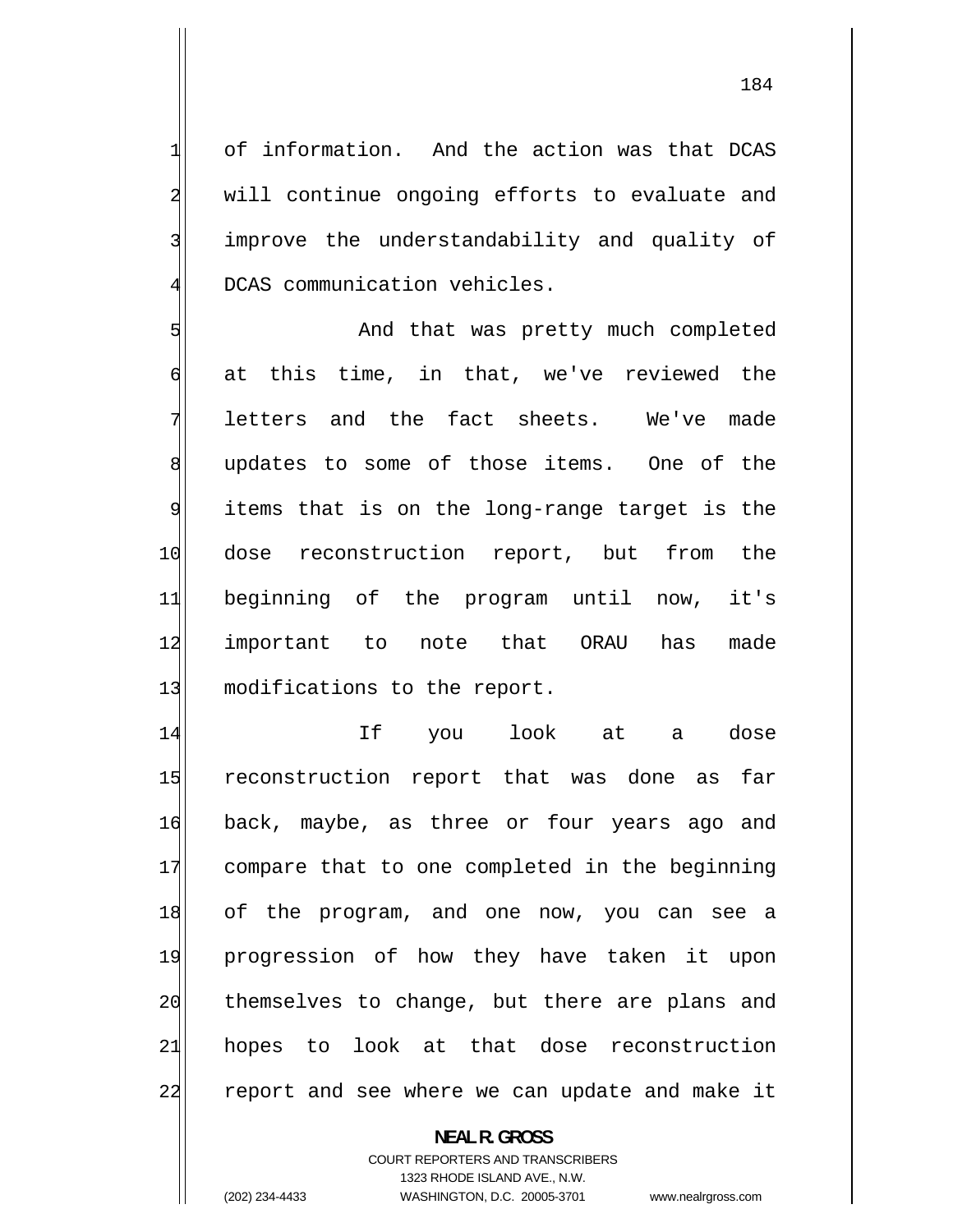of information. And the action was that DCAS will continue ongoing efforts to evaluate and improve the understandability and quality of DCAS communication vehicles.

1

2

3

4

5 And that was pretty much completed 6 at this time, in that, we've reviewed the 7 letters and the fact sheets. We've made 8 updates to some of those items. One of the 9 items that is on the long-range target is the 10 dose reconstruction report, but from the 11 beginning of the program until now, it's 12 important to note that ORAU has made 13 modifications to the report.

14 If you look at a dose 15 reconstruction report that was done as far 16 back, maybe, as three or four years ago and 17 compare that to one completed in the beginning 18 of the program, and one now, you can see a 19 progression of how they have taken it upon 20 themselves to change, but there are plans and 21 hopes to look at that dose reconstruction 22 report and see where we can update and make it

# **NEAL R. GROSS**  COURT REPORTERS AND TRANSCRIBERS 1323 RHODE ISLAND AVE., N.W. (202) 234-4433 WASHINGTON, D.C. 20005-3701 www.nealrgross.com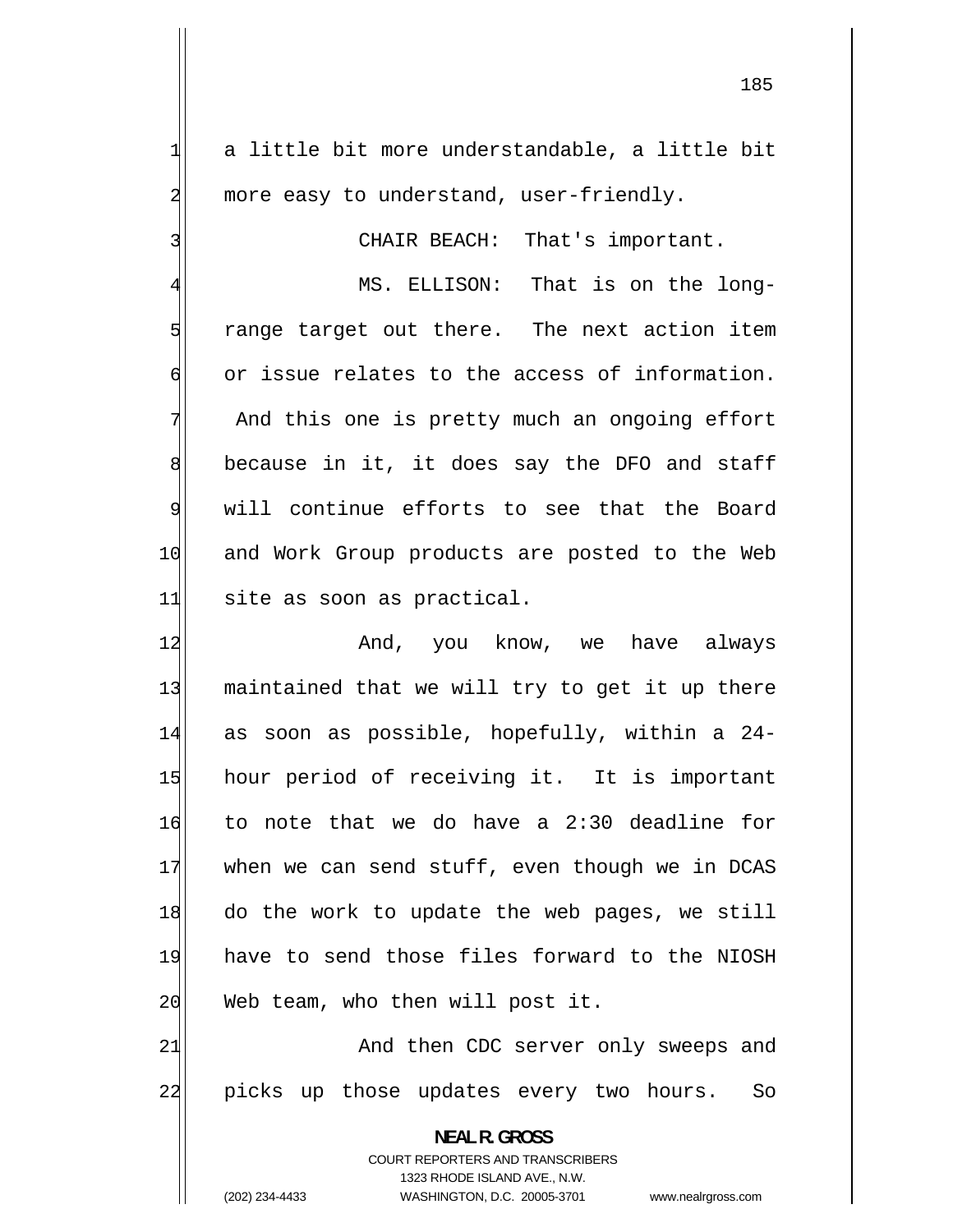a little bit more understandable, a little bit more easy to understand, user-friendly.

CHAIR BEACH: That's important.

4 MS. ELLISON: That is on the long-5 range target out there. The next action item 6 or issue relates to the access of information. 7 And this one is pretty much an ongoing effort 8 because in it, it does say the DFO and staff 9 will continue efforts to see that the Board 10 and Work Group products are posted to the Web 11 site as soon as practical.

12 And, you know, we have always 13 maintained that we will try to get it up there 14 as soon as possible, hopefully, within a 24- 15 hour period of receiving it. It is important 16 to note that we do have a 2:30 deadline for 17 when we can send stuff, even though we in DCAS 18 do the work to update the web pages, we still 19 have to send those files forward to the NIOSH 20 Web team, who then will post it.

21 And then CDC server only sweeps and 22 picks up those updates every two hours. So

**NEAL R. GROSS** 

COURT REPORTERS AND TRANSCRIBERS 1323 RHODE ISLAND AVE., N.W.

1

2

3

(202) 234-4433 WASHINGTON, D.C. 20005-3701 www.nealrgross.com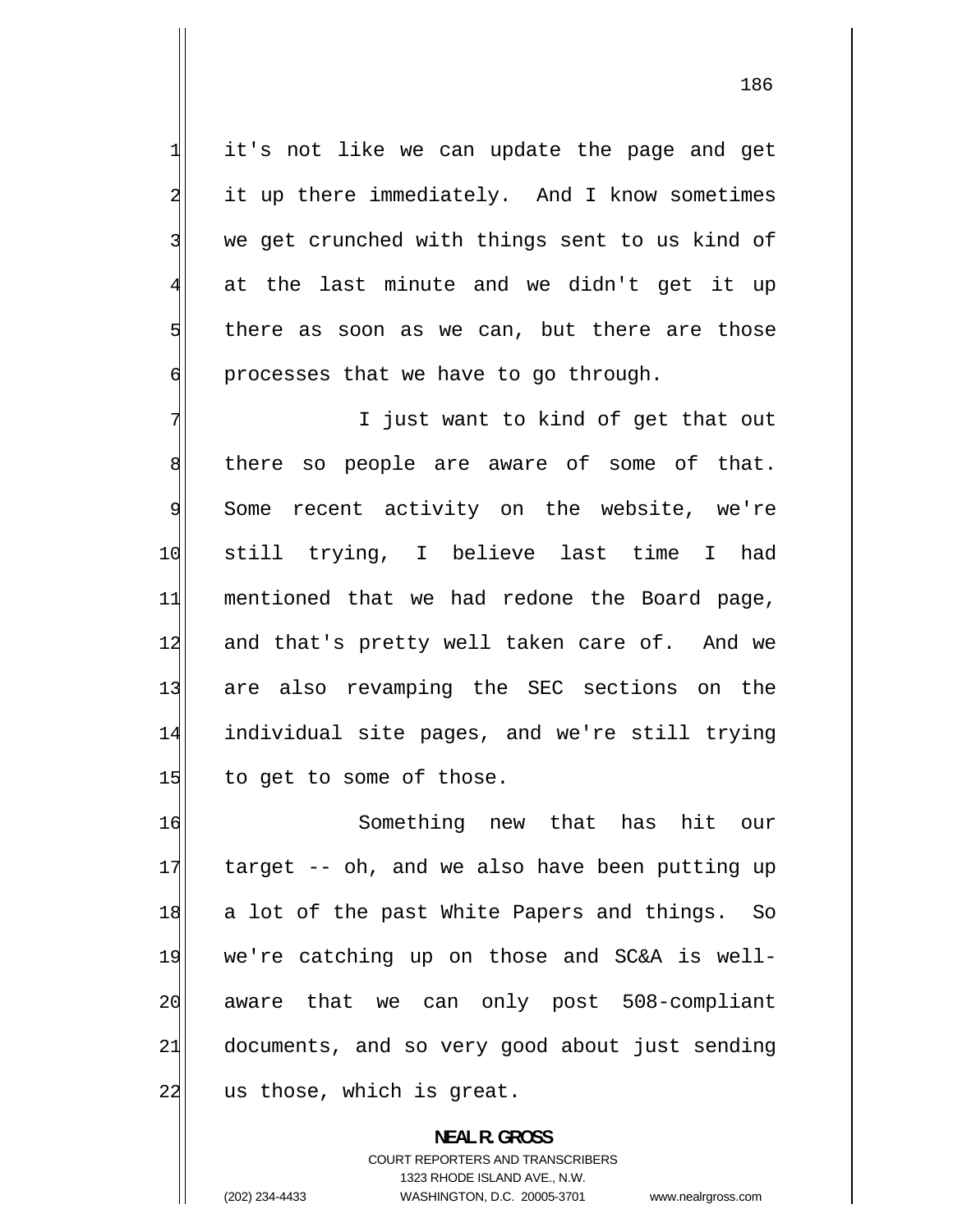it's not like we can update the page and get it up there immediately. And I know sometimes we get crunched with things sent to us kind of at the last minute and we didn't get it up there as soon as we can, but there are those processes that we have to go through.

1

2

3

4

5

6

7 I just want to kind of get that out 8 there so people are aware of some of that. 9 Some recent activity on the website, we're 10 still trying, I believe last time I had 11 mentioned that we had redone the Board page, 12 and that's pretty well taken care of. And we 13 are also revamping the SEC sections on the 14 individual site pages, and we're still trying  $15$  to get to some of those.

16 Something new that has hit our 17 target -- oh, and we also have been putting up 18 a lot of the past White Papers and things. So 19 we're catching up on those and SC&A is well-20 aware that we can only post 508-compliant 21 documents, and so very good about just sending 22 us those, which is great.

> **NEAL R. GROSS**  COURT REPORTERS AND TRANSCRIBERS 1323 RHODE ISLAND AVE., N.W. (202) 234-4433 WASHINGTON, D.C. 20005-3701 www.nealrgross.com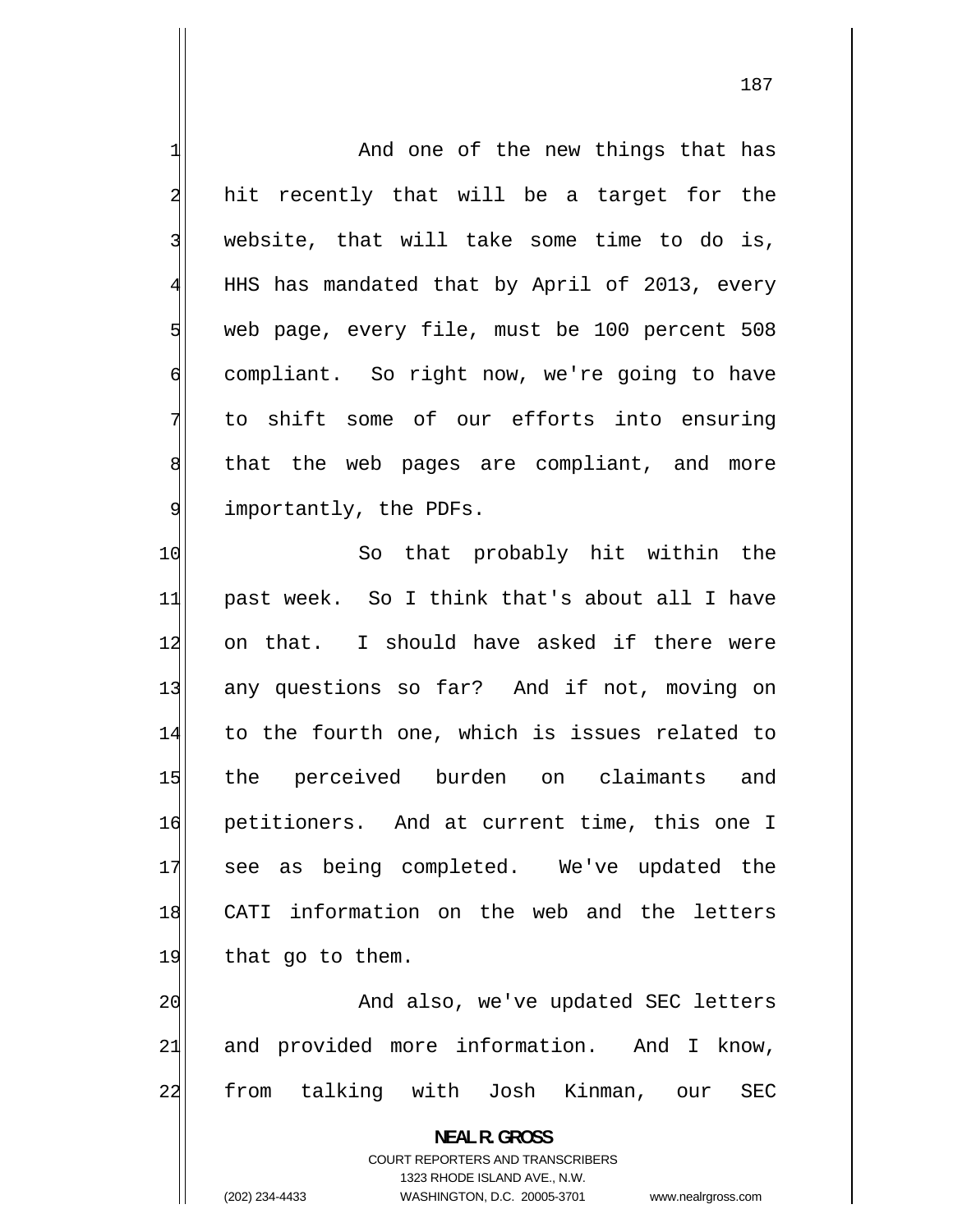1 And one of the new things that has 2 hit recently that will be a target for the 3 website, that will take some time to do is, 4 HHS has mandated that by April of 2013, every 5 web page, every file, must be 100 percent 508 6 compliant. So right now, we're going to have 7 to shift some of our efforts into ensuring 8 that the web pages are compliant, and more 9 importantly, the PDFs. 10 So that probably hit within the 11 past week. So I think that's about all I have 12 on that. I should have asked if there were 13 any questions so far? And if not, moving on 14 to the fourth one, which is issues related to 15 the perceived burden on claimants and 16 petitioners. And at current time, this one I 17 see as being completed. We've updated the 18 CATI information on the web and the letters 19 that go to them. 20 And also, we've updated SEC letters 21 and provided more information. And I know, 22 from talking with Josh Kinman, our SEC **NEAL R. GROSS**  COURT REPORTERS AND TRANSCRIBERS 1323 RHODE ISLAND AVE., N.W. (202) 234-4433 WASHINGTON, D.C. 20005-3701 www.nealrgross.com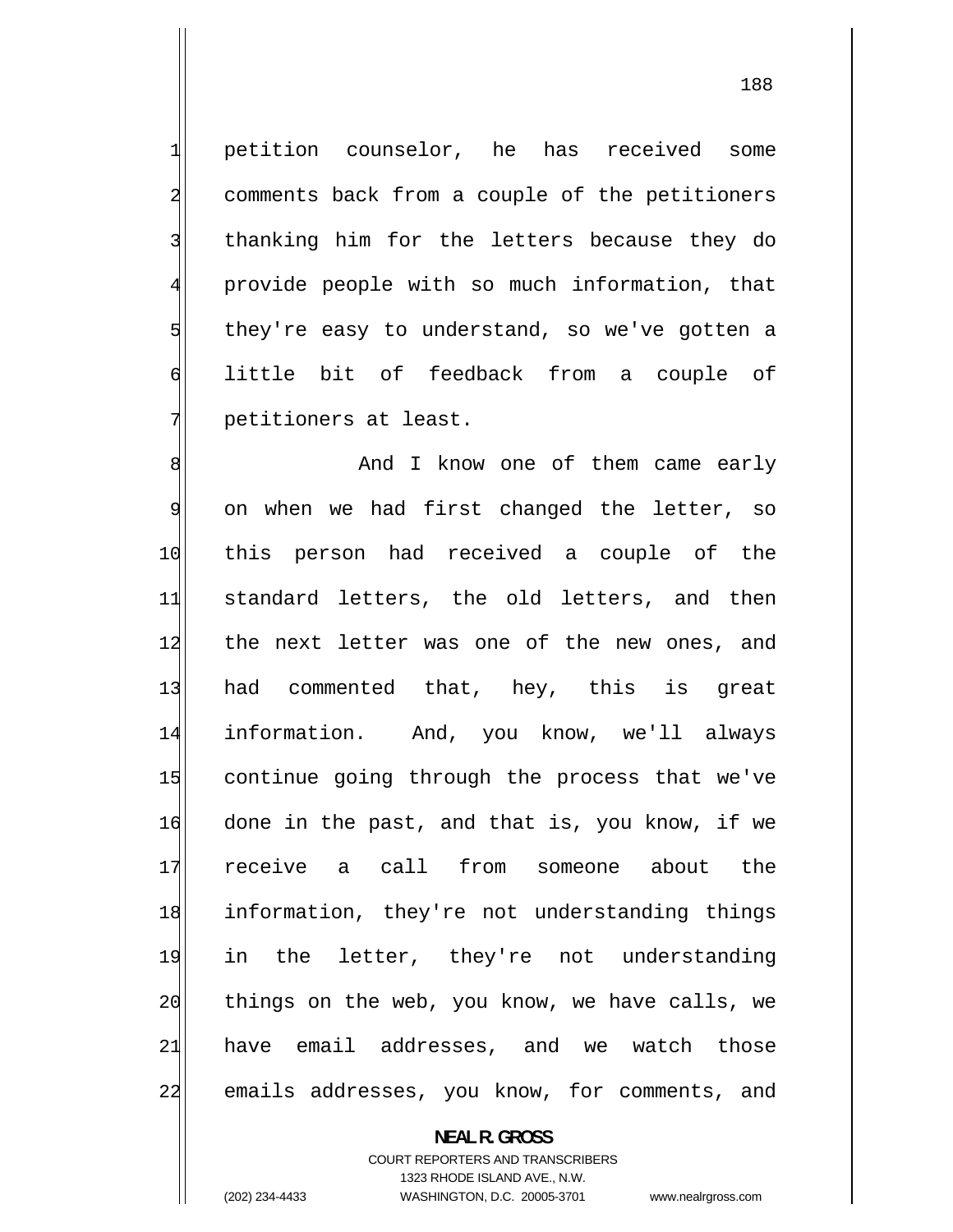petition counselor, he has received some comments back from a couple of the petitioners thanking him for the letters because they do provide people with so much information, that they're easy to understand, so we've gotten a little bit of feedback from a couple of petitioners at least.

1

2

3

4

5

6

7

8 And I know one of them came early 9 on when we had first changed the letter, so 10 this person had received a couple of the 11 standard letters, the old letters, and then 12 the next letter was one of the new ones, and 13 had commented that, hey, this is great 14 information. And, you know, we'll always 15 continue going through the process that we've 16 done in the past, and that is, you know, if we 17 receive a call from someone about the 18 information, they're not understanding things 19 in the letter, they're not understanding 20 things on the web, you know, we have calls, we 21 have email addresses, and we watch those 22 emails addresses, you know, for comments, and

**NEAL R. GROSS** 

COURT REPORTERS AND TRANSCRIBERS 1323 RHODE ISLAND AVE., N.W. (202) 234-4433 WASHINGTON, D.C. 20005-3701 www.nealrgross.com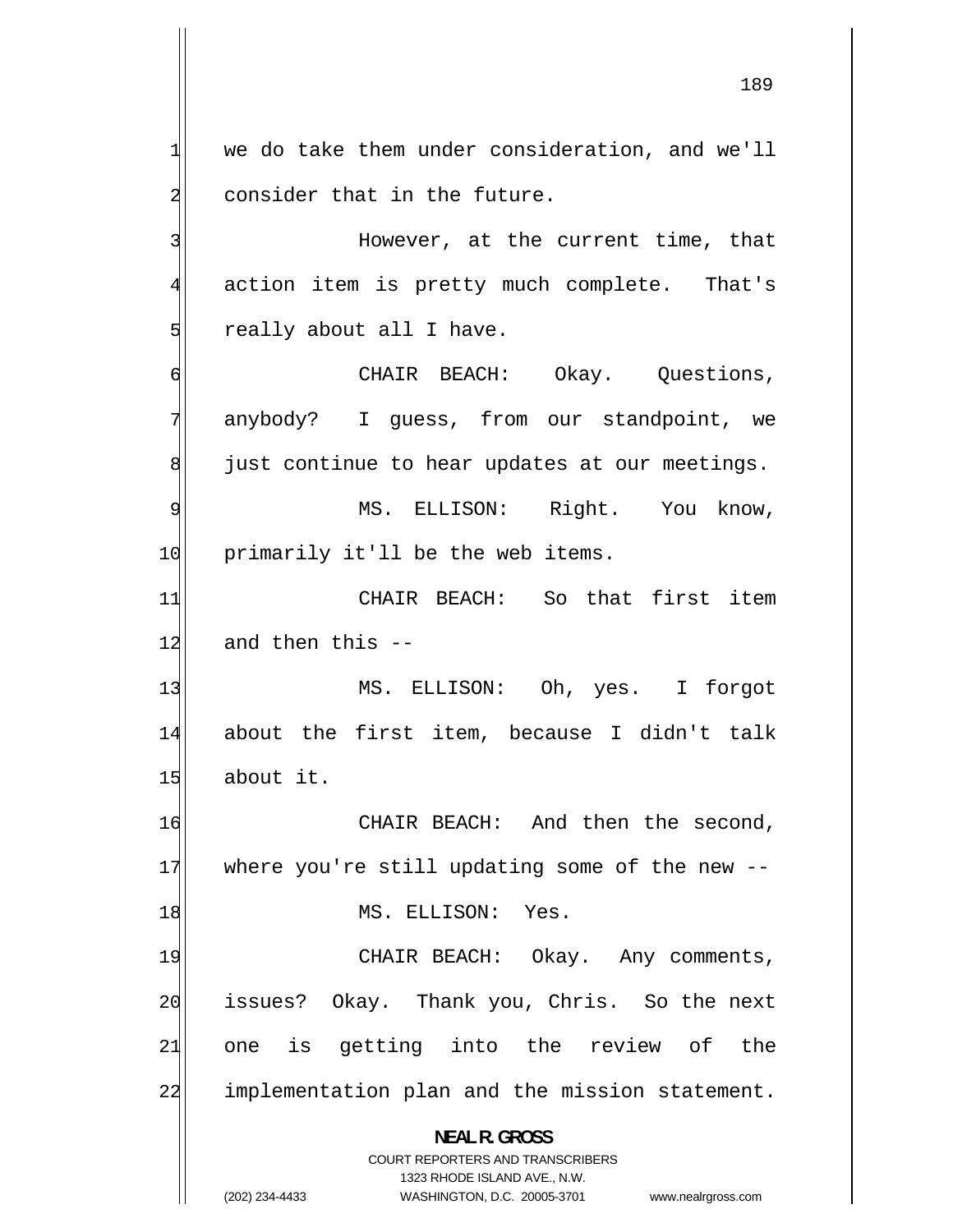we do take them under consideration, and we'll consider that in the future.

 However, at the current time, that action item is pretty much complete. That's really about all I have.

 CHAIR BEACH: Okay. Questions, anybody? I guess, from our standpoint, we just continue to hear updates at our meetings.

9 MS. ELLISON: Right. You know, 10 primarily it'll be the web items.

11 CHAIR BEACH: So that first item 12 and then this --

13 MS. ELLISON: Oh, yes. I forgot 14 about the first item, because I didn't talk 15 about it.

16 CHAIR BEACH: And then the second, 17 where you're still updating some of the new -- 18 MS. ELLISON: Yes.

19 CHAIR BEACH: Okay. Any comments, 20 issues? Okay. Thank you, Chris. So the next 21 one is getting into the review of the 22 implementation plan and the mission statement.

> **NEAL R. GROSS**  COURT REPORTERS AND TRANSCRIBERS

> > 1323 RHODE ISLAND AVE., N.W.

(202) 234-4433 WASHINGTON, D.C. 20005-3701 www.nealrgross.com

1

2

3

4

5

6

7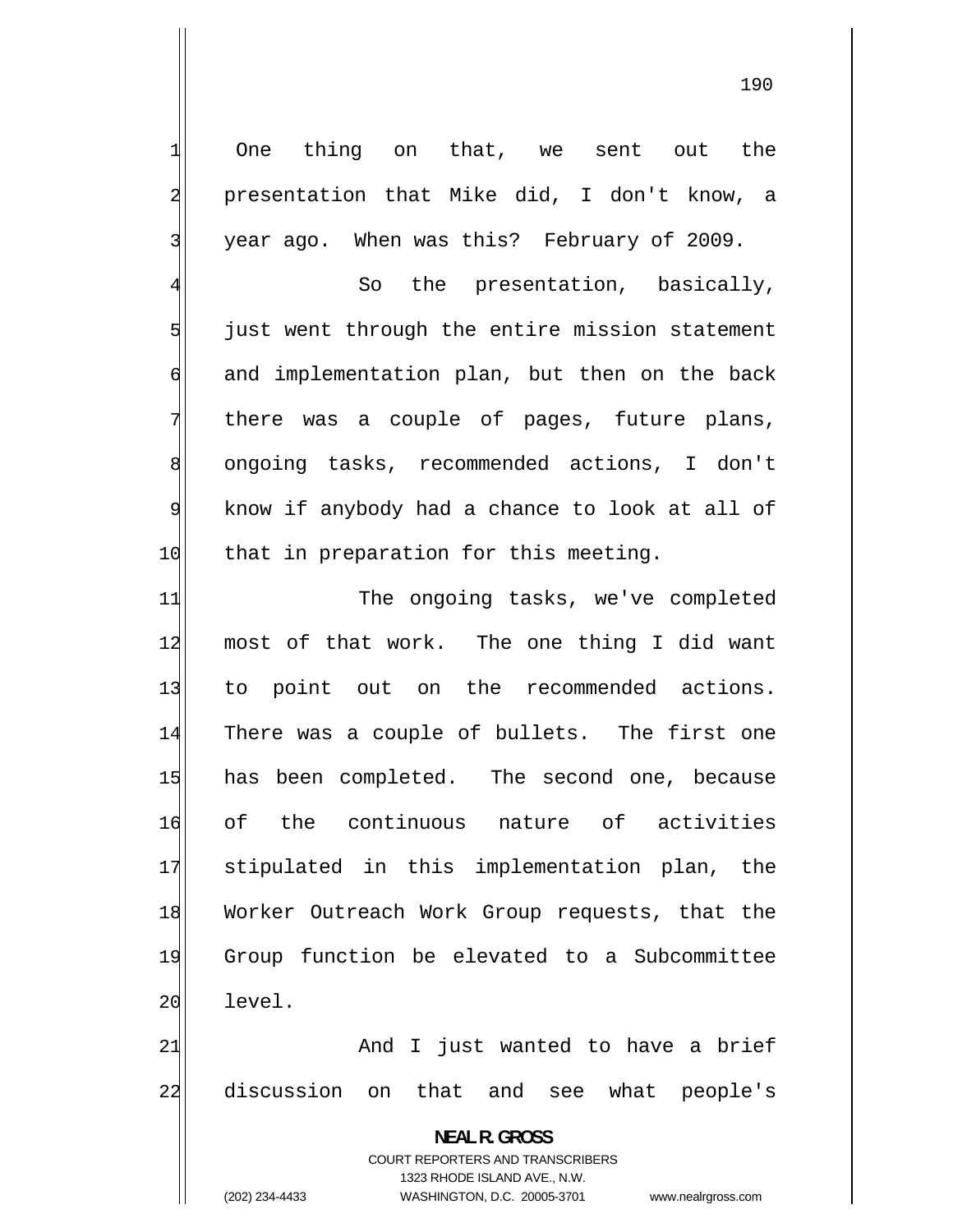One thing on that, we sent out the presentation that Mike did, I don't know, a year ago. When was this? February of 2009.

1

2

3

4

5

7

9

 So the presentation, basically, just went through the entire mission statement 6 and implementation plan, but then on the back there was a couple of pages, future plans, 8 ongoing tasks, recommended actions, I don't know if anybody had a chance to look at all of 10 that in preparation for this meeting.

11 The ongoing tasks, we've completed 12 most of that work. The one thing I did want 13 to point out on the recommended actions. 14 There was a couple of bullets. The first one 15 has been completed. The second one, because 16 of the continuous nature of activities 17 stipulated in this implementation plan, the 18 Worker Outreach Work Group requests, that the 19 Group function be elevated to a Subcommittee 20 level.

21 And I just wanted to have a brief 22 discussion on that and see what people's

> **NEAL R. GROSS**  COURT REPORTERS AND TRANSCRIBERS 1323 RHODE ISLAND AVE., N.W.

(202) 234-4433 WASHINGTON, D.C. 20005-3701 www.nealrgross.com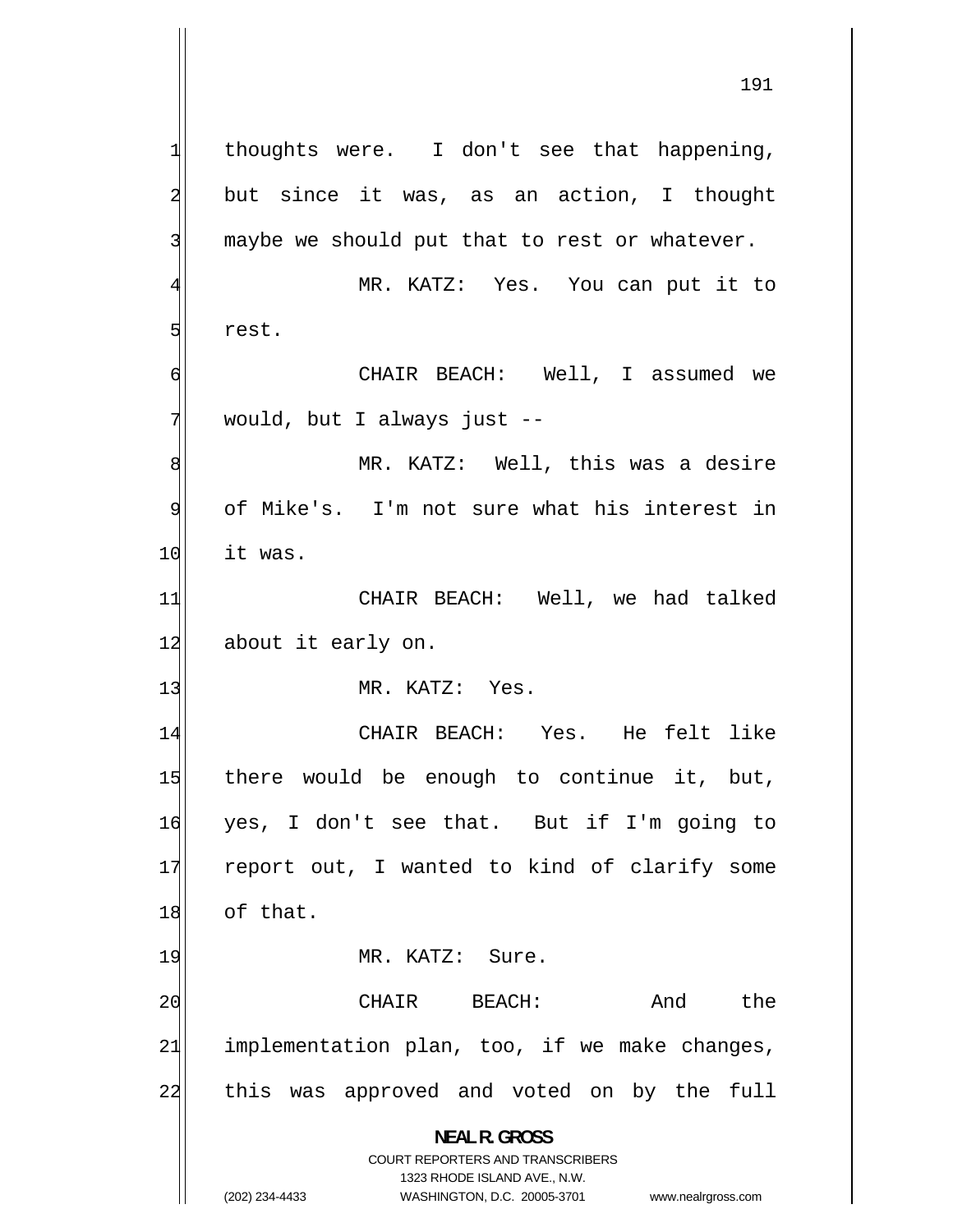1 thoughts were. I don't see that happening, 2 but since it was, as an action, I thought 3 maybe we should put that to rest or whatever. 4 MR. KATZ: Yes. You can put it to 5 rest. 6 CHAIR BEACH: Well, I assumed we 7 would, but I always just -- 8 MR. KATZ: Well, this was a desire 9 of Mike's. I'm not sure what his interest in 10 it was. 11 CHAIR BEACH: Well, we had talked 12 about it early on. 13 MR. KATZ: Yes. 14 CHAIR BEACH: Yes. He felt like 15 there would be enough to continue it, but, 16 yes, I don't see that. But if I'm going to 17 report out, I wanted to kind of clarify some 18 of that. 19 MR. KATZ: Sure. 20 CHAIR BEACH: And the 21 implementation plan, too, if we make changes, 22 this was approved and voted on by the full **NEAL R. GROSS**  COURT REPORTERS AND TRANSCRIBERS

> 1323 RHODE ISLAND AVE., N.W. (202) 234-4433 WASHINGTON, D.C. 20005-3701 www.nealrgross.com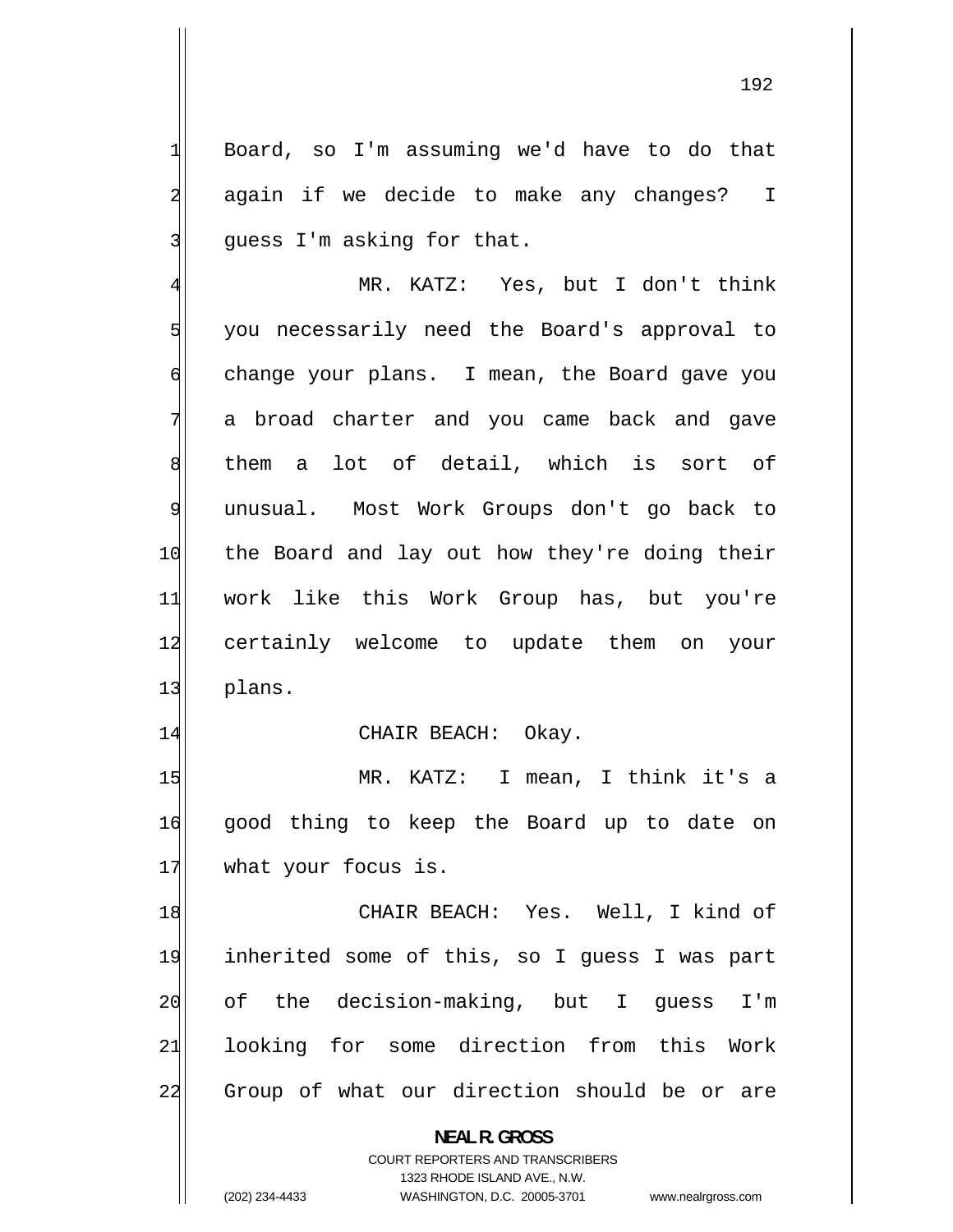Board, so I'm assuming we'd have to do that again if we decide to make any changes? I guess I'm asking for that.

1

2

3

4 MR. KATZ: Yes, but I don't think 5 you necessarily need the Board's approval to 6 change your plans. I mean, the Board gave you 7 a broad charter and you came back and gave 8 them a lot of detail, which is sort of 9 unusual. Most Work Groups don't go back to 10 the Board and lay out how they're doing their 11 work like this Work Group has, but you're 12 certainly welcome to update them on your 13 plans.

#### 14 CHAIR BEACH: Okay.

15 MR. KATZ: I mean, I think it's a 16 good thing to keep the Board up to date on 17 what your focus is.

18 CHAIR BEACH: Yes. Well, I kind of 19 inherited some of this, so I guess I was part 20 of the decision-making, but I guess I'm 21 looking for some direction from this Work 22 Group of what our direction should be or are

**NEAL R. GROSS** 

COURT REPORTERS AND TRANSCRIBERS 1323 RHODE ISLAND AVE., N.W. (202) 234-4433 WASHINGTON, D.C. 20005-3701 www.nealrgross.com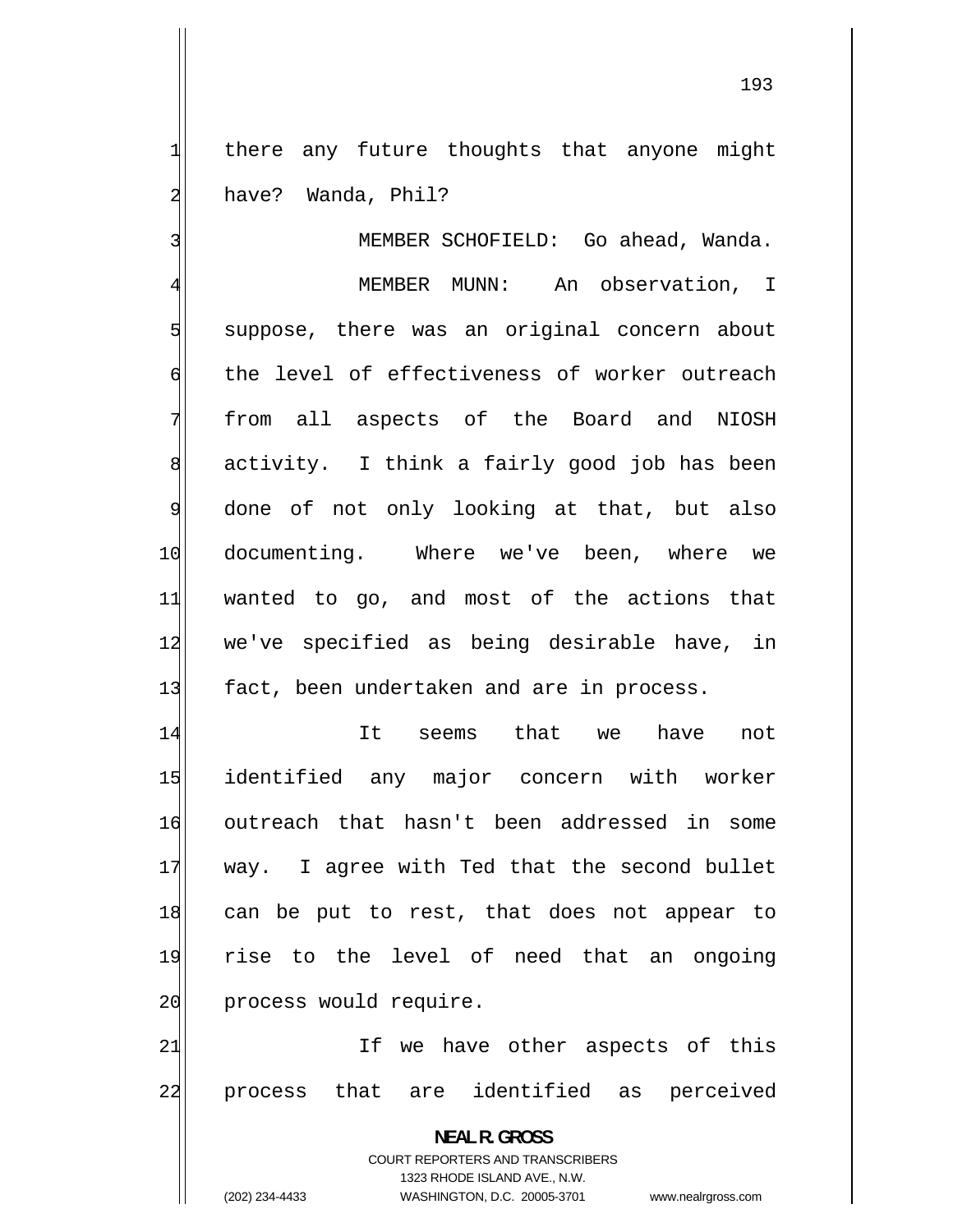there any future thoughts that anyone might have? Wanda, Phil?

1

2

3 MEMBER SCHOFIELD: Go ahead, Wanda. 4 MEMBER MUNN: An observation, I 5 suppose, there was an original concern about 6 the level of effectiveness of worker outreach 7 from all aspects of the Board and NIOSH 8 activity. I think a fairly good job has been 9 done of not only looking at that, but also 10 documenting. Where we've been, where we 11 wanted to go, and most of the actions that 12 we've specified as being desirable have, in 13 fact, been undertaken and are in process.

14 It seems that we have not 15 identified any major concern with worker 16 outreach that hasn't been addressed in some 17 way. I agree with Ted that the second bullet 18 can be put to rest, that does not appear to 19 rise to the level of need that an ongoing 20 process would require.

21 If we have other aspects of this 22 process that are identified as perceived

> **NEAL R. GROSS**  COURT REPORTERS AND TRANSCRIBERS 1323 RHODE ISLAND AVE., N.W. (202) 234-4433 WASHINGTON, D.C. 20005-3701 www.nealrgross.com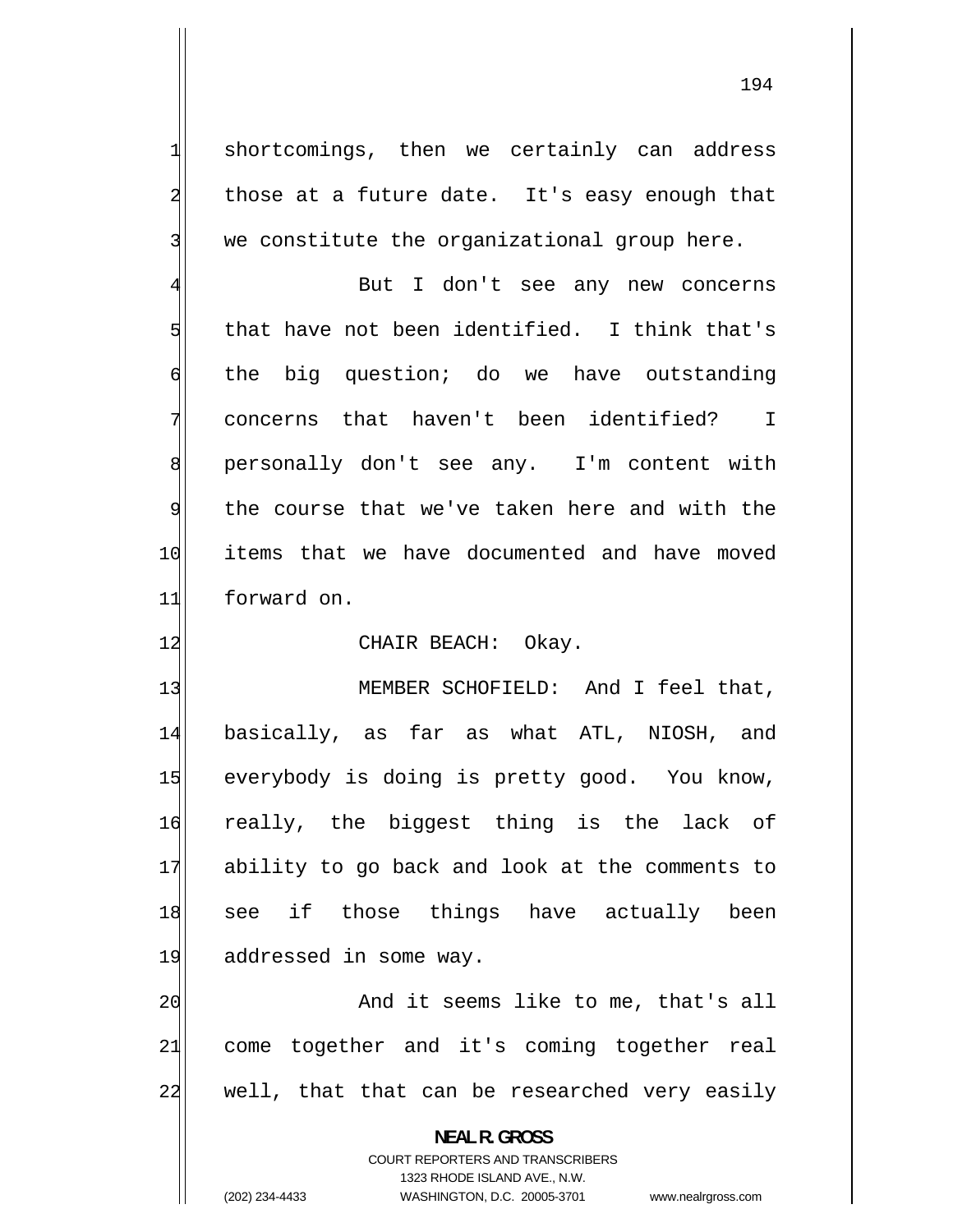shortcomings, then we certainly can address those at a future date. It's easy enough that we constitute the organizational group here.

1

2

3

5

7

4 But I don't see any new concerns that have not been identified. I think that's 6 the big question; do we have outstanding concerns that haven't been identified? I 8 personally don't see any. I'm content with 9 the course that we've taken here and with the 10 items that we have documented and have moved 11 forward on.

### 12 CHAIR BEACH: Okay.

13 MEMBER SCHOFIELD: And I feel that, 14 basically, as far as what ATL, NIOSH, and 15 everybody is doing is pretty good. You know, 16 really, the biggest thing is the lack of 17 ability to go back and look at the comments to 18 see if those things have actually been 19 addressed in some way.

20 And it seems like to me, that's all 21 come together and it's coming together real 22 well, that that can be researched very easily

> **NEAL R. GROSS**  COURT REPORTERS AND TRANSCRIBERS 1323 RHODE ISLAND AVE., N.W. (202) 234-4433 WASHINGTON, D.C. 20005-3701 www.nealrgross.com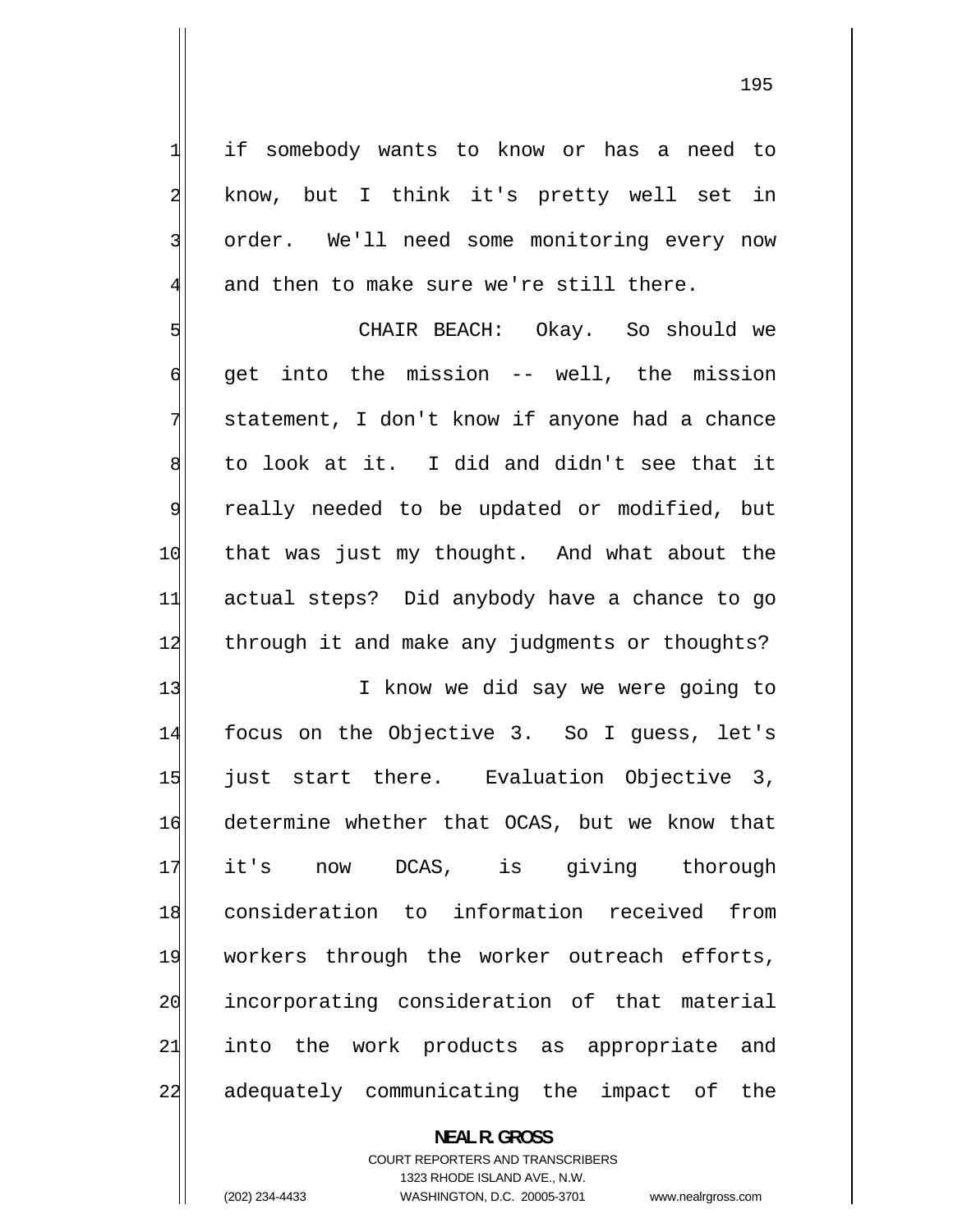if somebody wants to know or has a need to know, but I think it's pretty well set in order. We'll need some monitoring every now and then to make sure we're still there.

5 CHAIR BEACH: Okay. So should we 6 get into the mission -- well, the mission 7 statement, I don't know if anyone had a chance 8 to look at it. I did and didn't see that it 9 really needed to be updated or modified, but 10 that was just my thought. And what about the 11 actual steps? Did anybody have a chance to go 12 through it and make any judgments or thoughts?

13 I know we did say we were going to 14 focus on the Objective 3. So I guess, let's 15 just start there. Evaluation Objective 3, 16 determine whether that OCAS, but we know that 17 it's now DCAS, is giving thorough 18 consideration to information received from 19 workers through the worker outreach efforts, 20 incorporating consideration of that material 21 into the work products as appropriate and 22 adequately communicating the impact of the

> **NEAL R. GROSS**  COURT REPORTERS AND TRANSCRIBERS 1323 RHODE ISLAND AVE., N.W. (202) 234-4433 WASHINGTON, D.C. 20005-3701 www.nealrgross.com

1

2

3

4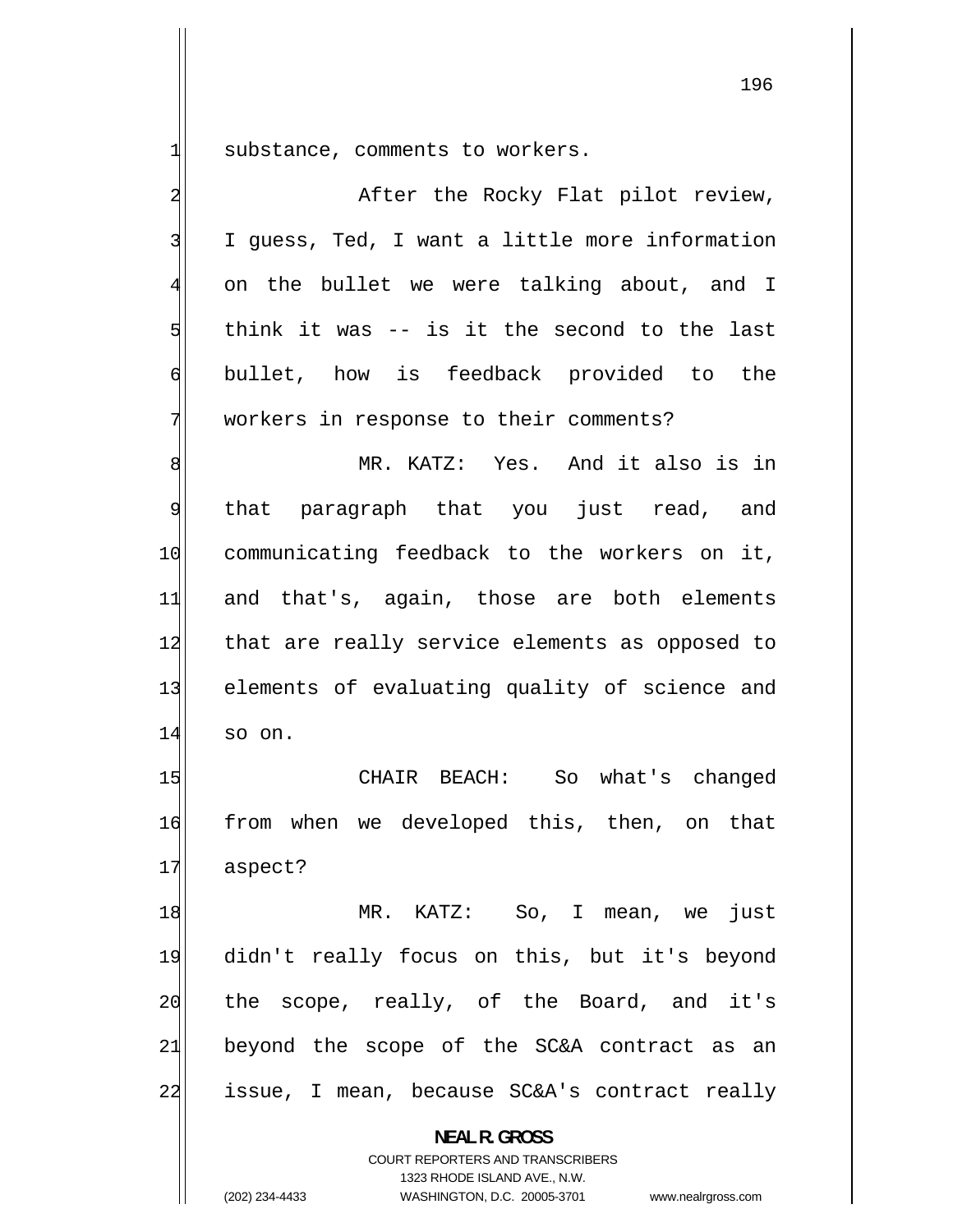| 긔                       | substance, comments to workers.                                     |
|-------------------------|---------------------------------------------------------------------|
| $\overline{\mathbf{c}}$ | After the Rocky Flat pilot review,                                  |
| 3                       | I guess, Ted, I want a little more information                      |
| $\overline{4}$          | on the bullet we were talking about, and I                          |
| 5                       | think it was -- is it the second to the last                        |
| $\epsilon$              | bullet, how is feedback provided to the                             |
| 7                       | workers in response to their comments?                              |
| $\bf8$                  | MR. KATZ: Yes. And it also is in                                    |
| $\overline{9}$          | that paragraph that you just read, and                              |
| 10                      | communicating feedback to the workers on it,                        |
| 11                      | and that's, again, those are both elements                          |
| 12                      | that are really service elements as opposed to                      |
| 13                      | elements of evaluating quality of science and                       |
| 14                      | so on.                                                              |
| 15                      | CHAIR BEACH: So what's changed                                      |
| 16                      | from when we developed this, then, on that                          |
| 17                      | aspect?                                                             |
| 18                      | MR. KATZ: So, I mean, we just                                       |
| 19                      | didn't really focus on this, but it's beyond                        |
| 20                      | the scope, really, of the Board, and it's                           |
| 21                      | beyond the scope of the SC&A contract as an                         |
| 22                      | issue, I mean, because SC&A's contract really                       |
|                         | <b>NEAL R. GROSS</b><br><b>COURT REPORTERS AND TRANSCRIBERS</b>     |
|                         | 1323 RHODE ISLAND AVE., N.W.                                        |
|                         | (202) 234-4433<br>WASHINGTON, D.C. 20005-3701<br>www.nealrgross.com |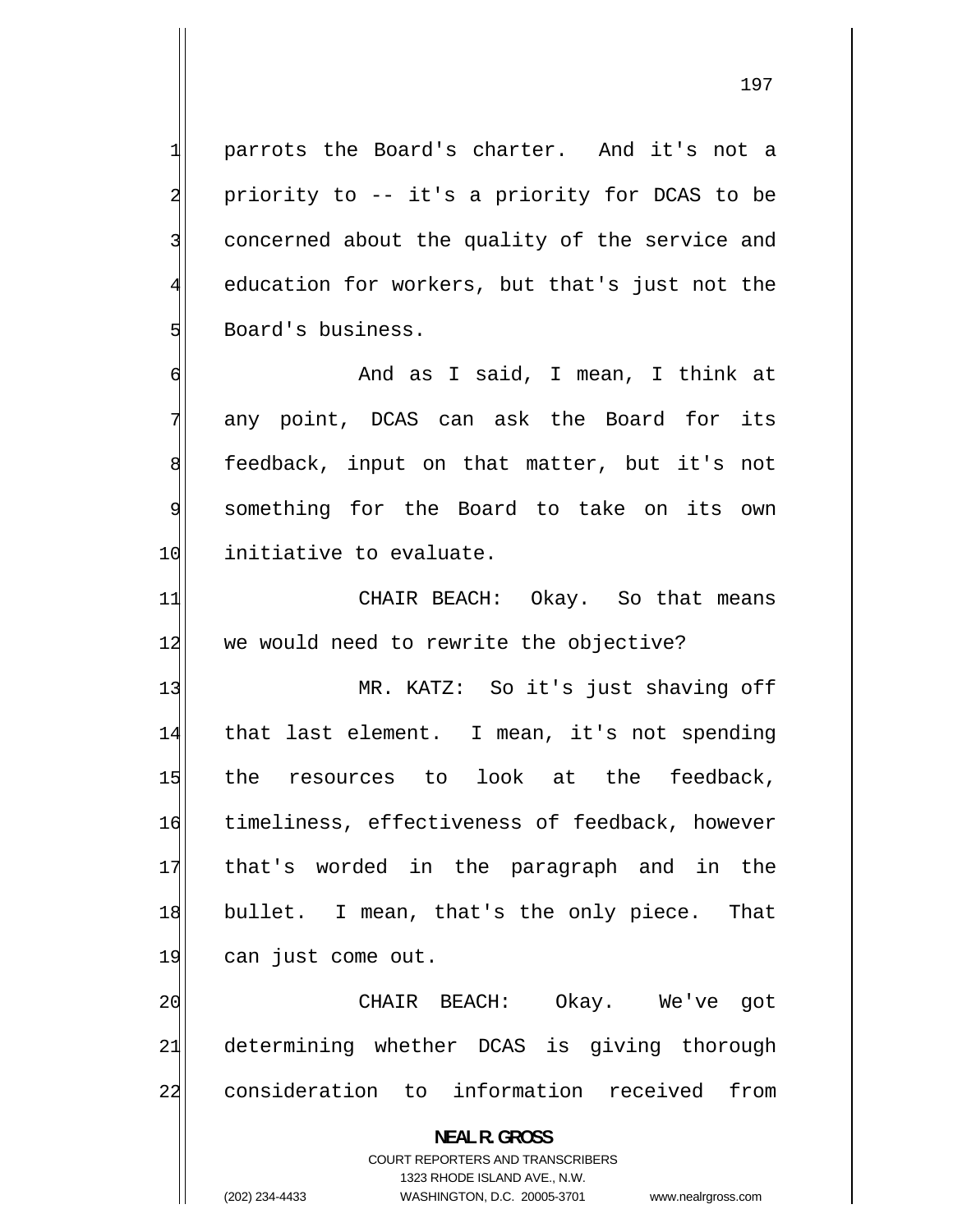parrots the Board's charter. And it's not a priority to -- it's a priority for DCAS to be concerned about the quality of the service and education for workers, but that's just not the Board's business.

 And as I said, I mean, I think at any point, DCAS can ask the Board for its feedback, input on that matter, but it's not something for the Board to take on its own 10 initiative to evaluate.

11 CHAIR BEACH: Okay. So that means 12 we would need to rewrite the objective?

13 MR. KATZ: So it's just shaving off 14 that last element. I mean, it's not spending 15 the resources to look at the feedback, 16 timeliness, effectiveness of feedback, however 17 that's worded in the paragraph and in the 18 bullet. I mean, that's the only piece. That 19 can just come out.

20 CHAIR BEACH: Okay. We've got 21 determining whether DCAS is giving thorough 22 consideration to information received from

> **NEAL R. GROSS**  COURT REPORTERS AND TRANSCRIBERS 1323 RHODE ISLAND AVE., N.W.

1

2

3

4

5

6

7

8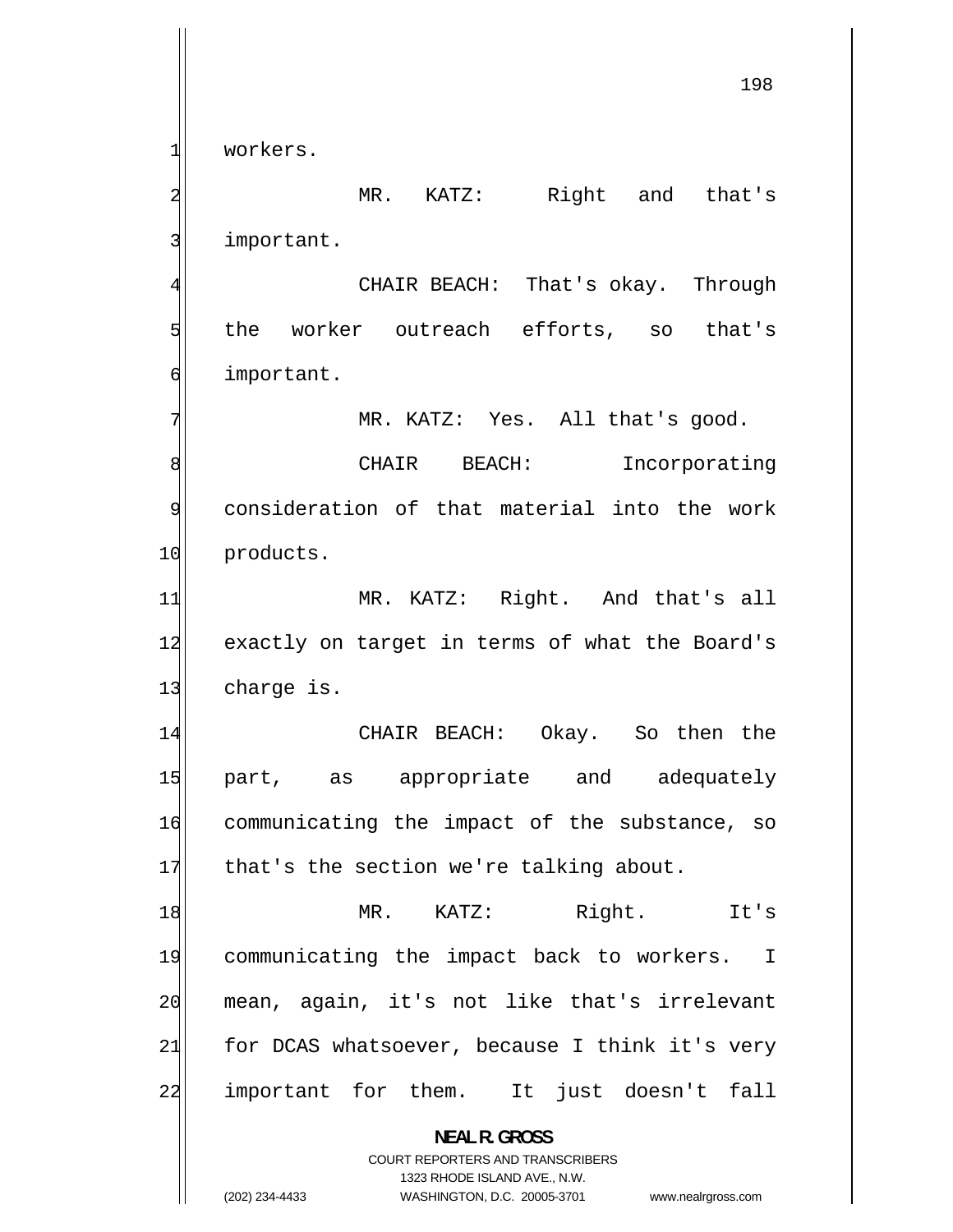workers.

1

2

3

4

5

7

 MR. KATZ: Right and that's important.

 CHAIR BEACH: That's okay. Through the worker outreach efforts, so that's 6 important.

MR. KATZ: Yes. All that's good.

8 CHAIR BEACH: Incorporating 9 consideration of that material into the work 10 products.

11 MR. KATZ: Right. And that's all 12 exactly on target in terms of what the Board's 13 charge is.

14 CHAIR BEACH: Okay. So then the 15 part, as appropriate and adequately 16 communicating the impact of the substance, so 17 that's the section we're talking about.

18 MR. KATZ: Right. It's 19 communicating the impact back to workers. I 20 mean, again, it's not like that's irrelevant 21 for DCAS whatsoever, because I think it's very 22 important for them. It just doesn't fall

> **NEAL R. GROSS**  COURT REPORTERS AND TRANSCRIBERS

> > 1323 RHODE ISLAND AVE., N.W.

(202) 234-4433 WASHINGTON, D.C. 20005-3701 www.nealrgross.com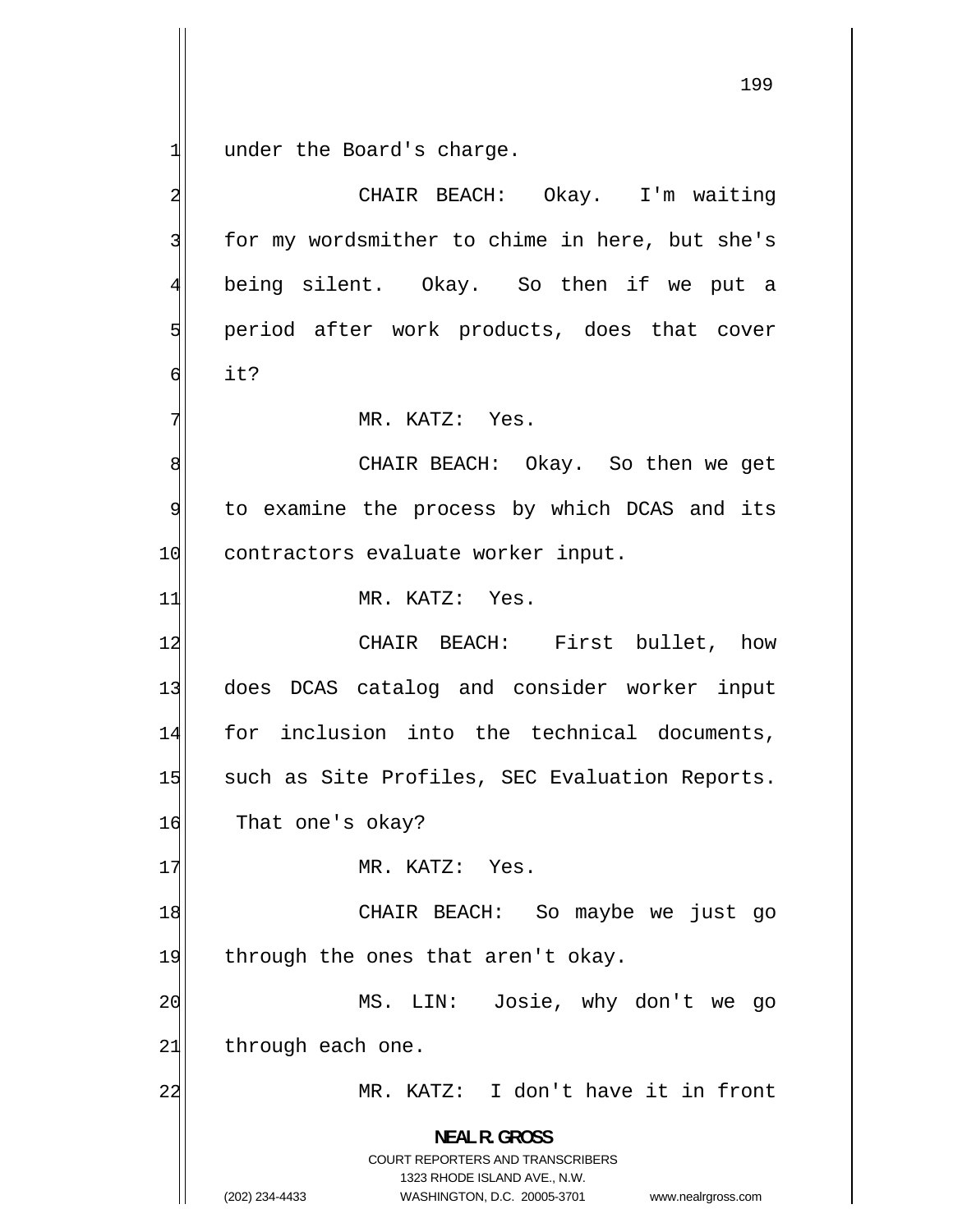1 under the Board's charge.

2 CHAIR BEACH: Okay. I'm waiting 3 for my wordsmither to chime in here, but she's 4 being silent. Okay. So then if we put a 5 period after work products, does that cover 6 it? 7 MR. KATZ: Yes. 8 CHAIR BEACH: Okay. So then we get 9 to examine the process by which DCAS and its 10 contractors evaluate worker input. 11 MR. KATZ: Yes. 12 CHAIR BEACH: First bullet, how 13 does DCAS catalog and consider worker input 14 for inclusion into the technical documents, 15 such as Site Profiles, SEC Evaluation Reports. 16 That one's okay? 17 MR. KATZ: Yes. 18 CHAIR BEACH: So maybe we just go 19 through the ones that aren't okay. 20 MS. LIN: Josie, why don't we go  $21$  through each one. 22 MR. KATZ: I don't have it in front **NEAL R. GROSS**  COURT REPORTERS AND TRANSCRIBERS 1323 RHODE ISLAND AVE., N.W. (202) 234-4433 WASHINGTON, D.C. 20005-3701 www.nealrgross.com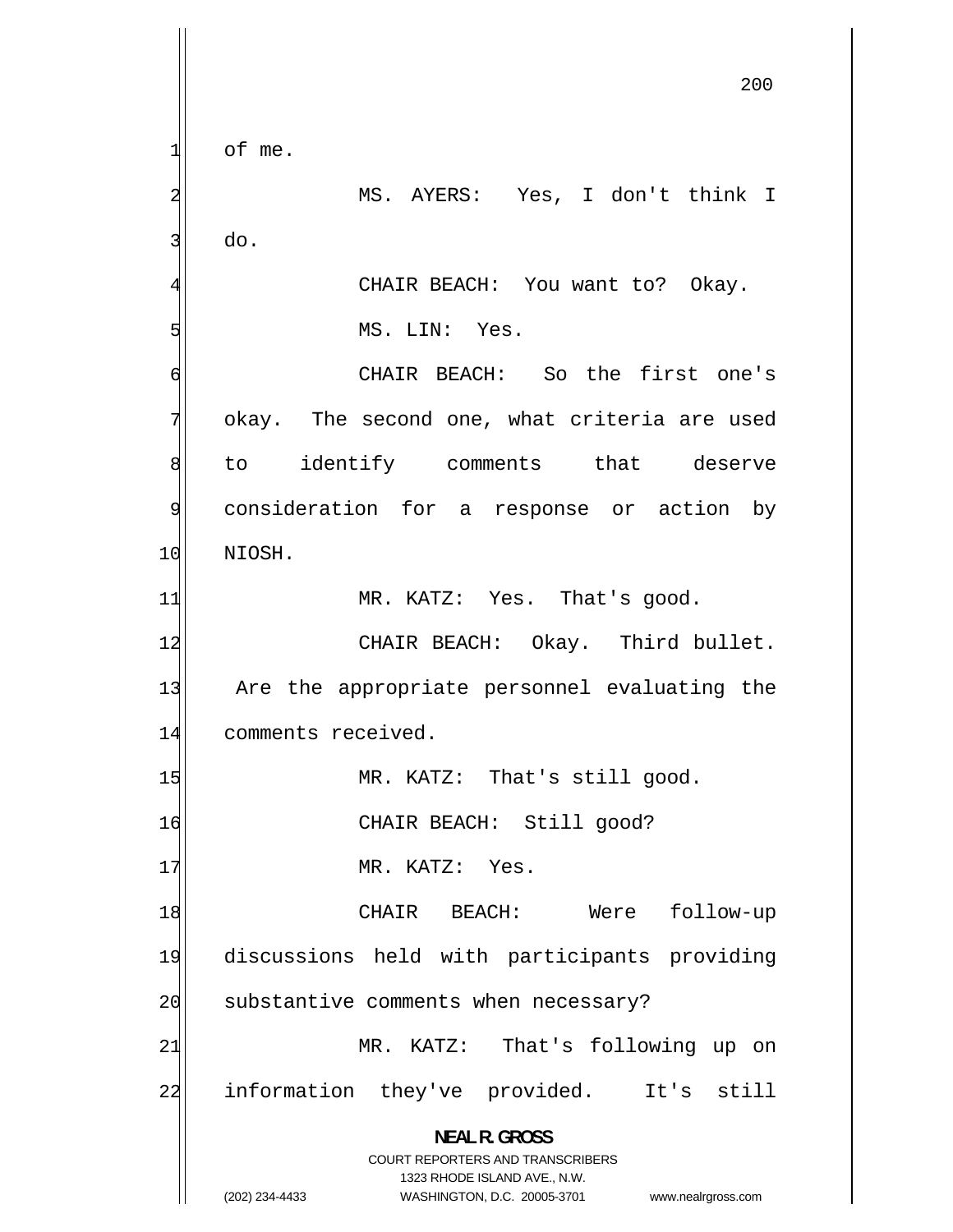200 1 of me. 2 MS. AYERS: Yes, I don't think I 3 do. 4 CHAIR BEACH: You want to? Okay. 5 MS. LIN: Yes. 6 CHAIR BEACH: So the first one's 7 okay. The second one, what criteria are used 8 to identify comments that deserve 9 consideration for a response or action by 10 NIOSH. 11 MR. KATZ: Yes. That's good. 12 CHAIR BEACH: Okay. Third bullet. 13 Are the appropriate personnel evaluating the 14 comments received. 15 MR. KATZ: That's still good. 16 CHAIR BEACH: Still good? 17 MR. KATZ: Yes. 18 CHAIR BEACH: Were follow-up 19 discussions held with participants providing 20 substantive comments when necessary? 21 MR. KATZ: That's following up on 22 information they've provided. It's still **NEAL R. GROSS**  COURT REPORTERS AND TRANSCRIBERS 1323 RHODE ISLAND AVE., N.W. (202) 234-4433 WASHINGTON, D.C. 20005-3701 www.nealrgross.com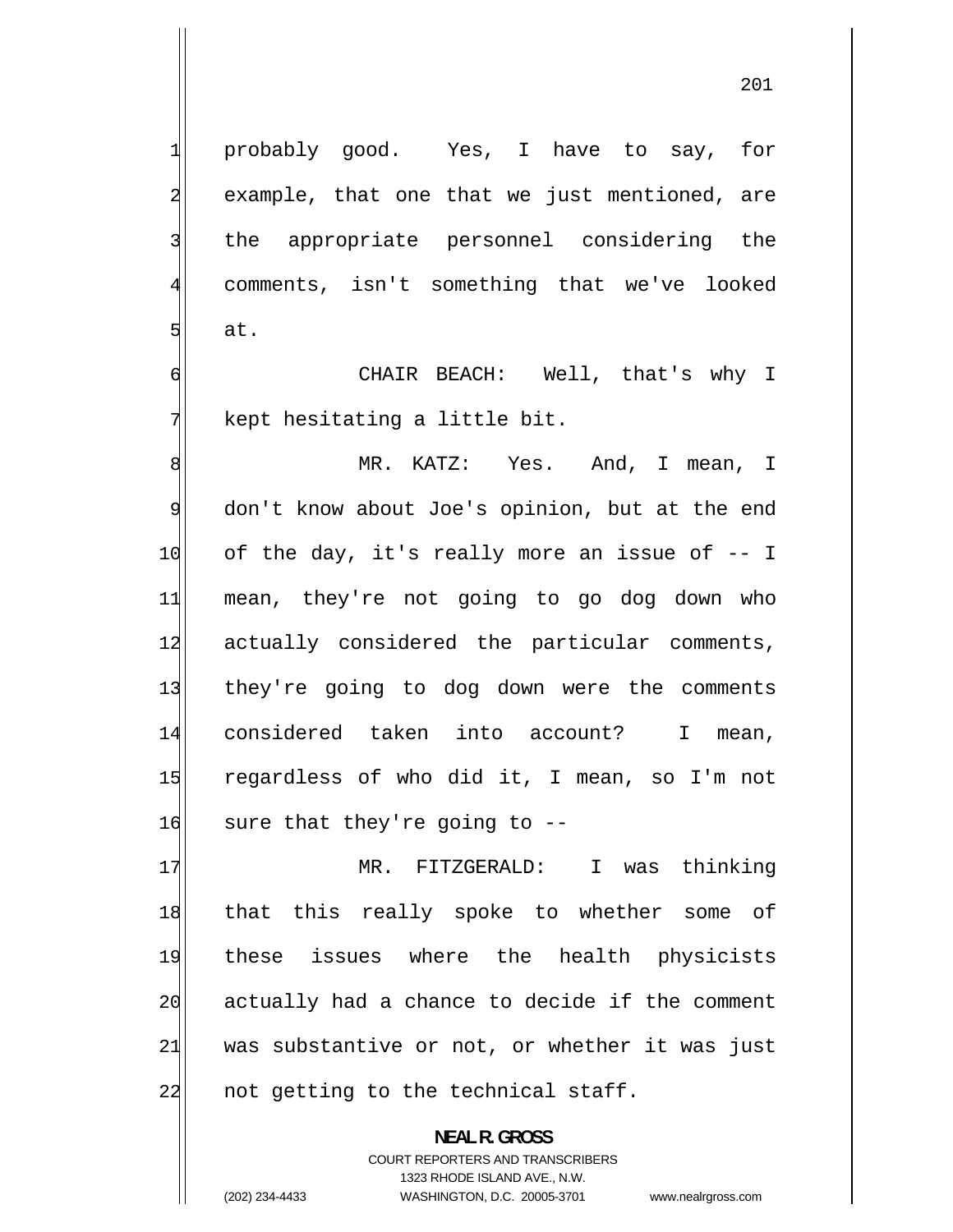probably good. Yes, I have to say, for example, that one that we just mentioned, are the appropriate personnel considering the comments, isn't something that we've looked at.

 CHAIR BEACH: Well, that's why I kept hesitating a little bit.

8 MR. KATZ: Yes. And, I mean, I 9 don't know about Joe's opinion, but at the end 10 of the day, it's really more an issue of -- I 11 mean, they're not going to go dog down who 12 actually considered the particular comments, 13 they're going to dog down were the comments 14 considered taken into account? I mean, 15 regardless of who did it, I mean, so I'm not  $16$  sure that they're going to  $-$ 

17 MR. FITZGERALD: I was thinking 18 that this really spoke to whether some of 19 these issues where the health physicists 20 actually had a chance to decide if the comment 21 was substantive or not, or whether it was just 22 not getting to the technical staff.

> **NEAL R. GROSS**  COURT REPORTERS AND TRANSCRIBERS 1323 RHODE ISLAND AVE., N.W. (202) 234-4433 WASHINGTON, D.C. 20005-3701 www.nealrgross.com

1

2

3

4

5

6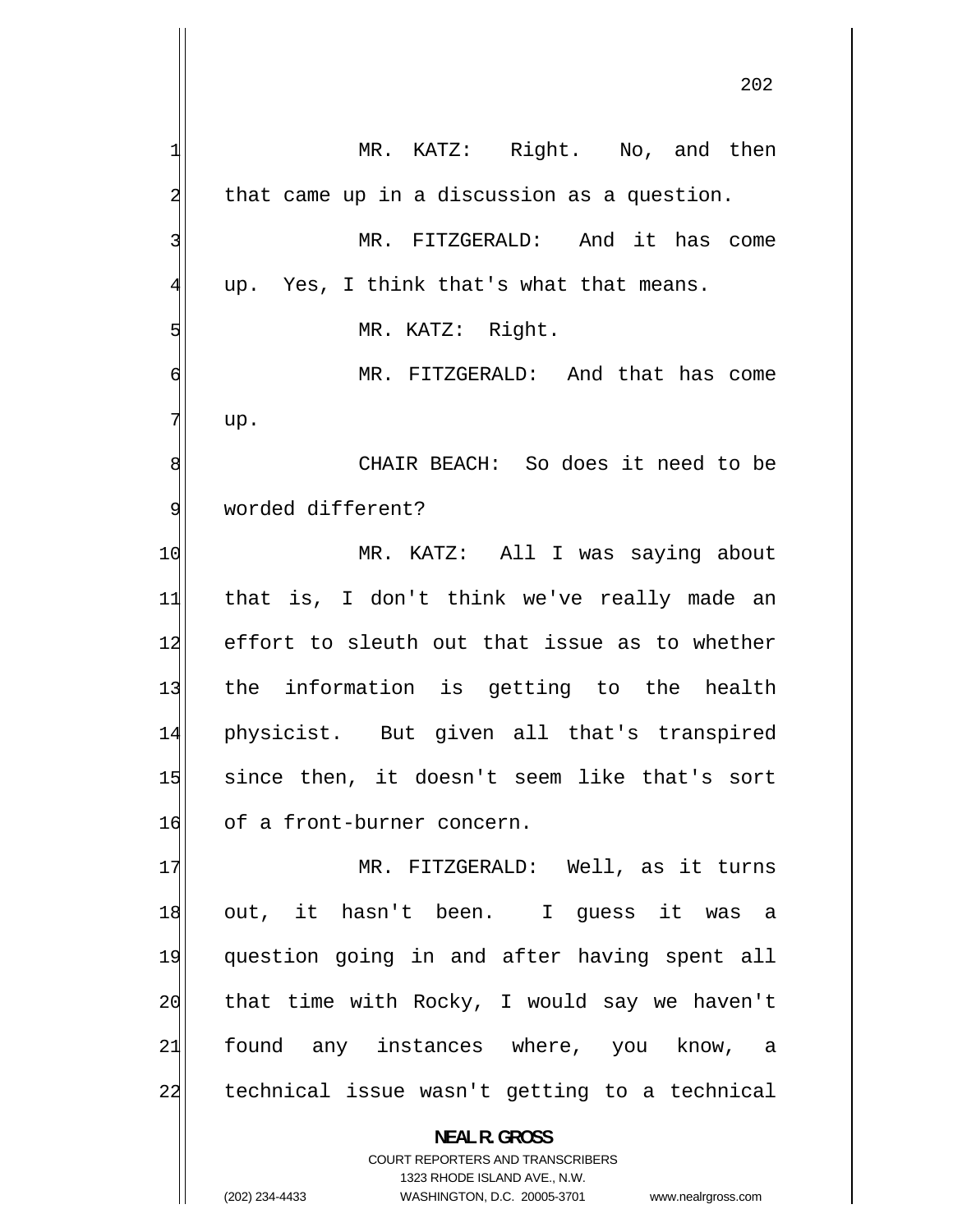1 MR. KATZ: Right. No, and then 2 that came up in a discussion as a question. 3 MR. FITZGERALD: And it has come [4](#page-3-0) up. Yes, I think that's what that means. [5](#page-4-0) MR. KATZ: Right. [6](#page-5-0) MR. FITZGERALD: And that has come [7](#page-6-0) up. [8](#page-7-0) CHAIR BEACH: So does it need to be [9](#page-8-0) worded different? [10](#page-9-0) MR. KATZ: All I was saying about [11](#page-10-0) that is, I don't think we've really made an [12](#page-11-0) effort to sleuth out that issue as to whether [13](#page-12-0) the information is getting to the health [14](#page-13-0) physicist. But given all that's transpired [15](#page-14-0) since then, it doesn't seem like that's sort [16](#page-15-0) of a front-burner concern. [17](#page-16-0) MR. FITZGERALD: Well, as it turns [18](#page-17-0) out, it hasn't been. I guess it was a [19](#page-18-0) question going in and after having spent all [20](#page-19-0) that time with Rocky, I would say we haven't [21](#page-20-0) found any instances where, you know, a [22](#page-21-0) technical issue wasn't getting to a technical **NEAL R. GROSS**  COURT REPORTERS AND TRANSCRIBERS 1323 RHODE ISLAND AVE., N.W.

(202) 234-4433 WASHINGTON, D.C. 20005-3701 www.nealrgross.com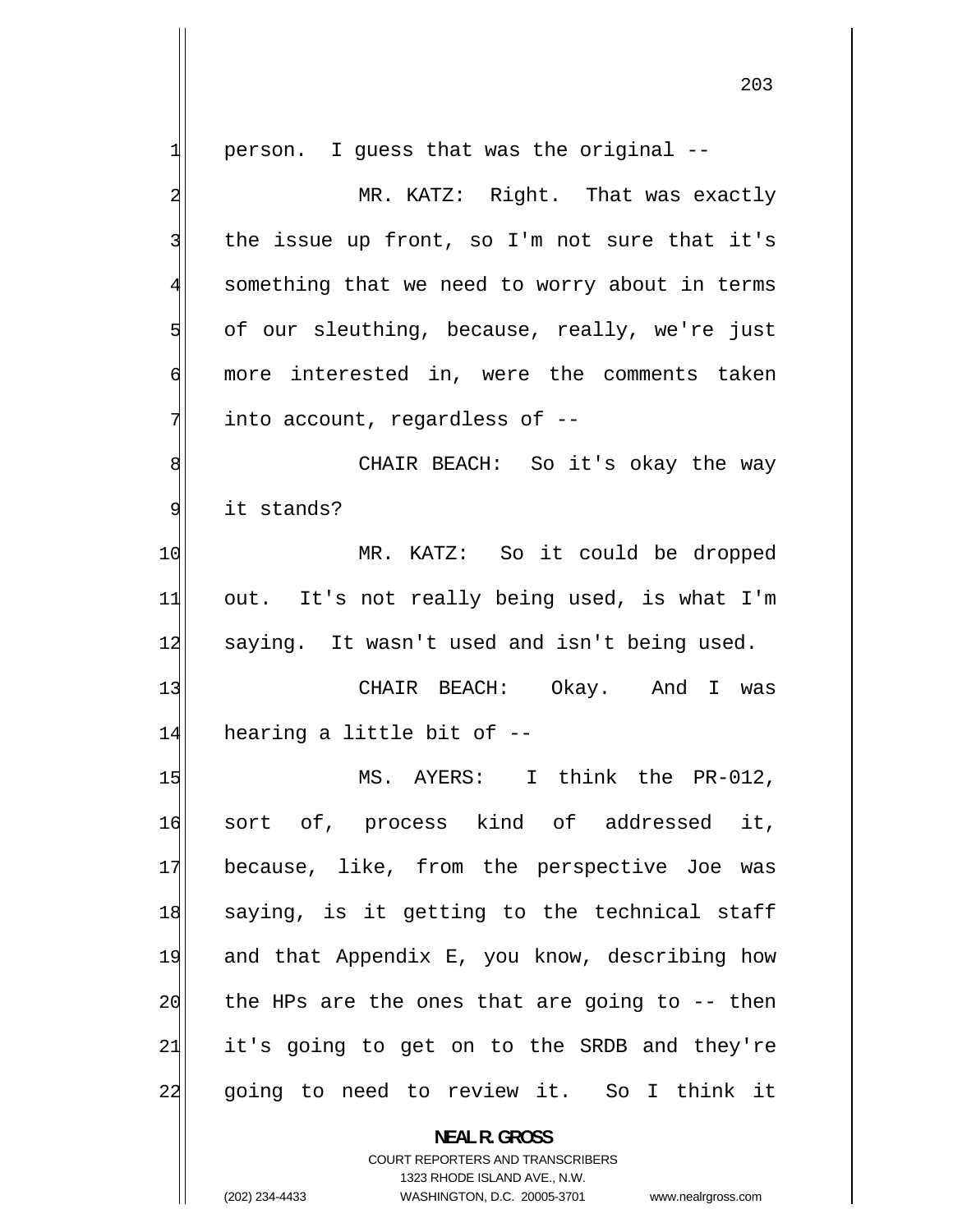1 person. I guess that was the original -- 2 MR. KATZ: Right. That was exactly 3 the issue up front, so I'm not sure that it's 4 something that we need to worry about in terms 5 of our sleuthing, because, really, we're just 6 more interested in, were the comments taken 7 into account, regardless of -- 8 CHAIR BEACH: So it's okay the way 9 it stands? 10 MR. KATZ: So it could be dropped 11 out. It's not really being used, is what I'm 12 saying. It wasn't used and isn't being used. 13 CHAIR BEACH: Okay. And I was  $14$  hearing a little bit of  $-$ 15 MS. AYERS: I think the PR-012, 16 sort of, process kind of addressed it, 17 because, like, from the perspective Joe was 18 saying, is it getting to the technical staff 19 and that Appendix E, you know, describing how 20 the HPs are the ones that are going to -- then 21 it's going to get on to the SRDB and they're 22 going to need to review it. So I think it **NEAL R. GROSS**  COURT REPORTERS AND TRANSCRIBERS

1323 RHODE ISLAND AVE., N.W.

(202) 234-4433 WASHINGTON, D.C. 20005-3701 www.nealrgross.com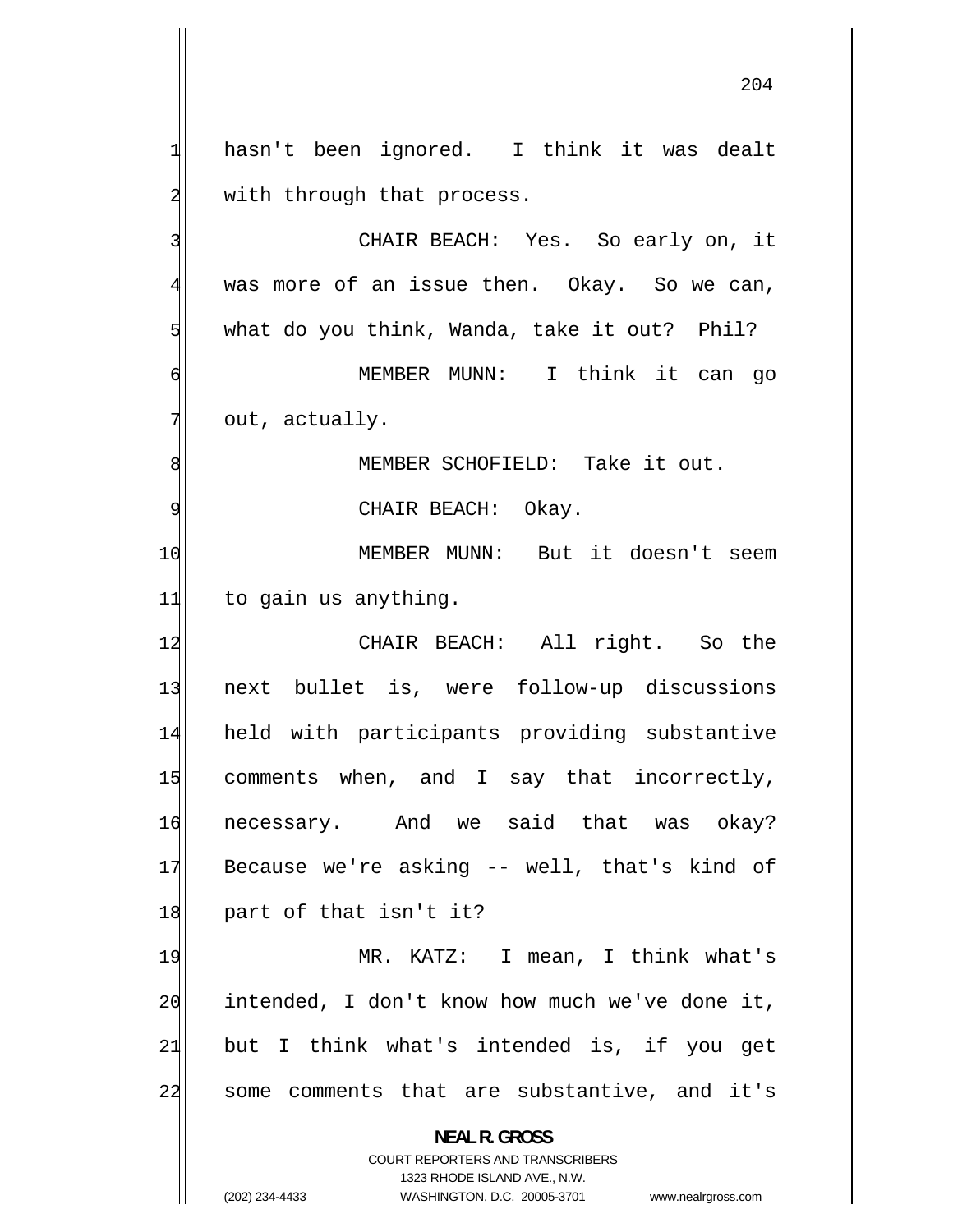1 hasn't been ignored. I think it was dealt 2 with through that process. 3 CHAIR BEACH: Yes. So early on, it 4 was more of an issue then. Okay. So we can, 5 what do you think, Wanda, take it out? Phil? 6 MEMBER MUNN: I think it can go 7 out, actually. 8 MEMBER SCHOFIELD: Take it out. 9 CHAIR BEACH: Okay. 10 MEMBER MUNN: But it doesn't seem  $11$  to gain us anything. 12 CHAIR BEACH: All right. So the 13 next bullet is, were follow-up discussions 14 held with participants providing substantive 15 comments when, and I say that incorrectly, 16 necessary. And we said that was okay? 17 Because we're asking -- well, that's kind of 18 part of that isn't it? 19 MR. KATZ: I mean, I think what's 20 intended, I don't know how much we've done it, 21 but I think what's intended is, if you get 22 some comments that are substantive, and it's **NEAL R. GROSS**  COURT REPORTERS AND TRANSCRIBERS

1323 RHODE ISLAND AVE., N.W.

(202) 234-4433 WASHINGTON, D.C. 20005-3701 www.nealrgross.com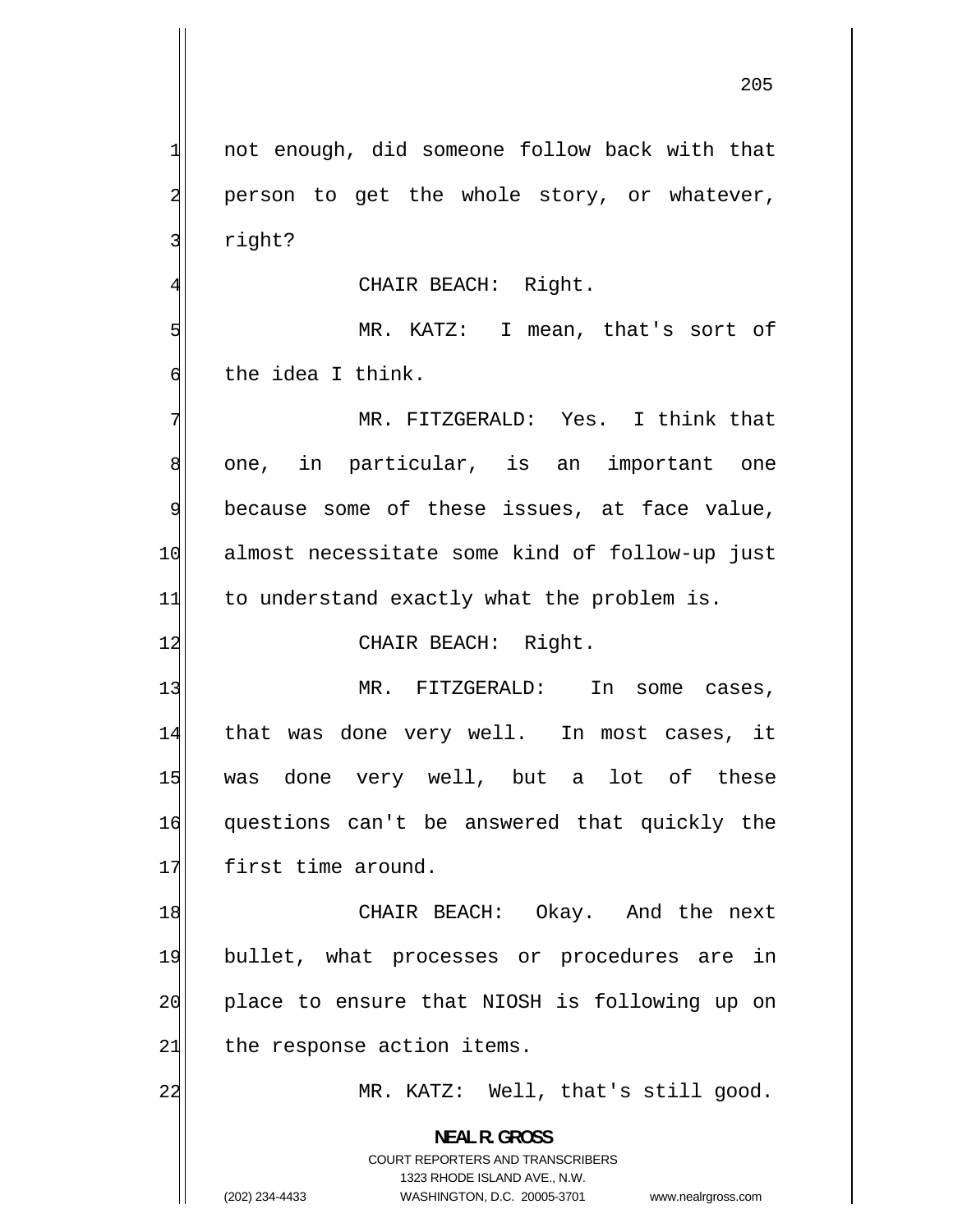not enough, did someone follow back with that person to get the whole story, or whatever, right?

CHAIR BEACH: Right.

5 MR. KATZ: I mean, that's sort of 6 the idea I think.

7 MR. FITZGERALD: Yes. I think that 8 one, in particular, is an important one 9 because some of these issues, at face value, 10 almost necessitate some kind of follow-up just  $11$  to understand exactly what the problem is.

12 CHAIR BEACH: Right.

13 MR. FITZGERALD: In some cases, 14 that was done very well. In most cases, it 15 was done very well, but a lot of these 16 questions can't be answered that quickly the 17 first time around.

18 CHAIR BEACH: Okay. And the next 19 bullet, what processes or procedures are in 20 place to ensure that NIOSH is following up on  $21$  the response action items.

MR. KATZ: Well, that's still good.

**NEAL R. GROSS**  COURT REPORTERS AND TRANSCRIBERS

1323 RHODE ISLAND AVE., N.W.

22

1

2

3

4

(202) 234-4433 WASHINGTON, D.C. 20005-3701 www.nealrgross.com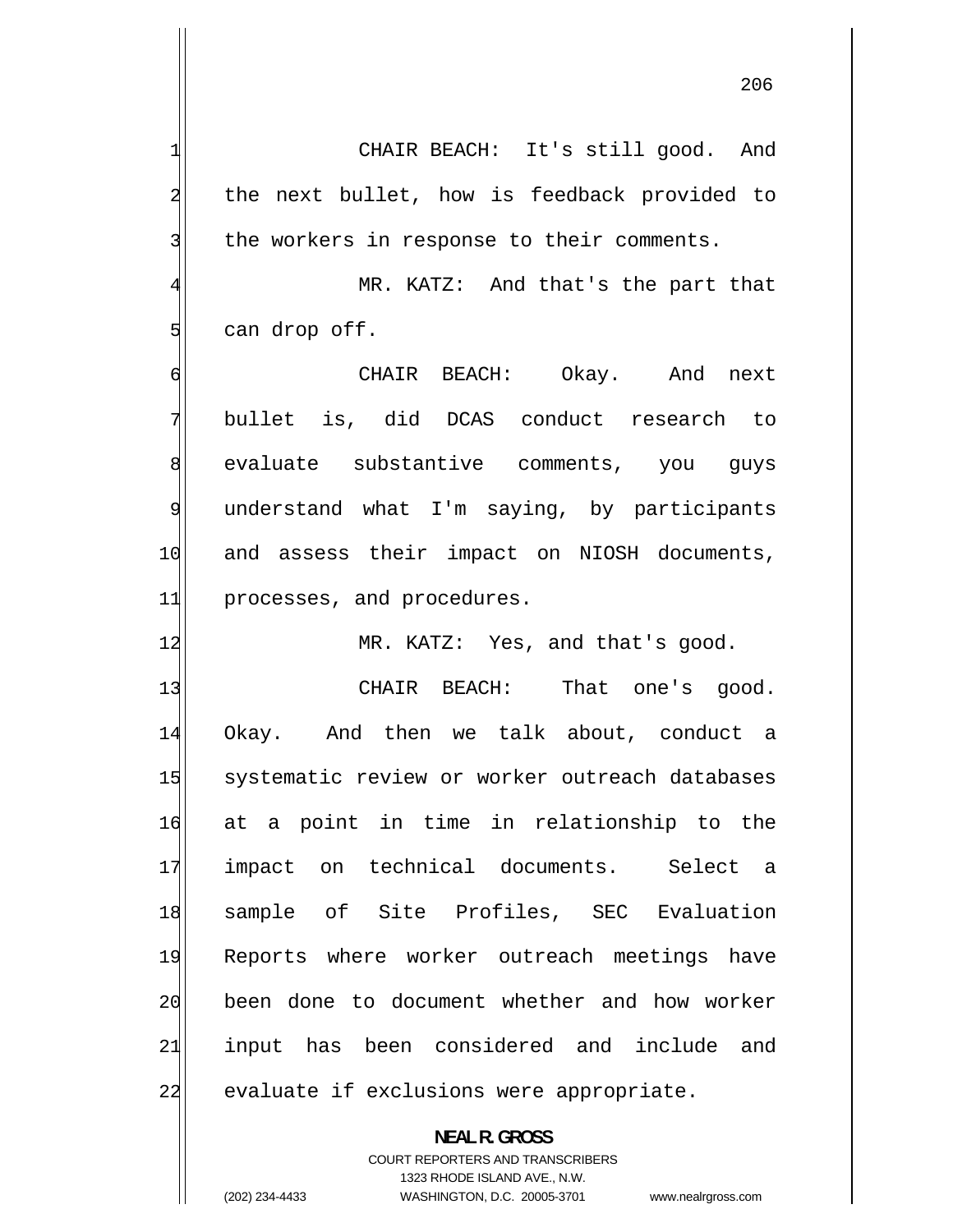CHAIR BEACH: It's still good. And the next bullet, how is feedback provided to

4 MR. KATZ: And that's the part that can drop off.

the workers in response to their comments.

6 CHAIR BEACH: Okay. And next 7 bullet is, did DCAS conduct research to 8 evaluate substantive comments, you guys 9 understand what I'm saying, by participants 10 and assess their impact on NIOSH documents, 11 processes, and procedures.

12 MR. KATZ: Yes, and that's good.

13 CHAIR BEACH: That one's good. 14 Okay. And then we talk about, conduct a 15 systematic review or worker outreach databases 16 at a point in time in relationship to the 17 impact on technical documents. Select a 18 sample of Site Profiles, SEC Evaluation 19 Reports where worker outreach meetings have 20 been done to document whether and how worker 21 input has been considered and include and 22 evaluate if exclusions were appropriate.

> **NEAL R. GROSS**  COURT REPORTERS AND TRANSCRIBERS

> > 1323 RHODE ISLAND AVE., N.W.

1

2

3

5

(202) 234-4433 WASHINGTON, D.C. 20005-3701 www.nealrgross.com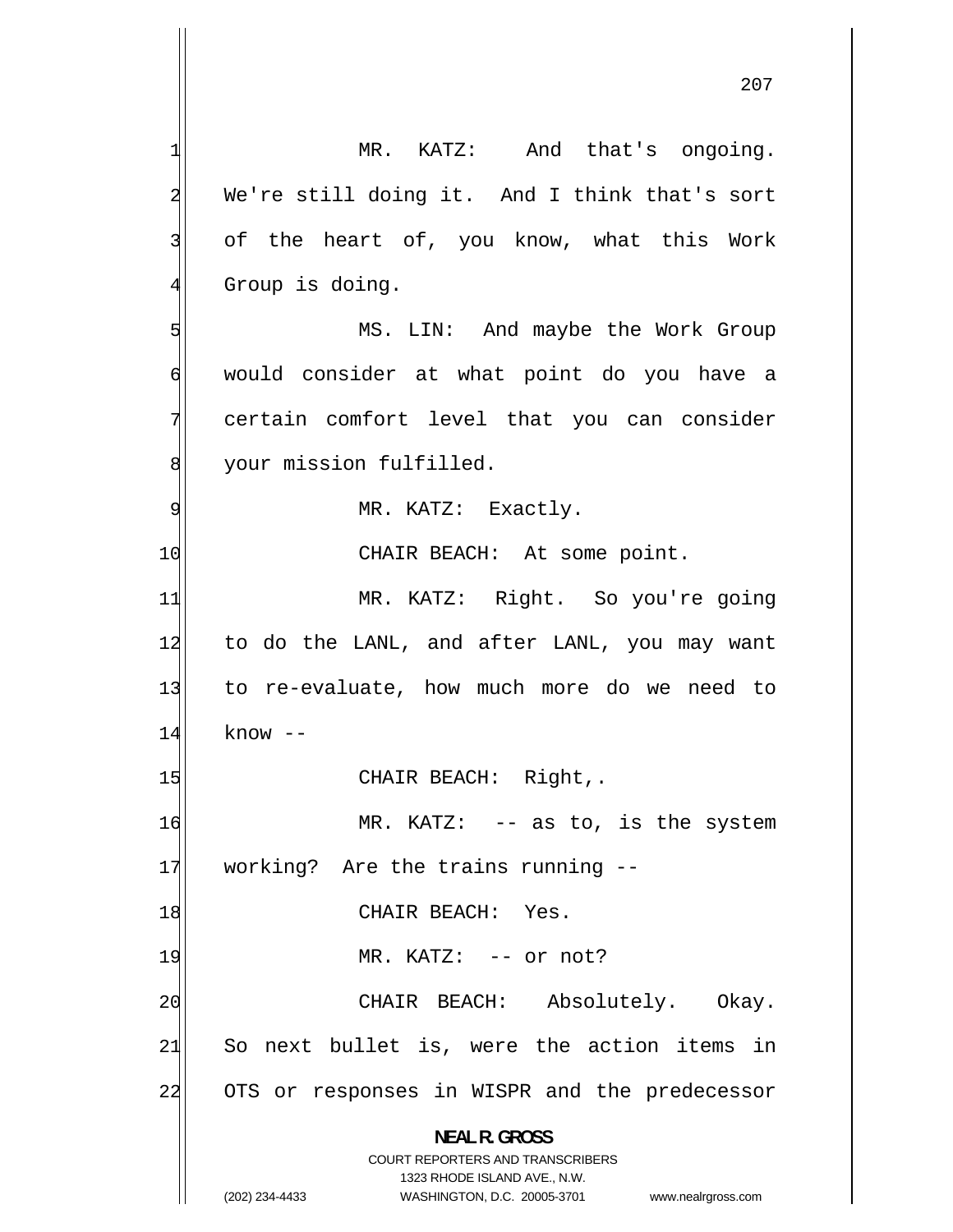1 MR. KATZ: And that's ongoing. 2 We're still doing it. And I think that's sort 3 of the heart of, you know, what this Work 4 Group is doing. 5 MS. LIN: And maybe the Work Group 6 would consider at what point do you have a 7 certain comfort level that you can consider 8 your mission fulfilled. 9 MR. KATZ: Exactly. 10 CHAIR BEACH: At some point. 11 MR. KATZ: Right. So you're going 12 to do the LANL, and after LANL, you may want 13 to re-evaluate, how much more do we need to 14 know -- 15 CHAIR BEACH: Right,. 16 MR. KATZ: -- as to, is the system 17 working? Are the trains running --18 CHAIR BEACH: Yes. 19 MR. KATZ: -- or not? 20 CHAIR BEACH: Absolutely. Okay. 21 So next bullet is, were the action items in 22 OTS or responses in WISPR and the predecessor **NEAL R. GROSS**  COURT REPORTERS AND TRANSCRIBERS 1323 RHODE ISLAND AVE., N.W.

(202) 234-4433 WASHINGTON, D.C. 20005-3701 www.nealrgross.com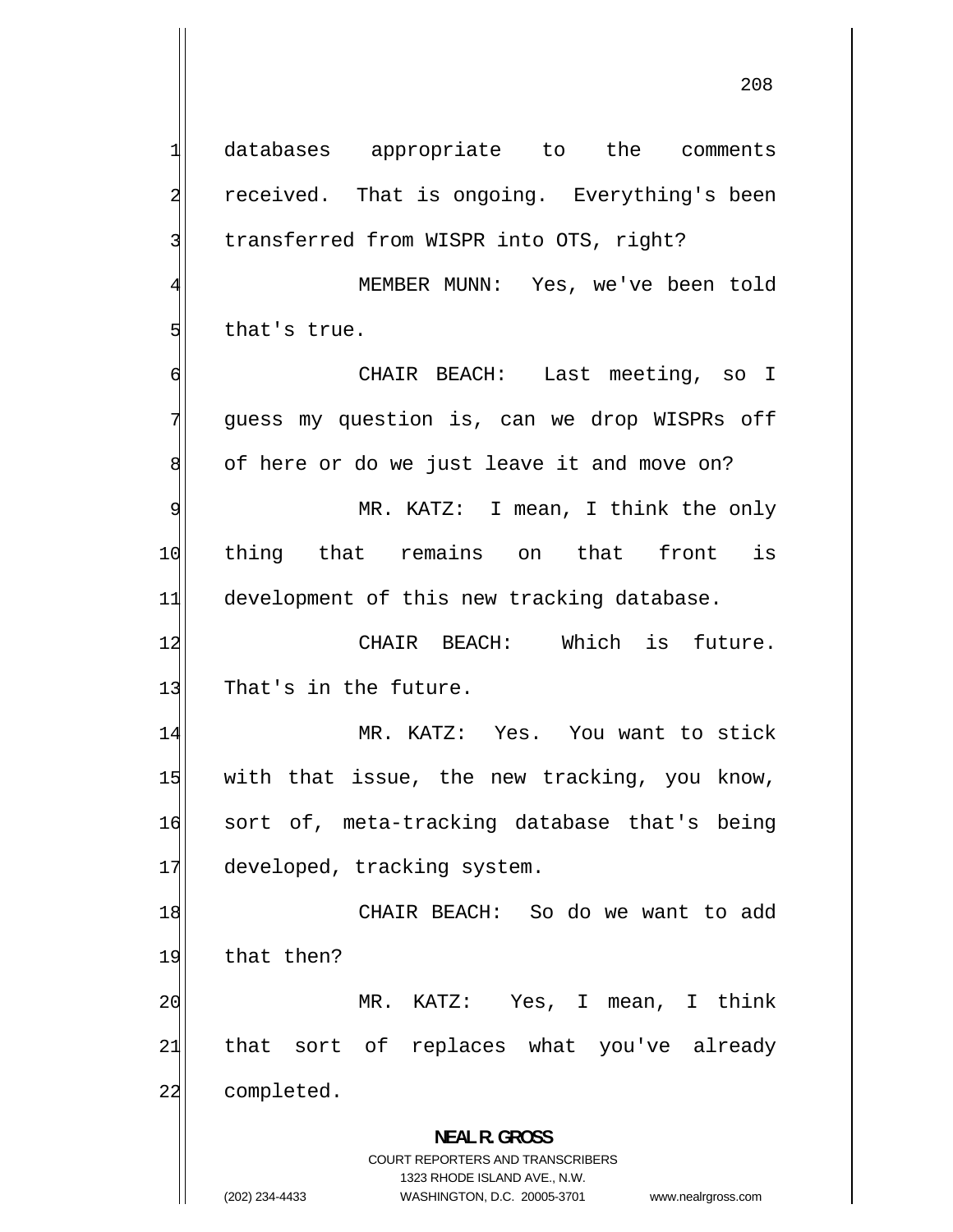1 databases appropriate to the comments 2 received. That is ongoing. Everything's been 3 transferred from WISPR into OTS, right? 4 MEMBER MUNN: Yes, we've been told 5 that's true. 6 CHAIR BEACH: Last meeting, so I 7 guess my question is, can we drop WISPRs off 8 of here or do we just leave it and move on? 9 MR. KATZ: I mean, I think the only 10 thing that remains on that front is 11 development of this new tracking database. 12 CHAIR BEACH: Which is future. 13 That's in the future. 14 MR. KATZ: Yes. You want to stick 15 with that issue, the new tracking, you know, 16 sort of, meta-tracking database that's being 17 developed, tracking system. 18 CHAIR BEACH: So do we want to add 19 that then? 20 MR. KATZ: Yes, I mean, I think 21 that sort of replaces what you've already 22 completed. **NEAL R. GROSS**  COURT REPORTERS AND TRANSCRIBERS 1323 RHODE ISLAND AVE., N.W. (202) 234-4433 WASHINGTON, D.C. 20005-3701 www.nealrgross.com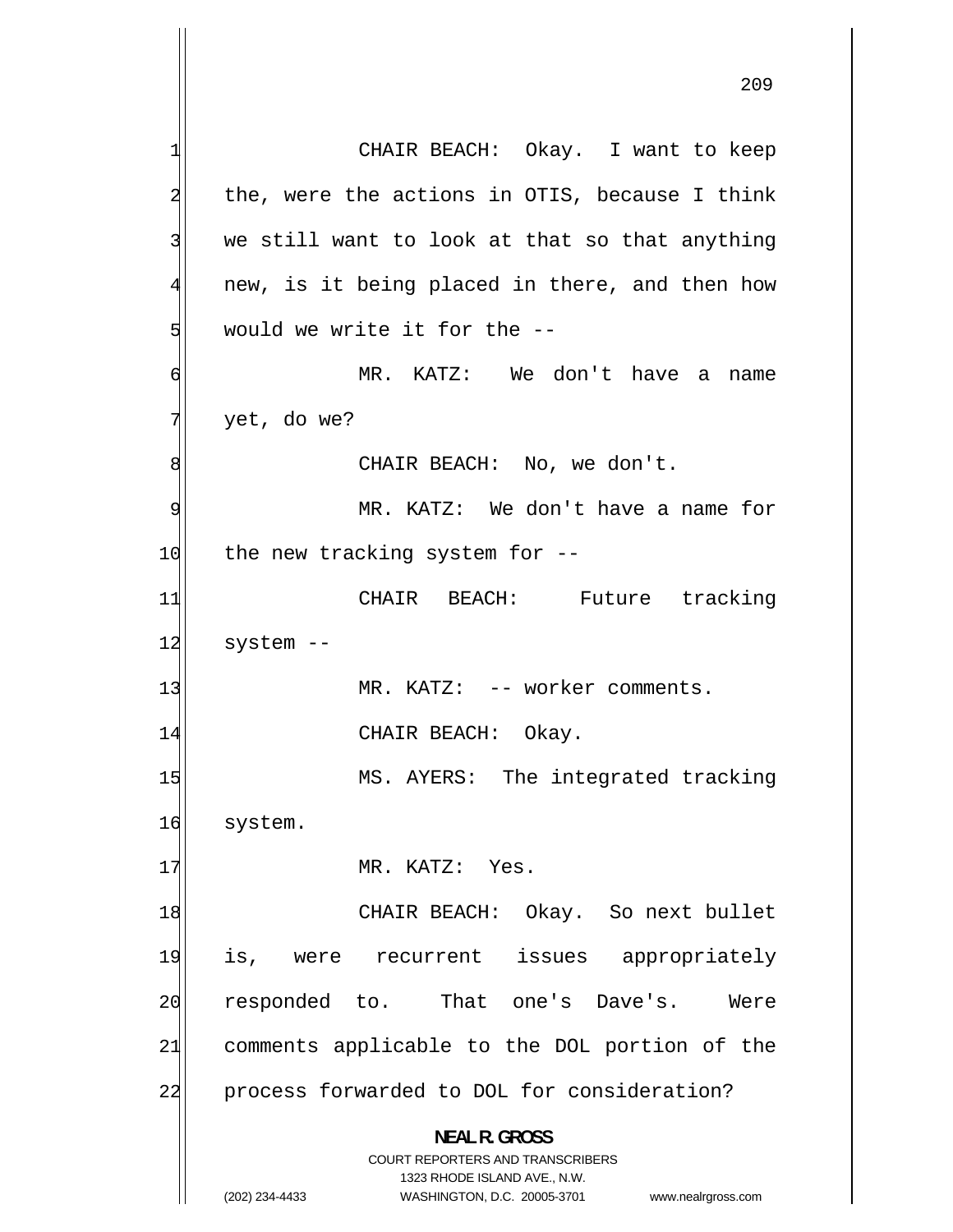1 CHAIR BEACH: Okay. I want to keep 2 the, were the actions in OTIS, because I think 3 we still want to look at that so that anything 4 new, is it being placed in there, and then how 5 would we write it for the -- 6 MR. KATZ: We don't have a name 7 yet, do we? 8 CHAIR BEACH: No, we don't. 9 MR. KATZ: We don't have a name for  $10$  the new tracking system for  $-$ 11 CHAIR BEACH: Future tracking  $12$  system  $-$ 13 MR. KATZ: -- worker comments. 14 CHAIR BEACH: Okay. 15 MS. AYERS: The integrated tracking 16 system. 17 MR. KATZ: Yes. 18 CHAIR BEACH: Okay. So next bullet 19 is, were recurrent issues appropriately 20 responded to. That one's Dave's. Were 21 comments applicable to the DOL portion of the 22 process forwarded to DOL for consideration? **NEAL R. GROSS**  COURT REPORTERS AND TRANSCRIBERS 1323 RHODE ISLAND AVE., N.W.

(202) 234-4433 WASHINGTON, D.C. 20005-3701 www.nealrgross.com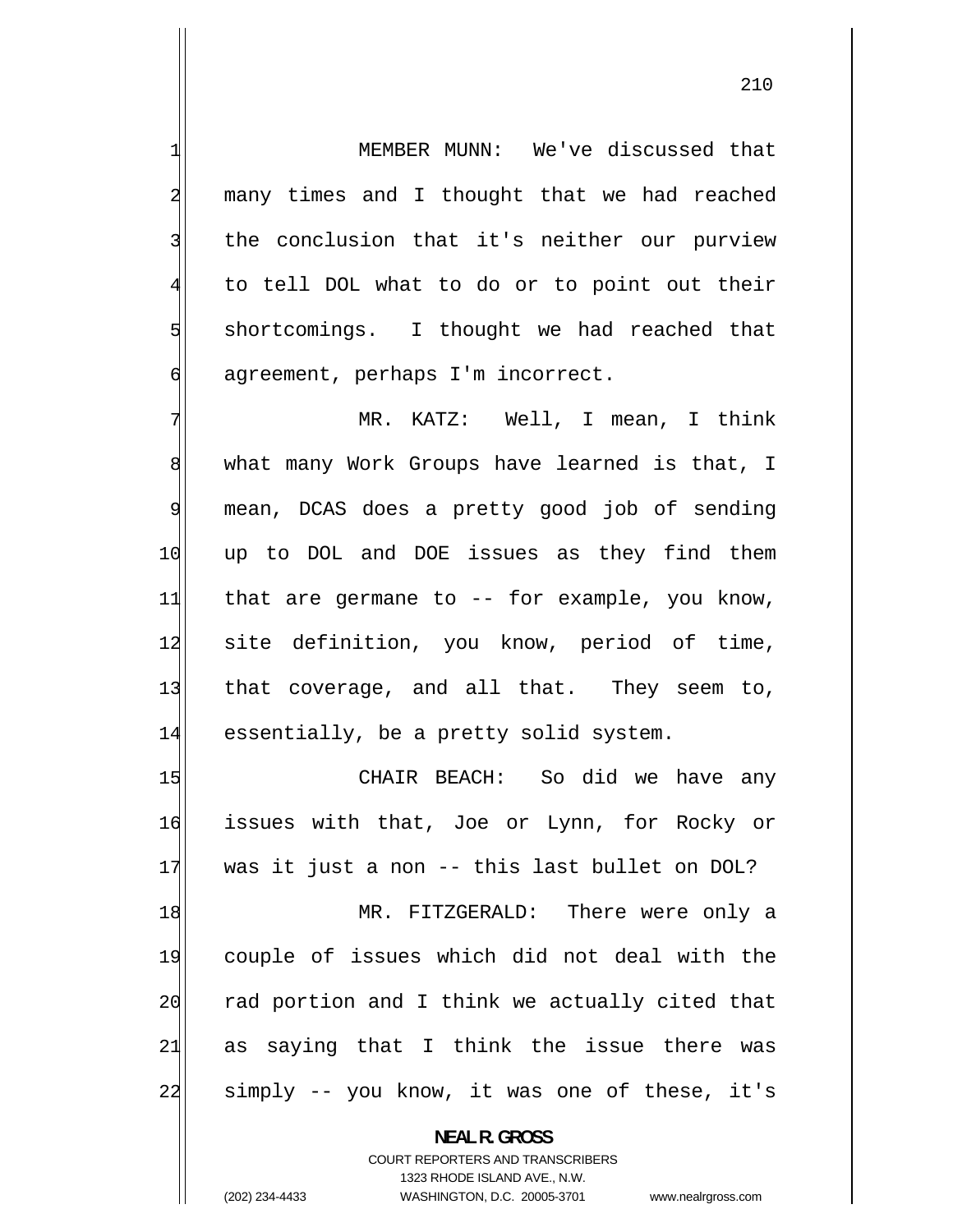MEMBER MUNN: We've discussed that many times and I thought that we had reached the conclusion that it's neither our purview to tell DOL what to do or to point out their shortcomings. I thought we had reached that agreement, perhaps I'm incorrect.

7 MR. KATZ: Well, I mean, I think 8 what many Work Groups have learned is that, I 9 mean, DCAS does a pretty good job of sending 10 up to DOL and DOE issues as they find them 11 that are germane to -- for example, you know, 12 site definition, you know, period of time, 13 that coverage, and all that. They seem to, 14 essentially, be a pretty solid system.

15 CHAIR BEACH: So did we have any 16 issues with that, Joe or Lynn, for Rocky or 17 was it just a non -- this last bullet on DOL? 18 MR. FITZGERALD: There were only a 19 couple of issues which did not deal with the 20 rad portion and I think we actually cited that 21 as saying that I think the issue there was 22 simply -- you know, it was one of these, it's

> **NEAL R. GROSS**  COURT REPORTERS AND TRANSCRIBERS 1323 RHODE ISLAND AVE., N.W. (202) 234-4433 WASHINGTON, D.C. 20005-3701 www.nealrgross.com

1

2

3

4

5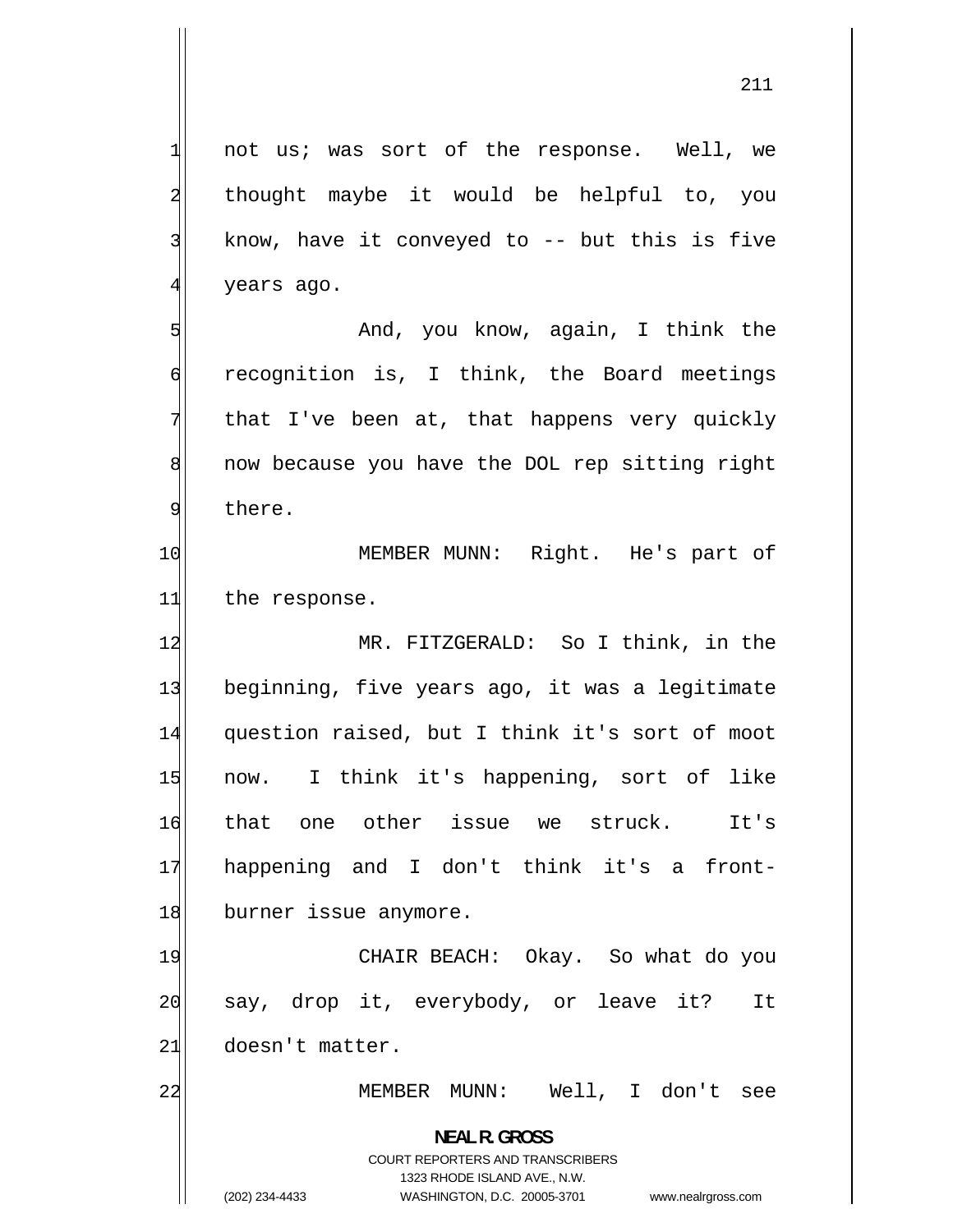not us; was sort of the response. Well, we thought maybe it would be helpful to, you know, have it conveyed to  $-$ - but this is five years ago.

 And, you know, again, I think the recognition is, I think, the Board meetings that I've been at, that happens very quickly now because you have the DOL rep sitting right there.

10 MEMBER MUNN: Right. He's part of 11 the response.

12 MR. FITZGERALD: So I think, in the 13 beginning, five years ago, it was a legitimate 14 question raised, but I think it's sort of moot 15 now. I think it's happening, sort of like 16 that one other issue we struck. It's 17 happening and I don't think it's a front-18 burner issue anymore.

19 CHAIR BEACH: Okay. So what do you 20 say, drop it, everybody, or leave it? It 21 doesn't matter.

MEMBER MUNN: Well, I don't see

**NEAL R. GROSS**  COURT REPORTERS AND TRANSCRIBERS

1323 RHODE ISLAND AVE., N.W.

22

1

2

3

4

5

6

7

8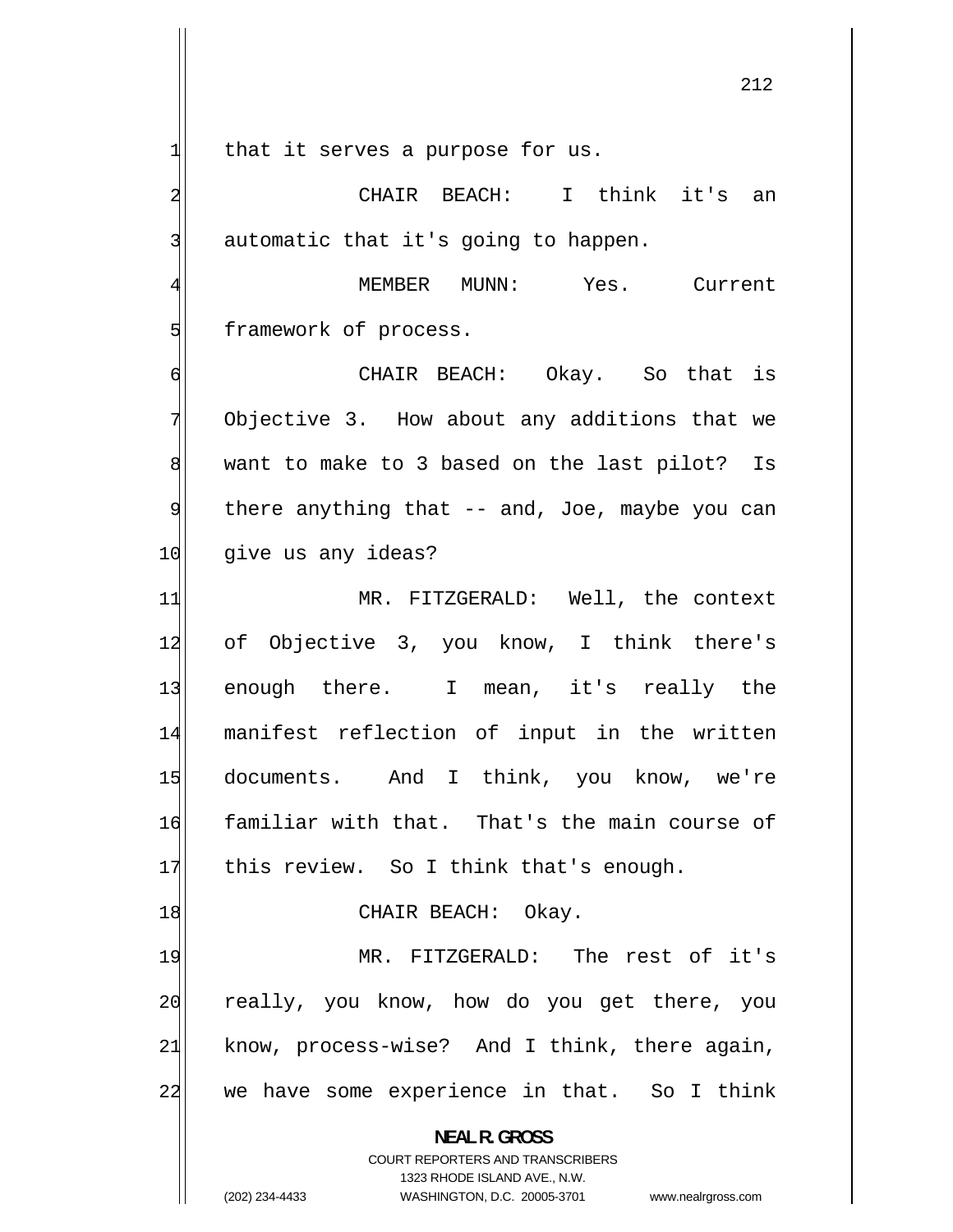1 that it serves a purpose for us.

2

3

5

6

7

8

9

 CHAIR BEACH: I think it's an automatic that it's going to happen.

4 MEMBER MUNN: Yes. Current framework of process.

 CHAIR BEACH: Okay. So that is Objective 3. How about any additions that we want to make to 3 based on the last pilot? Is there anything that -- and, Joe, maybe you can 10 give us any ideas?

11 MR. FITZGERALD: Well, the context 12 of Objective 3, you know, I think there's 13 enough there. I mean, it's really the 14 manifest reflection of input in the written 15 documents. And I think, you know, we're 16 familiar with that. That's the main course of 17 this review. So I think that's enough.

18 CHAIR BEACH: Okay.

19 MR. FITZGERALD: The rest of it's 20 really, you know, how do you get there, you 21 know, process-wise? And I think, there again, 22 we have some experience in that. So I think

**NEAL R. GROSS** 

COURT REPORTERS AND TRANSCRIBERS 1323 RHODE ISLAND AVE., N.W. (202) 234-4433 WASHINGTON, D.C. 20005-3701 www.nealrgross.com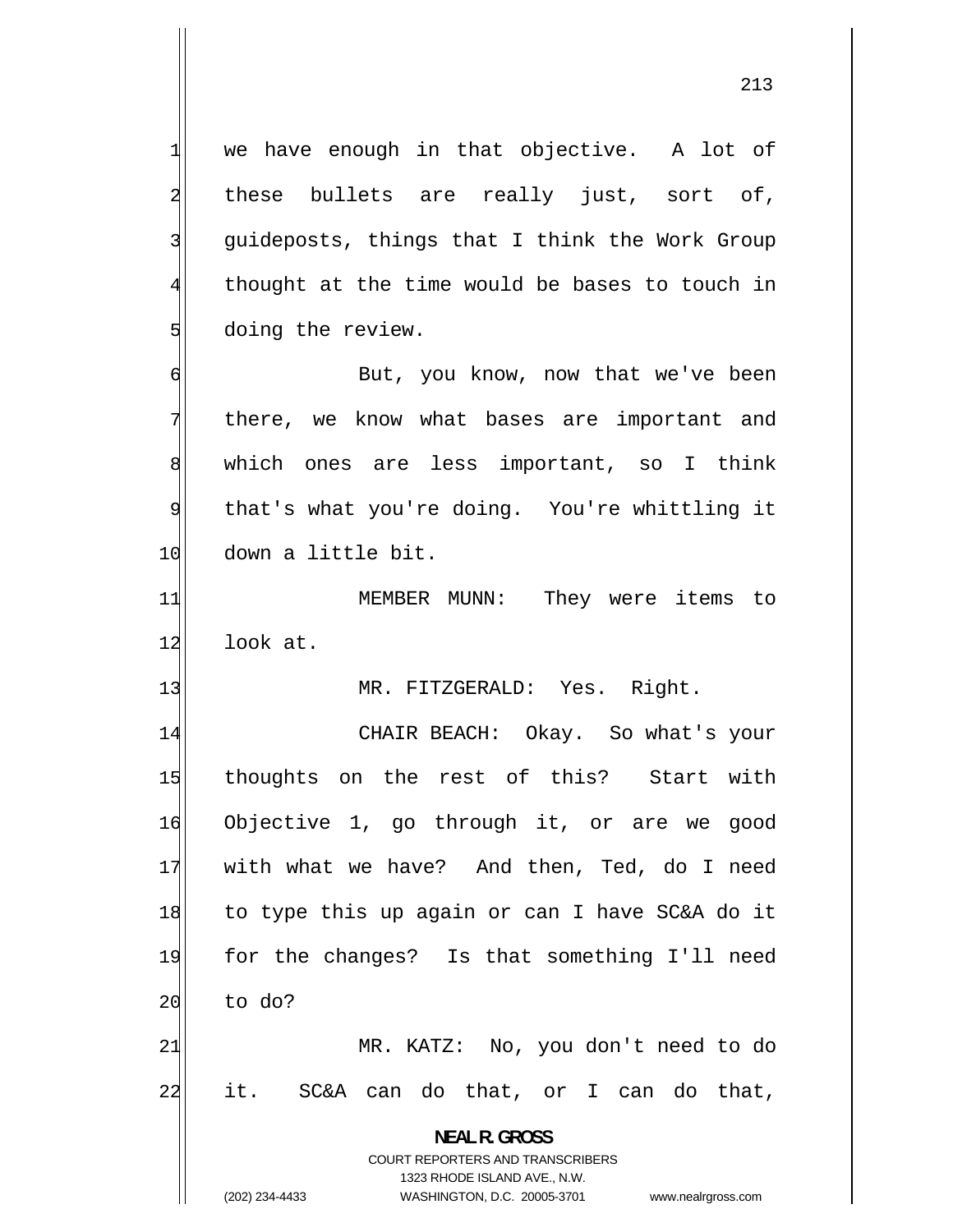we have enough in that objective. A lot of these bullets are really just, sort of, guideposts, things that I think the Work Group thought at the time would be bases to touch in doing the review.

1

2

3

4

5

6

7

8

9

 But, you know, now that we've been there, we know what bases are important and which ones are less important, so I think that's what you're doing. You're whittling it 10 down a little bit.

11 MEMBER MUNN: They were items to 12 look at.

13 MR. FITZGERALD: Yes. Right.

14 CHAIR BEACH: Okay. So what's your 15 thoughts on the rest of this? Start with 16 Objective 1, go through it, or are we good 17 with what we have? And then, Ted, do I need 18 to type this up again or can I have SC&A do it 19 for the changes? Is that something I'll need  $20$  to do? 21 MR. KATZ: No, you don't need to do 22 it. SC&A can do that, or I can do that,

**NEAL R. GROSS** 

COURT REPORTERS AND TRANSCRIBERS 1323 RHODE ISLAND AVE., N.W. (202) 234-4433 WASHINGTON, D.C. 20005-3701 www.nealrgross.com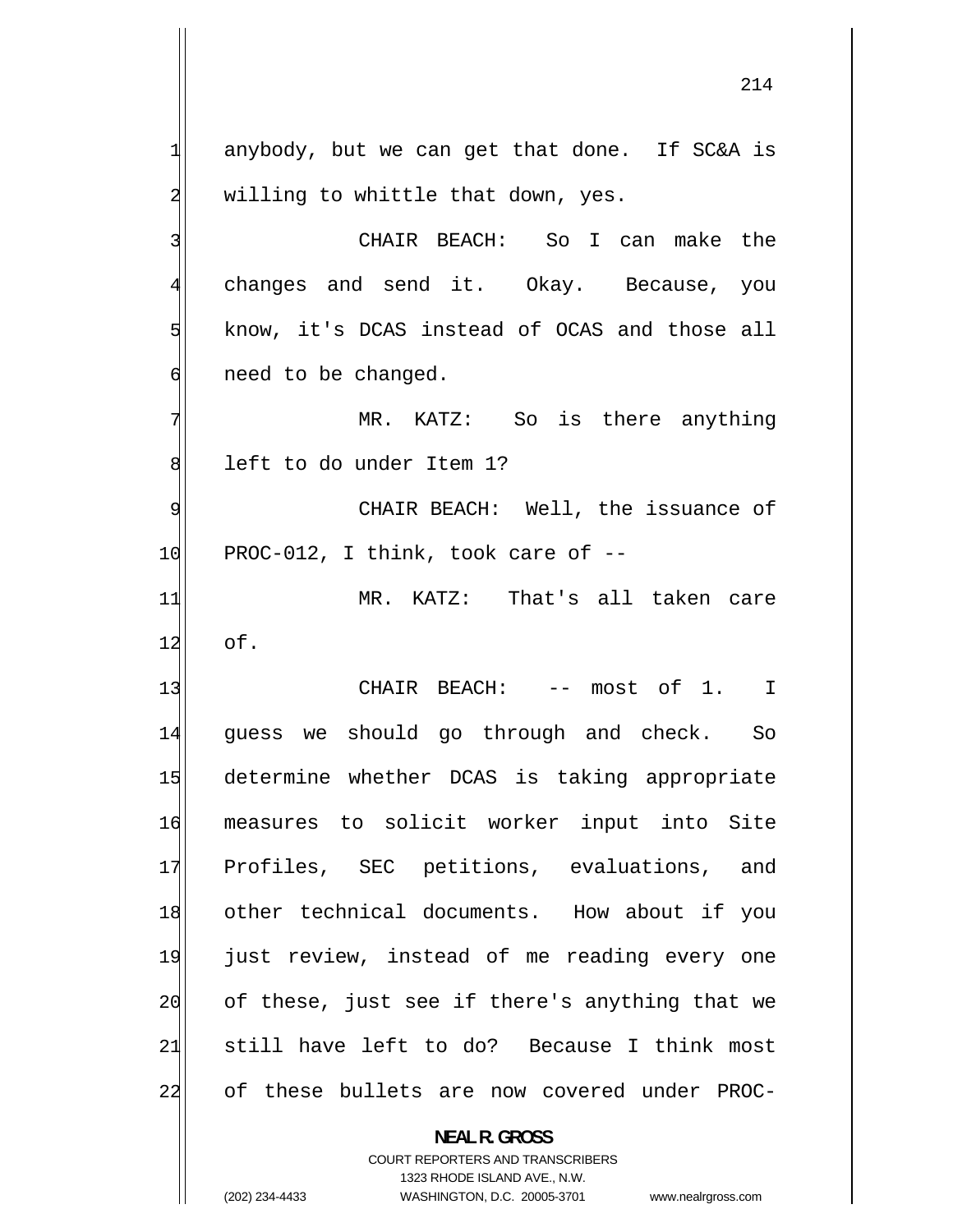anybody, but we can get that done. If SC&A is willing to whittle that down, yes.

 CHAIR BEACH: So I can make the changes and send it. Okay. Because, you know, it's DCAS instead of OCAS and those all need to be changed.

 MR. KATZ: So is there anything left to do under Item 1?

 CHAIR BEACH: Well, the issuance of  $10$  PROC-012, I think, took care of  $-$ 

11 MR. KATZ: That's all taken care  $12$  of.

13 CHAIR BEACH: -- most of 1. I 14 guess we should go through and check. So 15 determine whether DCAS is taking appropriate 16 measures to solicit worker input into Site 17 Profiles, SEC petitions, evaluations, and 18 other technical documents. How about if you 19 just review, instead of me reading every one 20 of these, just see if there's anything that we 21 still have left to do? Because I think most 22 of these bullets are now covered under PROC-

## **NEAL R. GROSS**

COURT REPORTERS AND TRANSCRIBERS 1323 RHODE ISLAND AVE., N.W. (202) 234-4433 WASHINGTON, D.C. 20005-3701 www.nealrgross.com

1

2

3

4

5

6

7

8

9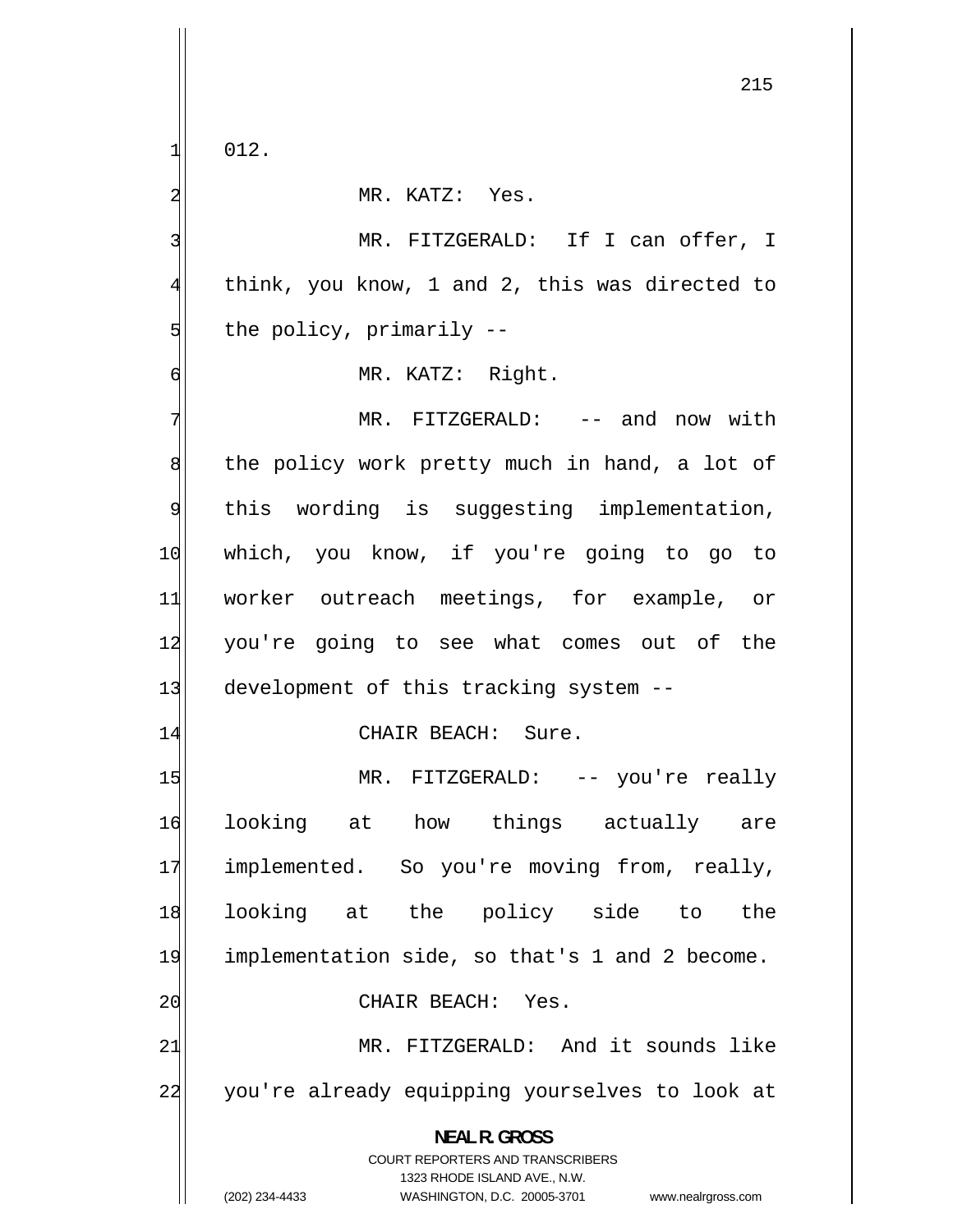012.

1

2 MR. KATZ: Yes. 3 MR. FITZGERALD: If I can offer, I 4 think, you know, 1 and 2, this was directed to 5 the policy, primarily -- 6 MR. KATZ: Right. 7 MR. FITZGERALD: -- and now with 8 the policy work pretty much in hand, a lot of 9 this wording is suggesting implementation, 10 which, you know, if you're going to go to 11 worker outreach meetings, for example, or 12 you're going to see what comes out of the 13 development of this tracking system --14 CHAIR BEACH: Sure. 15 MR. FITZGERALD: -- you're really 16 looking at how things actually are 17 implemented. So you're moving from, really, 18 looking at the policy side to the 19 implementation side, so that's 1 and 2 become. 20 CHAIR BEACH: Yes. 21 MR. FITZGERALD: And it sounds like 22 you're already equipping yourselves to look at **NEAL R. GROSS**  COURT REPORTERS AND TRANSCRIBERS

1323 RHODE ISLAND AVE., N.W.

(202) 234-4433 WASHINGTON, D.C. 20005-3701 www.nealrgross.com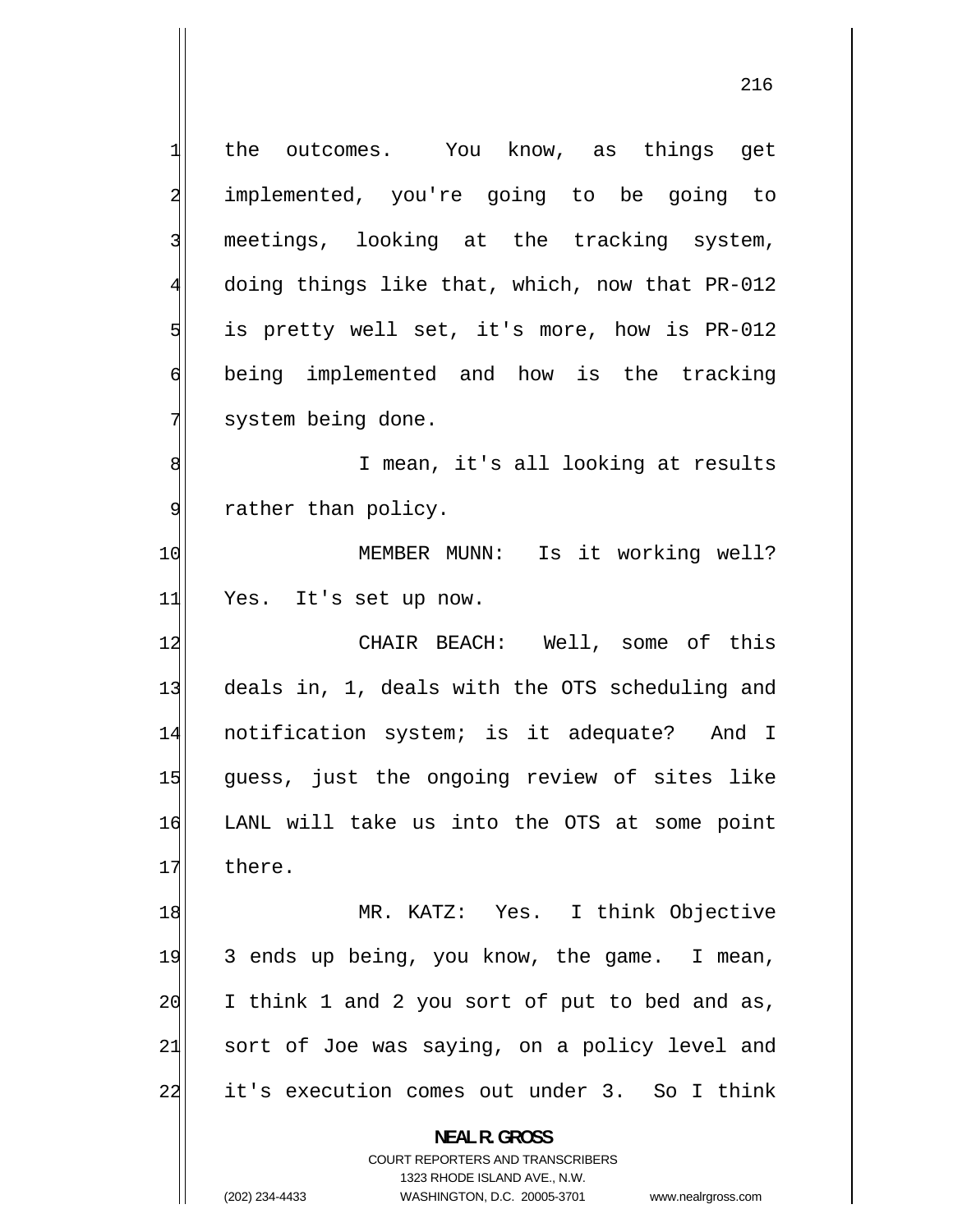1 the outcomes. You know, as things get 2 implemented, you're going to be going to 3 meetings, looking at the tracking system, 4 doing things like that, which, now that PR-012 5 is pretty well set, it's more, how is PR-012 6 being implemented and how is the tracking 7 system being done. 8 I mean, it's all looking at results 9 rather than policy. 10 MEMBER MUNN: Is it working well? 11 Yes. It's set up now. 12 CHAIR BEACH: Well, some of this 13 deals in, 1, deals with the OTS scheduling and 14 notification system; is it adequate? And I 15 guess, just the ongoing review of sites like 16 LANL will take us into the OTS at some point 17 there. 18 MR. KATZ: Yes. I think Objective 19 3 ends up being, you know, the game. I mean, 20 I think 1 and 2 you sort of put to bed and as, 21 sort of Joe was saying, on a policy level and 22 it's execution comes out under 3. So I think **NEAL R. GROSS**  COURT REPORTERS AND TRANSCRIBERS 1323 RHODE ISLAND AVE., N.W.

(202) 234-4433 WASHINGTON, D.C. 20005-3701 www.nealrgross.com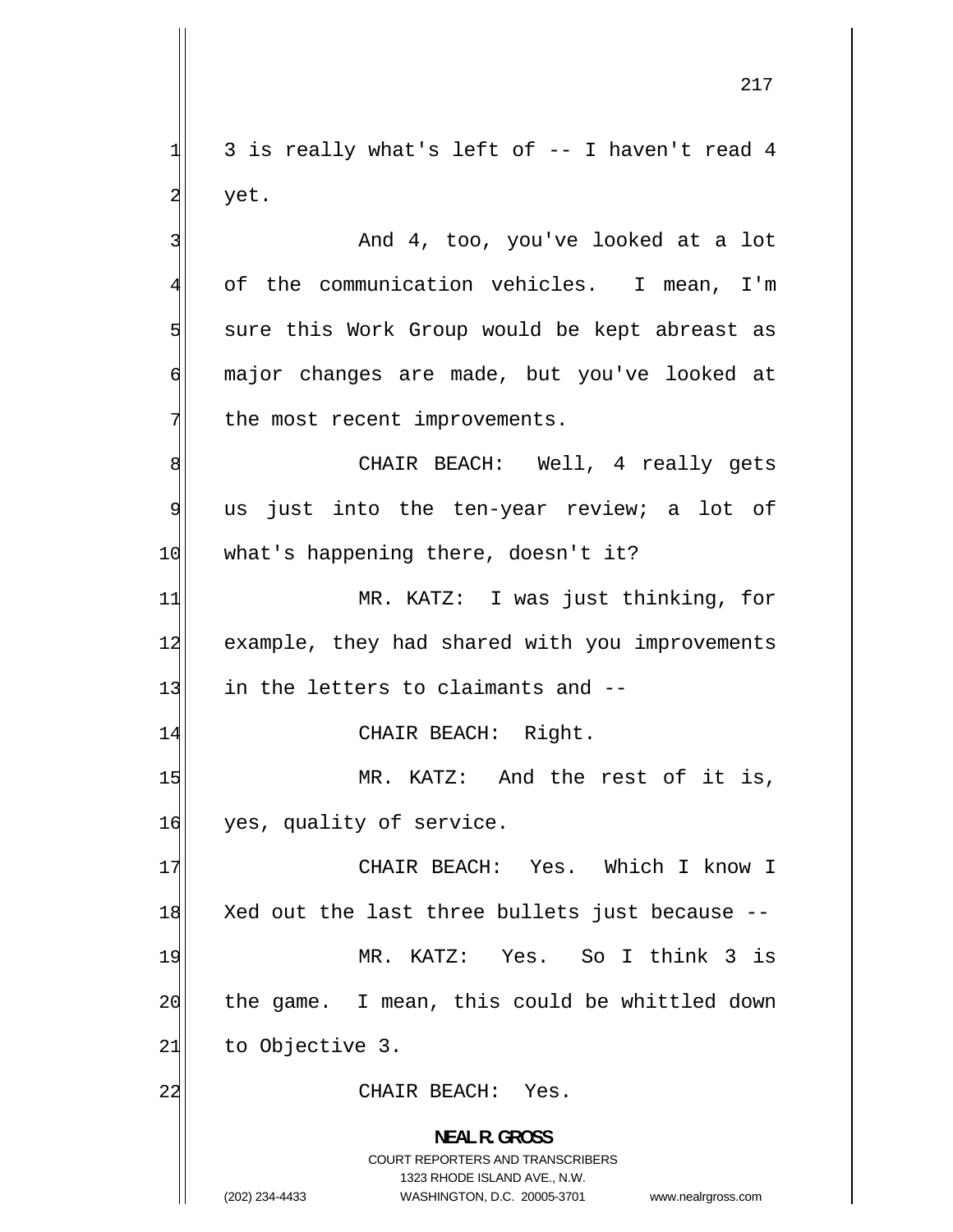3 is really what's left of -- I haven't read 4 yet.

 And 4, too, you've looked at a lot of the communication vehicles. I mean, I'm sure this Work Group would be kept abreast as major changes are made, but you've looked at the most recent improvements.

8 CHAIR BEACH: Well, 4 really gets 9 us just into the ten-year review; a lot of 10 what's happening there, doesn't it?

11 MR. KATZ: I was just thinking, for 12 example, they had shared with you improvements 13 in the letters to claimants and --

14 CHAIR BEACH: Right.

15 MR. KATZ: And the rest of it is, 16 yes, quality of service.

17 CHAIR BEACH: Yes. Which I know I 18 Xed out the last three bullets just because -- 19 MR. KATZ: Yes. So I think 3 is 20 the game. I mean, this could be whittled down  $21$  to Objective 3.

22 CHAIR BEACH: Yes.

**NEAL R. GROSS**  COURT REPORTERS AND TRANSCRIBERS 1323 RHODE ISLAND AVE., N.W. (202) 234-4433 WASHINGTON, D.C. 20005-3701 www.nealrgross.com

1

2

3

4

5

6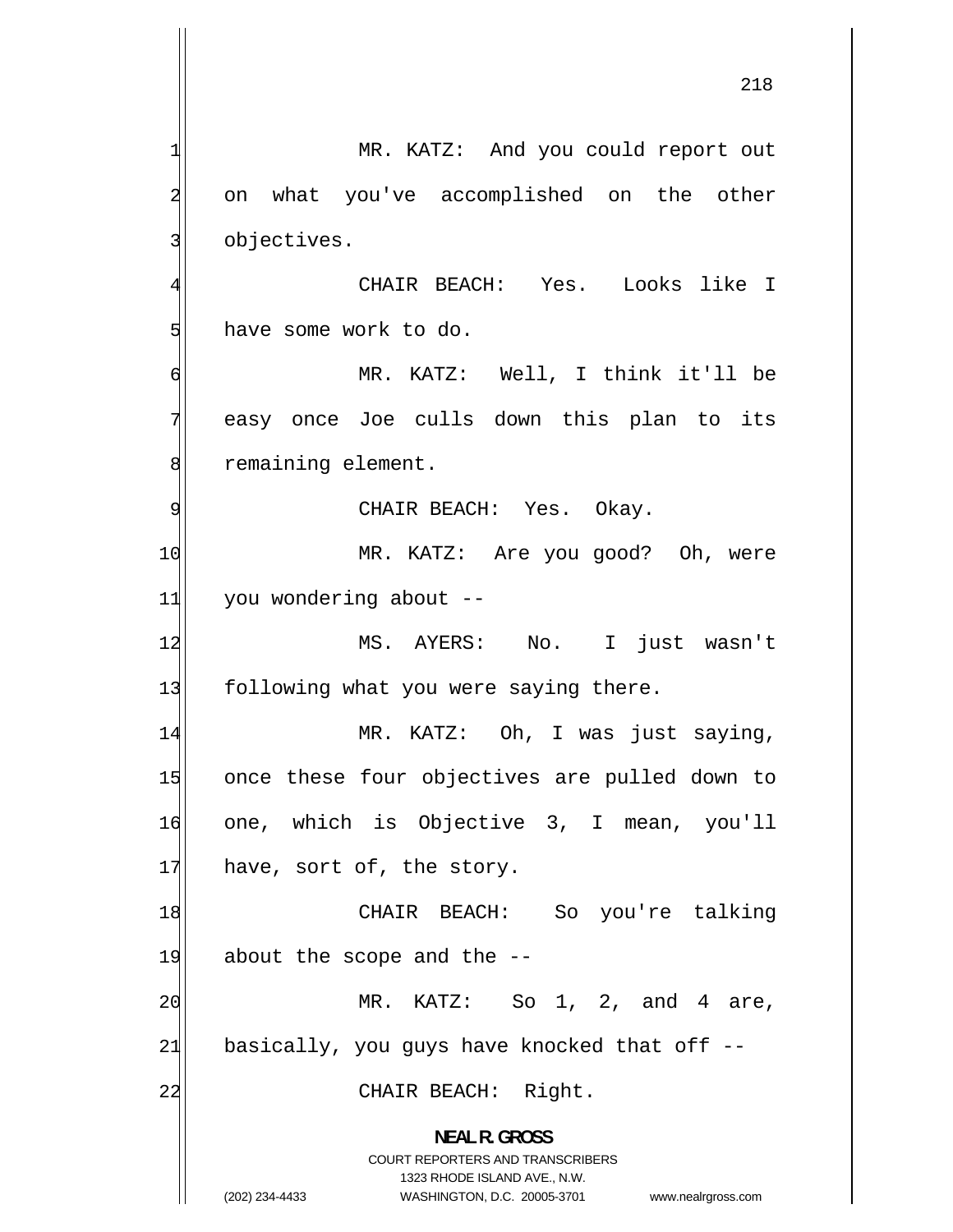1 MR. KATZ: And you could report out 2 on what you've accomplished on the other 3 objectives. 4 CHAIR BEACH: Yes. Looks like I 5 have some work to do. 6 MR. KATZ: Well, I think it'll be 7 easy once Joe culls down this plan to its 8 remaining element. 9 CHAIR BEACH: Yes. Okay. 10 MR. KATZ: Are you good? Oh, were 11 you wondering about --12 MS. AYERS: No. I just wasn't 13 following what you were saying there. 14 MR. KATZ: Oh, I was just saying, 15 once these four objectives are pulled down to 16 one, which is Objective 3, I mean, you'll  $17$  have, sort of, the story. 18 CHAIR BEACH: So you're talking  $19$  about the scope and the  $-$ -20 MR. KATZ: So 1, 2, and 4 are, 21 basically, you guys have knocked that off  $-$ 22 CHAIR BEACH: Right. **NEAL R. GROSS**  COURT REPORTERS AND TRANSCRIBERS 1323 RHODE ISLAND AVE., N.W. (202) 234-4433 WASHINGTON, D.C. 20005-3701 www.nealrgross.com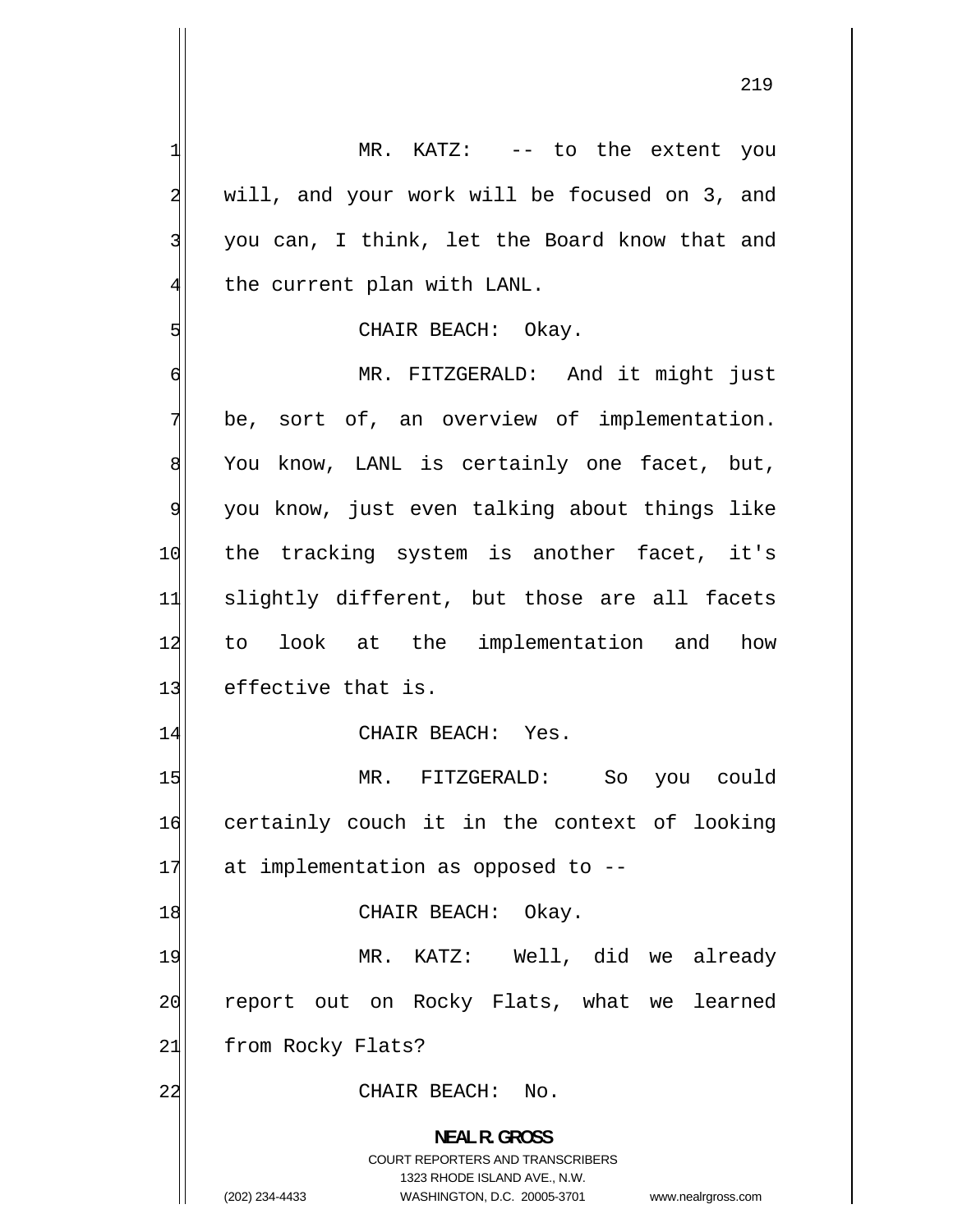1 MR. KATZ: -- to the extent you 2 will, and your work will be focused on 3, and 3 you can, I think, let the Board know that and 4 the current plan with LANL. 5 CHAIR BEACH: Okay. 6 MR. FITZGERALD: And it might just 7 be, sort of, an overview of implementation. 8 You know, LANL is certainly one facet, but, 9 you know, just even talking about things like 10 the tracking system is another facet, it's 11 slightly different, but those are all facets 12 to look at the implementation and how 13 effective that is. 14 CHAIR BEACH: Yes. 15 MR. FITZGERALD: So you could 16 certainly couch it in the context of looking  $17$  at implementation as opposed to  $-$ -18 CHAIR BEACH: Okay. 19 MR. KATZ: Well, did we already 20 report out on Rocky Flats, what we learned 21 from Rocky Flats? 22 CHAIR BEACH: No. **NEAL R. GROSS**  COURT REPORTERS AND TRANSCRIBERS 1323 RHODE ISLAND AVE., N.W.

(202) 234-4433 WASHINGTON, D.C. 20005-3701 www.nealrgross.com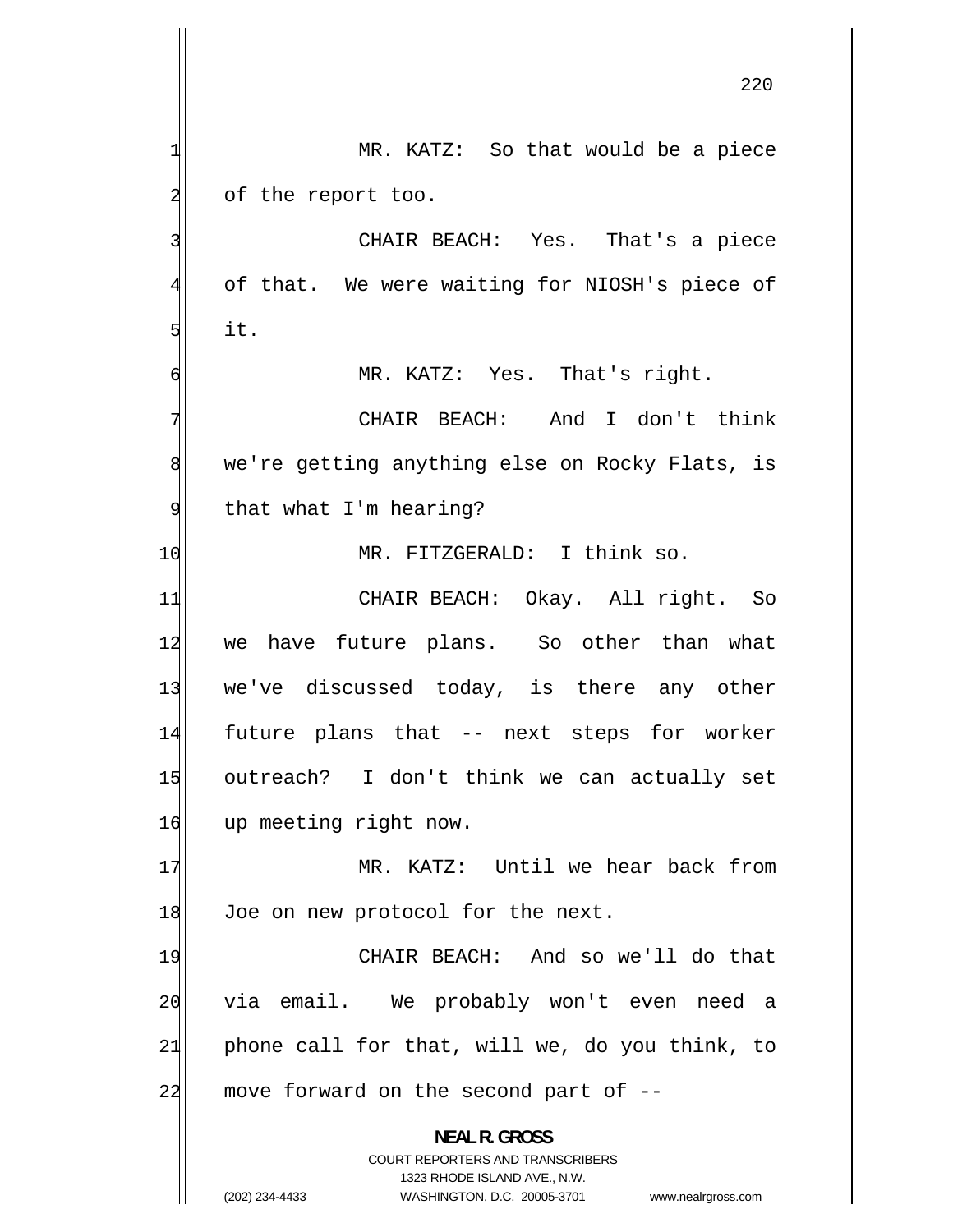220 1 MR. KATZ: So that would be a piece 2 of the report too. 3 CHAIR BEACH: Yes. That's a piece 4 of that. We were waiting for NIOSH's piece of 5 it. 6 MR. KATZ: Yes. That's right. 7 CHAIR BEACH: And I don't think 8 we're getting anything else on Rocky Flats, is 9 that what I'm hearing? 10 MR. FITZGERALD: I think so. 11 CHAIR BEACH: Okay. All right. So 12 we have future plans. So other than what 13 we've discussed today, is there any other 14 future plans that -- next steps for worker 15 outreach? I don't think we can actually set 16 up meeting right now. 17 MR. KATZ: Until we hear back from 18 Joe on new protocol for the next. 19 CHAIR BEACH: And so we'll do that 20 via email. We probably won't even need a 21 phone call for that, will we, do you think, to  $22$  move forward on the second part of  $-$ **NEAL R. GROSS**  COURT REPORTERS AND TRANSCRIBERS 1323 RHODE ISLAND AVE., N.W.

(202) 234-4433 WASHINGTON, D.C. 20005-3701 www.nealrgross.com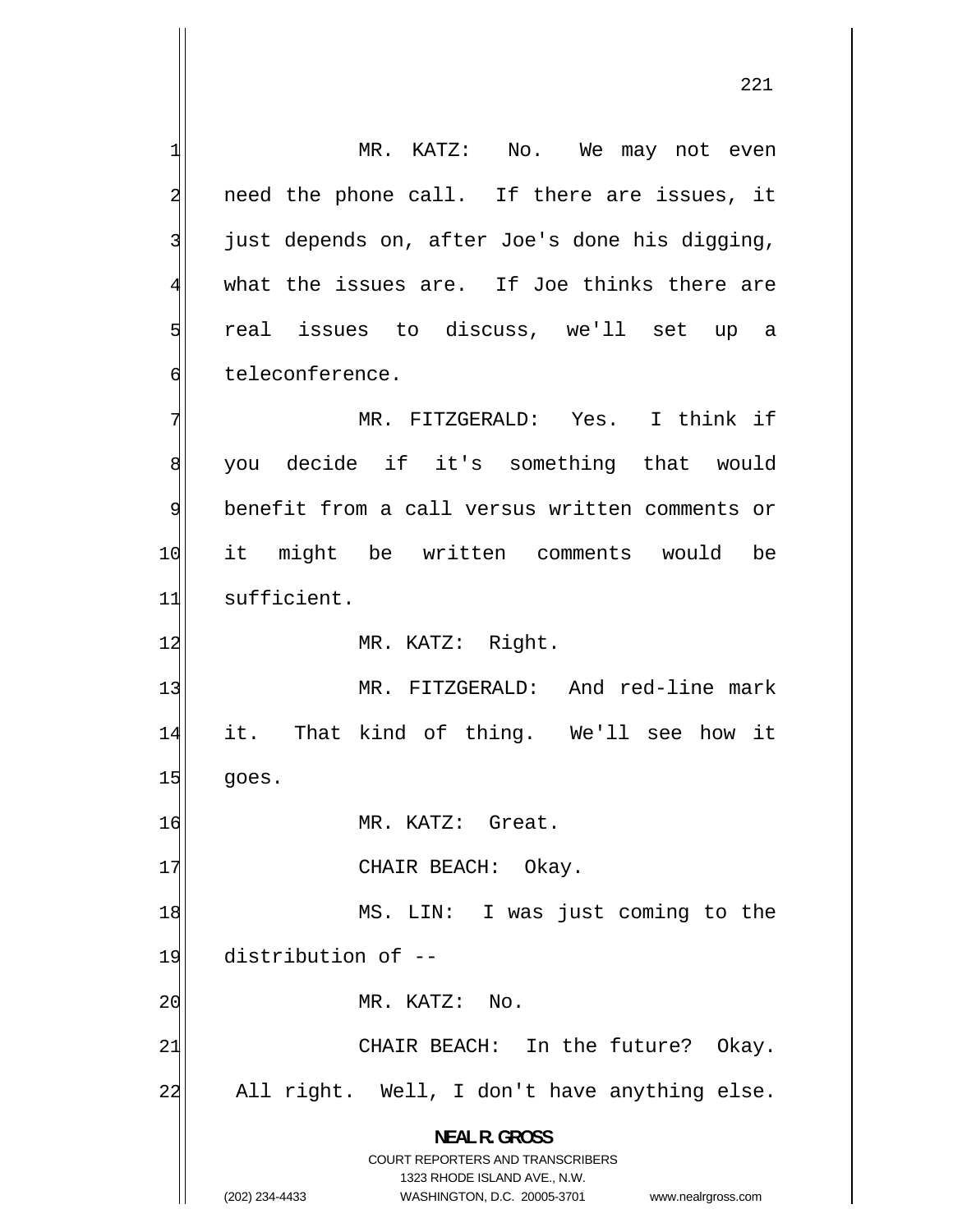1 MR. KATZ: No. We may not even 2 need the phone call. If there are issues, it 3 just depends on, after Joe's done his digging, 4 what the issues are. If Joe thinks there are 5 real issues to discuss, we'll set up a 6 teleconference. 7 MR. FITZGERALD: Yes. I think if 8 you decide if it's something that would 9 benefit from a call versus written comments or 10 it might be written comments would be 11 sufficient. 12 MR. KATZ: Right. 13 MR. FITZGERALD: And red-line mark 14 it. That kind of thing. We'll see how it  $15$  goes. 16 MR. KATZ: Great. 17 CHAIR BEACH: Okay. 18 MS. LIN: I was just coming to the 19 distribution of -- 20 MR. KATZ: No. 21 CHAIR BEACH: In the future? Okay. 22 All right. Well, I don't have anything else. **NEAL R. GROSS**  COURT REPORTERS AND TRANSCRIBERS 1323 RHODE ISLAND AVE., N.W. (202) 234-4433 WASHINGTON, D.C. 20005-3701 www.nealrgross.com